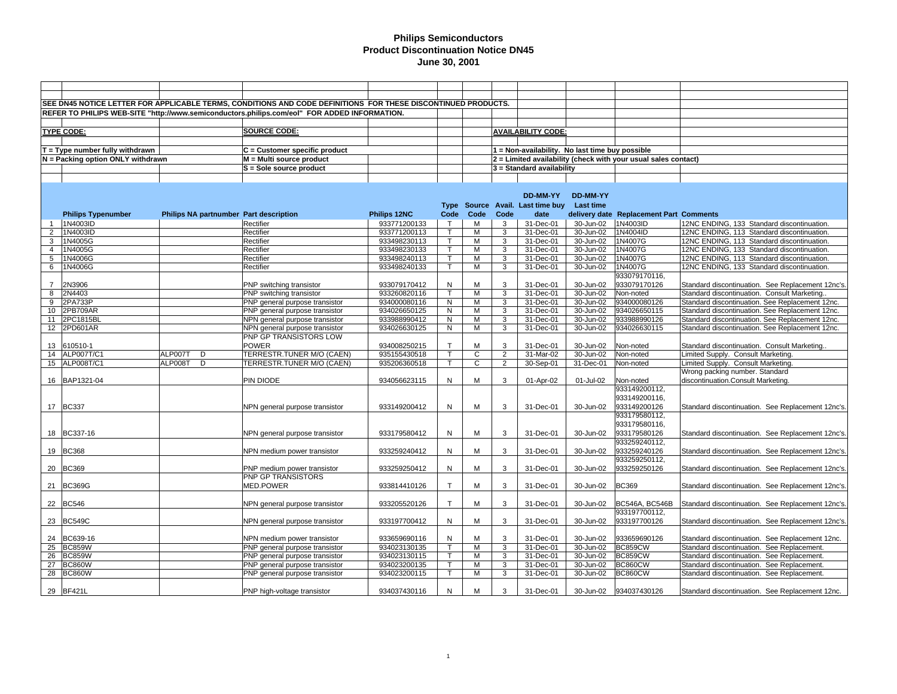|                                   |                                        | SEE DN45 NOTICE LETTER FOR APPLICABLE TERMS, CONDITIONS AND CODE DEFINITIONS FOR THESE DISCONTINUED PRODUCTS. |              |                         |                |                |                                                 |                  |                                                                |                                                   |
|-----------------------------------|----------------------------------------|---------------------------------------------------------------------------------------------------------------|--------------|-------------------------|----------------|----------------|-------------------------------------------------|------------------|----------------------------------------------------------------|---------------------------------------------------|
|                                   |                                        | REFER TO PHILIPS WEB-SITE "http://www.semiconductors.philips.com/eol" FOR ADDED INFORMATION.                  |              |                         |                |                |                                                 |                  |                                                                |                                                   |
|                                   |                                        |                                                                                                               |              |                         |                |                |                                                 |                  |                                                                |                                                   |
|                                   |                                        | <b>SOURCE CODE:</b>                                                                                           |              |                         |                |                |                                                 |                  |                                                                |                                                   |
| <b>TYPE CODE:</b>                 |                                        |                                                                                                               |              |                         |                |                | <b>AVAILABILITY CODE:</b>                       |                  |                                                                |                                                   |
|                                   |                                        |                                                                                                               |              |                         |                |                |                                                 |                  |                                                                |                                                   |
| $T = Type$ number fully withdrawn |                                        | $C =$ Customer specific product                                                                               |              |                         |                |                | 1 = Non-availability. No last time buy possible |                  |                                                                |                                                   |
| N = Packing option ONLY withdrawn |                                        | M = Multi source product                                                                                      |              |                         |                |                |                                                 |                  | 2 = Limited availability (check with your usual sales contact) |                                                   |
|                                   |                                        | S = Sole source product                                                                                       |              |                         |                |                | 3 = Standard availability                       |                  |                                                                |                                                   |
|                                   |                                        |                                                                                                               |              |                         |                |                |                                                 |                  |                                                                |                                                   |
|                                   |                                        |                                                                                                               |              |                         |                |                |                                                 |                  |                                                                |                                                   |
|                                   |                                        |                                                                                                               |              |                         |                |                | DD-MM-YY                                        | DD-MM-YY         |                                                                |                                                   |
|                                   |                                        |                                                                                                               |              | <b>Type</b>             |                |                | Source Avail. Last time buy                     | <b>Last time</b> |                                                                |                                                   |
| <b>Philips Typenumber</b>         | Philips NA partnumber Part description |                                                                                                               | Philips 12NC | Code                    | Code           | Code           | date                                            |                  | delivery date Replacement Part Comments                        |                                                   |
| 1N4003ID<br>$\overline{1}$        |                                        | Rectifier                                                                                                     | 933771200133 | $\top$                  | М              | 3              | 31-Dec-01                                       | 30-Jun-02        | 1N4003ID                                                       | 12NC ENDING, 133 Standard discontinuation.        |
| 1N4003ID<br>$\overline{2}$        |                                        | Rectifier                                                                                                     | 933771200113 | $\mathsf T$             | M              | 3              | 31-Dec-01                                       | 30-Jun-02        | 1N4004ID                                                       | 12NC ENDING, 113 Standard discontinuation.        |
| 1N4005G<br>3                      |                                        | Rectifier                                                                                                     | 933498230113 | T                       | M              | 3              | 31-Dec-01                                       | 30-Jun-02        | 1N4007G                                                        | 12NC ENDING, 113 Standard discontinuation.        |
| 4 1N4005G                         |                                        | Rectifier                                                                                                     | 933498230133 | T.                      | M              | 3              | 31-Dec-01                                       | 30-Jun-02        | 1N4007G                                                        | 12NC ENDING, 133 Standard discontinuation.        |
| 1N4006G<br>5                      |                                        | Rectifier                                                                                                     | 933498240113 | T.                      | M              | 3              | 31-Dec-01                                       | 30-Jun-02        | 1N4007G                                                        | 12NC ENDING, 113 Standard discontinuation.        |
| 6 1N4006G                         |                                        | Rectifier                                                                                                     | 933498240133 | $\mathsf{T}$            | M              | 3              | 31-Dec-01                                       | 30-Jun-02        | 1N4007G                                                        | 12NC ENDING, 133 Standard discontinuation.        |
|                                   |                                        |                                                                                                               |              |                         |                |                |                                                 |                  | 933079170116,                                                  |                                                   |
| 2N3906<br>$7^{\circ}$             |                                        | PNP switching transistor                                                                                      | 933079170412 | N                       | M              | 3              | 31-Dec-01                                       | 30-Jun-02        | 933079170126                                                   | Standard discontinuation. See Replacement 12nc's. |
| 2N4403<br>8                       |                                        | PNP switching transistor                                                                                      | 933260820116 | $\mathsf{T}$            | M              | 3              | 31-Dec-01                                       | 30-Jun-02        | Non-noted                                                      | Standard discontinuation. Consult Marketing       |
| 9<br>2PA733P                      |                                        | PNP general purpose transistor                                                                                | 934000080116 | N                       | M              | 3              | 31-Dec-01                                       | 30-Jun-02        | 934000080126                                                   | Standard discontinuation. See Replacement 12nc.   |
| 10 2PB709AR                       |                                        | PNP general purpose transistor                                                                                | 934026650125 | N                       | $\overline{M}$ | 3              | 31-Dec-01                                       | 30-Jun-02        | 934026650115                                                   | Standard discontinuation. See Replacement 12nc.   |
| 11 2PC1815BL                      |                                        | NPN general purpose transistor                                                                                | 933988990412 | N                       | М              | 3              | 31-Dec-01                                       | 30-Jun-02        | 933988990126                                                   | Standard discontinuation. See Replacement 12nc.   |
| 12 2PD601AR                       |                                        | NPN general purpose transistor                                                                                | 934026630125 | N                       | М              | 3              | 31-Dec-01                                       | 30-Jun-02        | 934026630115                                                   | Standard discontinuation. See Replacement 12nc.   |
|                                   |                                        | PNP GP TRANSISTORS LOW                                                                                        |              |                         |                |                |                                                 |                  |                                                                |                                                   |
| 13 610510-1                       |                                        | <b>POWER</b>                                                                                                  | 934008250215 | $\mathsf{T}$            | M              | 3              | 31-Dec-01                                       | 30-Jun-02        | Non-noted                                                      | Standard discontinuation. Consult Marketing       |
| 14 ALP007T/C1                     | ALP007T<br>D                           | TERRESTR.TUNER M/O (CAEN)                                                                                     | 935155430518 | T.                      | C              | $\overline{2}$ | 31-Mar-02                                       | 30-Jun-02        | Non-noted                                                      | Limited Supply. Consult Marketing.                |
| 15 ALP008T/C1                     | D<br>ALP008T                           | TERRESTR.TUNER M/O (CAEN)                                                                                     | 935206360518 | $\overline{\mathsf{T}}$ | С              | $\overline{2}$ | 30-Sep-01                                       | 31-Dec-01        | Non-noted                                                      | Limited Supply. Consult Marketing.                |
|                                   |                                        |                                                                                                               |              |                         |                |                |                                                 |                  |                                                                | Wrong packing number. Standard                    |
| 16 BAP1321-04                     |                                        | PIN DIODE                                                                                                     | 934056623115 | N                       | М              | 3              | 01-Apr-02                                       | 01-Jul-02        | Non-noted                                                      | discontinuation.Consult Marketing.                |
|                                   |                                        |                                                                                                               |              |                         |                |                |                                                 |                  | 933149200112,                                                  |                                                   |
|                                   |                                        |                                                                                                               |              |                         |                |                |                                                 |                  | 933149200116,                                                  |                                                   |
| 17 BC337                          |                                        | NPN general purpose transistor                                                                                | 933149200412 | N                       | M              | 3              | 31-Dec-01                                       | 30-Jun-02        | 933149200126                                                   | Standard discontinuation. See Replacement 12nc's  |
|                                   |                                        |                                                                                                               |              |                         |                |                |                                                 |                  | 933179580112,                                                  |                                                   |
|                                   |                                        |                                                                                                               |              |                         | M              |                |                                                 |                  | 933179580116,                                                  |                                                   |
| 18 BC337-16                       |                                        | NPN general purpose transistor                                                                                | 933179580412 | N                       |                | 3              | 31-Dec-01                                       | 30-Jun-02        | 933179580126<br>933259240112,                                  | Standard discontinuation. See Replacement 12nc's. |
|                                   |                                        |                                                                                                               |              |                         |                |                |                                                 |                  |                                                                |                                                   |
| 19 BC368                          |                                        | NPN medium power transistor                                                                                   | 933259240412 | N                       | М              | 3              | 31-Dec-01                                       | 30-Jun-02        | 933259240126<br>933259250112,                                  | Standard discontinuation. See Replacement 12nc's  |
| 20 BC369                          |                                        | PNP medium power transistor                                                                                   | 933259250412 | N                       | M              | 3              | 31-Dec-01                                       | 30-Jun-02        | 933259250126                                                   | Standard discontinuation. See Replacement 12nc's  |
|                                   |                                        | PNP GP TRANSISTORS                                                                                            |              |                         |                |                |                                                 |                  |                                                                |                                                   |
| 21 BC369G                         |                                        | <b>MED.POWER</b>                                                                                              | 933814410126 | $\mathsf{T}$            | М              | 3              | 31-Dec-01                                       | 30-Jun-02        | <b>BC369</b>                                                   | Standard discontinuation. See Replacement 12nc's  |
|                                   |                                        |                                                                                                               |              |                         |                |                |                                                 |                  |                                                                |                                                   |
| 22 BC546                          |                                        | NPN general purpose transistor                                                                                | 933205520126 | $\mathsf{T}$            | M              | 3              | 31-Dec-01                                       | 30-Jun-02        | BC546A, BC546B                                                 | Standard discontinuation. See Replacement 12nc's  |
|                                   |                                        |                                                                                                               |              |                         |                |                |                                                 |                  | 933197700112,                                                  |                                                   |
| 23 BC549C                         |                                        | NPN general purpose transistor                                                                                | 933197700412 | N                       | M              | 3              | 31-Dec-01                                       | 30-Jun-02        | 933197700126                                                   | Standard discontinuation. See Replacement 12nc's  |
|                                   |                                        |                                                                                                               |              |                         |                |                |                                                 |                  |                                                                |                                                   |
| 24 BC639-16                       |                                        | NPN medium power transistor                                                                                   | 933659690116 | N                       | M              | 3              | 31-Dec-01                                       | 30-Jun-02        | 933659690126                                                   | Standard discontinuation. See Replacement 12nc.   |
| <b>BC859W</b><br>25               |                                        | PNP general purpose transistor                                                                                | 934023130135 | T.                      | M              | 3              | 31-Dec-01                                       | 30-Jun-02        | BC859CW                                                        | Standard discontinuation. See Replacement.        |
| <b>BC859W</b><br>26               |                                        | PNP general purpose transistor                                                                                | 934023130115 | T.                      | M              | 3              | 31-Dec-01                                       | 30-Jun-02        | <b>BC859CW</b>                                                 | Standard discontinuation. See Replacement.        |
| 27<br><b>BC860W</b>               |                                        | PNP general purpose transistor                                                                                | 934023200135 | $\mathsf{T}$            | M              | 3              | 31-Dec-01                                       | 30-Jun-02        | BC860CW                                                        | Standard discontinuation. See Replacement.        |
| 28 BC860W                         |                                        | PNP general purpose transistor                                                                                | 934023200115 | $\overline{\mathsf{T}}$ | $\overline{M}$ | 3              | $31 - Dec-01$                                   | 30-Jun-02        | <b>BC860CW</b>                                                 | Standard discontinuation. See Replacement.        |
|                                   |                                        |                                                                                                               |              |                         |                |                |                                                 |                  |                                                                |                                                   |
| 29 BF421L                         |                                        | PNP high-voltage transistor                                                                                   | 934037430116 | N                       | M              | 3              | 31-Dec-01                                       | 30-Jun-02        | 934037430126                                                   | Standard discontinuation. See Replacement 12nc.   |
|                                   |                                        |                                                                                                               |              |                         |                |                |                                                 |                  |                                                                |                                                   |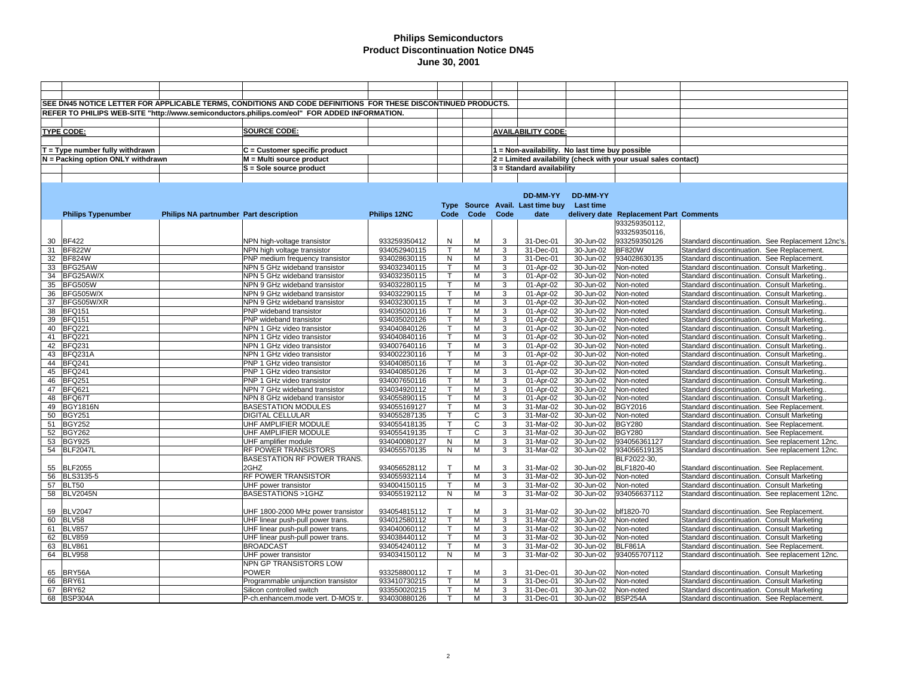| SEE DN45 NOTICE LETTER FOR APPLICABLE TERMS, CONDITIONS AND CODE DEFINITIONS FOR THESE DISCONTINUED PRODUCTS.<br>REFER TO PHILIPS WEB-SITE "http://www.semiconductors.philips.com/eol" FOR ADDED INFORMATION.<br><b>SOURCE CODE:</b><br><b>AVAILABILITY CODE:</b><br><b>TYPE CODE:</b><br>$T = Type$ number fully withdrawn<br>$C =$ Customer specific product<br>1 = Non-availability. No last time buy possible<br>M = Multi source product<br>N = Packing option ONLY withdrawn<br>$2$ = Limited availability (check with your usual sales contact)<br>S = Sole source product<br>$3$ = Standard availability<br>DD-MM-YY<br>DD-MM-YY<br>Type Source Avail. Last time buy<br>Last time<br>Philips NA partnumber Part description<br><b>Philips 12NC</b><br>Code<br>Code<br><b>Philips Typenumber</b><br>Code<br>date<br>delivery date Replacement Part Comments<br>933259350112,<br>933259350116,<br>M<br>30 BF422<br>31-Dec-01<br>933259350126<br>NPN high-voltage transistor<br>933259350412<br>N<br>3<br>30-Jun-02<br>Standard discontinuation. See Replacement 12nc's.<br><b>BF822W</b><br>934052940115<br>31<br>NPN high voltage transistor<br>$\mathsf{T}$<br>м<br>3<br>31-Dec-01<br>30-Jun-02<br><b>BF820W</b><br>Standard discontinuation. See Replacement<br>32 BF824W<br>934028630115<br>N<br>M<br>3<br>31-Dec-01<br>30-Jun-02<br>934028630135<br>Standard discontinuation. See Replacement.<br>PNP medium frequency transistor<br>33<br>BFG25AW<br>NPN 5 GHz wideband transistor<br>934032340115<br>3<br>01-Apr-02<br>30-Jun-02<br>T<br>м<br>Non-noted<br>Standard discontinuation. Consult Marketing.<br>BFG25AW/X<br>$\mathsf{T}$<br>3<br>34<br>NPN 5 GHz wideband transistor<br>934032350115<br>M<br>01-Apr-02<br>30-Jun-02<br>Standard discontinuation. Consult Marketing.<br>Non-noted<br>35 BFG505W<br>NPN 9 GHz wideband transistor<br>M<br>3<br>01-Apr-02<br>30-Jun-02<br>Standard discontinuation. Consult Marketing.<br>934032280115<br>$\mathsf{T}$<br>Non-noted<br>36<br>BFG505W/X<br>NPN 9 GHz wideband transistor<br>934032290115<br>$\mathsf{T}$<br>M<br>3<br>01-Apr-02<br>30-Jun-02<br>Non-noted<br>Standard discontinuation. Consult Marketing.<br>37 BFG505W/XR<br>NPN 9 GHz wideband transistor<br>934032300115<br>M<br>3<br>01-Apr-02<br>30-Jun-02<br>Non-noted<br>Standard discontinuation. Consult Marketing.<br><b>BFQ151</b><br>38<br>934035020116<br>$\mathsf{T}$<br>M<br>3<br>01-Apr-02<br>PNP wideband transistor<br>30-Jun-02<br>Non-noted<br>Standard discontinuation. Consult Marketing.<br>39 BFQ151<br>934035020126<br>01-Apr-02<br>PNP wideband transistor<br>м<br>3<br>30-Jun-02<br>Non-noted<br>Standard discontinuation. Consult Marketing.<br><b>BFQ221</b><br>$\mathsf{T}$<br>M<br>3<br>40<br>NPN 1 GHz video transistor<br>934040840126<br>01-Apr-02<br>30-Jun-02<br>Non-noted<br>Standard discontinuation. Consult Marketing.<br>41 BFQ221<br>M<br>3<br>NPN 1 GHz video transistor<br>934040840116<br>01-Apr-02<br>30-Jun-02<br>Non-noted<br>Standard discontinuation. Consult Marketing.<br><b>BFQ231</b><br>M<br>3<br>01-Apr-02<br>42<br>NPN 1 GHz video transistor<br>934007640116<br>$\mathsf{T}$<br>30-Jun-02<br>Non-noted<br>Standard discontinuation. Consult Marketing.<br>43 BFQ231A<br>NPN 1 GHz video transistor<br>934002230116<br>M<br>3<br>01-Apr-02<br>30-Jun-02<br>Standard discontinuation. Consult Marketing.<br>Non-noted<br>44<br><b>BFQ241</b><br>PNP 1 GHz video transistor<br>934040850116<br>$\mathsf{T}$<br>M<br>3<br>01-Apr-02<br>30-Jun-02<br>Non-noted<br>Standard discontinuation. Consult Marketing.<br>45 BFQ241<br>PNP 1 GHz video transistor<br>934040850126<br>M<br>3<br>01-Apr-02<br>30-Jun-02<br>Standard discontinuation. Consult Marketing.<br>Non-noted<br><b>BFQ251</b><br>PNP 1 GHz video transistor<br>934007650116<br>$\mathsf{T}$<br>M<br>3<br>01-Apr-02<br>30-Jun-02<br>Non-noted<br>Standard discontinuation. Consult Marketing.<br>46<br><b>BFQ621</b><br>3<br>47<br>NPN 7 GHz wideband transistor<br>934034920112<br>M<br>01-Apr-02<br>30-Jun-02<br>Non-noted<br>Standard discontinuation. Consult Marketing.<br>48<br>BFQ67T<br>NPN 8 GHz wideband transistor<br>934055890115<br>$\mathsf{T}$<br>M<br>3<br>01-Apr-02<br>30-Jun-02<br>Non-noted<br>Standard discontinuation. Consult Marketing.<br><b>BASESTATION MODULES</b><br>3<br><b>BGY2016</b><br>49 BGY1816N<br>934055169127<br>т<br>M<br>31-Mar-02<br>30-Jun-02<br>Standard discontinuation. See Replacement.<br><b>BGY251</b><br>DIGITAL CELLULAR<br>934055287135<br>3<br>31-Mar-02<br>50<br>T<br>C<br>30-Jun-02<br>Non-noted<br>Standard discontinuation. Consult Marketing<br>51 BGY252<br>UHF AMPLIFIER MODULE<br>$\mathsf{T}$<br>C<br>3<br>31-Mar-02<br>30-Jun-02<br><b>BGY280</b><br>934055418135<br>Standard discontinuation. See Replacement.<br>52 BGY262<br>UHF AMPLIFIER MODULE<br>934055419135<br>C<br>31-Mar-02<br>30-Jun-02<br><b>BGY280</b><br>Standard discontinuation. See Replacement.<br>т<br>3<br>53 BGY925<br>UHF amplifier module<br>934040080127<br>N<br>M<br>3<br>31-Mar-02<br>30-Jun-02<br>934056361127<br>Standard discontinuation. See replacement 12nc.<br>54 BLF2047L<br>RF POWER TRANSISTORS<br>934055570135<br>N<br>M<br>3<br>31-Mar-02<br>30-Jun-02<br>934056519135<br>Standard discontinuation. See replacement 12nc.<br>BASESTATION RF POWER TRANS.<br>BLF2022-30,<br>2GHZ<br>BLF1820-40<br>55 BLF2055<br>934056528112<br>$\mathsf{T}$<br>M<br>31-Mar-02<br>30-Jun-02<br>Standard discontinuation. See Replacement.<br>3<br>RF POWER TRANSISTOR<br>$\mathsf{T}$<br>$31$ -Mar-02<br>$30 - Jun-02$<br>56 BLS3135-5<br>934055932114<br>м<br>3<br>Non-noted<br>Standard discontinuation. Consult Marketing<br>57 BLT50<br>UHF power transistor<br>934004150115<br>м<br>3<br>31-Mar-02<br>30-Jun-02<br>Non-noted<br>Standard discontinuation. Consult Marketing<br>т<br>58 BLV2045N<br><b>BASESTATIONS &gt;1GHZ</b><br>934055192112<br>N<br>M<br>3<br>31-Mar-02<br>30-Jun-02<br>934056637112<br>Standard discontinuation. See replacement 12nc.<br>$\mathsf{T}$<br>59 BLV2047<br>UHF 1800-2000 MHz power transistor<br>934054815112<br>M<br>3<br>31-Mar-02<br>30-Jun-02<br>blf1820-70<br>Standard discontinuation. See Replacement.<br>60 BLV58<br>934012580112<br>T<br>М<br>3<br>31-Mar-02<br>Non-noted<br>UHF linear push-pull power trans.<br>30-Jun-02<br>Standard discontinuation. Consult Marketing<br>61 BLV857<br>$\mathsf{T}$<br>3<br>31-Mar-02<br>UHF linear push-pull power trans.<br>934040060112<br>м<br>30-Jun-02<br>Non-noted<br>Standard discontinuation. Consult Marketing<br>M<br>3<br>62 BLV859<br>UHF linear push-pull power trans.<br>934038440112<br>$\mathsf{T}$<br>31-Mar-02<br>30-Jun-02<br>Non-noted<br>Standard discontinuation. Consult Marketing<br><b>BROADCAST</b><br>63 BLV861<br>934054240112<br>$\mathsf{T}$<br>M<br>3<br>31-Mar-02<br>30-Jun-02<br>BLF861A<br>Standard discontinuation. See Replacement.<br>934055707112<br>64 BLV958<br>UHF power transistor<br>934034150112<br>N<br>м<br>3<br>31-Mar-02<br>30-Jun-02<br>Standard discontinuatioh. See replacement 12nc.<br>NPN GP TRANSISTORS LOW<br>65 BRY56A<br><b>POWER</b><br>933258800112<br>$\mathsf{T}$<br>м<br>3<br>31-Dec-01<br>30-Jun-02<br>Non-noted<br>Standard discontinuation. Consult Marketing<br>BRY61<br>$\mathsf{T}$<br>M<br>66<br>Programmable unijunction transistor<br>933410730215<br>3<br>31-Dec-01<br>30-Jun-02<br>Non-noted<br>Standard discontinuation. Consult Marketing<br>BRY62<br>M<br>3<br>31-Dec-01<br>67<br>Silicon controlled switch<br>933550020215<br>30-Jun-02<br>Non-noted<br>Standard discontinuation. Consult Marketing<br>68 BSP304A<br><b>BSP254A</b><br>934030880126<br>$\mathsf{T}$<br>M<br>3<br>31-Dec-01<br>30-Jun-02<br>P-ch.enhancem.mode vert. D-MOS tr.<br>Standard discontinuation. See Replacement. |  |  |  |  |  |  |
|------------------------------------------------------------------------------------------------------------------------------------------------------------------------------------------------------------------------------------------------------------------------------------------------------------------------------------------------------------------------------------------------------------------------------------------------------------------------------------------------------------------------------------------------------------------------------------------------------------------------------------------------------------------------------------------------------------------------------------------------------------------------------------------------------------------------------------------------------------------------------------------------------------------------------------------------------------------------------------------------------------------------------------------------------------------------------------------------------------------------------------------------------------------------------------------------------------------------------------------------------------------------------------------------------------------------------------------------------------------------------------------------------------------------------------------------------------------------------------------------------------------------------------------------------------------------------------------------------------------------------------------------------------------------------------------------------------------------------------------------------------------------------------------------------------------------------------------------------------------------------------------------------------------------------------------------------------------------------------------------------------------------------------------------------------------------------------------------------------------------------------------------------------------------------------------------------------------------------------------------------------------------------------------------------------------------------------------------------------------------------------------------------------------------------------------------------------------------------------------------------------------------------------------------------------------------------------------------------------------------------------------------------------------------------------------------------------------------------------------------------------------------------------------------------------------------------------------------------------------------------------------------------------------------------------------------------------------------------------------------------------------------------------------------------------------------------------------------------------------------------------------------------------------------------------------------------------------------------------------------------------------------------------------------------------------------------------------------------------------------------------------------------------------------------------------------------------------------------------------------------------------------------------------------------------------------------------------------------------------------------------------------------------------------------------------------------------------------------------------------------------------------------------------------------------------------------------------------------------------------------------------------------------------------------------------------------------------------------------------------------------------------------------------------------------------------------------------------------------------------------------------------------------------------------------------------------------------------------------------------------------------------------------------------------------------------------------------------------------------------------------------------------------------------------------------------------------------------------------------------------------------------------------------------------------------------------------------------------------------------------------------------------------------------------------------------------------------------------------------------------------------------------------------------------------------------------------------------------------------------------------------------------------------------------------------------------------------------------------------------------------------------------------------------------------------------------------------------------------------------------------------------------------------------------------------------------------------------------------------------------------------------------------------------------------------------------------------------------------------------------------------------------------------------------------------------------------------------------------------------------------------------------------------------------------------------------------------------------------------------------------------------------------------------------------------------------------------------------------------------------------------------------------------------------------------------------------------------------------------------------------------------------------------------------------------------------------------------------------------------------------------------------------------------------------------------------------------------------------------------------------------------------------------------------------------------------------------------------------------------------------------------------------------------------------------------------------------------------------------------------------------------------------------------------------------------------------------------------------------------------------------------------------------------------------------------------------------------------------------------------------------------------------------------------------------------------------------------------------------------------------------------------------------------------------------------------------------------------------------------------------------------------------------------------------------------------------------------------------------------------------------------------------------------------------------------------------------------------------------------------------------------------------------------------------------------------------------------------------------------------------------------------------------------------------------------------------------------------------------------------------------------------------------------------------------------------------------------------------------------------------------------------------------------------------------------------------------------------------------------------------------------------------------------------------------------------------------------------------------------------------------------------------------------------------------------------------------|--|--|--|--|--|--|
|                                                                                                                                                                                                                                                                                                                                                                                                                                                                                                                                                                                                                                                                                                                                                                                                                                                                                                                                                                                                                                                                                                                                                                                                                                                                                                                                                                                                                                                                                                                                                                                                                                                                                                                                                                                                                                                                                                                                                                                                                                                                                                                                                                                                                                                                                                                                                                                                                                                                                                                                                                                                                                                                                                                                                                                                                                                                                                                                                                                                                                                                                                                                                                                                                                                                                                                                                                                                                                                                                                                                                                                                                                                                                                                                                                                                                                                                                                                                                                                                                                                                                                                                                                                                                                                                                                                                                                                                                                                                                                                                                                                                                                                                                                                                                                                                                                                                                                                                                                                                                                                                                                                                                                                                                                                                                                                                                                                                                                                                                                                                                                                                                                                                                                                                                                                                                                                                                                                                                                                                                                                                                                                                                                                                                                                                                                                                                                                                                                                                                                                                                                                                                                                                                                                                                                                                                                                                                                                                                                                                                                                                                                                                                                                                                                                                                                                                                                                                                                                                                                                                                                                                                                                                                                                                                                                                                                          |  |  |  |  |  |  |
|                                                                                                                                                                                                                                                                                                                                                                                                                                                                                                                                                                                                                                                                                                                                                                                                                                                                                                                                                                                                                                                                                                                                                                                                                                                                                                                                                                                                                                                                                                                                                                                                                                                                                                                                                                                                                                                                                                                                                                                                                                                                                                                                                                                                                                                                                                                                                                                                                                                                                                                                                                                                                                                                                                                                                                                                                                                                                                                                                                                                                                                                                                                                                                                                                                                                                                                                                                                                                                                                                                                                                                                                                                                                                                                                                                                                                                                                                                                                                                                                                                                                                                                                                                                                                                                                                                                                                                                                                                                                                                                                                                                                                                                                                                                                                                                                                                                                                                                                                                                                                                                                                                                                                                                                                                                                                                                                                                                                                                                                                                                                                                                                                                                                                                                                                                                                                                                                                                                                                                                                                                                                                                                                                                                                                                                                                                                                                                                                                                                                                                                                                                                                                                                                                                                                                                                                                                                                                                                                                                                                                                                                                                                                                                                                                                                                                                                                                                                                                                                                                                                                                                                                                                                                                                                                                                                                                                          |  |  |  |  |  |  |
|                                                                                                                                                                                                                                                                                                                                                                                                                                                                                                                                                                                                                                                                                                                                                                                                                                                                                                                                                                                                                                                                                                                                                                                                                                                                                                                                                                                                                                                                                                                                                                                                                                                                                                                                                                                                                                                                                                                                                                                                                                                                                                                                                                                                                                                                                                                                                                                                                                                                                                                                                                                                                                                                                                                                                                                                                                                                                                                                                                                                                                                                                                                                                                                                                                                                                                                                                                                                                                                                                                                                                                                                                                                                                                                                                                                                                                                                                                                                                                                                                                                                                                                                                                                                                                                                                                                                                                                                                                                                                                                                                                                                                                                                                                                                                                                                                                                                                                                                                                                                                                                                                                                                                                                                                                                                                                                                                                                                                                                                                                                                                                                                                                                                                                                                                                                                                                                                                                                                                                                                                                                                                                                                                                                                                                                                                                                                                                                                                                                                                                                                                                                                                                                                                                                                                                                                                                                                                                                                                                                                                                                                                                                                                                                                                                                                                                                                                                                                                                                                                                                                                                                                                                                                                                                                                                                                                                          |  |  |  |  |  |  |
|                                                                                                                                                                                                                                                                                                                                                                                                                                                                                                                                                                                                                                                                                                                                                                                                                                                                                                                                                                                                                                                                                                                                                                                                                                                                                                                                                                                                                                                                                                                                                                                                                                                                                                                                                                                                                                                                                                                                                                                                                                                                                                                                                                                                                                                                                                                                                                                                                                                                                                                                                                                                                                                                                                                                                                                                                                                                                                                                                                                                                                                                                                                                                                                                                                                                                                                                                                                                                                                                                                                                                                                                                                                                                                                                                                                                                                                                                                                                                                                                                                                                                                                                                                                                                                                                                                                                                                                                                                                                                                                                                                                                                                                                                                                                                                                                                                                                                                                                                                                                                                                                                                                                                                                                                                                                                                                                                                                                                                                                                                                                                                                                                                                                                                                                                                                                                                                                                                                                                                                                                                                                                                                                                                                                                                                                                                                                                                                                                                                                                                                                                                                                                                                                                                                                                                                                                                                                                                                                                                                                                                                                                                                                                                                                                                                                                                                                                                                                                                                                                                                                                                                                                                                                                                                                                                                                                                          |  |  |  |  |  |  |
|                                                                                                                                                                                                                                                                                                                                                                                                                                                                                                                                                                                                                                                                                                                                                                                                                                                                                                                                                                                                                                                                                                                                                                                                                                                                                                                                                                                                                                                                                                                                                                                                                                                                                                                                                                                                                                                                                                                                                                                                                                                                                                                                                                                                                                                                                                                                                                                                                                                                                                                                                                                                                                                                                                                                                                                                                                                                                                                                                                                                                                                                                                                                                                                                                                                                                                                                                                                                                                                                                                                                                                                                                                                                                                                                                                                                                                                                                                                                                                                                                                                                                                                                                                                                                                                                                                                                                                                                                                                                                                                                                                                                                                                                                                                                                                                                                                                                                                                                                                                                                                                                                                                                                                                                                                                                                                                                                                                                                                                                                                                                                                                                                                                                                                                                                                                                                                                                                                                                                                                                                                                                                                                                                                                                                                                                                                                                                                                                                                                                                                                                                                                                                                                                                                                                                                                                                                                                                                                                                                                                                                                                                                                                                                                                                                                                                                                                                                                                                                                                                                                                                                                                                                                                                                                                                                                                                                          |  |  |  |  |  |  |
|                                                                                                                                                                                                                                                                                                                                                                                                                                                                                                                                                                                                                                                                                                                                                                                                                                                                                                                                                                                                                                                                                                                                                                                                                                                                                                                                                                                                                                                                                                                                                                                                                                                                                                                                                                                                                                                                                                                                                                                                                                                                                                                                                                                                                                                                                                                                                                                                                                                                                                                                                                                                                                                                                                                                                                                                                                                                                                                                                                                                                                                                                                                                                                                                                                                                                                                                                                                                                                                                                                                                                                                                                                                                                                                                                                                                                                                                                                                                                                                                                                                                                                                                                                                                                                                                                                                                                                                                                                                                                                                                                                                                                                                                                                                                                                                                                                                                                                                                                                                                                                                                                                                                                                                                                                                                                                                                                                                                                                                                                                                                                                                                                                                                                                                                                                                                                                                                                                                                                                                                                                                                                                                                                                                                                                                                                                                                                                                                                                                                                                                                                                                                                                                                                                                                                                                                                                                                                                                                                                                                                                                                                                                                                                                                                                                                                                                                                                                                                                                                                                                                                                                                                                                                                                                                                                                                                                          |  |  |  |  |  |  |
|                                                                                                                                                                                                                                                                                                                                                                                                                                                                                                                                                                                                                                                                                                                                                                                                                                                                                                                                                                                                                                                                                                                                                                                                                                                                                                                                                                                                                                                                                                                                                                                                                                                                                                                                                                                                                                                                                                                                                                                                                                                                                                                                                                                                                                                                                                                                                                                                                                                                                                                                                                                                                                                                                                                                                                                                                                                                                                                                                                                                                                                                                                                                                                                                                                                                                                                                                                                                                                                                                                                                                                                                                                                                                                                                                                                                                                                                                                                                                                                                                                                                                                                                                                                                                                                                                                                                                                                                                                                                                                                                                                                                                                                                                                                                                                                                                                                                                                                                                                                                                                                                                                                                                                                                                                                                                                                                                                                                                                                                                                                                                                                                                                                                                                                                                                                                                                                                                                                                                                                                                                                                                                                                                                                                                                                                                                                                                                                                                                                                                                                                                                                                                                                                                                                                                                                                                                                                                                                                                                                                                                                                                                                                                                                                                                                                                                                                                                                                                                                                                                                                                                                                                                                                                                                                                                                                                                          |  |  |  |  |  |  |
|                                                                                                                                                                                                                                                                                                                                                                                                                                                                                                                                                                                                                                                                                                                                                                                                                                                                                                                                                                                                                                                                                                                                                                                                                                                                                                                                                                                                                                                                                                                                                                                                                                                                                                                                                                                                                                                                                                                                                                                                                                                                                                                                                                                                                                                                                                                                                                                                                                                                                                                                                                                                                                                                                                                                                                                                                                                                                                                                                                                                                                                                                                                                                                                                                                                                                                                                                                                                                                                                                                                                                                                                                                                                                                                                                                                                                                                                                                                                                                                                                                                                                                                                                                                                                                                                                                                                                                                                                                                                                                                                                                                                                                                                                                                                                                                                                                                                                                                                                                                                                                                                                                                                                                                                                                                                                                                                                                                                                                                                                                                                                                                                                                                                                                                                                                                                                                                                                                                                                                                                                                                                                                                                                                                                                                                                                                                                                                                                                                                                                                                                                                                                                                                                                                                                                                                                                                                                                                                                                                                                                                                                                                                                                                                                                                                                                                                                                                                                                                                                                                                                                                                                                                                                                                                                                                                                                                          |  |  |  |  |  |  |
|                                                                                                                                                                                                                                                                                                                                                                                                                                                                                                                                                                                                                                                                                                                                                                                                                                                                                                                                                                                                                                                                                                                                                                                                                                                                                                                                                                                                                                                                                                                                                                                                                                                                                                                                                                                                                                                                                                                                                                                                                                                                                                                                                                                                                                                                                                                                                                                                                                                                                                                                                                                                                                                                                                                                                                                                                                                                                                                                                                                                                                                                                                                                                                                                                                                                                                                                                                                                                                                                                                                                                                                                                                                                                                                                                                                                                                                                                                                                                                                                                                                                                                                                                                                                                                                                                                                                                                                                                                                                                                                                                                                                                                                                                                                                                                                                                                                                                                                                                                                                                                                                                                                                                                                                                                                                                                                                                                                                                                                                                                                                                                                                                                                                                                                                                                                                                                                                                                                                                                                                                                                                                                                                                                                                                                                                                                                                                                                                                                                                                                                                                                                                                                                                                                                                                                                                                                                                                                                                                                                                                                                                                                                                                                                                                                                                                                                                                                                                                                                                                                                                                                                                                                                                                                                                                                                                                                          |  |  |  |  |  |  |
|                                                                                                                                                                                                                                                                                                                                                                                                                                                                                                                                                                                                                                                                                                                                                                                                                                                                                                                                                                                                                                                                                                                                                                                                                                                                                                                                                                                                                                                                                                                                                                                                                                                                                                                                                                                                                                                                                                                                                                                                                                                                                                                                                                                                                                                                                                                                                                                                                                                                                                                                                                                                                                                                                                                                                                                                                                                                                                                                                                                                                                                                                                                                                                                                                                                                                                                                                                                                                                                                                                                                                                                                                                                                                                                                                                                                                                                                                                                                                                                                                                                                                                                                                                                                                                                                                                                                                                                                                                                                                                                                                                                                                                                                                                                                                                                                                                                                                                                                                                                                                                                                                                                                                                                                                                                                                                                                                                                                                                                                                                                                                                                                                                                                                                                                                                                                                                                                                                                                                                                                                                                                                                                                                                                                                                                                                                                                                                                                                                                                                                                                                                                                                                                                                                                                                                                                                                                                                                                                                                                                                                                                                                                                                                                                                                                                                                                                                                                                                                                                                                                                                                                                                                                                                                                                                                                                                                          |  |  |  |  |  |  |
|                                                                                                                                                                                                                                                                                                                                                                                                                                                                                                                                                                                                                                                                                                                                                                                                                                                                                                                                                                                                                                                                                                                                                                                                                                                                                                                                                                                                                                                                                                                                                                                                                                                                                                                                                                                                                                                                                                                                                                                                                                                                                                                                                                                                                                                                                                                                                                                                                                                                                                                                                                                                                                                                                                                                                                                                                                                                                                                                                                                                                                                                                                                                                                                                                                                                                                                                                                                                                                                                                                                                                                                                                                                                                                                                                                                                                                                                                                                                                                                                                                                                                                                                                                                                                                                                                                                                                                                                                                                                                                                                                                                                                                                                                                                                                                                                                                                                                                                                                                                                                                                                                                                                                                                                                                                                                                                                                                                                                                                                                                                                                                                                                                                                                                                                                                                                                                                                                                                                                                                                                                                                                                                                                                                                                                                                                                                                                                                                                                                                                                                                                                                                                                                                                                                                                                                                                                                                                                                                                                                                                                                                                                                                                                                                                                                                                                                                                                                                                                                                                                                                                                                                                                                                                                                                                                                                                                          |  |  |  |  |  |  |
|                                                                                                                                                                                                                                                                                                                                                                                                                                                                                                                                                                                                                                                                                                                                                                                                                                                                                                                                                                                                                                                                                                                                                                                                                                                                                                                                                                                                                                                                                                                                                                                                                                                                                                                                                                                                                                                                                                                                                                                                                                                                                                                                                                                                                                                                                                                                                                                                                                                                                                                                                                                                                                                                                                                                                                                                                                                                                                                                                                                                                                                                                                                                                                                                                                                                                                                                                                                                                                                                                                                                                                                                                                                                                                                                                                                                                                                                                                                                                                                                                                                                                                                                                                                                                                                                                                                                                                                                                                                                                                                                                                                                                                                                                                                                                                                                                                                                                                                                                                                                                                                                                                                                                                                                                                                                                                                                                                                                                                                                                                                                                                                                                                                                                                                                                                                                                                                                                                                                                                                                                                                                                                                                                                                                                                                                                                                                                                                                                                                                                                                                                                                                                                                                                                                                                                                                                                                                                                                                                                                                                                                                                                                                                                                                                                                                                                                                                                                                                                                                                                                                                                                                                                                                                                                                                                                                                                          |  |  |  |  |  |  |
|                                                                                                                                                                                                                                                                                                                                                                                                                                                                                                                                                                                                                                                                                                                                                                                                                                                                                                                                                                                                                                                                                                                                                                                                                                                                                                                                                                                                                                                                                                                                                                                                                                                                                                                                                                                                                                                                                                                                                                                                                                                                                                                                                                                                                                                                                                                                                                                                                                                                                                                                                                                                                                                                                                                                                                                                                                                                                                                                                                                                                                                                                                                                                                                                                                                                                                                                                                                                                                                                                                                                                                                                                                                                                                                                                                                                                                                                                                                                                                                                                                                                                                                                                                                                                                                                                                                                                                                                                                                                                                                                                                                                                                                                                                                                                                                                                                                                                                                                                                                                                                                                                                                                                                                                                                                                                                                                                                                                                                                                                                                                                                                                                                                                                                                                                                                                                                                                                                                                                                                                                                                                                                                                                                                                                                                                                                                                                                                                                                                                                                                                                                                                                                                                                                                                                                                                                                                                                                                                                                                                                                                                                                                                                                                                                                                                                                                                                                                                                                                                                                                                                                                                                                                                                                                                                                                                                                          |  |  |  |  |  |  |
|                                                                                                                                                                                                                                                                                                                                                                                                                                                                                                                                                                                                                                                                                                                                                                                                                                                                                                                                                                                                                                                                                                                                                                                                                                                                                                                                                                                                                                                                                                                                                                                                                                                                                                                                                                                                                                                                                                                                                                                                                                                                                                                                                                                                                                                                                                                                                                                                                                                                                                                                                                                                                                                                                                                                                                                                                                                                                                                                                                                                                                                                                                                                                                                                                                                                                                                                                                                                                                                                                                                                                                                                                                                                                                                                                                                                                                                                                                                                                                                                                                                                                                                                                                                                                                                                                                                                                                                                                                                                                                                                                                                                                                                                                                                                                                                                                                                                                                                                                                                                                                                                                                                                                                                                                                                                                                                                                                                                                                                                                                                                                                                                                                                                                                                                                                                                                                                                                                                                                                                                                                                                                                                                                                                                                                                                                                                                                                                                                                                                                                                                                                                                                                                                                                                                                                                                                                                                                                                                                                                                                                                                                                                                                                                                                                                                                                                                                                                                                                                                                                                                                                                                                                                                                                                                                                                                                                          |  |  |  |  |  |  |
|                                                                                                                                                                                                                                                                                                                                                                                                                                                                                                                                                                                                                                                                                                                                                                                                                                                                                                                                                                                                                                                                                                                                                                                                                                                                                                                                                                                                                                                                                                                                                                                                                                                                                                                                                                                                                                                                                                                                                                                                                                                                                                                                                                                                                                                                                                                                                                                                                                                                                                                                                                                                                                                                                                                                                                                                                                                                                                                                                                                                                                                                                                                                                                                                                                                                                                                                                                                                                                                                                                                                                                                                                                                                                                                                                                                                                                                                                                                                                                                                                                                                                                                                                                                                                                                                                                                                                                                                                                                                                                                                                                                                                                                                                                                                                                                                                                                                                                                                                                                                                                                                                                                                                                                                                                                                                                                                                                                                                                                                                                                                                                                                                                                                                                                                                                                                                                                                                                                                                                                                                                                                                                                                                                                                                                                                                                                                                                                                                                                                                                                                                                                                                                                                                                                                                                                                                                                                                                                                                                                                                                                                                                                                                                                                                                                                                                                                                                                                                                                                                                                                                                                                                                                                                                                                                                                                                                          |  |  |  |  |  |  |
|                                                                                                                                                                                                                                                                                                                                                                                                                                                                                                                                                                                                                                                                                                                                                                                                                                                                                                                                                                                                                                                                                                                                                                                                                                                                                                                                                                                                                                                                                                                                                                                                                                                                                                                                                                                                                                                                                                                                                                                                                                                                                                                                                                                                                                                                                                                                                                                                                                                                                                                                                                                                                                                                                                                                                                                                                                                                                                                                                                                                                                                                                                                                                                                                                                                                                                                                                                                                                                                                                                                                                                                                                                                                                                                                                                                                                                                                                                                                                                                                                                                                                                                                                                                                                                                                                                                                                                                                                                                                                                                                                                                                                                                                                                                                                                                                                                                                                                                                                                                                                                                                                                                                                                                                                                                                                                                                                                                                                                                                                                                                                                                                                                                                                                                                                                                                                                                                                                                                                                                                                                                                                                                                                                                                                                                                                                                                                                                                                                                                                                                                                                                                                                                                                                                                                                                                                                                                                                                                                                                                                                                                                                                                                                                                                                                                                                                                                                                                                                                                                                                                                                                                                                                                                                                                                                                                                                          |  |  |  |  |  |  |
|                                                                                                                                                                                                                                                                                                                                                                                                                                                                                                                                                                                                                                                                                                                                                                                                                                                                                                                                                                                                                                                                                                                                                                                                                                                                                                                                                                                                                                                                                                                                                                                                                                                                                                                                                                                                                                                                                                                                                                                                                                                                                                                                                                                                                                                                                                                                                                                                                                                                                                                                                                                                                                                                                                                                                                                                                                                                                                                                                                                                                                                                                                                                                                                                                                                                                                                                                                                                                                                                                                                                                                                                                                                                                                                                                                                                                                                                                                                                                                                                                                                                                                                                                                                                                                                                                                                                                                                                                                                                                                                                                                                                                                                                                                                                                                                                                                                                                                                                                                                                                                                                                                                                                                                                                                                                                                                                                                                                                                                                                                                                                                                                                                                                                                                                                                                                                                                                                                                                                                                                                                                                                                                                                                                                                                                                                                                                                                                                                                                                                                                                                                                                                                                                                                                                                                                                                                                                                                                                                                                                                                                                                                                                                                                                                                                                                                                                                                                                                                                                                                                                                                                                                                                                                                                                                                                                                                          |  |  |  |  |  |  |
|                                                                                                                                                                                                                                                                                                                                                                                                                                                                                                                                                                                                                                                                                                                                                                                                                                                                                                                                                                                                                                                                                                                                                                                                                                                                                                                                                                                                                                                                                                                                                                                                                                                                                                                                                                                                                                                                                                                                                                                                                                                                                                                                                                                                                                                                                                                                                                                                                                                                                                                                                                                                                                                                                                                                                                                                                                                                                                                                                                                                                                                                                                                                                                                                                                                                                                                                                                                                                                                                                                                                                                                                                                                                                                                                                                                                                                                                                                                                                                                                                                                                                                                                                                                                                                                                                                                                                                                                                                                                                                                                                                                                                                                                                                                                                                                                                                                                                                                                                                                                                                                                                                                                                                                                                                                                                                                                                                                                                                                                                                                                                                                                                                                                                                                                                                                                                                                                                                                                                                                                                                                                                                                                                                                                                                                                                                                                                                                                                                                                                                                                                                                                                                                                                                                                                                                                                                                                                                                                                                                                                                                                                                                                                                                                                                                                                                                                                                                                                                                                                                                                                                                                                                                                                                                                                                                                                                          |  |  |  |  |  |  |
|                                                                                                                                                                                                                                                                                                                                                                                                                                                                                                                                                                                                                                                                                                                                                                                                                                                                                                                                                                                                                                                                                                                                                                                                                                                                                                                                                                                                                                                                                                                                                                                                                                                                                                                                                                                                                                                                                                                                                                                                                                                                                                                                                                                                                                                                                                                                                                                                                                                                                                                                                                                                                                                                                                                                                                                                                                                                                                                                                                                                                                                                                                                                                                                                                                                                                                                                                                                                                                                                                                                                                                                                                                                                                                                                                                                                                                                                                                                                                                                                                                                                                                                                                                                                                                                                                                                                                                                                                                                                                                                                                                                                                                                                                                                                                                                                                                                                                                                                                                                                                                                                                                                                                                                                                                                                                                                                                                                                                                                                                                                                                                                                                                                                                                                                                                                                                                                                                                                                                                                                                                                                                                                                                                                                                                                                                                                                                                                                                                                                                                                                                                                                                                                                                                                                                                                                                                                                                                                                                                                                                                                                                                                                                                                                                                                                                                                                                                                                                                                                                                                                                                                                                                                                                                                                                                                                                                          |  |  |  |  |  |  |
|                                                                                                                                                                                                                                                                                                                                                                                                                                                                                                                                                                                                                                                                                                                                                                                                                                                                                                                                                                                                                                                                                                                                                                                                                                                                                                                                                                                                                                                                                                                                                                                                                                                                                                                                                                                                                                                                                                                                                                                                                                                                                                                                                                                                                                                                                                                                                                                                                                                                                                                                                                                                                                                                                                                                                                                                                                                                                                                                                                                                                                                                                                                                                                                                                                                                                                                                                                                                                                                                                                                                                                                                                                                                                                                                                                                                                                                                                                                                                                                                                                                                                                                                                                                                                                                                                                                                                                                                                                                                                                                                                                                                                                                                                                                                                                                                                                                                                                                                                                                                                                                                                                                                                                                                                                                                                                                                                                                                                                                                                                                                                                                                                                                                                                                                                                                                                                                                                                                                                                                                                                                                                                                                                                                                                                                                                                                                                                                                                                                                                                                                                                                                                                                                                                                                                                                                                                                                                                                                                                                                                                                                                                                                                                                                                                                                                                                                                                                                                                                                                                                                                                                                                                                                                                                                                                                                                                          |  |  |  |  |  |  |
|                                                                                                                                                                                                                                                                                                                                                                                                                                                                                                                                                                                                                                                                                                                                                                                                                                                                                                                                                                                                                                                                                                                                                                                                                                                                                                                                                                                                                                                                                                                                                                                                                                                                                                                                                                                                                                                                                                                                                                                                                                                                                                                                                                                                                                                                                                                                                                                                                                                                                                                                                                                                                                                                                                                                                                                                                                                                                                                                                                                                                                                                                                                                                                                                                                                                                                                                                                                                                                                                                                                                                                                                                                                                                                                                                                                                                                                                                                                                                                                                                                                                                                                                                                                                                                                                                                                                                                                                                                                                                                                                                                                                                                                                                                                                                                                                                                                                                                                                                                                                                                                                                                                                                                                                                                                                                                                                                                                                                                                                                                                                                                                                                                                                                                                                                                                                                                                                                                                                                                                                                                                                                                                                                                                                                                                                                                                                                                                                                                                                                                                                                                                                                                                                                                                                                                                                                                                                                                                                                                                                                                                                                                                                                                                                                                                                                                                                                                                                                                                                                                                                                                                                                                                                                                                                                                                                                                          |  |  |  |  |  |  |
|                                                                                                                                                                                                                                                                                                                                                                                                                                                                                                                                                                                                                                                                                                                                                                                                                                                                                                                                                                                                                                                                                                                                                                                                                                                                                                                                                                                                                                                                                                                                                                                                                                                                                                                                                                                                                                                                                                                                                                                                                                                                                                                                                                                                                                                                                                                                                                                                                                                                                                                                                                                                                                                                                                                                                                                                                                                                                                                                                                                                                                                                                                                                                                                                                                                                                                                                                                                                                                                                                                                                                                                                                                                                                                                                                                                                                                                                                                                                                                                                                                                                                                                                                                                                                                                                                                                                                                                                                                                                                                                                                                                                                                                                                                                                                                                                                                                                                                                                                                                                                                                                                                                                                                                                                                                                                                                                                                                                                                                                                                                                                                                                                                                                                                                                                                                                                                                                                                                                                                                                                                                                                                                                                                                                                                                                                                                                                                                                                                                                                                                                                                                                                                                                                                                                                                                                                                                                                                                                                                                                                                                                                                                                                                                                                                                                                                                                                                                                                                                                                                                                                                                                                                                                                                                                                                                                                                          |  |  |  |  |  |  |
|                                                                                                                                                                                                                                                                                                                                                                                                                                                                                                                                                                                                                                                                                                                                                                                                                                                                                                                                                                                                                                                                                                                                                                                                                                                                                                                                                                                                                                                                                                                                                                                                                                                                                                                                                                                                                                                                                                                                                                                                                                                                                                                                                                                                                                                                                                                                                                                                                                                                                                                                                                                                                                                                                                                                                                                                                                                                                                                                                                                                                                                                                                                                                                                                                                                                                                                                                                                                                                                                                                                                                                                                                                                                                                                                                                                                                                                                                                                                                                                                                                                                                                                                                                                                                                                                                                                                                                                                                                                                                                                                                                                                                                                                                                                                                                                                                                                                                                                                                                                                                                                                                                                                                                                                                                                                                                                                                                                                                                                                                                                                                                                                                                                                                                                                                                                                                                                                                                                                                                                                                                                                                                                                                                                                                                                                                                                                                                                                                                                                                                                                                                                                                                                                                                                                                                                                                                                                                                                                                                                                                                                                                                                                                                                                                                                                                                                                                                                                                                                                                                                                                                                                                                                                                                                                                                                                                                          |  |  |  |  |  |  |
|                                                                                                                                                                                                                                                                                                                                                                                                                                                                                                                                                                                                                                                                                                                                                                                                                                                                                                                                                                                                                                                                                                                                                                                                                                                                                                                                                                                                                                                                                                                                                                                                                                                                                                                                                                                                                                                                                                                                                                                                                                                                                                                                                                                                                                                                                                                                                                                                                                                                                                                                                                                                                                                                                                                                                                                                                                                                                                                                                                                                                                                                                                                                                                                                                                                                                                                                                                                                                                                                                                                                                                                                                                                                                                                                                                                                                                                                                                                                                                                                                                                                                                                                                                                                                                                                                                                                                                                                                                                                                                                                                                                                                                                                                                                                                                                                                                                                                                                                                                                                                                                                                                                                                                                                                                                                                                                                                                                                                                                                                                                                                                                                                                                                                                                                                                                                                                                                                                                                                                                                                                                                                                                                                                                                                                                                                                                                                                                                                                                                                                                                                                                                                                                                                                                                                                                                                                                                                                                                                                                                                                                                                                                                                                                                                                                                                                                                                                                                                                                                                                                                                                                                                                                                                                                                                                                                                                          |  |  |  |  |  |  |
|                                                                                                                                                                                                                                                                                                                                                                                                                                                                                                                                                                                                                                                                                                                                                                                                                                                                                                                                                                                                                                                                                                                                                                                                                                                                                                                                                                                                                                                                                                                                                                                                                                                                                                                                                                                                                                                                                                                                                                                                                                                                                                                                                                                                                                                                                                                                                                                                                                                                                                                                                                                                                                                                                                                                                                                                                                                                                                                                                                                                                                                                                                                                                                                                                                                                                                                                                                                                                                                                                                                                                                                                                                                                                                                                                                                                                                                                                                                                                                                                                                                                                                                                                                                                                                                                                                                                                                                                                                                                                                                                                                                                                                                                                                                                                                                                                                                                                                                                                                                                                                                                                                                                                                                                                                                                                                                                                                                                                                                                                                                                                                                                                                                                                                                                                                                                                                                                                                                                                                                                                                                                                                                                                                                                                                                                                                                                                                                                                                                                                                                                                                                                                                                                                                                                                                                                                                                                                                                                                                                                                                                                                                                                                                                                                                                                                                                                                                                                                                                                                                                                                                                                                                                                                                                                                                                                                                          |  |  |  |  |  |  |
|                                                                                                                                                                                                                                                                                                                                                                                                                                                                                                                                                                                                                                                                                                                                                                                                                                                                                                                                                                                                                                                                                                                                                                                                                                                                                                                                                                                                                                                                                                                                                                                                                                                                                                                                                                                                                                                                                                                                                                                                                                                                                                                                                                                                                                                                                                                                                                                                                                                                                                                                                                                                                                                                                                                                                                                                                                                                                                                                                                                                                                                                                                                                                                                                                                                                                                                                                                                                                                                                                                                                                                                                                                                                                                                                                                                                                                                                                                                                                                                                                                                                                                                                                                                                                                                                                                                                                                                                                                                                                                                                                                                                                                                                                                                                                                                                                                                                                                                                                                                                                                                                                                                                                                                                                                                                                                                                                                                                                                                                                                                                                                                                                                                                                                                                                                                                                                                                                                                                                                                                                                                                                                                                                                                                                                                                                                                                                                                                                                                                                                                                                                                                                                                                                                                                                                                                                                                                                                                                                                                                                                                                                                                                                                                                                                                                                                                                                                                                                                                                                                                                                                                                                                                                                                                                                                                                                                          |  |  |  |  |  |  |
|                                                                                                                                                                                                                                                                                                                                                                                                                                                                                                                                                                                                                                                                                                                                                                                                                                                                                                                                                                                                                                                                                                                                                                                                                                                                                                                                                                                                                                                                                                                                                                                                                                                                                                                                                                                                                                                                                                                                                                                                                                                                                                                                                                                                                                                                                                                                                                                                                                                                                                                                                                                                                                                                                                                                                                                                                                                                                                                                                                                                                                                                                                                                                                                                                                                                                                                                                                                                                                                                                                                                                                                                                                                                                                                                                                                                                                                                                                                                                                                                                                                                                                                                                                                                                                                                                                                                                                                                                                                                                                                                                                                                                                                                                                                                                                                                                                                                                                                                                                                                                                                                                                                                                                                                                                                                                                                                                                                                                                                                                                                                                                                                                                                                                                                                                                                                                                                                                                                                                                                                                                                                                                                                                                                                                                                                                                                                                                                                                                                                                                                                                                                                                                                                                                                                                                                                                                                                                                                                                                                                                                                                                                                                                                                                                                                                                                                                                                                                                                                                                                                                                                                                                                                                                                                                                                                                                                          |  |  |  |  |  |  |
|                                                                                                                                                                                                                                                                                                                                                                                                                                                                                                                                                                                                                                                                                                                                                                                                                                                                                                                                                                                                                                                                                                                                                                                                                                                                                                                                                                                                                                                                                                                                                                                                                                                                                                                                                                                                                                                                                                                                                                                                                                                                                                                                                                                                                                                                                                                                                                                                                                                                                                                                                                                                                                                                                                                                                                                                                                                                                                                                                                                                                                                                                                                                                                                                                                                                                                                                                                                                                                                                                                                                                                                                                                                                                                                                                                                                                                                                                                                                                                                                                                                                                                                                                                                                                                                                                                                                                                                                                                                                                                                                                                                                                                                                                                                                                                                                                                                                                                                                                                                                                                                                                                                                                                                                                                                                                                                                                                                                                                                                                                                                                                                                                                                                                                                                                                                                                                                                                                                                                                                                                                                                                                                                                                                                                                                                                                                                                                                                                                                                                                                                                                                                                                                                                                                                                                                                                                                                                                                                                                                                                                                                                                                                                                                                                                                                                                                                                                                                                                                                                                                                                                                                                                                                                                                                                                                                                                          |  |  |  |  |  |  |
|                                                                                                                                                                                                                                                                                                                                                                                                                                                                                                                                                                                                                                                                                                                                                                                                                                                                                                                                                                                                                                                                                                                                                                                                                                                                                                                                                                                                                                                                                                                                                                                                                                                                                                                                                                                                                                                                                                                                                                                                                                                                                                                                                                                                                                                                                                                                                                                                                                                                                                                                                                                                                                                                                                                                                                                                                                                                                                                                                                                                                                                                                                                                                                                                                                                                                                                                                                                                                                                                                                                                                                                                                                                                                                                                                                                                                                                                                                                                                                                                                                                                                                                                                                                                                                                                                                                                                                                                                                                                                                                                                                                                                                                                                                                                                                                                                                                                                                                                                                                                                                                                                                                                                                                                                                                                                                                                                                                                                                                                                                                                                                                                                                                                                                                                                                                                                                                                                                                                                                                                                                                                                                                                                                                                                                                                                                                                                                                                                                                                                                                                                                                                                                                                                                                                                                                                                                                                                                                                                                                                                                                                                                                                                                                                                                                                                                                                                                                                                                                                                                                                                                                                                                                                                                                                                                                                                                          |  |  |  |  |  |  |
|                                                                                                                                                                                                                                                                                                                                                                                                                                                                                                                                                                                                                                                                                                                                                                                                                                                                                                                                                                                                                                                                                                                                                                                                                                                                                                                                                                                                                                                                                                                                                                                                                                                                                                                                                                                                                                                                                                                                                                                                                                                                                                                                                                                                                                                                                                                                                                                                                                                                                                                                                                                                                                                                                                                                                                                                                                                                                                                                                                                                                                                                                                                                                                                                                                                                                                                                                                                                                                                                                                                                                                                                                                                                                                                                                                                                                                                                                                                                                                                                                                                                                                                                                                                                                                                                                                                                                                                                                                                                                                                                                                                                                                                                                                                                                                                                                                                                                                                                                                                                                                                                                                                                                                                                                                                                                                                                                                                                                                                                                                                                                                                                                                                                                                                                                                                                                                                                                                                                                                                                                                                                                                                                                                                                                                                                                                                                                                                                                                                                                                                                                                                                                                                                                                                                                                                                                                                                                                                                                                                                                                                                                                                                                                                                                                                                                                                                                                                                                                                                                                                                                                                                                                                                                                                                                                                                                                          |  |  |  |  |  |  |
|                                                                                                                                                                                                                                                                                                                                                                                                                                                                                                                                                                                                                                                                                                                                                                                                                                                                                                                                                                                                                                                                                                                                                                                                                                                                                                                                                                                                                                                                                                                                                                                                                                                                                                                                                                                                                                                                                                                                                                                                                                                                                                                                                                                                                                                                                                                                                                                                                                                                                                                                                                                                                                                                                                                                                                                                                                                                                                                                                                                                                                                                                                                                                                                                                                                                                                                                                                                                                                                                                                                                                                                                                                                                                                                                                                                                                                                                                                                                                                                                                                                                                                                                                                                                                                                                                                                                                                                                                                                                                                                                                                                                                                                                                                                                                                                                                                                                                                                                                                                                                                                                                                                                                                                                                                                                                                                                                                                                                                                                                                                                                                                                                                                                                                                                                                                                                                                                                                                                                                                                                                                                                                                                                                                                                                                                                                                                                                                                                                                                                                                                                                                                                                                                                                                                                                                                                                                                                                                                                                                                                                                                                                                                                                                                                                                                                                                                                                                                                                                                                                                                                                                                                                                                                                                                                                                                                                          |  |  |  |  |  |  |
|                                                                                                                                                                                                                                                                                                                                                                                                                                                                                                                                                                                                                                                                                                                                                                                                                                                                                                                                                                                                                                                                                                                                                                                                                                                                                                                                                                                                                                                                                                                                                                                                                                                                                                                                                                                                                                                                                                                                                                                                                                                                                                                                                                                                                                                                                                                                                                                                                                                                                                                                                                                                                                                                                                                                                                                                                                                                                                                                                                                                                                                                                                                                                                                                                                                                                                                                                                                                                                                                                                                                                                                                                                                                                                                                                                                                                                                                                                                                                                                                                                                                                                                                                                                                                                                                                                                                                                                                                                                                                                                                                                                                                                                                                                                                                                                                                                                                                                                                                                                                                                                                                                                                                                                                                                                                                                                                                                                                                                                                                                                                                                                                                                                                                                                                                                                                                                                                                                                                                                                                                                                                                                                                                                                                                                                                                                                                                                                                                                                                                                                                                                                                                                                                                                                                                                                                                                                                                                                                                                                                                                                                                                                                                                                                                                                                                                                                                                                                                                                                                                                                                                                                                                                                                                                                                                                                                                          |  |  |  |  |  |  |
|                                                                                                                                                                                                                                                                                                                                                                                                                                                                                                                                                                                                                                                                                                                                                                                                                                                                                                                                                                                                                                                                                                                                                                                                                                                                                                                                                                                                                                                                                                                                                                                                                                                                                                                                                                                                                                                                                                                                                                                                                                                                                                                                                                                                                                                                                                                                                                                                                                                                                                                                                                                                                                                                                                                                                                                                                                                                                                                                                                                                                                                                                                                                                                                                                                                                                                                                                                                                                                                                                                                                                                                                                                                                                                                                                                                                                                                                                                                                                                                                                                                                                                                                                                                                                                                                                                                                                                                                                                                                                                                                                                                                                                                                                                                                                                                                                                                                                                                                                                                                                                                                                                                                                                                                                                                                                                                                                                                                                                                                                                                                                                                                                                                                                                                                                                                                                                                                                                                                                                                                                                                                                                                                                                                                                                                                                                                                                                                                                                                                                                                                                                                                                                                                                                                                                                                                                                                                                                                                                                                                                                                                                                                                                                                                                                                                                                                                                                                                                                                                                                                                                                                                                                                                                                                                                                                                                                          |  |  |  |  |  |  |
|                                                                                                                                                                                                                                                                                                                                                                                                                                                                                                                                                                                                                                                                                                                                                                                                                                                                                                                                                                                                                                                                                                                                                                                                                                                                                                                                                                                                                                                                                                                                                                                                                                                                                                                                                                                                                                                                                                                                                                                                                                                                                                                                                                                                                                                                                                                                                                                                                                                                                                                                                                                                                                                                                                                                                                                                                                                                                                                                                                                                                                                                                                                                                                                                                                                                                                                                                                                                                                                                                                                                                                                                                                                                                                                                                                                                                                                                                                                                                                                                                                                                                                                                                                                                                                                                                                                                                                                                                                                                                                                                                                                                                                                                                                                                                                                                                                                                                                                                                                                                                                                                                                                                                                                                                                                                                                                                                                                                                                                                                                                                                                                                                                                                                                                                                                                                                                                                                                                                                                                                                                                                                                                                                                                                                                                                                                                                                                                                                                                                                                                                                                                                                                                                                                                                                                                                                                                                                                                                                                                                                                                                                                                                                                                                                                                                                                                                                                                                                                                                                                                                                                                                                                                                                                                                                                                                                                          |  |  |  |  |  |  |
|                                                                                                                                                                                                                                                                                                                                                                                                                                                                                                                                                                                                                                                                                                                                                                                                                                                                                                                                                                                                                                                                                                                                                                                                                                                                                                                                                                                                                                                                                                                                                                                                                                                                                                                                                                                                                                                                                                                                                                                                                                                                                                                                                                                                                                                                                                                                                                                                                                                                                                                                                                                                                                                                                                                                                                                                                                                                                                                                                                                                                                                                                                                                                                                                                                                                                                                                                                                                                                                                                                                                                                                                                                                                                                                                                                                                                                                                                                                                                                                                                                                                                                                                                                                                                                                                                                                                                                                                                                                                                                                                                                                                                                                                                                                                                                                                                                                                                                                                                                                                                                                                                                                                                                                                                                                                                                                                                                                                                                                                                                                                                                                                                                                                                                                                                                                                                                                                                                                                                                                                                                                                                                                                                                                                                                                                                                                                                                                                                                                                                                                                                                                                                                                                                                                                                                                                                                                                                                                                                                                                                                                                                                                                                                                                                                                                                                                                                                                                                                                                                                                                                                                                                                                                                                                                                                                                                                          |  |  |  |  |  |  |
|                                                                                                                                                                                                                                                                                                                                                                                                                                                                                                                                                                                                                                                                                                                                                                                                                                                                                                                                                                                                                                                                                                                                                                                                                                                                                                                                                                                                                                                                                                                                                                                                                                                                                                                                                                                                                                                                                                                                                                                                                                                                                                                                                                                                                                                                                                                                                                                                                                                                                                                                                                                                                                                                                                                                                                                                                                                                                                                                                                                                                                                                                                                                                                                                                                                                                                                                                                                                                                                                                                                                                                                                                                                                                                                                                                                                                                                                                                                                                                                                                                                                                                                                                                                                                                                                                                                                                                                                                                                                                                                                                                                                                                                                                                                                                                                                                                                                                                                                                                                                                                                                                                                                                                                                                                                                                                                                                                                                                                                                                                                                                                                                                                                                                                                                                                                                                                                                                                                                                                                                                                                                                                                                                                                                                                                                                                                                                                                                                                                                                                                                                                                                                                                                                                                                                                                                                                                                                                                                                                                                                                                                                                                                                                                                                                                                                                                                                                                                                                                                                                                                                                                                                                                                                                                                                                                                                                          |  |  |  |  |  |  |
|                                                                                                                                                                                                                                                                                                                                                                                                                                                                                                                                                                                                                                                                                                                                                                                                                                                                                                                                                                                                                                                                                                                                                                                                                                                                                                                                                                                                                                                                                                                                                                                                                                                                                                                                                                                                                                                                                                                                                                                                                                                                                                                                                                                                                                                                                                                                                                                                                                                                                                                                                                                                                                                                                                                                                                                                                                                                                                                                                                                                                                                                                                                                                                                                                                                                                                                                                                                                                                                                                                                                                                                                                                                                                                                                                                                                                                                                                                                                                                                                                                                                                                                                                                                                                                                                                                                                                                                                                                                                                                                                                                                                                                                                                                                                                                                                                                                                                                                                                                                                                                                                                                                                                                                                                                                                                                                                                                                                                                                                                                                                                                                                                                                                                                                                                                                                                                                                                                                                                                                                                                                                                                                                                                                                                                                                                                                                                                                                                                                                                                                                                                                                                                                                                                                                                                                                                                                                                                                                                                                                                                                                                                                                                                                                                                                                                                                                                                                                                                                                                                                                                                                                                                                                                                                                                                                                                                          |  |  |  |  |  |  |
|                                                                                                                                                                                                                                                                                                                                                                                                                                                                                                                                                                                                                                                                                                                                                                                                                                                                                                                                                                                                                                                                                                                                                                                                                                                                                                                                                                                                                                                                                                                                                                                                                                                                                                                                                                                                                                                                                                                                                                                                                                                                                                                                                                                                                                                                                                                                                                                                                                                                                                                                                                                                                                                                                                                                                                                                                                                                                                                                                                                                                                                                                                                                                                                                                                                                                                                                                                                                                                                                                                                                                                                                                                                                                                                                                                                                                                                                                                                                                                                                                                                                                                                                                                                                                                                                                                                                                                                                                                                                                                                                                                                                                                                                                                                                                                                                                                                                                                                                                                                                                                                                                                                                                                                                                                                                                                                                                                                                                                                                                                                                                                                                                                                                                                                                                                                                                                                                                                                                                                                                                                                                                                                                                                                                                                                                                                                                                                                                                                                                                                                                                                                                                                                                                                                                                                                                                                                                                                                                                                                                                                                                                                                                                                                                                                                                                                                                                                                                                                                                                                                                                                                                                                                                                                                                                                                                                                          |  |  |  |  |  |  |
|                                                                                                                                                                                                                                                                                                                                                                                                                                                                                                                                                                                                                                                                                                                                                                                                                                                                                                                                                                                                                                                                                                                                                                                                                                                                                                                                                                                                                                                                                                                                                                                                                                                                                                                                                                                                                                                                                                                                                                                                                                                                                                                                                                                                                                                                                                                                                                                                                                                                                                                                                                                                                                                                                                                                                                                                                                                                                                                                                                                                                                                                                                                                                                                                                                                                                                                                                                                                                                                                                                                                                                                                                                                                                                                                                                                                                                                                                                                                                                                                                                                                                                                                                                                                                                                                                                                                                                                                                                                                                                                                                                                                                                                                                                                                                                                                                                                                                                                                                                                                                                                                                                                                                                                                                                                                                                                                                                                                                                                                                                                                                                                                                                                                                                                                                                                                                                                                                                                                                                                                                                                                                                                                                                                                                                                                                                                                                                                                                                                                                                                                                                                                                                                                                                                                                                                                                                                                                                                                                                                                                                                                                                                                                                                                                                                                                                                                                                                                                                                                                                                                                                                                                                                                                                                                                                                                                                          |  |  |  |  |  |  |
|                                                                                                                                                                                                                                                                                                                                                                                                                                                                                                                                                                                                                                                                                                                                                                                                                                                                                                                                                                                                                                                                                                                                                                                                                                                                                                                                                                                                                                                                                                                                                                                                                                                                                                                                                                                                                                                                                                                                                                                                                                                                                                                                                                                                                                                                                                                                                                                                                                                                                                                                                                                                                                                                                                                                                                                                                                                                                                                                                                                                                                                                                                                                                                                                                                                                                                                                                                                                                                                                                                                                                                                                                                                                                                                                                                                                                                                                                                                                                                                                                                                                                                                                                                                                                                                                                                                                                                                                                                                                                                                                                                                                                                                                                                                                                                                                                                                                                                                                                                                                                                                                                                                                                                                                                                                                                                                                                                                                                                                                                                                                                                                                                                                                                                                                                                                                                                                                                                                                                                                                                                                                                                                                                                                                                                                                                                                                                                                                                                                                                                                                                                                                                                                                                                                                                                                                                                                                                                                                                                                                                                                                                                                                                                                                                                                                                                                                                                                                                                                                                                                                                                                                                                                                                                                                                                                                                                          |  |  |  |  |  |  |
|                                                                                                                                                                                                                                                                                                                                                                                                                                                                                                                                                                                                                                                                                                                                                                                                                                                                                                                                                                                                                                                                                                                                                                                                                                                                                                                                                                                                                                                                                                                                                                                                                                                                                                                                                                                                                                                                                                                                                                                                                                                                                                                                                                                                                                                                                                                                                                                                                                                                                                                                                                                                                                                                                                                                                                                                                                                                                                                                                                                                                                                                                                                                                                                                                                                                                                                                                                                                                                                                                                                                                                                                                                                                                                                                                                                                                                                                                                                                                                                                                                                                                                                                                                                                                                                                                                                                                                                                                                                                                                                                                                                                                                                                                                                                                                                                                                                                                                                                                                                                                                                                                                                                                                                                                                                                                                                                                                                                                                                                                                                                                                                                                                                                                                                                                                                                                                                                                                                                                                                                                                                                                                                                                                                                                                                                                                                                                                                                                                                                                                                                                                                                                                                                                                                                                                                                                                                                                                                                                                                                                                                                                                                                                                                                                                                                                                                                                                                                                                                                                                                                                                                                                                                                                                                                                                                                                                          |  |  |  |  |  |  |
|                                                                                                                                                                                                                                                                                                                                                                                                                                                                                                                                                                                                                                                                                                                                                                                                                                                                                                                                                                                                                                                                                                                                                                                                                                                                                                                                                                                                                                                                                                                                                                                                                                                                                                                                                                                                                                                                                                                                                                                                                                                                                                                                                                                                                                                                                                                                                                                                                                                                                                                                                                                                                                                                                                                                                                                                                                                                                                                                                                                                                                                                                                                                                                                                                                                                                                                                                                                                                                                                                                                                                                                                                                                                                                                                                                                                                                                                                                                                                                                                                                                                                                                                                                                                                                                                                                                                                                                                                                                                                                                                                                                                                                                                                                                                                                                                                                                                                                                                                                                                                                                                                                                                                                                                                                                                                                                                                                                                                                                                                                                                                                                                                                                                                                                                                                                                                                                                                                                                                                                                                                                                                                                                                                                                                                                                                                                                                                                                                                                                                                                                                                                                                                                                                                                                                                                                                                                                                                                                                                                                                                                                                                                                                                                                                                                                                                                                                                                                                                                                                                                                                                                                                                                                                                                                                                                                                                          |  |  |  |  |  |  |
|                                                                                                                                                                                                                                                                                                                                                                                                                                                                                                                                                                                                                                                                                                                                                                                                                                                                                                                                                                                                                                                                                                                                                                                                                                                                                                                                                                                                                                                                                                                                                                                                                                                                                                                                                                                                                                                                                                                                                                                                                                                                                                                                                                                                                                                                                                                                                                                                                                                                                                                                                                                                                                                                                                                                                                                                                                                                                                                                                                                                                                                                                                                                                                                                                                                                                                                                                                                                                                                                                                                                                                                                                                                                                                                                                                                                                                                                                                                                                                                                                                                                                                                                                                                                                                                                                                                                                                                                                                                                                                                                                                                                                                                                                                                                                                                                                                                                                                                                                                                                                                                                                                                                                                                                                                                                                                                                                                                                                                                                                                                                                                                                                                                                                                                                                                                                                                                                                                                                                                                                                                                                                                                                                                                                                                                                                                                                                                                                                                                                                                                                                                                                                                                                                                                                                                                                                                                                                                                                                                                                                                                                                                                                                                                                                                                                                                                                                                                                                                                                                                                                                                                                                                                                                                                                                                                                                                          |  |  |  |  |  |  |
|                                                                                                                                                                                                                                                                                                                                                                                                                                                                                                                                                                                                                                                                                                                                                                                                                                                                                                                                                                                                                                                                                                                                                                                                                                                                                                                                                                                                                                                                                                                                                                                                                                                                                                                                                                                                                                                                                                                                                                                                                                                                                                                                                                                                                                                                                                                                                                                                                                                                                                                                                                                                                                                                                                                                                                                                                                                                                                                                                                                                                                                                                                                                                                                                                                                                                                                                                                                                                                                                                                                                                                                                                                                                                                                                                                                                                                                                                                                                                                                                                                                                                                                                                                                                                                                                                                                                                                                                                                                                                                                                                                                                                                                                                                                                                                                                                                                                                                                                                                                                                                                                                                                                                                                                                                                                                                                                                                                                                                                                                                                                                                                                                                                                                                                                                                                                                                                                                                                                                                                                                                                                                                                                                                                                                                                                                                                                                                                                                                                                                                                                                                                                                                                                                                                                                                                                                                                                                                                                                                                                                                                                                                                                                                                                                                                                                                                                                                                                                                                                                                                                                                                                                                                                                                                                                                                                                                          |  |  |  |  |  |  |
|                                                                                                                                                                                                                                                                                                                                                                                                                                                                                                                                                                                                                                                                                                                                                                                                                                                                                                                                                                                                                                                                                                                                                                                                                                                                                                                                                                                                                                                                                                                                                                                                                                                                                                                                                                                                                                                                                                                                                                                                                                                                                                                                                                                                                                                                                                                                                                                                                                                                                                                                                                                                                                                                                                                                                                                                                                                                                                                                                                                                                                                                                                                                                                                                                                                                                                                                                                                                                                                                                                                                                                                                                                                                                                                                                                                                                                                                                                                                                                                                                                                                                                                                                                                                                                                                                                                                                                                                                                                                                                                                                                                                                                                                                                                                                                                                                                                                                                                                                                                                                                                                                                                                                                                                                                                                                                                                                                                                                                                                                                                                                                                                                                                                                                                                                                                                                                                                                                                                                                                                                                                                                                                                                                                                                                                                                                                                                                                                                                                                                                                                                                                                                                                                                                                                                                                                                                                                                                                                                                                                                                                                                                                                                                                                                                                                                                                                                                                                                                                                                                                                                                                                                                                                                                                                                                                                                                          |  |  |  |  |  |  |
|                                                                                                                                                                                                                                                                                                                                                                                                                                                                                                                                                                                                                                                                                                                                                                                                                                                                                                                                                                                                                                                                                                                                                                                                                                                                                                                                                                                                                                                                                                                                                                                                                                                                                                                                                                                                                                                                                                                                                                                                                                                                                                                                                                                                                                                                                                                                                                                                                                                                                                                                                                                                                                                                                                                                                                                                                                                                                                                                                                                                                                                                                                                                                                                                                                                                                                                                                                                                                                                                                                                                                                                                                                                                                                                                                                                                                                                                                                                                                                                                                                                                                                                                                                                                                                                                                                                                                                                                                                                                                                                                                                                                                                                                                                                                                                                                                                                                                                                                                                                                                                                                                                                                                                                                                                                                                                                                                                                                                                                                                                                                                                                                                                                                                                                                                                                                                                                                                                                                                                                                                                                                                                                                                                                                                                                                                                                                                                                                                                                                                                                                                                                                                                                                                                                                                                                                                                                                                                                                                                                                                                                                                                                                                                                                                                                                                                                                                                                                                                                                                                                                                                                                                                                                                                                                                                                                                                          |  |  |  |  |  |  |
|                                                                                                                                                                                                                                                                                                                                                                                                                                                                                                                                                                                                                                                                                                                                                                                                                                                                                                                                                                                                                                                                                                                                                                                                                                                                                                                                                                                                                                                                                                                                                                                                                                                                                                                                                                                                                                                                                                                                                                                                                                                                                                                                                                                                                                                                                                                                                                                                                                                                                                                                                                                                                                                                                                                                                                                                                                                                                                                                                                                                                                                                                                                                                                                                                                                                                                                                                                                                                                                                                                                                                                                                                                                                                                                                                                                                                                                                                                                                                                                                                                                                                                                                                                                                                                                                                                                                                                                                                                                                                                                                                                                                                                                                                                                                                                                                                                                                                                                                                                                                                                                                                                                                                                                                                                                                                                                                                                                                                                                                                                                                                                                                                                                                                                                                                                                                                                                                                                                                                                                                                                                                                                                                                                                                                                                                                                                                                                                                                                                                                                                                                                                                                                                                                                                                                                                                                                                                                                                                                                                                                                                                                                                                                                                                                                                                                                                                                                                                                                                                                                                                                                                                                                                                                                                                                                                                                                          |  |  |  |  |  |  |
|                                                                                                                                                                                                                                                                                                                                                                                                                                                                                                                                                                                                                                                                                                                                                                                                                                                                                                                                                                                                                                                                                                                                                                                                                                                                                                                                                                                                                                                                                                                                                                                                                                                                                                                                                                                                                                                                                                                                                                                                                                                                                                                                                                                                                                                                                                                                                                                                                                                                                                                                                                                                                                                                                                                                                                                                                                                                                                                                                                                                                                                                                                                                                                                                                                                                                                                                                                                                                                                                                                                                                                                                                                                                                                                                                                                                                                                                                                                                                                                                                                                                                                                                                                                                                                                                                                                                                                                                                                                                                                                                                                                                                                                                                                                                                                                                                                                                                                                                                                                                                                                                                                                                                                                                                                                                                                                                                                                                                                                                                                                                                                                                                                                                                                                                                                                                                                                                                                                                                                                                                                                                                                                                                                                                                                                                                                                                                                                                                                                                                                                                                                                                                                                                                                                                                                                                                                                                                                                                                                                                                                                                                                                                                                                                                                                                                                                                                                                                                                                                                                                                                                                                                                                                                                                                                                                                                                          |  |  |  |  |  |  |
|                                                                                                                                                                                                                                                                                                                                                                                                                                                                                                                                                                                                                                                                                                                                                                                                                                                                                                                                                                                                                                                                                                                                                                                                                                                                                                                                                                                                                                                                                                                                                                                                                                                                                                                                                                                                                                                                                                                                                                                                                                                                                                                                                                                                                                                                                                                                                                                                                                                                                                                                                                                                                                                                                                                                                                                                                                                                                                                                                                                                                                                                                                                                                                                                                                                                                                                                                                                                                                                                                                                                                                                                                                                                                                                                                                                                                                                                                                                                                                                                                                                                                                                                                                                                                                                                                                                                                                                                                                                                                                                                                                                                                                                                                                                                                                                                                                                                                                                                                                                                                                                                                                                                                                                                                                                                                                                                                                                                                                                                                                                                                                                                                                                                                                                                                                                                                                                                                                                                                                                                                                                                                                                                                                                                                                                                                                                                                                                                                                                                                                                                                                                                                                                                                                                                                                                                                                                                                                                                                                                                                                                                                                                                                                                                                                                                                                                                                                                                                                                                                                                                                                                                                                                                                                                                                                                                                                          |  |  |  |  |  |  |
|                                                                                                                                                                                                                                                                                                                                                                                                                                                                                                                                                                                                                                                                                                                                                                                                                                                                                                                                                                                                                                                                                                                                                                                                                                                                                                                                                                                                                                                                                                                                                                                                                                                                                                                                                                                                                                                                                                                                                                                                                                                                                                                                                                                                                                                                                                                                                                                                                                                                                                                                                                                                                                                                                                                                                                                                                                                                                                                                                                                                                                                                                                                                                                                                                                                                                                                                                                                                                                                                                                                                                                                                                                                                                                                                                                                                                                                                                                                                                                                                                                                                                                                                                                                                                                                                                                                                                                                                                                                                                                                                                                                                                                                                                                                                                                                                                                                                                                                                                                                                                                                                                                                                                                                                                                                                                                                                                                                                                                                                                                                                                                                                                                                                                                                                                                                                                                                                                                                                                                                                                                                                                                                                                                                                                                                                                                                                                                                                                                                                                                                                                                                                                                                                                                                                                                                                                                                                                                                                                                                                                                                                                                                                                                                                                                                                                                                                                                                                                                                                                                                                                                                                                                                                                                                                                                                                                                          |  |  |  |  |  |  |
|                                                                                                                                                                                                                                                                                                                                                                                                                                                                                                                                                                                                                                                                                                                                                                                                                                                                                                                                                                                                                                                                                                                                                                                                                                                                                                                                                                                                                                                                                                                                                                                                                                                                                                                                                                                                                                                                                                                                                                                                                                                                                                                                                                                                                                                                                                                                                                                                                                                                                                                                                                                                                                                                                                                                                                                                                                                                                                                                                                                                                                                                                                                                                                                                                                                                                                                                                                                                                                                                                                                                                                                                                                                                                                                                                                                                                                                                                                                                                                                                                                                                                                                                                                                                                                                                                                                                                                                                                                                                                                                                                                                                                                                                                                                                                                                                                                                                                                                                                                                                                                                                                                                                                                                                                                                                                                                                                                                                                                                                                                                                                                                                                                                                                                                                                                                                                                                                                                                                                                                                                                                                                                                                                                                                                                                                                                                                                                                                                                                                                                                                                                                                                                                                                                                                                                                                                                                                                                                                                                                                                                                                                                                                                                                                                                                                                                                                                                                                                                                                                                                                                                                                                                                                                                                                                                                                                                          |  |  |  |  |  |  |
|                                                                                                                                                                                                                                                                                                                                                                                                                                                                                                                                                                                                                                                                                                                                                                                                                                                                                                                                                                                                                                                                                                                                                                                                                                                                                                                                                                                                                                                                                                                                                                                                                                                                                                                                                                                                                                                                                                                                                                                                                                                                                                                                                                                                                                                                                                                                                                                                                                                                                                                                                                                                                                                                                                                                                                                                                                                                                                                                                                                                                                                                                                                                                                                                                                                                                                                                                                                                                                                                                                                                                                                                                                                                                                                                                                                                                                                                                                                                                                                                                                                                                                                                                                                                                                                                                                                                                                                                                                                                                                                                                                                                                                                                                                                                                                                                                                                                                                                                                                                                                                                                                                                                                                                                                                                                                                                                                                                                                                                                                                                                                                                                                                                                                                                                                                                                                                                                                                                                                                                                                                                                                                                                                                                                                                                                                                                                                                                                                                                                                                                                                                                                                                                                                                                                                                                                                                                                                                                                                                                                                                                                                                                                                                                                                                                                                                                                                                                                                                                                                                                                                                                                                                                                                                                                                                                                                                          |  |  |  |  |  |  |
|                                                                                                                                                                                                                                                                                                                                                                                                                                                                                                                                                                                                                                                                                                                                                                                                                                                                                                                                                                                                                                                                                                                                                                                                                                                                                                                                                                                                                                                                                                                                                                                                                                                                                                                                                                                                                                                                                                                                                                                                                                                                                                                                                                                                                                                                                                                                                                                                                                                                                                                                                                                                                                                                                                                                                                                                                                                                                                                                                                                                                                                                                                                                                                                                                                                                                                                                                                                                                                                                                                                                                                                                                                                                                                                                                                                                                                                                                                                                                                                                                                                                                                                                                                                                                                                                                                                                                                                                                                                                                                                                                                                                                                                                                                                                                                                                                                                                                                                                                                                                                                                                                                                                                                                                                                                                                                                                                                                                                                                                                                                                                                                                                                                                                                                                                                                                                                                                                                                                                                                                                                                                                                                                                                                                                                                                                                                                                                                                                                                                                                                                                                                                                                                                                                                                                                                                                                                                                                                                                                                                                                                                                                                                                                                                                                                                                                                                                                                                                                                                                                                                                                                                                                                                                                                                                                                                                                          |  |  |  |  |  |  |
|                                                                                                                                                                                                                                                                                                                                                                                                                                                                                                                                                                                                                                                                                                                                                                                                                                                                                                                                                                                                                                                                                                                                                                                                                                                                                                                                                                                                                                                                                                                                                                                                                                                                                                                                                                                                                                                                                                                                                                                                                                                                                                                                                                                                                                                                                                                                                                                                                                                                                                                                                                                                                                                                                                                                                                                                                                                                                                                                                                                                                                                                                                                                                                                                                                                                                                                                                                                                                                                                                                                                                                                                                                                                                                                                                                                                                                                                                                                                                                                                                                                                                                                                                                                                                                                                                                                                                                                                                                                                                                                                                                                                                                                                                                                                                                                                                                                                                                                                                                                                                                                                                                                                                                                                                                                                                                                                                                                                                                                                                                                                                                                                                                                                                                                                                                                                                                                                                                                                                                                                                                                                                                                                                                                                                                                                                                                                                                                                                                                                                                                                                                                                                                                                                                                                                                                                                                                                                                                                                                                                                                                                                                                                                                                                                                                                                                                                                                                                                                                                                                                                                                                                                                                                                                                                                                                                                                          |  |  |  |  |  |  |
|                                                                                                                                                                                                                                                                                                                                                                                                                                                                                                                                                                                                                                                                                                                                                                                                                                                                                                                                                                                                                                                                                                                                                                                                                                                                                                                                                                                                                                                                                                                                                                                                                                                                                                                                                                                                                                                                                                                                                                                                                                                                                                                                                                                                                                                                                                                                                                                                                                                                                                                                                                                                                                                                                                                                                                                                                                                                                                                                                                                                                                                                                                                                                                                                                                                                                                                                                                                                                                                                                                                                                                                                                                                                                                                                                                                                                                                                                                                                                                                                                                                                                                                                                                                                                                                                                                                                                                                                                                                                                                                                                                                                                                                                                                                                                                                                                                                                                                                                                                                                                                                                                                                                                                                                                                                                                                                                                                                                                                                                                                                                                                                                                                                                                                                                                                                                                                                                                                                                                                                                                                                                                                                                                                                                                                                                                                                                                                                                                                                                                                                                                                                                                                                                                                                                                                                                                                                                                                                                                                                                                                                                                                                                                                                                                                                                                                                                                                                                                                                                                                                                                                                                                                                                                                                                                                                                                                          |  |  |  |  |  |  |
|                                                                                                                                                                                                                                                                                                                                                                                                                                                                                                                                                                                                                                                                                                                                                                                                                                                                                                                                                                                                                                                                                                                                                                                                                                                                                                                                                                                                                                                                                                                                                                                                                                                                                                                                                                                                                                                                                                                                                                                                                                                                                                                                                                                                                                                                                                                                                                                                                                                                                                                                                                                                                                                                                                                                                                                                                                                                                                                                                                                                                                                                                                                                                                                                                                                                                                                                                                                                                                                                                                                                                                                                                                                                                                                                                                                                                                                                                                                                                                                                                                                                                                                                                                                                                                                                                                                                                                                                                                                                                                                                                                                                                                                                                                                                                                                                                                                                                                                                                                                                                                                                                                                                                                                                                                                                                                                                                                                                                                                                                                                                                                                                                                                                                                                                                                                                                                                                                                                                                                                                                                                                                                                                                                                                                                                                                                                                                                                                                                                                                                                                                                                                                                                                                                                                                                                                                                                                                                                                                                                                                                                                                                                                                                                                                                                                                                                                                                                                                                                                                                                                                                                                                                                                                                                                                                                                                                          |  |  |  |  |  |  |
|                                                                                                                                                                                                                                                                                                                                                                                                                                                                                                                                                                                                                                                                                                                                                                                                                                                                                                                                                                                                                                                                                                                                                                                                                                                                                                                                                                                                                                                                                                                                                                                                                                                                                                                                                                                                                                                                                                                                                                                                                                                                                                                                                                                                                                                                                                                                                                                                                                                                                                                                                                                                                                                                                                                                                                                                                                                                                                                                                                                                                                                                                                                                                                                                                                                                                                                                                                                                                                                                                                                                                                                                                                                                                                                                                                                                                                                                                                                                                                                                                                                                                                                                                                                                                                                                                                                                                                                                                                                                                                                                                                                                                                                                                                                                                                                                                                                                                                                                                                                                                                                                                                                                                                                                                                                                                                                                                                                                                                                                                                                                                                                                                                                                                                                                                                                                                                                                                                                                                                                                                                                                                                                                                                                                                                                                                                                                                                                                                                                                                                                                                                                                                                                                                                                                                                                                                                                                                                                                                                                                                                                                                                                                                                                                                                                                                                                                                                                                                                                                                                                                                                                                                                                                                                                                                                                                                                          |  |  |  |  |  |  |
|                                                                                                                                                                                                                                                                                                                                                                                                                                                                                                                                                                                                                                                                                                                                                                                                                                                                                                                                                                                                                                                                                                                                                                                                                                                                                                                                                                                                                                                                                                                                                                                                                                                                                                                                                                                                                                                                                                                                                                                                                                                                                                                                                                                                                                                                                                                                                                                                                                                                                                                                                                                                                                                                                                                                                                                                                                                                                                                                                                                                                                                                                                                                                                                                                                                                                                                                                                                                                                                                                                                                                                                                                                                                                                                                                                                                                                                                                                                                                                                                                                                                                                                                                                                                                                                                                                                                                                                                                                                                                                                                                                                                                                                                                                                                                                                                                                                                                                                                                                                                                                                                                                                                                                                                                                                                                                                                                                                                                                                                                                                                                                                                                                                                                                                                                                                                                                                                                                                                                                                                                                                                                                                                                                                                                                                                                                                                                                                                                                                                                                                                                                                                                                                                                                                                                                                                                                                                                                                                                                                                                                                                                                                                                                                                                                                                                                                                                                                                                                                                                                                                                                                                                                                                                                                                                                                                                                          |  |  |  |  |  |  |
|                                                                                                                                                                                                                                                                                                                                                                                                                                                                                                                                                                                                                                                                                                                                                                                                                                                                                                                                                                                                                                                                                                                                                                                                                                                                                                                                                                                                                                                                                                                                                                                                                                                                                                                                                                                                                                                                                                                                                                                                                                                                                                                                                                                                                                                                                                                                                                                                                                                                                                                                                                                                                                                                                                                                                                                                                                                                                                                                                                                                                                                                                                                                                                                                                                                                                                                                                                                                                                                                                                                                                                                                                                                                                                                                                                                                                                                                                                                                                                                                                                                                                                                                                                                                                                                                                                                                                                                                                                                                                                                                                                                                                                                                                                                                                                                                                                                                                                                                                                                                                                                                                                                                                                                                                                                                                                                                                                                                                                                                                                                                                                                                                                                                                                                                                                                                                                                                                                                                                                                                                                                                                                                                                                                                                                                                                                                                                                                                                                                                                                                                                                                                                                                                                                                                                                                                                                                                                                                                                                                                                                                                                                                                                                                                                                                                                                                                                                                                                                                                                                                                                                                                                                                                                                                                                                                                                                          |  |  |  |  |  |  |
|                                                                                                                                                                                                                                                                                                                                                                                                                                                                                                                                                                                                                                                                                                                                                                                                                                                                                                                                                                                                                                                                                                                                                                                                                                                                                                                                                                                                                                                                                                                                                                                                                                                                                                                                                                                                                                                                                                                                                                                                                                                                                                                                                                                                                                                                                                                                                                                                                                                                                                                                                                                                                                                                                                                                                                                                                                                                                                                                                                                                                                                                                                                                                                                                                                                                                                                                                                                                                                                                                                                                                                                                                                                                                                                                                                                                                                                                                                                                                                                                                                                                                                                                                                                                                                                                                                                                                                                                                                                                                                                                                                                                                                                                                                                                                                                                                                                                                                                                                                                                                                                                                                                                                                                                                                                                                                                                                                                                                                                                                                                                                                                                                                                                                                                                                                                                                                                                                                                                                                                                                                                                                                                                                                                                                                                                                                                                                                                                                                                                                                                                                                                                                                                                                                                                                                                                                                                                                                                                                                                                                                                                                                                                                                                                                                                                                                                                                                                                                                                                                                                                                                                                                                                                                                                                                                                                                                          |  |  |  |  |  |  |
|                                                                                                                                                                                                                                                                                                                                                                                                                                                                                                                                                                                                                                                                                                                                                                                                                                                                                                                                                                                                                                                                                                                                                                                                                                                                                                                                                                                                                                                                                                                                                                                                                                                                                                                                                                                                                                                                                                                                                                                                                                                                                                                                                                                                                                                                                                                                                                                                                                                                                                                                                                                                                                                                                                                                                                                                                                                                                                                                                                                                                                                                                                                                                                                                                                                                                                                                                                                                                                                                                                                                                                                                                                                                                                                                                                                                                                                                                                                                                                                                                                                                                                                                                                                                                                                                                                                                                                                                                                                                                                                                                                                                                                                                                                                                                                                                                                                                                                                                                                                                                                                                                                                                                                                                                                                                                                                                                                                                                                                                                                                                                                                                                                                                                                                                                                                                                                                                                                                                                                                                                                                                                                                                                                                                                                                                                                                                                                                                                                                                                                                                                                                                                                                                                                                                                                                                                                                                                                                                                                                                                                                                                                                                                                                                                                                                                                                                                                                                                                                                                                                                                                                                                                                                                                                                                                                                                                          |  |  |  |  |  |  |
|                                                                                                                                                                                                                                                                                                                                                                                                                                                                                                                                                                                                                                                                                                                                                                                                                                                                                                                                                                                                                                                                                                                                                                                                                                                                                                                                                                                                                                                                                                                                                                                                                                                                                                                                                                                                                                                                                                                                                                                                                                                                                                                                                                                                                                                                                                                                                                                                                                                                                                                                                                                                                                                                                                                                                                                                                                                                                                                                                                                                                                                                                                                                                                                                                                                                                                                                                                                                                                                                                                                                                                                                                                                                                                                                                                                                                                                                                                                                                                                                                                                                                                                                                                                                                                                                                                                                                                                                                                                                                                                                                                                                                                                                                                                                                                                                                                                                                                                                                                                                                                                                                                                                                                                                                                                                                                                                                                                                                                                                                                                                                                                                                                                                                                                                                                                                                                                                                                                                                                                                                                                                                                                                                                                                                                                                                                                                                                                                                                                                                                                                                                                                                                                                                                                                                                                                                                                                                                                                                                                                                                                                                                                                                                                                                                                                                                                                                                                                                                                                                                                                                                                                                                                                                                                                                                                                                                          |  |  |  |  |  |  |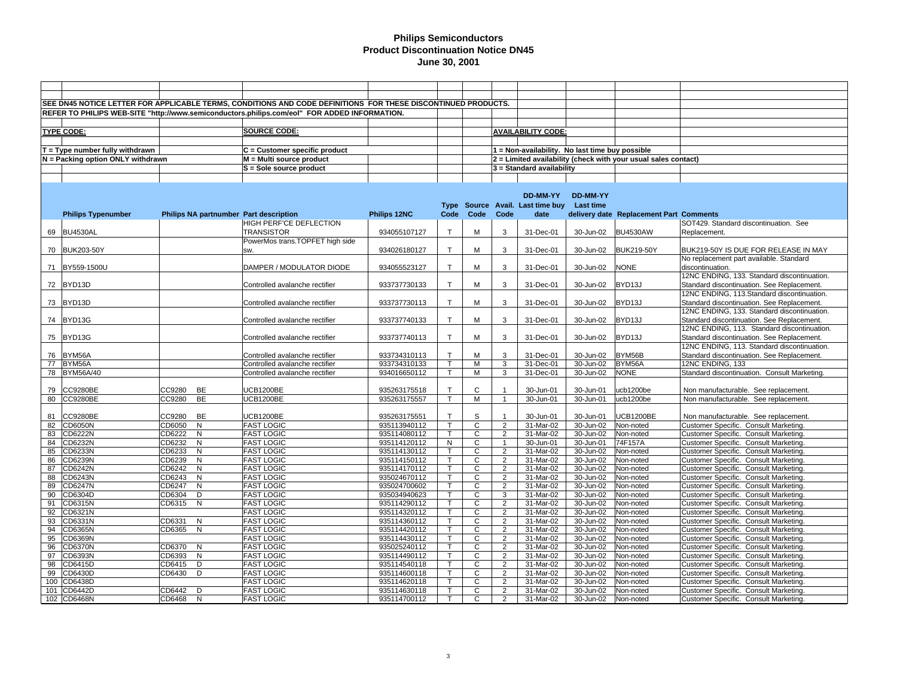|    |                                   |                                        | SEE DN45 NOTICE LETTER FOR APPLICABLE TERMS, CONDITIONS AND CODE DEFINITIONS FOR THESE DISCONTINUED PRODUCTS. |              |              |                |                |                                                 |                 |                                                                |                                              |
|----|-----------------------------------|----------------------------------------|---------------------------------------------------------------------------------------------------------------|--------------|--------------|----------------|----------------|-------------------------------------------------|-----------------|----------------------------------------------------------------|----------------------------------------------|
|    |                                   |                                        | REFER TO PHILIPS WEB-SITE "http://www.semiconductors.philips.com/eol" FOR ADDED INFORMATION.                  |              |              |                |                |                                                 |                 |                                                                |                                              |
|    |                                   |                                        |                                                                                                               |              |              |                |                |                                                 |                 |                                                                |                                              |
|    | <b>TYPE CODE:</b>                 |                                        | <b>SOURCE CODE:</b>                                                                                           |              |              |                |                | <b>AVAILABILITY CODE:</b>                       |                 |                                                                |                                              |
|    |                                   |                                        |                                                                                                               |              |              |                |                |                                                 |                 |                                                                |                                              |
|    |                                   |                                        |                                                                                                               |              |              |                |                |                                                 |                 |                                                                |                                              |
|    | $T = Type$ number fully withdrawn |                                        | $C =$ Customer specific product                                                                               |              |              |                |                | 1 = Non-availability. No last time buy possible |                 |                                                                |                                              |
|    | N = Packing option ONLY withdrawn |                                        | M = Multi source product                                                                                      |              |              |                |                |                                                 |                 | 2 = Limited availability (check with your usual sales contact) |                                              |
|    |                                   |                                        | S = Sole source product                                                                                       |              |              |                |                | $3$ = Standard availability                     |                 |                                                                |                                              |
|    |                                   |                                        |                                                                                                               |              |              |                |                |                                                 |                 |                                                                |                                              |
|    |                                   |                                        |                                                                                                               |              |              |                |                |                                                 |                 |                                                                |                                              |
|    |                                   |                                        |                                                                                                               |              |              |                |                | DD-MM-YY                                        | <b>DD-MM-YY</b> |                                                                |                                              |
|    |                                   |                                        |                                                                                                               |              |              |                |                | Type Source Avail. Last time buy                | Last time       |                                                                |                                              |
|    | <b>Philips Typenumber</b>         | Philips NA partnumber Part description |                                                                                                               | Philips 12NC | Code         | Code           | Code           | date                                            |                 | delivery date Replacement Part Comments                        |                                              |
|    |                                   |                                        | HIGH PERF'CE DEFLECTION                                                                                       |              |              |                |                |                                                 |                 |                                                                | SOT429. Standard discontinuation. See        |
|    | 69 BU4530AL                       |                                        | <b>TRANSISTOR</b>                                                                                             | 934055107127 | $\mathsf{T}$ | M              | 3              | 31-Dec-01                                       | 30-Jun-02       | <b>BU4530AW</b>                                                | Replacement.                                 |
|    |                                   |                                        | PowerMos trans.TOPFET high side                                                                               |              |              |                |                |                                                 |                 |                                                                |                                              |
|    | 70 BUK203-50Y                     |                                        | SW.                                                                                                           | 934026180127 | T            | м              | 3              | 31-Dec-01                                       | 30-Jun-02       | <b>BUK219-50Y</b>                                              | BUK219-50Y IS DUE FOR RELEASE IN MAY         |
|    |                                   |                                        |                                                                                                               |              |              |                |                |                                                 |                 |                                                                | No replacement part available. Standard      |
|    | 71 BY559-1500U                    |                                        | DAMPER / MODULATOR DIODE                                                                                      | 934055523127 | T.           | М              | 3              | 31-Dec-01                                       | 30-Jun-02       | <b>NONE</b>                                                    | discontinuation.                             |
|    |                                   |                                        |                                                                                                               |              |              |                |                |                                                 |                 |                                                                | 12NC ENDING, 133. Standard discontinuation.  |
|    | 72 BYD13D                         |                                        | Controlled avalanche rectifier                                                                                | 933737730133 | T            | М              | 3              | 31-Dec-01                                       | 30-Jun-02       | BYD13J                                                         | Standard discontinuation. See Replacement.   |
|    |                                   |                                        |                                                                                                               |              |              |                |                |                                                 |                 |                                                                | 12NC ENDING, 113.Standard discontinuation.   |
|    | 73 BYD13D                         |                                        | Controlled avalanche rectifier                                                                                | 933737730113 | T.           | M              | 3              | 31-Dec-01                                       | 30-Jun-02       | BYD13J                                                         | Standard discontinuation. See Replacement.   |
|    |                                   |                                        |                                                                                                               |              |              |                |                |                                                 |                 |                                                                | 12NC ENDING, 133. Standard discontinuation.  |
|    |                                   |                                        |                                                                                                               |              |              |                |                |                                                 |                 |                                                                |                                              |
|    | 74 BYD13G                         |                                        | Controlled avalanche rectifier                                                                                | 933737740133 | T            | м              | 3              | 31-Dec-01                                       | 30-Jun-02       | BYD13J                                                         | Standard discontinuation. See Replacement    |
|    |                                   |                                        |                                                                                                               |              |              |                |                |                                                 |                 |                                                                | 12NC ENDING, 113. Standard discontinuation.  |
|    | 75 BYD13G                         |                                        | Controlled avalanche rectifier                                                                                | 933737740113 | T            | М              | 3              | 31-Dec-01                                       | 30-Jun-02       | BYD13J                                                         | Standard discontinuation. See Replacement    |
|    |                                   |                                        |                                                                                                               |              |              |                |                |                                                 |                 |                                                                | 12NC ENDING, 113. Standard discontinuation.  |
|    | 76 BYM56A                         |                                        | Controlled avalanche rectifier                                                                                | 933734310113 | T            | М              | 3              | 31-Dec-01                                       | 30-Jun-02       | BYM56B                                                         | Standard discontinuation. See Replacement    |
|    | 77 BYM56A                         |                                        | Controlled avalanche rectifier                                                                                | 933734310133 | т            | M              | 3              | 31-Dec-01                                       | 30-Jun-02       | BYM56A                                                         | 12NC ENDING, 133                             |
|    | 78 BYM56A/40                      |                                        | Controlled avalanche rectifier                                                                                | 934016650112 | T            | М              | 3              | 31-Dec-01                                       | 30-Jun-02       | <b>NONE</b>                                                    | Standard discontinuation. Consult Marketing. |
|    |                                   |                                        |                                                                                                               |              |              |                |                |                                                 |                 |                                                                |                                              |
|    | 79 CC9280BE                       | CC9280<br>BE                           | <b>UCB1200BE</b>                                                                                              | 935263175518 | T            | $\mathsf{C}$   | $\overline{1}$ | 30-Jun-01                                       | 30-Jun-01       | ucb1200be                                                      | Non manufacturable. See replacement.         |
|    | 80 CC9280BE                       | BE<br>CC9280                           | <b>UCB1200BE</b>                                                                                              | 935263175557 | T            | $\overline{M}$ | $\overline{1}$ | 30-Jun-01                                       | 30-Jun-01       | ucb1200be                                                      | Non manufacturable. See replacement.         |
|    |                                   |                                        |                                                                                                               |              |              |                |                |                                                 |                 |                                                                |                                              |
| 81 | <b>CC9280BE</b>                   | CC9280<br>BE                           | <b>UCB1200BE</b>                                                                                              | 935263175551 | T            | S              |                | 30-Jun-01                                       | 30-Jun-01       | <b>UCB1200BE</b>                                               | Non manufacturable. See replacement.         |
| 82 | <b>CD6050N</b>                    | $\mathsf{N}$<br>CD6050                 | <b>FAST LOGIC</b>                                                                                             | 935113940112 | T            | $\mathsf{C}$   | 2              | 31-Mar-02                                       | 30-Jun-02       | Non-noted                                                      | Customer Specific. Consult Marketing.        |
| 83 | CD6222N                           | CD6222<br>N                            | <b>FAST LOGIC</b>                                                                                             | 935114080112 |              | $\mathsf{C}$   | 2              | 31-Mar-02                                       | 30-Jun-02       | Non-noted                                                      | Customer Specific. Consult Marketing.        |
| 84 | CD6232N                           | CD6232<br>$\mathsf{N}$                 | <b>FAST LOGIC</b>                                                                                             | 935114120112 | N            | $\mathsf{C}$   | $\overline{1}$ | 30-Jun-01                                       | 30-Jun-01       | 74F157A                                                        | Customer Specific. Consult Marketing.        |
| 85 | CD6233N                           | CD6233<br>N                            | <b>FAST LOGIC</b>                                                                                             | 935114130112 |              | C              | $\overline{2}$ | 31-Mar-02                                       | 30-Jun-02       | Non-noted                                                      | Customer Specific. Consult Marketing.        |
| 86 | CD6239N                           | N<br>CD6239                            | <b>FAST LOGIC</b>                                                                                             | 935114150112 | т            | $\mathsf{C}$   | $\overline{2}$ | 31-Mar-02                                       | 30-Jun-02       | Non-noted                                                      | Customer Specific. Consult Marketing.        |
| 87 | CD6242N                           | CD6242<br>$\mathsf{N}$                 | <b>FAST LOGIC</b>                                                                                             | 935114170112 |              | C              | $\overline{2}$ | 31-Mar-02                                       | 30-Jun-02       | Non-noted                                                      | Customer Specific. Consult Marketing.        |
| 88 | CD6243N                           | CD6243<br>N                            | <b>FAST LOGIC</b>                                                                                             | 935024670112 |              | $\mathsf{C}$   | $\overline{2}$ | 31-Mar-02                                       | 30-Jun-02       | Non-noted                                                      | Customer Specific. Consult Marketing.        |
| 89 | <b>CD6247N</b>                    | CD6247<br>N                            | <b>FAST LOGIC</b>                                                                                             | 935024700602 | $\mathsf{T}$ | C              | $\overline{2}$ | 31-Mar-02                                       | 30-Jun-02       | Non-noted                                                      | Customer Specific. Consult Marketing.        |
| 90 | CD6304D                           | CD6304<br>D                            | <b>FAST LOGIC</b>                                                                                             | 935034940623 |              | C              | 3              | 31-Mar-02                                       | 30-Jun-02       | Non-noted                                                      | Customer Specific. Consult Marketing.        |
| 91 | CD6315N                           | CD6315<br>N                            | <b>FAST LOGIC</b>                                                                                             | 935114290112 | T            | C              | $\overline{2}$ | 31-Mar-02                                       | 30-Jun-02       | Non-noted                                                      | Customer Specific. Consult Marketing.        |
| 92 | CD6321N                           |                                        | <b>FAST LOGIC</b>                                                                                             | 935114320112 |              | C              | $\overline{2}$ | 31-Mar-02                                       | 30-Jun-02       | Non-noted                                                      | Customer Specific. Consult Marketing.        |
| 93 | CD6331N                           | CD6331<br>$\mathsf{N}$                 | <b>FAST LOGIC</b>                                                                                             | 935114360112 | $\mathsf{T}$ | C              | $\overline{2}$ | 31-Mar-02                                       | 30-Jun-02       | Non-noted                                                      | Customer Specific. Consult Marketing.        |
| 94 | CD6365N                           | CD6365<br>N                            | <b>FAST LOGIC</b>                                                                                             | 935114420112 |              | C              | $\overline{2}$ | 31-Mar-02                                       | 30-Jun-02       | Non-noted                                                      | Customer Specific. Consult Marketing.        |
| 95 | CD6369N                           |                                        | <b>FAST LOGIC</b>                                                                                             | 935114430112 | T            | C              | $\overline{2}$ | 31-Mar-02                                       | 30-Jun-02       | Non-noted                                                      | Customer Specific. Consult Marketing.        |
| 96 | <b>CD6370N</b>                    | CD6370<br>N                            | <b>FAST LOGIC</b>                                                                                             | 935025240112 |              | C              | $\overline{2}$ | 31-Mar-02                                       | 30-Jun-02       | Non-noted                                                      | Customer Specific. Consult Marketing.        |
| 97 | CD6393N                           | CD6393<br>N                            | <b>FAST LOGIC</b>                                                                                             | 935114490112 |              | C              | $\overline{2}$ | 31-Mar-02                                       | 30-Jun-02       | Non-noted                                                      | Customer Specific. Consult Marketing.        |
| 98 | CD6415D                           | CD6415<br>D                            | <b>FAST LOGIC</b>                                                                                             | 935114540118 |              | C              | 2              | 31-Mar-02                                       | 30-Jun-02       | Non-noted                                                      | Customer Specific. Consult Marketing.        |
| 99 | CD6430D                           | CD6430<br>D                            | <b>FAST LOGIC</b>                                                                                             | 935114600118 | T            | C              | $\overline{2}$ | 31-Mar-02                                       | 30-Jun-02       | Non-noted                                                      | Customer Specific. Consult Marketing.        |
|    | 100 CD6438D                       |                                        | <b>FAST LOGIC</b>                                                                                             | 935114620118 |              | C              | $\overline{2}$ | 31-Mar-02                                       | 30-Jun-02       | Non-noted                                                      | Customer Specific. Consult Marketing.        |
|    | 101 CD6442D                       | CD6442<br>D                            | <b>FAST LOGIC</b>                                                                                             | 935114630118 | T            | C              | $\overline{2}$ | 31-Mar-02                                       | 30-Jun-02       | Non-noted                                                      | Customer Specific. Consult Marketing.        |
|    | 102 CD6468N                       | CD6468<br>N                            | <b>FAST LOGIC</b>                                                                                             | 935114700112 | T.           | $\mathbf{C}$   | $\overline{2}$ | 31-Mar-02                                       | 30-Jun-02       | Non-noted                                                      | Customer Specific. Consult Marketing.        |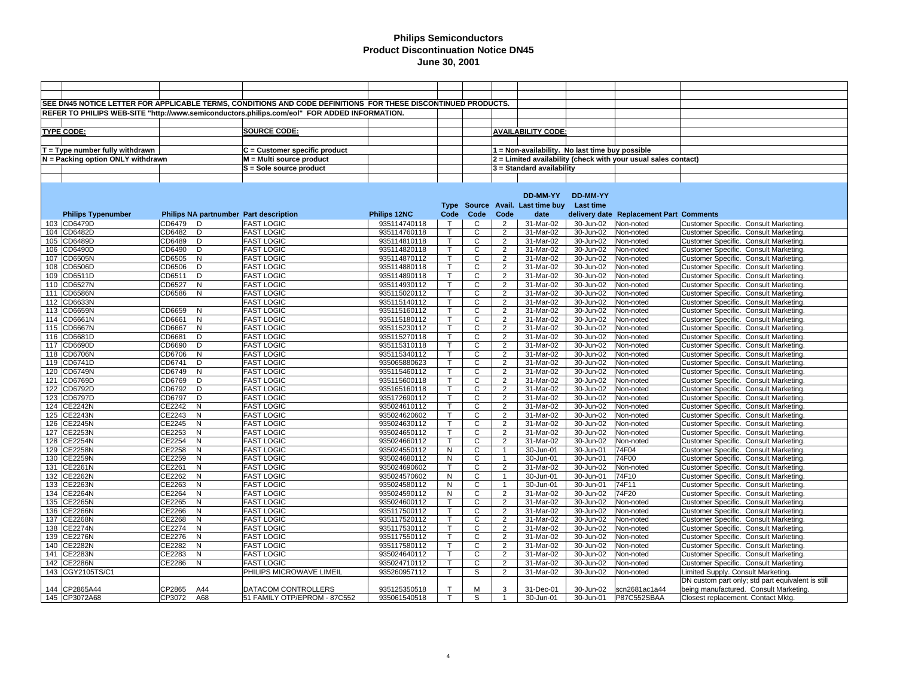|     |                                   |        |                | SEE DN45 NOTICE LETTER FOR APPLICABLE TERMS. CONDITIONS AND CODE DEFINITIONS FOR THESE DISCONTINUED PRODUCTS. |              |                |                |                |                                                 |           |                                                                |                                                   |
|-----|-----------------------------------|--------|----------------|---------------------------------------------------------------------------------------------------------------|--------------|----------------|----------------|----------------|-------------------------------------------------|-----------|----------------------------------------------------------------|---------------------------------------------------|
|     |                                   |        |                | REFER TO PHILIPS WEB-SITE "http://www.semiconductors.philips.com/eol" FOR ADDED INFORMATION.                  |              |                |                |                |                                                 |           |                                                                |                                                   |
|     |                                   |        |                |                                                                                                               |              |                |                |                |                                                 |           |                                                                |                                                   |
|     |                                   |        |                |                                                                                                               |              |                |                |                |                                                 |           |                                                                |                                                   |
|     | <b>TYPE CODE:</b>                 |        |                | <b>SOURCE CODE:</b>                                                                                           |              |                |                |                | <b>AVAILABILITY CODE:</b>                       |           |                                                                |                                                   |
|     |                                   |        |                |                                                                                                               |              |                |                |                |                                                 |           |                                                                |                                                   |
|     | $T = Type$ number fully withdrawn |        |                | C = Customer specific product                                                                                 |              |                |                |                | 1 = Non-availability. No last time buy possible |           |                                                                |                                                   |
|     | N = Packing option ONLY withdrawn |        |                | M = Multi source product                                                                                      |              |                |                |                |                                                 |           | 2 = Limited availability (check with your usual sales contact) |                                                   |
|     |                                   |        |                | S = Sole source product                                                                                       |              |                |                |                | 3 = Standard availability                       |           |                                                                |                                                   |
|     |                                   |        |                |                                                                                                               |              |                |                |                |                                                 |           |                                                                |                                                   |
|     |                                   |        |                |                                                                                                               |              |                |                |                |                                                 |           |                                                                |                                                   |
|     |                                   |        |                |                                                                                                               |              |                |                |                | DD-MM-YY                                        | DD-MM-YY  |                                                                |                                                   |
|     |                                   |        |                |                                                                                                               |              |                |                |                | Type Source Avail. Last time buy                | Last time |                                                                |                                                   |
|     | <b>Philips Typenumber</b>         |        |                | Philips NA partnumber Part description                                                                        | Philips 12NC | Code           | Code           | Code           | date                                            |           | delivery date Replacement Part Comments                        |                                                   |
|     | 103 CD6479D                       | CD6479 | D              | <b>FAST LOGIC</b>                                                                                             | 935114740118 | $\top$         | C              | $\overline{2}$ | 31-Mar-02                                       | 30-Jun-02 | Non-noted                                                      | Customer Specific. Consult Marketing.             |
|     | 104 CD6482D                       | CD6482 | D              | <b>FAST LOGIC</b>                                                                                             | 935114760118 | $\mathsf{T}$   | C              | $\overline{2}$ | 31-Mar-02                                       | 30-Jun-02 | Non-noted                                                      | Customer Specific. Consult Marketing.             |
|     | 105 CD6489D                       | CD6489 | þ              | <b>FAST LOGIC</b>                                                                                             | 935114810118 | T              | С              | $\overline{2}$ | 31-Mar-02                                       | 30-Jun-02 | Non-noted                                                      | Customer Specific. Consult Marketing.             |
|     | 106 CD6490D                       | CD6490 | D              | <b>FAST LOGIC</b>                                                                                             | 935114820118 | T.             | C              | $\overline{2}$ | 31-Mar-02                                       | 30-Jun-02 | Non-noted                                                      | Customer Specific. Consult Marketing.             |
|     | 107 CD6505N                       | CD6505 | N              | <b>FAST LOGIC</b>                                                                                             | 935114870112 | T              | С              | 2              | 31-Mar-02                                       | 30-Jun-02 | Non-noted                                                      | Customer Specific. Consult Marketing              |
| 108 | CD6506D                           | CD6506 | D              | <b>FAST LOGIC</b>                                                                                             | 935114880118 | $\mathsf T$    | C              | $\overline{2}$ | 31-Mar-02                                       | 30-Jun-02 | Non-noted                                                      | Customer Specific. Consult Marketing.             |
|     | 109 CD6511D                       | CD6511 | D              | <b>FAST LOGIC</b>                                                                                             | 935114890118 | T              | С              | $\overline{2}$ | 31-Mar-02                                       | 30-Jun-02 | Non-noted                                                      | Customer Specific. Consult Marketing              |
|     | 110 CD6527N                       | CD6527 | N              | <b>FAST LOGIC</b>                                                                                             | 935114930112 | T.             | С              | $\overline{2}$ | 31-Mar-02                                       | 30-Jun-02 | Non-noted                                                      | <b>Customer Specific. Consult Marketing</b>       |
|     | 111 CD6586N                       | CD6586 | N              | <b>FAST LOGIC</b>                                                                                             | 935115020112 | T              | С              | $\overline{2}$ | 31-Mar-02                                       | 30-Jun-02 | Non-noted                                                      | Customer Specific. Consult Marketing              |
|     | 112 CD6633N                       |        |                | <b>FAST LOGIC</b>                                                                                             | 935115140112 | T.             | C              | $\overline{2}$ | 31-Mar-02                                       | 30-Jun-02 | Non-noted                                                      | Customer Specific. Consult Marketing.             |
|     | 113 CD6659N                       | CD6659 | N              | <b>FAST LOGIC</b>                                                                                             | 935115160112 | T              | C              | $\overline{c}$ | 31-Mar-02                                       | 30-Jun-02 | Non-noted                                                      | Customer Specific. Consult Marketing.             |
|     | 114 CD6661N                       | CD6661 | N              | <b>FAST LOGIC</b>                                                                                             | 935115180112 | T              | C              | $\overline{2}$ | 31-Mar-02                                       | 30-Jun-02 | Non-noted                                                      | <b>Customer Specific. Consult Marketing</b>       |
|     | 115 CD6667N                       | CD6667 | N              | <b>FAST LOGIC</b>                                                                                             | 935115230112 | T.             | C              | $\overline{2}$ | 31-Mar-02                                       | 30-Jun-02 | Non-noted                                                      | Customer Specific. Consult Marketing.             |
|     | 116 CD6681D                       | CD6681 | D              | <b>FAST LOGIC</b>                                                                                             | 935115270118 | $\mathsf{T}$   | $\mathbf{C}$   | $\overline{2}$ | 31-Mar-02                                       | 30-Jun-02 | Non-noted                                                      | Customer Specific. Consult Marketing              |
|     | 117 CD6690D                       | CD6690 | D              | <b>FAST LOGIC</b>                                                                                             | 935115310118 | T.             | C              | $\overline{2}$ | 31-Mar-02                                       | 30-Jun-02 | Non-noted                                                      | Customer Specific. Consult Marketing.             |
|     | 118 CD6706N                       | CD6706 | N              | <b>FAST LOGIC</b>                                                                                             | 935115340112 | T.             | C              | $\overline{2}$ | 31-Mar-02                                       | 30-Jun-02 | Non-noted                                                      | <b>Customer Specific. Consult Marketing</b>       |
|     | 119 CD6741D                       | CD6741 | D              | <b>FAST LOGIC</b>                                                                                             | 935065880623 | $\mathsf{T}$   | C              | $\overline{2}$ | 31-Mar-02                                       | 30-Jun-02 | Non-noted                                                      | Customer Specific. Consult Marketing              |
|     | 120 CD6749N                       | CD6749 | N              | <b>FAST LOGIC</b>                                                                                             | 935115460112 | T.             | C              | $\overline{2}$ | 31-Mar-02                                       | 30-Jun-02 | Non-noted                                                      | <b>Customer Specific. Consult Marketing</b>       |
|     | 121 CD6769D                       | CD6769 | D              | <b>FAST LOGIC</b>                                                                                             | 935115600118 | T.             | C              | $\overline{2}$ | 31-Mar-02                                       | 30-Jun-02 | Non-noted                                                      | Customer Specific. Consult Marketing.             |
|     | 122 CD6792D                       | CD6792 | D              | <b>FAST LOGIC</b>                                                                                             | 935165160118 | T              | C              | $\overline{2}$ | 31-Mar-02                                       | 30-Jun-02 | Non-noted                                                      | Customer Specific. Consult Marketing              |
|     | 123 CD6797D                       | CD6797 | D              | <b>FAST LOGIC</b>                                                                                             | 935172690112 | T.             | C              | $\overline{2}$ | 31-Mar-02                                       | 30-Jun-02 | Non-noted                                                      | Customer Specific. Consult Marketing.             |
|     | 124 CE2242N                       | CE2242 | N              | <b>FAST LOGIC</b>                                                                                             | 935024610112 | T              | C              | $\overline{2}$ | 31-Mar-02                                       | 30-Jun-02 | Non-noted                                                      | Customer Specific. Consult Marketing              |
|     | 125 CE2243N                       | CE2243 | N              | <b>FAST LOGIC</b>                                                                                             | 935024620602 | $\overline{T}$ | $\mathsf{C}$   | $\overline{2}$ | 31-Mar-02                                       | 30-Jun-02 | Non-noted                                                      | Customer Specific. Consult Marketing.             |
|     | 126 CE2245N                       | CE2245 | N              | <b>FAST LOGIC</b>                                                                                             | 935024630112 | T.             | C              | $\overline{2}$ | 31-Mar-02                                       | 30-Jun-02 | Non-noted                                                      | Customer Specific. Consult Marketing              |
|     | 127 CE2253N                       | CE2253 | N              | <b>FAST LOGIC</b>                                                                                             | 935024650112 | $\overline{T}$ | $\overline{c}$ | $\overline{2}$ | 31-Mar-02                                       | 30-Jun-02 | Non-noted                                                      | Customer Specific. Consult Marketing              |
|     | 128 CE2254N                       | CE2254 | $\mathsf{N}$   | <b>FAST LOGIC</b>                                                                                             | 935024660112 | Τ              | C              | $\overline{2}$ | 31-Mar-02                                       | 30-Jun-02 | Non-noted                                                      | Customer Specific. Consult Marketing              |
|     | 129 CE2258N                       | CE2258 | N              | <b>FAST LOGIC</b>                                                                                             | 935024550112 | N              | C              | $\mathbf{1}$   | 30-Jun-01                                       | 30-Jun-01 | 74F04                                                          | Customer Specific. Consult Marketing              |
|     | 130 CE2259N                       | CE2259 | $\overline{N}$ | <b>FAST LOGIC</b>                                                                                             | 935024680112 | $\overline{N}$ | C              | $\mathbf{1}$   | 30-Jun-01                                       | 30-Jun-01 | 74F00                                                          | <b>Customer Specific. Consult Marketing</b>       |
|     | 131 CE2261N                       | CE2261 | N              | <b>FAST LOGIC</b>                                                                                             | 935024690602 | $\mathsf{T}$   | $\mathsf{C}$   | $\overline{2}$ | 31-Mar-02                                       | 30-Jun-02 | Non-noted                                                      | Customer Specific. Consult Marketing.             |
|     | 132 CE2262N                       | CE2262 | N              | <b>FAST LOGIC</b>                                                                                             | 935024570602 | N              | C              | $\mathbf{1}$   | 30-Jun-01                                       | 30-Jun-01 | 74F10                                                          | Customer Specific. Consult Marketing              |
|     | 133 CE2263N                       | CE2263 | N              | <b>FAST LOGIC</b>                                                                                             | 935024580112 | N              | C              | $\mathbf{1}$   | 30-Jun-01                                       | 30-Jun-01 | 74F11                                                          | Customer Specific. Consult Marketing.             |
|     | 134 CE2264N                       | CE2264 | N              | <b>FAST LOGIC</b>                                                                                             | 935024590112 | N              | C              | $\overline{2}$ | 31-Mar-02                                       | 30-Jun-02 | 74F20                                                          | Customer Specific. Consult Marketing              |
|     | 135 CE2265N                       | CE2265 | $\mathsf{N}$   | <b>FAST LOGIC</b>                                                                                             | 935024600112 | $\mathsf{T}$   | C              | $\overline{2}$ | 31-Mar-02                                       | 30-Jun-02 | Non-noted                                                      | <b>Customer Specific. Consult Marketing</b>       |
|     | 136 CE2266N                       | CE2266 | N              | <b>FAST LOGIC</b>                                                                                             | 935117500112 | T.             | C              | $\overline{2}$ | 31-Mar-02                                       | 30-Jun-02 | Non-noted                                                      | Customer Specific. Consult Marketing              |
|     | 137 CE2268N                       | CE2268 | $\mathsf{N}$   | <b>FAST LOGIC</b>                                                                                             | 935117520112 | $\mathsf{T}$   | $\mathsf{C}$   | $\overline{2}$ | 31-Mar-02                                       | 30-Jun-02 | Non-noted                                                      | <b>Customer Specific. Consult Marketing</b>       |
|     | 138 CE2274N                       | CE2274 | N              | <b>FAST LOGIC</b>                                                                                             | 935117530112 | T              | C              | $\overline{2}$ | 31-Mar-02                                       | 30-Jun-02 | Non-noted                                                      | <b>Customer Specific. Consult Marketing</b>       |
|     | 139 CE2276N                       | CE2276 | $\mathsf{N}$   | <b>FAST LOGIC</b>                                                                                             | 935117550112 | T.             | C              | $\overline{2}$ | 31-Mar-02                                       | 30-Jun-02 | Non-noted                                                      | Customer Specific. Consult Marketing              |
|     | 140 CE2282N                       | CE2282 | N              | <b>FAST LOGIC</b>                                                                                             | 935117580112 | $\mathsf T$    | C              | $\overline{2}$ | 31-Mar-02                                       | 30-Jun-02 | Non-noted                                                      | Customer Specific. Consult Marketing.             |
|     | 141 CE2283N                       | CE2283 | N              | <b>FAST LOGIC</b>                                                                                             | 935024640112 | $\mathsf{T}$   | C              | $\overline{2}$ | 31-Mar-02                                       | 30-Jun-02 | Non-noted                                                      | Customer Specific. Consult Marketing.             |
|     | 142 CE2286N                       | CE2286 | N              | <b>FAST LOGIC</b>                                                                                             | 935024710112 | T              | C              | $\overline{2}$ | 31-Mar-02                                       | 30-Jun-02 | Non-noted                                                      | Customer Specific. Consult Marketing.             |
|     | 143 CGY2105TS/C1                  |        |                | PHILIPS MICROWAVE LIMEIL                                                                                      | 935260957112 | $\mathsf{T}$   | S              | $\overline{2}$ | 31-Mar-02                                       | 30-Jun-02 | Non-noted                                                      | Limited Supply. Consult Marketing.                |
|     |                                   |        |                |                                                                                                               |              |                |                |                |                                                 |           |                                                                | DN custom part only; std part equivalent is still |
|     | 144 CP2865A44                     | CP2865 | A44            | DATACOM CONTROLLERS                                                                                           | 935125350518 | T              | M              | 3              | 31-Dec-01                                       | 30-Jun-02 | scn2681ac1a44                                                  | being manufactured. Consult Marketing.            |
|     | 145 CP3072A68                     | CP3072 | A68            | 51 FAMILY OTP/EPROM - 87C552                                                                                  | 935061540518 | T              | S              |                | 30-Jun-01                                       | 30-Jun-01 | P87C552SBAA                                                    | Closest replacement. Contact Mktg.                |
|     |                                   |        |                |                                                                                                               |              |                |                |                |                                                 |           |                                                                |                                                   |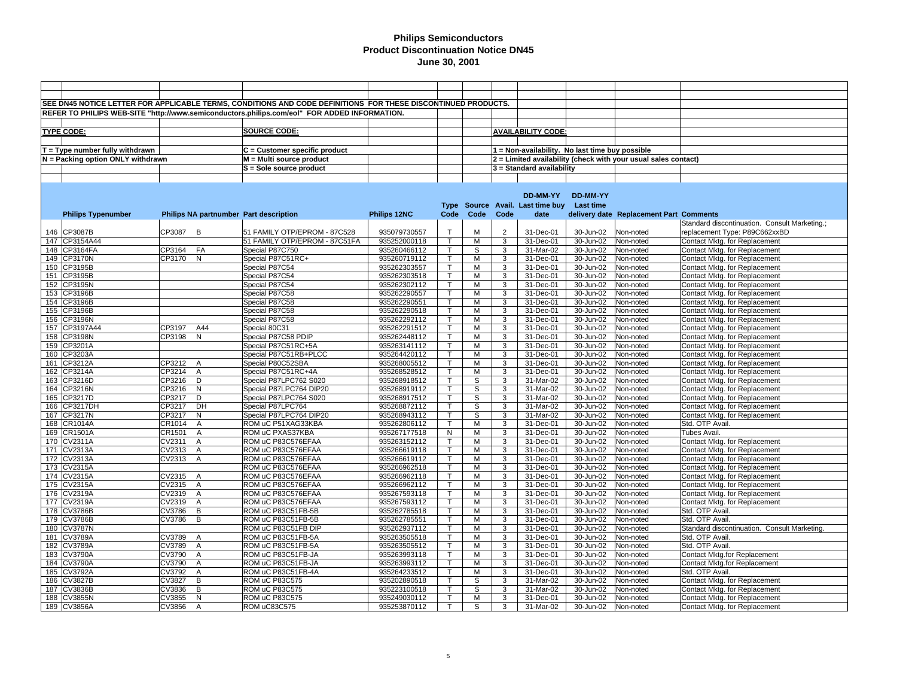|                                   |           |                | SEE DN45 NOTICE LETTER FOR APPLICABLE TERMS, CONDITIONS AND CODE DEFINITIONS FOR THESE DISCONTINUED PRODUCTS. |              |                         |      |                |                                                 |           |                                                                |                                               |
|-----------------------------------|-----------|----------------|---------------------------------------------------------------------------------------------------------------|--------------|-------------------------|------|----------------|-------------------------------------------------|-----------|----------------------------------------------------------------|-----------------------------------------------|
|                                   |           |                | REFER TO PHILIPS WEB-SITE "http://www.semiconductors.philips.com/eol" FOR ADDED INFORMATION.                  |              |                         |      |                |                                                 |           |                                                                |                                               |
|                                   |           |                |                                                                                                               |              |                         |      |                |                                                 |           |                                                                |                                               |
|                                   |           |                |                                                                                                               |              |                         |      |                |                                                 |           |                                                                |                                               |
| <b>TYPE CODE:</b>                 |           |                | SOURCE CODE:                                                                                                  |              |                         |      |                | <b>AVAILABILITY CODE:</b>                       |           |                                                                |                                               |
|                                   |           |                |                                                                                                               |              |                         |      |                |                                                 |           |                                                                |                                               |
| $T = Type$ number fully withdrawn |           |                | C = Customer specific product                                                                                 |              |                         |      |                | 1 = Non-availability. No last time buy possible |           |                                                                |                                               |
| N = Packing option ONLY withdrawn |           |                | M = Multi source product                                                                                      |              |                         |      |                |                                                 |           | 2 = Limited availability (check with your usual sales contact) |                                               |
|                                   |           |                | S = Sole source product                                                                                       |              |                         |      |                | 3 = Standard availability                       |           |                                                                |                                               |
|                                   |           |                |                                                                                                               |              |                         |      |                |                                                 |           |                                                                |                                               |
|                                   |           |                |                                                                                                               |              |                         |      |                |                                                 |           |                                                                |                                               |
|                                   |           |                |                                                                                                               |              |                         |      |                | DD-MM-YY                                        | DD-MM-YY  |                                                                |                                               |
|                                   |           |                |                                                                                                               |              |                         |      |                | Type Source Avail. Last time buy                | Last time |                                                                |                                               |
| <b>Philips Typenumber</b>         |           |                | Philips NA partnumber Part description                                                                        | Philips 12NC | Code                    | Code | Code           | date                                            |           | delivery date Replacement Part Comments                        |                                               |
|                                   |           |                |                                                                                                               |              |                         |      |                |                                                 |           |                                                                | Standard discontinuation. Consult Marketing.; |
| 146 CP3087B                       | CP3087 B  |                | 51 FAMILY OTP/EPROM - 87C528                                                                                  | 935079730557 | $\mathsf{T}$            | M    | $\overline{2}$ | 31-Dec-01                                       | 30-Jun-02 | Non-noted                                                      | replacement Type: P89C662xxBD                 |
| 147 CP3154A44                     |           |                | 51 FAMILY OTP/EPROM - 87C51FA                                                                                 | 935252000118 | $\mathsf{T}$            | M    | 3              | 31-Dec-01                                       | 30-Jun-02 | Non-noted                                                      | Contact Mktg. for Replacement                 |
| 148 CP3164FA                      | CP3164 FA |                | Special P87C750                                                                                               | 935260466112 | $\mathsf{T}$            | S    | 3              | 31-Mar-02                                       | 30-Jun-02 | Non-noted                                                      | Contact Mktg. for Replacement                 |
| 149 CP3170N                       | CP3170 N  |                | Special P87C51RC+                                                                                             | 935260719112 | T.                      | М    | 3              | 31-Dec-01                                       | 30-Jun-02 | Non-noted                                                      | Contact Mktg. for Replacement                 |
| 150 CP3195B                       |           |                | Special P87C54                                                                                                | 935262303557 | $\mathsf T$             | М    | 3              | 31-Dec-01                                       | 30-Jun-02 | Non-noted                                                      | Contact Mktg. for Replacement                 |
| 151 CP3195B                       |           |                | Special P87C54                                                                                                | 935262303518 | T.                      | M    | 3              | 31-Dec-01                                       | 30-Jun-02 | Non-noted                                                      | Contact Mktg. for Replacement                 |
| 152 CP3195N                       |           |                | Special P87C54                                                                                                | 935262302112 | T                       | м    | 3              | 31-Dec-01                                       | 30-Jun-02 | Non-noted                                                      | Contact Mktg. for Replacement                 |
| 153 CP3196B                       |           |                | Special P87C58                                                                                                | 935262290557 | T.                      | м    | 3              | 31-Dec-01                                       | 30-Jun-02 | Non-noted                                                      | Contact Mktg. for Replacement                 |
| 154 CP3196B                       |           |                | Special P87C58                                                                                                | 935262290551 | T                       | м    | 3              | 31-Dec-01                                       | 30-Jun-02 | Non-noted                                                      | Contact Mktg. for Replacement                 |
| 155 CP3196B                       |           |                |                                                                                                               | 935262290518 | $\mathsf{T}$            | M    | 3              | 31-Dec-01                                       | 30-Jun-02 | Non-noted                                                      | Contact Mktg. for Replacement                 |
| 156 CP3196N                       |           |                | Special P87C58                                                                                                |              | T.                      | М    | 3              | 31-Dec-01                                       | 30-Jun-02 | Non-noted                                                      |                                               |
|                                   |           |                | Special P87C58                                                                                                | 935262292112 | $\mathsf{T}$            | M    |                |                                                 |           |                                                                | Contact Mktg. for Replacement                 |
| 157 CP3197A44                     | CP3197    | A44            | Special 80C31                                                                                                 | 935262291512 |                         |      | 3              | 31-Dec-01                                       | 30-Jun-02 | Non-noted                                                      | Contact Mktg. for Replacement                 |
| 158 CP3198N                       | CP3198    | $\mathsf{N}$   | Special P87C58 PDIP                                                                                           | 935262448112 | $\mathsf{T}$            | M    | 3              | 31-Dec-01                                       | 30-Jun-02 | Non-noted                                                      | Contact Mktg. for Replacement                 |
| 159 CP3201A                       |           |                | Special P87C51RC+5A                                                                                           | 935263141112 | $\mathsf{T}$            | M    | 3              | 31-Dec-01                                       | 30-Jun-02 | Non-noted                                                      | Contact Mktg. for Replacement                 |
| 160 CP3203A                       |           |                | Special P87C51RB+PLCC                                                                                         | 935264420112 | T                       | M    | 3              | 31-Dec-01                                       | 30-Jun-02 | Non-noted                                                      | Contact Mktg. for Replacement                 |
| 161 CP3212A                       | CP3212    | A              | Special P80C52SBA                                                                                             | 935268005512 | T                       | М    | 3              | 31-Dec-01                                       | 30-Jun-02 | Non-noted                                                      | Contact Mktg. for Replacement                 |
| 162 CP3214A                       | CP3214    | $\overline{A}$ | Special P87C51RC+4A                                                                                           | 935268528512 | $\mathsf{T}$            | м    | 3              | 31-Dec-01                                       | 30-Jun-02 | Non-noted                                                      | Contact Mktg. for Replacement                 |
| 163 CP3216D                       | CP3216 D  |                | Special P87LPC762 S020                                                                                        | 935268918512 | T                       | S    | 3              | 31-Mar-02                                       | 30-Jun-02 | Non-noted                                                      | Contact Mktg. for Replacement                 |
| 164 CP3216N                       | CP3216 N  |                | Special P87LPC764 DIP20                                                                                       | 935268919112 | $\overline{\mathsf{T}}$ | S    | 3              | 31-Mar-02                                       | 30-Jun-02 | Non-noted                                                      | Contact Mktg. for Replacement                 |
| 165 CP3217D                       | CP3217    | D              | Special P87LPC764 S020                                                                                        | 935268917512 | T                       | s    | $\overline{3}$ | 31-Mar-02                                       | 30-Jun-02 | Non-noted                                                      | Contact Mktg. for Replacement                 |
| 166 CP3217DH                      | CP3217    | DH             | Special P87LPC764                                                                                             | 935268872112 | $\overline{T}$          | S    | 3              | 31-Mar-02                                       | 30-Jun-02 | Non-noted                                                      | Contact Mktg. for Replacement                 |
| 167 CP3217N                       | CP3217    | N              | Special P87LPC764 DIP20                                                                                       | 935268943112 | T                       | S    | 3              | 31-Mar-02                                       | 30-Jun-02 | Non-noted                                                      | Contact Mktg. for Replacement                 |
| 168 CR1014A                       | CR1014    | $\overline{A}$ | ROM uC P51XAG33KBA                                                                                            | 935262806112 | $\mathsf{T}$            | M    | 3              | 31-Dec-01                                       | 30-Jun-02 | Non-noted                                                      | Std. OTP Avail.                               |
| 169 CR1501A                       | CR1501    | $\overline{A}$ | ROM uC PXAS37KBA                                                                                              | 935267177518 | N                       | М    | 3              | 31-Dec-01                                       | 30-Jun-02 | Non-noted                                                      | Tubes Avail.                                  |
| 170 CV2311A                       | CV2311    | $\overline{A}$ | ROM uC P83C576EFAA                                                                                            | 935263152112 | $\mathsf{T}$            | M    | 3              | 31-Dec-01                                       | 30-Jun-02 | Non-noted                                                      | Contact Mktg. for Replacement                 |
| 171 CV2313A                       | CV2313    | A              | ROM uC P83C576EFAA                                                                                            | 935266619118 | $\mathsf{T}$            | M    | 3              | 31-Dec-01                                       | 30-Jun-02 | Non-noted                                                      | Contact Mktg. for Replacement                 |
| 172 CV2313A                       | CV2313    | A              | ROM uC P83C576EFAA                                                                                            | 935266619112 | T.                      | М    | 3              | 31-Dec-01                                       | 30-Jun-02 | Non-noted                                                      | Contact Mktg. for Replacement                 |
| 173 CV2315A                       |           |                | ROM uC P83C576EFAA                                                                                            | 935266962518 | $\mathsf{T}$            | M    | 3              | 31-Dec-01                                       | 30-Jun-02 | Non-noted                                                      | Contact Mktg. for Replacement                 |
| 174 CV2315A                       | CV2315 A  |                | ROM uC P83C576EFAA                                                                                            | 935266962118 | T.                      | М    | 3              | 31-Dec-01                                       | 30-Jun-02 | Non-noted                                                      | Contact Mktg. for Replacement                 |
| 175 CV2315A                       | CV2315    | $\overline{A}$ | ROM uC P83C576EFAA                                                                                            | 935266962112 | $\mathsf T$             | М    | 3              | 31-Dec-01                                       | 30-Jun-02 | Non-noted                                                      | Contact Mktg. for Replacement                 |
| 176 CV2319A                       | CV2319 A  |                | ROM uC P83C576EFAA                                                                                            | 935267593118 | T.                      | M    | 3              | 31-Dec-01                                       | 30-Jun-02 | Non-noted                                                      | Contact Mktg. for Replacement                 |
| 177 CV2319A                       | CV2319 A  |                | ROM uC P83C576EFAA                                                                                            | 935267593112 | $\mathsf T$             | M    | 3              | 31-Dec-01                                       | 30-Jun-02 | Non-noted                                                      | Contact Mktg. for Replacement                 |
| 178 CV3786B                       | CV3786    | $\overline{B}$ | ROM uC P83C51FB-5B                                                                                            | 935262785518 | $\mathsf{T}$            | М    | 3              | 31-Dec-01                                       | 30-Jun-02 | Non-noted                                                      | Std. OTP Avail.                               |
| 179 CV3786B                       | CV3786    | B              | ROM uC P83C51FB-5B                                                                                            | 935262785551 | T.                      | M    | 3              | 31-Dec-01                                       | 30-Jun-02 | Non-noted                                                      | Std. OTP Avail.                               |
| 180 CV3787N                       |           |                | ROM uC P83C51FB DIP                                                                                           | 935262937112 | T                       | м    | 3              | 31-Dec-01                                       | 30-Jun-02 | Non-noted                                                      | Standard discontinuation. Consult Marketing.  |
| 181 CV3789A                       | CV3789    | A              | ROM uC P83C51FB-5A                                                                                            | 935263505518 | $\mathsf{T}$            | M    | 3              | 31-Dec-01                                       | 30-Jun-02 | Non-noted                                                      | Std. OTP Avail.                               |
| 182 CV3789A                       | CV3789    | $\overline{A}$ | ROM uC P83C51FB-5A                                                                                            | 935263505512 | $\mathsf{T}$            | M    | 3              | 31-Dec-01                                       | 30-Jun-02 | Non-noted                                                      | Std. OTP Avail.                               |
| 183 CV3790A                       | CV3790    | $\overline{A}$ | ROM uC P83C51FB-JA                                                                                            | 935263993118 | T                       | М    | 3              | 31-Dec-01                                       | 30-Jun-02 | Non-noted                                                      | Contact Mktg.for Replacement                  |
| 184 CV3790A                       | CV3790    | $\overline{A}$ | ROM uC P83C51FB-JA                                                                                            | 935263993112 | $\mathsf{T}$            | M    | 3              | 31-Dec-01                                       | 30-Jun-02 | Non-noted                                                      | Contact Mktg.for Replacement                  |
| 185 CV3792A                       | CV3792    | A              | ROM uC P83C51FB-4A                                                                                            | 935264233512 | T.                      | М    | 3              | 31-Dec-01                                       | 30-Jun-02 | Non-noted                                                      | Std. OTP Avail.                               |
| 186 CV3827B                       | CV3827    | $\overline{B}$ | ROM uC P83C575                                                                                                | 935202890518 | T                       | s    | 3              | 31-Mar-02                                       | 30-Jun-02 | Non-noted                                                      | Contact Mktg. for Replacement                 |
| 187 CV3836B                       | CV3836    | B              | ROM uC P83C575                                                                                                | 935223100518 | $\mathsf{T}$            | S    | 3              | 31-Mar-02                                       | 30-Jun-02 | Non-noted                                                      | Contact Mktg. for Replacement                 |
| 188 CV3855N                       | CV3855    | N              | ROM uC P83C575                                                                                                | 935249030112 | T.                      | M    | 3              | 31-Dec-01                                       | 30-Jun-02 | Non-noted                                                      | Contact Mktg. for Replacement                 |
| 189 CV3856A                       | CV3856    | $\overline{A}$ | <b>ROM uC83C575</b>                                                                                           | 935253870112 | T.                      | S    | 3              | 31-Mar-02                                       | 30-Jun-02 | Non-noted                                                      | Contact Mktg. for Replacement                 |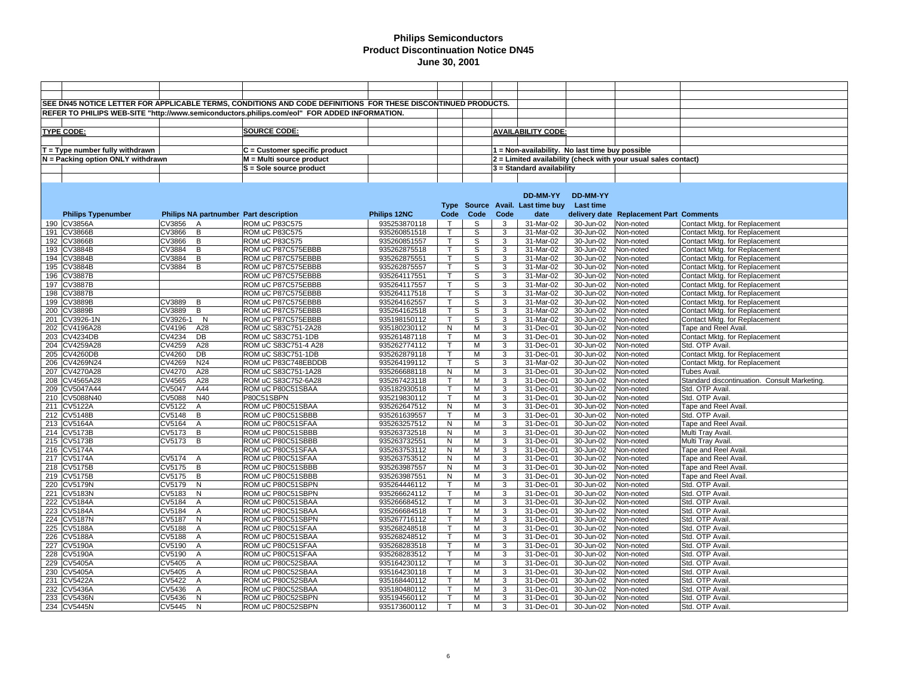|                                   |            |                | SEE DN45 NOTICE LETTER FOR APPLICABLE TERMS, CONDITIONS AND CODE DEFINITIONS FOR THESE DISCONTINUED PRODUCTS. |              |              |             |      |                                                 |                  |                                                                |                                              |
|-----------------------------------|------------|----------------|---------------------------------------------------------------------------------------------------------------|--------------|--------------|-------------|------|-------------------------------------------------|------------------|----------------------------------------------------------------|----------------------------------------------|
|                                   |            |                | REFER TO PHILIPS WEB-SITE "http://www.semiconductors.philips.com/eol" FOR ADDED INFORMATION.                  |              |              |             |      |                                                 |                  |                                                                |                                              |
|                                   |            |                |                                                                                                               |              |              |             |      |                                                 |                  |                                                                |                                              |
| <b>TYPE CODE:</b>                 |            |                | <b>SOURCE CODE:</b>                                                                                           |              |              |             |      | <b>AVAILABILITY CODE:</b>                       |                  |                                                                |                                              |
|                                   |            |                |                                                                                                               |              |              |             |      |                                                 |                  |                                                                |                                              |
|                                   |            |                |                                                                                                               |              |              |             |      |                                                 |                  |                                                                |                                              |
| $T = Type$ number fully withdrawn |            |                | $C =$ Customer specific product                                                                               |              |              |             |      | 1 = Non-availability. No last time buy possible |                  |                                                                |                                              |
| N = Packing option ONLY withdrawn |            |                | M = Multi source product                                                                                      |              |              |             |      |                                                 |                  | 2 = Limited availability (check with your usual sales contact) |                                              |
|                                   |            |                | S = Sole source product                                                                                       |              |              |             |      | $3$ = Standard availability                     |                  |                                                                |                                              |
|                                   |            |                |                                                                                                               |              |              |             |      |                                                 |                  |                                                                |                                              |
|                                   |            |                |                                                                                                               |              |              |             |      |                                                 |                  |                                                                |                                              |
|                                   |            |                |                                                                                                               |              |              |             |      | DD-MM-YY                                        | <b>DD-MM-YY</b>  |                                                                |                                              |
|                                   |            |                |                                                                                                               |              |              |             |      | Type Source Avail. Last time buy                | <b>Last time</b> |                                                                |                                              |
| <b>Philips Typenumber</b>         |            |                | Philips NA partnumber Part description                                                                        | Philips 12NC | Code         | Code        | Code | date                                            |                  | delivery date Replacement Part Comments                        |                                              |
| 190 CV3856A                       | CV3856     | A              | ROM uC P83C575                                                                                                | 935253870118 | $\top$       | S           | 3    | 31-Mar-02                                       | 30-Jun-02        | Non-noted                                                      | Contact Mktg. for Replacement                |
| 191 CV3866B                       | CV3866     | B              | ROM uC P83C575                                                                                                | 935260851518 | $\mathsf{T}$ | $\mathbb S$ | 3    | 31-Mar-02                                       | 30-Jun-02        | Non-noted                                                      | Contact Mktg. for Replacement                |
| 192 CV3866B                       | CV3866     | $\overline{B}$ | ROM uC P83C575                                                                                                | 935260851557 | т            | s           | 3    | 31-Mar-02                                       | 30-Jun-02        | Non-noted                                                      | Contact Mktg. for Replacement                |
| 193 CV3884B                       | CV3884     | B              | ROM uC P87C575EBBB                                                                                            | 935262875518 | $\mathsf{T}$ | S           | 3    | 31-Mar-02                                       | 30-Jun-02        | Non-noted                                                      | Contact Mktg. for Replacement                |
| 194 CV3884B                       | CV3884     | B              | ROM uC P87C575EBBB                                                                                            | 935262875551 | Т            | S           | 3    | 31-Mar-02                                       | 30-Jun-02        | Non-noted                                                      | Contact Mktg. for Replacement                |
| 195 CV3884B                       | CV3884     | B              | ROM uC P87C575EBBB                                                                                            | 935262875557 | $\mathsf T$  | S           | 3    | 31-Mar-02                                       | 30-Jun-02        | Non-noted                                                      | Contact Mktg. for Replacement                |
| 196 CV3887B                       |            |                | ROM uC P87C575EBBB                                                                                            | 935264117551 | Т            | S           | 3    | 31-Mar-02                                       | 30-Jun-02        | Non-noted                                                      | Contact Mktg. for Replacement                |
| 197 CV3887B                       |            |                | ROM uC P87C575EBBB                                                                                            | 935264117557 | T.           | S           | 3    | 31-Mar-02                                       | 30-Jun-02        | Non-noted                                                      | Contact Mktg. for Replacement                |
| 198 CV3887B                       |            |                | ROM uC P87C575EBBB                                                                                            | 935264117518 | т            | S           | 3    | 31-Mar-02                                       | 30-Jun-02        | Non-noted                                                      | Contact Mktg. for Replacement                |
| 199 CV3889B                       | CV3889     | B              | ROM uC P87C575EBBB                                                                                            | 935264162557 | $\top$       | s           | 3    | 31-Mar-02                                       | 30-Jun-02        | Non-noted                                                      | Contact Mktg. for Replacement                |
| 200 CV3889B                       | CV3889     | B              | ROM uC P87C575EBBB                                                                                            | 935264162518 | T.           | S           | 3    | 31-Mar-02                                       | 30-Jun-02        | Non-noted                                                      | Contact Mktg. for Replacement                |
| 201 CV3926-1N                     | CV3926-1 N |                | ROM uC P87C575EBBB                                                                                            | 935198150112 | $\mathsf{T}$ | S           | 3    | 31-Mar-02                                       | 30-Jun-02        | Non-noted                                                      | Contact Mktg. for Replacement                |
| 202 CV4196A28                     | CV4196     | A28            | ROM uC S83C751-2A28                                                                                           | 935180230112 | N            | M           | 3    | 31-Dec-01                                       | 30-Jun-02        | Non-noted                                                      | Tape and Reel Avail.                         |
| 203 CV4234DB                      | CV4234     | DB             | ROM uC S83C751-1DB                                                                                            | 935261487118 | T.           | M           | 3    | 31-Dec-01                                       | 30-Jun-02        | Non-noted                                                      | Contact Mktg. for Replacement                |
| 204 CV4259A28                     | CV4259     | A28            | ROM uC S83C751-4 A28                                                                                          | 935262774112 | $\mathsf T$  | M           | 3    | 31-Dec-01                                       | 30-Jun-02        | Non-noted                                                      | Std. OTP Avail.                              |
| 205 CV4260DB                      | CV4260     | DB             | ROM uC S83C751-1DB                                                                                            | 935262879118 | T            | M           | 3    | 31-Dec-01                                       | 30-Jun-02        | Non-noted                                                      | Contact Mktg. for Replacement                |
| 206 CV4269N24                     | CV4269     | N24            | ROM uC P83C748EBDDB                                                                                           | 935264199112 | Т            | S           | 3    | 31-Mar-02                                       | 30-Jun-02        | Non-noted                                                      | Contact Mktg. for Replacement                |
| 207 CV4270A28                     | CV4270     | A28            | ROM uC S83C751-1A28                                                                                           | 935266688118 | N            | M           | 3    | 31-Dec-01                                       | 30-Jun-02        | Non-noted                                                      | Tubes Avail.                                 |
| 208 CV4565A28                     | CV4565     | A28            | ROM uC S83C752-6A28                                                                                           | 935267423118 | $\mathsf{T}$ | M           | 3    | 31-Dec-01                                       | 30-Jun-02        | Non-noted                                                      | Standard discontinuation. Consult Marketing. |
| 209 CV5047A44                     | CV5047     | A44            | ROM uC P80C51SBAA                                                                                             | 935182930518 | T            | M           | 3    | 31-Dec-01                                       | 30-Jun-02        | Non-noted                                                      | Std. OTP Avail.                              |
| 210 CV5088N40                     | CV5088     | N40            | P80C51SBPN                                                                                                    | 935219830112 | T            | м           | 3    | 31-Dec-01                                       | 30-Jun-02        | Non-noted                                                      | Std. OTP Avail.                              |
| 211 CV5122A                       | CV5122     | $\overline{A}$ | ROM uC P80C51SBAA                                                                                             | 935262647512 | N            | M           | 3    | 31-Dec-01                                       | 30-Jun-02        | Non-noted                                                      | Tape and Reel Avail.                         |
| 212 CV5148B                       | CV5148     | B              | ROM uC P80C51SBBB                                                                                             | 935261639557 | T.           | M           | 3    | 31-Dec-01                                       | 30-Jun-02        | Non-noted                                                      | Std. OTP Avail.                              |
| 213 CV5164A                       | CV5164     | $\overline{A}$ | ROM uC P80C51SFAA                                                                                             | 935263257512 | N            | M           | 3    | 31-Dec-01                                       | 30-Jun-02        | Non-noted                                                      | Tape and Reel Avail.                         |
| 214 CV5173B                       | CV5173     | B              | ROM uC P80C51SBBB                                                                                             | 935263732518 | N            | M           | 3    | 31-Dec-01                                       | 30-Jun-02        | Non-noted                                                      | Multi Tray Avail.                            |
| 215 CV5173B                       | CV5173     | B              | ROM uC P80C51SBBB                                                                                             | 935263732551 | N            | M           | 3    | 31-Dec-01                                       | 30-Jun-02        | Non-noted                                                      | Multi Tray Avail                             |
| 216 CV5174A                       |            |                | ROM uC P80C51SFAA                                                                                             | 935263753112 | N            | M           | 3    | 31-Dec-01                                       | 30-Jun-02        | Non-noted                                                      | Tape and Reel Avail.                         |
| 217 CV5174A                       | CV5174     | A              | ROM uC P80C51SFAA                                                                                             | 935263753512 | N            | M           | 3    | 31-Dec-01                                       | 30-Jun-02        | Non-noted                                                      | Tape and Reel Avail                          |
| 218 CV5175B                       | CV5175     | B              | ROM uC P80C51SBBB                                                                                             | 935263987557 | N            | M           | 3    | 31-Dec-01                                       | 30-Jun-02        | Non-noted                                                      | Tape and Reel Avail                          |
| 219 CV5175B                       | CV5175     | B              | ROM uC P80C51SBBB                                                                                             | 935263987551 | N            | M           | 3    | 31-Dec-01                                       | 30-Jun-02        | Non-noted                                                      | Tape and Reel Avail                          |
| 220 CV5179N                       | CV5179     | N              | ROM uC P80C51SBPN                                                                                             | 935264446112 | T            | M           | 3    | 31-Dec-01                                       | 30-Jun-02        | Non-noted                                                      | Std. OTP Avail.                              |
| 221 CV5183N                       | CV5183     | N              | ROM uC P80C51SBPN                                                                                             | 935266624112 | T            | M           | 3    | 31-Dec-01                                       | 30-Jun-02        | Non-noted                                                      | Std. OTP Avail.                              |
| 222 CV5184A                       | CV5184     | $\overline{A}$ | ROM uC P80C51SBAA                                                                                             | 935266684512 | $\mathsf{T}$ | M           | 3    | 31-Dec-01                                       | 30-Jun-02        | Non-noted                                                      | Std. OTP Avail                               |
| 223 CV5184A                       | CV5184     | $\overline{A}$ | ROM uC P80C51SBAA                                                                                             | 935266684518 | $\mathsf{T}$ | M           | 3    | 31-Dec-01                                       | 30-Jun-02        | Non-noted                                                      | Std. OTP Avail.                              |
| 224 CV5187N                       | CV5187     | N              | ROM uC P80C51SBPN                                                                                             | 935267716112 | $\mathsf{T}$ | M           | 3    | 31-Dec-01                                       | 30-Jun-02        | Non-noted                                                      | Std. OTP Avail.                              |
| 225 CV5188A                       | CV5188     | $\mathsf{A}$   | ROM uC P80C51SFAA                                                                                             | 935268248518 | T            | M           | 3    | 31-Dec-01                                       | 30-Jun-02        | Non-noted                                                      | Std. OTP Avail.                              |
| 226 CV5188A                       | CV5188     | $\overline{A}$ | ROM uC P80C51SBAA                                                                                             | 935268248512 | $\mathsf{T}$ | M           | 3    | 31-Dec-01                                       | 30-Jun-02        | Non-noted                                                      | Std. OTP Avail                               |
| 227 CV5190A                       | CV5190     | $\mathsf{A}$   | ROM uC P80C51SFAA                                                                                             | 935268283518 | $\mathsf{T}$ | M           | 3    | 31-Dec-01                                       | 30-Jun-02        | Non-noted                                                      | Std. OTP Avail.                              |
| 228 CV5190A                       | CV5190     | $\overline{A}$ | ROM uC P80C51SFAA                                                                                             | 935268283512 | $\mathsf{T}$ | M           | 3    | 31-Dec-01                                       | 30-Jun-02        | Non-noted                                                      | Std. OTP Avail                               |
| 229 CV5405A                       | CV5405     | $\mathsf{A}$   | ROM uC P80C52SBAA                                                                                             | 935164230112 | T            | M           | 3    | 31-Dec-01                                       | 30-Jun-02        | Non-noted                                                      | Std. OTP Avail.                              |
| 230 CV5405A                       | CV5405     | $\overline{A}$ | ROM uC P80C52SBAA                                                                                             | 935164230118 | T.           | M           | 3    | 31-Dec-01                                       | 30-Jun-02        | Non-noted                                                      | Std. OTP Avail                               |
| 231 CV5422A                       | CV5422     | $\overline{A}$ | ROM uC P80C52SBAA                                                                                             | 935168440112 | $\mathsf{T}$ | M           | 3    | 31-Dec-01                                       | 30-Jun-02        | Non-noted                                                      | Std. OTP Avail                               |
| 232 CV5436A                       | CV5436     | $\overline{A}$ | ROM uC P80C52SBAA                                                                                             | 935180480112 | т            | M           | 3    | 31-Dec-01                                       | 30-Jun-02        | Non-noted                                                      | Std. OTP Avail                               |
| 233 CV5436N                       | CV5436     | N              | ROM uC P80C52SBPN                                                                                             | 935194560112 | $\mathsf{T}$ | M           | 3    | 31-Dec-01                                       | 30-Jun-02        | Non-noted                                                      | Std. OTP Avail.                              |
| 234 CV5445N                       | CV5445     | N              | ROM uC P80C52SBPN                                                                                             | 935173600112 | $\mathsf{T}$ | м           | 3    | 31-Dec-01                                       | 30-Jun-02        | Non-noted                                                      | Std. OTP Avail.                              |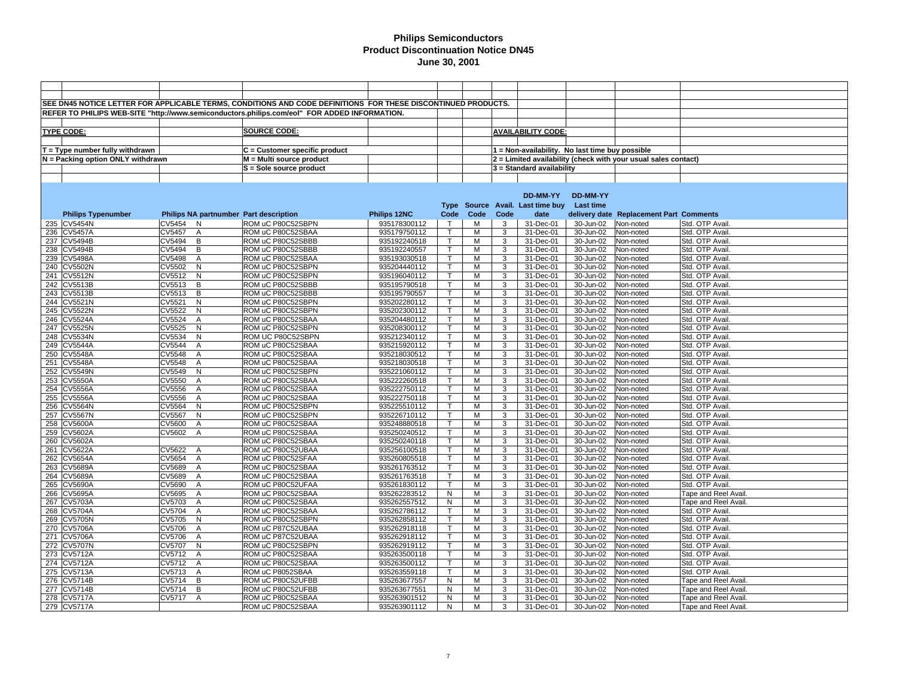|                                   |                                        | SEE DN45 NOTICE LETTER FOR APPLICABLE TERMS, CONDITIONS AND CODE DEFINITIONS FOR THESE DISCONTINUED PRODUCTS. |              |              |      |      |                                                 |                  |                                                                |                            |
|-----------------------------------|----------------------------------------|---------------------------------------------------------------------------------------------------------------|--------------|--------------|------|------|-------------------------------------------------|------------------|----------------------------------------------------------------|----------------------------|
|                                   |                                        |                                                                                                               |              |              |      |      |                                                 |                  |                                                                |                            |
|                                   |                                        | REFER TO PHILIPS WEB-SITE "http://www.semiconductors.philips.com/eol" FOR ADDED INFORMATION.                  |              |              |      |      |                                                 |                  |                                                                |                            |
|                                   |                                        |                                                                                                               |              |              |      |      |                                                 |                  |                                                                |                            |
| <b>TYPE CODE:</b>                 |                                        | <b>SOURCE CODE:</b>                                                                                           |              |              |      |      | <b>AVAILABILITY CODE:</b>                       |                  |                                                                |                            |
|                                   |                                        |                                                                                                               |              |              |      |      |                                                 |                  |                                                                |                            |
| $T = Type$ number fully withdrawn |                                        | C = Customer specific product                                                                                 |              |              |      |      | 1 = Non-availability. No last time buy possible |                  |                                                                |                            |
| N = Packing option ONLY withdrawn |                                        | M = Multi source product                                                                                      |              |              |      |      |                                                 |                  | 2 = Limited availability (check with your usual sales contact) |                            |
|                                   |                                        | S = Sole source product                                                                                       |              |              |      |      | $3$ = Standard availability                     |                  |                                                                |                            |
|                                   |                                        |                                                                                                               |              |              |      |      |                                                 |                  |                                                                |                            |
|                                   |                                        |                                                                                                               |              |              |      |      |                                                 |                  |                                                                |                            |
|                                   |                                        |                                                                                                               |              |              |      |      | DD-MM-YY                                        | DD-MM-YY         |                                                                |                            |
|                                   |                                        |                                                                                                               |              |              |      |      | Type Source Avail. Last time buy                | <b>Last time</b> |                                                                |                            |
| <b>Philips Typenumber</b>         | Philips NA partnumber Part description |                                                                                                               | Philips 12NC | Code         | Code | Code | date                                            |                  | delivery date Replacement Part Comments                        |                            |
| 235 CV5454N                       | CV5454<br>N                            | ROM uC P80C52SBPN                                                                                             | 935178300112 | $\top$       | М    | 3    | 31-Dec-01                                       | 30-Jun-02        | Non-noted                                                      | Std. OTP Avail.            |
| 236 CV5457A                       | CV5457<br>$\overline{A}$               | ROM uC P80C52SBAA                                                                                             | 935179750112 | T            | M    | 3    | 31-Dec-01                                       | 30-Jun-02        | Non-noted                                                      | Std. OTP Avail.            |
| 237 CV5494B                       | Β<br>CV5494                            | ROM uC P80C52SBBB                                                                                             | 935192240518 | T.           | M    | 3    | 31-Dec-01                                       | 30-Jun-02        | Non-noted                                                      | Std. OTP Avail.            |
| 238 CV5494B                       | CV5494<br>$\, {\sf B}$                 | ROM uC P80C52SBBB                                                                                             | 935192240557 | $\mathsf{T}$ | M    | 3    | 31-Dec-01                                       | 30-Jun-02        | Non-noted                                                      | Std. OTP Avail.            |
| 239 CV5498A                       | CV5498<br>A                            | ROM uC P80C52SBAA                                                                                             | 935193030518 | Τ            | M    | 3    | 31-Dec-01                                       | 30-Jun-02        | Non-noted                                                      | Std. OTP Avail.            |
| 240 CV5502N                       | CV5502<br>N                            | ROM uC P80C52SBPN                                                                                             | 935204440112 | $\mathsf{T}$ | M    | 3    | 31-Dec-01                                       | 30-Jun-02        | Non-noted                                                      | Std. OTP Avail.            |
| 241 CV5512N                       | $\overline{N}$<br>CV5512               | ROM uC P80C52SBPN                                                                                             | 935196040112 | Т            | M    | 3    | 31-Dec-01                                       | 30-Jun-02        | Non-noted                                                      | Std. OTP Avail.            |
| 242 CV5513B                       | $\, {\sf B}$<br>CV5513                 | ROM uC P80C52SBBB                                                                                             | 935195790518 | $\mathsf{T}$ | M    | 3    | 31-Dec-01                                       | 30-Jun-02        | Non-noted                                                      | Std. OTP Avail.            |
| 243 CV5513B                       | CV5513<br>B                            | ROM uC P80C52SBBB                                                                                             | 935195790557 | Т            | M    | 3    | 31-Dec-01                                       | 30-Jun-02        | Non-noted                                                      | Std. OTP Avail.            |
| 244 CV5521N                       | CV5521<br>$\mathsf{N}$                 | ROM uC P80C52SBPN                                                                                             | 935202280112 | $\mathsf{T}$ | M    | 3    | 31-Dec-01                                       | 30-Jun-02        | Non-noted                                                      | Std. OTP Avail             |
| 245 CV5522N                       | CV5522<br>N                            | ROM uC P80C52SBPN                                                                                             | 935202300112 | T            | M    | 3    | 31-Dec-01                                       | 30-Jun-02        | Non-noted                                                      | Std. OTP Avail.            |
| 246 CV5524A                       | CV5524<br>$\overline{A}$               | ROM uC P80C52SBAA                                                                                             | 935204480112 | $\mathsf T$  | M    | 3    | 31-Dec-01                                       | 30-Jun-02        | Non-noted                                                      | Std. OTP Avail             |
| 247 CV5525N                       | CV5525<br>N                            | ROM uC P80C52SBPN                                                                                             | 935208300112 | $\mathsf{T}$ | M    | 3    | 31-Dec-01                                       | 30-Jun-02        | Non-noted                                                      | Std. OTP Avail.            |
| 248 CV5534N                       | $\mathsf{N}$<br>CV5534                 | ROM UC P80C52SBPN                                                                                             | 935212340112 | $\mathsf{T}$ | M    | 3    | 31-Dec-01                                       | 30-Jun-02        | Non-noted                                                      | Std. OTP Avail             |
| 249 CV5544A                       | CV5544<br>$\overline{A}$               | ROM uC P80C52SBAA                                                                                             | 935215920112 | $\mathsf{T}$ | M    | 3    | 31-Dec-01                                       | 30-Jun-02        | Non-noted                                                      | Std. OTP Avail             |
| 250 CV5548A                       | CV5548<br>$\overline{A}$               | ROM uC P80C52SBAA                                                                                             | 935218030512 | т            | M    | 3    | 31-Dec-01                                       | 30-Jun-02        | Non-noted                                                      | Std. OTP Avail             |
| 251 CV5548A                       | CV5548<br>$\overline{A}$               | ROM uC P80C52SBAA                                                                                             | 935218030518 | $\mathsf{T}$ | M    | 3    | 31-Dec-01                                       | 30-Jun-02        | Non-noted                                                      | Std. OTP Avail.            |
| 252 CV5549N                       | $\mathsf{N}$<br>CV5549                 | ROM uC P80C52SBPN                                                                                             | 935221060112 | $\mathsf{T}$ | M    | 3    | 31-Dec-01                                       | 30-Jun-02        | Non-noted                                                      | Std. OTP Avail.            |
| 253 CV5550A                       | CV5550<br>$\overline{A}$               | ROM uC P80C52SBAA                                                                                             | 935222260518 | $\mathsf T$  | M    | 3    | 31-Dec-01                                       | 30-Jun-02        | Non-noted                                                      | Std. OTP Avail             |
| 254 CV5556A                       | CV5556<br>$\overline{A}$               | ROM uC P80C52SBAA                                                                                             | 935222750112 | T.           | М    | 3    | 31-Dec-01                                       | 30-Jun-02        | Non-noted                                                      | Std. OTP Avail.            |
| 255 CV5556A                       | CV5556<br>A                            | ROM uC P80C52SBAA                                                                                             | 935222750118 | $\mathsf T$  | M    | 3    | 31-Dec-01                                       | 30-Jun-02        | Non-noted                                                      | Std. OTP Avail             |
| 256 CV5564N                       | N<br>CV5564                            | ROM uC P80C52SBPN                                                                                             | 935225510112 | $\mathsf{T}$ | M    | 3    | 31-Dec-01                                       | 30-Jun-02        | Non-noted                                                      | Std. OTP Avail.            |
| 257 CV5567N                       | CV5567<br>N                            | ROM uC P80C52SBPN                                                                                             | 935226710112 | $\mathsf{T}$ | M    | 3    | 31-Dec-01                                       | 30-Jun-02        | Non-noted                                                      | Std. OTP Avail.            |
| 258 CV5600A                       | CV5600<br>$\overline{A}$               | ROM uC P80C52SBAA                                                                                             | 935248880518 | T            | M    | 3    | 31-Dec-01                                       | 30-Jun-02        | Non-noted                                                      | Std. OTP Avail             |
| 259 CV5602A                       | A<br>CV5602                            | ROM uC P80C52SBAA                                                                                             | 935250240512 | T            | M    | 3    | 31-Dec-01                                       | 30-Jun-02        | Non-noted                                                      | Std. OTP Avail.            |
| 260 CV5602A                       |                                        | ROM uC P80C52SBAA                                                                                             | 935250240118 | $\mathsf{T}$ | M    | 3    | 31-Dec-01                                       | 30-Jun-02        | Non-noted                                                      | Std. OTP Avail.            |
| 261 CV5622A                       | CV5622<br>$\mathsf{A}$                 | ROM uC P80C52UBAA                                                                                             | 935256100518 | $\mathsf{T}$ | M    | 3    | 31-Dec-01                                       | 30-Jun-02        | Non-noted                                                      | Std. OTP Avail.            |
| 262 CV5654A                       | CV5654<br>$\overline{A}$               | ROM uC P80C52SFAA                                                                                             | 935260805518 | Τ            | M    | 3    | 31-Dec-01                                       | 30-Jun-02        | Non-noted                                                      | Std. OTP Avail             |
| 263 CV5689A                       | CV5689<br>A                            | ROM uC P80C52SBAA                                                                                             | 935261763512 | T.           | M    | 3    | 31-Dec-01                                       | 30-Jun-02        | Non-noted                                                      | Std. OTP Avail.            |
| 264 CV5689A                       | CV5689<br>$\overline{A}$               | ROM uC P80C52SBAA                                                                                             | 935261763518 | Τ            | М    | 3    | 31-Dec-01                                       | 30-Jun-02        | Non-noted                                                      | Std. OTP Avail.            |
| 265 CV5690A                       | CV5690<br>$\overline{A}$               | ROM uC P80C52UFAA                                                                                             | 935261830112 | $\mathsf{T}$ | M    | 3    | 31-Dec-01                                       | 30-Jun-02        | Non-noted                                                      | Std. OTP Avail.            |
| 266 CV5695A                       | CV5695<br>$\overline{A}$               | ROM uC P80C52SBAA                                                                                             | 935262283512 | N            | M    | 3    | 31-Dec-01                                       | 30-Jun-02        | Non-noted                                                      | Tape and Reel Avail.       |
| 267 CV5703A                       | CV5703<br>$\overline{A}$               | ROM uC P80C52SBAA                                                                                             | 935262557512 | N            | M    | 3    | 31-Dec-01                                       | 30-Jun-02        | Non-noted                                                      | Tape and Reel Avail.       |
| 268 CV5704A                       | CV5704<br>$\overline{A}$               | ROM uC P80C52SBAA                                                                                             | 935262786112 | T            | M    | 3    | 31-Dec-01                                       | 30-Jun-02        | Non-noted                                                      | Std. OTP Avail.            |
| 269 CV5705N                       | CV5705<br>N                            | ROM uC P80C52SBPN                                                                                             | 935262858112 | T.           | M    | 3    | 31-Dec-01                                       | 30-Jun-02        | Non-noted                                                      | Std. OTP Avail             |
| 270 CV5706A                       | CV5706<br>$\overline{A}$               | ROM uC P87C52UBAA                                                                                             | 935262918118 | $\mathsf{T}$ | M    | 3    | 31-Dec-01                                       | 30-Jun-02        | Non-noted                                                      | Std. OTP Avail.            |
| 271 CV5706A                       | CV5706<br>$\overline{A}$               | ROM uC P87C52UBAA                                                                                             | 935262918112 | $\mathsf{T}$ | M    | 3    | 31-Dec-01                                       | 30-Jun-02        | Non-noted                                                      | Std. OTP Avail             |
| 272 CV5707N                       | CV5707<br>N                            | ROM uC P80C52SBPN                                                                                             | 935262919112 | T.           | M    | 3    | 31-Dec-01                                       | 30-Jun-02        | Non-noted                                                      | Std. OTP Avail.            |
| 273 CV5712A                       | CV5712<br>$\overline{A}$               | ROM uC P80C52SBAA                                                                                             | 935263500118 | $\mathsf{T}$ | M    | 3    | 31-Dec-01                                       | 30-Jun-02        | Non-noted                                                      | Std. OTP Avail.            |
| 274 CV5712A                       | CV5712<br>A                            | ROM uC P80C52SBAA                                                                                             | 935263500112 | $\mathsf{T}$ | M    | 3    | 31-Dec-01                                       | 30-Jun-02        | Non-noted                                                      | Std. OTP Avail.            |
| 275 CV5713A                       | CV5713<br>A                            | ROM uC P8052SBAA                                                                                              | 935263559118 | $\mathsf T$  | M    | 3    | 31-Dec-01                                       | 30-Jun-02        | Non-noted                                                      | Std. OTP Avail.            |
| 276 CV5714B                       | CV5714 B                               | ROM uC P80C52UFBB                                                                                             | 935263677557 | N            | M    | 3    | 31-Dec-01                                       | 30-Jun-02        | Non-noted                                                      | Tape and Reel Avail.       |
| 277 CV5714B                       | CV5714<br>B                            | ROM uC P80C52UFBB                                                                                             | 935263677551 | N            | M    | 3    | 31-Dec-01                                       | 30-Jun-02        | Non-noted                                                      | Tape and Reel Avail        |
| 278 CV5717A                       | CV5717<br>$\overline{A}$               | ROM uC P80C52SBAA                                                                                             | 935263901512 | N            | M    | 3    | 31-Dec-01                                       | 30-Jun-02        | Non-noted                                                      | Tape and Reel Avail        |
| 279 CV5717A                       |                                        | ROM uC P80C52SBAA                                                                                             | 935263901112 | N            | M    | 3    | 31-Dec-01                                       | 30-Jun-02        | Non-noted                                                      | <b>Tape and Reel Avail</b> |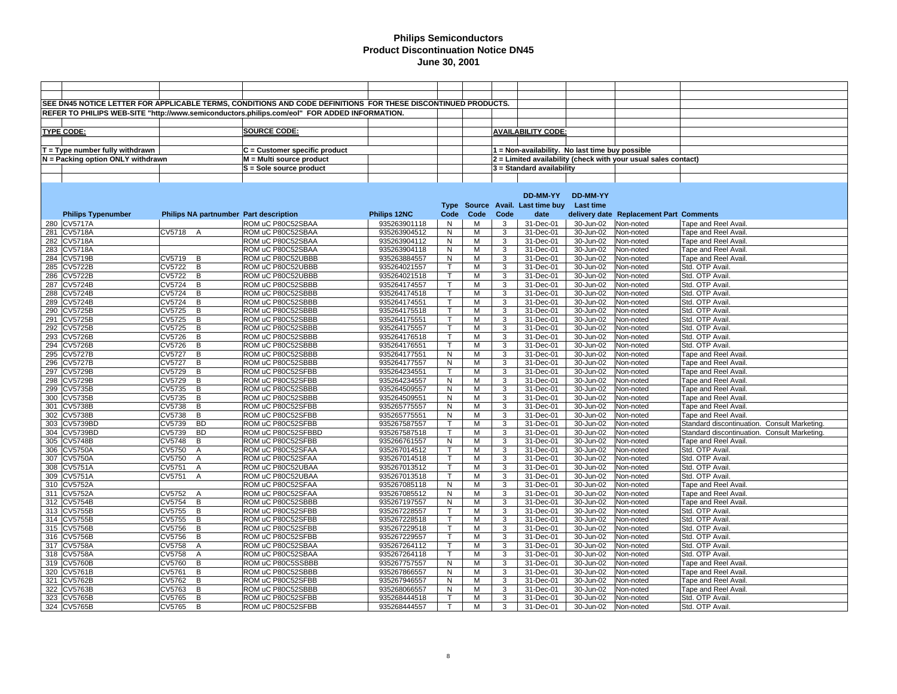|                                   |                                        | SEE DN45 NOTICE LETTER FOR APPLICABLE TERMS, CONDITIONS AND CODE DEFINITIONS FOR THESE DISCONTINUED PRODUCTS. |                              |                    |        |      |                                                 |                        |                                                                  |                                              |
|-----------------------------------|----------------------------------------|---------------------------------------------------------------------------------------------------------------|------------------------------|--------------------|--------|------|-------------------------------------------------|------------------------|------------------------------------------------------------------|----------------------------------------------|
|                                   |                                        |                                                                                                               |                              |                    |        |      |                                                 |                        |                                                                  |                                              |
|                                   |                                        | REFER TO PHILIPS WEB-SITE "http://www.semiconductors.philips.com/eol" FOR ADDED INFORMATION.                  |                              |                    |        |      |                                                 |                        |                                                                  |                                              |
|                                   |                                        |                                                                                                               |                              |                    |        |      |                                                 |                        |                                                                  |                                              |
| <b>TYPE CODE:</b>                 |                                        | <b>SOURCE CODE:</b>                                                                                           |                              |                    |        |      | <b>AVAILABILITY CODE:</b>                       |                        |                                                                  |                                              |
|                                   |                                        |                                                                                                               |                              |                    |        |      |                                                 |                        |                                                                  |                                              |
| $T = Type$ number fully withdrawn |                                        | C = Customer specific product                                                                                 |                              |                    |        |      | 1 = Non-availability. No last time buy possible |                        |                                                                  |                                              |
| N = Packing option ONLY withdrawn |                                        | M = Multi source product                                                                                      |                              |                    |        |      |                                                 |                        | $2$ = Limited availability (check with your usual sales contact) |                                              |
|                                   |                                        | S = Sole source product                                                                                       |                              |                    |        |      | $3$ = Standard availability                     |                        |                                                                  |                                              |
|                                   |                                        |                                                                                                               |                              |                    |        |      |                                                 |                        |                                                                  |                                              |
|                                   |                                        |                                                                                                               |                              |                    |        |      |                                                 |                        |                                                                  |                                              |
|                                   |                                        |                                                                                                               |                              |                    |        |      | DD-MM-YY                                        | DD-MM-YY               |                                                                  |                                              |
|                                   |                                        |                                                                                                               |                              |                    |        |      | Type Source Avail. Last time buy                | <b>Last time</b>       |                                                                  |                                              |
| <b>Philips Typenumber</b>         | Philips NA partnumber Part description |                                                                                                               | Philips 12NC                 | Code               | Code   | Code | date                                            |                        | delivery date Replacement Part Comments                          |                                              |
| 280 CV5717A                       |                                        | ROM uC P80C52SBAA                                                                                             | 935263901118                 | N                  | M      | 3    | 31-Dec-01                                       | 30-Jun-02              | Non-noted                                                        | Tape and Reel Avail.                         |
| 281 CV5718A                       | CV5718 A                               | ROM uC P80C52SBAA                                                                                             | 935263904512                 | N                  | M      | 3    | 31-Dec-01                                       | 30-Jun-02              | Non-noted                                                        | Tape and Reel Avail                          |
| 282 CV5718A                       |                                        | ROM uC P80C52SBAA                                                                                             | 935263904112                 | N                  | M      | 3    | 31-Dec-01                                       | 30-Jun-02              | Non-noted                                                        | Tape and Reel Avail.                         |
| 283 CV5718A                       |                                        | ROM uC P80C52SBAA                                                                                             | 935263904118                 | N                  | M      | 3    | 31-Dec-01                                       | 30-Jun-02              | Non-noted                                                        | Tape and Reel Avail.                         |
| 284 CV5719B                       | CV5719<br>B                            | ROM uC P80C52UBBB                                                                                             | 935263884557                 | N                  | M      | 3    | 31-Dec-01                                       | 30-Jun-02              | Non-noted                                                        | Tape and Reel Avail.                         |
| 285 CV5722B                       | CV5722<br>B                            | ROM uC P80C52UBBB                                                                                             | 935264021557                 | $\mathsf{T}$       | M      | 3    | 31-Dec-01                                       | 30-Jun-02              | Non-noted                                                        | Std. OTP Avail.                              |
| 286 CV5722B                       | Β<br>CV5722                            | ROM uC P80C52UBBB                                                                                             | 935264021518                 | Т                  | M      | 3    | 31-Dec-01                                       | 30-Jun-02              | Non-noted                                                        | Std. OTP Avail.                              |
| 287 CV5724B                       | CV5724<br>B                            | ROM uC P80C52SBBB                                                                                             | 935264174557                 | $\mathsf{T}$       | M      | 3    | 31-Dec-01                                       | 30-Jun-02              | Non-noted                                                        | Std. OTP Avail.                              |
| 288 CV5724B                       | CV5724<br>B                            | ROM uC P80C52SBBB                                                                                             | 935264174518                 | Т                  | M      | 3    | 31-Dec-01                                       | 30-Jun-02              | Non-noted                                                        | Std. OTP Avail.                              |
| 289 CV5724B                       | $\,$ B<br>CV5724                       | ROM uC P80C52SBBB                                                                                             | 935264174551                 | $\mathsf{T}$       | M      | 3    | 31-Dec-01                                       | 30-Jun-02              | Non-noted                                                        | Std. OTP Avail                               |
| 290 CV5725B                       | CV5725<br>B                            | ROM uC P80C52SBBB                                                                                             | 935264175518                 | $\mathsf{T}$       | M      | 3    | 31-Dec-01                                       | 30-Jun-02              | Non-noted                                                        | Std. OTP Avail.                              |
| 291 CV5725B                       | B<br>CV5725                            | ROM uC P80C52SBBB                                                                                             | 935264175551                 | $\mathsf T$        | M      | 3    | 31-Dec-01                                       | 30-Jun-02              | Non-noted                                                        | Std. OTP Avail.                              |
| 292 CV5725B                       | B<br>CV5725                            | ROM uC P80C52SBBB                                                                                             | 935264175557                 | $\mathsf{T}$       | M      | 3    | 31-Dec-01                                       | 30-Jun-02              | Non-noted                                                        | Std. OTP Avail.                              |
| 293 CV5726B                       | B<br>CV5726                            | ROM uC P80C52SBBB                                                                                             | 935264176518                 | $\mathsf{T}$       | M      | 3    | 31-Dec-01                                       | 30-Jun-02              | Non-noted                                                        | Std. OTP Avail                               |
| 294 CV5726B                       | CV5726<br>B                            | ROM uC P80C52SBBB                                                                                             | 935264176551                 | $\mathsf{T}$       | M      | 3    | 31-Dec-01                                       | 30-Jun-02              | Non-noted                                                        | Std. OTP Avail.                              |
| 295 CV5727B                       | CV5727<br>B                            | ROM uC P80C52SBBB                                                                                             | 935264177551                 | N                  | M      | 3    | 31-Dec-01                                       | 30-Jun-02              | Non-noted                                                        | Tape and Reel Avail                          |
| 296 CV5727B                       | CV5727<br>B                            | ROM uC P80C52SBBB                                                                                             | 935264177557                 | N                  | M      | 3    | 31-Dec-01                                       | 30-Jun-02              | Non-noted                                                        | Tape and Reel Avail.                         |
| 297 CV5729B                       | B<br>CV5729                            | ROM uC P80C52SFBB                                                                                             | 935264234551                 | T                  | M      | 3    | 31-Dec-01                                       | 30-Jun-02              | Non-noted                                                        | Tape and Reel Avail                          |
| 298 CV5729B                       | CV5729<br>B                            | ROM uC P80C52SFBB                                                                                             | 935264234557                 | N                  | M      | 3    | 31-Dec-01                                       | 30-Jun-02              | Non-noted                                                        | Tape and Reel Avail                          |
| 299 CV5735B                       | CV5735<br>B                            | ROM uC P80C52SBBB                                                                                             | 935264509557                 | N                  | М      | 3    | 31-Dec-01                                       | 30-Jun-02              | Non-noted                                                        | Tape and Reel Avail                          |
| 300 CV5735B                       | CV5735<br>В                            | ROM uC P80C52SBBB                                                                                             | 935264509551                 | N                  | M      | 3    | 31-Dec-01                                       | 30-Jun-02              | Non-noted                                                        | Tape and Reel Avail                          |
| 301 CV5738B                       | $\, {\sf B}$                           |                                                                                                               |                              | N                  | M      | 3    | 31-Dec-01                                       |                        |                                                                  |                                              |
| 302 CV5738B                       | CV5738<br>B<br>CV5738                  | ROM uC P80C52SFBB<br>ROM uC P80C52SFBB                                                                        | 935265775557<br>935265775551 | N                  | M      | 3    | 31-Dec-01                                       | 30-Jun-02<br>30-Jun-02 | Non-noted<br>Non-noted                                           | Tape and Reel Avail.<br>Tape and Reel Avail  |
| 303 CV5739BD                      | CV5739<br><b>BD</b>                    | ROM uC P80C52SFBB                                                                                             | 935267587557                 | т                  | M      | 3    | 31-Dec-01                                       | 30-Jun-02              | Non-noted                                                        | Standard discontinuation. Consult Marketing. |
| 304 CV5739BD                      | CV5739<br><b>BD</b>                    | ROM uC P80C52SFBBD                                                                                            | 935267587518                 | T                  | M      | 3    | 31-Dec-01                                       | 30-Jun-02              | Non-noted                                                        | Standard discontinuation. Consult Marketing. |
| 305 CV5748B                       | <b>CV5748</b><br>B                     | ROM uC P80C52SFBB                                                                                             | 935266761557                 | N                  | M      | 3    | 31-Dec-01                                       | 30-Jun-02              | Non-noted                                                        | Tape and Reel Avail.                         |
| 306 CV5750A                       | CV5750<br>$\mathsf{A}$                 | ROM uC P80C52SFAA                                                                                             | 935267014512                 | $\mathsf{T}$       | M      | 3    | 31-Dec-01                                       | 30-Jun-02              | Non-noted                                                        | Std. OTP Avail.                              |
| 307 CV5750A                       | CV5750<br>$\mathsf{A}$                 | ROM uC P80C52SFAA                                                                                             | 935267014518                 | Τ                  | M      | 3    | 31-Dec-01                                       | 30-Jun-02              | Non-noted                                                        | Std. OTP Avail.                              |
| 308 CV5751A                       | CV5751<br>$\mathsf{A}$                 | ROM uC P80C52UBAA                                                                                             | 935267013512                 | T.                 | M      | 3    | 31-Dec-01                                       | 30-Jun-02              | Non-noted                                                        | Std. OTP Avail.                              |
|                                   | $\overline{A}$                         |                                                                                                               |                              | Τ                  |        | 3    | 31-Dec-01                                       | 30-Jun-02              |                                                                  | Std. OTP Avail.                              |
| 309 CV5751A<br>310 CV5752A        | CV5751                                 | ROM uC P80C52UBAA                                                                                             | 935267013518                 | N                  | М<br>M | 3    | 31-Dec-01                                       | 30-Jun-02              | Non-noted                                                        |                                              |
| 311 CV5752A                       | CV5752<br>$\mathsf{A}$                 | ROM uC P80C52SFAA<br>ROM uC P80C52SFAA                                                                        | 935267085118<br>935267085512 | N                  | M      | 3    | 31-Dec-01                                       | 30-Jun-02              | Non-noted<br>Non-noted                                           | Tape and Reel Avail.<br>Tape and Reel Avail  |
| 312 CV5754B                       | B                                      |                                                                                                               |                              | N                  | M      | 3    |                                                 |                        | Non-noted                                                        |                                              |
|                                   | CV5754                                 | ROM uC P80C52SBBB                                                                                             | 935267197557                 |                    |        |      | 31-Dec-01                                       | 30-Jun-02              |                                                                  | Tape and Reel Avail.                         |
| 313 CV5755B                       | CV5755<br>B                            | ROM uC P80C52SFBB                                                                                             | 935267228557                 | T                  | M      | 3    | 31-Dec-01                                       | 30-Jun-02              | Non-noted                                                        | Std. OTP Avail.                              |
| 314 CV5755B                       | CV5755<br>B<br>B                       | ROM uC P80C52SFBB                                                                                             | 935267228518                 | T.<br>$\mathsf{T}$ | M      | 3    | 31-Dec-01                                       | 30-Jun-02              | Non-noted                                                        | Std. OTP Avail                               |
| 315 CV5756B                       | CV5756                                 | ROM uC P80C52SFBB                                                                                             | 935267229518                 |                    | M      | 3    | 31-Dec-01                                       | 30-Jun-02              | Non-noted                                                        | Std. OTP Avail.                              |
| 316 CV5756B                       | B<br>CV5756                            | ROM uC P80C52SFBB                                                                                             | 935267229557                 | $\mathsf{T}$       | M      | 3    | 31-Dec-01                                       | 30-Jun-02              | Non-noted                                                        | Std. OTP Avail                               |
| 317 CV5758A                       | CV5758<br>$\mathsf{A}$                 | ROM uC P80C52SBAA                                                                                             | 935267264112                 | T.                 | M      | 3    | 31-Dec-01                                       | 30-Jun-02              | Non-noted                                                        | Std. OTP Avail.                              |
| 318 CV5758A                       | CV5758<br>$\overline{A}$               | ROM uC P80C52SBAA                                                                                             | 935267264118                 | $\mathsf T$        | M      | 3    | 31-Dec-01                                       | 30-Jun-02              | Non-noted                                                        | Std. OTP Avail.                              |
| 319 CV5760B                       | B<br>CV5760                            | ROM uC P80C5SSBBB                                                                                             | 935267757557                 | N                  | M      | 3    | 31-Dec-01                                       | 30-Jun-02              | Non-noted                                                        | Tape and Reel Avail.                         |
| 320 CV5761B                       | $\, {\sf B}$<br>CV5761                 | ROM uC P80C52SBBB                                                                                             | 935267866557                 | N                  | M      | 3    | 31-Dec-01                                       | 30-Jun-02              | Non-noted                                                        | Tape and Reel Avail                          |
| 321 CV5762B                       | CV5762<br>B                            | ROM uC P80C52SFBB                                                                                             | 935267946557                 | N                  | M      | 3    | 31-Dec-01                                       | 30-Jun-02              | Non-noted                                                        | Tape and Reel Avail                          |
| 322 CV5763B                       | B<br>CV5763                            | ROM uC P80C52SBBB                                                                                             | 935268066557                 | N                  | M      | 3    | 31-Dec-01                                       | 30-Jun-02              | Non-noted                                                        | Tape and Reel Avail.                         |
| 323 CV5765B                       | CV5765<br>B                            | ROM uC P80C52SFBB                                                                                             | 935268444518                 | T.                 | M      | 3    | 31-Dec-01                                       | 30-Jun-02              | Non-noted                                                        | Std. OTP Avail.                              |
| 324 CV5765B                       | CV5765<br>B                            | ROM uC P80C52SFBB                                                                                             | 935268444557                 | T.                 | M      | 3    | 31-Dec-01                                       | 30-Jun-02              | Non-noted                                                        | Std. OTP Avail.                              |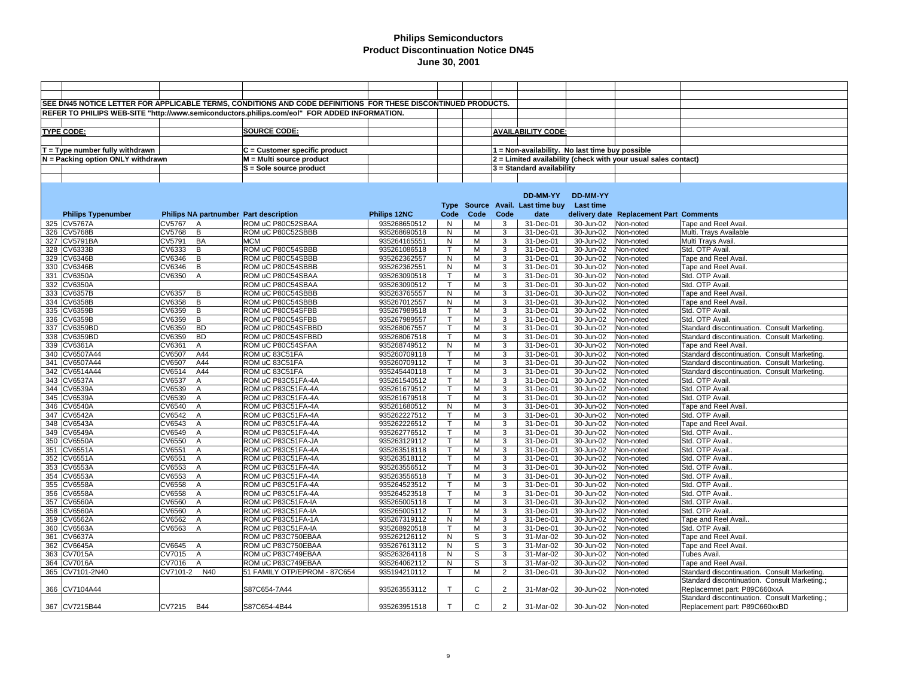|                                   |                  |                | SEE DN45 NOTICE LETTER FOR APPLICABLE TERMS, CONDITIONS AND CODE DEFINITIONS FOR THESE DISCONTINUED PRODUCTS. |                              |              |              |                |                                                 |                        |                                                                  |                                                                                              |
|-----------------------------------|------------------|----------------|---------------------------------------------------------------------------------------------------------------|------------------------------|--------------|--------------|----------------|-------------------------------------------------|------------------------|------------------------------------------------------------------|----------------------------------------------------------------------------------------------|
|                                   |                  |                | REFER TO PHILIPS WEB-SITE "http://www.semiconductors.philips.com/eol" FOR ADDED INFORMATION.                  |                              |              |              |                |                                                 |                        |                                                                  |                                                                                              |
|                                   |                  |                |                                                                                                               |                              |              |              |                |                                                 |                        |                                                                  |                                                                                              |
| <b>TYPE CODE:</b>                 |                  |                | <b>SOURCE CODE:</b>                                                                                           |                              |              |              |                | <b>AVAILABILITY CODE:</b>                       |                        |                                                                  |                                                                                              |
|                                   |                  |                |                                                                                                               |                              |              |              |                |                                                 |                        |                                                                  |                                                                                              |
| $T = Type$ number fully withdrawn |                  |                | C = Customer specific product                                                                                 |                              |              |              |                | 1 = Non-availability. No last time buy possible |                        |                                                                  |                                                                                              |
| N = Packing option ONLY withdrawn |                  |                | $M = Multi source product$                                                                                    |                              |              |              |                |                                                 |                        | $2$ = Limited availability (check with your usual sales contact) |                                                                                              |
|                                   |                  |                | S = Sole source product                                                                                       |                              |              |              |                | $3$ = Standard availability                     |                        |                                                                  |                                                                                              |
|                                   |                  |                |                                                                                                               |                              |              |              |                |                                                 |                        |                                                                  |                                                                                              |
|                                   |                  |                |                                                                                                               |                              |              |              |                |                                                 |                        |                                                                  |                                                                                              |
|                                   |                  |                |                                                                                                               |                              |              |              |                | DD-MM-YY                                        | DD-MM-YY               |                                                                  |                                                                                              |
|                                   |                  |                |                                                                                                               |                              |              |              |                | Type Source Avail. Last time buy Last time      |                        |                                                                  |                                                                                              |
| <b>Philips Typenumber</b>         |                  |                | Philips NA partnumber Part description                                                                        | Philips 12NC                 | Code         | Code         | Code           | date                                            |                        | delivery date Replacement Part Comments                          |                                                                                              |
| 325 CV5767A                       | CV5767           | A              | ROM uC P80C52SBAA                                                                                             | 935268650512                 | N            | м            | 3              | 31-Dec-01                                       | 30-Jun-02              | Non-noted                                                        | Tape and Reel Avail                                                                          |
| 326 CV5768B                       | CV5768           | $\overline{B}$ | ROM uC P80C52SBBB                                                                                             | 935268690518                 | N            | M            | 3              | 31-Dec-01                                       | 30-Jun-02              | Non-noted                                                        | Multi. Trays Available                                                                       |
| 327 CV5791BA                      | CV5791           | <b>BA</b>      | <b>MCM</b>                                                                                                    | 935264165551                 | N            | М            | 3              | 31-Dec-01                                       | 30-Jun-02              | Non-noted                                                        | Multi Trays Avail.                                                                           |
| 328 CV6333B                       | CV6333           | B              | ROM uC P80C54SBBB                                                                                             | 935261086518                 | $\mathsf{T}$ | М            | 3              | 31-Dec-01                                       | 30-Jun-02              | Non-noted                                                        | Std. OTP Avail.                                                                              |
| 329 CV6346B                       | CV6346           | B              | ROM uC P80C54SBBB                                                                                             | 935262362557                 | N            | м            | 3              | 31-Dec-01                                       | 30-Jun-02              | Non-noted                                                        | Tape and Reel Avail.                                                                         |
| 330 CV6346B                       | CV6346           | B              | ROM uC P80C54SBBB                                                                                             | 935262362551                 | N            | M            | 3              | 31-Dec-01                                       | 30-Jun-02              | Non-noted                                                        | Tape and Reel Avail.                                                                         |
| 331 CV6350A                       | CV6350           | $\overline{A}$ | ROM uC P80C54SBAA                                                                                             | 935263090518                 | т            | м            | 3              | 31-Dec-01                                       | 30-Jun-02              | Non-noted                                                        | Std. OTP Avail.                                                                              |
| 332 CV6350A                       |                  |                | ROM uC P80C54SBAA                                                                                             | 935263090512                 | T            | м            | 3              | 31-Dec-01                                       | 30-Jun-02              | Non-noted                                                        | Std. OTP Avail                                                                               |
| 333 CV6357B                       | CV6357           | B              | ROM uC P80C54SBBB                                                                                             | 935263765557                 | N            | м            | 3              | 31-Dec-01                                       | 30-Jun-02              | Non-noted                                                        | Tape and Reel Avail.                                                                         |
| 334 CV6358B                       | CV6358           | B              | ROM uC P80C54SBBB                                                                                             | 935267012557                 | N            | M            | 3              | 31-Dec-01                                       | 30-Jun-02              | Non-noted                                                        | Tape and Reel Avail.                                                                         |
| 335 CV6359B                       | CV6359           | B              | ROM uC P80C54SFBB                                                                                             | 935267989518                 | T            | M            | 3              | 31-Dec-01                                       | 30-Jun-02              | Non-noted                                                        | Std. OTP Avail.                                                                              |
| 336 CV6359B                       | CV6359           | B              | ROM uC P80C54SFBB                                                                                             | 935267989557                 | $\mathsf{T}$ | M            | 3              | 31-Dec-01                                       | 30-Jun-02              | Non-noted                                                        | Std. OTP Avail.                                                                              |
| 337 CV6359BD                      | CV6359           | <b>BD</b>      | ROM uC P80C54SFBBD                                                                                            | 935268067557                 | $\mathsf{T}$ | М            | 3              | 31-Dec-01                                       | 30-Jun-02              | Non-noted                                                        | Standard discontinuation. Consult Marketing.                                                 |
| 338 CV6359BD                      | CV6359           | <b>BD</b>      | ROM uC P80C54SFBBD                                                                                            | 935268067518                 | $\mathsf{T}$ | М            | 3              | 31-Dec-01                                       | 30-Jun-02              | Non-noted                                                        | Standard discontinuation. Consult Marketing.                                                 |
| 339 CV6361A                       | CV6361           | A<br>A44       | ROM uC P80C54SFAA                                                                                             | 935268749512                 | N<br>Т       | М            | 3              | 31-Dec-01                                       | 30-Jun-02              | Non-noted                                                        | Tape and Reel Avail.                                                                         |
| 340 CV6507A44<br>341 CV6507A44    | CV6507<br>CV6507 | A44            | ROM uC 83C51FA<br>ROM uC 83C51FA                                                                              | 935260709118<br>935260709112 | $\mathsf{T}$ | М<br>М       | 3<br>3         | 31-Dec-01<br>31-Dec-01                          | 30-Jun-02<br>30-Jun-02 | Non-noted<br>Non-noted                                           | Standard discontinuation. Consult Marketing.<br>Standard discontinuation. Consult Marketing. |
| 342 CV6514A44                     | CV6514           | A44            | ROM uC 83C51FA                                                                                                | 935245440118                 | $\mathsf{T}$ | м            | 3              | 31-Dec-01                                       | 30-Jun-02              | Non-noted                                                        | Standard discontinuation. Consult Marketing.                                                 |
| 343 CV6537A                       | CV6537           | A              | ROM uC P83C51FA-4A                                                                                            | 935261540512                 | $\mathsf{T}$ | M            | 3              | 31-Dec-01                                       | 30-Jun-02              | Non-noted                                                        | Std. OTP Avail.                                                                              |
| 344 CV6539A                       | CV6539           | $\overline{A}$ | ROM uC P83C51FA-4A                                                                                            | 935261679512                 | T            | M            | 3              | 31-Dec-01                                       | 30-Jun-02              | Non-noted                                                        | Std. OTP Avail.                                                                              |
| 345 CV6539A                       | CV6539           | $\overline{A}$ | ROM uC P83C51FA-4A                                                                                            | 935261679518                 | $\mathsf{T}$ | м            | 3              | 31-Dec-01                                       | 30-Jun-02              | Non-noted                                                        | Std. OTP Avail.                                                                              |
| 346 CV6540A                       | CV6540           | $\overline{A}$ | ROM uC P83C51FA-4A                                                                                            | 935261680512                 | N            | M            | 3              | 31-Dec-01                                       | 30-Jun-02              | Non-noted                                                        | Tape and Reel Avail.                                                                         |
| 347 CV6542A                       | CV6542           | $\overline{A}$ | ROM uC P83C51FA-4A                                                                                            | 935262227512                 | $\mathsf{T}$ | М            | 3              | 31-Dec-01                                       | 30-Jun-02              | Non-noted                                                        | Std. OTP Avail.                                                                              |
| 348 CV6543A                       | CV6543           | $\overline{A}$ | ROM uC P83C51FA-4A                                                                                            | 935262226512                 | T            | М            | 3              | 31-Dec-01                                       | 30-Jun-02              | Non-noted                                                        | Tape and Reel Avail.                                                                         |
| 349 CV6549A                       | CV6549           | $\overline{A}$ | ROM uC P83C51FA-4A                                                                                            | 935262776512                 |              | M            | 3              | 31-Dec-01                                       | 30-Jun-02              | Non-noted                                                        | Std. OTP Avail.                                                                              |
| 350 CV6550A                       | CV6550           | $\overline{A}$ | ROM uC P83C51FA-JA                                                                                            | 935263129112                 | Т            | м            | 3              | 31-Dec-01                                       | 30-Jun-02              | Non-noted                                                        | Std. OTP Avail.                                                                              |
| 351 CV6551A                       | CV6551           | $\overline{A}$ | ROM uC P83C51FA-4A                                                                                            | 935263518118                 | $\mathsf{T}$ | М            | 3              | 31-Dec-01                                       | 30-Jun-02              | Non-noted                                                        | Std. OTP Avail.                                                                              |
| 352 CV6551A                       | CV6551           | $\overline{A}$ | ROM uC P83C51FA-4A                                                                                            | 935263518112                 | т            | М            | 3              | 31-Dec-01                                       | 30-Jun-02              | Non-noted                                                        | Std. OTP Avail.                                                                              |
| 353 CV6553A                       | CV6553           | $\overline{A}$ | ROM uC P83C51FA-4A                                                                                            | 935263556512                 | $\mathsf{T}$ | M            | 3              | 31-Dec-01                                       | 30-Jun-02              | Non-noted                                                        | Std. OTP Avail.                                                                              |
| 354 CV6553A                       | CV6553           | $\overline{A}$ | ROM uC P83C51FA-4A                                                                                            | 935263556518                 | т            | M            | 3              | 31-Dec-01                                       | 30-Jun-02              | Non-noted                                                        | Std. OTP Avail.                                                                              |
| 355 CV6558A                       | <b>CV6558</b>    | $\overline{A}$ | ROM uC P83C51FA-4A                                                                                            | 935264523512                 | $\mathsf{T}$ | M            | 3              | 31-Dec-01                                       | 30-Jun-02              | Non-noted                                                        | Std. OTP Avail.                                                                              |
| 356 CV6558A                       | CV6558           | $\mathsf{A}$   | ROM uC P83C51FA-4A                                                                                            | 935264523518                 |              | м            | 3              | 31-Dec-01                                       | 30-Jun-02              | Non-noted                                                        | Std. OTP Avail.                                                                              |
| 357 CV6560A                       | CV6560           | $\overline{A}$ | ROM uC P83C51FA-IA                                                                                            | 935265005118                 | T            | м            | 3              | 31-Dec-01                                       | 30-Jun-02              | Non-noted                                                        | Std. OTP Avail.                                                                              |
| 358 CV6560A                       | CV6560           | $\overline{A}$ | ROM uC P83C51FA-IA                                                                                            | 935265005112                 | $\mathsf{T}$ | М            | 3              | 31-Dec-01                                       | 30-Jun-02              | Non-noted                                                        | Std. OTP Avail.                                                                              |
| 359 CV6562A                       | CV6562           | $\overline{A}$ | ROM uC P83C51FA-1A                                                                                            | 935267319112                 | N            | М            | 3              | 31-Dec-01                                       | 30-Jun-02              | Non-noted                                                        | Tape and Reel Avail.                                                                         |
| 360 CV6563A                       | CV6563           | $\overline{A}$ | ROM uC P83C51FA-IA                                                                                            | 935268920518                 | $\mathsf{T}$ | M            | 3              | 31-Dec-01                                       | 30-Jun-02              | Non-noted                                                        | Std. OTP Avail.                                                                              |
| 361 CV6637A<br>362 CV6645A        | CV6645 A         |                | ROM uC P83C750EBAA<br>ROM uC P83C750EBAA                                                                      | 935262126112<br>935267613112 | N<br>N       | S<br>S       | 3<br>3         | 31-Mar-02<br>31-Mar-02                          | 30-Jun-02<br>30-Jun-02 | Non-noted<br>Non-noted                                           | Tape and Reel Avail.<br>Tape and Reel Avail.                                                 |
| 363 CV7015A                       | CV7015           | $\overline{A}$ | ROM uC P83C749EBAA                                                                                            | 935263264118                 | N            | S            | 3              | 31-Mar-02                                       | 30-Jun-02              | Non-noted                                                        | Tubes Avail.                                                                                 |
| 364 CV7016A                       | CV7016           | $\overline{A}$ | ROM uC P83C749EBAA                                                                                            | 935264062112                 | N            | S            | 3              | 31-Mar-02                                       | 30-Jun-02              | Non-noted                                                        | Tape and Reel Avail.                                                                         |
| 365 CV7101-2N40                   | CV7101-2 N40     |                | 51 FAMILY OTP/EPROM - 87C654                                                                                  | 935194210112                 | T            | M            | $\overline{2}$ | 31-Dec-01                                       | 30-Jun-02              | Non-noted                                                        | Standard discontinuation. Consult Marketing.                                                 |
|                                   |                  |                |                                                                                                               |                              |              |              |                |                                                 |                        |                                                                  | Standard discontinuation. Consult Marketing.;                                                |
| 366 CV7104A44                     |                  |                | S87C654-7A44                                                                                                  | 935263553112                 | $\mathsf{T}$ | C            | 2              | 31-Mar-02                                       | 30-Jun-02              | Non-noted                                                        | Replacemnet part: P89C660xxA                                                                 |
|                                   |                  |                |                                                                                                               |                              |              |              |                |                                                 |                        |                                                                  | Standard discontinuation. Consult Marketing.;                                                |
| 367 CV7215B44                     | CV7215 B44       |                | S87C654-4B44                                                                                                  | 935263951518                 | $\mathsf{T}$ | $\mathsf{C}$ | $\overline{2}$ | 31-Mar-02                                       | 30-Jun-02              | Non-noted                                                        | Replacement part: P89C660xxBD                                                                |
|                                   |                  |                |                                                                                                               |                              |              |              |                |                                                 |                        |                                                                  |                                                                                              |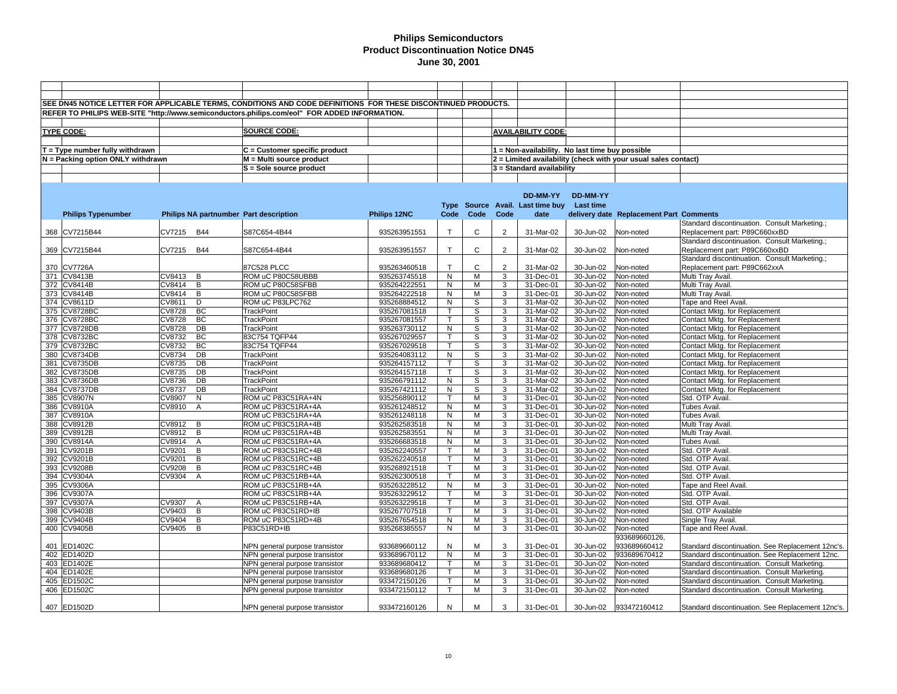|                                   |                                        | SEE DN45 NOTICE LETTER FOR APPLICABLE TERMS, CONDITIONS AND CODE DEFINITIONS FOR THESE DISCONTINUED PRODUCTS. |                     |              |              |                |                                                 |               |                                                                |                                                   |
|-----------------------------------|----------------------------------------|---------------------------------------------------------------------------------------------------------------|---------------------|--------------|--------------|----------------|-------------------------------------------------|---------------|----------------------------------------------------------------|---------------------------------------------------|
|                                   |                                        | REFER TO PHILIPS WEB-SITE "http://www.semiconductors.philips.com/eol" FOR ADDED INFORMATION.                  |                     |              |              |                |                                                 |               |                                                                |                                                   |
|                                   |                                        |                                                                                                               |                     |              |              |                |                                                 |               |                                                                |                                                   |
| <b>TYPE CODE:</b>                 |                                        | <b>SOURCE CODE:</b>                                                                                           |                     |              |              |                | <b>AVAILABILITY CODE:</b>                       |               |                                                                |                                                   |
|                                   |                                        |                                                                                                               |                     |              |              |                |                                                 |               |                                                                |                                                   |
|                                   |                                        |                                                                                                               |                     |              |              |                |                                                 |               |                                                                |                                                   |
| $T = Type$ number fully withdrawn |                                        | C = Customer specific product                                                                                 |                     |              |              |                | 1 = Non-availability. No last time buy possible |               |                                                                |                                                   |
| N = Packing option ONLY withdrawn |                                        | M = Multi source product                                                                                      |                     |              |              |                |                                                 |               | 2 = Limited availability (check with your usual sales contact) |                                                   |
|                                   |                                        | S = Sole source product                                                                                       |                     |              |              |                | 3 = Standard availability                       |               |                                                                |                                                   |
|                                   |                                        |                                                                                                               |                     |              |              |                |                                                 |               |                                                                |                                                   |
|                                   |                                        |                                                                                                               |                     |              |              |                |                                                 |               |                                                                |                                                   |
|                                   |                                        |                                                                                                               |                     |              |              |                | DD-MM-YY                                        | DD-MM-YY      |                                                                |                                                   |
|                                   |                                        |                                                                                                               |                     |              |              |                | Type Source Avail. Last time buy                | Last time     |                                                                |                                                   |
| <b>Philips Typenumber</b>         | Philips NA partnumber Part description |                                                                                                               | <b>Philips 12NC</b> | Code         | Code         | Code           | date                                            |               | delivery date Replacement Part Comments                        |                                                   |
|                                   |                                        |                                                                                                               |                     |              |              |                |                                                 |               |                                                                | Standard discontinuation. Consult Marketing.;     |
| 368 CV7215B44                     | CV7215<br><b>B44</b>                   | S87C654-4B44                                                                                                  | 935263951551        | $\mathsf{T}$ | C            | 2              | 31-Mar-02                                       | 30-Jun-02     | Non-noted                                                      | Replacement part: P89C660xxBD                     |
|                                   |                                        |                                                                                                               |                     |              |              |                |                                                 |               |                                                                | Standard discontinuation. Consult Marketing.;     |
| 369 CV7215B44                     | CV7215<br><b>B44</b>                   | S87C654-4B44                                                                                                  | 935263951557        | $\mathsf{T}$ | $\mathsf{C}$ | $\overline{2}$ | 31-Mar-02                                       | 30-Jun-02     | Non-noted                                                      | Replacement part: P89C660xxBD                     |
|                                   |                                        |                                                                                                               |                     |              |              |                |                                                 |               |                                                                | Standard discontinuation. Consult Marketing.;     |
| 370 CV7726A                       |                                        | 87C528 PLCC                                                                                                   | 935263460518        | $\mathsf{T}$ | C            | $\overline{2}$ | 31-Mar-02                                       | 30-Jun-02     | Non-noted                                                      | Replacement part: P89C662xxA                      |
| 371 CV8413B                       | CV8413<br>B                            | ROM uC P80C58UBBB                                                                                             | 935263745518        | N            | М            | 3              | 31-Dec-01                                       | 30-Jun-02     | Non-noted                                                      | Multi Tray Avail.                                 |
| 372 CV8414B                       | CV8414<br>B                            | ROM uC P80C58SFBB                                                                                             | 935264222551        | N            | М            | 3              | 31-Dec-01                                       | 30-Jun-02     | Non-noted                                                      | Multi Tray Avail.                                 |
| 373 CV8414B                       | CV8414<br>B                            | ROM uC P80C58SFBB                                                                                             | 935264222518        | N            | M            | 3              | 31-Dec-01                                       | 30-Jun-02     | Non-noted                                                      | Multi Tray Avail.                                 |
| 374 CV8611D                       | CV8611<br>D                            | ROM uC P83LPC762                                                                                              | 935268884512        | N            | S            | 3              | 31-Mar-02                                       | 30-Jun-02     | Non-noted                                                      | <b>Tape and Reel Avail</b>                        |
| 375 CV8728BC                      | <b>CV8728</b><br>BC                    | <b>TrackPoint</b>                                                                                             | 935267081518        | $\mathsf{T}$ | s            | 3              | 31-Mar-02                                       | 30-Jun-02     | Non-noted                                                      | Contact Mktg. for Replacement                     |
| 376 CV8728BC                      | BC<br>CV8728                           | <b>TrackPoint</b>                                                                                             | 935267081557        | т            | S            | 3              | 31-Mar-02                                       | 30-Jun-02     | Non-noted                                                      | Contact Mktg. for Replacement                     |
| 377 CV8728DB                      | DB<br><b>CV8728</b>                    | <b>TrackPoint</b>                                                                                             | 935263730112        | ${\sf N}$    | S            | 3              | 31-Mar-02                                       | 30-Jun-02     | Non-noted                                                      | Contact Mktg. for Replacement                     |
| 378 CV8732BC                      | CV8732<br>BC                           | 83C754 TQFP44                                                                                                 | 935267029557        | т            | S            | 3              | 31-Mar-02                                       | 30-Jun-02     | Non-noted                                                      | Contact Mktg. for Replacement                     |
| 379 CV8732BC                      | CV8732<br>BC                           | 83C754 TQFP44                                                                                                 | 935267029518        | $\mathsf{T}$ | S            | 3              | 31-Mar-02                                       | 30-Jun-02     | Non-noted                                                      | Contact Mktg. for Replacement                     |
| 380 CV8734DB                      | CV8734<br>DB                           | <b>TrackPoint</b>                                                                                             | 935264083112        | N            | S            | 3              | 31-Mar-02                                       | 30-Jun-02     | Non-noted                                                      | Contact Mktg. for Replacement                     |
| 381 CV8735DB                      | CV8735<br>DB                           | <b>TrackPoint</b>                                                                                             | 935264157112        | $\mathsf{T}$ | S            | 3              | 31-Mar-02                                       | 30-Jun-02     | Non-noted                                                      | Contact Mktg. for Replacement                     |
| 382 CV8735DB                      | DB<br>CV8735                           | <b>TrackPoint</b>                                                                                             | 935264157118        | T            | S            | 3              | 31-Mar-02                                       | 30-Jun-02     | Non-noted                                                      | Contact Mktg. for Replacement                     |
| 383 CV8736DB                      | DB<br>CV8736                           | <b>TrackPoint</b>                                                                                             | 935266791112        | N            | S            | 3              | 31-Mar-02                                       | 30-Jun-02     | Non-noted                                                      | Contact Mktg. for Replacement                     |
| 384 CV8737DB                      | CV8737<br>DB                           | TrackPoint                                                                                                    | 935267421112        | N            | S            | 3              | 31-Mar-02                                       | 30-Jun-02     | Non-noted                                                      | Contact Mktg. for Replacement                     |
| 385 CV8907N                       | CV8907<br>N                            | ROM uC P83C51RA+4N                                                                                            | 935256890112        | т            | M            | 3              | 31-Dec-01                                       | 30-Jun-02     | Non-noted                                                      | Std. OTP Avail.                                   |
| 386 CV8910A                       | $\overline{A}$<br>CV8910               | ROM uC P83C51RA+4A                                                                                            | 935261248512        | N            | M            | 3              | 31-Dec-01                                       | 30-Jun-02     | Non-noted                                                      | Tubes Avail.                                      |
| 387 CV8910A                       |                                        | ROM uC P83C51RA+4A                                                                                            | 935261248118        | ${\sf N}$    | M            | 3              | 31-Dec-01                                       | 30-Jun-02     | Non-noted                                                      | <b>Tubes Avail</b>                                |
| 388 CV8912B                       | CV8912<br>B                            | ROM uC P83C51RA+4B                                                                                            | 935262583518        | N            | M            | 3              | 31-Dec-01                                       | 30-Jun-02     | Non-noted                                                      | Multi Tray Avail                                  |
| 389 CV8912B                       | CV8912<br>В                            | ROM uC P83C51RA+4B                                                                                            | 935262583551        | N            | M            | 3              | 31-Dec-01                                       | 30-Jun-02     | Non-noted                                                      | Multi Tray Avail                                  |
| 390 CV8914A                       | CV8914<br>$\overline{A}$               | ROM uC P83C51RA+4A                                                                                            | 935266683518        | N            | M            | 3              | 31-Dec-01                                       | 30-Jun-02     | Non-noted                                                      | Tubes Avail.                                      |
| 391 CV9201B                       | CV9201<br>B                            | ROM uC P83C51RC+4B                                                                                            | 935262240557        | $\mathsf{T}$ | M            | 3              | 31-Dec-01                                       | 30-Jun-02     | Non-noted                                                      | Std. OTP Avail.                                   |
| 392 CV9201B                       | B<br>CV9201                            | ROM uC P83C51RC+4B                                                                                            | 935262240518        | т            | M            | 3              | 31-Dec-01                                       | 30-Jun-02     | Non-noted                                                      | Std. OTP Avail.                                   |
| 393 CV9208B                       | CV9208<br>B                            | ROM uC P83C51RC+4B                                                                                            | 935268921518        | T            | M            | 3              | 31-Dec-01                                       | 30-Jun-02     | Non-noted                                                      | Std. OTP Avail.                                   |
| 394 CV9304A                       | CV9304<br>$\overline{A}$               | ROM uC P83C51RB+4A                                                                                            | 935262300518        | т            | М            | 3              | 31-Dec-01                                       | 30-Jun-02     | Non-noted                                                      | Std. OTP Avail.                                   |
| 395 CV9306A                       |                                        | ROM uC P83C51RB+4A                                                                                            | 935263228512        | N            | M            | 3              | 31-Dec-01                                       | 30-Jun-02     | Non-noted                                                      | Tape and Reel Avail.                              |
| 396 CV9307A                       |                                        | ROM uC P83C51RB+4A                                                                                            | 935263229512        | $\mathsf{T}$ | M            | 3              | 31-Dec-01                                       | 30-Jun-02     | Non-noted                                                      | Std. OTP Avail.                                   |
| 397 CV9307A                       | CV9307<br>A                            | ROM uC P83C51RB+4A                                                                                            | 935263229518        | $\mathsf{T}$ | M            | 3              | 31-Dec-01                                       | 30-Jun-02     | Non-noted                                                      | Std. OTP Avail.                                   |
| 398 CV9403B                       | CV9403<br>B                            | ROM uC P83C51RD+IB                                                                                            | 935267707518        | T            | M            | 3              | 31-Dec-01                                       | 30-Jun-02     | Non-noted                                                      | Std. OTP Available                                |
| 399 CV9404B                       | CV9404<br>B                            | ROM uC P83C51RD+4B                                                                                            | 935267654518        | N            | M            | 3              | 31-Dec-01                                       | 30-Jun-02     | Non-noted                                                      | Single Tray Avail                                 |
| 400 CV9405B                       | CV9405<br>B                            | P83C51RD+IB                                                                                                   | 935268385557        | N            | M            | 3              | 31-Dec-01                                       | 30-Jun-02     | Non-noted                                                      | Tape and Reel Avail.                              |
|                                   |                                        |                                                                                                               |                     |              |              |                |                                                 |               | 933689660126,                                                  |                                                   |
| 401 ED1402C                       |                                        | NPN general purpose transistor                                                                                | 933689660112        | N            | M            | 3              | 31-Dec-01                                       | 30-Jun-02     | 933689660412                                                   | Standard discontinuation. See Replacement 12nc's. |
| 402 ED1402D                       |                                        | NPN general purpose transistor                                                                                | 933689670112        | N            | М            | 3              | 31-Dec-01                                       | 30-Jun-02     | 933689670412                                                   | Standard discontinuation. See Replacement 12nc.   |
| 403 ED1402E                       |                                        | NPN general purpose transistor                                                                                | 933689680412        | $\mathsf{T}$ | M            | 3              | 31-Dec-01                                       | 30-Jun-02     | Non-noted                                                      | Standard discontinuation. Consult Marketing.      |
| 404 ED1402E                       |                                        | NPN general purpose transistor                                                                                | 933689680126        | $\mathsf{T}$ | M            | 3              | 31-Dec-01                                       | 30-Jun-02     | Non-noted                                                      | Standard discontinuation. Consult Marketing.      |
| 405 ED1502C                       |                                        | NPN general purpose transistor                                                                                | 933472150126        | T            | M            | 3              | 31-Dec-01                                       | $30 - Jun-02$ | Non-noted                                                      | Standard discontinuation. Consult Marketing.      |
| 406 ED1502C                       |                                        | NPN general purpose transistor                                                                                | 933472150112        | T            | M            | 3              | 31-Dec-01                                       | 30-Jun-02     | Non-noted                                                      | Standard discontinuation. Consult Marketing.      |
|                                   |                                        |                                                                                                               |                     |              |              |                |                                                 |               |                                                                |                                                   |
| 407 ED1502D                       |                                        | NPN general purpose transistor                                                                                | 933472160126        | N            | M            | 3              | 31-Dec-01                                       | 30-Jun-02     | 933472160412                                                   | Standard discontinuation. See Replacement 12nc's. |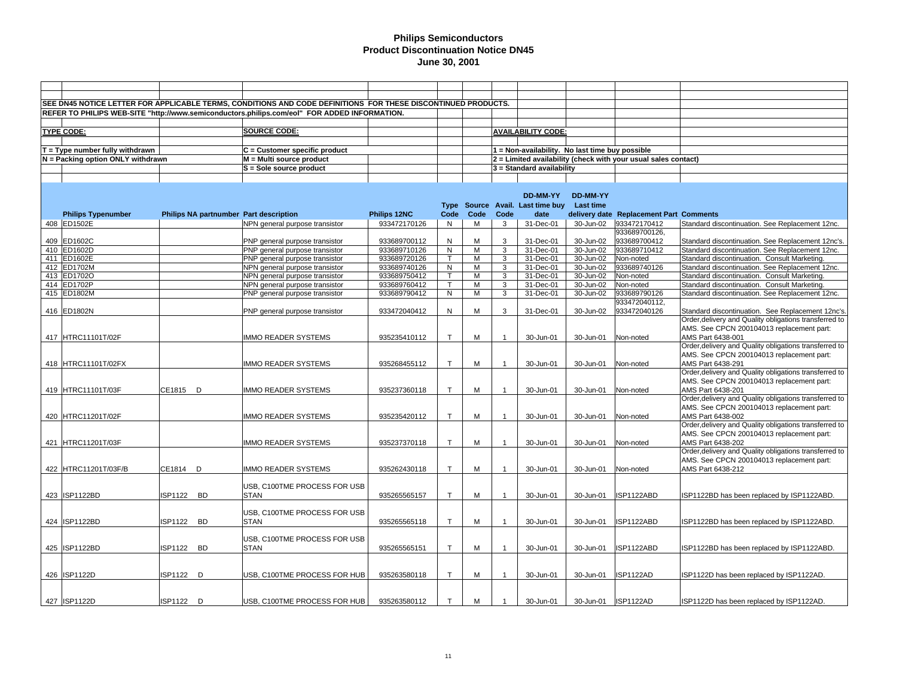|                                   |                |           | SEE DN45 NOTICE LETTER FOR APPLICABLE TERMS, CONDITIONS AND CODE DEFINITIONS FOR THESE DISCONTINUED PRODUCTS. |              |              |      |                         |                                                 |           |                                                                |                                                                |
|-----------------------------------|----------------|-----------|---------------------------------------------------------------------------------------------------------------|--------------|--------------|------|-------------------------|-------------------------------------------------|-----------|----------------------------------------------------------------|----------------------------------------------------------------|
|                                   |                |           | REFER TO PHILIPS WEB-SITE "http://www.semiconductors.philips.com/eol" FOR ADDED INFORMATION.                  |              |              |      |                         |                                                 |           |                                                                |                                                                |
|                                   |                |           |                                                                                                               |              |              |      |                         |                                                 |           |                                                                |                                                                |
| <b>TYPE CODE:</b>                 |                |           | <b>SOURCE CODE:</b>                                                                                           |              |              |      |                         | <b>AVAILABILITY CODE:</b>                       |           |                                                                |                                                                |
|                                   |                |           |                                                                                                               |              |              |      |                         |                                                 |           |                                                                |                                                                |
| $T = Type$ number fully withdrawn |                |           | C = Customer specific product                                                                                 |              |              |      |                         | 1 = Non-availability. No last time buy possible |           |                                                                |                                                                |
| N = Packing option ONLY withdrawn |                |           | M = Multi source product                                                                                      |              |              |      |                         |                                                 |           | 2 = Limited availability (check with your usual sales contact) |                                                                |
|                                   |                |           | S = Sole source product                                                                                       |              |              |      |                         | 3 = Standard availability                       |           |                                                                |                                                                |
|                                   |                |           |                                                                                                               |              |              |      |                         |                                                 |           |                                                                |                                                                |
|                                   |                |           |                                                                                                               |              |              |      |                         |                                                 |           |                                                                |                                                                |
|                                   |                |           |                                                                                                               |              |              |      |                         | DD-MM-YY                                        | DD-MM-YY  |                                                                |                                                                |
|                                   |                |           |                                                                                                               |              |              |      |                         | Type Source Avail. Last time buy                | Last time |                                                                |                                                                |
| <b>Philips Typenumber</b>         |                |           | Philips NA partnumber Part description                                                                        | Philips 12NC | Code         | Code | Code                    | date                                            |           | delivery date Replacement Part Comments                        |                                                                |
| 408 ED1502E                       |                |           | NPN general purpose transistor                                                                                | 933472170126 | N            | M    | 3                       | 31-Dec-01                                       | 30-Jun-02 | 933472170412                                                   | Standard discontinuation. See Replacement 12nc.                |
|                                   |                |           |                                                                                                               |              |              |      |                         |                                                 |           | 933689700126.                                                  |                                                                |
| 409 ED1602C                       |                |           | PNP general purpose transistor                                                                                | 933689700112 | N            | M    | 3                       | 31-Dec-01                                       | 30-Jun-02 | 933689700412                                                   | Standard discontinuation. See Replacement 12nc's.              |
| 410 ED1602D                       |                |           | PNP general purpose transistor                                                                                | 933689710126 | N            | M    | 3                       | 31-Dec-01                                       | 30-Jun-02 | 933689710412                                                   | Standard discontinuation. See Replacement 12nc.                |
| 411 ED1602E                       |                |           | PNP general purpose transistor                                                                                | 933689720126 | T.           | M    | 3                       | 31-Dec-01                                       | 30-Jun-02 | Non-noted                                                      | Standard discontinuation. Consult Marketing.                   |
| 412 ED1702M                       |                |           | NPN general purpose transistor                                                                                | 933689740126 | N            | M    | 3                       | 31-Dec-01                                       | 30-Jun-02 | 933689740126                                                   | Standard discontinuation. See Replacement 12nc.                |
| 413 ED1702O                       |                |           | NPN general purpose transistor                                                                                | 933689750412 | T.           | M    | 3                       | 31-Dec-01                                       | 30-Jun-02 | Non-noted                                                      | Standard discontinuation. Consult Marketing.                   |
| 414 ED1702P                       |                |           | NPN general purpose transistor                                                                                | 933689760412 | T.           | M    | 3                       | 31-Dec-01                                       | 30-Jun-02 | Non-noted                                                      | Standard discontinuation. Consult Marketing.                   |
| 415 ED1802M                       |                |           | PNP general purpose transistor                                                                                | 933689790412 | N            | М    | 3                       | 31-Dec-01                                       | 30-Jun-02 | 933689790126                                                   | Standard discontinuation. See Replacement 12nc.                |
|                                   |                |           |                                                                                                               |              |              |      |                         |                                                 |           | 933472040112,                                                  |                                                                |
| 416 ED1802N                       |                |           | PNP general purpose transistor                                                                                | 933472040412 | N            | M    | 3                       | 31-Dec-01                                       | 30-Jun-02 | 933472040126                                                   | Standard discontinuation. See Replacement 12nc's.              |
|                                   |                |           |                                                                                                               |              |              |      |                         |                                                 |           |                                                                | Order, delivery and Quality obligations transferred to         |
|                                   |                |           |                                                                                                               |              |              |      |                         |                                                 |           |                                                                | AMS. See CPCN 200104013 replacement part:                      |
| 417 HTRC11101T/02F                |                |           | <b>IMMO READER SYSTEMS</b>                                                                                    | 935235410112 | $\mathsf{T}$ | M    | $\overline{1}$          | 30-Jun-01                                       | 30-Jun-01 | Non-noted                                                      | AMS Part 6438-001                                              |
|                                   |                |           |                                                                                                               |              |              |      |                         |                                                 |           |                                                                | Order, delivery and Quality obligations transferred to         |
|                                   |                |           |                                                                                                               |              |              |      |                         |                                                 |           |                                                                | AMS. See CPCN 200104013 replacement part:                      |
| 418 HTRC11101T/02FX               |                |           | <b>IMMO READER SYSTEMS</b>                                                                                    | 935268455112 | $\mathsf{T}$ | M    | $\overline{\mathbf{1}}$ | 30-Jun-01                                       | 30-Jun-01 | Non-noted                                                      | AMS Part 6438-291                                              |
|                                   |                |           |                                                                                                               |              |              |      |                         |                                                 |           |                                                                | Order, delivery and Quality obligations transferred to         |
| 419 HTRC11101T/03F                | CE1815 D       |           | IMMO READER SYSTEMS                                                                                           | 935237360118 | $\mathsf{T}$ | M    | $\overline{\mathbf{1}}$ | 30-Jun-01                                       | 30-Jun-01 | Non-noted                                                      | AMS. See CPCN 200104013 replacement part:<br>AMS Part 6438-201 |
|                                   |                |           |                                                                                                               |              |              |      |                         |                                                 |           |                                                                | Order, delivery and Quality obligations transferred to         |
|                                   |                |           |                                                                                                               |              |              |      |                         |                                                 |           |                                                                | AMS. See CPCN 200104013 replacement part:                      |
| 420 HTRC11201T/02F                |                |           | <b>IMMO READER SYSTEMS</b>                                                                                    | 935235420112 | $\mathsf{T}$ | м    | $\overline{1}$          | 30-Jun-01                                       | 30-Jun-01 | Non-noted                                                      | AMS Part 6438-002                                              |
|                                   |                |           |                                                                                                               |              |              |      |                         |                                                 |           |                                                                | Order, delivery and Quality obligations transferred to         |
|                                   |                |           |                                                                                                               |              |              |      |                         |                                                 |           |                                                                | AMS. See CPCN 200104013 replacement part:                      |
| 421 HTRC11201T/03F                |                |           | <b>IMMO READER SYSTEMS</b>                                                                                    | 935237370118 | $\mathsf{T}$ | М    | $\overline{1}$          | 30-Jun-01                                       | 30-Jun-01 | Non-noted                                                      | AMS Part 6438-202                                              |
|                                   |                |           |                                                                                                               |              |              |      |                         |                                                 |           |                                                                | Order, delivery and Quality obligations transferred to         |
|                                   |                |           |                                                                                                               |              |              |      |                         |                                                 |           |                                                                | AMS. See CPCN 200104013 replacement part:                      |
| 422 HTRC11201T/03F/B              | CE1814 D       |           | IMMO READER SYSTEMS                                                                                           | 935262430118 | T            | м    | $\overline{1}$          | 30-Jun-01                                       | 30-Jun-01 | Non-noted                                                      | AMS Part 6438-212                                              |
|                                   |                |           |                                                                                                               |              |              |      |                         |                                                 |           |                                                                |                                                                |
|                                   |                |           | USB, C100TME PROCESS FOR USB                                                                                  |              |              |      |                         |                                                 |           |                                                                |                                                                |
| 423 ISP1122BD                     | ISP1122 BD     |           | <b>STAN</b>                                                                                                   | 935265565157 | $\mathsf{T}$ | M    | $\overline{1}$          | 30-Jun-01                                       | 30-Jun-01 | ISP1122ABD                                                     | ISP1122BD has been replaced by ISP1122ABD.                     |
|                                   |                |           |                                                                                                               |              |              |      |                         |                                                 |           |                                                                |                                                                |
|                                   |                |           | USB, C100TME PROCESS FOR USB                                                                                  |              |              |      |                         |                                                 |           |                                                                |                                                                |
| 424 ISP1122BD                     | <b>ISP1122</b> | <b>BD</b> | <b>STAN</b>                                                                                                   | 935265565118 | T.           | м    | $\overline{1}$          | 30-Jun-01                                       | 30-Jun-01 | ISP1122ABD                                                     | ISP1122BD has been replaced by ISP1122ABD.                     |
|                                   |                |           |                                                                                                               |              |              |      |                         |                                                 |           |                                                                |                                                                |
|                                   |                |           | USB, C100TME PROCESS FOR USB                                                                                  |              |              |      |                         |                                                 |           |                                                                |                                                                |
| 425 ISP1122BD                     | ISP1122 BD     |           | <b>STAN</b>                                                                                                   | 935265565151 | T.           | M    | $\overline{1}$          | 30-Jun-01                                       | 30-Jun-01 | ISP1122ABD                                                     | ISP1122BD has been replaced by ISP1122ABD.                     |
|                                   |                |           |                                                                                                               |              |              |      |                         |                                                 |           |                                                                |                                                                |
| 426 ISP1122D                      |                |           |                                                                                                               |              | $\mathsf{T}$ | M    |                         | 30-Jun-01                                       |           | ISP1122AD                                                      |                                                                |
|                                   | ISP1122 D      |           | USB, C100TME PROCESS FOR HUB                                                                                  | 935263580118 |              |      |                         |                                                 | 30-Jun-01 |                                                                | ISP1122D has been replaced by ISP1122AD.                       |
|                                   |                |           |                                                                                                               |              |              |      |                         |                                                 |           |                                                                |                                                                |
| 427 ISP1122D                      | ISP1122 D      |           | USB, C100TME PROCESS FOR HUB                                                                                  | 935263580112 | $\mathsf{T}$ | м    |                         | 30-Jun-01                                       | 30-Jun-01 | ISP1122AD                                                      | ISP1122D has been replaced by ISP1122AD                        |
|                                   |                |           |                                                                                                               |              |              |      |                         |                                                 |           |                                                                |                                                                |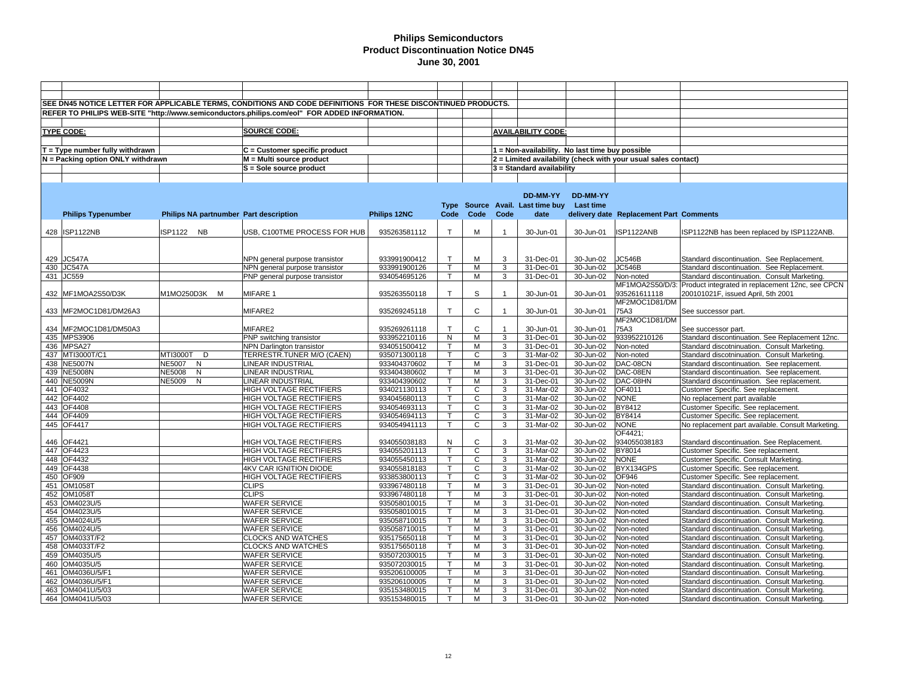|                   |                                                                                              | SEE DN45 NOTICE LETTER FOR APPLICABLE TERMS, CONDITIONS AND CODE DEFINITIONS FOR THESE DISCONTINUED PRODUCTS. |                                |              |              |                |                |                                                 |                 |                                                                |                                                                  |
|-------------------|----------------------------------------------------------------------------------------------|---------------------------------------------------------------------------------------------------------------|--------------------------------|--------------|--------------|----------------|----------------|-------------------------------------------------|-----------------|----------------------------------------------------------------|------------------------------------------------------------------|
|                   | REFER TO PHILIPS WEB-SITE "http://www.semiconductors.philips.com/eol" FOR ADDED INFORMATION. |                                                                                                               |                                |              |              |                |                |                                                 |                 |                                                                |                                                                  |
|                   |                                                                                              |                                                                                                               |                                |              |              |                |                |                                                 |                 |                                                                |                                                                  |
| <b>TYPE CODE:</b> |                                                                                              |                                                                                                               | <b>SOURCE CODE:</b>            |              |              |                |                | <b>AVAILABILITY CODE:</b>                       |                 |                                                                |                                                                  |
|                   |                                                                                              |                                                                                                               |                                |              |              |                |                |                                                 |                 |                                                                |                                                                  |
|                   |                                                                                              |                                                                                                               |                                |              |              |                |                |                                                 |                 |                                                                |                                                                  |
|                   | $T = Type$ number fully withdrawn                                                            |                                                                                                               | C = Customer specific product  |              |              |                |                | 1 = Non-availability. No last time buy possible |                 |                                                                |                                                                  |
|                   | N = Packing option ONLY withdrawn                                                            |                                                                                                               | M = Multi source product       |              |              |                |                |                                                 |                 | 2 = Limited availability (check with your usual sales contact) |                                                                  |
|                   |                                                                                              |                                                                                                               | S = Sole source product        |              |              |                |                | 3 = Standard availability                       |                 |                                                                |                                                                  |
|                   |                                                                                              |                                                                                                               |                                |              |              |                |                |                                                 |                 |                                                                |                                                                  |
|                   |                                                                                              |                                                                                                               |                                |              |              |                |                |                                                 |                 |                                                                |                                                                  |
|                   |                                                                                              |                                                                                                               |                                |              |              |                |                | DD-MM-YY                                        | <b>DD-MM-YY</b> |                                                                |                                                                  |
|                   |                                                                                              |                                                                                                               |                                |              |              |                |                | Type Source Avail. Last time buy                | Last time       |                                                                |                                                                  |
|                   | <b>Philips Typenumber</b>                                                                    | Philips NA partnumber Part description                                                                        |                                | Philips 12NC | Code         | Code           | Code           | date                                            |                 | delivery date Replacement Part Comments                        |                                                                  |
|                   |                                                                                              |                                                                                                               |                                |              |              |                |                |                                                 |                 |                                                                |                                                                  |
|                   | 428 ISP1122NB                                                                                | ISP1122 NB                                                                                                    | USB, C100TME PROCESS FOR HUB   | 935263581112 | $\mathsf{T}$ | M              | $\overline{1}$ | 30-Jun-01                                       | 30-Jun-01       | ISP1122ANB                                                     | ISP1122NB has been replaced by ISP1122ANB.                       |
|                   |                                                                                              |                                                                                                               |                                |              |              |                |                |                                                 |                 |                                                                |                                                                  |
|                   |                                                                                              |                                                                                                               |                                |              |              |                |                |                                                 |                 |                                                                |                                                                  |
|                   | 429 JC547A                                                                                   |                                                                                                               | NPN general purpose transistor | 933991900412 | $\mathsf{T}$ | M              | 3              | 31-Dec-01                                       | 30-Jun-02       | JC546B                                                         | Standard discontinuation. See Replacement.                       |
| 430 JC547A        |                                                                                              |                                                                                                               | NPN general purpose transistor | 933991900126 | $\mathsf{T}$ | M              | $\overline{3}$ | 31-Dec-01                                       | 30-Jun-02       | <b>JC546B</b>                                                  | Standard discontinuation. See Replacement.                       |
| 431 JC559         |                                                                                              |                                                                                                               | PNP general purpose transistor | 934054695126 | $\mathsf T$  | M              | 3              | 31-Dec-01                                       | 30-Jun-02       | Non-noted                                                      | Standard discontinuation. Consult Marketing.                     |
|                   |                                                                                              |                                                                                                               |                                |              |              |                |                |                                                 |                 |                                                                | MF1MOA2S50/D/3: Product integrated in replacement 12nc, see CPCN |
|                   | 432 MF1MOA2S50/D3K                                                                           | M1MO250D3K M                                                                                                  | MIFARE 1                       | 935263550118 | $\mathsf{T}$ | $\mathbb S$    | $\overline{1}$ | 30-Jun-01                                       | 30-Jun-01       | 935261611118                                                   | 200101021F, issued April, 5th 2001                               |
|                   |                                                                                              |                                                                                                               |                                |              |              |                |                |                                                 |                 | MF2MOC1D81/DM                                                  |                                                                  |
|                   |                                                                                              |                                                                                                               |                                |              | $\mathsf{T}$ | C              |                |                                                 |                 | 75A3                                                           |                                                                  |
|                   | 433 MF2MOC1D81/DM26A3                                                                        |                                                                                                               | MIFARE2                        | 935269245118 |              |                |                | 30-Jun-01                                       | 30-Jun-01       | MF2MOC1D81/DM                                                  | See successor part.                                              |
|                   |                                                                                              |                                                                                                               |                                |              | $\mathsf{T}$ | $\mathsf{C}$   |                |                                                 |                 |                                                                |                                                                  |
|                   | 434 MF2MOC1D81/DM50A3                                                                        |                                                                                                               | MIFARE2                        | 935269261118 |              |                |                | 30-Jun-01                                       | 30-Jun-01       | 75A3                                                           | See successor part.                                              |
|                   | 435 MPS3906                                                                                  |                                                                                                               | PNP switching transistor       | 933952210116 | N            | м              | 3              | 31-Dec-01                                       | 30-Jun-02       | 933952210126                                                   | Standard discontinuation. See Replacement 12nc.                  |
|                   | 436 MPSA27                                                                                   |                                                                                                               | NPN Darlington transistor      | 934051500412 | $\mathsf{T}$ | M              | 3              | 31-Dec-01                                       | 30-Jun-02       | Non-noted                                                      | Standard discotninuation. Consult Marketing.                     |
|                   | 437 MTI3000T/C1                                                                              | MTI3000T D                                                                                                    | TERRESTR.TUNER M/O (CAEN)      | 935071300118 | $\mathsf{T}$ | C              | 3              | 31-Mar-02                                       | 30-Jun-02       | Non-noted                                                      | Standard discotninuation. Consult Marketing.                     |
|                   | 438 NE5007N                                                                                  | NE5007 N                                                                                                      | LINEAR INDUSTRIAL              | 933404370602 | $\mathsf{T}$ | M              | 3              | 31-Dec-01                                       | 30-Jun-02       | DAC-08CN                                                       | Standard discontinuation. See replacement.                       |
|                   | 439 NE5008N                                                                                  | <b>NE5008</b><br>N                                                                                            | LINEAR INDUSTRIAL              | 933404380602 | $\mathsf{T}$ | M              | 3              | 31-Dec-01                                       | 30-Jun-02       | DAC-08EN                                                       | Standard discontinuation. See replacement.                       |
|                   | 440 NE5009N                                                                                  | NE5009 N                                                                                                      | LINEAR INDUSTRIAL              | 933404390602 | $\mathsf{T}$ | M              | 3              | 31-Dec-01                                       | 30-Jun-02       | DAC-08HN                                                       | Standard discontinuation. See replacement.                       |
|                   | 441 OF4032                                                                                   |                                                                                                               | HIGH VOLTAGE RECTIFIERS        | 934021130113 | $\mathsf{T}$ | $\mathsf{C}$   | 3              | 31-Mar-02                                       | 30-Jun-02       | OF4011                                                         | Customer Specific. See replacement.                              |
| 442 OF4402        |                                                                                              |                                                                                                               | HIGH VOLTAGE RECTIFIERS        | 934045680113 | $\mathsf{T}$ | $\mathsf{C}$   | 3              | 31-Mar-02                                       | 30-Jun-02       | <b>NONE</b>                                                    | No replacement part available                                    |
| 443 OF4408        |                                                                                              |                                                                                                               | HIGH VOLTAGE RECTIFIERS        | 934054693113 | т            | $\overline{c}$ | 3              | 31-Mar-02                                       | 30-Jun-02       | <b>BY8412</b>                                                  | Customer Specific. See replacement.                              |
|                   | 444 OF4409                                                                                   |                                                                                                               | HIGH VOLTAGE RECTIFIERS        | 934054694113 | T            | $\mathsf{C}$   | 3              | 31-Mar-02                                       | 30-Jun-02       | BY8414                                                         | Customer Specific. See replacement.                              |
| 445 OF4417        |                                                                                              |                                                                                                               | HIGH VOLTAGE RECTIFIERS        | 934054941113 | т            | C              | 3              | 31-Mar-02                                       | 30-Jun-02       | <b>NONE</b>                                                    | No replacement part available. Consult Marketing.                |
|                   |                                                                                              |                                                                                                               |                                |              |              |                |                |                                                 |                 | OF4421;                                                        |                                                                  |
| 446 OF4421        |                                                                                              |                                                                                                               | HIGH VOLTAGE RECTIFIERS        | 934055038183 | N            | C              | 3              | 31-Mar-02                                       | 30-Jun-02       | 934055038183                                                   | Standard discontinuation. See Replacement.                       |
|                   | 447 OF4423                                                                                   |                                                                                                               | HIGH VOLTAGE RECTIFIERS        | 934055201113 | $\mathsf{T}$ | $\mathsf{C}$   | 3              | 31-Mar-02                                       | 30-Jun-02       | BY8014                                                         | Customer Specific. See replacement.                              |
|                   | 448 OF4432                                                                                   |                                                                                                               | HIGH VOLTAGE RECTIFIERS        | 934055450113 | T            | $\mathsf{C}$   | 3              | 31-Mar-02                                       | 30-Jun-02       | <b>NONE</b>                                                    | Customer Specific. Consult Marketing.                            |
|                   | 449 OF4438                                                                                   |                                                                                                               | 4KV CAR IGNITION DIODE         | 934055818183 | T            | C              | 3              | 31-Mar-02                                       | 30-Jun-02       | BYX134GPS                                                      | Customer Specific. See replacement.                              |
| 450 OF909         |                                                                                              |                                                                                                               | HIGH VOLTAGE RECTIFIERS        | 933853800113 | T            | $\mathsf{C}$   | 3              | 31-Mar-02                                       | 30-Jun-02       | OF946                                                          | Customer Specific. See replacement.                              |
|                   | 451 OM1058T                                                                                  |                                                                                                               | <b>CLIPS</b>                   | 933967480118 | $\mathsf{T}$ | M              | 3              | 31-Dec-01                                       | 30-Jun-02       | Non-noted                                                      | Standard discontinuation. Consult Marketing.                     |
|                   | 452 OM1058T                                                                                  |                                                                                                               | <b>CLIPS</b>                   | 933967480118 | T            | M              | 3              | 31-Dec-01                                       | 30-Jun-02       | Non-noted                                                      | Standard discontinuation. Consult Marketing.                     |
|                   | 453 OM4023U/5                                                                                |                                                                                                               | WAFER SERVICE                  | 935058010015 | T            | M              | 3              | 31-Dec-01                                       | 30-Jun-02       | Non-noted                                                      | Standard discontinuation. Consult Marketing.                     |
|                   | 454 OM4023U/5                                                                                |                                                                                                               | <b>WAFER SERVICE</b>           | 935058010015 | T            | M              | 3              | 31-Dec-01                                       | 30-Jun-02       | Non-noted                                                      | Standard discontinuation. Consult Marketing.                     |
|                   | 455 OM4024U/5                                                                                |                                                                                                               | WAFER SERVICE                  | 935058710015 | T            | M              | 3              | 31-Dec-01                                       | 30-Jun-02       | Non-noted                                                      | Standard discontinuation. Consult Marketing.                     |
|                   | 456 OM4024U/5                                                                                |                                                                                                               | WAFER SERVICE                  | 935058710015 | T            | M              | 3              | 31-Dec-01                                       | 30-Jun-02       | Non-noted                                                      | Standard discontinuation. Consult Marketing.                     |
|                   | 457 OM4033T/F2                                                                               |                                                                                                               | <b>CLOCKS AND WATCHES</b>      | 935175650118 | $\mathsf{T}$ | M              | 3              | 31-Dec-01                                       | 30-Jun-02       | Non-noted                                                      | Standard discontinuation. Consult Marketing.                     |
|                   | 458 OM4033T/F2                                                                               |                                                                                                               | <b>CLOCKS AND WATCHES</b>      | 935175650118 |              | M              | 3              | 31-Dec-01                                       | 30-Jun-02       | Non-noted                                                      | Standard discontinuation. Consult Marketing.                     |
|                   | 459 OM4035U/5                                                                                |                                                                                                               | <b>WAFER SERVICE</b>           | 935072030015 | т            | M              | 3              | 31-Dec-01                                       | 30-Jun-02       | Non-noted                                                      | Standard discontinuation. Consult Marketing.                     |
|                   | 460 OM4035U/5                                                                                |                                                                                                               | WAFER SERVICE                  | 935072030015 | т            | M              | 3              | 31-Dec-01                                       | 30-Jun-02       | Non-noted                                                      | Standard discontinuation. Consult Marketing.                     |
|                   | 461 OM4036U/5/F1                                                                             |                                                                                                               | <b>WAFER SERVICE</b>           | 935206100005 | $\mathsf{T}$ | M              | 3              | 31-Dec-01                                       | 30-Jun-02       | Non-noted                                                      | Standard discontinuation. Consult Marketing.                     |
|                   | 462   OM4036U/5/F1                                                                           |                                                                                                               | WAFER SERVICE                  | 935206100005 |              | M              | 3              | 31-Dec-01                                       | 30-Jun-02       | Non-noted                                                      | Standard discontinuation. Consult Marketing.                     |
|                   | 463 OM4041U/5/03                                                                             |                                                                                                               | <b>WAFER SERVICE</b>           | 935153480015 | $\mathsf{T}$ | M              | 3              | 31-Dec-01                                       | 30-Jun-02       | Non-noted                                                      | Standard discontinuation. Consult Marketing.                     |
|                   | 464   OM4041U/5/03                                                                           |                                                                                                               | <b>WAFER SERVICE</b>           | 935153480015 | $\mathsf{T}$ | м              | 3              | 31-Dec-01                                       | 30-Jun-02       | Non-noted                                                      | Standard discontinuation. Consult Marketing.                     |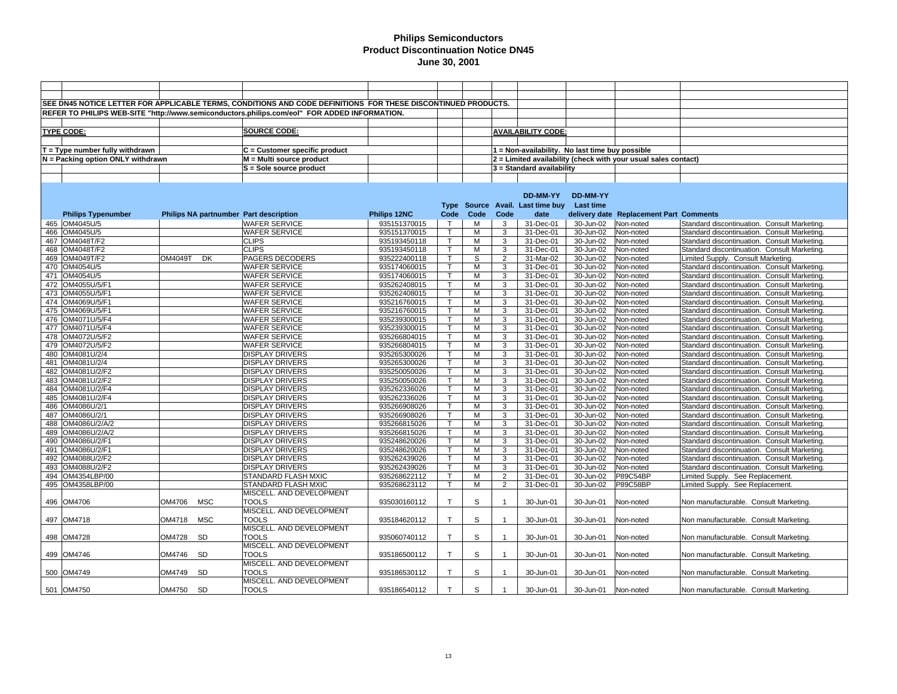|                                   |         |            | SEE DN45 NOTICE LETTER FOR APPLICABLE TERMS, CONDITIONS AND CODE DEFINITIONS FOR THESE DISCONTINUED PRODUCTS. |              |              |      |                |                                                 |               |                                                                |                                              |
|-----------------------------------|---------|------------|---------------------------------------------------------------------------------------------------------------|--------------|--------------|------|----------------|-------------------------------------------------|---------------|----------------------------------------------------------------|----------------------------------------------|
|                                   |         |            | REFER TO PHILIPS WEB-SITE "http://www.semiconductors.philips.com/eol" FOR ADDED INFORMATION.                  |              |              |      |                |                                                 |               |                                                                |                                              |
|                                   |         |            |                                                                                                               |              |              |      |                |                                                 |               |                                                                |                                              |
|                                   |         |            | <b>SOURCE CODE:</b>                                                                                           |              |              |      |                |                                                 |               |                                                                |                                              |
| <b>TYPE CODE:</b>                 |         |            |                                                                                                               |              |              |      |                | <b>AVAILABILITY CODE:</b>                       |               |                                                                |                                              |
|                                   |         |            |                                                                                                               |              |              |      |                |                                                 |               |                                                                |                                              |
| $T = Type$ number fully withdrawn |         |            | C = Customer specific product                                                                                 |              |              |      |                | 1 = Non-availability. No last time buy possible |               |                                                                |                                              |
| N = Packing option ONLY withdrawn |         |            | M = Multi source product                                                                                      |              |              |      |                |                                                 |               | 2 = Limited availability (check with your usual sales contact) |                                              |
|                                   |         |            | S = Sole source product                                                                                       |              |              |      |                | $3$ = Standard availability                     |               |                                                                |                                              |
|                                   |         |            |                                                                                                               |              |              |      |                |                                                 |               |                                                                |                                              |
|                                   |         |            |                                                                                                               |              |              |      |                |                                                 |               |                                                                |                                              |
|                                   |         |            |                                                                                                               |              |              |      |                | <b>DD-MM-YY</b>                                 | DD-MM-YY      |                                                                |                                              |
|                                   |         |            |                                                                                                               |              | Type         |      |                | Source Avail. Last time buy                     | Last time     |                                                                |                                              |
| <b>Philips Typenumber</b>         |         |            | Philips NA partnumber Part description                                                                        | Philips 12NC | Code         | Code | Code           | date                                            |               | delivery date Replacement Part Comments                        |                                              |
| 465 OM4045U/5                     |         |            | <b>WAFER SERVICE</b>                                                                                          | 935151370015 | $\mathsf{T}$ | М    | 3              | 31-Dec-01                                       | 30-Jun-02     | Non-noted                                                      | Standard discontinuation. Consult Marketing. |
| 466 OM4045U/5                     |         |            | <b>WAFER SERVICE</b>                                                                                          | 935151370015 |              | M    | 3              | 31-Dec-01                                       | 30-Jun-02     | Non-noted                                                      | Standard discontinuation. Consult Marketing. |
| 467 OM4048T/F2                    |         |            | <b>CLIPS</b>                                                                                                  | 935193450118 | $\mathsf{T}$ | М    | 3              | 31-Dec-01                                       | 30-Jun-02     | Non-noted                                                      | Standard discontinuation. Consult Marketing. |
| 468 OM4048T/F2                    |         |            | <b>CLIPS</b>                                                                                                  | 935193450118 | т            | М    | 3              | 31-Dec-01                                       | 30-Jun-02     | Non-noted                                                      | Standard discontinuation. Consult Marketing  |
| 469 OM4049T/F2                    | OM4049T | <b>DK</b>  | PAGERS DECODERS                                                                                               | 935222400118 |              | S    | $\overline{2}$ | 31-Mar-02                                       | 30-Jun-02     | Non-noted                                                      | Limited Supply. Consult Marketing.           |
| 470 OM4054U/5                     |         |            | <b>WAFER SERVICE</b>                                                                                          | 935174060015 |              | M    | 3              | 31-Dec-01                                       | 30-Jun-02     | Non-noted                                                      | Standard discontinuation. Consult Marketing. |
| 471 OM4054U/5                     |         |            | <b>WAFER SERVICE</b>                                                                                          | 935174060015 |              | M    | 3              | 31-Dec-01                                       | 30-Jun-02     | Non-noted                                                      | Standard discontinuation. Consult Marketing. |
| 472 OM4055U/5/F1                  |         |            | <b>WAFER SERVICE</b>                                                                                          | 935262408015 |              | M    | 3              | 31-Dec-01                                       | 30-Jun-02     | Non-noted                                                      | Standard discontinuation. Consult Marketing  |
| 473 OM4055U/5/F1                  |         |            | <b>WAFER SERVICE</b>                                                                                          | 935262408015 |              | M    | 3              | 31-Dec-01                                       | 30-Jun-02     | Non-noted                                                      | Standard discontinuation. Consult Marketing. |
| 474   OM4069U/5/F1                |         |            | <b>WAFER SERVICE</b>                                                                                          | 935216760015 | т            | M    | 3              | 31-Dec-01                                       | 30-Jun-02     | Non-noted                                                      | Standard discontinuation. Consult Marketing  |
| 475 OM4069U/5/F1                  |         |            | <b>WAFER SERVICE</b>                                                                                          | 935216760015 |              | M    | 3              | 31-Dec-01                                       | 30-Jun-02     | Non-noted                                                      | Standard discontinuation. Consult Marketing. |
| 476 OM4071U/5/F4                  |         |            | <b>WAFER SERVICE</b>                                                                                          | 935239300015 | т            | M    | 3              | 31-Dec-01                                       | 30-Jun-02     | Non-noted                                                      | Standard discontinuation. Consult Marketing  |
| 477 OM4071U/5/F4                  |         |            | <b>WAFER SERVICE</b>                                                                                          | 935239300015 |              | M    | 3              | 31-Dec-01                                       | 30-Jun-02     | Non-noted                                                      | Standard discontinuation. Consult Marketing. |
| 478 OM4072U/5/F2                  |         |            | <b>WAFER SERVICE</b>                                                                                          | 935266804015 | T            | M    | 3              | 31-Dec-01                                       | 30-Jun-02     | Non-noted                                                      | Standard discontinuation. Consult Marketing  |
| 479 OM4072U/5/F2                  |         |            | <b>WAFER SERVICE</b>                                                                                          | 935266804015 |              | M    | 3              | 31-Dec-01                                       | 30-Jun-02     | Non-noted                                                      | Standard discontinuation. Consult Marketing  |
| 480 OM4081U/2/4                   |         |            | <b>DISPLAY DRIVERS</b>                                                                                        | 935265300026 |              | M    | 3              | 31-Dec-01                                       | 30-Jun-02     | Non-noted                                                      | Standard discontinuation. Consult Marketing  |
| 481 OM4081U/2/4                   |         |            | <b>DISPLAY DRIVERS</b>                                                                                        | 935265300026 | т            | м    | 3              | 31-Dec-01                                       | 30-Jun-02     | Non-noted                                                      | Standard discontinuation. Consult Marketing. |
| 482 OM4081U/2/F2                  |         |            | <b>DISPLAY DRIVERS</b>                                                                                        | 935250050026 |              | M    | 3              | 31-Dec-01                                       | 30-Jun-02     | Non-noted                                                      | Standard discontinuation. Consult Marketing  |
| 483 OM4081U/2/F2                  |         |            | <b>DISPLAY DRIVERS</b>                                                                                        | 935250050026 |              | M    | 3              | 31-Dec-01                                       | 30-Jun-02     | Non-noted                                                      | Standard discontinuation. Consult Marketing. |
| 484 OM4081U/2/F4                  |         |            | <b>DISPLAY DRIVERS</b>                                                                                        | 935262336026 | т            | м    | 3              | 31-Dec-01                                       | 30-Jun-02     | Non-noted                                                      | Standard discontinuation. Consult Marketing. |
| 485 OM4081U/2/F4                  |         |            | <b>DISPLAY DRIVERS</b>                                                                                        | 935262336026 |              | м    | 3              | 31-Dec-01                                       | 30-Jun-02     | Non-noted                                                      | Standard discontinuation. Consult Marketing. |
| 486 OM4086U/2/1                   |         |            | <b>DISPLAY DRIVERS</b>                                                                                        | 935266908026 | $\mathsf{T}$ | M    | 3              | 31-Dec-01                                       | 30-Jun-02     | Non-noted                                                      | Standard discontinuation. Consult Marketing  |
| 487 OM4086U/2/1                   |         |            | <b>DISPLAY DRIVERS</b>                                                                                        | 935266908026 |              | M    | 3              | 31-Dec-01                                       | 30-Jun-02     | Non-noted                                                      | Standard discontinuation. Consult Marketing. |
| 488 OM4086U/2/A/2                 |         |            | <b>DISPLAY DRIVERS</b>                                                                                        | 935266815026 | $\mathsf{T}$ | M    | 3              | 31-Dec-01                                       | 30-Jun-02     | Non-noted                                                      | Standard discontinuation. Consult Marketing  |
| 489 OM4086U/2/A/2                 |         |            | <b>DISPLAY DRIVERS</b>                                                                                        | 935266815026 | $\mathsf{T}$ | M    | 3              | 31-Dec-01                                       | 30-Jun-02     | Non-noted                                                      | Standard discontinuation. Consult Marketing. |
| 490 OM4086U/2/F1                  |         |            | <b>DISPLAY DRIVERS</b>                                                                                        | 935248620026 |              | м    | 3              | 31-Dec-01                                       | $30 - Jun-02$ | Non-noted                                                      | Standard discontinuation. Consult Marketing  |
| 491   OM4086U/2/F1                |         |            | <b>DISPLAY DRIVERS</b>                                                                                        | 935248620026 |              | M    | 3              | 31-Dec-01                                       | 30-Jun-02     | Non-noted                                                      | Standard discontinuation. Consult Marketing. |
| 492 OM4088U/2/F2                  |         |            | <b>DISPLAY DRIVERS</b>                                                                                        | 935262439026 |              | М    | 3              | 31-Dec-01                                       | 30-Jun-02     | Non-noted                                                      | Standard discontinuation. Consult Marketing. |
| 493 OM4088U/2/F2                  |         |            | <b>DISPLAY DRIVERS</b>                                                                                        | 935262439026 |              | M    | 3              | 31-Dec-01                                       | 30-Jun-02     | Non-noted                                                      | Standard discontinuation. Consult Marketing. |
| 494 OM4354LBP/00                  |         |            | STANDARD FLASH MXIC                                                                                           | 935268622112 |              | M    | $\overline{2}$ | 31-Dec-01                                       | 30-Jun-02     | P89C54BP                                                       | Limited Supply. See Replacement.             |
| 495 OM4358LBP/00                  |         |            | <b>STANDARD FLASH MXIC</b>                                                                                    | 935268623112 | т            | M    | $\overline{2}$ | 31-Dec-01                                       | 30-Jun-02     | P89C58BP                                                       | Limited Supply. See Replacement.             |
|                                   |         |            | MISCELL. AND DEVELOPMENT                                                                                      |              |              |      |                |                                                 |               |                                                                |                                              |
| 496 OM4706                        | OM4706  | <b>MSC</b> | <b>TOOLS</b>                                                                                                  | 935030160112 | T            | S    | $\overline{1}$ | 30-Jun-01                                       | 30-Jun-01     | Non-noted                                                      | Non manufacturable. Consult Marketing.       |
|                                   |         |            | MISCELL. AND DEVELOPMENT                                                                                      |              |              |      |                |                                                 |               |                                                                |                                              |
| 497   OM4718                      | OM4718  | <b>MSC</b> | <b>TOOLS</b>                                                                                                  | 935184620112 | T.           | S    | $\overline{1}$ | 30-Jun-01                                       | 30-Jun-01     | Non-noted                                                      | Non manufacturable. Consult Marketing.       |
|                                   |         |            | MISCELL. AND DEVELOPMENT                                                                                      |              | $\mathsf{T}$ |      |                |                                                 |               |                                                                |                                              |
| 498 OM4728                        | OM4728  | <b>SD</b>  | <b>TOOLS</b><br>MISCELL. AND DEVELOPMENT                                                                      | 935060740112 |              | S    |                | 30-Jun-01                                       | 30-Jun-01     | Non-noted                                                      | Non manufacturable. Consult Marketing.       |
|                                   |         |            |                                                                                                               |              |              |      |                |                                                 |               |                                                                |                                              |
| 499 OM4746                        | OM4746  | <b>SD</b>  | <b>TOOLS</b>                                                                                                  | 935186500112 | T.           | S    | $\overline{1}$ | 30-Jun-01                                       | 30-Jun-01     | Non-noted                                                      | Non manufacturable. Consult Marketing.       |
|                                   |         |            | MISCELL. AND DEVELOPMENT                                                                                      |              |              |      |                |                                                 |               |                                                                |                                              |
| 500 OM4749                        | OM4749  | <b>SD</b>  | <b>TOOLS</b>                                                                                                  | 935186530112 | T.           | S    |                | 30-Jun-01                                       | 30-Jun-01     | Non-noted                                                      | Non manufacturable. Consult Marketing.       |
|                                   |         |            | MISCELL. AND DEVELOPMENT                                                                                      |              |              |      |                |                                                 |               |                                                                |                                              |
| 501 OM4750                        | OM4750  | SD         | <b>TOOLS</b>                                                                                                  | 935186540112 | $\mathsf{T}$ | S    |                | 30-Jun-01                                       | 30-Jun-01     | Non-noted                                                      | Non manufacturable. Consult Marketing.       |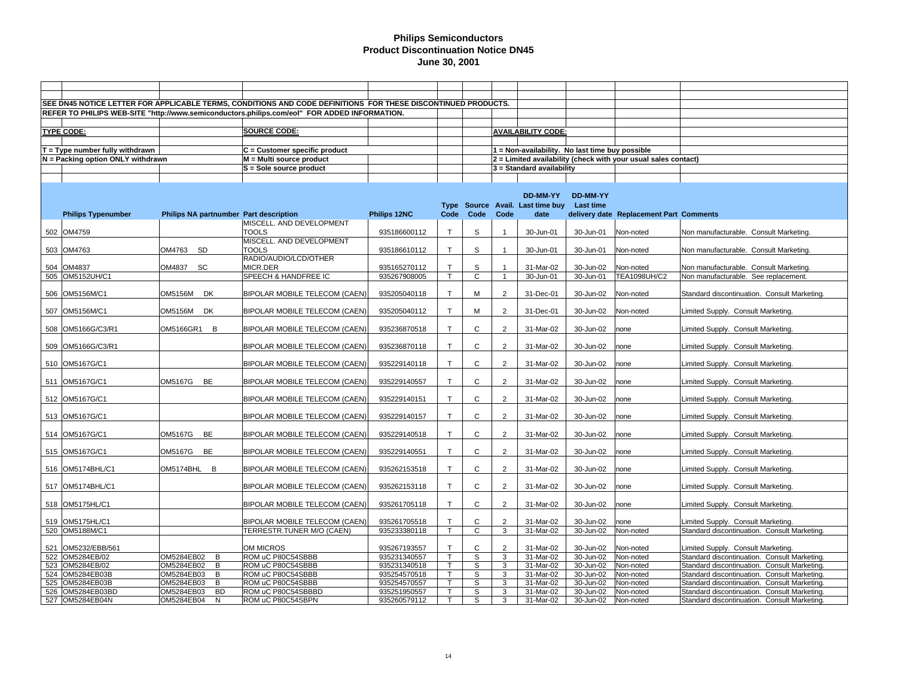|     |                                   |                                        | SEE DN45 NOTICE LETTER FOR APPLICABLE TERMS, CONDITIONS AND CODE DEFINITIONS FOR THESE DISCONTINUED PRODUCTS. |              |              |                |                |                                                 |                 |                                                                |                                              |
|-----|-----------------------------------|----------------------------------------|---------------------------------------------------------------------------------------------------------------|--------------|--------------|----------------|----------------|-------------------------------------------------|-----------------|----------------------------------------------------------------|----------------------------------------------|
|     |                                   |                                        | REFER TO PHILIPS WEB-SITE "http://www.semiconductors.philips.com/eol" FOR ADDED INFORMATION.                  |              |              |                |                |                                                 |                 |                                                                |                                              |
|     |                                   |                                        |                                                                                                               |              |              |                |                |                                                 |                 |                                                                |                                              |
|     | TYPE CODE:                        |                                        | <b>SOURCE CODE:</b>                                                                                           |              |              |                |                | <b>AVAILABILITY CODE:</b>                       |                 |                                                                |                                              |
|     |                                   |                                        |                                                                                                               |              |              |                |                |                                                 |                 |                                                                |                                              |
|     | T = Type number fully withdrawn   |                                        | C = Customer specific product                                                                                 |              |              |                |                | 1 = Non-availability. No last time buy possible |                 |                                                                |                                              |
|     | N = Packing option ONLY withdrawn |                                        | M = Multi source product                                                                                      |              |              |                |                |                                                 |                 | 2 = Limited availability (check with your usual sales contact) |                                              |
|     |                                   |                                        | S = Sole source product                                                                                       |              |              |                |                | 3 = Standard availability                       |                 |                                                                |                                              |
|     |                                   |                                        |                                                                                                               |              |              |                |                |                                                 |                 |                                                                |                                              |
|     |                                   |                                        |                                                                                                               |              |              |                |                |                                                 |                 |                                                                |                                              |
|     |                                   |                                        |                                                                                                               |              |              |                |                | DD-MM-YY                                        | <b>DD-MM-YY</b> |                                                                |                                              |
|     |                                   |                                        |                                                                                                               |              |              |                |                | Type Source Avail. Last time buy                | Last time       |                                                                |                                              |
|     | <b>Philips Typenumber</b>         | Philips NA partnumber Part description |                                                                                                               | Philips 12NC | Code         | Code           | Code           | date                                            |                 | delivery date Replacement Part Comments                        |                                              |
|     |                                   |                                        | MISCELL. AND DEVELOPMENT                                                                                      |              |              |                |                |                                                 |                 |                                                                |                                              |
|     | 502 OM4759                        |                                        | <b>TOOLS</b>                                                                                                  | 935186600112 | $\mathsf{T}$ | S              | $\overline{1}$ | 30-Jun-01                                       | 30-Jun-01       | Non-noted                                                      | Non manufacturable. Consult Marketing.       |
|     |                                   |                                        | MISCELL. AND DEVELOPMENT                                                                                      |              |              |                |                |                                                 |                 |                                                                |                                              |
|     | 503 OM4763                        | OM4763<br>SD                           | <b>TOOLS</b>                                                                                                  | 935186610112 | T.           | S              |                | 30-Jun-01                                       | 30-Jun-01       | Non-noted                                                      | Non manufacturable. Consult Marketing.       |
|     |                                   |                                        | RADIO/AUDIO/LCD/OTHER                                                                                         |              |              |                |                |                                                 |                 |                                                                |                                              |
|     | 504 OM4837                        | <b>SC</b><br>OM4837                    | MICR.DER                                                                                                      | 935165270112 | T.           | S              | $\overline{1}$ | 31-Mar-02                                       | 30-Jun-02       | Non-noted                                                      | Non manufacturable. Consult Marketing.       |
|     | 505 OM5152UH/C1                   |                                        | SPEECH & HANDFREE IC                                                                                          | 935267908005 |              | $\overline{c}$ |                | 30-Jun-01                                       | 30-Jun-01       | <b>TEA1098UH/C2</b>                                            | Non manufacturable. See replacement.         |
|     |                                   |                                        |                                                                                                               |              |              |                |                |                                                 |                 |                                                                |                                              |
|     | 506 OM5156M/C1                    | <b>OM5156M</b><br>DK                   | <b>BIPOLAR MOBILE TELECOM (CAEN)</b>                                                                          | 935205040118 | T            | М              | $\overline{2}$ | 31-Dec-01                                       | 30-Jun-02       | Non-noted                                                      | Standard discontinuation. Consult Marketing. |
|     |                                   |                                        |                                                                                                               |              |              |                |                |                                                 |                 |                                                                |                                              |
|     | 507   OM5156M/C1                  | OM5156M<br>DK                          | BIPOLAR MOBILE TELECOM (CAEN)                                                                                 | 935205040112 | T            | М              | $\overline{2}$ | 31-Dec-01                                       | 30-Jun-02       | Non-noted                                                      | Limited Supply. Consult Marketing.           |
|     |                                   |                                        |                                                                                                               |              |              |                |                |                                                 |                 |                                                                |                                              |
|     | 508 OM5166G/C3/R1                 | OM5166GR1 B                            | BIPOLAR MOBILE TELECOM (CAEN)                                                                                 | 935236870518 | T            | C              | $\overline{2}$ | 31-Mar-02                                       | 30-Jun-02       | none                                                           | Limited Supply. Consult Marketing.           |
|     |                                   |                                        |                                                                                                               |              |              |                |                |                                                 |                 |                                                                |                                              |
|     | 509 OM5166G/C3/R1                 |                                        | BIPOLAR MOBILE TELECOM (CAEN)                                                                                 | 935236870118 | $\mathsf{T}$ | $\mathsf{C}$   | $\overline{2}$ | 31-Mar-02                                       | 30-Jun-02       | none                                                           | Limited Supply. Consult Marketing.           |
|     |                                   |                                        |                                                                                                               |              | T            | $\mathsf C$    | $\overline{2}$ |                                                 |                 |                                                                |                                              |
|     | 510 OM5167G/C1                    |                                        | <b>BIPOLAR MOBILE TELECOM (CAEN)</b>                                                                          | 935229140118 |              |                |                | 31-Mar-02                                       | 30-Jun-02       | none                                                           | Limited Supply. Consult Marketing.           |
|     | 511 OM5167G/C1                    | OM5167G BE                             | BIPOLAR MOBILE TELECOM (CAEN)                                                                                 | 935229140557 | $\mathsf{T}$ | $\mathsf C$    | $\overline{2}$ | 31-Mar-02                                       | 30-Jun-02       | none                                                           | Limited Supply. Consult Marketing.           |
|     |                                   |                                        |                                                                                                               |              |              |                |                |                                                 |                 |                                                                |                                              |
|     | 512 OM5167G/C1                    |                                        | BIPOLAR MOBILE TELECOM (CAEN)                                                                                 | 935229140151 | T            | C              | $\overline{2}$ | 31-Mar-02                                       | 30-Jun-02       | none                                                           | Limited Supply. Consult Marketing.           |
|     |                                   |                                        |                                                                                                               |              |              |                |                |                                                 |                 |                                                                |                                              |
|     | 513 OM5167G/C1                    |                                        | <b>BIPOLAR MOBILE TELECOM (CAEN)</b>                                                                          | 935229140157 | T            | $\mathsf{C}$   | $\mathcal{P}$  | 31-Mar-02                                       | 30-Jun-02       | none                                                           | Limited Supply. Consult Marketing.           |
|     |                                   |                                        |                                                                                                               |              |              |                |                |                                                 |                 |                                                                |                                              |
|     | 514 OM5167G/C1                    | OM5167G<br>BE                          | <b>BIPOLAR MOBILE TELECOM (CAEN)</b>                                                                          | 935229140518 | T.           | $\mathsf C$    | $\overline{2}$ | 31-Mar-02                                       | 30-Jun-02       | none                                                           | Limited Supply. Consult Marketing.           |
|     |                                   |                                        |                                                                                                               |              |              |                |                |                                                 |                 |                                                                |                                              |
|     | 515 OM5167G/C1                    | BE<br>OM5167G                          | <b>BIPOLAR MOBILE TELECOM (CAEN)</b>                                                                          | 935229140551 | T            | $\mathsf C$    | $\overline{2}$ | 31-Mar-02                                       | 30-Jun-02       | none                                                           | Limited Supply. Consult Marketing.           |
|     |                                   |                                        |                                                                                                               |              |              |                |                |                                                 |                 |                                                                |                                              |
|     | 516   OM5174BHL/C1                | OM5174BHL B                            | BIPOLAR MOBILE TELECOM (CAEN)                                                                                 | 935262153518 | T.           | C              | $\overline{2}$ | 31-Mar-02                                       | 30-Jun-02       | none                                                           | Limited Supply. Consult Marketing.           |
|     |                                   |                                        |                                                                                                               |              |              |                |                |                                                 |                 |                                                                |                                              |
|     | 517 OM5174BHL/C1                  |                                        | <b>BIPOLAR MOBILE TELECOM (CAEN)</b>                                                                          | 935262153118 | T            | $\mathsf{C}$   | $\overline{2}$ | 31-Mar-02                                       | 30-Jun-02       | none                                                           | Limited Supply. Consult Marketing.           |
|     |                                   |                                        |                                                                                                               |              | T            | $\mathsf C$    |                |                                                 |                 |                                                                |                                              |
|     | 518 OM5175HL/C1                   |                                        | <b>BIPOLAR MOBILE TELECOM (CAEN)</b>                                                                          | 935261705118 |              |                | $\overline{2}$ | 31-Mar-02                                       | 30-Jun-02       | none                                                           | Limited Supply. Consult Marketing.           |
|     | 519 OM5175HL/C1                   |                                        | <b>BIPOLAR MOBILE TELECOM (CAEN)</b>                                                                          | 935261705518 |              | $\mathsf C$    | $\overline{2}$ | 31-Mar-02                                       | 30-Jun-02       | none                                                           | Limited Supply. Consult Marketing.           |
|     | 520 OM5188M/C1                    |                                        | TERRESTR.TUNER M/O (CAEN)                                                                                     | 935233380118 | T            | C              | 3              | 31-Mar-02                                       | 30-Jun-02       | Non-noted                                                      | Standard discontinuation. Consult Marketing. |
|     |                                   |                                        |                                                                                                               |              |              |                |                |                                                 |                 |                                                                |                                              |
|     | 521 OM5232/EBB/561                |                                        | OM MICROS                                                                                                     | 935267193557 | T            | $\mathsf{C}$   | $\overline{2}$ | 31-Mar-02                                       | 30-Jun-02       | Non-noted                                                      | Limited Supply. Consult Marketing.           |
|     | 522 OM5284EB/02                   | OM5284EB02<br>B                        | ROM uC P80C54SBBB                                                                                             | 935231340557 |              | S              | 3              | 31-Mar-02                                       | 30-Jun-02       | Non-noted                                                      | Standard discontinuation. Consult Marketing. |
|     | 523 OM5284EB/02                   | OM5284EB02<br>B                        | ROM uC P80C54SBBB                                                                                             | 935231340518 |              | S              | 3              | 31-Mar-02                                       | 30-Jun-02       | Non-noted                                                      | Standard discontinuation. Consult Marketing. |
|     | 524 OM5284EB03B                   | OM5284EB03<br>B                        | ROM uC P80C54SBBB                                                                                             | 935254570518 |              | s              | 3              | $31-Mar-02$                                     | 30-Jun-02       | Non-noted                                                      | Standard discontinuation. Consult Marketing. |
| 525 | OM5284EB03B                       | OM5284EB03<br>B                        | ROM uC P80C54SBBB                                                                                             | 935254570557 |              | S              | 3              | 31-Mar-02                                       | 30-Jun-02       | Non-noted                                                      | Standard discontinuation. Consult Marketing  |
|     | 526 OM5284EB03BD                  | OM5284EB03<br><b>BD</b>                | ROM uC P80C54SBBBD                                                                                            | 935251950557 |              | s              | 3              | $31-Mar-02$                                     | 30-Jun-02       | Non-noted                                                      | Standard discontinuation. Consult Marketing. |
|     | 527 OM5284EB04N                   | OM5284EB04<br>N                        | ROM uC P80C54SBPN                                                                                             | 935260579112 | T.           | S              | 3              | 31-Mar-02                                       | 30-Jun-02       | Non-noted                                                      | Standard discontinuation. Consult Marketing  |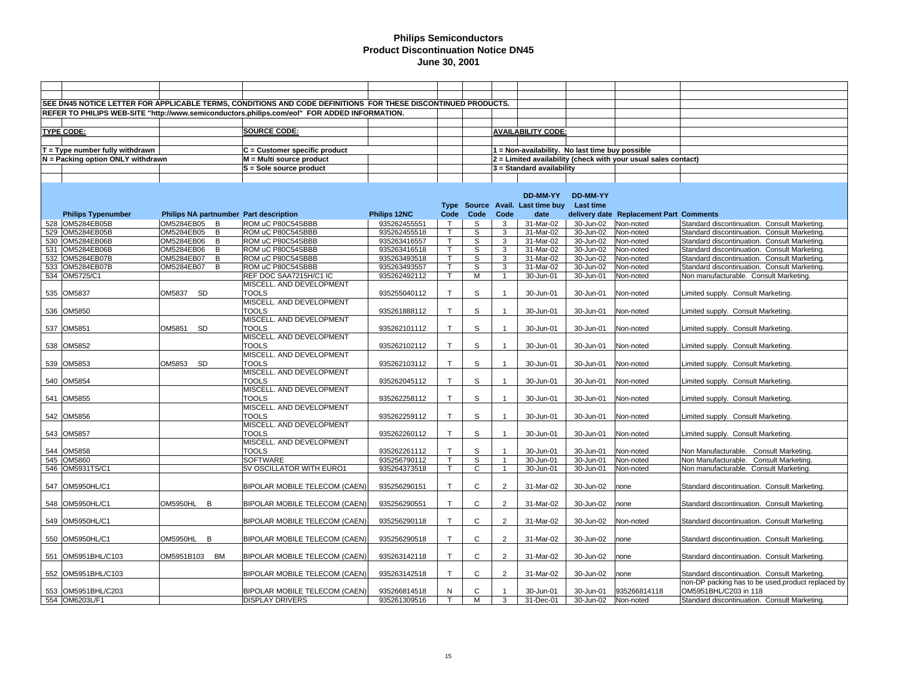| SEE DN45 NOTICE LETTER FOR APPLICABLE TERMS, CONDITIONS AND CODE DEFINITIONS FOR THESE DISCONTINUED PRODUCTS.<br>REFER TO PHILIPS WEB-SITE "http://www.semiconductors.philips.com/eol" FOR ADDED INFORMATION.<br><b>TYPE CODE:</b><br><b>SOURCE CODE:</b><br><b>AVAILABILITY CODE:</b><br>T = Type number fully withdrawn<br>C = Customer specific product<br>1 = Non-availability. No last time buy possible<br>M = Multi source product<br>N = Packing option ONLY withdrawn<br>2 = Limited availability (check with your usual sales contact)<br>S = Sole source product<br>3 = Standard availability<br>DD-MM-YY<br>DD-MM-YY<br>Source Avail. Last time buy<br>Last time<br>Type<br>Philips NA partnumber Part description<br>Philips 12NC<br>Code<br>Code<br>Code<br>date<br>delivery date Replacement Part Comments<br><b>Philips Typenumber</b><br>528 OM5284EB05B<br>OM5284EB05<br>ROM uC P80C54SBBB<br>935262455551<br>31-Mar-02<br>30-Jun-02<br>Non-noted<br>B<br>S<br>3<br>Standard discontinuation. Consult Marketing<br>529 OM5284EB05B<br>OM5284EB05<br>ROM uC P80C54SBBB<br>935262455518<br>S<br>3<br>31-Mar-02<br>30-Jun-02<br>Standard discontinuation. Consult Marketing.<br>B<br>Non-noted<br>OM5284EB06<br>ROM uC P80C54SBBB<br>935263416557<br>S<br>3<br>530 OM5284EB06B<br>31-Mar-02<br>Non-noted<br>Standard discontinuation. Consult Marketing.<br>B<br>$\mathsf{T}$<br>30-Jun-02<br>$31$ -Mar-02<br>531 OM5284EB06B<br>OM5284EB06<br>B<br>ROM uC P80C54SBBB<br>935263416518<br>S<br>3<br>30-Jun-02<br>Non-noted<br>Standard discontinuation. Consult Marketing.<br>T<br>$\overline{\mathsf{s}}$<br>31-Mar-02<br>532 OM5284EB07B<br>OM5284EB07<br>B<br>ROM uC P80C54SBBB<br>935263493518<br>3<br>$30 - Jun-02$<br>Standard discontinuation. Consult Marketing.<br>Non-noted<br>S<br>3<br>533 OM5284EB07B<br>OM5284EB07<br>B<br>ROM uC P80C54SBBB<br>935263493557<br>31-Mar-02<br>30-Jun-02<br>Non-noted<br>Standard discontinuation. Consult Marketing.<br>T<br>534 OM5725/C1<br>REF DOC SAA7215H/C1 IC<br>935262492112<br>М<br>30-Jun-01<br>30-Jun-01<br>Non-noted<br>Non manufacturable. Consult Marketing.<br>T<br>$\overline{1}$<br>MISCELL. AND DEVELOPMENT<br><b>TOOLS</b><br>T<br>S<br>535 OM5837<br>OM5837 SD<br>935255040112<br>30-Jun-01<br>30-Jun-01<br>Non-noted<br>Limited supply. Consult Marketing.<br>MISCELL. AND DEVELOPMENT<br><b>TOOLS</b><br>T.<br>S<br>536 OM5850<br>935261888112<br>30-Jun-01<br>30-Jun-01<br>Non-noted<br>Limited supply. Consult Marketing.<br>MISCELL. AND DEVELOPMENT<br><b>TOOLS</b><br>S<br>537 OM5851<br>OM5851<br>935262101112<br>T.<br>30-Jun-01<br>30-Jun-01<br><b>SD</b><br>Non-noted<br>Limited supply. Consult Marketing.<br>MISCELL. AND DEVELOPMENT<br><b>TOOLS</b><br>T<br>S<br>538 OM5852<br>935262102112<br>30-Jun-01<br>30-Jun-01<br>Non-noted<br>Limited supply. Consult Marketing.<br>MISCELL. AND DEVELOPMENT<br><b>TOOLS</b><br>OM5853<br>T<br>S<br>539 OM5853<br>SD<br>935262103112<br>30-Jun-01<br>30-Jun-01<br>Non-noted<br>Limited supply. Consult Marketing.<br>MISCELL. AND DEVELOPMENT<br><b>TOOLS</b><br>S<br>540 OM5854<br>$\mathsf{T}$<br>935262045112<br>30-Jun-01<br>30-Jun-01<br>Non-noted<br>Limited supply. Consult Marketing.<br>MISCELL. AND DEVELOPMENT<br><b>TOOLS</b><br>T.<br>S<br>541 OM5855<br>935262258112<br>30-Jun-01<br>30-Jun-01<br>Non-noted<br>Limited supply. Consult Marketing.<br>MISCELL. AND DEVELOPMENT<br><b>TOOLS</b><br>T<br>S<br>542 OM5856<br>935262259112<br>30-Jun-01<br>30-Jun-01<br>Limited supply. Consult Marketing.<br>Non-noted<br>MISCELL. AND DEVELOPMENT<br><b>TOOLS</b><br>$\mathbb S$<br>$\mathsf{T}$<br>543 OM5857<br>935262260112<br>30-Jun-01<br>30-Jun-01<br>Non-noted<br>Limited supply. Consult Marketing.<br>MISCELL. AND DEVELOPMENT<br><b>TOOLS</b><br>T<br>S<br>544 OM5858<br>30-Jun-01<br>30-Jun-01<br>935262261112<br>Non-noted<br>Non Manufacturable. Consult Marketing.<br>545 OM5860<br><b>SOFTWARE</b><br>935256790112<br>S<br>30-Jun-01<br>30-Jun-01<br>Non-noted<br>Non Manufacturable. Consult Marketing.<br>т<br>$\overline{1}$<br>546 OM5931TS/C1<br>5V OSCILLATOR WITH EURO1<br>935264373518<br>$\mathsf{T}$<br>C<br>$\overline{1}$<br>30-Jun-01<br>Non manufacturable. Consult Marketing.<br>30-Jun-01<br>Non-noted<br>$\mathsf C$<br>547 OM5950HL/C1<br>T<br>$\overline{2}$<br>31-Mar-02<br>BIPOLAR MOBILE TELECOM (CAEN)<br>935256290151<br>30-Jun-02<br>Standard discontinuation. Consult Marketing.<br>none<br>OM5950HL<br>$\mathsf{C}$<br>$\overline{2}$<br>548 OM5950HL/C1<br>B<br>935256290551<br>T<br>31-Mar-02<br>30-Jun-02<br>BIPOLAR MOBILE TELECOM (CAEN)<br>none<br>Standard discontinuation. Consult Marketing.<br>$\mathsf{C}$<br>$\overline{2}$<br>31-Mar-02<br>549 OM5950HL/C1<br>935256290118<br>$\mathsf{T}$<br>30-Jun-02<br>BIPOLAR MOBILE TELECOM (CAEN)<br>Non-noted<br>Standard discontinuation. Consult Marketing.<br>B<br>T<br>C<br>2<br>31-Mar-02<br>550 OM5950HL/C1<br><b>OM5950HL</b><br>BIPOLAR MOBILE TELECOM (CAEN)<br>935256290518<br>30-Jun-02<br>Standard discontinuation. Consult Marketing.<br>none<br>$\mathsf{C}$<br>OM5951B103 BM<br>T<br>$\overline{2}$<br>31-Mar-02<br>551 OM5951BHL/C103<br>BIPOLAR MOBILE TELECOM (CAEN)<br>935263142118<br>30-Jun-02<br>Standard discontinuation. Consult Marketing.<br>none<br>$\mathsf{C}$<br>552 OM5951BHL/C103<br>935263142518<br>T.<br>$\overline{2}$<br>31-Mar-02<br>30-Jun-02<br>Standard discontinuation. Consult Marketing.<br>BIPOLAR MOBILE TELECOM (CAEN)<br>none<br>non-DP packing has to be used, product replaced by<br>C<br>935266814118<br>OM5951BHL/C203 in 118<br>553 OM5951BHL/C203<br><b>BIPOLAR MOBILE TELECOM (CAEN)</b><br>935266814518<br>N<br>30-Jun-01<br>30-Jun-01<br>554 OM6203L/F1<br>M<br>3<br>31-Dec-01<br><b>DISPLAY DRIVERS</b><br>935261309516<br>30-Jun-02<br>Non-noted<br>Standard discontinuation. Consult Marketing.<br>$\mathsf{T}$ |  |  |  |  |  |  |
|----------------------------------------------------------------------------------------------------------------------------------------------------------------------------------------------------------------------------------------------------------------------------------------------------------------------------------------------------------------------------------------------------------------------------------------------------------------------------------------------------------------------------------------------------------------------------------------------------------------------------------------------------------------------------------------------------------------------------------------------------------------------------------------------------------------------------------------------------------------------------------------------------------------------------------------------------------------------------------------------------------------------------------------------------------------------------------------------------------------------------------------------------------------------------------------------------------------------------------------------------------------------------------------------------------------------------------------------------------------------------------------------------------------------------------------------------------------------------------------------------------------------------------------------------------------------------------------------------------------------------------------------------------------------------------------------------------------------------------------------------------------------------------------------------------------------------------------------------------------------------------------------------------------------------------------------------------------------------------------------------------------------------------------------------------------------------------------------------------------------------------------------------------------------------------------------------------------------------------------------------------------------------------------------------------------------------------------------------------------------------------------------------------------------------------------------------------------------------------------------------------------------------------------------------------------------------------------------------------------------------------------------------------------------------------------------------------------------------------------------------------------------------------------------------------------------------------------------------------------------------------------------------------------------------------------------------------------------------------------------------------------------------------------------------------------------------------------------------------------------------------------------------------------------------------------------------------------------------------------------------------------------------------------------------------------------------------------------------------------------------------------------------------------------------------------------------------------------------------------------------------------------------------------------------------------------------------------------------------------------------------------------------------------------------------------------------------------------------------------------------------------------------------------------------------------------------------------------------------------------------------------------------------------------------------------------------------------------------------------------------------------------------------------------------------------------------------------------------------------------------------------------------------------------------------------------------------------------------------------------------------------------------------------------------------------------------------------------------------------------------------------------------------------------------------------------------------------------------------------------------------------------------------------------------------------------------------------------------------------------------------------------------------------------------------------------------------------------------------------------------------------------------------------------------------------------------------------------------------------------------------------------------------------------------------------------------------------------------------------------------------------------------------------------------------------------------------------------------------------------------------------------------------------------------------------------------------------------------------------------------------------------------------------------------------------------------------------------------------------------------------------------------------------------------------------------------------------------------------------------------------------------------------------------------------------------------------------------------------------------------------------------------------------------------------------------------------------------------------------------------------------------------------------------------------------------------------------------------------------------------------------------------------------------------|--|--|--|--|--|--|
|                                                                                                                                                                                                                                                                                                                                                                                                                                                                                                                                                                                                                                                                                                                                                                                                                                                                                                                                                                                                                                                                                                                                                                                                                                                                                                                                                                                                                                                                                                                                                                                                                                                                                                                                                                                                                                                                                                                                                                                                                                                                                                                                                                                                                                                                                                                                                                                                                                                                                                                                                                                                                                                                                                                                                                                                                                                                                                                                                                                                                                                                                                                                                                                                                                                                                                                                                                                                                                                                                                                                                                                                                                                                                                                                                                                                                                                                                                                                                                                                                                                                                                                                                                                                                                                                                                                                                                                                                                                                                                                                                                                                                                                                                                                                                                                                                                                                                                                                                                                                                                                                                                                                                                                                                                                                                                                                                                                                                                                                                                                                                                                                                                                                                                                                                                                                                                                                                                                            |  |  |  |  |  |  |
|                                                                                                                                                                                                                                                                                                                                                                                                                                                                                                                                                                                                                                                                                                                                                                                                                                                                                                                                                                                                                                                                                                                                                                                                                                                                                                                                                                                                                                                                                                                                                                                                                                                                                                                                                                                                                                                                                                                                                                                                                                                                                                                                                                                                                                                                                                                                                                                                                                                                                                                                                                                                                                                                                                                                                                                                                                                                                                                                                                                                                                                                                                                                                                                                                                                                                                                                                                                                                                                                                                                                                                                                                                                                                                                                                                                                                                                                                                                                                                                                                                                                                                                                                                                                                                                                                                                                                                                                                                                                                                                                                                                                                                                                                                                                                                                                                                                                                                                                                                                                                                                                                                                                                                                                                                                                                                                                                                                                                                                                                                                                                                                                                                                                                                                                                                                                                                                                                                                            |  |  |  |  |  |  |
|                                                                                                                                                                                                                                                                                                                                                                                                                                                                                                                                                                                                                                                                                                                                                                                                                                                                                                                                                                                                                                                                                                                                                                                                                                                                                                                                                                                                                                                                                                                                                                                                                                                                                                                                                                                                                                                                                                                                                                                                                                                                                                                                                                                                                                                                                                                                                                                                                                                                                                                                                                                                                                                                                                                                                                                                                                                                                                                                                                                                                                                                                                                                                                                                                                                                                                                                                                                                                                                                                                                                                                                                                                                                                                                                                                                                                                                                                                                                                                                                                                                                                                                                                                                                                                                                                                                                                                                                                                                                                                                                                                                                                                                                                                                                                                                                                                                                                                                                                                                                                                                                                                                                                                                                                                                                                                                                                                                                                                                                                                                                                                                                                                                                                                                                                                                                                                                                                                                            |  |  |  |  |  |  |
|                                                                                                                                                                                                                                                                                                                                                                                                                                                                                                                                                                                                                                                                                                                                                                                                                                                                                                                                                                                                                                                                                                                                                                                                                                                                                                                                                                                                                                                                                                                                                                                                                                                                                                                                                                                                                                                                                                                                                                                                                                                                                                                                                                                                                                                                                                                                                                                                                                                                                                                                                                                                                                                                                                                                                                                                                                                                                                                                                                                                                                                                                                                                                                                                                                                                                                                                                                                                                                                                                                                                                                                                                                                                                                                                                                                                                                                                                                                                                                                                                                                                                                                                                                                                                                                                                                                                                                                                                                                                                                                                                                                                                                                                                                                                                                                                                                                                                                                                                                                                                                                                                                                                                                                                                                                                                                                                                                                                                                                                                                                                                                                                                                                                                                                                                                                                                                                                                                                            |  |  |  |  |  |  |
|                                                                                                                                                                                                                                                                                                                                                                                                                                                                                                                                                                                                                                                                                                                                                                                                                                                                                                                                                                                                                                                                                                                                                                                                                                                                                                                                                                                                                                                                                                                                                                                                                                                                                                                                                                                                                                                                                                                                                                                                                                                                                                                                                                                                                                                                                                                                                                                                                                                                                                                                                                                                                                                                                                                                                                                                                                                                                                                                                                                                                                                                                                                                                                                                                                                                                                                                                                                                                                                                                                                                                                                                                                                                                                                                                                                                                                                                                                                                                                                                                                                                                                                                                                                                                                                                                                                                                                                                                                                                                                                                                                                                                                                                                                                                                                                                                                                                                                                                                                                                                                                                                                                                                                                                                                                                                                                                                                                                                                                                                                                                                                                                                                                                                                                                                                                                                                                                                                                            |  |  |  |  |  |  |
|                                                                                                                                                                                                                                                                                                                                                                                                                                                                                                                                                                                                                                                                                                                                                                                                                                                                                                                                                                                                                                                                                                                                                                                                                                                                                                                                                                                                                                                                                                                                                                                                                                                                                                                                                                                                                                                                                                                                                                                                                                                                                                                                                                                                                                                                                                                                                                                                                                                                                                                                                                                                                                                                                                                                                                                                                                                                                                                                                                                                                                                                                                                                                                                                                                                                                                                                                                                                                                                                                                                                                                                                                                                                                                                                                                                                                                                                                                                                                                                                                                                                                                                                                                                                                                                                                                                                                                                                                                                                                                                                                                                                                                                                                                                                                                                                                                                                                                                                                                                                                                                                                                                                                                                                                                                                                                                                                                                                                                                                                                                                                                                                                                                                                                                                                                                                                                                                                                                            |  |  |  |  |  |  |
|                                                                                                                                                                                                                                                                                                                                                                                                                                                                                                                                                                                                                                                                                                                                                                                                                                                                                                                                                                                                                                                                                                                                                                                                                                                                                                                                                                                                                                                                                                                                                                                                                                                                                                                                                                                                                                                                                                                                                                                                                                                                                                                                                                                                                                                                                                                                                                                                                                                                                                                                                                                                                                                                                                                                                                                                                                                                                                                                                                                                                                                                                                                                                                                                                                                                                                                                                                                                                                                                                                                                                                                                                                                                                                                                                                                                                                                                                                                                                                                                                                                                                                                                                                                                                                                                                                                                                                                                                                                                                                                                                                                                                                                                                                                                                                                                                                                                                                                                                                                                                                                                                                                                                                                                                                                                                                                                                                                                                                                                                                                                                                                                                                                                                                                                                                                                                                                                                                                            |  |  |  |  |  |  |
|                                                                                                                                                                                                                                                                                                                                                                                                                                                                                                                                                                                                                                                                                                                                                                                                                                                                                                                                                                                                                                                                                                                                                                                                                                                                                                                                                                                                                                                                                                                                                                                                                                                                                                                                                                                                                                                                                                                                                                                                                                                                                                                                                                                                                                                                                                                                                                                                                                                                                                                                                                                                                                                                                                                                                                                                                                                                                                                                                                                                                                                                                                                                                                                                                                                                                                                                                                                                                                                                                                                                                                                                                                                                                                                                                                                                                                                                                                                                                                                                                                                                                                                                                                                                                                                                                                                                                                                                                                                                                                                                                                                                                                                                                                                                                                                                                                                                                                                                                                                                                                                                                                                                                                                                                                                                                                                                                                                                                                                                                                                                                                                                                                                                                                                                                                                                                                                                                                                            |  |  |  |  |  |  |
|                                                                                                                                                                                                                                                                                                                                                                                                                                                                                                                                                                                                                                                                                                                                                                                                                                                                                                                                                                                                                                                                                                                                                                                                                                                                                                                                                                                                                                                                                                                                                                                                                                                                                                                                                                                                                                                                                                                                                                                                                                                                                                                                                                                                                                                                                                                                                                                                                                                                                                                                                                                                                                                                                                                                                                                                                                                                                                                                                                                                                                                                                                                                                                                                                                                                                                                                                                                                                                                                                                                                                                                                                                                                                                                                                                                                                                                                                                                                                                                                                                                                                                                                                                                                                                                                                                                                                                                                                                                                                                                                                                                                                                                                                                                                                                                                                                                                                                                                                                                                                                                                                                                                                                                                                                                                                                                                                                                                                                                                                                                                                                                                                                                                                                                                                                                                                                                                                                                            |  |  |  |  |  |  |
|                                                                                                                                                                                                                                                                                                                                                                                                                                                                                                                                                                                                                                                                                                                                                                                                                                                                                                                                                                                                                                                                                                                                                                                                                                                                                                                                                                                                                                                                                                                                                                                                                                                                                                                                                                                                                                                                                                                                                                                                                                                                                                                                                                                                                                                                                                                                                                                                                                                                                                                                                                                                                                                                                                                                                                                                                                                                                                                                                                                                                                                                                                                                                                                                                                                                                                                                                                                                                                                                                                                                                                                                                                                                                                                                                                                                                                                                                                                                                                                                                                                                                                                                                                                                                                                                                                                                                                                                                                                                                                                                                                                                                                                                                                                                                                                                                                                                                                                                                                                                                                                                                                                                                                                                                                                                                                                                                                                                                                                                                                                                                                                                                                                                                                                                                                                                                                                                                                                            |  |  |  |  |  |  |
|                                                                                                                                                                                                                                                                                                                                                                                                                                                                                                                                                                                                                                                                                                                                                                                                                                                                                                                                                                                                                                                                                                                                                                                                                                                                                                                                                                                                                                                                                                                                                                                                                                                                                                                                                                                                                                                                                                                                                                                                                                                                                                                                                                                                                                                                                                                                                                                                                                                                                                                                                                                                                                                                                                                                                                                                                                                                                                                                                                                                                                                                                                                                                                                                                                                                                                                                                                                                                                                                                                                                                                                                                                                                                                                                                                                                                                                                                                                                                                                                                                                                                                                                                                                                                                                                                                                                                                                                                                                                                                                                                                                                                                                                                                                                                                                                                                                                                                                                                                                                                                                                                                                                                                                                                                                                                                                                                                                                                                                                                                                                                                                                                                                                                                                                                                                                                                                                                                                            |  |  |  |  |  |  |
|                                                                                                                                                                                                                                                                                                                                                                                                                                                                                                                                                                                                                                                                                                                                                                                                                                                                                                                                                                                                                                                                                                                                                                                                                                                                                                                                                                                                                                                                                                                                                                                                                                                                                                                                                                                                                                                                                                                                                                                                                                                                                                                                                                                                                                                                                                                                                                                                                                                                                                                                                                                                                                                                                                                                                                                                                                                                                                                                                                                                                                                                                                                                                                                                                                                                                                                                                                                                                                                                                                                                                                                                                                                                                                                                                                                                                                                                                                                                                                                                                                                                                                                                                                                                                                                                                                                                                                                                                                                                                                                                                                                                                                                                                                                                                                                                                                                                                                                                                                                                                                                                                                                                                                                                                                                                                                                                                                                                                                                                                                                                                                                                                                                                                                                                                                                                                                                                                                                            |  |  |  |  |  |  |
|                                                                                                                                                                                                                                                                                                                                                                                                                                                                                                                                                                                                                                                                                                                                                                                                                                                                                                                                                                                                                                                                                                                                                                                                                                                                                                                                                                                                                                                                                                                                                                                                                                                                                                                                                                                                                                                                                                                                                                                                                                                                                                                                                                                                                                                                                                                                                                                                                                                                                                                                                                                                                                                                                                                                                                                                                                                                                                                                                                                                                                                                                                                                                                                                                                                                                                                                                                                                                                                                                                                                                                                                                                                                                                                                                                                                                                                                                                                                                                                                                                                                                                                                                                                                                                                                                                                                                                                                                                                                                                                                                                                                                                                                                                                                                                                                                                                                                                                                                                                                                                                                                                                                                                                                                                                                                                                                                                                                                                                                                                                                                                                                                                                                                                                                                                                                                                                                                                                            |  |  |  |  |  |  |
|                                                                                                                                                                                                                                                                                                                                                                                                                                                                                                                                                                                                                                                                                                                                                                                                                                                                                                                                                                                                                                                                                                                                                                                                                                                                                                                                                                                                                                                                                                                                                                                                                                                                                                                                                                                                                                                                                                                                                                                                                                                                                                                                                                                                                                                                                                                                                                                                                                                                                                                                                                                                                                                                                                                                                                                                                                                                                                                                                                                                                                                                                                                                                                                                                                                                                                                                                                                                                                                                                                                                                                                                                                                                                                                                                                                                                                                                                                                                                                                                                                                                                                                                                                                                                                                                                                                                                                                                                                                                                                                                                                                                                                                                                                                                                                                                                                                                                                                                                                                                                                                                                                                                                                                                                                                                                                                                                                                                                                                                                                                                                                                                                                                                                                                                                                                                                                                                                                                            |  |  |  |  |  |  |
|                                                                                                                                                                                                                                                                                                                                                                                                                                                                                                                                                                                                                                                                                                                                                                                                                                                                                                                                                                                                                                                                                                                                                                                                                                                                                                                                                                                                                                                                                                                                                                                                                                                                                                                                                                                                                                                                                                                                                                                                                                                                                                                                                                                                                                                                                                                                                                                                                                                                                                                                                                                                                                                                                                                                                                                                                                                                                                                                                                                                                                                                                                                                                                                                                                                                                                                                                                                                                                                                                                                                                                                                                                                                                                                                                                                                                                                                                                                                                                                                                                                                                                                                                                                                                                                                                                                                                                                                                                                                                                                                                                                                                                                                                                                                                                                                                                                                                                                                                                                                                                                                                                                                                                                                                                                                                                                                                                                                                                                                                                                                                                                                                                                                                                                                                                                                                                                                                                                            |  |  |  |  |  |  |
|                                                                                                                                                                                                                                                                                                                                                                                                                                                                                                                                                                                                                                                                                                                                                                                                                                                                                                                                                                                                                                                                                                                                                                                                                                                                                                                                                                                                                                                                                                                                                                                                                                                                                                                                                                                                                                                                                                                                                                                                                                                                                                                                                                                                                                                                                                                                                                                                                                                                                                                                                                                                                                                                                                                                                                                                                                                                                                                                                                                                                                                                                                                                                                                                                                                                                                                                                                                                                                                                                                                                                                                                                                                                                                                                                                                                                                                                                                                                                                                                                                                                                                                                                                                                                                                                                                                                                                                                                                                                                                                                                                                                                                                                                                                                                                                                                                                                                                                                                                                                                                                                                                                                                                                                                                                                                                                                                                                                                                                                                                                                                                                                                                                                                                                                                                                                                                                                                                                            |  |  |  |  |  |  |
|                                                                                                                                                                                                                                                                                                                                                                                                                                                                                                                                                                                                                                                                                                                                                                                                                                                                                                                                                                                                                                                                                                                                                                                                                                                                                                                                                                                                                                                                                                                                                                                                                                                                                                                                                                                                                                                                                                                                                                                                                                                                                                                                                                                                                                                                                                                                                                                                                                                                                                                                                                                                                                                                                                                                                                                                                                                                                                                                                                                                                                                                                                                                                                                                                                                                                                                                                                                                                                                                                                                                                                                                                                                                                                                                                                                                                                                                                                                                                                                                                                                                                                                                                                                                                                                                                                                                                                                                                                                                                                                                                                                                                                                                                                                                                                                                                                                                                                                                                                                                                                                                                                                                                                                                                                                                                                                                                                                                                                                                                                                                                                                                                                                                                                                                                                                                                                                                                                                            |  |  |  |  |  |  |
|                                                                                                                                                                                                                                                                                                                                                                                                                                                                                                                                                                                                                                                                                                                                                                                                                                                                                                                                                                                                                                                                                                                                                                                                                                                                                                                                                                                                                                                                                                                                                                                                                                                                                                                                                                                                                                                                                                                                                                                                                                                                                                                                                                                                                                                                                                                                                                                                                                                                                                                                                                                                                                                                                                                                                                                                                                                                                                                                                                                                                                                                                                                                                                                                                                                                                                                                                                                                                                                                                                                                                                                                                                                                                                                                                                                                                                                                                                                                                                                                                                                                                                                                                                                                                                                                                                                                                                                                                                                                                                                                                                                                                                                                                                                                                                                                                                                                                                                                                                                                                                                                                                                                                                                                                                                                                                                                                                                                                                                                                                                                                                                                                                                                                                                                                                                                                                                                                                                            |  |  |  |  |  |  |
|                                                                                                                                                                                                                                                                                                                                                                                                                                                                                                                                                                                                                                                                                                                                                                                                                                                                                                                                                                                                                                                                                                                                                                                                                                                                                                                                                                                                                                                                                                                                                                                                                                                                                                                                                                                                                                                                                                                                                                                                                                                                                                                                                                                                                                                                                                                                                                                                                                                                                                                                                                                                                                                                                                                                                                                                                                                                                                                                                                                                                                                                                                                                                                                                                                                                                                                                                                                                                                                                                                                                                                                                                                                                                                                                                                                                                                                                                                                                                                                                                                                                                                                                                                                                                                                                                                                                                                                                                                                                                                                                                                                                                                                                                                                                                                                                                                                                                                                                                                                                                                                                                                                                                                                                                                                                                                                                                                                                                                                                                                                                                                                                                                                                                                                                                                                                                                                                                                                            |  |  |  |  |  |  |
|                                                                                                                                                                                                                                                                                                                                                                                                                                                                                                                                                                                                                                                                                                                                                                                                                                                                                                                                                                                                                                                                                                                                                                                                                                                                                                                                                                                                                                                                                                                                                                                                                                                                                                                                                                                                                                                                                                                                                                                                                                                                                                                                                                                                                                                                                                                                                                                                                                                                                                                                                                                                                                                                                                                                                                                                                                                                                                                                                                                                                                                                                                                                                                                                                                                                                                                                                                                                                                                                                                                                                                                                                                                                                                                                                                                                                                                                                                                                                                                                                                                                                                                                                                                                                                                                                                                                                                                                                                                                                                                                                                                                                                                                                                                                                                                                                                                                                                                                                                                                                                                                                                                                                                                                                                                                                                                                                                                                                                                                                                                                                                                                                                                                                                                                                                                                                                                                                                                            |  |  |  |  |  |  |
|                                                                                                                                                                                                                                                                                                                                                                                                                                                                                                                                                                                                                                                                                                                                                                                                                                                                                                                                                                                                                                                                                                                                                                                                                                                                                                                                                                                                                                                                                                                                                                                                                                                                                                                                                                                                                                                                                                                                                                                                                                                                                                                                                                                                                                                                                                                                                                                                                                                                                                                                                                                                                                                                                                                                                                                                                                                                                                                                                                                                                                                                                                                                                                                                                                                                                                                                                                                                                                                                                                                                                                                                                                                                                                                                                                                                                                                                                                                                                                                                                                                                                                                                                                                                                                                                                                                                                                                                                                                                                                                                                                                                                                                                                                                                                                                                                                                                                                                                                                                                                                                                                                                                                                                                                                                                                                                                                                                                                                                                                                                                                                                                                                                                                                                                                                                                                                                                                                                            |  |  |  |  |  |  |
|                                                                                                                                                                                                                                                                                                                                                                                                                                                                                                                                                                                                                                                                                                                                                                                                                                                                                                                                                                                                                                                                                                                                                                                                                                                                                                                                                                                                                                                                                                                                                                                                                                                                                                                                                                                                                                                                                                                                                                                                                                                                                                                                                                                                                                                                                                                                                                                                                                                                                                                                                                                                                                                                                                                                                                                                                                                                                                                                                                                                                                                                                                                                                                                                                                                                                                                                                                                                                                                                                                                                                                                                                                                                                                                                                                                                                                                                                                                                                                                                                                                                                                                                                                                                                                                                                                                                                                                                                                                                                                                                                                                                                                                                                                                                                                                                                                                                                                                                                                                                                                                                                                                                                                                                                                                                                                                                                                                                                                                                                                                                                                                                                                                                                                                                                                                                                                                                                                                            |  |  |  |  |  |  |
|                                                                                                                                                                                                                                                                                                                                                                                                                                                                                                                                                                                                                                                                                                                                                                                                                                                                                                                                                                                                                                                                                                                                                                                                                                                                                                                                                                                                                                                                                                                                                                                                                                                                                                                                                                                                                                                                                                                                                                                                                                                                                                                                                                                                                                                                                                                                                                                                                                                                                                                                                                                                                                                                                                                                                                                                                                                                                                                                                                                                                                                                                                                                                                                                                                                                                                                                                                                                                                                                                                                                                                                                                                                                                                                                                                                                                                                                                                                                                                                                                                                                                                                                                                                                                                                                                                                                                                                                                                                                                                                                                                                                                                                                                                                                                                                                                                                                                                                                                                                                                                                                                                                                                                                                                                                                                                                                                                                                                                                                                                                                                                                                                                                                                                                                                                                                                                                                                                                            |  |  |  |  |  |  |
|                                                                                                                                                                                                                                                                                                                                                                                                                                                                                                                                                                                                                                                                                                                                                                                                                                                                                                                                                                                                                                                                                                                                                                                                                                                                                                                                                                                                                                                                                                                                                                                                                                                                                                                                                                                                                                                                                                                                                                                                                                                                                                                                                                                                                                                                                                                                                                                                                                                                                                                                                                                                                                                                                                                                                                                                                                                                                                                                                                                                                                                                                                                                                                                                                                                                                                                                                                                                                                                                                                                                                                                                                                                                                                                                                                                                                                                                                                                                                                                                                                                                                                                                                                                                                                                                                                                                                                                                                                                                                                                                                                                                                                                                                                                                                                                                                                                                                                                                                                                                                                                                                                                                                                                                                                                                                                                                                                                                                                                                                                                                                                                                                                                                                                                                                                                                                                                                                                                            |  |  |  |  |  |  |
|                                                                                                                                                                                                                                                                                                                                                                                                                                                                                                                                                                                                                                                                                                                                                                                                                                                                                                                                                                                                                                                                                                                                                                                                                                                                                                                                                                                                                                                                                                                                                                                                                                                                                                                                                                                                                                                                                                                                                                                                                                                                                                                                                                                                                                                                                                                                                                                                                                                                                                                                                                                                                                                                                                                                                                                                                                                                                                                                                                                                                                                                                                                                                                                                                                                                                                                                                                                                                                                                                                                                                                                                                                                                                                                                                                                                                                                                                                                                                                                                                                                                                                                                                                                                                                                                                                                                                                                                                                                                                                                                                                                                                                                                                                                                                                                                                                                                                                                                                                                                                                                                                                                                                                                                                                                                                                                                                                                                                                                                                                                                                                                                                                                                                                                                                                                                                                                                                                                            |  |  |  |  |  |  |
|                                                                                                                                                                                                                                                                                                                                                                                                                                                                                                                                                                                                                                                                                                                                                                                                                                                                                                                                                                                                                                                                                                                                                                                                                                                                                                                                                                                                                                                                                                                                                                                                                                                                                                                                                                                                                                                                                                                                                                                                                                                                                                                                                                                                                                                                                                                                                                                                                                                                                                                                                                                                                                                                                                                                                                                                                                                                                                                                                                                                                                                                                                                                                                                                                                                                                                                                                                                                                                                                                                                                                                                                                                                                                                                                                                                                                                                                                                                                                                                                                                                                                                                                                                                                                                                                                                                                                                                                                                                                                                                                                                                                                                                                                                                                                                                                                                                                                                                                                                                                                                                                                                                                                                                                                                                                                                                                                                                                                                                                                                                                                                                                                                                                                                                                                                                                                                                                                                                            |  |  |  |  |  |  |
|                                                                                                                                                                                                                                                                                                                                                                                                                                                                                                                                                                                                                                                                                                                                                                                                                                                                                                                                                                                                                                                                                                                                                                                                                                                                                                                                                                                                                                                                                                                                                                                                                                                                                                                                                                                                                                                                                                                                                                                                                                                                                                                                                                                                                                                                                                                                                                                                                                                                                                                                                                                                                                                                                                                                                                                                                                                                                                                                                                                                                                                                                                                                                                                                                                                                                                                                                                                                                                                                                                                                                                                                                                                                                                                                                                                                                                                                                                                                                                                                                                                                                                                                                                                                                                                                                                                                                                                                                                                                                                                                                                                                                                                                                                                                                                                                                                                                                                                                                                                                                                                                                                                                                                                                                                                                                                                                                                                                                                                                                                                                                                                                                                                                                                                                                                                                                                                                                                                            |  |  |  |  |  |  |
|                                                                                                                                                                                                                                                                                                                                                                                                                                                                                                                                                                                                                                                                                                                                                                                                                                                                                                                                                                                                                                                                                                                                                                                                                                                                                                                                                                                                                                                                                                                                                                                                                                                                                                                                                                                                                                                                                                                                                                                                                                                                                                                                                                                                                                                                                                                                                                                                                                                                                                                                                                                                                                                                                                                                                                                                                                                                                                                                                                                                                                                                                                                                                                                                                                                                                                                                                                                                                                                                                                                                                                                                                                                                                                                                                                                                                                                                                                                                                                                                                                                                                                                                                                                                                                                                                                                                                                                                                                                                                                                                                                                                                                                                                                                                                                                                                                                                                                                                                                                                                                                                                                                                                                                                                                                                                                                                                                                                                                                                                                                                                                                                                                                                                                                                                                                                                                                                                                                            |  |  |  |  |  |  |
|                                                                                                                                                                                                                                                                                                                                                                                                                                                                                                                                                                                                                                                                                                                                                                                                                                                                                                                                                                                                                                                                                                                                                                                                                                                                                                                                                                                                                                                                                                                                                                                                                                                                                                                                                                                                                                                                                                                                                                                                                                                                                                                                                                                                                                                                                                                                                                                                                                                                                                                                                                                                                                                                                                                                                                                                                                                                                                                                                                                                                                                                                                                                                                                                                                                                                                                                                                                                                                                                                                                                                                                                                                                                                                                                                                                                                                                                                                                                                                                                                                                                                                                                                                                                                                                                                                                                                                                                                                                                                                                                                                                                                                                                                                                                                                                                                                                                                                                                                                                                                                                                                                                                                                                                                                                                                                                                                                                                                                                                                                                                                                                                                                                                                                                                                                                                                                                                                                                            |  |  |  |  |  |  |
|                                                                                                                                                                                                                                                                                                                                                                                                                                                                                                                                                                                                                                                                                                                                                                                                                                                                                                                                                                                                                                                                                                                                                                                                                                                                                                                                                                                                                                                                                                                                                                                                                                                                                                                                                                                                                                                                                                                                                                                                                                                                                                                                                                                                                                                                                                                                                                                                                                                                                                                                                                                                                                                                                                                                                                                                                                                                                                                                                                                                                                                                                                                                                                                                                                                                                                                                                                                                                                                                                                                                                                                                                                                                                                                                                                                                                                                                                                                                                                                                                                                                                                                                                                                                                                                                                                                                                                                                                                                                                                                                                                                                                                                                                                                                                                                                                                                                                                                                                                                                                                                                                                                                                                                                                                                                                                                                                                                                                                                                                                                                                                                                                                                                                                                                                                                                                                                                                                                            |  |  |  |  |  |  |
|                                                                                                                                                                                                                                                                                                                                                                                                                                                                                                                                                                                                                                                                                                                                                                                                                                                                                                                                                                                                                                                                                                                                                                                                                                                                                                                                                                                                                                                                                                                                                                                                                                                                                                                                                                                                                                                                                                                                                                                                                                                                                                                                                                                                                                                                                                                                                                                                                                                                                                                                                                                                                                                                                                                                                                                                                                                                                                                                                                                                                                                                                                                                                                                                                                                                                                                                                                                                                                                                                                                                                                                                                                                                                                                                                                                                                                                                                                                                                                                                                                                                                                                                                                                                                                                                                                                                                                                                                                                                                                                                                                                                                                                                                                                                                                                                                                                                                                                                                                                                                                                                                                                                                                                                                                                                                                                                                                                                                                                                                                                                                                                                                                                                                                                                                                                                                                                                                                                            |  |  |  |  |  |  |
|                                                                                                                                                                                                                                                                                                                                                                                                                                                                                                                                                                                                                                                                                                                                                                                                                                                                                                                                                                                                                                                                                                                                                                                                                                                                                                                                                                                                                                                                                                                                                                                                                                                                                                                                                                                                                                                                                                                                                                                                                                                                                                                                                                                                                                                                                                                                                                                                                                                                                                                                                                                                                                                                                                                                                                                                                                                                                                                                                                                                                                                                                                                                                                                                                                                                                                                                                                                                                                                                                                                                                                                                                                                                                                                                                                                                                                                                                                                                                                                                                                                                                                                                                                                                                                                                                                                                                                                                                                                                                                                                                                                                                                                                                                                                                                                                                                                                                                                                                                                                                                                                                                                                                                                                                                                                                                                                                                                                                                                                                                                                                                                                                                                                                                                                                                                                                                                                                                                            |  |  |  |  |  |  |
|                                                                                                                                                                                                                                                                                                                                                                                                                                                                                                                                                                                                                                                                                                                                                                                                                                                                                                                                                                                                                                                                                                                                                                                                                                                                                                                                                                                                                                                                                                                                                                                                                                                                                                                                                                                                                                                                                                                                                                                                                                                                                                                                                                                                                                                                                                                                                                                                                                                                                                                                                                                                                                                                                                                                                                                                                                                                                                                                                                                                                                                                                                                                                                                                                                                                                                                                                                                                                                                                                                                                                                                                                                                                                                                                                                                                                                                                                                                                                                                                                                                                                                                                                                                                                                                                                                                                                                                                                                                                                                                                                                                                                                                                                                                                                                                                                                                                                                                                                                                                                                                                                                                                                                                                                                                                                                                                                                                                                                                                                                                                                                                                                                                                                                                                                                                                                                                                                                                            |  |  |  |  |  |  |
|                                                                                                                                                                                                                                                                                                                                                                                                                                                                                                                                                                                                                                                                                                                                                                                                                                                                                                                                                                                                                                                                                                                                                                                                                                                                                                                                                                                                                                                                                                                                                                                                                                                                                                                                                                                                                                                                                                                                                                                                                                                                                                                                                                                                                                                                                                                                                                                                                                                                                                                                                                                                                                                                                                                                                                                                                                                                                                                                                                                                                                                                                                                                                                                                                                                                                                                                                                                                                                                                                                                                                                                                                                                                                                                                                                                                                                                                                                                                                                                                                                                                                                                                                                                                                                                                                                                                                                                                                                                                                                                                                                                                                                                                                                                                                                                                                                                                                                                                                                                                                                                                                                                                                                                                                                                                                                                                                                                                                                                                                                                                                                                                                                                                                                                                                                                                                                                                                                                            |  |  |  |  |  |  |
|                                                                                                                                                                                                                                                                                                                                                                                                                                                                                                                                                                                                                                                                                                                                                                                                                                                                                                                                                                                                                                                                                                                                                                                                                                                                                                                                                                                                                                                                                                                                                                                                                                                                                                                                                                                                                                                                                                                                                                                                                                                                                                                                                                                                                                                                                                                                                                                                                                                                                                                                                                                                                                                                                                                                                                                                                                                                                                                                                                                                                                                                                                                                                                                                                                                                                                                                                                                                                                                                                                                                                                                                                                                                                                                                                                                                                                                                                                                                                                                                                                                                                                                                                                                                                                                                                                                                                                                                                                                                                                                                                                                                                                                                                                                                                                                                                                                                                                                                                                                                                                                                                                                                                                                                                                                                                                                                                                                                                                                                                                                                                                                                                                                                                                                                                                                                                                                                                                                            |  |  |  |  |  |  |
|                                                                                                                                                                                                                                                                                                                                                                                                                                                                                                                                                                                                                                                                                                                                                                                                                                                                                                                                                                                                                                                                                                                                                                                                                                                                                                                                                                                                                                                                                                                                                                                                                                                                                                                                                                                                                                                                                                                                                                                                                                                                                                                                                                                                                                                                                                                                                                                                                                                                                                                                                                                                                                                                                                                                                                                                                                                                                                                                                                                                                                                                                                                                                                                                                                                                                                                                                                                                                                                                                                                                                                                                                                                                                                                                                                                                                                                                                                                                                                                                                                                                                                                                                                                                                                                                                                                                                                                                                                                                                                                                                                                                                                                                                                                                                                                                                                                                                                                                                                                                                                                                                                                                                                                                                                                                                                                                                                                                                                                                                                                                                                                                                                                                                                                                                                                                                                                                                                                            |  |  |  |  |  |  |
|                                                                                                                                                                                                                                                                                                                                                                                                                                                                                                                                                                                                                                                                                                                                                                                                                                                                                                                                                                                                                                                                                                                                                                                                                                                                                                                                                                                                                                                                                                                                                                                                                                                                                                                                                                                                                                                                                                                                                                                                                                                                                                                                                                                                                                                                                                                                                                                                                                                                                                                                                                                                                                                                                                                                                                                                                                                                                                                                                                                                                                                                                                                                                                                                                                                                                                                                                                                                                                                                                                                                                                                                                                                                                                                                                                                                                                                                                                                                                                                                                                                                                                                                                                                                                                                                                                                                                                                                                                                                                                                                                                                                                                                                                                                                                                                                                                                                                                                                                                                                                                                                                                                                                                                                                                                                                                                                                                                                                                                                                                                                                                                                                                                                                                                                                                                                                                                                                                                            |  |  |  |  |  |  |
|                                                                                                                                                                                                                                                                                                                                                                                                                                                                                                                                                                                                                                                                                                                                                                                                                                                                                                                                                                                                                                                                                                                                                                                                                                                                                                                                                                                                                                                                                                                                                                                                                                                                                                                                                                                                                                                                                                                                                                                                                                                                                                                                                                                                                                                                                                                                                                                                                                                                                                                                                                                                                                                                                                                                                                                                                                                                                                                                                                                                                                                                                                                                                                                                                                                                                                                                                                                                                                                                                                                                                                                                                                                                                                                                                                                                                                                                                                                                                                                                                                                                                                                                                                                                                                                                                                                                                                                                                                                                                                                                                                                                                                                                                                                                                                                                                                                                                                                                                                                                                                                                                                                                                                                                                                                                                                                                                                                                                                                                                                                                                                                                                                                                                                                                                                                                                                                                                                                            |  |  |  |  |  |  |
|                                                                                                                                                                                                                                                                                                                                                                                                                                                                                                                                                                                                                                                                                                                                                                                                                                                                                                                                                                                                                                                                                                                                                                                                                                                                                                                                                                                                                                                                                                                                                                                                                                                                                                                                                                                                                                                                                                                                                                                                                                                                                                                                                                                                                                                                                                                                                                                                                                                                                                                                                                                                                                                                                                                                                                                                                                                                                                                                                                                                                                                                                                                                                                                                                                                                                                                                                                                                                                                                                                                                                                                                                                                                                                                                                                                                                                                                                                                                                                                                                                                                                                                                                                                                                                                                                                                                                                                                                                                                                                                                                                                                                                                                                                                                                                                                                                                                                                                                                                                                                                                                                                                                                                                                                                                                                                                                                                                                                                                                                                                                                                                                                                                                                                                                                                                                                                                                                                                            |  |  |  |  |  |  |
|                                                                                                                                                                                                                                                                                                                                                                                                                                                                                                                                                                                                                                                                                                                                                                                                                                                                                                                                                                                                                                                                                                                                                                                                                                                                                                                                                                                                                                                                                                                                                                                                                                                                                                                                                                                                                                                                                                                                                                                                                                                                                                                                                                                                                                                                                                                                                                                                                                                                                                                                                                                                                                                                                                                                                                                                                                                                                                                                                                                                                                                                                                                                                                                                                                                                                                                                                                                                                                                                                                                                                                                                                                                                                                                                                                                                                                                                                                                                                                                                                                                                                                                                                                                                                                                                                                                                                                                                                                                                                                                                                                                                                                                                                                                                                                                                                                                                                                                                                                                                                                                                                                                                                                                                                                                                                                                                                                                                                                                                                                                                                                                                                                                                                                                                                                                                                                                                                                                            |  |  |  |  |  |  |
|                                                                                                                                                                                                                                                                                                                                                                                                                                                                                                                                                                                                                                                                                                                                                                                                                                                                                                                                                                                                                                                                                                                                                                                                                                                                                                                                                                                                                                                                                                                                                                                                                                                                                                                                                                                                                                                                                                                                                                                                                                                                                                                                                                                                                                                                                                                                                                                                                                                                                                                                                                                                                                                                                                                                                                                                                                                                                                                                                                                                                                                                                                                                                                                                                                                                                                                                                                                                                                                                                                                                                                                                                                                                                                                                                                                                                                                                                                                                                                                                                                                                                                                                                                                                                                                                                                                                                                                                                                                                                                                                                                                                                                                                                                                                                                                                                                                                                                                                                                                                                                                                                                                                                                                                                                                                                                                                                                                                                                                                                                                                                                                                                                                                                                                                                                                                                                                                                                                            |  |  |  |  |  |  |
|                                                                                                                                                                                                                                                                                                                                                                                                                                                                                                                                                                                                                                                                                                                                                                                                                                                                                                                                                                                                                                                                                                                                                                                                                                                                                                                                                                                                                                                                                                                                                                                                                                                                                                                                                                                                                                                                                                                                                                                                                                                                                                                                                                                                                                                                                                                                                                                                                                                                                                                                                                                                                                                                                                                                                                                                                                                                                                                                                                                                                                                                                                                                                                                                                                                                                                                                                                                                                                                                                                                                                                                                                                                                                                                                                                                                                                                                                                                                                                                                                                                                                                                                                                                                                                                                                                                                                                                                                                                                                                                                                                                                                                                                                                                                                                                                                                                                                                                                                                                                                                                                                                                                                                                                                                                                                                                                                                                                                                                                                                                                                                                                                                                                                                                                                                                                                                                                                                                            |  |  |  |  |  |  |
|                                                                                                                                                                                                                                                                                                                                                                                                                                                                                                                                                                                                                                                                                                                                                                                                                                                                                                                                                                                                                                                                                                                                                                                                                                                                                                                                                                                                                                                                                                                                                                                                                                                                                                                                                                                                                                                                                                                                                                                                                                                                                                                                                                                                                                                                                                                                                                                                                                                                                                                                                                                                                                                                                                                                                                                                                                                                                                                                                                                                                                                                                                                                                                                                                                                                                                                                                                                                                                                                                                                                                                                                                                                                                                                                                                                                                                                                                                                                                                                                                                                                                                                                                                                                                                                                                                                                                                                                                                                                                                                                                                                                                                                                                                                                                                                                                                                                                                                                                                                                                                                                                                                                                                                                                                                                                                                                                                                                                                                                                                                                                                                                                                                                                                                                                                                                                                                                                                                            |  |  |  |  |  |  |
|                                                                                                                                                                                                                                                                                                                                                                                                                                                                                                                                                                                                                                                                                                                                                                                                                                                                                                                                                                                                                                                                                                                                                                                                                                                                                                                                                                                                                                                                                                                                                                                                                                                                                                                                                                                                                                                                                                                                                                                                                                                                                                                                                                                                                                                                                                                                                                                                                                                                                                                                                                                                                                                                                                                                                                                                                                                                                                                                                                                                                                                                                                                                                                                                                                                                                                                                                                                                                                                                                                                                                                                                                                                                                                                                                                                                                                                                                                                                                                                                                                                                                                                                                                                                                                                                                                                                                                                                                                                                                                                                                                                                                                                                                                                                                                                                                                                                                                                                                                                                                                                                                                                                                                                                                                                                                                                                                                                                                                                                                                                                                                                                                                                                                                                                                                                                                                                                                                                            |  |  |  |  |  |  |
|                                                                                                                                                                                                                                                                                                                                                                                                                                                                                                                                                                                                                                                                                                                                                                                                                                                                                                                                                                                                                                                                                                                                                                                                                                                                                                                                                                                                                                                                                                                                                                                                                                                                                                                                                                                                                                                                                                                                                                                                                                                                                                                                                                                                                                                                                                                                                                                                                                                                                                                                                                                                                                                                                                                                                                                                                                                                                                                                                                                                                                                                                                                                                                                                                                                                                                                                                                                                                                                                                                                                                                                                                                                                                                                                                                                                                                                                                                                                                                                                                                                                                                                                                                                                                                                                                                                                                                                                                                                                                                                                                                                                                                                                                                                                                                                                                                                                                                                                                                                                                                                                                                                                                                                                                                                                                                                                                                                                                                                                                                                                                                                                                                                                                                                                                                                                                                                                                                                            |  |  |  |  |  |  |
|                                                                                                                                                                                                                                                                                                                                                                                                                                                                                                                                                                                                                                                                                                                                                                                                                                                                                                                                                                                                                                                                                                                                                                                                                                                                                                                                                                                                                                                                                                                                                                                                                                                                                                                                                                                                                                                                                                                                                                                                                                                                                                                                                                                                                                                                                                                                                                                                                                                                                                                                                                                                                                                                                                                                                                                                                                                                                                                                                                                                                                                                                                                                                                                                                                                                                                                                                                                                                                                                                                                                                                                                                                                                                                                                                                                                                                                                                                                                                                                                                                                                                                                                                                                                                                                                                                                                                                                                                                                                                                                                                                                                                                                                                                                                                                                                                                                                                                                                                                                                                                                                                                                                                                                                                                                                                                                                                                                                                                                                                                                                                                                                                                                                                                                                                                                                                                                                                                                            |  |  |  |  |  |  |
|                                                                                                                                                                                                                                                                                                                                                                                                                                                                                                                                                                                                                                                                                                                                                                                                                                                                                                                                                                                                                                                                                                                                                                                                                                                                                                                                                                                                                                                                                                                                                                                                                                                                                                                                                                                                                                                                                                                                                                                                                                                                                                                                                                                                                                                                                                                                                                                                                                                                                                                                                                                                                                                                                                                                                                                                                                                                                                                                                                                                                                                                                                                                                                                                                                                                                                                                                                                                                                                                                                                                                                                                                                                                                                                                                                                                                                                                                                                                                                                                                                                                                                                                                                                                                                                                                                                                                                                                                                                                                                                                                                                                                                                                                                                                                                                                                                                                                                                                                                                                                                                                                                                                                                                                                                                                                                                                                                                                                                                                                                                                                                                                                                                                                                                                                                                                                                                                                                                            |  |  |  |  |  |  |
|                                                                                                                                                                                                                                                                                                                                                                                                                                                                                                                                                                                                                                                                                                                                                                                                                                                                                                                                                                                                                                                                                                                                                                                                                                                                                                                                                                                                                                                                                                                                                                                                                                                                                                                                                                                                                                                                                                                                                                                                                                                                                                                                                                                                                                                                                                                                                                                                                                                                                                                                                                                                                                                                                                                                                                                                                                                                                                                                                                                                                                                                                                                                                                                                                                                                                                                                                                                                                                                                                                                                                                                                                                                                                                                                                                                                                                                                                                                                                                                                                                                                                                                                                                                                                                                                                                                                                                                                                                                                                                                                                                                                                                                                                                                                                                                                                                                                                                                                                                                                                                                                                                                                                                                                                                                                                                                                                                                                                                                                                                                                                                                                                                                                                                                                                                                                                                                                                                                            |  |  |  |  |  |  |
|                                                                                                                                                                                                                                                                                                                                                                                                                                                                                                                                                                                                                                                                                                                                                                                                                                                                                                                                                                                                                                                                                                                                                                                                                                                                                                                                                                                                                                                                                                                                                                                                                                                                                                                                                                                                                                                                                                                                                                                                                                                                                                                                                                                                                                                                                                                                                                                                                                                                                                                                                                                                                                                                                                                                                                                                                                                                                                                                                                                                                                                                                                                                                                                                                                                                                                                                                                                                                                                                                                                                                                                                                                                                                                                                                                                                                                                                                                                                                                                                                                                                                                                                                                                                                                                                                                                                                                                                                                                                                                                                                                                                                                                                                                                                                                                                                                                                                                                                                                                                                                                                                                                                                                                                                                                                                                                                                                                                                                                                                                                                                                                                                                                                                                                                                                                                                                                                                                                            |  |  |  |  |  |  |
|                                                                                                                                                                                                                                                                                                                                                                                                                                                                                                                                                                                                                                                                                                                                                                                                                                                                                                                                                                                                                                                                                                                                                                                                                                                                                                                                                                                                                                                                                                                                                                                                                                                                                                                                                                                                                                                                                                                                                                                                                                                                                                                                                                                                                                                                                                                                                                                                                                                                                                                                                                                                                                                                                                                                                                                                                                                                                                                                                                                                                                                                                                                                                                                                                                                                                                                                                                                                                                                                                                                                                                                                                                                                                                                                                                                                                                                                                                                                                                                                                                                                                                                                                                                                                                                                                                                                                                                                                                                                                                                                                                                                                                                                                                                                                                                                                                                                                                                                                                                                                                                                                                                                                                                                                                                                                                                                                                                                                                                                                                                                                                                                                                                                                                                                                                                                                                                                                                                            |  |  |  |  |  |  |
|                                                                                                                                                                                                                                                                                                                                                                                                                                                                                                                                                                                                                                                                                                                                                                                                                                                                                                                                                                                                                                                                                                                                                                                                                                                                                                                                                                                                                                                                                                                                                                                                                                                                                                                                                                                                                                                                                                                                                                                                                                                                                                                                                                                                                                                                                                                                                                                                                                                                                                                                                                                                                                                                                                                                                                                                                                                                                                                                                                                                                                                                                                                                                                                                                                                                                                                                                                                                                                                                                                                                                                                                                                                                                                                                                                                                                                                                                                                                                                                                                                                                                                                                                                                                                                                                                                                                                                                                                                                                                                                                                                                                                                                                                                                                                                                                                                                                                                                                                                                                                                                                                                                                                                                                                                                                                                                                                                                                                                                                                                                                                                                                                                                                                                                                                                                                                                                                                                                            |  |  |  |  |  |  |
|                                                                                                                                                                                                                                                                                                                                                                                                                                                                                                                                                                                                                                                                                                                                                                                                                                                                                                                                                                                                                                                                                                                                                                                                                                                                                                                                                                                                                                                                                                                                                                                                                                                                                                                                                                                                                                                                                                                                                                                                                                                                                                                                                                                                                                                                                                                                                                                                                                                                                                                                                                                                                                                                                                                                                                                                                                                                                                                                                                                                                                                                                                                                                                                                                                                                                                                                                                                                                                                                                                                                                                                                                                                                                                                                                                                                                                                                                                                                                                                                                                                                                                                                                                                                                                                                                                                                                                                                                                                                                                                                                                                                                                                                                                                                                                                                                                                                                                                                                                                                                                                                                                                                                                                                                                                                                                                                                                                                                                                                                                                                                                                                                                                                                                                                                                                                                                                                                                                            |  |  |  |  |  |  |
|                                                                                                                                                                                                                                                                                                                                                                                                                                                                                                                                                                                                                                                                                                                                                                                                                                                                                                                                                                                                                                                                                                                                                                                                                                                                                                                                                                                                                                                                                                                                                                                                                                                                                                                                                                                                                                                                                                                                                                                                                                                                                                                                                                                                                                                                                                                                                                                                                                                                                                                                                                                                                                                                                                                                                                                                                                                                                                                                                                                                                                                                                                                                                                                                                                                                                                                                                                                                                                                                                                                                                                                                                                                                                                                                                                                                                                                                                                                                                                                                                                                                                                                                                                                                                                                                                                                                                                                                                                                                                                                                                                                                                                                                                                                                                                                                                                                                                                                                                                                                                                                                                                                                                                                                                                                                                                                                                                                                                                                                                                                                                                                                                                                                                                                                                                                                                                                                                                                            |  |  |  |  |  |  |
|                                                                                                                                                                                                                                                                                                                                                                                                                                                                                                                                                                                                                                                                                                                                                                                                                                                                                                                                                                                                                                                                                                                                                                                                                                                                                                                                                                                                                                                                                                                                                                                                                                                                                                                                                                                                                                                                                                                                                                                                                                                                                                                                                                                                                                                                                                                                                                                                                                                                                                                                                                                                                                                                                                                                                                                                                                                                                                                                                                                                                                                                                                                                                                                                                                                                                                                                                                                                                                                                                                                                                                                                                                                                                                                                                                                                                                                                                                                                                                                                                                                                                                                                                                                                                                                                                                                                                                                                                                                                                                                                                                                                                                                                                                                                                                                                                                                                                                                                                                                                                                                                                                                                                                                                                                                                                                                                                                                                                                                                                                                                                                                                                                                                                                                                                                                                                                                                                                                            |  |  |  |  |  |  |
|                                                                                                                                                                                                                                                                                                                                                                                                                                                                                                                                                                                                                                                                                                                                                                                                                                                                                                                                                                                                                                                                                                                                                                                                                                                                                                                                                                                                                                                                                                                                                                                                                                                                                                                                                                                                                                                                                                                                                                                                                                                                                                                                                                                                                                                                                                                                                                                                                                                                                                                                                                                                                                                                                                                                                                                                                                                                                                                                                                                                                                                                                                                                                                                                                                                                                                                                                                                                                                                                                                                                                                                                                                                                                                                                                                                                                                                                                                                                                                                                                                                                                                                                                                                                                                                                                                                                                                                                                                                                                                                                                                                                                                                                                                                                                                                                                                                                                                                                                                                                                                                                                                                                                                                                                                                                                                                                                                                                                                                                                                                                                                                                                                                                                                                                                                                                                                                                                                                            |  |  |  |  |  |  |
|                                                                                                                                                                                                                                                                                                                                                                                                                                                                                                                                                                                                                                                                                                                                                                                                                                                                                                                                                                                                                                                                                                                                                                                                                                                                                                                                                                                                                                                                                                                                                                                                                                                                                                                                                                                                                                                                                                                                                                                                                                                                                                                                                                                                                                                                                                                                                                                                                                                                                                                                                                                                                                                                                                                                                                                                                                                                                                                                                                                                                                                                                                                                                                                                                                                                                                                                                                                                                                                                                                                                                                                                                                                                                                                                                                                                                                                                                                                                                                                                                                                                                                                                                                                                                                                                                                                                                                                                                                                                                                                                                                                                                                                                                                                                                                                                                                                                                                                                                                                                                                                                                                                                                                                                                                                                                                                                                                                                                                                                                                                                                                                                                                                                                                                                                                                                                                                                                                                            |  |  |  |  |  |  |
|                                                                                                                                                                                                                                                                                                                                                                                                                                                                                                                                                                                                                                                                                                                                                                                                                                                                                                                                                                                                                                                                                                                                                                                                                                                                                                                                                                                                                                                                                                                                                                                                                                                                                                                                                                                                                                                                                                                                                                                                                                                                                                                                                                                                                                                                                                                                                                                                                                                                                                                                                                                                                                                                                                                                                                                                                                                                                                                                                                                                                                                                                                                                                                                                                                                                                                                                                                                                                                                                                                                                                                                                                                                                                                                                                                                                                                                                                                                                                                                                                                                                                                                                                                                                                                                                                                                                                                                                                                                                                                                                                                                                                                                                                                                                                                                                                                                                                                                                                                                                                                                                                                                                                                                                                                                                                                                                                                                                                                                                                                                                                                                                                                                                                                                                                                                                                                                                                                                            |  |  |  |  |  |  |
|                                                                                                                                                                                                                                                                                                                                                                                                                                                                                                                                                                                                                                                                                                                                                                                                                                                                                                                                                                                                                                                                                                                                                                                                                                                                                                                                                                                                                                                                                                                                                                                                                                                                                                                                                                                                                                                                                                                                                                                                                                                                                                                                                                                                                                                                                                                                                                                                                                                                                                                                                                                                                                                                                                                                                                                                                                                                                                                                                                                                                                                                                                                                                                                                                                                                                                                                                                                                                                                                                                                                                                                                                                                                                                                                                                                                                                                                                                                                                                                                                                                                                                                                                                                                                                                                                                                                                                                                                                                                                                                                                                                                                                                                                                                                                                                                                                                                                                                                                                                                                                                                                                                                                                                                                                                                                                                                                                                                                                                                                                                                                                                                                                                                                                                                                                                                                                                                                                                            |  |  |  |  |  |  |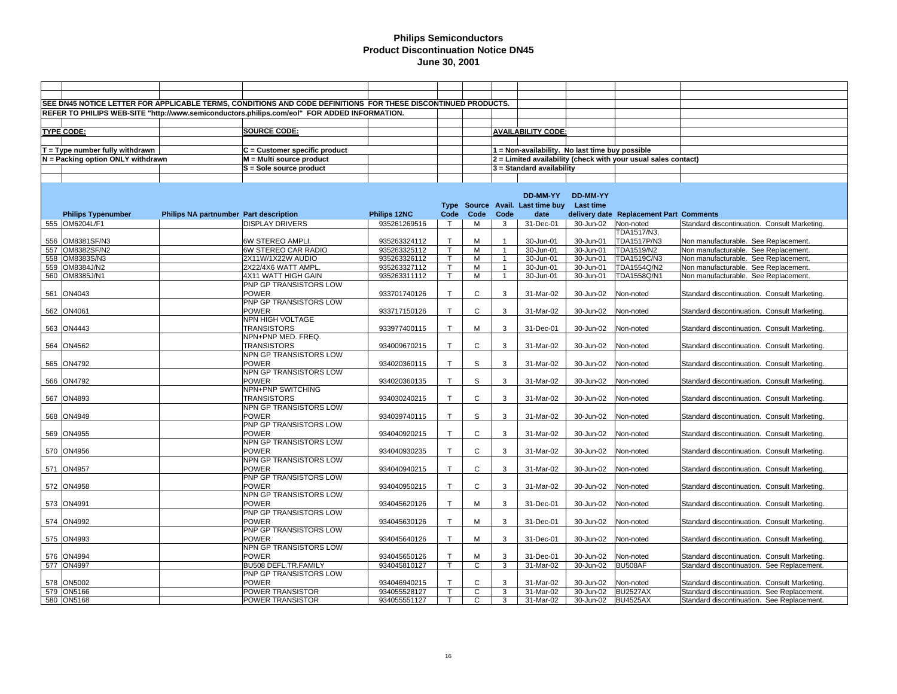|                                   |                                        | SEE DN45 NOTICE LETTER FOR APPLICABLE TERMS, CONDITIONS AND CODE DEFINITIONS FOR THESE DISCONTINUED PRODUCTS. |              |                         |                |                |                                                 |                    |                                                                |                                              |
|-----------------------------------|----------------------------------------|---------------------------------------------------------------------------------------------------------------|--------------|-------------------------|----------------|----------------|-------------------------------------------------|--------------------|----------------------------------------------------------------|----------------------------------------------|
|                                   |                                        | REFER TO PHILIPS WEB-SITE "http://www.semiconductors.philips.com/eol" FOR ADDED INFORMATION.                  |              |                         |                |                |                                                 |                    |                                                                |                                              |
|                                   |                                        |                                                                                                               |              |                         |                |                |                                                 |                    |                                                                |                                              |
| <b>TYPE CODE:</b>                 |                                        | <b>SOURCE CODE:</b>                                                                                           |              |                         |                |                | <b>AVAILABILITY CODE:</b>                       |                    |                                                                |                                              |
|                                   |                                        |                                                                                                               |              |                         |                |                |                                                 |                    |                                                                |                                              |
| T = Type number fully withdrawn   |                                        | $C =$ Customer specific product                                                                               |              |                         |                |                | 1 = Non-availability. No last time buy possible |                    |                                                                |                                              |
|                                   |                                        |                                                                                                               |              |                         |                |                |                                                 |                    |                                                                |                                              |
| N = Packing option ONLY withdrawn |                                        | M = Multi source product                                                                                      |              |                         |                |                |                                                 |                    | 2 = Limited availability (check with your usual sales contact) |                                              |
|                                   |                                        | S = Sole source product                                                                                       |              |                         |                |                | 3 = Standard availability                       |                    |                                                                |                                              |
|                                   |                                        |                                                                                                               |              |                         |                |                |                                                 |                    |                                                                |                                              |
|                                   |                                        |                                                                                                               |              |                         |                |                |                                                 |                    |                                                                |                                              |
|                                   |                                        |                                                                                                               |              |                         |                |                | DD-MM-YY                                        | DD-MM-YY           |                                                                |                                              |
|                                   |                                        |                                                                                                               |              |                         |                |                | Type Source Avail. Last time buy                | <b>Last time</b>   |                                                                |                                              |
| <b>Philips Typenumber</b>         | Philips NA partnumber Part description |                                                                                                               | Philips 12NC | Code                    | Code           | Code           | date                                            |                    | delivery date Replacement Part Comments                        |                                              |
| 555 OM6204L/F1                    |                                        | <b>DISPLAY DRIVERS</b>                                                                                        | 935261269516 | $\mathsf{T}$            | м              | 3              | 31-Dec-01                                       | 30-Jun-02          | Non-noted                                                      | Standard discontinuation. Consult Marketing. |
|                                   |                                        |                                                                                                               |              |                         |                |                |                                                 |                    | TDA1517/N3,                                                    |                                              |
| 556 OM8381SF/N3                   |                                        | <b>6W STEREO AMPLI</b>                                                                                        | 935263324112 | $\mathsf{T}$            | M              |                | 30-Jun-01                                       | 30-Jun-01          | <b>TDA1517P/N3</b>                                             | Non manufacturable. See Replacement.         |
| 557 OM8382SF/N2                   |                                        | 6W STEREO CAR RADIO                                                                                           | 935263325112 | $\mathsf{T}$            | M              | $\overline{1}$ | 30-Jun-01                                       | 30-Jun-01          | TDA1519/N2                                                     | Non manufacturable. See Replacement.         |
| 558 OM8383S/N3                    |                                        | 2X11W/1X22W AUDIO                                                                                             | 935263326112 | $\overline{\mathsf{T}}$ | M              | $\overline{1}$ | 30-Jun-01                                       | 30-Jun-01          | TDA1519C/N3                                                    | Non manufacturable. See Replacement.         |
| 559 OM8384J/N2                    |                                        | 2X22/4X6 WATT AMPL                                                                                            | 935263327112 | T.                      | M              | $\mathbf{1}$   | 30-Jun-01                                       | 30-Jun-01          | TDA1554Q/N2                                                    | Non manufacturable. See Replacement.         |
| 560 OM8385J/N1                    |                                        | 4X11 WATT HIGH GAIN                                                                                           | 935263311112 | $\mathsf{T}$            | M              | $\overline{1}$ | 30-Jun-01                                       | 30-Jun-01          | TDA1558Q/N1                                                    | Non manufacturable. See Replacement.         |
|                                   |                                        | PNP GP TRANSISTORS LOW                                                                                        |              |                         |                |                |                                                 |                    |                                                                |                                              |
| 561 ON4043                        |                                        | <b>POWER</b>                                                                                                  | 933701740126 | $\mathsf{T}$            | $\mathsf C$    | 3              | 31-Mar-02                                       | 30-Jun-02          | Non-noted                                                      | Standard discontinuation. Consult Marketing. |
|                                   |                                        | PNP GP TRANSISTORS LOW                                                                                        |              |                         |                |                |                                                 |                    |                                                                |                                              |
| 562 ON4061                        |                                        | <b>POWER</b>                                                                                                  | 933717150126 | $\mathsf{T}$            | $\mathsf{C}$   | 3              | 31-Mar-02                                       | 30-Jun-02          | Non-noted                                                      | Standard discontinuation. Consult Marketing. |
|                                   |                                        | NPN HIGH VOLTAGE                                                                                              |              |                         |                |                |                                                 |                    |                                                                |                                              |
| 563 ON4443                        |                                        | <b>TRANSISTORS</b>                                                                                            | 933977400115 | $\mathsf{T}$            | M              | 3              | 31-Dec-01                                       | 30-Jun-02          | Non-noted                                                      | Standard discontinuation. Consult Marketing. |
|                                   |                                        | NPN+PNP MED. FREQ.                                                                                            |              |                         |                |                |                                                 |                    |                                                                |                                              |
| 564 ON4562                        |                                        | <b>TRANSISTORS</b>                                                                                            | 934009670215 | $\mathsf{T}$            | $\mathsf{C}$   | 3              | 31-Mar-02                                       | 30-Jun-02          | Non-noted                                                      | Standard discontinuation. Consult Marketing. |
|                                   |                                        | NPN GP TRANSISTORS LOW                                                                                        |              |                         |                |                |                                                 |                    |                                                                |                                              |
| 565 ON4792                        |                                        | <b>POWER</b>                                                                                                  | 934020360115 | $\mathsf{T}$            | S              | 3              | 31-Mar-02                                       | 30-Jun-02          | Non-noted                                                      | Standard discontinuation. Consult Marketing. |
|                                   |                                        | NPN GP TRANSISTORS LOW                                                                                        |              |                         |                |                |                                                 |                    |                                                                |                                              |
| 566 ON4792                        |                                        | <b>POWER</b>                                                                                                  | 934020360135 | $\mathsf{T}$            | S              | 3              | 31-Mar-02                                       | 30-Jun-02          | Non-noted                                                      | Standard discontinuation. Consult Marketing. |
|                                   |                                        | NPN+PNP SWITCHING                                                                                             |              |                         |                |                |                                                 |                    |                                                                |                                              |
| 567 ON4893                        |                                        | <b>TRANSISTORS</b>                                                                                            | 934030240215 | $\mathsf{T}$            | $\mathsf{C}$   | 3              | 31-Mar-02                                       | 30-Jun-02          | Non-noted                                                      | Standard discontinuation. Consult Marketing. |
|                                   |                                        | NPN GP TRANSISTORS LOW                                                                                        |              |                         |                |                |                                                 |                    |                                                                |                                              |
| 568 ON4949                        |                                        | <b>POWER</b>                                                                                                  | 934039740115 | $\mathsf{T}$            | S              | 3              | 31-Mar-02                                       | 30-Jun-02          | Non-noted                                                      | Standard discontinuation. Consult Marketing. |
|                                   |                                        | PNP GP TRANSISTORS LOW                                                                                        |              |                         |                |                |                                                 |                    |                                                                |                                              |
| 569 ON4955                        |                                        | POWER                                                                                                         | 934040920215 | $\mathsf{T}$            | $\mathsf{C}$   | 3              | 31-Mar-02                                       | 30-Jun-02          | Non-noted                                                      | Standard discontinuation. Consult Marketing. |
|                                   |                                        | NPN GP TRANSISTORS LOW                                                                                        |              |                         |                |                |                                                 |                    |                                                                |                                              |
| 570 ON4956                        |                                        | <b>POWER</b>                                                                                                  | 934040930235 | $\mathsf{T}$            | $\mathsf C$    | 3              | 31-Mar-02                                       | 30-Jun-02          | Non-noted                                                      | Standard discontinuation. Consult Marketing. |
|                                   |                                        | NPN GP TRANSISTORS LOW                                                                                        |              |                         |                |                |                                                 |                    |                                                                |                                              |
| 571 ON4957                        |                                        | <b>POWER</b>                                                                                                  | 934040940215 | $\mathsf{T}$            | $\mathsf{C}$   | 3              | 31-Mar-02                                       | 30-Jun-02          | Non-noted                                                      | Standard discontinuation. Consult Marketing. |
|                                   |                                        | PNP GP TRANSISTORS LOW                                                                                        |              |                         |                |                |                                                 |                    |                                                                |                                              |
| 572 ON4958                        |                                        | <b>POWER</b>                                                                                                  | 934040950215 | $\mathsf{T}$            | $\mathsf C$    | 3              | 31-Mar-02                                       | 30-Jun-02          | Non-noted                                                      | Standard discontinuation. Consult Marketing. |
|                                   |                                        | NPN GP TRANSISTORS LOW                                                                                        |              |                         |                |                |                                                 |                    |                                                                |                                              |
| 573 ON4991                        |                                        | <b>POWER</b>                                                                                                  | 934045620126 | $\mathsf{T}$            | M              | 3              | 31-Dec-01                                       | 30-Jun-02          | Non-noted                                                      | Standard discontinuation. Consult Marketing. |
|                                   |                                        | PNP GP TRANSISTORS LOW                                                                                        |              |                         |                |                |                                                 |                    |                                                                |                                              |
| 574 ON4992                        |                                        | <b>POWER</b>                                                                                                  | 934045630126 | $\mathsf{T}$            | M              | 3              | 31-Dec-01                                       | 30-Jun-02          | Non-noted                                                      | Standard discontinuation. Consult Marketing. |
|                                   |                                        | PNP GP TRANSISTORS LOW                                                                                        |              |                         |                |                |                                                 |                    |                                                                |                                              |
| 575 ON4993                        |                                        | <b>POWER</b>                                                                                                  | 934045640126 | $\mathsf{T}$            | M              | 3              | 31-Dec-01                                       | 30-Jun-02          | Non-noted                                                      | Standard discontinuation. Consult Marketing. |
|                                   |                                        | NPN GP TRANSISTORS LOW                                                                                        |              |                         |                |                |                                                 |                    |                                                                |                                              |
| 576 ON4994                        |                                        | <b>POWER</b>                                                                                                  | 934045650126 | $\mathsf{T}$            | M              | 3              | 31-Dec-01                                       | 30-Jun-02          | Non-noted                                                      | Standard discontinuation. Consult Marketing. |
| 577 ON4997                        |                                        | BU508 DEFL.TR.FAMILY                                                                                          | 934045810127 | $\mathsf{T}$            | $\mathsf{C}$   | 3              | 31-Mar-02                                       | 30-Jun-02          | BU508AF                                                        | Standard discontinuation. See Replacement.   |
|                                   |                                        | PNP GP TRANSISTORS LOW                                                                                        |              |                         |                |                |                                                 |                    |                                                                |                                              |
| 578 ON5002                        |                                        | <b>POWER</b>                                                                                                  | 934046940215 | $\mathsf{T}$            | C              | 3              | 31-Mar-02                                       | 30-Jun-02          | Non-noted                                                      | Standard discontinuation. Consult Marketing. |
| 579 ON5166                        |                                        | POWER TRANSISTOR                                                                                              | 934055528127 | $\overline{\mathsf{T}}$ | $\overline{c}$ | 3              | 31-Mar-02                                       | 30-Jun-02          | <b>BU2527AX</b>                                                | Standard discontinuation. See Replacement.   |
| 580 ON5168                        |                                        | POWER TRANSISTOR                                                                                              | 934055551127 | $\mathsf{T}$            | $\mathsf{C}$   | 3              | 31-Mar-02                                       | 30-Jun-02 BU4525AX |                                                                | Standard discontinuation. See Replacement.   |
|                                   |                                        |                                                                                                               |              |                         |                |                |                                                 |                    |                                                                |                                              |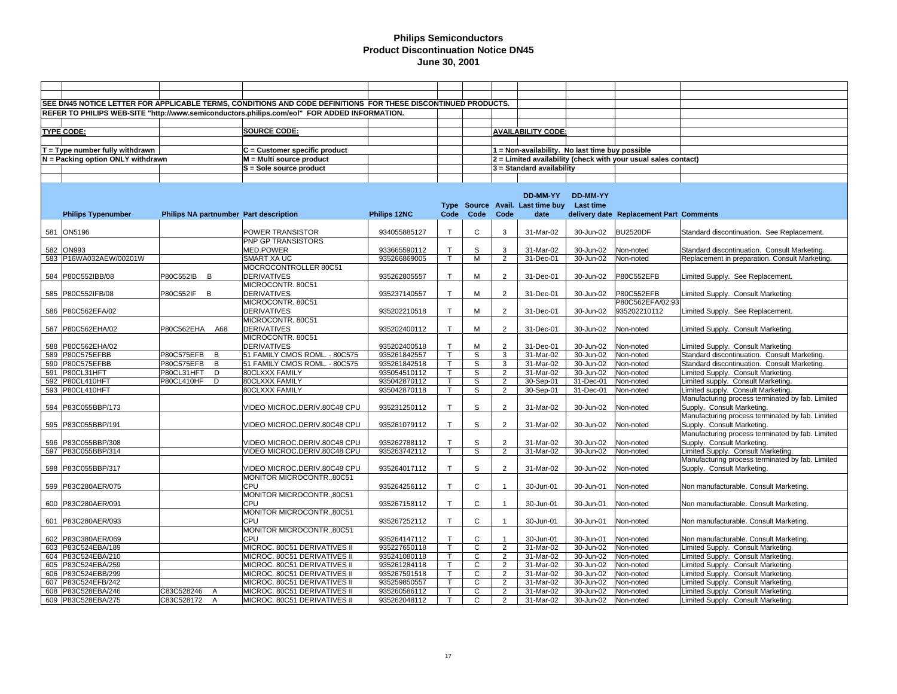|                                   |                                        | SEE DN45 NOTICE LETTER FOR APPLICABLE TERMS, CONDITIONS AND CODE DEFINITIONS FOR THESE DISCONTINUED PRODUCTS. |              |              |              |                |                                                 |                     |                                                                |                                                                                        |
|-----------------------------------|----------------------------------------|---------------------------------------------------------------------------------------------------------------|--------------|--------------|--------------|----------------|-------------------------------------------------|---------------------|----------------------------------------------------------------|----------------------------------------------------------------------------------------|
|                                   |                                        | REFER TO PHILIPS WEB-SITE "http://www.semiconductors.philips.com/eol" FOR ADDED INFORMATION.                  |              |              |              |                |                                                 |                     |                                                                |                                                                                        |
|                                   |                                        |                                                                                                               |              |              |              |                |                                                 |                     |                                                                |                                                                                        |
|                                   |                                        |                                                                                                               |              |              |              |                |                                                 |                     |                                                                |                                                                                        |
| <b>TYPE CODE:</b>                 |                                        | <b>SOURCE CODE:</b>                                                                                           |              |              |              |                | <b>AVAILABILITY CODE:</b>                       |                     |                                                                |                                                                                        |
|                                   |                                        |                                                                                                               |              |              |              |                |                                                 |                     |                                                                |                                                                                        |
| $T = Type$ number fully withdrawn |                                        | C = Customer specific product                                                                                 |              |              |              |                | 1 = Non-availability. No last time buy possible |                     |                                                                |                                                                                        |
| N = Packing option ONLY withdrawn |                                        | M = Multi source product                                                                                      |              |              |              |                |                                                 |                     | 2 = Limited availability (check with your usual sales contact) |                                                                                        |
|                                   |                                        | S = Sole source product                                                                                       |              |              |              |                | 3 = Standard availability                       |                     |                                                                |                                                                                        |
|                                   |                                        |                                                                                                               |              |              |              |                |                                                 |                     |                                                                |                                                                                        |
|                                   |                                        |                                                                                                               |              |              |              |                |                                                 |                     |                                                                |                                                                                        |
|                                   |                                        |                                                                                                               |              |              |              |                | DD-MM-YY                                        | <b>DD-MM-YY</b>     |                                                                |                                                                                        |
|                                   |                                        |                                                                                                               |              |              |              |                | Type Source Avail. Last time buy                | Last time           |                                                                |                                                                                        |
| <b>Philips Typenumber</b>         | Philips NA partnumber Part description |                                                                                                               | Philips 12NC | Code         | Code         | Code           | date                                            |                     | delivery date Replacement Part Comments                        |                                                                                        |
|                                   |                                        |                                                                                                               |              |              |              |                |                                                 |                     |                                                                |                                                                                        |
| 581 ON5196                        |                                        | POWER TRANSISTOR                                                                                              | 934055885127 | $\mathsf{T}$ | C            | 3              | 31-Mar-02                                       | 30-Jun-02           | <b>BU2520DF</b>                                                | Standard discontinuation. See Replacement.                                             |
|                                   |                                        | <b>PNP GP TRANSISTORS</b>                                                                                     |              |              |              |                |                                                 |                     |                                                                |                                                                                        |
|                                   |                                        |                                                                                                               |              |              |              |                |                                                 |                     |                                                                |                                                                                        |
| 582 ION993                        |                                        | <b>MED.POWER</b>                                                                                              | 933665590112 | Т            | S            | 3              | 31-Mar-02                                       | 30-Jun-02           | Non-noted                                                      | Standard discontinuation. Consult Marketing.                                           |
| 583 P16WA032AEW/00201W            |                                        | SMART XA UC                                                                                                   | 935266869005 | T.           | M            | $\overline{2}$ | 31-Dec-01                                       | 30-Jun-02           | Non-noted                                                      | Replacement in preparation. Consult Marketing.                                         |
|                                   |                                        | MOCROCONTROLLER 80C51                                                                                         |              |              |              |                |                                                 |                     |                                                                |                                                                                        |
| 584 P80C552IBB/08                 | P80C552IB B                            | <b>DERIVATIVES</b>                                                                                            | 935262805557 | $\mathsf{T}$ | M            | $\overline{2}$ | 31-Dec-01                                       | 30-Jun-02           | P80C552EFB                                                     | Limited Supply. See Replacement.                                                       |
|                                   |                                        | MICROCONTR. 80C51                                                                                             |              |              |              |                |                                                 |                     |                                                                |                                                                                        |
| 585 P80C552IFB/08                 | P80C552IF B                            | <b>DERIVATIVES</b>                                                                                            | 935237140557 | $\mathsf{T}$ | M            | $\overline{2}$ | 31-Dec-01                                       | 30-Jun-02           | <b>P80C552EFB</b>                                              | Limited Supply. Consult Marketing.                                                     |
|                                   |                                        | MICROCONTR. 80C51                                                                                             |              |              |              |                |                                                 |                     | P80C562EFA/02:93                                               |                                                                                        |
| 586 P80C562EFA/02                 |                                        | <b>DERIVATIVES</b>                                                                                            | 935202210518 | $\mathsf{T}$ | M            | 2              | 31-Dec-01                                       | 30-Jun-02           | 935202210112                                                   | Limited Supply. See Replacement.                                                       |
|                                   |                                        | MICROCONTR. 80C51                                                                                             |              |              |              |                |                                                 |                     |                                                                |                                                                                        |
| 587 P80C562EHA/02                 | P80C562EHA A68                         | <b>DERIVATIVES</b>                                                                                            | 935202400112 | $\mathsf{T}$ | M            | 2              | 31-Dec-01                                       | 30-Jun-02           | Non-noted                                                      | Limited Supply. Consult Marketing.                                                     |
|                                   |                                        | MICROCONTR. 80C51                                                                                             |              |              |              |                |                                                 |                     |                                                                |                                                                                        |
| 588 P80C562EHA/02                 |                                        | <b>DERIVATIVES</b>                                                                                            | 935202400518 | $\mathsf{T}$ | M            | 2              | 31-Dec-01                                       | 30-Jun-02           | Non-noted                                                      | Limited Supply. Consult Marketing.                                                     |
| 589 P80C575EFBB                   | P80C575EFB<br>B                        | 51 FAMILY CMOS ROML. - 80C575                                                                                 | 935261842557 | T.           | S            | 3              | 31-Mar-02                                       | 30-Jun-02           | Non-noted                                                      | Standard discontinuation. Consult Marketing.                                           |
| 590 P80C575EFBB                   | P80C575EFB<br>B                        | 51 FAMILY CMOS ROML. - 80C575                                                                                 | 935261842518 | T.           | S            | 3              | 31-Mar-02                                       | 30-Jun-02           | Non-noted                                                      | Standard discontinuation. Consult Marketing.                                           |
| 591 P80CL31HFT                    | P80CL31HFT<br>D                        | 80CLXXX FAMILY                                                                                                | 935054510112 | T.           | S            | $\overline{2}$ | 31-Mar-02                                       | 30-Jun-02           | Non-noted                                                      | Limited Supply. Consult Marketing.                                                     |
| 592 P80CL410HFT                   | P80CL410HF<br>D                        | 80CLXXX FAMILY                                                                                                | 935042870112 | T.           | S            | 2              | 30-Sep-01                                       | 31-Dec-01           | Non-noted                                                      | Limited supply. Consult Marketing.                                                     |
| 593 P80CL410HFT                   |                                        | 80CLXXX FAMILY                                                                                                | 935042870118 | $\mathsf{T}$ | S            | $\overline{2}$ | 30-Sep-01                                       | 31-Dec-01           | Non-noted                                                      | Limited supply. Consult Marketing.                                                     |
|                                   |                                        |                                                                                                               |              |              |              |                |                                                 |                     |                                                                | Manufacturing process terminated by fab. Limited                                       |
| 594 P83C055BBP/173                |                                        | VIDEO MICROC.DERIV.80C48 CPU                                                                                  | 935231250112 | $\mathsf{T}$ | S            | $\overline{2}$ | 31-Mar-02                                       | 30-Jun-02           | Non-noted                                                      | Supply. Consult Marketing.                                                             |
|                                   |                                        |                                                                                                               |              |              |              |                |                                                 |                     |                                                                | Manufacturing process terminated by fab. Limited                                       |
| 595 P83C055BBP/191                |                                        | VIDEO MICROC.DERIV.80C48 CPU                                                                                  | 935261079112 | $\mathsf{T}$ | S            | $\overline{2}$ | 31-Mar-02                                       | 30-Jun-02           | Non-noted                                                      | Supply. Consult Marketing.                                                             |
|                                   |                                        |                                                                                                               |              |              |              |                |                                                 |                     |                                                                | Manufacturing process terminated by fab. Limited                                       |
| 596 P83C055BBP/308                |                                        | VIDEO MICROC.DERIV.80C48 CPU                                                                                  | 935262788112 | $\mathsf{T}$ | S            | 2              | 31-Mar-02                                       | 30-Jun-02           | Non-noted                                                      | Supply. Consult Marketing.                                                             |
|                                   |                                        |                                                                                                               |              | T.           | S            | 2              |                                                 |                     |                                                                |                                                                                        |
| 597 P83C055BBP/314                |                                        | VIDEO MICROC.DERIV.80C48 CPU                                                                                  | 935263742112 |              |              |                | 31-Mar-02                                       | 30-Jun-02           | Non-noted                                                      | Limited Supply. Consult Marketing.<br>Manufacturing process terminated by fab. Limited |
|                                   |                                        |                                                                                                               |              | $\mathsf{T}$ |              |                |                                                 |                     |                                                                |                                                                                        |
| 598 P83C055BBP/317                |                                        | VIDEO MICROC.DERIV.80C48 CPU                                                                                  | 935264017112 |              | S            | 2              | 31-Mar-02                                       | 30-Jun-02           | Non-noted                                                      | Supply. Consult Marketing.                                                             |
|                                   |                                        | MONITOR MICROCONTR.,80C51                                                                                     |              |              |              |                |                                                 |                     |                                                                |                                                                                        |
| 599 P83C280AER/075                |                                        | CPU                                                                                                           | 935264256112 | $\mathsf{T}$ | $\mathsf{C}$ |                | 30-Jun-01                                       | 30-Jun-01           | Non-noted                                                      | Non manufacturable. Consult Marketing.                                                 |
|                                   |                                        | MONITOR MICROCONTR.,80C51                                                                                     |              |              |              |                |                                                 |                     |                                                                |                                                                                        |
| 600 P83C280AER/091                |                                        | CPU                                                                                                           | 935267158112 | $\mathsf{T}$ | C            |                | 30-Jun-01                                       | 30-Jun-01           | Non-noted                                                      | Non manufacturable. Consult Marketing.                                                 |
|                                   |                                        | MONITOR MICROCONTR.,80C51                                                                                     |              |              |              |                |                                                 |                     |                                                                |                                                                                        |
| 601 P83C280AER/093                |                                        | CPU                                                                                                           | 935267252112 | $\mathsf T$  | C            | $\overline{1}$ | 30-Jun-01                                       | 30-Jun-01           | Non-noted                                                      | Non manufacturable. Consult Marketing.                                                 |
|                                   |                                        | MONITOR MICROCONTR.,80C51                                                                                     |              |              |              |                |                                                 |                     |                                                                |                                                                                        |
| 602 P83C380AER/069                |                                        | CPU                                                                                                           | 935264147112 | $\mathsf{T}$ | C            |                | 30-Jun-01                                       | 30-Jun-01           | Non-noted                                                      | Non manufacturable. Consult Marketing.                                                 |
| 603 P83C524EBA/189                |                                        | MICROC. 80C51 DERIVATIVES II                                                                                  | 935227650118 | $\mathsf{T}$ | C            | 2              | 31-Mar-02                                       | 30-Jun-02           | Non-noted                                                      | Limited Supply. Consult Marketing.                                                     |
| 604 P83C524EBA/210                |                                        | MICROC. 80C51 DERIVATIVES II                                                                                  | 935241080118 | T.           | C            | 2              | 31-Mar-02                                       | 30-Jun-02           | Non-noted                                                      | Limited Supply. Consult Marketing.                                                     |
| 605 P83C524EBA/259                |                                        | MICROC. 80C51 DERIVATIVES II                                                                                  | 935261284118 | $\mathsf{T}$ | C            | $\overline{2}$ | 31-Mar-02                                       | 30-Jun-02           | Non-noted                                                      | Limited Supply. Consult Marketing.                                                     |
| 606 P83C524EBB/299                |                                        | MICROC. 80C51 DERIVATIVES II                                                                                  | 935267591518 | $\mathsf{T}$ | C            | $\overline{2}$ | 31-Mar-02                                       | 30-Jun-02           | Non-noted                                                      | Limited Supply. Consult Marketing.                                                     |
| 607 P83C524EFB/242                |                                        | MICROC. 80C51 DERIVATIVES II                                                                                  | 935259850557 | T.           | C            | $\overline{2}$ | 31-Mar-02                                       | 30-Jun-02           | Non-noted                                                      | Limited Supply. Consult Marketing.                                                     |
| 608 P83C528EBA/246                | C83C528246<br>A                        | MICROC. 80C51 DERIVATIVES II                                                                                  | 935260586112 | T.           | C            | $\overline{2}$ | 31-Mar-02                                       | 30-Jun-02           | Non-noted                                                      | Limited Supply. Consult Marketing.                                                     |
| 609 P83C528EBA/275                | C83C528172 A                           | MICROC. 80C51 DERIVATIVES II                                                                                  | 935262048112 | T            | $\mathsf{C}$ | 2              | 31-Mar-02                                       | 30-Jun-02 Non-noted |                                                                | Limited Supply. Consult Marketing.                                                     |
|                                   |                                        |                                                                                                               |              |              |              |                |                                                 |                     |                                                                |                                                                                        |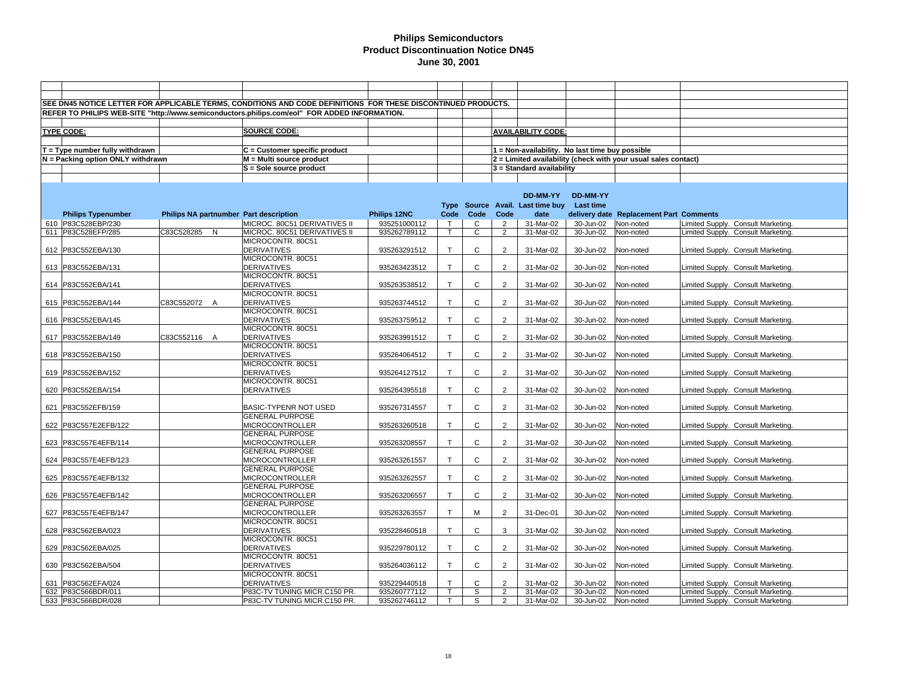| SEE DN45 NOTICE LETTER FOR APPLICABLE TERMS, CONDITIONS AND CODE DEFINITIONS FOR THESE DISCONTINUED PRODUCTS. |                                        |                                                                                              |              |              |              |                |                                                 |           |                                                                |                                    |
|---------------------------------------------------------------------------------------------------------------|----------------------------------------|----------------------------------------------------------------------------------------------|--------------|--------------|--------------|----------------|-------------------------------------------------|-----------|----------------------------------------------------------------|------------------------------------|
|                                                                                                               |                                        | REFER TO PHILIPS WEB-SITE "http://www.semiconductors.philips.com/eol" FOR ADDED INFORMATION. |              |              |              |                |                                                 |           |                                                                |                                    |
|                                                                                                               |                                        |                                                                                              |              |              |              |                |                                                 |           |                                                                |                                    |
|                                                                                                               |                                        |                                                                                              |              |              |              |                |                                                 |           |                                                                |                                    |
| <b>TYPE CODE:</b>                                                                                             |                                        | <b>SOURCE CODE:</b>                                                                          |              |              |              |                | <b>AVAILABILITY CODE:</b>                       |           |                                                                |                                    |
|                                                                                                               |                                        |                                                                                              |              |              |              |                |                                                 |           |                                                                |                                    |
| $T = Type$ number fully withdrawn                                                                             |                                        | $C =$ Customer specific product                                                              |              |              |              |                | 1 = Non-availability. No last time buy possible |           |                                                                |                                    |
| N = Packing option ONLY withdrawn                                                                             |                                        | $M = Multi source product$                                                                   |              |              |              |                |                                                 |           | 2 = Limited availability (check with your usual sales contact) |                                    |
|                                                                                                               |                                        | S = Sole source product                                                                      |              |              |              |                | 3 = Standard availability                       |           |                                                                |                                    |
|                                                                                                               |                                        |                                                                                              |              |              |              |                |                                                 |           |                                                                |                                    |
|                                                                                                               |                                        |                                                                                              |              |              |              |                |                                                 |           |                                                                |                                    |
|                                                                                                               |                                        |                                                                                              |              |              |              |                | DD-MM-YY                                        | DD-MM-YY  |                                                                |                                    |
|                                                                                                               |                                        |                                                                                              |              |              |              |                | Type Source Avail. Last time buy                | Last time |                                                                |                                    |
| <b>Philips Typenumber</b>                                                                                     | Philips NA partnumber Part description |                                                                                              | Philips 12NC | Code         | Code         | Code           | date                                            |           | delivery date Replacement Part Comments                        |                                    |
| 610 P83C528EBP/230                                                                                            |                                        | MICROC. 80C51 DERIVATIVES II                                                                 | 935251000112 |              | C            | $\overline{2}$ | 31-Mar-02                                       | 30-Jun-02 | Non-noted                                                      | Limited Supply. Consult Marketing. |
| 611 P83C528EFP/285                                                                                            | C83C528285 N                           | MICROC. 80C51 DERIVATIVES II                                                                 | 935262789112 | $\mathsf{T}$ | С            | $\overline{2}$ | 31-Mar-02                                       | 30-Jun-02 | Non-noted                                                      | Limited Supply. Consult Marketing. |
|                                                                                                               |                                        | MICROCONTR, 80C51                                                                            |              |              |              |                |                                                 |           |                                                                |                                    |
| 612 P83C552EBA/130                                                                                            |                                        | <b>DERIVATIVES</b>                                                                           | 935263291512 | $\mathsf{T}$ | $\mathsf{C}$ | $\overline{2}$ | 31-Mar-02                                       | 30-Jun-02 | Non-noted                                                      | Limited Supply. Consult Marketing. |
|                                                                                                               |                                        | MICROCONTR. 80C51                                                                            |              |              |              |                |                                                 |           |                                                                |                                    |
| 613 P83C552EBA/131                                                                                            |                                        | <b>DERIVATIVES</b>                                                                           | 935263423512 | $\top$       | $\mathsf{C}$ | $\overline{2}$ | 31-Mar-02                                       | 30-Jun-02 | Non-noted                                                      | Limited Supply. Consult Marketing. |
|                                                                                                               |                                        | MICROCONTR. 80C51                                                                            |              |              |              |                |                                                 |           |                                                                |                                    |
| 614 P83C552EBA/141                                                                                            |                                        | <b>DERIVATIVES</b>                                                                           | 935263538512 | $\mathsf{T}$ | $\mathsf{C}$ | $\overline{2}$ | 31-Mar-02                                       | 30-Jun-02 | Non-noted                                                      | Limited Supply. Consult Marketing. |
|                                                                                                               |                                        | MICROCONTR. 80C51                                                                            |              |              |              |                |                                                 |           |                                                                |                                    |
| 615 P83C552EBA/144                                                                                            | C83C552072 A                           | <b>DERIVATIVES</b>                                                                           | 935263744512 | $\mathsf{T}$ | $\mathsf C$  | $\overline{2}$ | 31-Mar-02                                       | 30-Jun-02 | Non-noted                                                      | Limited Supply. Consult Marketing. |
|                                                                                                               |                                        | MICROCONTR. 80C51                                                                            |              |              |              |                |                                                 |           |                                                                |                                    |
| 616 P83C552EBA/145                                                                                            |                                        | <b>DERIVATIVES</b>                                                                           | 935263759512 | $\mathsf{T}$ | $\mathsf{C}$ | $\overline{2}$ | 31-Mar-02                                       | 30-Jun-02 | Non-noted                                                      | Limited Supply. Consult Marketing. |
|                                                                                                               |                                        | MICROCONTR. 80C51                                                                            |              |              |              |                |                                                 |           |                                                                |                                    |
| 617 P83C552EBA/149                                                                                            | C83C552116 A                           | <b>DERIVATIVES</b>                                                                           | 935263991512 | $\mathsf{T}$ | $\mathsf{C}$ | $\overline{2}$ | 31-Mar-02                                       | 30-Jun-02 | Non-noted                                                      | Limited Supply. Consult Marketing. |
|                                                                                                               |                                        | MICROCONTR. 80C51                                                                            |              |              |              |                |                                                 |           |                                                                |                                    |
| 618 P83C552EBA/150                                                                                            |                                        | <b>DERIVATIVES</b>                                                                           | 935264064512 | $\mathsf{T}$ | $\mathsf{C}$ | 2              | 31-Mar-02                                       | 30-Jun-02 | Non-noted                                                      | Limited Supply. Consult Marketing. |
|                                                                                                               |                                        | MICROCONTR. 80C51                                                                            |              |              |              |                |                                                 |           |                                                                |                                    |
| 619 P83C552EBA/152                                                                                            |                                        | <b>DERIVATIVES</b>                                                                           | 935264127512 | T            | C            | $\overline{2}$ | 31-Mar-02                                       | 30-Jun-02 | Non-noted                                                      | Limited Supply. Consult Marketing. |
|                                                                                                               |                                        | MICROCONTR. 80C51                                                                            |              |              |              |                |                                                 |           |                                                                |                                    |
| 620 P83C552EBA/154                                                                                            |                                        | <b>DERIVATIVES</b>                                                                           | 935264395518 | $\mathsf{T}$ | $\mathsf{C}$ | $\overline{2}$ | 31-Mar-02                                       | 30-Jun-02 | Non-noted                                                      | Limited Supply. Consult Marketing. |
|                                                                                                               |                                        |                                                                                              |              |              |              |                |                                                 |           |                                                                |                                    |
| 621   P83C552EFB/159                                                                                          |                                        | BASIC-TYPENR NOT USED                                                                        | 935267314557 | $\mathsf{T}$ | $\mathsf{C}$ | $\overline{2}$ | 31-Mar-02                                       | 30-Jun-02 | Non-noted                                                      | Limited Supply. Consult Marketing. |
|                                                                                                               |                                        | <b>GENERAL PURPOSE</b>                                                                       |              |              |              |                |                                                 |           |                                                                |                                    |
| 622 P83C557E2EFB/122                                                                                          |                                        | <b>MICROCONTROLLER</b>                                                                       | 935263260518 | $\mathsf{T}$ | $\mathsf{C}$ | $\overline{2}$ | 31-Mar-02                                       | 30-Jun-02 | Non-noted                                                      | Limited Supply. Consult Marketing. |
|                                                                                                               |                                        | <b>GENERAL PURPOSE</b>                                                                       |              |              |              |                |                                                 |           |                                                                |                                    |
| 623 P83C557E4EFB/114                                                                                          |                                        | <b>MICROCONTROLLER</b>                                                                       | 935263208557 | $\mathsf{T}$ | C            | $\overline{2}$ | 31-Mar-02                                       | 30-Jun-02 | Non-noted                                                      | Limited Supply. Consult Marketing. |
|                                                                                                               |                                        | <b>GENERAL PURPOSE</b>                                                                       |              |              |              |                |                                                 |           |                                                                |                                    |
| 624 P83C557E4EFB/123                                                                                          |                                        | <b>MICROCONTROLLER</b>                                                                       | 935263261557 | $\mathsf{T}$ | $\mathsf{C}$ | $\overline{2}$ | 31-Mar-02                                       | 30-Jun-02 | Non-noted                                                      | Limited Supply. Consult Marketing. |
|                                                                                                               |                                        | <b>GENERAL PURPOSE</b>                                                                       |              |              |              |                |                                                 |           |                                                                |                                    |
| 625 P83C557E4EFB/132                                                                                          |                                        | <b>MICROCONTROLLER</b>                                                                       | 935263262557 | $\mathsf{T}$ | $\mathsf{C}$ | $\overline{2}$ | 31-Mar-02                                       | 30-Jun-02 | Non-noted                                                      | Limited Supply. Consult Marketing. |
|                                                                                                               |                                        | <b>GENERAL PURPOSE</b>                                                                       |              |              |              |                |                                                 |           |                                                                |                                    |
| 626   P83C557E4EFB/142                                                                                        |                                        | <b>MICROCONTROLLER</b>                                                                       | 935263206557 | $\mathsf{T}$ | $\mathsf{C}$ | 2              | 31-Mar-02                                       | 30-Jun-02 | Non-noted                                                      | Limited Supply. Consult Marketing. |
|                                                                                                               |                                        | <b>GENERAL PURPOSE</b>                                                                       |              |              |              |                |                                                 |           |                                                                |                                    |
| 627 P83C557E4EFB/147                                                                                          |                                        | <b>MICROCONTROLLER</b>                                                                       | 935263263557 | $\mathsf{T}$ | M            | $\overline{2}$ | 31-Dec-01                                       | 30-Jun-02 | Non-noted                                                      | Limited Supply. Consult Marketing. |
|                                                                                                               |                                        | MICROCONTR. 80C51                                                                            |              |              |              |                |                                                 |           |                                                                |                                    |
| 628 P83C562EBA/023                                                                                            |                                        | <b>DERIVATIVES</b>                                                                           | 935228460518 | $\mathsf{T}$ | $\mathsf{C}$ | 3              | 31-Mar-02                                       | 30-Jun-02 | Non-noted                                                      | Limited Supply. Consult Marketing. |
|                                                                                                               |                                        | MICROCONTR. 80C51                                                                            |              |              |              |                |                                                 |           |                                                                |                                    |
| 629 P83C562EBA/025                                                                                            |                                        | <b>DERIVATIVES</b>                                                                           | 935229780112 | $\mathsf{T}$ | $\mathsf{C}$ | $\overline{2}$ | 31-Mar-02                                       | 30-Jun-02 | Non-noted                                                      | Limited Supply. Consult Marketing. |
|                                                                                                               |                                        | MICROCONTR. 80C51                                                                            |              |              |              |                |                                                 |           |                                                                |                                    |
| 630 P83C562EBA/504                                                                                            |                                        | <b>DERIVATIVES</b>                                                                           | 935264036112 | $\mathsf{T}$ | $\mathsf C$  | $\mathfrak{p}$ | 31-Mar-02                                       | 30-Jun-02 | Non-noted                                                      | Limited Supply. Consult Marketing. |
|                                                                                                               |                                        | MICROCONTR. 80C51                                                                            |              |              |              |                |                                                 |           |                                                                |                                    |
| 631 P83C562EFA/024                                                                                            |                                        | <b>DERIVATIVES</b>                                                                           | 935229440518 | $\mathsf{T}$ | $\mathsf{C}$ | $\overline{2}$ | 31-Mar-02                                       | 30-Jun-02 | Non-noted                                                      | Limited Supply. Consult Marketing. |
| 632 P83C566BDR/011                                                                                            |                                        | P83C-TV TUNING MICR.C150 PR.                                                                 | 935260777112 | $\mathsf{T}$ | S            | $\overline{2}$ | 31-Mar-02                                       | 30-Jun-02 | Non-noted                                                      | imited Supply. Consult Marketing.  |
| 633 P83C566BDR/028                                                                                            |                                        | P83C-TV TUNING MICR.C150 PR.                                                                 | 935262746112 | т            | S            | $\overline{2}$ | 31-Mar-02                                       | 30-Jun-02 | Non-noted                                                      | Limited Supply. Consult Marketing. |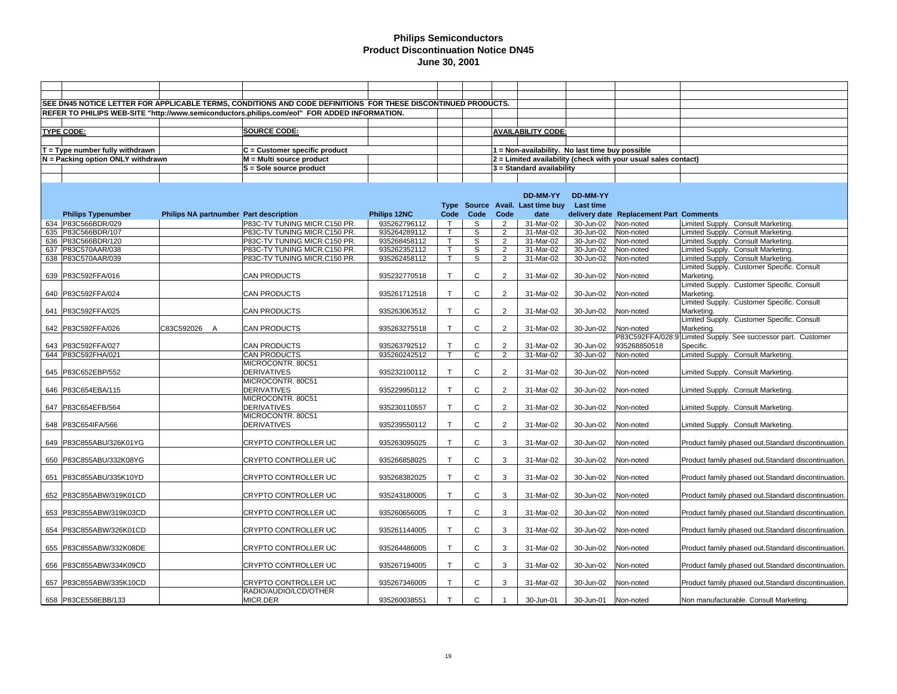|     |                                   |                                        | SEE DN45 NOTICE LETTER FOR APPLICABLE TERMS, CONDITIONS AND CODE DEFINITIONS FOR THESE DISCONTINUED PRODUCTS. |              |              |              |                |                                                 |           |                                                                |                                                               |
|-----|-----------------------------------|----------------------------------------|---------------------------------------------------------------------------------------------------------------|--------------|--------------|--------------|----------------|-------------------------------------------------|-----------|----------------------------------------------------------------|---------------------------------------------------------------|
|     |                                   |                                        | REFER TO PHILIPS WEB-SITE "http://www.semiconductors.philips.com/eol" FOR ADDED INFORMATION.                  |              |              |              |                |                                                 |           |                                                                |                                                               |
|     |                                   |                                        |                                                                                                               |              |              |              |                |                                                 |           |                                                                |                                                               |
|     |                                   |                                        | <b>SOURCE CODE:</b>                                                                                           |              |              |              |                |                                                 |           |                                                                |                                                               |
|     | <b>TYPE CODE:</b>                 |                                        |                                                                                                               |              |              |              |                | <b>AVAILABILITY CODE:</b>                       |           |                                                                |                                                               |
|     |                                   |                                        |                                                                                                               |              |              |              |                |                                                 |           |                                                                |                                                               |
|     | $T = Type$ number fully withdrawn |                                        | $C =$ Customer specific product                                                                               |              |              |              |                | 1 = Non-availability. No last time buy possible |           |                                                                |                                                               |
|     | N = Packing option ONLY withdrawn |                                        | $M = Multi source product$                                                                                    |              |              |              |                |                                                 |           | 2 = Limited availability (check with your usual sales contact) |                                                               |
|     |                                   |                                        | S = Sole source product                                                                                       |              |              |              |                | 3 = Standard availability                       |           |                                                                |                                                               |
|     |                                   |                                        |                                                                                                               |              |              |              |                |                                                 |           |                                                                |                                                               |
|     |                                   |                                        |                                                                                                               |              |              |              |                |                                                 |           |                                                                |                                                               |
|     |                                   |                                        |                                                                                                               |              |              |              |                | DD-MM-YY                                        | DD-MM-YY  |                                                                |                                                               |
|     |                                   |                                        |                                                                                                               |              | <b>Type</b>  |              |                | Source Avail. Last time buy                     | Last time |                                                                |                                                               |
|     | <b>Philips Typenumber</b>         | Philips NA partnumber Part description |                                                                                                               | Philips 12NC | Code         | Code         | Code           | date                                            |           | delivery date Replacement Part Comments                        |                                                               |
|     | 634 P83C566BDR/029                |                                        | P83C-TV TUNING MICR.C150 PR.                                                                                  | 935262796112 | $\mathsf{T}$ | S            | $\overline{2}$ | 31-Mar-02                                       | 30-Jun-02 | Non-noted                                                      | Limited Supply. Consult Marketing.                            |
|     | 635 P83C566BDR/107                |                                        | P83C-TV TUNING MICR.C150 PR.                                                                                  | 935264289112 | $\mathsf{T}$ | S            | $\overline{2}$ | 31-Mar-02                                       | 30-Jun-02 | Non-noted                                                      | Limited Supply. Consult Marketing.                            |
|     | 636 P83C566BDR/120                |                                        | P83C-TV TUNING MICR.C150 PR.                                                                                  | 935268458112 | $\mathsf{T}$ | S            | $\overline{2}$ | 31-Mar-02                                       | 30-Jun-02 | Non-noted                                                      | Limited Supply. Consult Marketing.                            |
|     | 637 P83C570AAR/038                |                                        | P83C-TV TUNING MICR.C150 PR.                                                                                  | 935262352112 | $\mathsf{T}$ | S            | $\overline{2}$ | 31-Mar-02                                       | 30-Jun-02 | Non-noted                                                      | imited Supply. Consult Marketing.                             |
|     | 638 P83C570AAR/039                |                                        | P83C-TV TUNING MICR.C150 PR.                                                                                  | 935262458112 | $\mathsf{T}$ | S            | $\overline{2}$ | 31-Mar-02                                       | 30-Jun-02 | Non-noted                                                      | Limited Supply. Consult Marketing.                            |
|     |                                   |                                        |                                                                                                               |              |              |              |                |                                                 |           |                                                                | Limited Supply. Customer Specific. Consult                    |
|     | 639 P83C592FFA/016                |                                        | CAN PRODUCTS                                                                                                  | 935232770518 | $\mathsf{T}$ | C            | $\overline{2}$ | 31-Mar-02                                       | 30-Jun-02 | Non-noted                                                      | Marketing.                                                    |
|     |                                   |                                        |                                                                                                               |              |              |              |                |                                                 |           |                                                                | Limited Supply. Customer Specific. Consult                    |
|     | 640 P83C592FFA/024                |                                        | <b>CAN PRODUCTS</b>                                                                                           | 935261712518 | $\mathsf{T}$ | C            | $\overline{2}$ | 31-Mar-02                                       | 30-Jun-02 | Non-noted                                                      | Marketing.                                                    |
|     |                                   |                                        |                                                                                                               |              |              |              |                |                                                 |           |                                                                | Limited Supply. Customer Specific. Consult                    |
| 641 | P83C592FFA/025                    |                                        | <b>CAN PRODUCTS</b>                                                                                           | 935263063512 | $\mathsf{T}$ | C            | $\overline{2}$ | 31-Mar-02                                       | 30-Jun-02 | Non-noted                                                      | Marketing.                                                    |
|     |                                   |                                        |                                                                                                               |              |              |              |                |                                                 |           |                                                                | Limited Supply. Customer Specific. Consult                    |
|     | 642 P83C592FFA/026                | C83C592026 A                           | <b>CAN PRODUCTS</b>                                                                                           | 935263275518 | $\mathsf{T}$ | $\mathsf{C}$ | $\overline{2}$ | 31-Mar-02                                       | 30-Jun-02 | Non-noted                                                      | Marketing.                                                    |
|     |                                   |                                        |                                                                                                               |              |              |              |                |                                                 |           |                                                                | P83C592FFA/028:9 Limited Supply. See successor part. Customer |
|     | 643 P83C592FFA/027                |                                        | <b>CAN PRODUCTS</b>                                                                                           | 935263792512 | $\mathsf{T}$ | C            | $\overline{2}$ | 31-Mar-02                                       | 30-Jun-02 | 935268850518                                                   | Specific.                                                     |
|     | 644 P83C592FHA/021                |                                        | <b>CAN PRODUCTS</b>                                                                                           | 935260242512 | $\mathsf{T}$ | C            | $\overline{2}$ | 31-Mar-02                                       | 30-Jun-02 | Non-noted                                                      | Limited Supply. Consult Marketing.                            |
|     |                                   |                                        | MICROCONTR. 80C51                                                                                             |              |              |              |                |                                                 |           |                                                                |                                                               |
|     | 645 P83C652EBP/552                |                                        | <b>DERIVATIVES</b>                                                                                            | 935232100112 | $\mathsf{T}$ | C            | $\overline{2}$ | 31-Mar-02                                       | 30-Jun-02 | Non-noted                                                      | Limited Supply. Consult Marketing.                            |
|     |                                   |                                        | MICROCONTR, 80C51                                                                                             |              |              |              |                |                                                 |           |                                                                |                                                               |
|     | 646   P83C654EBA/115              |                                        | <b>DERIVATIVES</b>                                                                                            | 935229950112 | $\mathsf{T}$ | $\mathsf C$  | 2              | 31-Mar-02                                       | 30-Jun-02 | Non-noted                                                      | Limited Supply. Consult Marketing.                            |
|     |                                   |                                        | MICROCONTR. 80C51                                                                                             |              |              |              |                |                                                 |           |                                                                |                                                               |
|     | 647   P83C654EFB/564              |                                        | <b>DERIVATIVES</b>                                                                                            | 935230110557 | $\mathsf{T}$ | $\mathsf{C}$ | $\overline{2}$ | 31-Mar-02                                       | 30-Jun-02 | Non-noted                                                      | Limited Supply. Consult Marketing.                            |
|     |                                   |                                        | MICROCONTR. 80C51                                                                                             |              |              |              |                |                                                 |           |                                                                |                                                               |
|     | 648 P83C654IFA/566                |                                        | <b>DERIVATIVES</b>                                                                                            | 935239550112 | $\mathsf{T}$ | C            | $\overline{2}$ | 31-Mar-02                                       | 30-Jun-02 | Non-noted                                                      | Limited Supply. Consult Marketing.                            |
|     |                                   |                                        |                                                                                                               |              |              |              |                |                                                 |           |                                                                |                                                               |
|     | 649 P83C855ABU/326K01YG           |                                        | CRYPTO CONTROLLER UC                                                                                          | 935263095025 | $\mathsf{T}$ | $\mathsf{C}$ | 3              | 31-Mar-02                                       | 30-Jun-02 | Non-noted                                                      | Product family phased out.Standard discontinuation.           |
|     |                                   |                                        |                                                                                                               |              |              |              |                |                                                 |           |                                                                |                                                               |
|     | 650 P83C855ABU/332K08YG           |                                        | CRYPTO CONTROLLER UC                                                                                          | 935266858025 | $\mathsf{T}$ | $\mathsf C$  | 3              | 31-Mar-02                                       | 30-Jun-02 | Non-noted                                                      | Product family phased out.Standard discontinuation.           |
|     |                                   |                                        |                                                                                                               |              |              |              |                |                                                 |           |                                                                |                                                               |
|     | 651 P83C855ABU/335K10YD           |                                        | CRYPTO CONTROLLER UC                                                                                          | 935268382025 | $\mathsf{T}$ | $\mathsf{C}$ | 3              | 31-Mar-02                                       | 30-Jun-02 | Non-noted                                                      | Product family phased out.Standard discontinuation.           |
|     |                                   |                                        |                                                                                                               |              |              |              |                |                                                 |           |                                                                |                                                               |
|     | 652 P83C855ABW/319K01CD           |                                        | CRYPTO CONTROLLER UC                                                                                          | 935243180005 | $\mathsf{T}$ | $\mathsf{C}$ | 3              | 31-Mar-02                                       | 30-Jun-02 | Non-noted                                                      | Product family phased out.Standard discontinuation.           |
|     |                                   |                                        |                                                                                                               |              |              |              |                |                                                 |           |                                                                |                                                               |
|     | 653 P83C855ABW/319K03CD           |                                        | CRYPTO CONTROLLER UC                                                                                          | 935260656005 | $\mathsf{T}$ | $\mathsf{C}$ | 3              | 31-Mar-02                                       | 30-Jun-02 | Non-noted                                                      | Product family phased out.Standard discontinuation.           |
|     |                                   |                                        |                                                                                                               |              |              |              |                |                                                 |           |                                                                |                                                               |
|     | 654 P83C855ABW/326K01CD           |                                        | CRYPTO CONTROLLER UC                                                                                          | 935261144005 | $\mathsf{T}$ | $\mathsf{C}$ | 3              | 31-Mar-02                                       | 30-Jun-02 | Non-noted                                                      | Product family phased out.Standard discontinuation.           |
|     |                                   |                                        |                                                                                                               |              |              |              |                |                                                 |           |                                                                |                                                               |
| 655 | P83C855ABW/332K08DE               |                                        | CRYPTO CONTROLLER UC                                                                                          | 935264486005 | $\mathsf{T}$ | $\mathsf{C}$ | 3              | 31-Mar-02                                       | 30-Jun-02 | Non-noted                                                      | Product family phased out.Standard discontinuation.           |
|     |                                   |                                        |                                                                                                               |              | $\mathsf{T}$ | $\mathsf{C}$ |                |                                                 |           |                                                                |                                                               |
| 656 | P83C855ABW/334K09CD               |                                        | CRYPTO CONTROLLER UC                                                                                          | 935267194005 |              |              | 3              | 31-Mar-02                                       | 30-Jun-02 | Non-noted                                                      | Product family phased out.Standard discontinuation.           |
| 657 | P83C855ABW/335K10CD               |                                        | CRYPTO CONTROLLER UC                                                                                          | 935267346005 | $\mathsf{T}$ | $\mathsf C$  | 3              | 31-Mar-02                                       | 30-Jun-02 | Non-noted                                                      | Product family phased out.Standard discontinuation.           |
|     |                                   |                                        | RADIO/AUDIO/LCD/OTHER                                                                                         |              |              |              |                |                                                 |           |                                                                |                                                               |
|     | 658 P83CE558EBB/133               |                                        | MICR.DER                                                                                                      | 935260038551 | $\top$       | C            |                | 30-Jun-01                                       | 30-Jun-01 | Non-noted                                                      | Non manufacturable. Consult Marketing.                        |
|     |                                   |                                        |                                                                                                               |              |              |              |                |                                                 |           |                                                                |                                                               |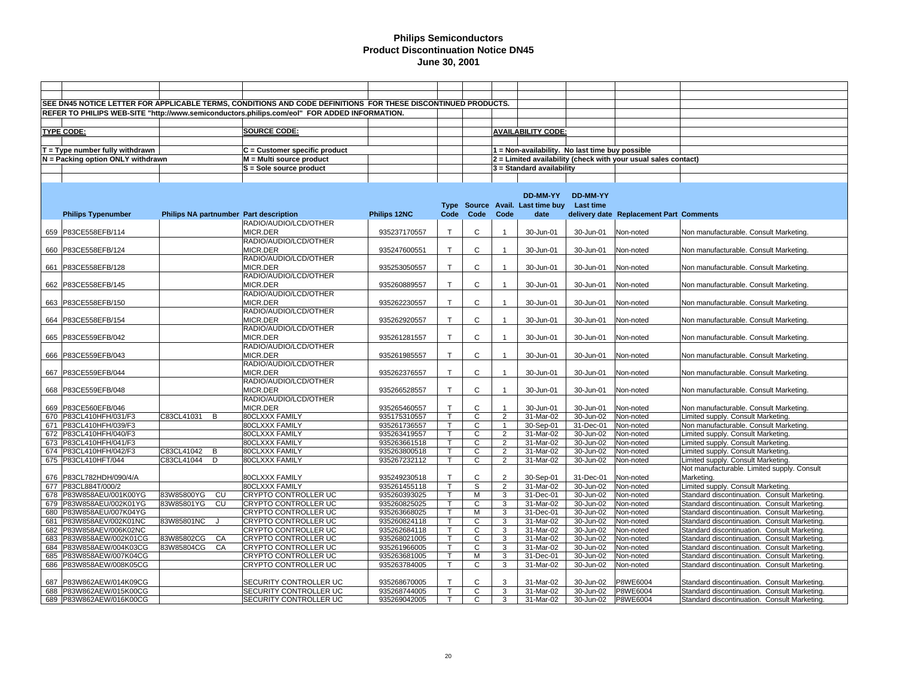|     |                                   |                                        | SEE DN45 NOTICE LETTER FOR APPLICABLE TERMS, CONDITIONS AND CODE DEFINITIONS FOR THESE DISCONTINUED PRODUCTS. |              |                |                |                |                                                 |           |                                                                |                                              |
|-----|-----------------------------------|----------------------------------------|---------------------------------------------------------------------------------------------------------------|--------------|----------------|----------------|----------------|-------------------------------------------------|-----------|----------------------------------------------------------------|----------------------------------------------|
|     |                                   |                                        | REFER TO PHILIPS WEB-SITE "http://www.semiconductors.philips.com/eol" FOR ADDED INFORMATION.                  |              |                |                |                |                                                 |           |                                                                |                                              |
|     |                                   |                                        |                                                                                                               |              |                |                |                |                                                 |           |                                                                |                                              |
|     | <b>TYPE CODE:</b>                 |                                        | <b>SOURCE CODE:</b>                                                                                           |              |                |                |                | <b>AVAILABILITY CODE:</b>                       |           |                                                                |                                              |
|     |                                   |                                        |                                                                                                               |              |                |                |                |                                                 |           |                                                                |                                              |
|     |                                   |                                        |                                                                                                               |              |                |                |                |                                                 |           |                                                                |                                              |
|     | $T = Type$ number fully withdrawn |                                        | C = Customer specific product                                                                                 |              |                |                |                | 1 = Non-availability. No last time buy possible |           |                                                                |                                              |
|     | N = Packing option ONLY withdrawn |                                        | $M = Multi source product$                                                                                    |              |                |                |                |                                                 |           | 2 = Limited availability (check with your usual sales contact) |                                              |
|     |                                   |                                        | S = Sole source product                                                                                       |              |                |                |                | $3$ = Standard availability                     |           |                                                                |                                              |
|     |                                   |                                        |                                                                                                               |              |                |                |                |                                                 |           |                                                                |                                              |
|     |                                   |                                        |                                                                                                               |              |                |                |                |                                                 |           |                                                                |                                              |
|     |                                   |                                        |                                                                                                               |              |                |                |                | DD-MM-YY                                        | DD-MM-YY  |                                                                |                                              |
|     |                                   |                                        |                                                                                                               |              |                |                |                | Type Source Avail. Last time buy Last time      |           |                                                                |                                              |
|     | <b>Philips Typenumber</b>         | Philips NA partnumber Part description |                                                                                                               | Philips 12NC | Code           | Code           | Code           | date                                            |           | delivery date Replacement Part Comments                        |                                              |
|     |                                   |                                        | RADIO/AUDIO/LCD/OTHER                                                                                         |              |                |                |                |                                                 |           |                                                                |                                              |
|     | 659 P83CE558EFB/114               |                                        | MICR.DER                                                                                                      | 935237170557 | $\mathsf{T}$   | C              | $\mathbf{1}$   | 30-Jun-01                                       | 30-Jun-01 | Non-noted                                                      | Non manufacturable. Consult Marketing.       |
|     |                                   |                                        | RADIO/AUDIO/LCD/OTHER                                                                                         |              |                |                |                |                                                 |           |                                                                |                                              |
|     | 660 P83CE558EFB/124               |                                        | MICR.DER                                                                                                      | 935247600551 | $\mathsf{T}$   | C              |                | 30-Jun-01                                       | 30-Jun-01 | Non-noted                                                      | Non manufacturable. Consult Marketing.       |
|     |                                   |                                        | RADIO/AUDIO/LCD/OTHER                                                                                         |              |                |                |                |                                                 |           |                                                                |                                              |
| 661 | P83CE558EFB/128                   |                                        | MICR.DER                                                                                                      | 935253050557 | $\mathsf{T}$   | $\mathsf{C}$   | $\overline{1}$ | 30-Jun-01                                       | 30-Jun-01 | Non-noted                                                      | Non manufacturable. Consult Marketing.       |
|     |                                   |                                        | RADIO/AUDIO/LCD/OTHER                                                                                         |              |                |                |                |                                                 |           |                                                                |                                              |
|     | 662 P83CE558EFB/145               |                                        | MICR.DER                                                                                                      | 935260889557 | $\mathsf{T}$   | $\mathsf{C}$   |                | 30-Jun-01                                       | 30-Jun-01 | Non-noted                                                      | Non manufacturable. Consult Marketing.       |
|     |                                   |                                        | RADIO/AUDIO/LCD/OTHER                                                                                         |              |                |                |                |                                                 |           |                                                                |                                              |
|     | 663 P83CE558EFB/150               |                                        | MICR.DER                                                                                                      | 935262230557 | $\mathsf{T}$   | C              | $\mathbf{1}$   | 30-Jun-01                                       | 30-Jun-01 | Non-noted                                                      | Non manufacturable. Consult Marketing.       |
|     |                                   |                                        | RADIO/AUDIO/LCD/OTHER                                                                                         |              |                |                |                |                                                 |           |                                                                |                                              |
|     | 664 P83CE558EFB/154               |                                        | MICR.DER                                                                                                      | 935262920557 | $\mathsf{T}$   | C              |                | 30-Jun-01                                       | 30-Jun-01 | Non-noted                                                      | Non manufacturable. Consult Marketing.       |
|     |                                   |                                        | RADIO/AUDIO/LCD/OTHER                                                                                         |              |                |                |                |                                                 |           |                                                                |                                              |
|     | 665 P83CE559EFB/042               |                                        | MICR.DER                                                                                                      | 935261281557 | $\top$         | $\mathsf{C}$   | $\mathbf{1}$   | 30-Jun-01                                       | 30-Jun-01 | Non-noted                                                      | Non manufacturable. Consult Marketing.       |
|     |                                   |                                        | RADIO/AUDIO/LCD/OTHER                                                                                         |              |                |                |                |                                                 |           |                                                                |                                              |
| 666 | P83CE559EFB/043                   |                                        | MICR.DER                                                                                                      | 935261985557 | $\top$         | $\mathsf{C}$   |                | 30-Jun-01                                       | 30-Jun-01 | Non-noted                                                      | Non manufacturable. Consult Marketing.       |
|     |                                   |                                        | RADIO/AUDIO/LCD/OTHER                                                                                         |              |                |                |                |                                                 |           |                                                                |                                              |
|     | 667 P83CE559EFB/044               |                                        | MICR.DER                                                                                                      | 935262376557 | $\mathsf{T}$   | $\mathsf{C}$   | $\overline{1}$ | 30-Jun-01                                       | 30-Jun-01 | Non-noted                                                      | Non manufacturable. Consult Marketing.       |
|     |                                   |                                        | RADIO/AUDIO/LCD/OTHER                                                                                         |              |                |                |                |                                                 |           |                                                                |                                              |
|     | 668 P83CE559EFB/048               |                                        | MICR.DER                                                                                                      | 935266528557 | T.             | $\mathsf{C}$   |                | 30-Jun-01                                       | 30-Jun-01 | Non-noted                                                      | Non manufacturable. Consult Marketing.       |
|     |                                   |                                        | RADIO/AUDIO/LCD/OTHER                                                                                         |              |                |                |                |                                                 |           |                                                                |                                              |
| 669 | P83CE560EFB/046                   |                                        | MICR.DER                                                                                                      | 935265460557 | $\mathsf{T}$   | $\mathsf{C}$   | $\overline{1}$ | 30-Jun-01                                       | 30-Jun-01 | Non-noted                                                      | Non manufacturable. Consult Marketing.       |
|     | 670 P83CL410HFH/031/F3            | C83CL41031 B                           | 80CLXXX FAMILY                                                                                                | 935175310557 | $\mathsf{T}$   | $\mathsf{C}$   | $\overline{2}$ | 31-Mar-02                                       | 30-Jun-02 | Non-noted                                                      | Limited supply. Consult Marketing.           |
|     | 671 P83CL410HFH/039/F3            |                                        | 80CLXXX FAMILY                                                                                                | 935261736557 | $\mathsf T$    | C              | $\mathbf{1}$   | 30-Sep-01                                       | 31-Dec-01 | Non-noted                                                      | Non manufacturable. Consult Marketing.       |
|     | 672 P83CL410HFH/040/F3            |                                        | 80CLXXX FAMILY                                                                                                | 935263419557 | $\overline{T}$ | $\mathsf{C}$   | $\overline{2}$ | 31-Mar-02                                       | 30-Jun-02 | Non-noted                                                      | Limited supply. Consult Marketing.           |
| 673 | P83CL410HFH/041/F3                |                                        | 80CLXXX FAMILY                                                                                                | 935263661518 | $\mathsf{T}$   | C              | $\overline{2}$ | 31-Mar-02                                       | 30-Jun-02 | Non-noted                                                      | Limited supply. Consult Marketing.           |
|     | 674 P83CL410HFH/042/F3            | C83CL41042<br>$\overline{B}$           | 80CLXXX FAMILY                                                                                                | 935263800518 | Τ              | $\overline{c}$ | $\overline{2}$ | 31-Mar-02                                       | 30-Jun-02 | Non-noted                                                      | Limited supply. Consult Marketing.           |
|     | 675 P83CL410HFT/044               | C83CL41044<br>D                        | 80CLXXX FAMILY                                                                                                | 935267232112 | $\mathsf{T}$   | $\mathsf{C}$   | $\overline{2}$ | 31-Mar-02                                       | 30-Jun-02 | Non-noted                                                      | Limited supply. Consult Marketing.           |
|     |                                   |                                        |                                                                                                               |              |                |                |                |                                                 |           |                                                                | Not manufacturable. Limited supply. Consult  |
| 676 | P83CL782HDH/090/4/A               |                                        | 80CLXXX FAMILY                                                                                                | 935249230518 | $\mathsf{T}$   | $\mathsf{C}$   | $\overline{2}$ | 30-Sep-01                                       | 31-Dec-01 | Non-noted                                                      | Marketing.                                   |
|     | 677 P83CL884T/000/2               |                                        | 80CLXXX FAMILY                                                                                                | 935261455118 | $\mathsf{T}$   | S              | $\overline{2}$ | 31-Mar-02                                       | 30-Jun-02 | Non-noted                                                      | Limited supply. Consult Marketing.           |
|     | 678 P83W858AEU/001K00YG           | 83W85800YG<br>CU                       | CRYPTO CONTROLLER UC                                                                                          | 935260393025 | $\mathsf T$    | М              | 3              | 31-Dec-01                                       | 30-Jun-02 | Non-noted                                                      | Standard discontinuation. Consult Marketing. |
|     | 679 P83W858AEU/002K01YG           | 83W85801YG<br>CU                       | <b>CRYPTO CONTROLLER UC</b>                                                                                   | 935260825025 | $\mathsf{T}$   | $\mathsf{C}$   | 3              | 31-Mar-02                                       | 30-Jun-02 | Non-noted                                                      | Standard discontinuation. Consult Marketing. |
| 680 | P83W858AEU/007K04YG               |                                        | CRYPTO CONTROLLER UC                                                                                          | 935263668025 | $\mathsf{T}$   | М              | 3              | 31-Dec-01                                       | 30-Jun-02 | Non-noted                                                      | Standard discontinuation. Consult Marketing. |
| 681 | P83W858AEV/002K01NC               | 83W85801NC<br>J                        | CRYPTO CONTROLLER UC                                                                                          | 935260824118 | $\mathsf T$    | $\mathsf{C}$   | 3              | 31-Mar-02                                       | 30-Jun-02 | Non-noted                                                      | Standard discontinuation. Consult Marketing. |
| 682 | P83W858AEV/006K02NC               |                                        | CRYPTO CONTROLLER UC                                                                                          | 935262684118 | T              | C              | 3              | 31-Mar-02                                       | 30-Jun-02 | Non-noted                                                      | Standard discontinuation. Consult Marketing. |
| 683 | P83W858AEW/002K01CG               | 83W85802CG<br>CA                       | CRYPTO CONTROLLER UC                                                                                          | 935268021005 | $\overline{T}$ | $\mathsf{C}$   | 3              | 31-Mar-02                                       | 30-Jun-02 | Non-noted                                                      | Standard discontinuation. Consult Marketing. |
|     | 684 P83W858AEW/004K03CG           | 83W85804CG<br>CA                       | CRYPTO CONTROLLER UC                                                                                          | 935261966005 | $\mathsf{T}$   | C              | 3              | 31-Mar-02                                       | 30-Jun-02 | Non-noted                                                      | Standard discontinuation. Consult Marketing. |
| 685 | P83W858AEW/007K04CG               |                                        | CRYPTO CONTROLLER UC                                                                                          | 935263681005 | T.             | M              | 3              | 31-Dec-01                                       | 30-Jun-02 | Non-noted                                                      | Standard discontinuation. Consult Marketing. |
|     | 686 P83W858AEW/008K05CG           |                                        | CRYPTO CONTROLLER UC                                                                                          | 935263784005 | $\mathsf T$    | C              | 3              | 31-Mar-02                                       | 30-Jun-02 | Non-noted                                                      | Standard discontinuation. Consult Marketing. |
|     |                                   |                                        |                                                                                                               |              |                |                |                |                                                 |           |                                                                |                                              |
| 687 | P83W862AEW/014K09CG               |                                        | SECURITY CONTROLLER UC                                                                                        | 935268670005 | T              | C              | 3              | 31-Mar-02                                       | 30-Jun-02 | P8WE6004                                                       | Standard discontinuation. Consult Marketing. |
| 688 | P83W862AEW/015K00CG               |                                        | SECURITY CONTROLLER UC                                                                                        | 935268744005 | $\mathsf T$    | C              | 3              | 31-Mar-02                                       | 30-Jun-02 | P8WE6004                                                       | Standard discontinuation. Consult Marketing. |
|     | 689 P83W862AEW/016K00CG           |                                        | SECURITY CONTROLLER UC                                                                                        | 935269042005 | $\mathsf{T}$   | $\mathsf{C}$   | 3              | 31-Mar-02                                       | 30-Jun-02 | P8WE6004                                                       | Standard discontinuation. Consult Marketing. |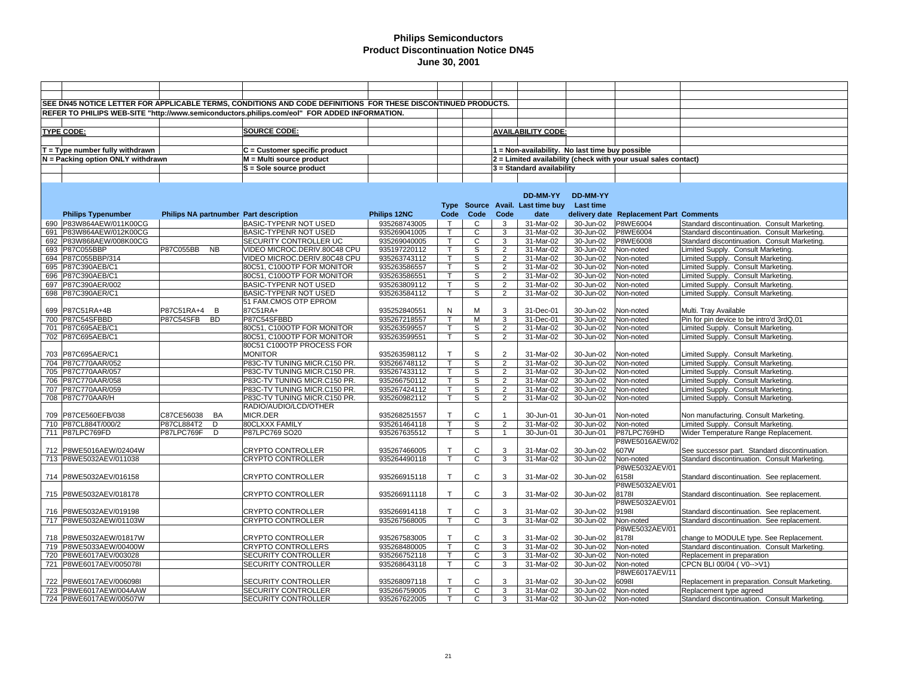|     |                                   |              |           | SEE DN45 NOTICE LETTER FOR APPLICABLE TERMS, CONDITIONS AND CODE DEFINITIONS FOR THESE DISCONTINUED PRODUCTS. |              |              |                |                |                                                 |           |                                                                |                                                |
|-----|-----------------------------------|--------------|-----------|---------------------------------------------------------------------------------------------------------------|--------------|--------------|----------------|----------------|-------------------------------------------------|-----------|----------------------------------------------------------------|------------------------------------------------|
|     |                                   |              |           | REFER TO PHILIPS WEB-SITE "http://www.semiconductors.philips.com/eol" FOR ADDED INFORMATION.                  |              |              |                |                |                                                 |           |                                                                |                                                |
|     |                                   |              |           |                                                                                                               |              |              |                |                |                                                 |           |                                                                |                                                |
|     | <b>TYPE CODE:</b>                 |              |           | <b>SOURCE CODE:</b>                                                                                           |              |              |                |                | <b>AVAILABILITY CODE:</b>                       |           |                                                                |                                                |
|     |                                   |              |           |                                                                                                               |              |              |                |                |                                                 |           |                                                                |                                                |
|     | $T = Type$ number fully withdrawn |              |           | $C =$ Customer specific product                                                                               |              |              |                |                | 1 = Non-availability. No last time buy possible |           |                                                                |                                                |
|     |                                   |              |           | M = Multi source product                                                                                      |              |              |                |                |                                                 |           |                                                                |                                                |
|     | N = Packing option ONLY withdrawn |              |           | S = Sole source product                                                                                       |              |              |                |                |                                                 |           | 2 = Limited availability (check with your usual sales contact) |                                                |
|     |                                   |              |           |                                                                                                               |              |              |                |                | $3$ = Standard availability                     |           |                                                                |                                                |
|     |                                   |              |           |                                                                                                               |              |              |                |                |                                                 |           |                                                                |                                                |
|     |                                   |              |           |                                                                                                               |              |              |                |                |                                                 |           |                                                                |                                                |
|     |                                   |              |           |                                                                                                               |              |              |                |                | DD-MM-YY                                        | DD-MM-YY  |                                                                |                                                |
|     |                                   |              |           |                                                                                                               |              |              |                |                | Type Source Avail. Last time buy                | Last time |                                                                |                                                |
|     | <b>Philips Typenumber</b>         |              |           | Philips NA partnumber Part description                                                                        | Philips 12NC | Code         | Code           | Code           | date                                            |           | delivery date Replacement Part Comments                        |                                                |
|     | 690 P83W864AEW/011K00CG           |              |           | <b>BASIC-TYPENR NOT USED</b>                                                                                  | 935268743005 | T            | $\mathbf{C}$   | 3              | 31-Mar-02                                       | 30-Jun-02 | P8WE6004                                                       | Standard discontinuation. Consult Marketing.   |
| 691 | P83W864AEW/012K00CG               |              |           | <b>BASIC-TYPENR NOT USED</b>                                                                                  | 935269041005 | $\mathsf{T}$ | $\mathbf{C}$   | 3              | 31-Mar-02                                       | 30-Jun-02 | P8WE6004                                                       | Standard discontinuation. Consult Marketing.   |
| 692 | P83W868AEW/008K00CG               |              |           | SECURITY CONTROLLER UC                                                                                        | 935269040005 | $\mathsf{T}$ | $\overline{c}$ | 3              | 31-Mar-02                                       | 30-Jun-02 | P8WE6008                                                       | Standard discontinuation. Consult Marketing.   |
|     | 693 P87C055BBP                    | P87C055BB    | <b>NB</b> | VIDEO MICROC.DERIV.80C48 CPU                                                                                  | 935197220112 | $\mathsf{T}$ | S              | $\overline{2}$ | 31-Mar-02                                       | 30-Jun-02 | Non-noted                                                      | Limited Supply. Consult Marketing.             |
|     | 694 P87C055BBP/314                |              |           | VIDEO MICROC.DERIV.80C48 CPU                                                                                  | 935263743112 | Ŧ            | s              | $\overline{2}$ | 31-Mar-02                                       | 30-Jun-02 | Non-noted                                                      | Limited Supply. Consult Marketing.             |
|     | 695 P87C390AEB/C1                 |              |           | 80C51, C100OTP FOR MONITOR                                                                                    | 935263586557 | т            | S              | $\overline{2}$ | 31-Mar-02                                       | 30-Jun-02 | Non-noted                                                      | Limited Supply. Consult Marketing.             |
|     | 696 P87C390AEB/C1                 |              |           | 80C51, C100OTP FOR MONITOR                                                                                    | 935263586551 | $\mathsf{T}$ | S              | $\overline{2}$ | 31-Mar-02                                       | 30-Jun-02 | Non-noted                                                      | Limited Supply. Consult Marketing.             |
|     | 697 P87C390AER/002                |              |           | <b>BASIC-TYPENR NOT USED</b>                                                                                  | 935263809112 | $\mathsf{T}$ | S              | $\overline{2}$ | 31-Mar-02                                       | 30-Jun-02 | Non-noted                                                      | Limited Supply. Consult Marketing.             |
|     | 698 P87C390AER/C1                 |              |           | BASIC-TYPENR NOT USED                                                                                         | 935263584112 | $\mathsf{T}$ | S              | $\overline{2}$ | 31-Mar-02                                       | 30-Jun-02 | Non-noted                                                      | Limited Supply. Consult Marketing.             |
|     |                                   |              |           | 51 FAM.CMOS OTP EPROM                                                                                         |              |              |                |                |                                                 |           |                                                                |                                                |
|     | 699 P87C51RA+4B                   | P87C51RA+4 B |           | 87C51RA+                                                                                                      | 935252840551 | N            | M              | 3              | 31-Dec-01                                       | 30-Jun-02 | Non-noted                                                      | Multi. Tray Available                          |
|     | 700 P87C54SFBBD                   | P87C54SFB    | <b>BD</b> | P87C54SFBBD                                                                                                   | 935267218557 | $\mathsf{T}$ | M              | 3              | 31-Dec-01                                       | 30-Jun-02 | Non-noted                                                      | Pin for pin device to be intro'd 3rdQ,01       |
|     | 701 P87C695AEB/C1                 |              |           | 80C51, C100OTP FOR MONITOR                                                                                    | 935263599557 | $\mathsf{T}$ | S              | $\overline{2}$ | 31-Mar-02                                       | 30-Jun-02 | Non-noted                                                      | Limited Supply. Consult Marketing.             |
|     | 702 P87C695AEB/C1                 |              |           | 80C51, C100OTP FOR MONITOR                                                                                    | 935263599551 | $\mathsf{T}$ | S              | $\overline{2}$ | 31-Mar-02                                       | 30-Jun-02 | Non-noted                                                      | Limited Supply. Consult Marketing.             |
|     |                                   |              |           | 80C51 C100OTP PROCESS FOR                                                                                     |              |              |                |                |                                                 |           |                                                                |                                                |
|     | 703 P87C695AER/C1                 |              |           | <b>MONITOR</b>                                                                                                | 935263598112 | $\mathsf{T}$ | S              | $\overline{2}$ | 31-Mar-02                                       | 30-Jun-02 | Non-noted                                                      | Limited Supply. Consult Marketing.             |
|     | 704 P87C770AAR/052                |              |           | P83C-TV TUNING MICR.C150 PR.                                                                                  | 935266748112 | $\mathsf{T}$ | S              | $\overline{2}$ | 31-Mar-02                                       | 30-Jun-02 | Non-noted                                                      | Limited Supply. Consult Marketing.             |
|     | 705 P87C770AAR/057                |              |           | P83C-TV TUNING MICR.C150 PR.                                                                                  | 935267433112 | т            | S              | $\overline{2}$ | 31-Mar-02                                       | 30-Jun-02 | Non-noted                                                      | Limited Supply. Consult Marketing.             |
|     | 706 P87C770AAR/058                |              |           | P83C-TV TUNING MICR.C150 PR.                                                                                  | 935266750112 | $\mathsf{T}$ | S              | $\overline{2}$ | 31-Mar-02                                       | 30-Jun-02 | Non-noted                                                      | Limited Supply. Consult Marketing.             |
|     | 707 P87C770AAR/059                |              |           | P83C-TV TUNING MICR.C150 PR.                                                                                  | 935267424112 | $\mathsf{T}$ | S              | $\overline{2}$ | 31-Mar-02                                       | 30-Jun-02 | Non-noted                                                      | Limited Supply. Consult Marketing.             |
|     | 708 P87C770AAR/H                  |              |           | P83C-TV TUNING MICR.C150 PR.                                                                                  | 935260982112 | T.           | S              | $\overline{2}$ | 31-Mar-02                                       | 30-Jun-02 | Non-noted                                                      | Limited Supply. Consult Marketing.             |
|     |                                   |              |           | RADIO/AUDIO/LCD/OTHER                                                                                         |              |              |                |                |                                                 |           |                                                                |                                                |
|     | 709 P87CE560EFB/038               | C87CE56038   | BA        | MICR.DER                                                                                                      | 935268251557 | $\mathsf{T}$ | C              | $\mathbf{1}$   | 30-Jun-01                                       | 30-Jun-01 | Non-noted                                                      | Non manufacturing. Consult Marketing.          |
|     | 710 P87CL884T/000/2               | P87CL884T2   | D         | 80CLXXX FAMILY                                                                                                | 935261464118 | $\mathsf{T}$ | s              | $\overline{2}$ | 31-Mar-02                                       | 30-Jun-02 | Non-noted                                                      | Limited Supply. Consult Marketing.             |
|     | 711 P87LPC769FD                   | P87LPC769F   | D         | P87LPC769 SO20                                                                                                | 935267635512 | $\mathsf{T}$ | S              | $\mathbf{1}$   | 30-Jun-01                                       | 30-Jun-01 | P87LPC769HD                                                    | Wider Temperature Range Replacement.           |
|     |                                   |              |           |                                                                                                               |              |              |                |                |                                                 |           | P8WE5016AEW/02                                                 |                                                |
|     | 712 P8WE5016AEW/02404W            |              |           | <b>CRYPTO CONTROLLER</b>                                                                                      | 935267466005 | $\mathsf{T}$ | C              | 3              | 31-Mar-02                                       | 30-Jun-02 | 607W                                                           | See successor part. Standard discontinuation.  |
|     | 713 P8WE5032AEV/011038            |              |           | <b>CRYPTO CONTROLLER</b>                                                                                      | 935264490118 | $\mathsf{T}$ | C              | 3              | 31-Mar-02                                       | 30-Jun-02 | Non-noted                                                      | Standard discontinuation. Consult Marketing.   |
|     |                                   |              |           |                                                                                                               |              |              |                |                |                                                 |           | P8WE5032AEV/01                                                 |                                                |
|     | 714 P8WE5032AEV/016158            |              |           | <b>CRYPTO CONTROLLER</b>                                                                                      | 935266915118 | $\mathsf{T}$ | C              | 3              | 31-Mar-02                                       | 30-Jun-02 | 61581                                                          | Standard discontinuation. See replacement.     |
|     |                                   |              |           |                                                                                                               |              |              |                |                |                                                 |           | P8WE5032AEV/01                                                 |                                                |
|     | 715 P8WE5032AEV/018178            |              |           | <b>CRYPTO CONTROLLER</b>                                                                                      | 935266911118 | $\mathsf{T}$ | $\mathsf{C}$   | 3              | 31-Mar-02                                       | 30-Jun-02 | 81781                                                          | Standard discontinuation. See replacement.     |
|     |                                   |              |           |                                                                                                               |              |              |                |                |                                                 |           | P8WE5032AEV/01                                                 |                                                |
|     | 716 P8WE5032AEV/019198            |              |           | <b>CRYPTO CONTROLLER</b>                                                                                      | 935266914118 | $\mathsf{T}$ | C              | 3              | 31-Mar-02                                       | 30-Jun-02 | 91981                                                          | Standard discontinuation. See replacement.     |
|     | 717 P8WE5032AEW/01103W            |              |           | <b>CRYPTO CONTROLLER</b>                                                                                      | 935267568005 | $\mathsf{T}$ | $\mathsf{C}$   | 3              | 31-Mar-02                                       | 30-Jun-02 | Non-noted                                                      | Standard discontinuation. See replacement.     |
|     |                                   |              |           |                                                                                                               |              |              |                |                |                                                 |           | P8WE5032AEV/01                                                 |                                                |
|     | 718 P8WE5032AEW/01817W            |              |           | <b>CRYPTO CONTROLLER</b>                                                                                      | 935267583005 | Τ            | C              | 3              | 31-Mar-02                                       | 30-Jun-02 | 81781                                                          | change to MODULE type. See Replacement.        |
|     | 719 P8WE5033AEW/00400W            |              |           | <b>CRYPTO CONTROLLERS</b>                                                                                     | 935268480005 | $\mathsf{T}$ | $\mathsf{C}$   | 3              | $\overline{31}$ -Mar-02                         | 30-Jun-02 | Non-noted                                                      | Standard discontinuation. Consult Marketing.   |
| 720 | P8WE6017AEV/003028                |              |           | <b>SECURITY CONTROLLER</b>                                                                                    | 935266752118 | $\mathsf{T}$ | C              | 3              | 31-Mar-02                                       | 30-Jun-02 | Non-noted                                                      | Replacement in preparation                     |
|     | 721 P8WE6017AEV/005078I           |              |           | SECURITY CONTROLLER                                                                                           | 935268643118 | $\mathsf T$  | $\mathsf C$    | 3              | $\overline{31}$ -Mar-02                         | 30-Jun-02 | Non-noted                                                      | CPCN BLI 00/04 ( V0-->V1)                      |
|     |                                   |              |           |                                                                                                               |              |              |                |                |                                                 |           | P8WE6017AEV/11                                                 |                                                |
| 722 | P8WE6017AEV/006098I               |              |           | SECURITY CONTROLLER                                                                                           | 935268097118 | $\mathsf{T}$ | C              | 3              | 31-Mar-02                                       | 30-Jun-02 | 60981                                                          | Replacement in preparation. Consult Marketing. |
|     | 723 P8WE6017AEW/004AAW            |              |           | SECURITY CONTROLLER                                                                                           | 935266759005 | $\mathsf{T}$ | C              | 3              | 31-Mar-02                                       | 30-Jun-02 | Non-noted                                                      | Replacement type agreed                        |
|     | 724 P8WE6017AEW/00507W            |              |           | <b>SECURITY CONTROLLER</b>                                                                                    | 935267622005 | $\mathsf{T}$ | C              | 3              | 31-Mar-02                                       | 30-Jun-02 | Non-noted                                                      | Standard discontinuation. Consult Marketing    |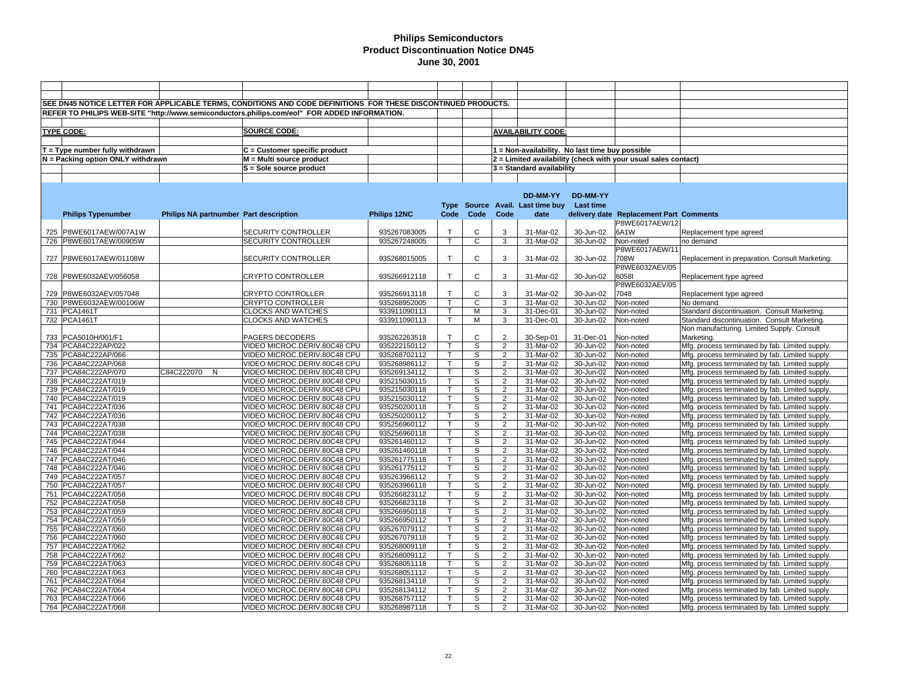|     |                                   |                                        | SEE DN45 NOTICE LETTER FOR APPLICABLE TERMS, CONDITIONS AND CODE DEFINITIONS FOR THESE DISCONTINUED PRODUCTS. |              |                         |                |                |                                                 |                 |                                                                |                                                 |
|-----|-----------------------------------|----------------------------------------|---------------------------------------------------------------------------------------------------------------|--------------|-------------------------|----------------|----------------|-------------------------------------------------|-----------------|----------------------------------------------------------------|-------------------------------------------------|
|     |                                   |                                        | REFER TO PHILIPS WEB-SITE "http://www.semiconductors.philips.com/eol" FOR ADDED INFORMATION.                  |              |                         |                |                |                                                 |                 |                                                                |                                                 |
|     |                                   |                                        |                                                                                                               |              |                         |                |                |                                                 |                 |                                                                |                                                 |
|     | <b>TYPE CODE:</b>                 |                                        | SOURCE CODE:                                                                                                  |              |                         |                |                | <b>AVAILABILITY CODE:</b>                       |                 |                                                                |                                                 |
|     |                                   |                                        |                                                                                                               |              |                         |                |                |                                                 |                 |                                                                |                                                 |
|     |                                   |                                        |                                                                                                               |              |                         |                |                |                                                 |                 |                                                                |                                                 |
|     | $T = Type$ number fully withdrawn |                                        | C = Customer specific product                                                                                 |              |                         |                |                | 1 = Non-availability. No last time buy possible |                 |                                                                |                                                 |
|     | N = Packing option ONLY withdrawn |                                        | M = Multi source product                                                                                      |              |                         |                |                |                                                 |                 | 2 = Limited availability (check with your usual sales contact) |                                                 |
|     |                                   |                                        | S = Sole source product                                                                                       |              |                         |                |                | 3 = Standard availability                       |                 |                                                                |                                                 |
|     |                                   |                                        |                                                                                                               |              |                         |                |                |                                                 |                 |                                                                |                                                 |
|     |                                   |                                        |                                                                                                               |              |                         |                |                |                                                 |                 |                                                                |                                                 |
|     |                                   |                                        |                                                                                                               |              |                         |                |                | DD-MM-YY                                        | <b>DD-MM-YY</b> |                                                                |                                                 |
|     |                                   |                                        |                                                                                                               |              |                         |                |                | Type Source Avail. Last time buy                | Last time       |                                                                |                                                 |
|     | <b>Philips Typenumber</b>         | Philips NA partnumber Part description |                                                                                                               | Philips 12NC | Code                    | Code           | Code           | date                                            |                 | delivery date Replacement Part Comments                        |                                                 |
|     |                                   |                                        |                                                                                                               |              |                         |                |                |                                                 |                 | P8WE6017AEW/12                                                 |                                                 |
| 725 | P8WE6017AEW/007A1W                |                                        | SECURITY CONTROLLER                                                                                           | 935267083005 | $\mathsf{T}$            | C              | 3              | 31-Mar-02                                       | 30-Jun-02       | 6A1W                                                           | Replacement type agreed                         |
|     | 726 P8WE6017AEW/00905W            |                                        | SECURITY CONTROLLER                                                                                           | 935267248005 | $\mathsf{T}$            | C              | 3              | 31-Mar-02                                       | 30-Jun-02       | Non-noted                                                      | no demand                                       |
|     |                                   |                                        |                                                                                                               |              |                         |                |                |                                                 |                 | P8WE6017AEW/11                                                 |                                                 |
|     | 727 P8WE6017AEW/01108W            |                                        | SECURITY CONTROLLER                                                                                           | 935268015005 | $\mathsf{T}$            | C              | 3              | 31-Mar-02                                       | 30-Jun-02       | 708W                                                           | Replacement in preparation. Consult Marketing.  |
|     |                                   |                                        |                                                                                                               |              |                         |                |                |                                                 |                 | P8WE6032AEV/05                                                 |                                                 |
|     | 728 P8WE6032AEV/056058            |                                        | <b>CRYPTO CONTROLLER</b>                                                                                      | 935266912118 | T.                      | C              | 3              | 31-Mar-02                                       | 30-Jun-02       | 60581                                                          | Replacement type agreed                         |
|     |                                   |                                        |                                                                                                               |              |                         |                |                |                                                 |                 | P8WE6032AEV/05                                                 |                                                 |
|     | 729 P8WE6032AEV/057048            |                                        | <b>CRYPTO CONTROLLER</b>                                                                                      | 935266913118 | $\mathsf{T}$            | C              | 3              | 31-Mar-02                                       | 30-Jun-02       | 7048                                                           | Replacement type agreed                         |
|     | 730 P8WE6032AEW/00106W            |                                        | <b>CRYPTO CONTROLLER</b>                                                                                      | 935268952005 | T.                      | C              | 3              | 31-Mar-02                                       | 30-Jun-02       | Non-noted                                                      | No demand                                       |
|     | 731 PCA1461T                      |                                        | <b>CLOCKS AND WATCHES</b>                                                                                     | 933911090113 | T.                      | M              | 3              | 31-Dec-01                                       | 30-Jun-02       | Non-noted                                                      | Standard discontinuation. Consult Marketing.    |
|     | 732 PCA1461T                      |                                        | <b>CLOCKS AND WATCHES</b>                                                                                     | 933911090113 | T.                      | М              | 3              | 31-Dec-01                                       | 30-Jun-02       | Non-noted                                                      | Standard discontinuation. Consult Marketing.    |
|     |                                   |                                        |                                                                                                               |              |                         |                |                |                                                 |                 |                                                                | Non manufacturing. Limited Supply. Consult      |
| 733 | PCA5010H/001/F1                   |                                        | PAGERS DECODERS                                                                                               | 935262263518 | $\mathsf{T}$            | C              | $\overline{2}$ | 30-Sep-01                                       | 31-Dec-01       | Non-noted                                                      | Marketing.                                      |
|     | 734 PCA84C222AP/022               |                                        | VIDEO MICROC.DERIV.80C48 CPU                                                                                  | 935222150112 | $\mathsf{T}$            | S              | $\overline{2}$ | 31-Mar-02                                       | 30-Jun-02       | Non-noted                                                      | Mfg. process terminated by fab. Limited supply. |
| 735 | PCA84C222AP/066                   |                                        | VIDEO MICROC.DERIV.80C48 CPU                                                                                  | 935268702112 | T.                      | S              | $\overline{2}$ | 31-Mar-02                                       | 30-Jun-02       | Non-noted                                                      | Mfg. process terminated by fab. Limited supply  |
|     | 736 PCA84C222AP/068               |                                        | VIDEO MICROC.DERIV.80C48 CPU                                                                                  | 935268986112 | T.                      | S              | 2              | 31-Mar-02                                       | 30-Jun-02       | Non-noted                                                      | Mfg. process terminated by fab. Limited supply. |
|     | 737 PCA84C222AP/070               | C84C222070 N                           | VIDEO MICROC.DERIV.80C48 CPU                                                                                  | 935269134112 | T.                      | $\mathbb S$    | $\overline{2}$ | 31-Mar-02                                       | 30-Jun-02       | Non-noted                                                      | Mfg. process terminated by fab. Limited supply  |
|     | 738 PCA84C222AT/019               |                                        | VIDEO MICROC.DERIV.80C48 CPU                                                                                  | 935215030115 | $\mathsf{T}$            | S              | 2              | 31-Mar-02                                       | 30-Jun-02       | Non-noted                                                      | Mfg. process terminated by fab. Limited supply  |
|     | 739 PCA84C222AT/019               |                                        | VIDEO MICROC.DERIV.80C48 CPU                                                                                  | 935215030118 | T.                      | S              | $\overline{2}$ | 31-Mar-02                                       | 30-Jun-02       | Non-noted                                                      | Mfg. process terminated by fab. Limited supply. |
|     | 740 PCA84C222AT/019               |                                        | VIDEO MICROC.DERIV.80C48 CPU                                                                                  | 935215030112 | T                       | S              | 2              | 31-Mar-02                                       | 30-Jun-02       | Non-noted                                                      | Mfg. process terminated by fab. Limited supply  |
|     | 741 PCA84C222AT/036               |                                        | VIDEO MICROC.DERIV.80C48 CPU                                                                                  | 935250200118 | T.                      | S              | 2              | 31-Mar-02                                       | 30-Jun-02       | Non-noted                                                      | Mfg. process terminated by fab. Limited supply. |
|     | 742 PCA84C222AT/036               |                                        | VIDEO MICROC.DERIV.80C48 CPU                                                                                  | 935250200112 | $\mathsf{T}$            | S              | 2              | 31-Mar-02                                       | 30-Jun-02       | Non-noted                                                      | Mfg. process terminated by fab. Limited supply  |
|     | 743 PCA84C222AT/038               |                                        | VIDEO MICROC.DERIV.80C48 CPU                                                                                  | 935256960112 | $\overline{\mathsf{T}}$ | $\overline{s}$ | $\overline{2}$ | 31-Mar-02                                       | 30-Jun-02       | Non-noted                                                      | Mfg. process terminated by fab. Limited supply. |
|     | 744 PCA84C222AT/038               |                                        | VIDEO MICROC.DERIV.80C48 CPU                                                                                  | 935256960118 | T.                      | S              | 2              | 31-Mar-02                                       | 30-Jun-02       | Non-noted                                                      | Mfg. process terminated by fab. Limited supply. |
| 745 | PCA84C222AT/044                   |                                        | VIDEO MICROC.DERIV.80C48 CPU                                                                                  | 935261460112 | T.                      | S              | 2              | 31-Mar-02                                       | 30-Jun-02       | Non-noted                                                      | Mfg. process terminated by fab. Limited supply. |
|     | 746 PCA84C222AT/044               |                                        | VIDEO MICROC.DERIV.80C48 CPU                                                                                  | 935261460118 | T.                      | S              | $\overline{2}$ | 31-Mar-02                                       | 30-Jun-02       | Non-noted                                                      | Mfg. process terminated by fab. Limited supply  |
|     | 747 PCA84C222AT/046               |                                        | VIDEO MICROC.DERIV.80C48 CPU                                                                                  | 935261775118 | T                       | S              | 2              | 31-Mar-02                                       | 30-Jun-02       | Non-noted                                                      | Mfg. process terminated by fab. Limited supply  |
|     | 748 PCA84C222AT/046               |                                        | VIDEO MICROC.DERIV.80C48 CPU                                                                                  | 935261775112 | $\mathsf{T}$            | S              | 2              | 31-Mar-02                                       | 30-Jun-02       | Non-noted                                                      | Mfg. process terminated by fab. Limited supply  |
|     | 749 PCA84C222AT/057               |                                        | VIDEO MICROC.DERIV.80C48 CPU                                                                                  | 935263966112 | T                       | S              | 2              | 31-Mar-02                                       | 30-Jun-02       | Non-noted                                                      | Mfg. process terminated by fab. Limited supply. |
|     | 750 PCA84C222AT/057               |                                        | VIDEO MICROC.DERIV.80C48 CPU                                                                                  | 935263966118 | T                       | S              | 2              | 31-Mar-02                                       | 30-Jun-02       | Non-noted                                                      | Mfg. process terminated by fab. Limited supply. |
|     | 751 PCA84C222AT/058               |                                        | VIDEO MICROC.DERIV.80C48 CPU                                                                                  | 935266823112 | T.                      | S              | 2              | 31-Mar-02                                       | 30-Jun-02       | Non-noted                                                      | Mfg. process terminated by fab. Limited supply  |
|     | 752 PCA84C222AT/058               |                                        | VIDEO MICROC.DERIV.80C48 CPU                                                                                  | 935266823118 | Ŧ                       | s              | $\overline{2}$ | 31-Mar-02                                       | $30 - Jun-02$   | Non-noted                                                      | Mfg. process terminated by fab. Limited supply. |
| 753 | PCA84C222AT/059                   |                                        | VIDEO MICROC.DERIV.80C48 CPU                                                                                  | 935266950118 | T.                      | S              | 2              | 31-Mar-02                                       | 30-Jun-02       | Non-noted                                                      | Mfg. process terminated by fab. Limited supply  |
|     | 754 PCA84C222AT/059               |                                        | VIDEO MICROC.DERIV.80C48 CPU                                                                                  | 935266950112 | T.                      | s              | 2              | 31-Mar-02                                       | 30-Jun-02       | Non-noted                                                      | Mfg. process terminated by fab. Limited supply. |
|     | 755 PCA84C222AT/060               |                                        | VIDEO MICROC.DERIV.80C48 CPU                                                                                  | 935267079112 | T.                      | S              | 2              | 31-Mar-02                                       | 30-Jun-02       | Non-noted                                                      | Mfg. process terminated by fab. Limited supply  |
| 756 | PCA84C222AT/060                   |                                        | VIDEO MICROC.DERIV.80C48 CPU                                                                                  | 935267079118 | T.                      | S              | $\overline{2}$ | 31-Mar-02                                       | 30-Jun-02       | Non-noted                                                      | Mfg. process terminated by fab. Limited supply  |
|     | 757 PCA84C222AT/062               |                                        | VIDEO MICROC.DERIV.80C48 CPU                                                                                  | 935268009118 | $\mathsf{T}$            | S              | 2              | 31-Mar-02                                       | 30-Jun-02       | Non-noted                                                      | Mfg. process terminated by fab. Limited supply  |
| 758 | PCA84C222AT/062                   |                                        | VIDEO MICROC.DERIV.80C48 CPU                                                                                  | 935268009112 | T.                      | S              | 2              | 31-Mar-02                                       | 30-Jun-02       | Non-noted                                                      | Mfg. process terminated by fab. Limited supply. |
|     | 759 PCA84C222AT/063               |                                        | VIDEO MICROC.DERIV.80C48 CPU                                                                                  | 935268051118 | T.                      | S              | $\overline{2}$ | 31-Mar-02                                       | 30-Jun-02       | Non-noted                                                      | Mfg. process terminated by fab. Limited supply. |
|     | 760 PCA84C222AT/063               |                                        | VIDEO MICROC.DERIV.80C48 CPU                                                                                  | 935268051112 | T.                      | S              | 2              | 31-Mar-02                                       | 30-Jun-02       | Non-noted                                                      | Mfg. process terminated by fab. Limited supply  |
|     | 761 PCA84C222AT/064               |                                        | VIDEO MICROC.DERIV.80C48 CPU                                                                                  | 935268134118 | T.                      | S              | 2              | 31-Mar-02                                       | 30-Jun-02       | Non-noted                                                      | Mfg. process terminated by fab. Limited supply. |
| 762 | PCA84C222AT/064                   |                                        | VIDEO MICROC.DERIV.80C48 CPU                                                                                  | 935268134112 | T.                      | S              | $\overline{2}$ | 31-Mar-02                                       | 30-Jun-02       | Non-noted                                                      | Mfg. process terminated by fab. Limited supply. |
|     | 763 PCA84C222AT/066               |                                        | VIDEO MICROC.DERIV.80C48 CPU                                                                                  | 935268757112 | $\mathsf{T}$            | S              | 2              | 31-Mar-02                                       | 30-Jun-02       | Non-noted                                                      | Mfg. process terminated by fab. Limited supply. |
|     | 764 PCA84C222AT/068               |                                        | VIDEO MICROC.DERIV.80C48 CPU                                                                                  | 935268987118 | T                       | S              | 2              | 31-Mar-02                                       | 30-Jun-02       | Non-noted                                                      | Mfg. process terminated by fab. Limited supply. |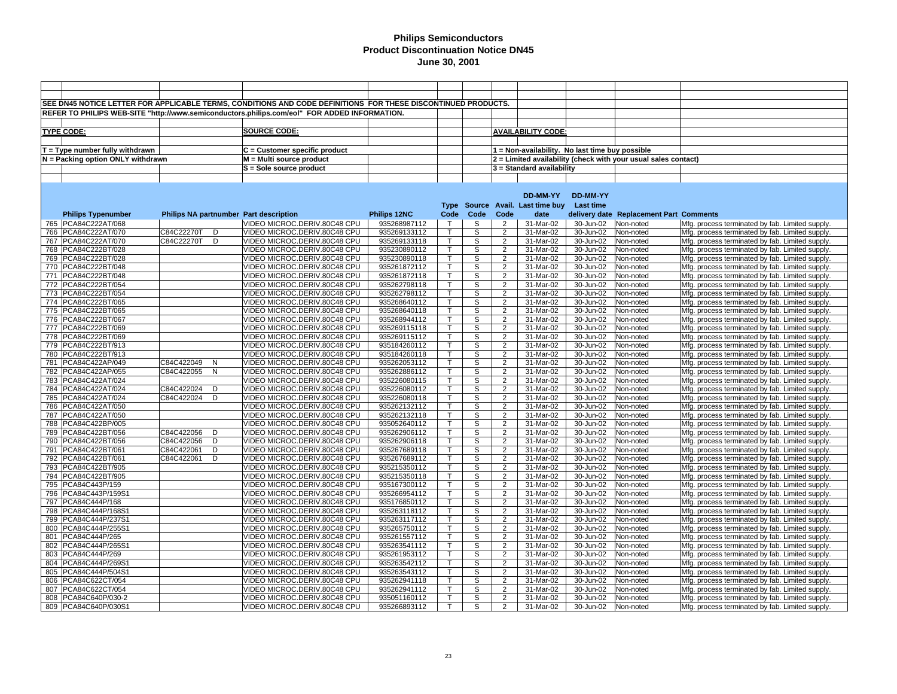|     |                                            |                                        | SEE DN45 NOTICE LETTER FOR APPLICABLE TERMS, CONDITIONS AND CODE DEFINITIONS FOR THESE DISCONTINUED PRODUCTS. |                              |                   |                |                                  |                                                 |                        |                                                                |                                                                                                    |
|-----|--------------------------------------------|----------------------------------------|---------------------------------------------------------------------------------------------------------------|------------------------------|-------------------|----------------|----------------------------------|-------------------------------------------------|------------------------|----------------------------------------------------------------|----------------------------------------------------------------------------------------------------|
|     |                                            |                                        | REFER TO PHILIPS WEB-SITE "http://www.semiconductors.philips.com/eol" FOR ADDED INFORMATION.                  |                              |                   |                |                                  |                                                 |                        |                                                                |                                                                                                    |
|     |                                            |                                        |                                                                                                               |                              |                   |                |                                  |                                                 |                        |                                                                |                                                                                                    |
|     | <b>TYPE CODE:</b>                          |                                        | <b>SOURCE CODE:</b>                                                                                           |                              |                   |                |                                  | <b>AVAILABILITY CODE:</b>                       |                        |                                                                |                                                                                                    |
|     |                                            |                                        |                                                                                                               |                              |                   |                |                                  |                                                 |                        |                                                                |                                                                                                    |
|     |                                            |                                        |                                                                                                               |                              |                   |                |                                  |                                                 |                        |                                                                |                                                                                                    |
|     | $T = Type$ number fully withdrawn          |                                        | C = Customer specific product                                                                                 |                              |                   |                |                                  | 1 = Non-availability. No last time buy possible |                        |                                                                |                                                                                                    |
|     | N = Packing option ONLY withdrawn          |                                        | $M = Multi source product$                                                                                    |                              |                   |                |                                  |                                                 |                        | 2 = Limited availability (check with your usual sales contact) |                                                                                                    |
|     |                                            |                                        | S = Sole source product                                                                                       |                              |                   |                |                                  | 3 = Standard availability                       |                        |                                                                |                                                                                                    |
|     |                                            |                                        |                                                                                                               |                              |                   |                |                                  |                                                 |                        |                                                                |                                                                                                    |
|     |                                            |                                        |                                                                                                               |                              |                   |                |                                  |                                                 |                        |                                                                |                                                                                                    |
|     |                                            |                                        |                                                                                                               |                              |                   |                |                                  | DD-MM-YY                                        | DD-MM-YY               |                                                                |                                                                                                    |
|     |                                            |                                        |                                                                                                               |                              |                   |                |                                  | Type Source Avail. Last time buy                | <b>Last time</b>       |                                                                |                                                                                                    |
|     | <b>Philips Typenumber</b>                  | Philips NA partnumber Part description |                                                                                                               | Philips 12NC                 | Code              | Code           | Code                             | date                                            |                        | delivery date Replacement Part Comments                        |                                                                                                    |
|     | 765 PCA84C222AT/068                        |                                        | VIDEO MICROC.DERIV.80C48 CPU                                                                                  | 935268987112                 | $\mathsf{T}$      | S              | 2                                | 31-Mar-02                                       | 30-Jun-02              | Non-noted                                                      | Mfg. process terminated by fab. Limited supply.                                                    |
| 766 | PCA84C222AT/070                            | C84C22270T<br>D                        | VIDEO MICROC.DERIV.80C48 CPU                                                                                  | 935269133112                 | $\mathsf{T}$      | S              | $\overline{2}$                   | 31-Mar-02                                       | 30-Jun-02              | Non-noted                                                      | Mfg. process terminated by fab. Limited supply.                                                    |
| 767 | PCA84C222AT/070                            | C84C22270T<br>D                        | VIDEO MICROC.DERIV.80C48 CPU                                                                                  | 935269133118                 | $\mathsf{T}$      | S              | $\overline{2}$                   | 31-Mar-02                                       | 30-Jun-02              | Non-noted                                                      | Mfg. process terminated by fab. Limited supply.                                                    |
|     | 768 PCA84C222BT/028                        |                                        | VIDEO MICROC.DERIV.80C48 CPU                                                                                  | 935230890112                 | $\mathsf{T}$      | S              | $\overline{2}$                   | 31-Mar-02                                       | 30-Jun-02              | Non-noted                                                      | Mfg. process terminated by fab. Limited supply.                                                    |
|     | 769 PCA84C222BT/028                        |                                        | VIDEO MICROC.DERIV.80C48 CPU                                                                                  | 935230890118                 | Τ                 | S              | $\overline{2}$                   | 31-Mar-02                                       | 30-Jun-02              | Non-noted                                                      | Mfg. process terminated by fab. Limited supply.                                                    |
|     | 770 PCA84C222BT/048                        |                                        | VIDEO MICROC.DERIV.80C48 CPU                                                                                  | 935261872112                 | т                 | S              | $\overline{2}$                   | 31-Mar-02                                       | 30-Jun-02              | Non-noted                                                      | Mfg. process terminated by fab. Limited supply.                                                    |
| 771 | PCA84C222BT/048                            |                                        | VIDEO MICROC.DERIV.80C48 CPU                                                                                  | 935261872118                 | $\top$            | S              | $\overline{2}$                   | $\overline{31}$ -Mar-02                         | 30-Jun-02              | Non-noted                                                      | Mfg. process terminated by fab. Limited supply.                                                    |
| 772 | PCA84C222BT/054                            |                                        | VIDEO MICROC.DERIV.80C48 CPU                                                                                  | 935262798118                 | $\mathsf{T}$      | S              | $\overline{2}$                   | 31-Mar-02                                       | 30-Jun-02              | Non-noted                                                      | Mfg. process terminated by fab. Limited supply.                                                    |
| 773 | PCA84C222BT/054                            |                                        | VIDEO MICROC.DERIV.80C48 CPU                                                                                  | 935262798112                 | т<br>$\mathsf{T}$ | s              | $\overline{2}$                   | 31-Mar-02                                       | 30-Jun-02              | Non-noted                                                      | Mfg. process terminated by fab. Limited supply.                                                    |
|     | 774 PCA84C222BT/065                        |                                        | VIDEO MICROC.DERIV.80C48 CPU                                                                                  | 935268640112                 | т                 | S              | $\overline{2}$                   | 31-Mar-02                                       | 30-Jun-02              | Non-noted                                                      | Mfg. process terminated by fab. Limited supply.                                                    |
|     | 775 PCA84C222BT/065                        |                                        | VIDEO MICROC.DERIV.80C48 CPU                                                                                  | 935268640118                 | $\mathsf{T}$      | S              | $\overline{2}$                   | 31-Mar-02                                       | 30-Jun-02              | Non-noted                                                      | Mfg. process terminated by fab. Limited supply.                                                    |
| 776 | PCA84C222BT/067                            |                                        | VIDEO MICROC.DERIV.80C48 CPU                                                                                  | 935268944112                 |                   | S              | $\overline{2}$<br>$\overline{2}$ | 31-Mar-02                                       | 30-Jun-02              | Non-noted                                                      | Mfg. process terminated by fab. Limited supply.                                                    |
|     | 777 PCA84C222BT/069                        |                                        | VIDEO MICROC.DERIV.80C48 CPU                                                                                  | 935269115118                 | т                 | S              | $\overline{2}$                   | 31-Mar-02                                       | 30-Jun-02              | Non-noted                                                      | Mfg. process terminated by fab. Limited supply.                                                    |
|     | 778 PCA84C222BT/069<br>779 PCA84C222BT/913 |                                        | VIDEO MICROC.DERIV.80C48 CPU<br>VIDEO MICROC.DERIV.80C48 CPU                                                  | 935269115112                 | т                 | S<br>S         | $\overline{2}$                   | 31-Mar-02                                       | 30-Jun-02              | Non-noted                                                      | Mfg. process terminated by fab. Limited supply.                                                    |
| 780 | PCA84C222BT/913                            |                                        | VIDEO MICROC.DERIV.80C48 CPU                                                                                  | 935184260112<br>935184260118 | т                 | S              | $\overline{2}$                   | 31-Mar-02<br>31-Mar-02                          | 30-Jun-02<br>30-Jun-02 | Non-noted<br>Non-noted                                         | Mfg. process terminated by fab. Limited supply.                                                    |
| 781 | PCA84C422AP/049                            | C84C422049<br>N                        | VIDEO MICROC.DERIV.80C48 CPU                                                                                  | 935262053112                 | $\mathsf{T}$      | S              | $\overline{2}$                   | 31-Mar-02                                       | 30-Jun-02              | Non-noted                                                      | Mfg. process terminated by fab. Limited supply.<br>Mfg. process terminated by fab. Limited supply. |
| 782 | PCA84C422AP/055                            | C84C422055<br>$\mathsf{N}$             | VIDEO MICROC.DERIV.80C48 CPU                                                                                  | 935262886112                 | $\mathsf{T}$      | S              | $\overline{2}$                   | 31-Mar-02                                       | 30-Jun-02              | Non-noted                                                      | Mfg. process terminated by fab. Limited supply.                                                    |
| 783 | PCA84C422AT/024                            |                                        | VIDEO MICROC.DERIV.80C48 CPU                                                                                  | 935226080115                 | $\mathsf{T}$      | S              | $\overline{2}$                   | 31-Mar-02                                       | 30-Jun-02              | Non-noted                                                      | Mfg. process terminated by fab. Limited supply.                                                    |
|     | 784   PCA84C422AT/024                      | C84C422024<br>D                        | VIDEO MICROC.DERIV.80C48 CPU                                                                                  | 935226080112                 | т                 | S              | $\overline{2}$                   | 31-Mar-02                                       | 30-Jun-02              | Non-noted                                                      | Mfg. process terminated by fab. Limited supply.                                                    |
| 785 | PCA84C422AT/024                            | C84C422024<br>D                        | VIDEO MICROC.DERIV.80C48 CPU                                                                                  | 935226080118                 | $\mathsf{T}$      | S              | $\overline{2}$                   | 31-Mar-02                                       | 30-Jun-02              | Non-noted                                                      | Mfg. process terminated by fab. Limited supply.                                                    |
| 786 | PCA84C422AT/050                            |                                        | VIDEO MICROC.DERIV.80C48 CPU                                                                                  | 935262132112                 | т                 | S              | $\overline{2}$                   | 31-Mar-02                                       | 30-Jun-02              | Non-noted                                                      | Mfg. process terminated by fab. Limited supply.                                                    |
| 787 | PCA84C422AT/050                            |                                        | VIDEO MICROC.DERIV.80C48 CPU                                                                                  | 935262132118                 | $\mathsf{T}$      | S              | $\overline{2}$                   | 31-Mar-02                                       | 30-Jun-02              | Non-noted                                                      | Mfg. process terminated by fab. Limited supply.                                                    |
|     | 788 PCA84C422BP/005                        |                                        | VIDEO MICROC.DERIV.80C48 CPU                                                                                  | 935052640112                 |                   | S              | $\overline{2}$                   | 31-Mar-02                                       | 30-Jun-02              | Non-noted                                                      | Mfg. process terminated by fab. Limited supply.                                                    |
| 789 | PCA84C422BT/056                            | C84C422056<br>D                        | VIDEO MICROC.DERIV.80C48 CPU                                                                                  | 935262906112                 | $\mathsf{T}$      | S              | $\overline{2}$                   | 31-Mar-02                                       | 30-Jun-02              | Non-noted                                                      | Mfg. process terminated by fab. Limited supply.                                                    |
|     | 790 PCA84C422BT/056                        | C84C422056<br>D                        | VIDEO MICROC.DERIV.80C48 CPU                                                                                  | 935262906118                 |                   | S              | $\overline{2}$                   | 31-Mar-02                                       | 30-Jun-02              | Non-noted                                                      | Mfg. process terminated by fab. Limited supply.                                                    |
|     | 791   PCA84C422BT/061                      | C84C422061<br>D                        | VIDEO MICROC.DERIV.80C48 CPU                                                                                  | 935267689118                 | $\mathsf{T}$      | S              | $\overline{2}$                   | 31-Mar-02                                       | 30-Jun-02              | Non-noted                                                      | Mfg. process terminated by fab. Limited supply.                                                    |
| 792 | PCA84C422BT/061                            | C84C422061<br>D                        | VIDEO MICROC.DERIV.80C48 CPU                                                                                  | 935267689112                 | т                 | s              | $\overline{2}$                   | 31-Mar-02                                       | 30-Jun-02              | Non-noted                                                      | Mfg. process terminated by fab. Limited supply.                                                    |
| 793 | PCA84C422BT/905                            |                                        | VIDEO MICROC.DERIV.80C48 CPU                                                                                  | 935215350112                 | т                 | S              | $\overline{2}$                   | 31-Mar-02                                       | 30-Jun-02              | Non-noted                                                      | Mfg. process terminated by fab. Limited supply.                                                    |
| 794 | PCA84C422BT/905                            |                                        | VIDEO MICROC.DERIV.80C48 CPU                                                                                  | 935215350118                 | $\mathsf{T}$      | S              | $\overline{2}$                   | 31-Mar-02                                       | 30-Jun-02              | Non-noted                                                      | Mfg. process terminated by fab. Limited supply.                                                    |
| 795 | PCA84C443P/159                             |                                        | VIDEO MICROC.DERIV.80C48 CPU                                                                                  | 935167300112                 | т                 | S              | $\overline{2}$                   | 31-Mar-02                                       | 30-Jun-02              | Non-noted                                                      | Mfg. process terminated by fab. Limited supply.                                                    |
| 796 | PCA84C443P/159S                            |                                        | VIDEO MICROC.DERIV.80C48 CPU                                                                                  | 935266954112                 | $\mathsf{T}$      | S              | $\overline{2}$                   | 31-Mar-02                                       | 30-Jun-02              | Non-noted                                                      | Mfg. process terminated by fab. Limited supply.                                                    |
| 797 | PCA84C444P/168                             |                                        | VIDEO MICROC.DERIV.80C48 CPU                                                                                  | 935176850112                 | т                 | S              | $\overline{2}$                   | 31-Mar-02                                       | 30-Jun-02              | Non-noted                                                      | Mfg. process terminated by fab. Limited supply.                                                    |
| 798 | PCA84C444P/168S                            |                                        | VIDEO MICROC.DERIV.80C48 CPU                                                                                  | 935263118112                 | $\mathsf{T}$      | S              | $\overline{2}$                   | 31-Mar-02                                       | 30-Jun-02              | Non-noted                                                      | Mfg. process terminated by fab. Limited supply.                                                    |
|     | 799 PCA84C444P/237S1                       |                                        | VIDEO MICROC.DERIV.80C48 CPU                                                                                  | 935263117112                 | $\mathsf{T}$      | $\mathbb S$    | $\overline{2}$                   | 31-Mar-02                                       | 30-Jun-02              | Non-noted                                                      | Mfg. process terminated by fab. Limited supply.                                                    |
|     | 800 PCA84C444P/255S1                       |                                        | VIDEO MICROC.DERIV.80C48 CPU                                                                                  | 935265750112                 | $\mathsf{T}$      | S              | $\overline{2}$                   | 31-Mar-02                                       | 30-Jun-02              | Non-noted                                                      | Mfg. process terminated by fab. Limited supply.                                                    |
|     | 801 PCA84C444P/265                         |                                        | VIDEO MICROC.DERIV.80C48 CPU                                                                                  | 935261557112                 | т                 | S              | $\overline{2}$                   | 31-Mar-02                                       | 30-Jun-02              | Non-noted                                                      | Mfg. process terminated by fab. Limited supply.                                                    |
| 802 | PCA84C444P/265S                            |                                        | VIDEO MICROC.DERIV.80C48 CPU                                                                                  | 935263541112                 | $\mathsf{T}$      | S              | 2                                | 31-Mar-02                                       | 30-Jun-02              | Non-noted                                                      | Mfg. process terminated by fab. Limited supply.                                                    |
| 803 | PCA84C444P/269                             |                                        | VIDEO MICROC.DERIV.80C48 CPU                                                                                  | 935261953112                 | $\mathsf{T}$      | $\overline{s}$ | $\overline{2}$                   | 31-Mar-02                                       | 30-Jun-02              | Non-noted                                                      | Mfg. process terminated by fab. Limited supply.                                                    |
| 804 | PCA84C444P/269S                            |                                        | VIDEO MICROC.DERIV.80C48 CPU                                                                                  | 935263542112                 | $\mathsf{T}$      | S              | $\overline{2}$                   | 31-Mar-02                                       | 30-Jun-02              | Non-noted                                                      | Mfg. process terminated by fab. Limited supply.                                                    |
| 805 | PCA84C444P/504S1                           |                                        | VIDEO MICROC.DERIV.80C48 CPU                                                                                  | 935263543112                 | $\mathsf{T}$      | S              | $\overline{2}$                   | 31-Mar-02                                       | 30-Jun-02              | Non-noted                                                      | Mfg. process terminated by fab. Limited supply.                                                    |
| 806 | PCA84C622CT/054                            |                                        | VIDEO MICROC.DERIV.80C48 CPU                                                                                  | 935262941118                 | т                 | S              | $\overline{2}$                   | 31-Mar-02                                       | 30-Jun-02              | Non-noted                                                      | Mfg. process terminated by fab. Limited supply.                                                    |
| 807 | PCA84C622CT/054                            |                                        | VIDEO MICROC.DERIV.80C48 CPU                                                                                  | 935262941112                 | $\mathsf{T}$      | S              | $\overline{2}$                   | 31-Mar-02                                       | 30-Jun-02              | Non-noted                                                      | Mfg. process terminated by fab. Limited supply.                                                    |
|     | 808 PCA84C640P/030-2                       |                                        | VIDEO MICROC.DERIV.80C48 CPU                                                                                  | 935051160112                 | $\mathsf{T}$      | S              | 2                                | 31-Mar-02                                       | 30-Jun-02              | Non-noted                                                      | Mfg. process terminated by fab. Limited supply.                                                    |
|     | 809 PCA84C640P/030S1                       |                                        | VIDEO MICROC.DERIV.80C48 CPU                                                                                  | 935266893112                 | T                 | S              | $\overline{2}$                   | 31-Mar-02                                       | 30-Jun-02              | Non-noted                                                      | Mfg. process terminated by fab. Limited supply.                                                    |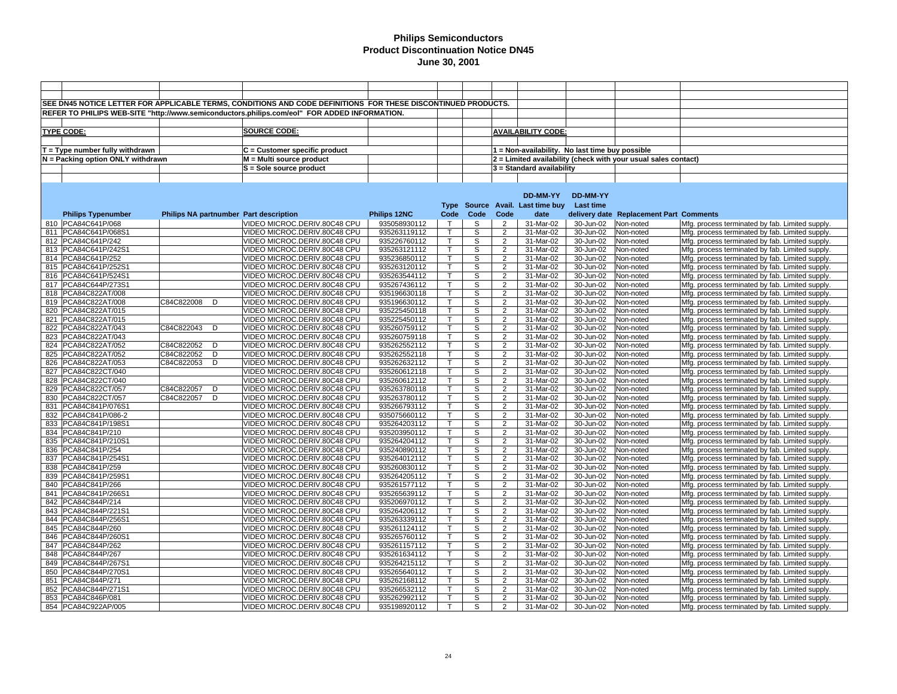|     |                                        |                                        | SEE DN45 NOTICE LETTER FOR APPLICABLE TERMS, CONDITIONS AND CODE DEFINITIONS FOR THESE DISCONTINUED PRODUCTS. |                              |                   |                |                                  |                                                 |                         |                                                                |                                                                                                    |
|-----|----------------------------------------|----------------------------------------|---------------------------------------------------------------------------------------------------------------|------------------------------|-------------------|----------------|----------------------------------|-------------------------------------------------|-------------------------|----------------------------------------------------------------|----------------------------------------------------------------------------------------------------|
|     |                                        |                                        | REFER TO PHILIPS WEB-SITE "http://www.semiconductors.philips.com/eol" FOR ADDED INFORMATION.                  |                              |                   |                |                                  |                                                 |                         |                                                                |                                                                                                    |
|     |                                        |                                        |                                                                                                               |                              |                   |                |                                  |                                                 |                         |                                                                |                                                                                                    |
|     | <b>TYPE CODE:</b>                      |                                        | <b>SOURCE CODE:</b>                                                                                           |                              |                   |                |                                  | <b>AVAILABILITY CODE:</b>                       |                         |                                                                |                                                                                                    |
|     |                                        |                                        |                                                                                                               |                              |                   |                |                                  |                                                 |                         |                                                                |                                                                                                    |
|     |                                        |                                        |                                                                                                               |                              |                   |                |                                  |                                                 |                         |                                                                |                                                                                                    |
|     | $T = Type$ number fully withdrawn      |                                        | $C =$ Customer specific product                                                                               |                              |                   |                |                                  | 1 = Non-availability. No last time buy possible |                         |                                                                |                                                                                                    |
|     | N = Packing option ONLY withdrawn      |                                        | M = Multi source product                                                                                      |                              |                   |                |                                  |                                                 |                         | 2 = Limited availability (check with your usual sales contact) |                                                                                                    |
|     |                                        |                                        | S = Sole source product                                                                                       |                              |                   |                |                                  | 3 = Standard availability                       |                         |                                                                |                                                                                                    |
|     |                                        |                                        |                                                                                                               |                              |                   |                |                                  |                                                 |                         |                                                                |                                                                                                    |
|     |                                        |                                        |                                                                                                               |                              |                   |                |                                  |                                                 |                         |                                                                |                                                                                                    |
|     |                                        |                                        |                                                                                                               |                              |                   |                |                                  | DD-MM-YY                                        | DD-MM-YY                |                                                                |                                                                                                    |
|     |                                        |                                        |                                                                                                               |                              |                   |                |                                  | Type Source Avail. Last time buy                | <b>Last time</b>        |                                                                |                                                                                                    |
|     | <b>Philips Typenumber</b>              | Philips NA partnumber Part description |                                                                                                               | Philips 12NC                 | Code              | Code           | Code                             | date                                            |                         | delivery date Replacement Part Comments                        |                                                                                                    |
|     | 810 PCA84C641P/068                     |                                        | VIDEO MICROC.DERIV.80C48 CPU                                                                                  | 935058930112                 | $\mathsf{T}$      | S              | $\overline{2}$                   | 31-Mar-02                                       | 30-Jun-02               | Non-noted                                                      | Mfg. process terminated by fab. Limited supply.                                                    |
|     | 811 PCA84C641P/068S1                   |                                        | VIDEO MICROC.DERIV.80C48 CPU                                                                                  | 935263119112                 | $\mathsf{T}$      | S              | $\overline{2}$                   | 31-Mar-02                                       | 30-Jun-02               | Non-noted                                                      | Mfg. process terminated by fab. Limited supply.                                                    |
|     | 812 PCA84C641P/242                     |                                        | VIDEO MICROC.DERIV.80C48 CPU                                                                                  | 935226760112                 | Τ                 | S              | $\overline{2}$                   | 31-Mar-02                                       | 30-Jun-02               | Non-noted                                                      | Mfg. process terminated by fab. Limited supply.                                                    |
|     | 813 PCA84C641P/242S                    |                                        | VIDEO MICROC.DERIV.80C48 CPU                                                                                  | 935263121112                 | $\mathsf{T}$      | S              | $\overline{2}$                   | 31-Mar-02                                       | 30-Jun-02               | Non-noted                                                      | Mfg. process terminated by fab. Limited supply.                                                    |
|     | 814 PCA84C641P/252                     |                                        | VIDEO MICROC.DERIV.80C48 CPU                                                                                  | 935236850112                 | $\mathsf{T}$      | S              | $\overline{2}$                   | 31-Mar-02                                       | 30-Jun-02               | Non-noted                                                      | Mfg. process terminated by fab. Limited supply.                                                    |
|     | 815 PCA84C641P/252S                    |                                        | VIDEO MICROC.DERIV.80C48 CPU                                                                                  | 935263120112                 | $\mathsf{T}$      | $\overline{s}$ | $\overline{2}$                   | 31-Mar-02                                       | 30-Jun-02               | Non-noted                                                      | Mfg. process terminated by fab. Limited supply.                                                    |
| 816 | PCA84C641P/524S                        |                                        | VIDEO MICROC.DERIV.80C48 CPU                                                                                  | 935263544112                 | т                 | S              | $\overline{2}$                   | 31-Mar-02                                       | 30-Jun-02               | Non-noted                                                      | Mfg. process terminated by fab. Limited supply.                                                    |
| 817 | PCA84C644P/273S1                       |                                        | VIDEO MICROC.DERIV.80C48 CPU                                                                                  | 935267436112                 | $\mathsf{T}$      | S              | $\overline{2}$                   | 31-Mar-02                                       | 30-Jun-02               | Non-noted                                                      | Mfg. process terminated by fab. Limited supply.                                                    |
|     | 818 PCA84C822AT/008                    |                                        | VIDEO MICROC.DERIV.80C48 CPU                                                                                  | 935196630118                 |                   | S              | $\overline{2}$                   | 31-Mar-02                                       | 30-Jun-02               | Non-noted                                                      | Mfg. process terminated by fab. Limited supply.                                                    |
|     | 819   PCA84C822AT/008                  | C84C822008<br>D                        | VIDEO MICROC.DERIV.80C48 CPU                                                                                  | 935196630112                 | T                 | S              | $\overline{2}$                   | 31-Mar-02                                       | 30-Jun-02               | Non-noted                                                      | Mfg. process terminated by fab. Limited supply.                                                    |
|     | 820 PCA84C822AT/015                    |                                        | VIDEO MICROC.DERIV.80C48 CPU                                                                                  | 935225450118                 | т                 | S              | $\overline{2}$                   | 31-Mar-02                                       | 30-Jun-02               | Non-noted                                                      | Mfg. process terminated by fab. Limited supply.                                                    |
| 821 | PCA84C822AT/015                        |                                        | VIDEO MICROC.DERIV.80C48 CPU                                                                                  | 935225450112                 |                   | S              | $\overline{2}$                   | 31-Mar-02                                       | 30-Jun-02               | Non-noted                                                      | Mfg. process terminated by fab. Limited supply.                                                    |
| 822 | PCA84C822AT/043                        | C84C822043<br>D                        | VIDEO MICROC.DERIV.80C48 CPU                                                                                  | 935260759112                 | т                 | $\mathbb S$    | 2                                | 31-Mar-02                                       | 30-Jun-02               | Non-noted                                                      | Mfg. process terminated by fab. Limited supply.                                                    |
| 823 | PCA84C822AT/043                        | C84C822052<br>D                        | VIDEO MICROC.DERIV.80C48 CPU                                                                                  | 935260759118                 | T<br>$\mathsf{T}$ | S<br>S         | $\overline{2}$<br>$\overline{2}$ | 31-Mar-02<br>31-Mar-02                          | 30-Jun-02               | Non-noted                                                      | Mfg. process terminated by fab. Limited supply.                                                    |
| 825 | 824 PCA84C822AT/052<br>PCA84C822AT/052 | C84C822052<br>D                        | VIDEO MICROC.DERIV.80C48 CPU<br>VIDEO MICROC.DERIV.80C48 CPU                                                  | 935262552112<br>935262552118 | $\mathsf{T}$      | S              | $\overline{2}$                   | 31-Mar-02                                       | 30-Jun-02<br>30-Jun-02  | Non-noted                                                      | Mfg. process terminated by fab. Limited supply.                                                    |
| 826 | PCA84C822AT/053                        | C84C822053<br>D                        | VIDEO MICROC.DERIV.80C48 CPU                                                                                  | 935262632112                 | $\mathsf{T}$      | S              | $\overline{2}$                   | 31-Mar-02                                       | 30-Jun-02               | Non-noted<br>Non-noted                                         | Mfg. process terminated by fab. Limited supply.<br>Mfg. process terminated by fab. Limited supply. |
| 827 | PCA84C822CT/040                        |                                        | VIDEO MICROC.DERIV.80C48 CPU                                                                                  | 935260612118                 | т                 | S              | $\overline{2}$                   | 31-Mar-02                                       | 30-Jun-02               | Non-noted                                                      | Mfg. process terminated by fab. Limited supply.                                                    |
| 828 | PCA84C822CT/040                        |                                        | VIDEO MICROC.DERIV.80C48 CPU                                                                                  | 935260612112                 | $\mathsf{T}$      | S              | $\overline{2}$                   | 31-Mar-02                                       | 30-Jun-02               | Non-noted                                                      | Mfg. process terminated by fab. Limited supply.                                                    |
|     | 829 PCA84C822CT/057                    | C84C822057<br>D                        | VIDEO MICROC.DERIV.80C48 CPU                                                                                  | 935263780118                 | т                 | S              | $\overline{2}$                   | 31-Mar-02                                       | 30-Jun-02               | Non-noted                                                      | Mfg. process terminated by fab. Limited supply.                                                    |
| 830 | PCA84C822CT/057                        | C84C822057<br>D                        | VIDEO MICROC.DERIV.80C48 CPU                                                                                  | 935263780112                 | $\mathsf{T}$      | S              | $\overline{2}$                   | 31-Mar-02                                       | 30-Jun-02               | Non-noted                                                      | Mfg. process terminated by fab. Limited supply.                                                    |
|     | 831 PCA84C841P/076S                    |                                        | VIDEO MICROC.DERIV.80C48 CPU                                                                                  | 935266793112                 | $\mathsf{T}$      | S              | $\overline{2}$                   | 31-Mar-02                                       | 30-Jun-02               | Non-noted                                                      | Mfg. process terminated by fab. Limited supply.                                                    |
| 832 | PCA84C841P/086-2                       |                                        | VIDEO MICROC.DERIV.80C48 CPU                                                                                  | 935075660112                 | $\mathsf{T}$      | S              | $\overline{2}$                   | 31-Mar-02                                       | 30-Jun-02               | Non-noted                                                      | Mfg. process terminated by fab. Limited supply.                                                    |
|     | 833 PCA84C841P/198S1                   |                                        | VIDEO MICROC.DERIV.80C48 CPU                                                                                  | 935264203112                 | т                 | S              | $\overline{2}$                   | 31-Mar-02                                       | 30-Jun-02               | Non-noted                                                      | Mfg. process terminated by fab. Limited supply.                                                    |
|     | 834   PCA84C841P/210                   |                                        | VIDEO MICROC.DERIV.80C48 CPU                                                                                  | 935203950112                 | $\mathsf{T}$      | S              | $\overline{2}$                   | 31-Mar-02                                       | 30-Jun-02               | Non-noted                                                      | Mfg. process terminated by fab. Limited supply.                                                    |
|     | 835 PCA84C841P/210S                    |                                        | VIDEO MICROC.DERIV.80C48 CPU                                                                                  | 935264204112                 | $\top$            | S              | $\overline{2}$                   | 31-Mar-02                                       | 30-Jun-02               | Non-noted                                                      | Mfg. process terminated by fab. Limited supply.                                                    |
| 836 | PCA84C841P/254                         |                                        | VIDEO MICROC.DERIV.80C48 CPU                                                                                  | 935240890112                 | $\mathsf{T}$      | S              | $\overline{2}$                   | 31-Mar-02                                       | 30-Jun-02               | Non-noted                                                      | Mfg. process terminated by fab. Limited supply.                                                    |
| 837 | PCA84C841P/254S1                       |                                        | VIDEO MICROC.DERIV.80C48 CPU                                                                                  | 935264012112                 | T                 | s              | $\overline{2}$                   | 31-Mar-02                                       | $\overline{30}$ -Jun-02 | Non-noted                                                      | Mfg. process terminated by fab. Limited supply.                                                    |
| 838 | PCA84C841P/259                         |                                        | VIDEO MICROC.DERIV.80C48 CPU                                                                                  | 935260830112                 | т                 | S              | $\overline{2}$                   | 31-Mar-02                                       | 30-Jun-02               | Non-noted                                                      | Mfg. process terminated by fab. Limited supply.                                                    |
| 839 | PCA84C841P/259S                        |                                        | VIDEO MICROC.DERIV.80C48 CPU                                                                                  | 935264205112                 | $\mathsf{T}$      | S              | $\overline{2}$                   | 31-Mar-02                                       | 30-Jun-02               | Non-noted                                                      | Mfg. process terminated by fab. Limited supply.                                                    |
|     | 840 PCA84C841P/266                     |                                        | VIDEO MICROC.DERIV.80C48 CPU                                                                                  | 935261577112                 | т                 | S              | $\overline{2}$                   | 31-Mar-02                                       | 30-Jun-02               | Non-noted                                                      | Mfg. process terminated by fab. Limited supply.                                                    |
|     | 841   PCA84C841P/266S                  |                                        | VIDEO MICROC.DERIV.80C48 CPU                                                                                  | 935265639112                 |                   | S              | $\overline{2}$                   | 31-Mar-02                                       | 30-Jun-02               | Non-noted                                                      | Mfg. process terminated by fab. Limited supply.                                                    |
|     | 842   PCA84C844P/214                   |                                        | VIDEO MICROC.DERIV.80C48 CPU                                                                                  | 935206970112                 |                   | S              | $\overline{2}$                   | 31-Mar-02                                       | 30-Jun-02               | Non-noted                                                      | Mfg. process terminated by fab. Limited supply.                                                    |
|     | 843 PCA84C844P/221S                    |                                        | VIDEO MICROC.DERIV.80C48 CPU                                                                                  | 935264206112                 |                   | S              | $\overline{2}$                   | 31-Mar-02                                       | 30-Jun-02               | Non-noted                                                      | Mfg. process terminated by fab. Limited supply.                                                    |
|     | 844 PCA84C844P/256S                    |                                        | VIDEO MICROC.DERIV.80C48 CPU                                                                                  | 935263339112                 | $\mathsf{T}$      | S              | $\overline{2}$                   | 31-Mar-02                                       | 30-Jun-02               | Non-noted                                                      | Mfg. process terminated by fab. Limited supply.                                                    |
|     | 845 PCA84C844P/260                     |                                        | VIDEO MICROC.DERIV.80C48 CPU                                                                                  | 935261124112                 | $\mathsf{T}$      | S              | $\overline{2}$                   | 31-Mar-02                                       | 30-Jun-02               | Non-noted                                                      | Mfg. process terminated by fab. Limited supply.                                                    |
|     | 846 PCA84C844P/260S                    |                                        | VIDEO MICROC.DERIV.80C48 CPU                                                                                  | 935265760112                 | т                 | S              | $\overline{2}$                   | 31-Mar-02                                       | 30-Jun-02               | Non-noted                                                      | Mfg. process terminated by fab. Limited supply.                                                    |
| 847 | PCA84C844P/262                         |                                        | VIDEO MICROC.DERIV.80C48 CPU                                                                                  | 935261157112                 | $\top$            | S              | 2                                | 31-Mar-02                                       | 30-Jun-02               | Non-noted                                                      | Mfg. process terminated by fab. Limited supply.                                                    |
| 848 | PCA84C844P/267                         |                                        | VIDEO MICROC.DERIV.80C48 CPU                                                                                  | 935261634112                 | $\mathsf{T}$      | S              | $\overline{2}$                   | 31-Mar-02                                       | 30-Jun-02               | Non-noted                                                      | Mfg. process terminated by fab. Limited supply.                                                    |
| 849 | PCA84C844P/267S                        |                                        | VIDEO MICROC.DERIV.80C48 CPU                                                                                  | 935264215112                 | $\top$            | S              | $\overline{2}$                   | 31-Mar-02                                       | 30-Jun-02               | Non-noted                                                      | Mfg. process terminated by fab. Limited supply.                                                    |
| 850 | PCA84C844P/270S1                       |                                        | VIDEO MICROC.DERIV.80C48 CPU                                                                                  | 935265640112                 | $\mathsf{T}$      | S              | $\overline{2}$                   | 31-Mar-02                                       | 30-Jun-02               | Non-noted                                                      | Mfg. process terminated by fab. Limited supply.                                                    |
| 851 | PCA84C844P/271                         |                                        | VIDEO MICROC.DERIV.80C48 CPU                                                                                  | 935262168112                 | т                 | S              | $\overline{2}$                   | 31-Mar-02                                       | 30-Jun-02               | Non-noted                                                      | Mfg. process terminated by fab. Limited supply.                                                    |
| 852 | PCA84C844P/271S1                       |                                        | VIDEO MICROC.DERIV.80C48 CPU                                                                                  | 935266532112                 | $\mathsf{T}$      | S              | $\overline{2}$                   | 31-Mar-02                                       | 30-Jun-02               | Non-noted                                                      | Mfg. process terminated by fab. Limited supply.                                                    |
|     | 853 PCA84C846P/081                     |                                        | VIDEO MICROC.DERIV.80C48 CPU                                                                                  | 935262992112                 | $\mathsf{T}$      | S              | 2                                | 31-Mar-02                                       | 30-Jun-02               | Non-noted                                                      | Mfg. process terminated by fab. Limited supply.                                                    |
|     | 854   PCA84C922AP/005                  |                                        | VIDEO MICROC.DERIV.80C48 CPU                                                                                  | 935198920112                 | T                 | S              | 2                                | 31-Mar-02                                       | 30-Jun-02               | Non-noted                                                      | Mfg. process terminated by fab. Limited supply.                                                    |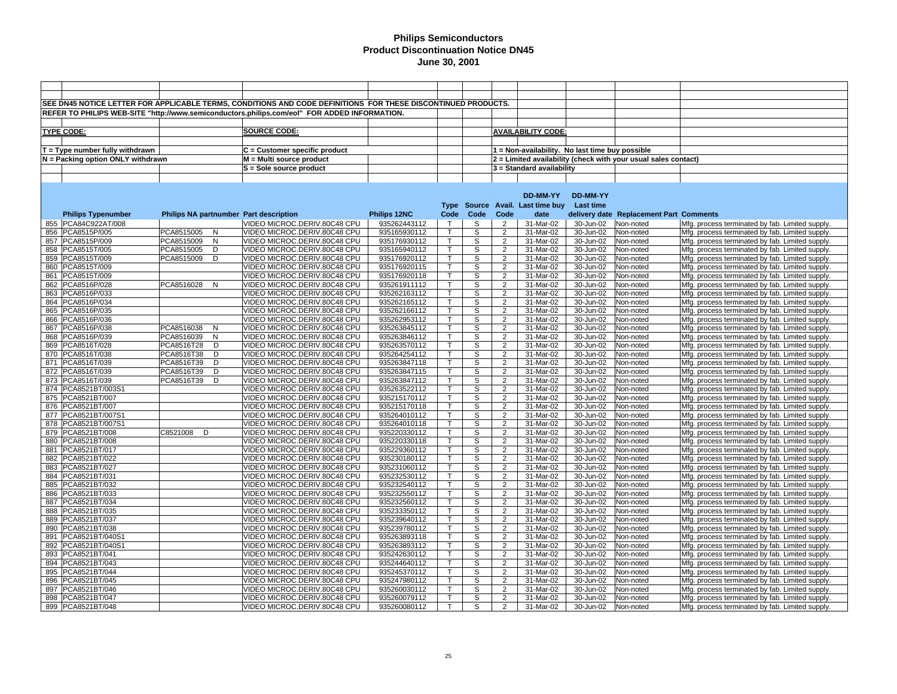|     |                                   |               |   | SEE DN45 NOTICE LETTER FOR APPLICABLE TERMS, CONDITIONS AND CODE DEFINITIONS FOR THESE DISCONTINUED PRODUCTS. |              |              |             |                |                                                 |                         |                                                                |                                                 |
|-----|-----------------------------------|---------------|---|---------------------------------------------------------------------------------------------------------------|--------------|--------------|-------------|----------------|-------------------------------------------------|-------------------------|----------------------------------------------------------------|-------------------------------------------------|
|     |                                   |               |   | REFER TO PHILIPS WEB-SITE "http://www.semiconductors.philips.com/eol" FOR ADDED INFORMATION.                  |              |              |             |                |                                                 |                         |                                                                |                                                 |
|     |                                   |               |   |                                                                                                               |              |              |             |                |                                                 |                         |                                                                |                                                 |
|     |                                   |               |   | <b>SOURCE CODE:</b>                                                                                           |              |              |             |                |                                                 |                         |                                                                |                                                 |
|     | <b>TYPE CODE:</b>                 |               |   |                                                                                                               |              |              |             |                | <b>AVAILABILITY CODE:</b>                       |                         |                                                                |                                                 |
|     |                                   |               |   |                                                                                                               |              |              |             |                |                                                 |                         |                                                                |                                                 |
|     | T = Type number fully withdrawn   |               |   | $C =$ Customer specific product                                                                               |              |              |             |                | 1 = Non-availability. No last time buy possible |                         |                                                                |                                                 |
|     | N = Packing option ONLY withdrawn |               |   | M = Multi source product                                                                                      |              |              |             |                |                                                 |                         | 2 = Limited availability (check with your usual sales contact) |                                                 |
|     |                                   |               |   | S = Sole source product                                                                                       |              |              |             |                | 3 = Standard availability                       |                         |                                                                |                                                 |
|     |                                   |               |   |                                                                                                               |              |              |             |                |                                                 |                         |                                                                |                                                 |
|     |                                   |               |   |                                                                                                               |              |              |             |                |                                                 |                         |                                                                |                                                 |
|     |                                   |               |   |                                                                                                               |              |              |             |                | DD-MM-YY                                        | DD-MM-YY                |                                                                |                                                 |
|     |                                   |               |   |                                                                                                               |              |              |             |                | Type Source Avail. Last time buy                | <b>Last time</b>        |                                                                |                                                 |
|     | <b>Philips Typenumber</b>         |               |   | Philips NA partnumber Part description                                                                        | Philips 12NC | Code         | Code        | Code           | date                                            |                         | delivery date Replacement Part Comments                        |                                                 |
|     | 855 PCA84C922AT/008               |               |   | VIDEO MICROC.DERIV.80C48 CPU                                                                                  | 935262443112 | $\mathsf{T}$ | S           | $\overline{2}$ | 31-Mar-02                                       | 30-Jun-02               | Non-noted                                                      | Mfg. process terminated by fab. Limited supply. |
|     | 856 PCA8515P/005                  | PCA8515005    | N | VIDEO MICROC.DERIV.80C48 CPU                                                                                  | 935165930112 | $\mathsf{T}$ | S           | $\overline{2}$ | 31-Mar-02                                       | 30-Jun-02               | Non-noted                                                      | Mfg. process terminated by fab. Limited supply. |
|     | 857 PCA8515P/009                  | PCA8515009    | N | VIDEO MICROC.DERIV.80C48 CPU                                                                                  | 935176930112 | T            | S           | $\overline{2}$ | 31-Mar-02                                       | 30-Jun-02               | Non-noted                                                      | Mfg. process terminated by fab. Limited supply. |
|     | 858 PCA8515T/005                  | PCA8515005    | D | VIDEO MICROC.DERIV.80C48 CPU                                                                                  | 935165940112 | $\mathsf{T}$ | S           | $\overline{2}$ | 31-Mar-02                                       | 30-Jun-02               | Non-noted                                                      | Mfg. process terminated by fab. Limited supply. |
|     | 859   PCA8515T/009                | PCA8515009    | D | VIDEO MICROC.DERIV.80C48 CPU                                                                                  | 935176920112 | $\mathsf{T}$ | S           | $\overline{2}$ | 31-Mar-02                                       | 30-Jun-02               | Non-noted                                                      | Mfg. process terminated by fab. Limited supply. |
| 860 | PCA8515T/009                      |               |   | VIDEO MICROC.DERIV.80C48 CPU                                                                                  | 935176920115 | $\mathsf{T}$ | S           | $\overline{2}$ | 31-Mar-02                                       | 30-Jun-02               | Non-noted                                                      | Mfg. process terminated by fab. Limited supply. |
| 861 | PCA8515T/009                      |               |   | VIDEO MICROC.DERIV.80C48 CPU                                                                                  | 935176920118 | т            | S           | $\overline{2}$ | 31-Mar-02                                       | 30-Jun-02               | Non-noted                                                      | Mfg. process terminated by fab. Limited supply. |
| 862 | PCA8516P/028                      | PCA8516028 N  |   | VIDEO MICROC.DERIV.80C48 CPU                                                                                  | 935261911112 | $\mathsf{T}$ | S           | $\overline{2}$ | 31-Mar-02                                       | 30-Jun-02               | Non-noted                                                      | Mfg. process terminated by fab. Limited supply. |
| 863 | PCA8516P/033                      |               |   | VIDEO MICROC.DERIV.80C48 CPU                                                                                  | 935262163112 |              | S           | $\overline{2}$ | 31-Mar-02                                       | 30-Jun-02               | Non-noted                                                      | Mfg. process terminated by fab. Limited supply. |
| 864 | PCA8516P/034                      |               |   | VIDEO MICROC.DERIV.80C48 CPU                                                                                  | 935262165112 | $\mathsf{T}$ | S           | $\overline{2}$ | 31-Mar-02                                       | 30-Jun-02               | Non-noted                                                      | Mfg. process terminated by fab. Limited supply. |
|     | 865 PCA8516P/035                  |               |   | VIDEO MICROC.DERIV.80C48 CPU                                                                                  | 935262166112 |              | S           | $\overline{2}$ | 31-Mar-02                                       | 30-Jun-02               | Non-noted                                                      | Mfg. process terminated by fab. Limited supply. |
| 866 | PCA8516P/036                      |               |   | VIDEO MICROC.DERIV.80C48 CPU                                                                                  | 935262953112 | т            | S           | $\overline{2}$ | 31-Mar-02                                       | 30-Jun-02               | Non-noted                                                      | Mfg. process terminated by fab. Limited supply. |
|     | 867 PCA8516P/038                  | PCA8516038    | N | VIDEO MICROC.DERIV.80C48 CPU                                                                                  | 935263845112 | т            | $\mathbb S$ | 2              | 31-Mar-02                                       | 30-Jun-02               | Non-noted                                                      | Mfg. process terminated by fab. Limited supply. |
| 868 | PCA8516P/039                      | PCA8516039    | N | VIDEO MICROC.DERIV.80C48 CPU                                                                                  | 935263846112 | $\mathsf{T}$ | S           | $\overline{2}$ | 31-Mar-02                                       | 30-Jun-02               | Non-noted                                                      | Mfg. process terminated by fab. Limited supply. |
| 869 | PCA8516T/028                      | PCA8516T28    | D | VIDEO MICROC.DERIV.80C48 CPU                                                                                  | 935263570112 | $\mathsf{T}$ | S           | $\overline{2}$ | 31-Mar-02                                       | 30-Jun-02               | Non-noted                                                      | Mfg. process terminated by fab. Limited supply. |
| 870 | PCA8516T/038                      | PCA8516T38    | D | VIDEO MICROC.DERIV.80C48 CPU                                                                                  | 935264254112 | $\mathsf{T}$ | S           | $\overline{2}$ | 31-Mar-02                                       | 30-Jun-02               | Non-noted                                                      | Mfg. process terminated by fab. Limited supply. |
| 871 | PCA8516T/039                      | PCA8516T39    | D | VIDEO MICROC.DERIV.80C48 CPU                                                                                  | 935263847118 | $\mathsf{T}$ | S           | $\overline{2}$ | 31-Mar-02                                       | 30-Jun-02               | Non-noted                                                      | Mfg. process terminated by fab. Limited supply. |
| 872 | PCA8516T/039                      | PCA8516T39    | D | VIDEO MICROC.DERIV.80C48 CPU                                                                                  | 935263847115 | т            | S           | $\overline{2}$ | 31-Mar-02                                       | 30-Jun-02               | Non-noted                                                      | Mfg. process terminated by fab. Limited supply. |
| 873 | PCA8516T/039                      | PCA8516T39    | D | VIDEO MICROC.DERIV.80C48 CPU                                                                                  | 935263847112 | $\mathsf{T}$ | S           | $\overline{2}$ | 31-Mar-02                                       | 30-Jun-02               | Non-noted                                                      | Mfg. process terminated by fab. Limited supply. |
|     | 874 PCA8521BT/003S1               |               |   | VIDEO MICROC.DERIV.80C48 CPU                                                                                  | 935263522112 | т            | S           | $\overline{2}$ | 31-Mar-02                                       | 30-Jun-02               | Non-noted                                                      | Mfg. process terminated by fab. Limited supply. |
| 875 | PCA8521BT/007                     |               |   | VIDEO MICROC.DERIV.80C48 CPU                                                                                  | 935215170112 | $\mathsf{T}$ | S           | $\overline{2}$ | 31-Mar-02                                       | 30-Jun-02               | Non-noted                                                      | Mfg. process terminated by fab. Limited supply. |
|     | 876   PCA8521BT/007               |               |   | VIDEO MICROC.DERIV.80C48 CPU                                                                                  | 935215170118 | $\mathsf{T}$ | S           | $\overline{2}$ | 31-Mar-02                                       | 30-Jun-02               | Non-noted                                                      | Mfg. process terminated by fab. Limited supply. |
|     | 877   PCA8521BT/007S1             |               |   | VIDEO MICROC.DERIV.80C48 CPU                                                                                  | 935264010112 | $\mathsf{T}$ | S           | $\overline{2}$ | 31-Mar-02                                       | 30-Jun-02               | Non-noted                                                      | Mfg. process terminated by fab. Limited supply. |
|     | 878 PCA8521BT/007S1               |               |   | VIDEO MICROC.DERIV.80C48 CPU                                                                                  | 935264010118 | Т            | S           | $\overline{2}$ | 31-Mar-02                                       | 30-Jun-02               | Non-noted                                                      | Mfg. process terminated by fab. Limited supply. |
|     | 879   PCA8521BT/008               | C8521008<br>D |   | VIDEO MICROC.DERIV.80C48 CPU                                                                                  | 935220330112 | $\mathsf{T}$ | S           | $\overline{2}$ | 31-Mar-02                                       | 30-Jun-02               | Non-noted                                                      | Mfg. process terminated by fab. Limited supply. |
| 880 | PCA8521BT/008                     |               |   | VIDEO MICROC.DERIV.80C48 CPU                                                                                  | 935220330118 | $\top$       | S           | $\overline{2}$ | 31-Mar-02                                       | 30-Jun-02               | Non-noted                                                      | Mfg. process terminated by fab. Limited supply. |
| 881 | PCA8521BT/017                     |               |   | VIDEO MICROC.DERIV.80C48 CPU                                                                                  | 935229360112 | $\mathsf{T}$ | S           | $\overline{2}$ | 31-Mar-02                                       | 30-Jun-02               | Non-noted                                                      | Mfg. process terminated by fab. Limited supply. |
| 882 | PCA8521BT/022                     |               |   | VIDEO MICROC.DERIV.80C48 CPU                                                                                  | 935230180112 | T            | s           | $\overline{2}$ | 31-Mar-02                                       | $\overline{30}$ -Jun-02 | Non-noted                                                      | Mfg. process terminated by fab. Limited supply. |
| 883 | PCA8521BT/027                     |               |   | VIDEO MICROC.DERIV.80C48 CPU                                                                                  | 935231060112 | т            | S           | $\overline{2}$ | 31-Mar-02                                       | 30-Jun-02               | Non-noted                                                      | Mfg. process terminated by fab. Limited supply. |
| 884 | PCA8521BT/031                     |               |   | VIDEO MICROC.DERIV.80C48 CPU                                                                                  | 935232530112 | $\mathsf{T}$ | S           | $\overline{2}$ | 31-Mar-02                                       | 30-Jun-02               | Non-noted                                                      | Mfg. process terminated by fab. Limited supply. |
| 885 | PCA8521BT/032                     |               |   | VIDEO MICROC.DERIV.80C48 CPU                                                                                  | 935232540112 | т            | S           | $\overline{2}$ | 31-Mar-02                                       | 30-Jun-02               | Non-noted                                                      | Mfg. process terminated by fab. Limited supply. |
| 886 | PCA8521BT/033                     |               |   | VIDEO MICROC.DERIV.80C48 CPU                                                                                  | 935232550112 |              | S           | $\overline{2}$ | 31-Mar-02                                       | 30-Jun-02               | Non-noted                                                      | Mfg. process terminated by fab. Limited supply. |
|     | 887   PCA8521BT/034               |               |   | VIDEO MICROC.DERIV.80C48 CPU                                                                                  | 935232560112 |              | S           | $\overline{2}$ | 31-Mar-02                                       | 30-Jun-02               | Non-noted                                                      | Mfg. process terminated by fab. Limited supply. |
| 888 | PCA8521BT/035                     |               |   | VIDEO MICROC.DERIV.80C48 CPU                                                                                  | 935233350112 |              | S           | $\overline{2}$ | 31-Mar-02                                       | 30-Jun-02               | Non-noted                                                      | Mfg. process terminated by fab. Limited supply. |
|     | 889   PCA8521BT/037               |               |   | VIDEO MICROC.DERIV.80C48 CPU                                                                                  | 935239640112 | $\mathsf{T}$ | S           | $\overline{2}$ | 31-Mar-02                                       | 30-Jun-02               | Non-noted                                                      | Mfg. process terminated by fab. Limited supply. |
|     | 890   PCA8521BT/038               |               |   | VIDEO MICROC.DERIV.80C48 CPU                                                                                  | 935239780112 | $\mathsf{T}$ | S           | $\overline{2}$ | 31-Mar-02                                       | 30-Jun-02               | Non-noted                                                      | Mfg. process terminated by fab. Limited supply. |
|     | 891   PCA8521BT/040S1             |               |   | VIDEO MICROC.DERIV.80C48 CPU                                                                                  | 935263893118 | Т            | S           | $\overline{2}$ | 31-Mar-02                                       | 30-Jun-02               | Non-noted                                                      | Mfg. process terminated by fab. Limited supply. |
| 892 | PCA8521BT/040S1                   |               |   | VIDEO MICROC.DERIV.80C48 CPU                                                                                  | 935263893112 | $\top$       | S           | 2              | 31-Mar-02                                       | 30-Jun-02               | Non-noted                                                      | Mfg. process terminated by fab. Limited supply. |
| 893 | PCA8521BT/041                     |               |   | VIDEO MICROC.DERIV.80C48 CPU                                                                                  | 935242630112 | $\mathsf{T}$ | S           | $\overline{2}$ | 31-Mar-02                                       | 30-Jun-02               | Non-noted                                                      | Mfg. process terminated by fab. Limited supply. |
|     | 894   PCA8521BT/043               |               |   | VIDEO MICROC.DERIV.80C48 CPU                                                                                  | 935244640112 | $\top$       | S           | $\overline{2}$ | 31-Mar-02                                       | 30-Jun-02               | Non-noted                                                      | Mfg. process terminated by fab. Limited supply. |
| 895 | PCA8521BT/044                     |               |   | VIDEO MICROC.DERIV.80C48 CPU                                                                                  | 935245370112 | $\mathsf{T}$ | S           | $\overline{2}$ | 31-Mar-02                                       | 30-Jun-02               | Non-noted                                                      | Mfg. process terminated by fab. Limited supply. |
| 896 | PCA8521BT/045                     |               |   | VIDEO MICROC.DERIV.80C48 CPU                                                                                  | 935247980112 | Т            | S           | $\overline{2}$ | 31-Mar-02                                       | 30-Jun-02               | Non-noted                                                      | Mfg. process terminated by fab. Limited supply. |
| 897 | PCA8521BT/046                     |               |   | VIDEO MICROC.DERIV.80C48 CPU                                                                                  | 935260030112 | $\mathsf{T}$ | S           | $\overline{2}$ | 31-Mar-02                                       | 30-Jun-02               | Non-noted                                                      | Mfg. process terminated by fab. Limited supply. |
|     | 898 PCA8521BT/047                 |               |   | VIDEO MICROC.DERIV.80C48 CPU                                                                                  | 935260079112 | $\mathsf{T}$ | S           | 2              | 31-Mar-02                                       | 30-Jun-02               | Non-noted                                                      | Mfg. process terminated by fab. Limited supply. |
|     | 899 PCA8521BT/048                 |               |   | VIDEO MICROC.DERIV.80C48 CPU                                                                                  | 935260080112 | T            | S           | $\overline{2}$ | 31-Mar-02                                       | 30-Jun-02               | Non-noted                                                      | Mfg. process terminated by fab. Limited supply. |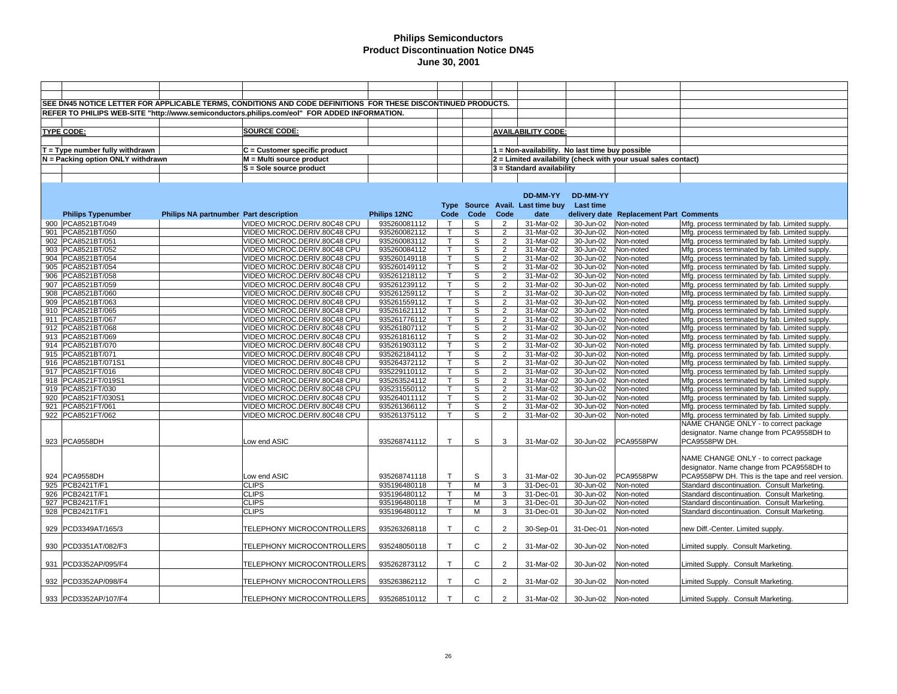|                                          |                                        | SEE DN45 NOTICE LETTER FOR APPLICABLE TERMS, CONDITIONS AND CODE DEFINITIONS FOR THESE DISCONTINUED PRODUCTS. |                              |                   |              |                                  |                                  |                                                                                                                                                                                                                                                                                                                                                                                                                                                                                                                                                                                                                                                                                                                                                                                                                                                                                                                                                                                                                                                                                                                                                                                                                                                                                                                                                                                                                                                                                                                                                                                                                                                                                                                                                                                                                                                                                                                                                                                                                                                                                                                                                                                                                                                                                                                                                                                                                                    |           |                                                  |  |  |
|------------------------------------------|----------------------------------------|---------------------------------------------------------------------------------------------------------------|------------------------------|-------------------|--------------|----------------------------------|----------------------------------|------------------------------------------------------------------------------------------------------------------------------------------------------------------------------------------------------------------------------------------------------------------------------------------------------------------------------------------------------------------------------------------------------------------------------------------------------------------------------------------------------------------------------------------------------------------------------------------------------------------------------------------------------------------------------------------------------------------------------------------------------------------------------------------------------------------------------------------------------------------------------------------------------------------------------------------------------------------------------------------------------------------------------------------------------------------------------------------------------------------------------------------------------------------------------------------------------------------------------------------------------------------------------------------------------------------------------------------------------------------------------------------------------------------------------------------------------------------------------------------------------------------------------------------------------------------------------------------------------------------------------------------------------------------------------------------------------------------------------------------------------------------------------------------------------------------------------------------------------------------------------------------------------------------------------------------------------------------------------------------------------------------------------------------------------------------------------------------------------------------------------------------------------------------------------------------------------------------------------------------------------------------------------------------------------------------------------------------------------------------------------------------------------------------------------------|-----------|--------------------------------------------------|--|--|
|                                          |                                        | REFER TO PHILIPS WEB-SITE "http://www.semiconductors.philips.com/eol" FOR ADDED INFORMATION.                  |                              |                   |              |                                  |                                  |                                                                                                                                                                                                                                                                                                                                                                                                                                                                                                                                                                                                                                                                                                                                                                                                                                                                                                                                                                                                                                                                                                                                                                                                                                                                                                                                                                                                                                                                                                                                                                                                                                                                                                                                                                                                                                                                                                                                                                                                                                                                                                                                                                                                                                                                                                                                                                                                                                    |           |                                                  |  |  |
|                                          |                                        |                                                                                                               |                              |                   |              |                                  |                                  | 1 = Non-availability. No last time buy possible<br>2 = Limited availability (check with your usual sales contact)<br>$3$ = Standard availability<br><b>DD-MM-YY</b><br><b>Last time</b><br>delivery date Replacement Part Comments<br>30-Jun-02<br>Non-noted<br>Mfg. process terminated by fab. Limited supply.<br>30-Jun-02<br>Mfg. process terminated by fab. Limited supply.<br>Non-noted<br>30-Jun-02<br>Non-noted<br>Mfg. process terminated by fab. Limited supply.<br>30-Jun-02<br>Non-noted<br>Mfg. process terminated by fab. Limited supply.<br>30-Jun-02<br>Non-noted<br>Mfg. process terminated by fab. Limited supply.<br>30-Jun-02<br>Non-noted<br>Mfg. process terminated by fab. Limited supply.<br>30-Jun-02<br>Non-noted<br>Mfg. process terminated by fab. Limited supply.<br>30-Jun-02<br>Non-noted<br>Mfg. process terminated by fab. Limited supply.<br>30-Jun-02<br>Non-noted<br>Mfg. process terminated by fab. Limited supply.<br>30-Jun-02<br>Non-noted<br>Mfg. process terminated by fab. Limited supply.<br>30-Jun-02<br>Non-noted<br>Mfg. process terminated by fab. Limited supply.<br>30-Jun-02<br>Non-noted<br>Mfg. process terminated by fab. Limited supply.<br>30-Jun-02<br>Non-noted<br>Mfg. process terminated by fab. Limited supply.<br>30-Jun-02<br>Mfg. process terminated by fab. Limited supply.<br>Non-noted<br>30-Jun-02<br>Non-noted<br>Mfg. process terminated by fab. Limited supply.<br>30-Jun-02<br>Non-noted<br>Mfg. process terminated by fab. Limited supply.<br>30-Jun-02<br>Non-noted<br>Mfg. process terminated by fab. Limited supply.<br>30-Jun-02<br>Non-noted<br>Mfg. process terminated by fab. Limited supply.<br>31-Mar-02<br>30-Jun-02<br>Mfg. process terminated by fab. Limited supply.<br>Non-noted<br>31-Mar-02<br>30-Jun-02<br>Non-noted<br>Mfg. process terminated by fab. Limited supply.<br>30-Jun-02<br>Non-noted<br>Mfg. process terminated by fab. Limited supply.<br>30-Jun-02<br>Mfg. process terminated by fab. Limited supply.<br>Non-noted<br>30-Jun-02<br>Non-noted<br>Mfg. process terminated by fab. Limited supply.<br>NAME CHANGE ONLY - to correct package<br>designator. Name change from PCA9558DH to<br>PCA9558PW<br>PCA9558PW DH.<br>30-Jun-02<br>NAME CHANGE ONLY - to correct package<br>designator. Name change from PCA9558DH to<br>PCA9558PW<br>30-Jun-02<br>30-Jun-02<br>Non-noted<br>Standard discontinuation. Consult Marketing. |           |                                                  |  |  |
| <b>TYPE CODE:</b>                        |                                        | <b>SOURCE CODE:</b>                                                                                           |                              |                   |              |                                  | <b>AVAILABILITY CODE:</b>        |                                                                                                                                                                                                                                                                                                                                                                                                                                                                                                                                                                                                                                                                                                                                                                                                                                                                                                                                                                                                                                                                                                                                                                                                                                                                                                                                                                                                                                                                                                                                                                                                                                                                                                                                                                                                                                                                                                                                                                                                                                                                                                                                                                                                                                                                                                                                                                                                                                    |           |                                                  |  |  |
|                                          |                                        |                                                                                                               |                              |                   |              |                                  |                                  |                                                                                                                                                                                                                                                                                                                                                                                                                                                                                                                                                                                                                                                                                                                                                                                                                                                                                                                                                                                                                                                                                                                                                                                                                                                                                                                                                                                                                                                                                                                                                                                                                                                                                                                                                                                                                                                                                                                                                                                                                                                                                                                                                                                                                                                                                                                                                                                                                                    |           |                                                  |  |  |
| $T = Type$ number fully withdrawn        |                                        | C = Customer specific product                                                                                 |                              |                   |              |                                  |                                  |                                                                                                                                                                                                                                                                                                                                                                                                                                                                                                                                                                                                                                                                                                                                                                                                                                                                                                                                                                                                                                                                                                                                                                                                                                                                                                                                                                                                                                                                                                                                                                                                                                                                                                                                                                                                                                                                                                                                                                                                                                                                                                                                                                                                                                                                                                                                                                                                                                    |           |                                                  |  |  |
| N = Packing option ONLY withdrawn        |                                        | M = Multi source product                                                                                      |                              |                   |              |                                  |                                  |                                                                                                                                                                                                                                                                                                                                                                                                                                                                                                                                                                                                                                                                                                                                                                                                                                                                                                                                                                                                                                                                                                                                                                                                                                                                                                                                                                                                                                                                                                                                                                                                                                                                                                                                                                                                                                                                                                                                                                                                                                                                                                                                                                                                                                                                                                                                                                                                                                    |           |                                                  |  |  |
|                                          |                                        | S = Sole source product                                                                                       |                              |                   |              |                                  |                                  |                                                                                                                                                                                                                                                                                                                                                                                                                                                                                                                                                                                                                                                                                                                                                                                                                                                                                                                                                                                                                                                                                                                                                                                                                                                                                                                                                                                                                                                                                                                                                                                                                                                                                                                                                                                                                                                                                                                                                                                                                                                                                                                                                                                                                                                                                                                                                                                                                                    |           |                                                  |  |  |
|                                          |                                        |                                                                                                               |                              |                   |              |                                  |                                  |                                                                                                                                                                                                                                                                                                                                                                                                                                                                                                                                                                                                                                                                                                                                                                                                                                                                                                                                                                                                                                                                                                                                                                                                                                                                                                                                                                                                                                                                                                                                                                                                                                                                                                                                                                                                                                                                                                                                                                                                                                                                                                                                                                                                                                                                                                                                                                                                                                    |           |                                                  |  |  |
|                                          |                                        |                                                                                                               |                              |                   |              |                                  |                                  |                                                                                                                                                                                                                                                                                                                                                                                                                                                                                                                                                                                                                                                                                                                                                                                                                                                                                                                                                                                                                                                                                                                                                                                                                                                                                                                                                                                                                                                                                                                                                                                                                                                                                                                                                                                                                                                                                                                                                                                                                                                                                                                                                                                                                                                                                                                                                                                                                                    |           |                                                  |  |  |
|                                          |                                        |                                                                                                               |                              |                   |              |                                  | DD-MM-YY                         |                                                                                                                                                                                                                                                                                                                                                                                                                                                                                                                                                                                                                                                                                                                                                                                                                                                                                                                                                                                                                                                                                                                                                                                                                                                                                                                                                                                                                                                                                                                                                                                                                                                                                                                                                                                                                                                                                                                                                                                                                                                                                                                                                                                                                                                                                                                                                                                                                                    |           |                                                  |  |  |
|                                          |                                        |                                                                                                               |                              |                   |              |                                  | Type Source Avail. Last time buy |                                                                                                                                                                                                                                                                                                                                                                                                                                                                                                                                                                                                                                                                                                                                                                                                                                                                                                                                                                                                                                                                                                                                                                                                                                                                                                                                                                                                                                                                                                                                                                                                                                                                                                                                                                                                                                                                                                                                                                                                                                                                                                                                                                                                                                                                                                                                                                                                                                    |           |                                                  |  |  |
| <b>Philips Typenumber</b>                | Philips NA partnumber Part description |                                                                                                               | Philips 12NC                 | Code              | Code         | Code                             | date                             |                                                                                                                                                                                                                                                                                                                                                                                                                                                                                                                                                                                                                                                                                                                                                                                                                                                                                                                                                                                                                                                                                                                                                                                                                                                                                                                                                                                                                                                                                                                                                                                                                                                                                                                                                                                                                                                                                                                                                                                                                                                                                                                                                                                                                                                                                                                                                                                                                                    |           |                                                  |  |  |
| 900 PCA8521BT/049                        |                                        | VIDEO MICROC.DERIV.80C48 CPU                                                                                  | 935260081112                 | $\mathsf{T}$      | S            | $\overline{2}$                   | 31-Mar-02                        |                                                                                                                                                                                                                                                                                                                                                                                                                                                                                                                                                                                                                                                                                                                                                                                                                                                                                                                                                                                                                                                                                                                                                                                                                                                                                                                                                                                                                                                                                                                                                                                                                                                                                                                                                                                                                                                                                                                                                                                                                                                                                                                                                                                                                                                                                                                                                                                                                                    |           |                                                  |  |  |
| 901 PCA8521BT/050                        |                                        | VIDEO MICROC.DERIV.80C48 CPU                                                                                  | 935260082112                 | $\mathsf{T}$      | S            | $\overline{2}$                   | 31-Mar-02                        |                                                                                                                                                                                                                                                                                                                                                                                                                                                                                                                                                                                                                                                                                                                                                                                                                                                                                                                                                                                                                                                                                                                                                                                                                                                                                                                                                                                                                                                                                                                                                                                                                                                                                                                                                                                                                                                                                                                                                                                                                                                                                                                                                                                                                                                                                                                                                                                                                                    |           |                                                  |  |  |
| 902 PCA8521BT/051                        |                                        | VIDEO MICROC.DERIV.80C48 CPU                                                                                  | 935260083112                 | $\mathsf{T}$      | s            | $\overline{2}$                   | 31-Mar-02                        |                                                                                                                                                                                                                                                                                                                                                                                                                                                                                                                                                                                                                                                                                                                                                                                                                                                                                                                                                                                                                                                                                                                                                                                                                                                                                                                                                                                                                                                                                                                                                                                                                                                                                                                                                                                                                                                                                                                                                                                                                                                                                                                                                                                                                                                                                                                                                                                                                                    |           |                                                  |  |  |
| 903 PCA8521BT/052                        |                                        | VIDEO MICROC.DERIV.80C48 CPU                                                                                  | 935260084112                 | $\mathsf{T}$      | S            | $\overline{2}$                   | 31-Mar-02                        |                                                                                                                                                                                                                                                                                                                                                                                                                                                                                                                                                                                                                                                                                                                                                                                                                                                                                                                                                                                                                                                                                                                                                                                                                                                                                                                                                                                                                                                                                                                                                                                                                                                                                                                                                                                                                                                                                                                                                                                                                                                                                                                                                                                                                                                                                                                                                                                                                                    |           |                                                  |  |  |
| 904 PCA8521BT/054                        |                                        | VIDEO MICROC.DERIV.80C48 CPU                                                                                  | 935260149118                 | T                 | s            | $\overline{2}$                   | 31-Mar-02                        |                                                                                                                                                                                                                                                                                                                                                                                                                                                                                                                                                                                                                                                                                                                                                                                                                                                                                                                                                                                                                                                                                                                                                                                                                                                                                                                                                                                                                                                                                                                                                                                                                                                                                                                                                                                                                                                                                                                                                                                                                                                                                                                                                                                                                                                                                                                                                                                                                                    |           |                                                  |  |  |
| 905 PCA8521BT/054                        |                                        | VIDEO MICROC.DERIV.80C48 CPU                                                                                  | 935260149112                 | т                 | S            | $\overline{2}$                   | 31-Mar-02                        |                                                                                                                                                                                                                                                                                                                                                                                                                                                                                                                                                                                                                                                                                                                                                                                                                                                                                                                                                                                                                                                                                                                                                                                                                                                                                                                                                                                                                                                                                                                                                                                                                                                                                                                                                                                                                                                                                                                                                                                                                                                                                                                                                                                                                                                                                                                                                                                                                                    |           |                                                  |  |  |
| 906 PCA8521BT/058                        |                                        | VIDEO MICROC.DERIV.80C48 CPU                                                                                  | 935261218112                 | $\mathsf{T}$      | S            | $\overline{2}$                   | 31-Mar-02                        |                                                                                                                                                                                                                                                                                                                                                                                                                                                                                                                                                                                                                                                                                                                                                                                                                                                                                                                                                                                                                                                                                                                                                                                                                                                                                                                                                                                                                                                                                                                                                                                                                                                                                                                                                                                                                                                                                                                                                                                                                                                                                                                                                                                                                                                                                                                                                                                                                                    |           |                                                  |  |  |
| 907 PCA8521BT/059                        |                                        | VIDEO MICROC.DERIV.80C48 CPU                                                                                  | 935261239112                 | т                 | S            | $\overline{2}$                   | 31-Mar-02                        |                                                                                                                                                                                                                                                                                                                                                                                                                                                                                                                                                                                                                                                                                                                                                                                                                                                                                                                                                                                                                                                                                                                                                                                                                                                                                                                                                                                                                                                                                                                                                                                                                                                                                                                                                                                                                                                                                                                                                                                                                                                                                                                                                                                                                                                                                                                                                                                                                                    |           |                                                  |  |  |
| 908 PCA8521BT/060                        |                                        | VIDEO MICROC.DERIV.80C48 CPU                                                                                  | 935261259112                 | T                 | S            | $\overline{2}$                   | 31-Mar-02                        |                                                                                                                                                                                                                                                                                                                                                                                                                                                                                                                                                                                                                                                                                                                                                                                                                                                                                                                                                                                                                                                                                                                                                                                                                                                                                                                                                                                                                                                                                                                                                                                                                                                                                                                                                                                                                                                                                                                                                                                                                                                                                                                                                                                                                                                                                                                                                                                                                                    |           |                                                  |  |  |
| 909 PCA8521BT/063                        |                                        | VIDEO MICROC.DERIV.80C48 CPU                                                                                  | 935261559112                 | Ť.                | S            | $\overline{2}$                   | 31-Mar-02                        |                                                                                                                                                                                                                                                                                                                                                                                                                                                                                                                                                                                                                                                                                                                                                                                                                                                                                                                                                                                                                                                                                                                                                                                                                                                                                                                                                                                                                                                                                                                                                                                                                                                                                                                                                                                                                                                                                                                                                                                                                                                                                                                                                                                                                                                                                                                                                                                                                                    |           |                                                  |  |  |
| 910 PCA8521BT/065                        |                                        | VIDEO MICROC.DERIV.80C48 CPU                                                                                  | 935261621112                 | $\mathsf{T}$      | S            | 2                                | 31-Mar-02                        |                                                                                                                                                                                                                                                                                                                                                                                                                                                                                                                                                                                                                                                                                                                                                                                                                                                                                                                                                                                                                                                                                                                                                                                                                                                                                                                                                                                                                                                                                                                                                                                                                                                                                                                                                                                                                                                                                                                                                                                                                                                                                                                                                                                                                                                                                                                                                                                                                                    |           |                                                  |  |  |
| 911  PCA8521BT/067                       |                                        | VIDEO MICROC.DERIV.80C48 CPU                                                                                  | 935261776112                 | T.                | S            | $\overline{2}$                   | 31-Mar-02                        |                                                                                                                                                                                                                                                                                                                                                                                                                                                                                                                                                                                                                                                                                                                                                                                                                                                                                                                                                                                                                                                                                                                                                                                                                                                                                                                                                                                                                                                                                                                                                                                                                                                                                                                                                                                                                                                                                                                                                                                                                                                                                                                                                                                                                                                                                                                                                                                                                                    |           |                                                  |  |  |
| 912 PCA8521BT/068                        |                                        | VIDEO MICROC.DERIV.80C48 CPU                                                                                  | 935261807112                 | $\mathsf{T}$      | S            | $\overline{2}$                   | 31-Mar-02                        |                                                                                                                                                                                                                                                                                                                                                                                                                                                                                                                                                                                                                                                                                                                                                                                                                                                                                                                                                                                                                                                                                                                                                                                                                                                                                                                                                                                                                                                                                                                                                                                                                                                                                                                                                                                                                                                                                                                                                                                                                                                                                                                                                                                                                                                                                                                                                                                                                                    |           |                                                  |  |  |
| 913 PCA8521BT/069                        |                                        | VIDEO MICROC.DERIV.80C48 CPU                                                                                  | 935261816112                 | т                 | S            | $\overline{2}$                   | $\overline{3}$ 1-Mar-02          |                                                                                                                                                                                                                                                                                                                                                                                                                                                                                                                                                                                                                                                                                                                                                                                                                                                                                                                                                                                                                                                                                                                                                                                                                                                                                                                                                                                                                                                                                                                                                                                                                                                                                                                                                                                                                                                                                                                                                                                                                                                                                                                                                                                                                                                                                                                                                                                                                                    |           |                                                  |  |  |
| 914 PCA8521BT/070                        |                                        | VIDEO MICROC.DERIV.80C48 CPU                                                                                  | 935261903112                 | $\mathsf{T}$      | S            | $\overline{2}$                   | 31-Mar-02                        |                                                                                                                                                                                                                                                                                                                                                                                                                                                                                                                                                                                                                                                                                                                                                                                                                                                                                                                                                                                                                                                                                                                                                                                                                                                                                                                                                                                                                                                                                                                                                                                                                                                                                                                                                                                                                                                                                                                                                                                                                                                                                                                                                                                                                                                                                                                                                                                                                                    |           |                                                  |  |  |
| 915 PCA8521BT/071                        |                                        | VIDEO MICROC.DERIV.80C48 CPU                                                                                  | 935262184112                 | $\mathsf{T}$      | S            | $\overline{2}$                   | 31-Mar-02                        |                                                                                                                                                                                                                                                                                                                                                                                                                                                                                                                                                                                                                                                                                                                                                                                                                                                                                                                                                                                                                                                                                                                                                                                                                                                                                                                                                                                                                                                                                                                                                                                                                                                                                                                                                                                                                                                                                                                                                                                                                                                                                                                                                                                                                                                                                                                                                                                                                                    |           |                                                  |  |  |
| 916 PCA8521BT/071S1                      |                                        | VIDEO MICROC.DERIV.80C48 CPU                                                                                  | 935264372112                 | $\top$            | S            | $\overline{2}$                   | 31-Mar-02                        |                                                                                                                                                                                                                                                                                                                                                                                                                                                                                                                                                                                                                                                                                                                                                                                                                                                                                                                                                                                                                                                                                                                                                                                                                                                                                                                                                                                                                                                                                                                                                                                                                                                                                                                                                                                                                                                                                                                                                                                                                                                                                                                                                                                                                                                                                                                                                                                                                                    |           |                                                  |  |  |
| 917 PCA8521FT/016                        |                                        | VIDEO MICROC.DERIV.80C48 CPU                                                                                  | 935229110112                 | $\mathsf{T}$      | S<br>S       | $\overline{2}$<br>$\overline{2}$ | 31-Mar-02                        |                                                                                                                                                                                                                                                                                                                                                                                                                                                                                                                                                                                                                                                                                                                                                                                                                                                                                                                                                                                                                                                                                                                                                                                                                                                                                                                                                                                                                                                                                                                                                                                                                                                                                                                                                                                                                                                                                                                                                                                                                                                                                                                                                                                                                                                                                                                                                                                                                                    |           |                                                  |  |  |
| 918 PCA8521FT/019S1<br>919 PCA8521FT/030 |                                        | VIDEO MICROC.DERIV.80C48 CPU                                                                                  | 935263524112                 | T<br>$\mathsf{T}$ | S            | $\overline{2}$                   |                                  |                                                                                                                                                                                                                                                                                                                                                                                                                                                                                                                                                                                                                                                                                                                                                                                                                                                                                                                                                                                                                                                                                                                                                                                                                                                                                                                                                                                                                                                                                                                                                                                                                                                                                                                                                                                                                                                                                                                                                                                                                                                                                                                                                                                                                                                                                                                                                                                                                                    |           |                                                  |  |  |
| 920 PCA8521FT/030S1                      |                                        | VIDEO MICROC.DERIV.80C48 CPU<br>VIDEO MICROC.DERIV.80C48 CPU                                                  | 935231550112<br>935264011112 | T                 | S            | 2                                | 31-Mar-02                        |                                                                                                                                                                                                                                                                                                                                                                                                                                                                                                                                                                                                                                                                                                                                                                                                                                                                                                                                                                                                                                                                                                                                                                                                                                                                                                                                                                                                                                                                                                                                                                                                                                                                                                                                                                                                                                                                                                                                                                                                                                                                                                                                                                                                                                                                                                                                                                                                                                    |           |                                                  |  |  |
| 921 PCA8521FT/061                        |                                        | VIDEO MICROC.DERIV.80C48 CPU                                                                                  | 935261366112                 | $\mathsf{T}$      | s            | $\overline{2}$                   | 31-Mar-02                        |                                                                                                                                                                                                                                                                                                                                                                                                                                                                                                                                                                                                                                                                                                                                                                                                                                                                                                                                                                                                                                                                                                                                                                                                                                                                                                                                                                                                                                                                                                                                                                                                                                                                                                                                                                                                                                                                                                                                                                                                                                                                                                                                                                                                                                                                                                                                                                                                                                    |           |                                                  |  |  |
| 922 PCA8521FT/062                        |                                        | VIDEO MICROC.DERIV.80C48 CPU                                                                                  | 935261375112                 | T.                | S            | $\overline{2}$                   | 31-Mar-02                        |                                                                                                                                                                                                                                                                                                                                                                                                                                                                                                                                                                                                                                                                                                                                                                                                                                                                                                                                                                                                                                                                                                                                                                                                                                                                                                                                                                                                                                                                                                                                                                                                                                                                                                                                                                                                                                                                                                                                                                                                                                                                                                                                                                                                                                                                                                                                                                                                                                    |           |                                                  |  |  |
|                                          |                                        |                                                                                                               |                              |                   |              |                                  |                                  |                                                                                                                                                                                                                                                                                                                                                                                                                                                                                                                                                                                                                                                                                                                                                                                                                                                                                                                                                                                                                                                                                                                                                                                                                                                                                                                                                                                                                                                                                                                                                                                                                                                                                                                                                                                                                                                                                                                                                                                                                                                                                                                                                                                                                                                                                                                                                                                                                                    |           |                                                  |  |  |
|                                          |                                        |                                                                                                               |                              |                   |              |                                  |                                  |                                                                                                                                                                                                                                                                                                                                                                                                                                                                                                                                                                                                                                                                                                                                                                                                                                                                                                                                                                                                                                                                                                                                                                                                                                                                                                                                                                                                                                                                                                                                                                                                                                                                                                                                                                                                                                                                                                                                                                                                                                                                                                                                                                                                                                                                                                                                                                                                                                    |           |                                                  |  |  |
| 923 PCA9558DH                            |                                        | Low end ASIC                                                                                                  | 935268741112                 | $\mathsf{T}$      | S            | 3                                | 31-Mar-02                        |                                                                                                                                                                                                                                                                                                                                                                                                                                                                                                                                                                                                                                                                                                                                                                                                                                                                                                                                                                                                                                                                                                                                                                                                                                                                                                                                                                                                                                                                                                                                                                                                                                                                                                                                                                                                                                                                                                                                                                                                                                                                                                                                                                                                                                                                                                                                                                                                                                    |           |                                                  |  |  |
|                                          |                                        |                                                                                                               |                              |                   |              |                                  |                                  |                                                                                                                                                                                                                                                                                                                                                                                                                                                                                                                                                                                                                                                                                                                                                                                                                                                                                                                                                                                                                                                                                                                                                                                                                                                                                                                                                                                                                                                                                                                                                                                                                                                                                                                                                                                                                                                                                                                                                                                                                                                                                                                                                                                                                                                                                                                                                                                                                                    |           |                                                  |  |  |
|                                          |                                        |                                                                                                               |                              |                   |              |                                  |                                  |                                                                                                                                                                                                                                                                                                                                                                                                                                                                                                                                                                                                                                                                                                                                                                                                                                                                                                                                                                                                                                                                                                                                                                                                                                                                                                                                                                                                                                                                                                                                                                                                                                                                                                                                                                                                                                                                                                                                                                                                                                                                                                                                                                                                                                                                                                                                                                                                                                    |           |                                                  |  |  |
|                                          |                                        |                                                                                                               |                              |                   |              |                                  |                                  |                                                                                                                                                                                                                                                                                                                                                                                                                                                                                                                                                                                                                                                                                                                                                                                                                                                                                                                                                                                                                                                                                                                                                                                                                                                                                                                                                                                                                                                                                                                                                                                                                                                                                                                                                                                                                                                                                                                                                                                                                                                                                                                                                                                                                                                                                                                                                                                                                                    |           |                                                  |  |  |
| 924 PCA9558DH                            |                                        | Low end ASIC                                                                                                  | 935268741118                 | $\mathsf{T}$      | S            | 3                                | 31-Mar-02                        |                                                                                                                                                                                                                                                                                                                                                                                                                                                                                                                                                                                                                                                                                                                                                                                                                                                                                                                                                                                                                                                                                                                                                                                                                                                                                                                                                                                                                                                                                                                                                                                                                                                                                                                                                                                                                                                                                                                                                                                                                                                                                                                                                                                                                                                                                                                                                                                                                                    |           | PCA9558PW DH. This is the tape and reel version. |  |  |
| 925   PCB2421T/F1                        |                                        | <b>CLIPS</b>                                                                                                  | 935196480118                 | $\mathsf{T}$      | M            | 3                                | 31-Dec-01                        |                                                                                                                                                                                                                                                                                                                                                                                                                                                                                                                                                                                                                                                                                                                                                                                                                                                                                                                                                                                                                                                                                                                                                                                                                                                                                                                                                                                                                                                                                                                                                                                                                                                                                                                                                                                                                                                                                                                                                                                                                                                                                                                                                                                                                                                                                                                                                                                                                                    |           |                                                  |  |  |
| 926 PCB2421T/F1                          |                                        | <b>CLIPS</b>                                                                                                  | 935196480112                 | $\mathsf{T}$      | M            | 3                                | 31-Dec-01                        | 30-Jun-02                                                                                                                                                                                                                                                                                                                                                                                                                                                                                                                                                                                                                                                                                                                                                                                                                                                                                                                                                                                                                                                                                                                                                                                                                                                                                                                                                                                                                                                                                                                                                                                                                                                                                                                                                                                                                                                                                                                                                                                                                                                                                                                                                                                                                                                                                                                                                                                                                          | Non-noted | Standard discontinuation. Consult Marketing.     |  |  |
| 927 PCB2421T/F1                          |                                        | <b>CLIPS</b>                                                                                                  | 935196480118                 | $\mathsf{T}$      | м            | 3                                | 31-Dec-01                        | 30-Jun-02                                                                                                                                                                                                                                                                                                                                                                                                                                                                                                                                                                                                                                                                                                                                                                                                                                                                                                                                                                                                                                                                                                                                                                                                                                                                                                                                                                                                                                                                                                                                                                                                                                                                                                                                                                                                                                                                                                                                                                                                                                                                                                                                                                                                                                                                                                                                                                                                                          | Non-noted | Standard discontinuation. Consult Marketing.     |  |  |
| 928 PCB2421T/F1                          |                                        | <b>CLIPS</b>                                                                                                  | 935196480112                 | $\mathsf{T}$      | M            | 3                                | 31-Dec-01                        | 30-Jun-02                                                                                                                                                                                                                                                                                                                                                                                                                                                                                                                                                                                                                                                                                                                                                                                                                                                                                                                                                                                                                                                                                                                                                                                                                                                                                                                                                                                                                                                                                                                                                                                                                                                                                                                                                                                                                                                                                                                                                                                                                                                                                                                                                                                                                                                                                                                                                                                                                          | Non-noted | Standard discontinuation. Consult Marketing.     |  |  |
|                                          |                                        |                                                                                                               |                              |                   |              |                                  |                                  |                                                                                                                                                                                                                                                                                                                                                                                                                                                                                                                                                                                                                                                                                                                                                                                                                                                                                                                                                                                                                                                                                                                                                                                                                                                                                                                                                                                                                                                                                                                                                                                                                                                                                                                                                                                                                                                                                                                                                                                                                                                                                                                                                                                                                                                                                                                                                                                                                                    |           |                                                  |  |  |
| 929 PCD3349AT/165/3                      |                                        | TELEPHONY MICROCONTROLLERS                                                                                    | 935263268118                 | $\mathsf{T}$      | $\mathbf{C}$ | 2                                | 30-Sep-01                        | 31-Dec-01                                                                                                                                                                                                                                                                                                                                                                                                                                                                                                                                                                                                                                                                                                                                                                                                                                                                                                                                                                                                                                                                                                                                                                                                                                                                                                                                                                                                                                                                                                                                                                                                                                                                                                                                                                                                                                                                                                                                                                                                                                                                                                                                                                                                                                                                                                                                                                                                                          | Non-noted | new Diff.-Center. Limited supply.                |  |  |
|                                          |                                        |                                                                                                               |                              |                   |              |                                  |                                  |                                                                                                                                                                                                                                                                                                                                                                                                                                                                                                                                                                                                                                                                                                                                                                                                                                                                                                                                                                                                                                                                                                                                                                                                                                                                                                                                                                                                                                                                                                                                                                                                                                                                                                                                                                                                                                                                                                                                                                                                                                                                                                                                                                                                                                                                                                                                                                                                                                    |           |                                                  |  |  |
| 930 PCD3351AT/082/F3                     |                                        | TELEPHONY MICROCONTROLLERS                                                                                    | 935248050118                 | $\mathsf{T}$      | C            | 2                                | 31-Mar-02                        | 30-Jun-02                                                                                                                                                                                                                                                                                                                                                                                                                                                                                                                                                                                                                                                                                                                                                                                                                                                                                                                                                                                                                                                                                                                                                                                                                                                                                                                                                                                                                                                                                                                                                                                                                                                                                                                                                                                                                                                                                                                                                                                                                                                                                                                                                                                                                                                                                                                                                                                                                          | Non-noted | Limited supply. Consult Marketing.               |  |  |
|                                          |                                        |                                                                                                               |                              |                   |              |                                  |                                  |                                                                                                                                                                                                                                                                                                                                                                                                                                                                                                                                                                                                                                                                                                                                                                                                                                                                                                                                                                                                                                                                                                                                                                                                                                                                                                                                                                                                                                                                                                                                                                                                                                                                                                                                                                                                                                                                                                                                                                                                                                                                                                                                                                                                                                                                                                                                                                                                                                    |           |                                                  |  |  |
| 931 PCD3352AP/095/F4                     |                                        | TELEPHONY MICROCONTROLLERS                                                                                    | 935262873112                 | $\top$            | $\mathbf{C}$ | 2                                | 31-Mar-02                        | 30-Jun-02                                                                                                                                                                                                                                                                                                                                                                                                                                                                                                                                                                                                                                                                                                                                                                                                                                                                                                                                                                                                                                                                                                                                                                                                                                                                                                                                                                                                                                                                                                                                                                                                                                                                                                                                                                                                                                                                                                                                                                                                                                                                                                                                                                                                                                                                                                                                                                                                                          | Non-noted | Limited Supply. Consult Marketing.               |  |  |
|                                          |                                        |                                                                                                               |                              |                   |              |                                  |                                  |                                                                                                                                                                                                                                                                                                                                                                                                                                                                                                                                                                                                                                                                                                                                                                                                                                                                                                                                                                                                                                                                                                                                                                                                                                                                                                                                                                                                                                                                                                                                                                                                                                                                                                                                                                                                                                                                                                                                                                                                                                                                                                                                                                                                                                                                                                                                                                                                                                    |           |                                                  |  |  |
| 932 PCD3352AP/098/F4                     |                                        | TELEPHONY MICROCONTROLLERS                                                                                    | 935263862112                 | $\mathsf{T}$      | C            | 2                                | 31-Mar-02                        | 30-Jun-02                                                                                                                                                                                                                                                                                                                                                                                                                                                                                                                                                                                                                                                                                                                                                                                                                                                                                                                                                                                                                                                                                                                                                                                                                                                                                                                                                                                                                                                                                                                                                                                                                                                                                                                                                                                                                                                                                                                                                                                                                                                                                                                                                                                                                                                                                                                                                                                                                          | Non-noted | Limited Supply. Consult Marketing.               |  |  |
|                                          |                                        |                                                                                                               |                              | $\top$            | C            |                                  |                                  |                                                                                                                                                                                                                                                                                                                                                                                                                                                                                                                                                                                                                                                                                                                                                                                                                                                                                                                                                                                                                                                                                                                                                                                                                                                                                                                                                                                                                                                                                                                                                                                                                                                                                                                                                                                                                                                                                                                                                                                                                                                                                                                                                                                                                                                                                                                                                                                                                                    |           |                                                  |  |  |
| 933 PCD3352AP/107/F4                     |                                        | TELEPHONY MICROCONTROLLERS                                                                                    | 935268510112                 |                   |              | 2                                | 31-Mar-02                        | 30-Jun-02                                                                                                                                                                                                                                                                                                                                                                                                                                                                                                                                                                                                                                                                                                                                                                                                                                                                                                                                                                                                                                                                                                                                                                                                                                                                                                                                                                                                                                                                                                                                                                                                                                                                                                                                                                                                                                                                                                                                                                                                                                                                                                                                                                                                                                                                                                                                                                                                                          | Non-noted | Limited Supply. Consult Marketing.               |  |  |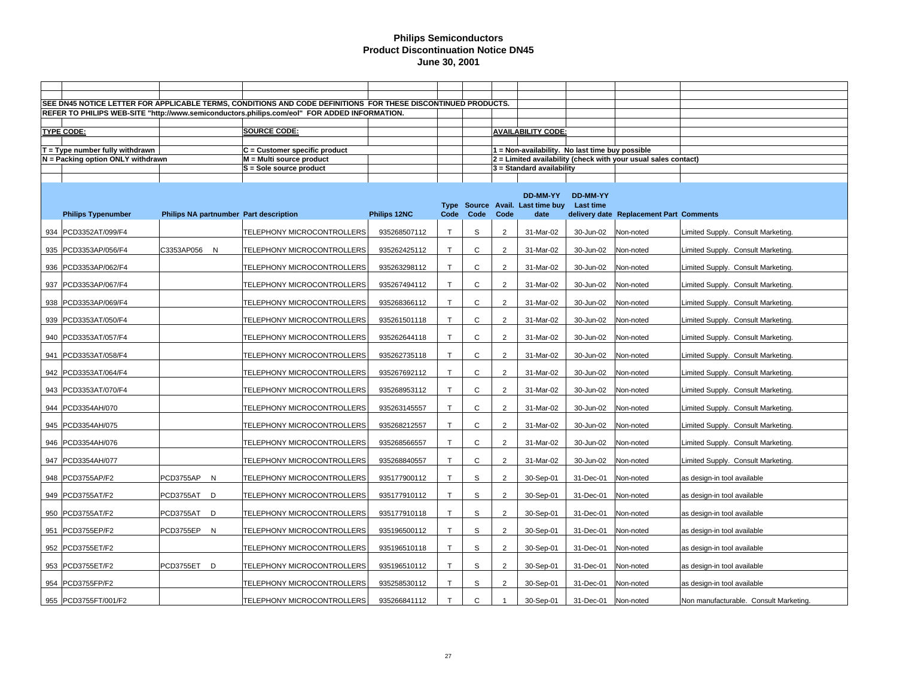|                                                                        |              | SEE DN45 NOTICE LETTER FOR APPLICABLE TERMS, CONDITIONS AND CODE DEFINITIONS FOR THESE DISCONTINUED PRODUCTS. |              |              |              |                |                                                 |           |                                                                |                                        |
|------------------------------------------------------------------------|--------------|---------------------------------------------------------------------------------------------------------------|--------------|--------------|--------------|----------------|-------------------------------------------------|-----------|----------------------------------------------------------------|----------------------------------------|
|                                                                        |              | REFER TO PHILIPS WEB-SITE "http://www.semiconductors.philips.com/eol" FOR ADDED INFORMATION.                  |              |              |              |                |                                                 |           |                                                                |                                        |
| <b>TYPE CODE:</b>                                                      |              | <b>SOURCE CODE:</b>                                                                                           |              |              |              |                | <b>AVAILABILITY CODE:</b>                       |           |                                                                |                                        |
|                                                                        |              |                                                                                                               |              |              |              |                |                                                 |           |                                                                |                                        |
| $T = Type$ number fully withdrawn<br>N = Packing option ONLY withdrawn |              | $C =$ Customer specific product<br>$M = Multi source product$                                                 |              |              |              |                | 1 = Non-availability. No last time buy possible |           | 2 = Limited availability (check with your usual sales contact) |                                        |
|                                                                        |              | S = Sole source product                                                                                       |              |              |              |                | $3 =$ Standard availability                     |           |                                                                |                                        |
|                                                                        |              |                                                                                                               |              |              |              |                |                                                 |           |                                                                |                                        |
|                                                                        |              |                                                                                                               |              |              |              |                | DD-MM-YY                                        | DD-MM-YY  |                                                                |                                        |
|                                                                        |              |                                                                                                               | Philips 12NC | Code         | Code         | Code           | Type Source Avail. Last time buy<br>date        | Last time | delivery date Replacement Part Comments                        |                                        |
| <b>Philips Typenumber</b>                                              |              | Philips NA partnumber Part description                                                                        |              |              |              |                |                                                 |           |                                                                |                                        |
| 934 PCD3352AT/099/F4                                                   |              | TELEPHONY MICROCONTROLLERS                                                                                    | 935268507112 | $\mathsf{T}$ | S            | $\overline{2}$ | 31-Mar-02                                       | 30-Jun-02 | Non-noted                                                      | Limited Supply. Consult Marketing.     |
| 935 PCD3353AP/056/F4                                                   | C3353AP056 N | TELEPHONY MICROCONTROLLERS                                                                                    | 935262425112 | $\mathsf{T}$ | $\mathsf{C}$ | $\overline{2}$ | 31-Mar-02                                       | 30-Jun-02 | Non-noted                                                      | Limited Supply. Consult Marketing.     |
| 936 PCD3353AP/062/F4                                                   |              | TELEPHONY MICROCONTROLLERS                                                                                    | 935263298112 | $\mathsf{T}$ | C            | $\overline{c}$ | 31-Mar-02                                       | 30-Jun-02 | Non-noted                                                      | Limited Supply. Consult Marketing.     |
| 937 PCD3353AP/067/F4                                                   |              | TELEPHONY MICROCONTROLLERS                                                                                    | 935267494112 | $\mathsf{T}$ | $\mathsf{C}$ | $\overline{2}$ | 31-Mar-02                                       | 30-Jun-02 | Non-noted                                                      | Limited Supply. Consult Marketing.     |
| 938 PCD3353AP/069/F4                                                   |              | TELEPHONY MICROCONTROLLERS                                                                                    | 935268366112 | $\mathsf T$  | C            | $\overline{2}$ | 31-Mar-02                                       | 30-Jun-02 | Non-noted                                                      | Limited Supply. Consult Marketing.     |
| 939   PCD3353AT/050/F4                                                 |              | TELEPHONY MICROCONTROLLERS                                                                                    | 935261501118 | $\mathsf{T}$ | C            | $\overline{2}$ | 31-Mar-02                                       | 30-Jun-02 | Non-noted                                                      | Limited Supply. Consult Marketing.     |
| 940 PCD3353AT/057/F4                                                   |              | TELEPHONY MICROCONTROLLERS                                                                                    | 935262644118 | $\mathsf T$  | C            | $\overline{2}$ | 31-Mar-02                                       | 30-Jun-02 | Non-noted                                                      | Limited Supply. Consult Marketing.     |
| 941   PCD3353AT/058/F4                                                 |              | TELEPHONY MICROCONTROLLERS                                                                                    | 935262735118 | T.           | C            | $\overline{2}$ | 31-Mar-02                                       | 30-Jun-02 | Non-noted                                                      | Limited Supply. Consult Marketing.     |
| 942 PCD3353AT/064/F4                                                   |              | TELEPHONY MICROCONTROLLERS                                                                                    | 935267692112 | $\mathsf T$  | C            | $\overline{2}$ | 31-Mar-02                                       | 30-Jun-02 | Non-noted                                                      | Limited Supply. Consult Marketing.     |
| 943 PCD3353AT/070/F4                                                   |              | TELEPHONY MICROCONTROLLERS                                                                                    | 935268953112 | T.           | C            | $\overline{2}$ | 31-Mar-02                                       | 30-Jun-02 | Non-noted                                                      | Limited Supply. Consult Marketing.     |
| 944 PCD3354AH/070                                                      |              | TELEPHONY MICROCONTROLLERS                                                                                    | 935263145557 | T.           | C            | $\overline{2}$ | 31-Mar-02                                       | 30-Jun-02 | Non-noted                                                      | Limited Supply. Consult Marketing.     |
| 945 PCD3354AH/075                                                      |              | TELEPHONY MICROCONTROLLERS                                                                                    | 935268212557 | T            | $\mathsf C$  | $\overline{2}$ | 31-Mar-02                                       | 30-Jun-02 | Non-noted                                                      | Limited Supply. Consult Marketing.     |
| 946 PCD3354AH/076                                                      |              | TELEPHONY MICROCONTROLLERS                                                                                    | 935268566557 | $\mathsf{T}$ | $\mathsf{C}$ | $\overline{2}$ | 31-Mar-02                                       | 30-Jun-02 | Non-noted                                                      | Limited Supply. Consult Marketing.     |
| 947 PCD3354AH/077                                                      |              | TELEPHONY MICROCONTROLLERS                                                                                    | 935268840557 | T            | C            | $\overline{2}$ | 31-Mar-02                                       | 30-Jun-02 | Non-noted                                                      | Limited Supply. Consult Marketing.     |
| 948 PCD3755AP/F2                                                       | PCD3755AP N  | TELEPHONY MICROCONTROLLERS                                                                                    | 935177900112 | $\mathsf{T}$ | S            | 2              | 30-Sep-01                                       | 31-Dec-01 | Non-noted                                                      | as design-in tool available            |
| 949 PCD3755AT/F2                                                       | PCD3755AT D  | TELEPHONY MICROCONTROLLERS                                                                                    | 935177910112 | $\mathsf T$  | $\mathbb S$  | $\overline{c}$ | 30-Sep-01                                       | 31-Dec-01 | Non-noted                                                      | as design-in tool available            |
| 950 PCD3755AT/F2                                                       | PCD3755AT D  | TELEPHONY MICROCONTROLLERS                                                                                    | 935177910118 | T.           | S            | 2              | 30-Sep-01                                       | 31-Dec-01 | Non-noted                                                      | as design-in tool available            |
| 951 PCD3755EP/F2                                                       | PCD3755EP N  | TELEPHONY MICROCONTROLLERS                                                                                    | 935196500112 | $\mathsf{T}$ | S            | $\overline{2}$ | 30-Sep-01                                       | 31-Dec-01 | Non-noted                                                      | as design-in tool available            |
| 952   PCD3755ET/F2                                                     |              | TELEPHONY MICROCONTROLLERS                                                                                    | 935196510118 | $\mathsf T$  | $\mathbb S$  | $\overline{2}$ | 30-Sep-01                                       | 31-Dec-01 | Non-noted                                                      | as design-in tool available            |
| 953   PCD3755ET/F2                                                     | PCD3755ET D  | TELEPHONY MICROCONTROLLERS                                                                                    | 935196510112 | $\mathsf{T}$ | S            | 2              | 30-Sep-01                                       | 31-Dec-01 | Non-noted                                                      | as design-in tool available            |
| 954 PCD3755FP/F2                                                       |              | TELEPHONY MICROCONTROLLERS                                                                                    | 935258530112 | $\mathsf T$  | S            | $\overline{2}$ | 30-Sep-01                                       | 31-Dec-01 | Non-noted                                                      | as design-in tool available            |
| 955 PCD3755FT/001/F2                                                   |              | TELEPHONY MICROCONTROLLERS                                                                                    | 935266841112 | $\mathsf{T}$ | $\mathsf{C}$ |                | 30-Sep-01                                       | 31-Dec-01 | Non-noted                                                      | Non manufacturable. Consult Marketing. |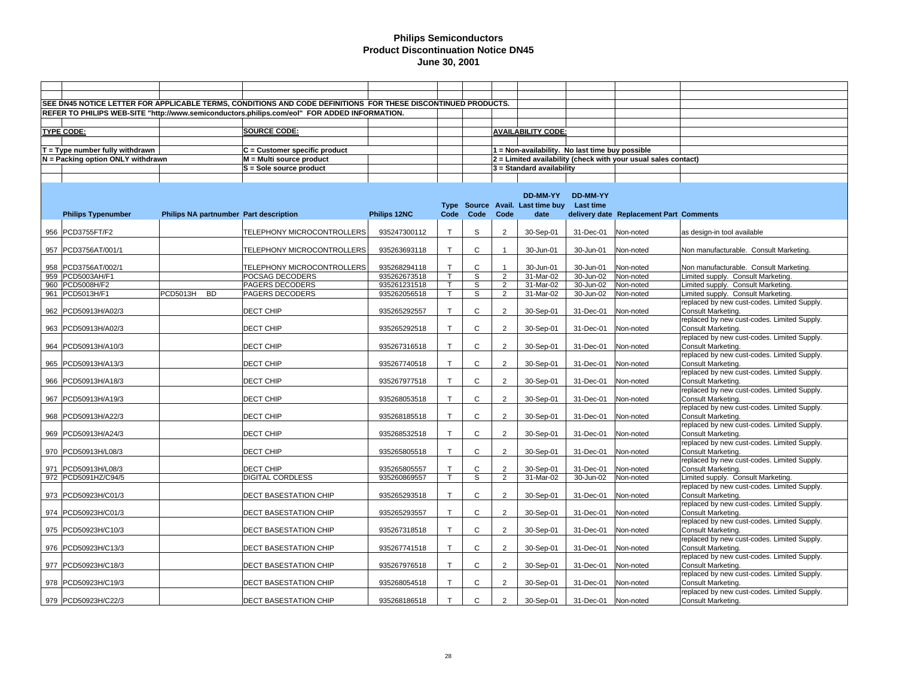|     |                                            |                                        | SEE DN45 NOTICE LETTER FOR APPLICABLE TERMS, CONDITIONS AND CODE DEFINITIONS FOR THESE DISCONTINUED PRODUCTS. |                              |                              |                            |                     |                                                 |                        |                                                                |                                                                                   |
|-----|--------------------------------------------|----------------------------------------|---------------------------------------------------------------------------------------------------------------|------------------------------|------------------------------|----------------------------|---------------------|-------------------------------------------------|------------------------|----------------------------------------------------------------|-----------------------------------------------------------------------------------|
|     |                                            |                                        | REFER TO PHILIPS WEB-SITE "http://www.semiconductors.philips.com/eol" FOR ADDED INFORMATION.                  |                              |                              |                            |                     |                                                 |                        |                                                                |                                                                                   |
|     |                                            |                                        |                                                                                                               |                              |                              |                            |                     |                                                 |                        |                                                                |                                                                                   |
|     | <b>TYPE CODE:</b>                          |                                        | SOURCE CODE:                                                                                                  |                              |                              |                            |                     | <b>AVAILABILITY CODE:</b>                       |                        |                                                                |                                                                                   |
|     |                                            |                                        |                                                                                                               |                              |                              |                            |                     |                                                 |                        |                                                                |                                                                                   |
|     | T = Type number fully withdrawn            |                                        | $C =$ Customer specific product                                                                               |                              |                              |                            |                     | 1 = Non-availability. No last time buy possible |                        |                                                                |                                                                                   |
|     | N = Packing option ONLY withdrawn          |                                        | M = Multi source product                                                                                      |                              |                              |                            |                     |                                                 |                        | 2 = Limited availability (check with your usual sales contact) |                                                                                   |
|     |                                            |                                        | S = Sole source product                                                                                       |                              |                              |                            |                     | 3 = Standard availability                       |                        |                                                                |                                                                                   |
|     |                                            |                                        |                                                                                                               |                              |                              |                            |                     |                                                 |                        |                                                                |                                                                                   |
|     |                                            |                                        |                                                                                                               |                              |                              |                            |                     | DD-MM-YY                                        | DD-MM-YY               |                                                                |                                                                                   |
|     |                                            |                                        |                                                                                                               |                              |                              |                            |                     | Type Source Avail. Last time buy                | Last time              |                                                                |                                                                                   |
|     | <b>Philips Typenumber</b>                  | Philips NA partnumber Part description |                                                                                                               | Philips 12NC                 | Code                         | Code                       | Code                | date                                            |                        | delivery date Replacement Part Comments                        |                                                                                   |
|     |                                            |                                        |                                                                                                               |                              |                              |                            |                     |                                                 |                        |                                                                |                                                                                   |
|     | 956 PCD3755FT/F2                           |                                        | TELEPHONY MICROCONTROLLERS                                                                                    | 935247300112                 | $\mathsf{T}$                 | S                          | 2                   | 30-Sep-01                                       | 31-Dec-01              | Non-noted                                                      | as design-in tool available                                                       |
|     |                                            |                                        |                                                                                                               |                              |                              |                            |                     |                                                 |                        |                                                                |                                                                                   |
|     | 957 PCD3756AT/001/1                        |                                        | TELEPHONY MICROCONTROLLERS                                                                                    | 935263693118                 | $\mathsf{T}$                 | $\mathsf{C}$               |                     | 30-Jun-01                                       | 30-Jun-01              | Non-noted                                                      | Non manufacturable. Consult Marketing.                                            |
|     |                                            |                                        |                                                                                                               |                              |                              |                            |                     |                                                 |                        |                                                                |                                                                                   |
| 958 | PCD3756AT/002/1                            |                                        | TELEPHONY MICROCONTROLLERS                                                                                    | 935268294118                 | T<br>$\overline{\mathsf{T}}$ | $\mathsf{C}$               |                     | 30-Jun-01                                       | 30-Jun-01              | Non-noted                                                      | Non manufacturable. Consult Marketing.                                            |
|     | 959 PCD5003AH/F1<br>960 PCD5008H/F2        |                                        | POCSAG DECODERS<br>PAGERS DECODERS                                                                            | 935262673518<br>935261231518 | $\mathsf{T}$                 | S<br>S                     | $\overline{2}$<br>2 | 31-Mar-02<br>31-Mar-02                          | 30-Jun-02<br>30-Jun-02 | Non-noted<br>Non-noted                                         | Limited supply. Consult Marketing.<br>Limited supply. Consult Marketing.          |
|     | 961 PCD5013H/F1                            | <b>PCD5013H</b><br><b>BD</b>           | PAGERS DECODERS                                                                                               | 935262056518                 | $\mathsf{T}$                 | S                          | 2                   | 31-Mar-02                                       | 30-Jun-02              | Non-noted                                                      | Limited supply. Consult Marketing.                                                |
|     |                                            |                                        |                                                                                                               |                              |                              |                            |                     |                                                 |                        |                                                                | replaced by new cust-codes. Limited Supply.                                       |
|     | 962 PCD50913H/A02/3                        |                                        | DECT CHIP                                                                                                     | 935265292557                 | $\mathsf{T}$                 | $\mathsf C$                | 2                   | 30-Sep-01                                       | 31-Dec-01              | Non-noted                                                      | Consult Marketing.                                                                |
|     |                                            |                                        |                                                                                                               |                              |                              |                            |                     |                                                 |                        |                                                                | replaced by new cust-codes. Limited Supply.                                       |
|     | 963 PCD50913H/A02/3                        |                                        | DECT CHIP                                                                                                     | 935265292518                 | $\mathsf{T}$                 | C                          | $\overline{2}$      | 30-Sep-01                                       | 31-Dec-01              | Non-noted                                                      | Consult Marketing.                                                                |
|     |                                            |                                        |                                                                                                               |                              |                              |                            |                     |                                                 |                        |                                                                | replaced by new cust-codes. Limited Supply.                                       |
| 964 | PCD50913H/A10/3                            |                                        | DECT CHIP                                                                                                     | 935267316518                 | $\mathsf{T}$                 | $\mathsf{C}$               | 2                   | 30-Sep-01                                       | 31-Dec-01              | Non-noted                                                      | Consult Marketing.                                                                |
|     |                                            |                                        |                                                                                                               |                              |                              |                            |                     |                                                 |                        |                                                                | replaced by new cust-codes. Limited Supply.                                       |
|     | 965 PCD50913H/A13/3                        |                                        | DECT CHIP                                                                                                     | 935267740518                 | $\mathsf{T}$                 | $\mathsf{C}$               | $\overline{2}$      | 30-Sep-01                                       | 31-Dec-01              | Non-noted                                                      | Consult Marketing.                                                                |
|     |                                            |                                        |                                                                                                               |                              |                              |                            |                     |                                                 |                        |                                                                | replaced by new cust-codes. Limited Supply.                                       |
|     | 966 PCD50913H/A18/3                        |                                        | DECT CHIP                                                                                                     | 935267977518                 | $\mathsf{T}$                 | C                          | 2                   | 30-Sep-01                                       | 31-Dec-01              | Non-noted                                                      | Consult Marketing.<br>replaced by new cust-codes. Limited Supply.                 |
|     | 967 PCD50913H/A19/3                        |                                        | DECT CHIP                                                                                                     | 935268053518                 | $\mathsf{T}$                 | $\mathsf{C}$               | $\overline{2}$      | 30-Sep-01                                       | 31-Dec-01              | Non-noted                                                      | Consult Marketing.                                                                |
|     |                                            |                                        |                                                                                                               |                              |                              |                            |                     |                                                 |                        |                                                                | replaced by new cust-codes. Limited Supply.                                       |
|     | 968 PCD50913H/A22/3                        |                                        | DECT CHIP                                                                                                     | 935268185518                 | $\mathsf{T}$                 | $\mathsf C$                | $\overline{2}$      | 30-Sep-01                                       | 31-Dec-01              | Non-noted                                                      | Consult Marketing.                                                                |
|     |                                            |                                        |                                                                                                               |                              |                              |                            |                     |                                                 |                        |                                                                | replaced by new cust-codes. Limited Supply.                                       |
|     | 969 PCD50913H/A24/3                        |                                        | DECT CHIP                                                                                                     | 935268532518                 | $\mathsf{T}$                 | C                          | $\overline{2}$      | 30-Sep-01                                       | 31-Dec-01              | Non-noted                                                      | Consult Marketing.                                                                |
|     |                                            |                                        |                                                                                                               |                              |                              |                            |                     |                                                 |                        |                                                                | replaced by new cust-codes. Limited Supply.                                       |
|     | 970 PCD50913H/L08/3                        |                                        | DECT CHIP                                                                                                     | 935265805518                 | $\mathsf{T}$                 | $\mathsf{C}$               | 2                   | 30-Sep-01                                       | 31-Dec-01              | Non-noted                                                      | Consult Marketing.                                                                |
|     |                                            |                                        |                                                                                                               |                              | $\mathsf{T}$                 |                            |                     |                                                 |                        |                                                                | replaced by new cust-codes. Limited Supply.                                       |
|     | 971 PCD50913H/L08/3<br>972 PCD5091HZ/C94/5 |                                        | DECT CHIP                                                                                                     | 935265805557                 | $\mathsf{T}$                 | $\mathsf C$<br>$\mathbb S$ | $\overline{2}$<br>2 | 30-Sep-01<br>31-Mar-02                          | 31-Dec-01              | Non-noted                                                      | Consult Marketing.                                                                |
|     |                                            |                                        | DIGITAL CORDLESS                                                                                              | 935260869557                 |                              |                            |                     |                                                 | 30-Jun-02              | Non-noted                                                      | Limited supply. Consult Marketing.<br>replaced by new cust-codes. Limited Supply. |
|     | 973   PCD50923H/C01/3                      |                                        | DECT BASESTATION CHIP                                                                                         | 935265293518                 | $\mathsf{T}$                 | $\mathsf{C}$               | 2                   | 30-Sep-01                                       | 31-Dec-01              | Non-noted                                                      | Consult Marketing.                                                                |
|     |                                            |                                        |                                                                                                               |                              |                              |                            |                     |                                                 |                        |                                                                | replaced by new cust-codes. Limited Supply.                                       |
|     | 974 PCD50923H/C01/3                        |                                        | <b>DECT BASESTATION CHIP</b>                                                                                  | 935265293557                 | $\mathsf{T}$                 | $\mathsf C$                | 2                   | 30-Sep-01                                       | 31-Dec-01              | Non-noted                                                      | Consult Marketing.                                                                |
|     |                                            |                                        |                                                                                                               |                              |                              |                            |                     |                                                 |                        |                                                                | replaced by new cust-codes. Limited Supply.                                       |
|     | 975 PCD50923H/C10/3                        |                                        | DECT BASESTATION CHIP                                                                                         | 935267318518                 | $\mathsf{T}$                 | $\mathsf C$                | $\overline{2}$      | 30-Sep-01                                       | 31-Dec-01              | Non-noted                                                      | Consult Marketing.                                                                |
|     |                                            |                                        |                                                                                                               |                              |                              |                            |                     |                                                 |                        |                                                                | replaced by new cust-codes. Limited Supply.                                       |
|     | 976   PCD50923H/C13/3                      |                                        | DECT BASESTATION CHIP                                                                                         | 935267741518                 | $\mathsf{T}$                 | $\mathsf C$                | $\overline{2}$      | 30-Sep-01                                       | 31-Dec-01              | Non-noted                                                      | Consult Marketing.                                                                |
|     |                                            |                                        |                                                                                                               |                              | $\mathsf{T}$                 | $\mathsf{C}$               |                     |                                                 |                        |                                                                | replaced by new cust-codes. Limited Supply.                                       |
|     | 977  PCD50923H/C18/3                       |                                        | <b>DECT BASESTATION CHIP</b>                                                                                  | 935267976518                 |                              |                            | $\overline{2}$      | 30-Sep-01                                       | 31-Dec-01              | Non-noted                                                      | Consult Marketing.<br>replaced by new cust-codes. Limited Supply.                 |
|     | 978 PCD50923H/C19/3                        |                                        | DECT BASESTATION CHIP                                                                                         | 935268054518                 | $\mathsf{T}$                 | $\mathsf C$                | $\overline{2}$      | 30-Sep-01                                       | 31-Dec-01              | Non-noted                                                      | Consult Marketing.                                                                |
|     |                                            |                                        |                                                                                                               |                              |                              |                            |                     |                                                 |                        |                                                                | replaced by new cust-codes. Limited Supply.                                       |
|     | 979 PCD50923H/C22/3                        |                                        | DECT BASESTATION CHIP                                                                                         | 935268186518                 | $\mathsf{T}$                 | $\mathsf{C}$               | 2                   | 30-Sep-01                                       | 31-Dec-01              | Non-noted                                                      | Consult Marketing.                                                                |
|     |                                            |                                        |                                                                                                               |                              |                              |                            |                     |                                                 |                        |                                                                |                                                                                   |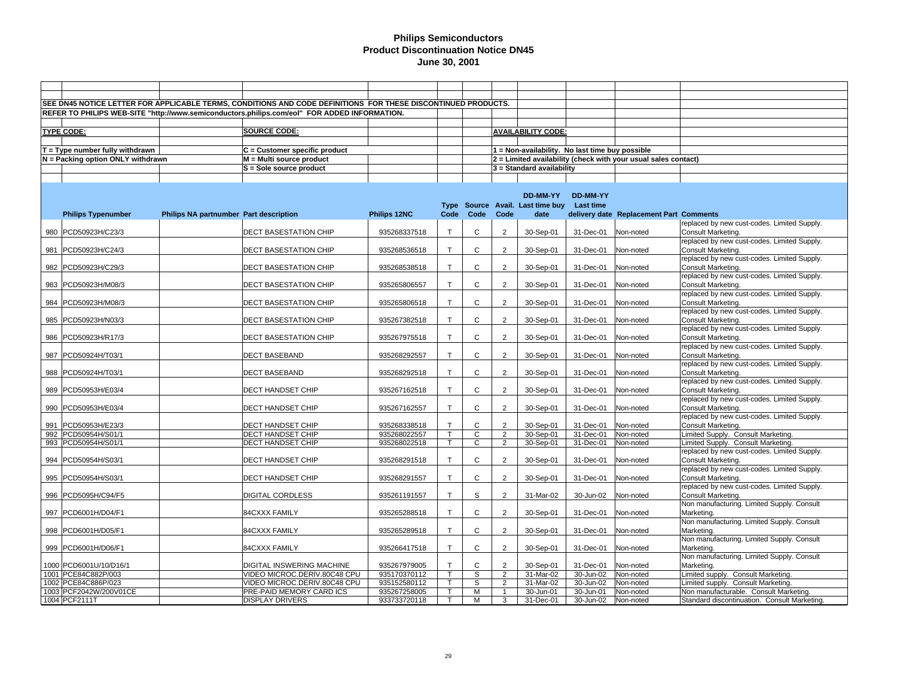| SEE DN45 NOTICE LETTER FOR APPLICABLE TERMS, CONDITIONS AND CODE DEFINITIONS FOR THESE DISCONTINUED PRODUCTS.<br>REFER TO PHILIPS WEB-SITE "http://www.semiconductors.philips.com/eol" FOR ADDED INFORMATION.<br><b>SOURCE CODE:</b><br><b>AVAILABILITY CODE:</b><br><b>TYPE CODE:</b><br>$T = Type$ number fully withdrawn<br>$C =$ Customer specific product<br>1 = Non-availability. No last time buy possible<br>N = Packing option ONLY withdrawn<br>M = Multi source product<br>2 = Limited availability (check with your usual sales contact)<br>S = Sole source product<br>3 = Standard availability<br>DD-MM-YY<br><b>DD-MM-YY</b><br>Type Source Avail. Last time buy Last time<br>Philips 12NC<br>Code<br>Code<br>Code<br><b>Philips Typenumber</b><br>Philips NA partnumber Part description<br>date<br>delivery date Replacement Part Comments<br>replaced by new cust-codes. Limited Supply.<br>$\mathsf{T}$<br>$\mathsf{C}$<br>$\overline{2}$<br>980 PCD50923H/C23/3<br><b>DECT BASESTATION CHIP</b><br>935268337518<br>30-Sep-01<br>31-Dec-01<br>Non-noted<br>Consult Marketing.<br>replaced by new cust-codes. Limited Supply.<br>$\mathsf{T}$<br>$\mathsf{C}$<br>981 PCD50923H/C24/3<br>DECT BASESTATION CHIP<br>935268536518<br>$\overline{2}$<br>30-Sep-01<br>31-Dec-01<br>Non-noted<br>Consult Marketing.<br>replaced by new cust-codes. Limited Supply.<br>$\mathsf{T}$<br>$\mathsf{C}$<br>$\overline{2}$<br>982 PCD50923H/C29/3<br><b>DECT BASESTATION CHIP</b><br>935268538518<br>30-Sep-01<br>31-Dec-01<br>Non-noted<br>Consult Marketing.<br>replaced by new cust-codes. Limited Supply.<br>$\mathsf{C}$<br>$\overline{2}$<br>935265806557<br>$\mathsf{T}$<br>30-Sep-01<br>31-Dec-01<br>983 PCD50923H/M08/3<br><b>DECT BASESTATION CHIP</b><br>Non-noted<br>Consult Marketing.<br>replaced by new cust-codes. Limited Supply.<br>$\mathsf{T}$<br>C<br>$\overline{2}$<br>984 PCD50923H/M08/3<br>DECT BASESTATION CHIP<br>935265806518<br>30-Sep-01<br>31-Dec-01<br>Non-noted<br>Consult Marketing.<br>replaced by new cust-codes. Limited Supply.<br>$\mathsf{T}$<br>C<br>$\overline{2}$<br>30-Sep-01<br>985   PCD50923H/N03/3<br><b>DECT BASESTATION CHIP</b><br>935267382518<br>31-Dec-01<br>Non-noted<br>Consult Marketing.<br>replaced by new cust-codes. Limited Supply.<br>$\mathsf{T}$<br>$\mathsf{C}$<br>DECT BASESTATION CHIP<br>935267975518<br>$\overline{2}$<br>30-Sep-01<br>31-Dec-01<br>Consult Marketing.<br>986   PCD50923H/R17/3<br>Non-noted<br>replaced by new cust-codes. Limited Supply.<br>$\mathsf T$<br>C<br>$\overline{2}$<br>30-Sep-01<br>987 PCD50924H/T03/1<br><b>DECT BASEBAND</b><br>935268292557<br>31-Dec-01<br>Consult Marketing.<br>Non-noted<br>replaced by new cust-codes. Limited Supply.<br>$\mathsf{C}$<br>$\top$<br>$\overline{2}$<br>30-Sep-01<br>Non-noted<br>988  PCD50924H/T03/1<br><b>DECT BASEBAND</b><br>935268292518<br>31-Dec-01<br>Consult Marketing.<br>replaced by new cust-codes. Limited Supply.<br>$\mathsf{T}$<br>$\mathsf{C}$<br>989 PCD50953H/E03/4<br>DECT HANDSET CHIP<br>$\overline{2}$<br>30-Sep-01<br>31-Dec-01<br>935267162518<br>Non-noted<br>Consult Marketing.<br>replaced by new cust-codes. Limited Supply.<br>$\mathsf T$<br>C<br>$\overline{2}$<br>990 PCD50953H/E03/4<br>DECT HANDSET CHIP<br>935267162557<br>30-Sep-01<br>31-Dec-01<br>Non-noted<br>Consult Marketing.<br>replaced by new cust-codes. Limited Supply.<br>$\mathsf{T}$<br>$\mathsf C$<br>$\overline{2}$<br>30-Sep-01<br>31-Dec-01<br>Consult Marketing.<br>991  PCD50953H/E23/3<br><b>DECT HANDSET CHIP</b><br>935268338518<br>Non-noted<br>$\overline{\mathsf{T}}$<br>992 PCD50954H/S01/1<br><b>DECT HANDSET CHIP</b><br>935268022557<br>C<br>$\overline{2}$<br>30-Sep-01<br>31-Dec-01<br>Non-noted<br>Limited Supply. Consult Marketing.<br>$\overline{2}$<br>993 PCD50954H/S01/1<br><b>DECT HANDSET CHIP</b><br>935268022518<br>$\mathsf{T}$<br>C<br>30-Sep-01<br>31-Dec-01<br>Non-noted<br>Limited Supply. Consult Marketing.<br>replaced by new cust-codes. Limited Supply.<br>$\mathsf{T}$<br>$\mathsf{C}$<br>$\overline{2}$<br>994 PCD50954H/S03/1<br>DECT HANDSET CHIP<br>935268291518<br>30-Sep-01<br>31-Dec-01<br>Non-noted<br>Consult Marketing.<br>replaced by new cust-codes. Limited Supply.<br>935268291557<br>$\mathsf T$<br>C<br>$\overline{2}$<br>30-Sep-01<br>31-Dec-01<br>Consult Marketing.<br>995   PCD50954H/S03/1<br>DECT HANDSET CHIP<br>Non-noted<br>replaced by new cust-codes. Limited Supply.<br>S<br><b>DIGITAL CORDLESS</b><br>935261191557<br>$\mathsf{T}$<br>$\overline{2}$<br>31-Mar-02<br>30-Jun-02<br>Consult Marketing.<br>996   PCD5095H/C94/F5<br>Non-noted<br>Non manufacturing. Limited Supply. Consult<br>$\mathsf T$<br>C<br>$\overline{2}$<br>997 PCD6001H/D04/F1<br>84CXXX FAMILY<br>935265288518<br>30-Sep-01<br>31-Dec-01<br>Non-noted<br>Marketing.<br>Non manufacturing. Limited Supply. Consult<br>$\mathsf{C}$<br>T.<br>$\overline{2}$<br>30-Sep-01<br>998  PCD6001H/D05/F1<br>84CXXX FAMILY<br>935265289518<br>31-Dec-01<br>Non-noted<br>Marketing.<br>Non manufacturing. Limited Supply. Consult<br>$\mathsf{T}$<br>$\mathsf{C}$<br>999 PCD6001H/D06/F1<br>84CXXX FAMILY<br>935266417518<br>$\overline{2}$<br>30-Sep-01<br>31-Dec-01<br>Non-noted<br>Marketing.<br>Non manufacturing. Limited Supply. Consult<br>$\mathsf T$<br>$\mathsf C$<br>1000 PCD6001U/10/D16/1<br>DIGITAL INSWERING MACHINE<br>935267979005<br>$\overline{2}$<br>30-Sep-01<br>31-Dec-01<br>Non-noted<br>Marketing.<br>$\mathsf{T}$<br>1001 PCE84C882P/003<br>VIDEO MICROC.DERIV.80C48 CPU<br>935170370112<br>S<br>$\overline{2}$<br>31-Mar-02<br>30-Jun-02<br>Non-noted<br>imited supply. Consult Marketing.<br>T.<br>S<br>$\overline{2}$<br>002 PCE84C886P/023<br>VIDEO MICROC.DERIV.80C48 CPU<br>935152580112<br>31-Mar-02<br>30-Jun-02<br>Non-noted<br>imited supply. Consult Marketing.<br>1003 PCF2042W/200V01CE<br>PRE-PAID MEMORY CARD ICS<br>935267258005<br>$\mathsf T$<br>Non manufacturable. Consult Marketing.<br>М<br>$\mathbf{1}$<br>30-Jun-01<br>30-Jun-01<br>Non-noted<br>1004 PCF2111T<br><b>DISPLAY DRIVERS</b><br>933733720118<br>T.<br>3<br>31-Dec-01<br>30-Jun-02<br>Standard discontinuation. Consult Marketing.<br>м<br>Non-noted |  |  |  |  |  |  |
|-------------------------------------------------------------------------------------------------------------------------------------------------------------------------------------------------------------------------------------------------------------------------------------------------------------------------------------------------------------------------------------------------------------------------------------------------------------------------------------------------------------------------------------------------------------------------------------------------------------------------------------------------------------------------------------------------------------------------------------------------------------------------------------------------------------------------------------------------------------------------------------------------------------------------------------------------------------------------------------------------------------------------------------------------------------------------------------------------------------------------------------------------------------------------------------------------------------------------------------------------------------------------------------------------------------------------------------------------------------------------------------------------------------------------------------------------------------------------------------------------------------------------------------------------------------------------------------------------------------------------------------------------------------------------------------------------------------------------------------------------------------------------------------------------------------------------------------------------------------------------------------------------------------------------------------------------------------------------------------------------------------------------------------------------------------------------------------------------------------------------------------------------------------------------------------------------------------------------------------------------------------------------------------------------------------------------------------------------------------------------------------------------------------------------------------------------------------------------------------------------------------------------------------------------------------------------------------------------------------------------------------------------------------------------------------------------------------------------------------------------------------------------------------------------------------------------------------------------------------------------------------------------------------------------------------------------------------------------------------------------------------------------------------------------------------------------------------------------------------------------------------------------------------------------------------------------------------------------------------------------------------------------------------------------------------------------------------------------------------------------------------------------------------------------------------------------------------------------------------------------------------------------------------------------------------------------------------------------------------------------------------------------------------------------------------------------------------------------------------------------------------------------------------------------------------------------------------------------------------------------------------------------------------------------------------------------------------------------------------------------------------------------------------------------------------------------------------------------------------------------------------------------------------------------------------------------------------------------------------------------------------------------------------------------------------------------------------------------------------------------------------------------------------------------------------------------------------------------------------------------------------------------------------------------------------------------------------------------------------------------------------------------------------------------------------------------------------------------------------------------------------------------------------------------------------------------------------------------------------------------------------------------------------------------------------------------------------------------------------------------------------------------------------------------------------------------------------------------------------------------------------------------------------------------------------------------------------------------------------------------------------------------------------------------------------------------------------------------------------------------------------------------------------------------------------------------------------------------------------------------------------------------------------------------------------------------------------------------------------------------------------------------------------------------------------------------------------------------------------------------------------------------------------------------------------------------------------------------------------------------------------------------------------------------------------------------------------------------------------------------------------------------------------------------------------------------------------------------------------------------------------------------------------------------------------------------------------------------------------------------------|--|--|--|--|--|--|
|                                                                                                                                                                                                                                                                                                                                                                                                                                                                                                                                                                                                                                                                                                                                                                                                                                                                                                                                                                                                                                                                                                                                                                                                                                                                                                                                                                                                                                                                                                                                                                                                                                                                                                                                                                                                                                                                                                                                                                                                                                                                                                                                                                                                                                                                                                                                                                                                                                                                                                                                                                                                                                                                                                                                                                                                                                                                                                                                                                                                                                                                                                                                                                                                                                                                                                                                                                                                                                                                                                                                                                                                                                                                                                                                                                                                                                                                                                                                                                                                                                                                                                                                                                                                                                                                                                                                                                                                                                                                                                                                                                                                                                                                                                                                                                                                                                                                                                                                                                                                                                                                                                                                                                                                                                                                                                                                                                                                                                                                                                                                                                                                                                                                                                                                                                                                                                                                                                                                                                                                                                                                                                                                                                                                                                                       |  |  |  |  |  |  |
|                                                                                                                                                                                                                                                                                                                                                                                                                                                                                                                                                                                                                                                                                                                                                                                                                                                                                                                                                                                                                                                                                                                                                                                                                                                                                                                                                                                                                                                                                                                                                                                                                                                                                                                                                                                                                                                                                                                                                                                                                                                                                                                                                                                                                                                                                                                                                                                                                                                                                                                                                                                                                                                                                                                                                                                                                                                                                                                                                                                                                                                                                                                                                                                                                                                                                                                                                                                                                                                                                                                                                                                                                                                                                                                                                                                                                                                                                                                                                                                                                                                                                                                                                                                                                                                                                                                                                                                                                                                                                                                                                                                                                                                                                                                                                                                                                                                                                                                                                                                                                                                                                                                                                                                                                                                                                                                                                                                                                                                                                                                                                                                                                                                                                                                                                                                                                                                                                                                                                                                                                                                                                                                                                                                                                                                       |  |  |  |  |  |  |
|                                                                                                                                                                                                                                                                                                                                                                                                                                                                                                                                                                                                                                                                                                                                                                                                                                                                                                                                                                                                                                                                                                                                                                                                                                                                                                                                                                                                                                                                                                                                                                                                                                                                                                                                                                                                                                                                                                                                                                                                                                                                                                                                                                                                                                                                                                                                                                                                                                                                                                                                                                                                                                                                                                                                                                                                                                                                                                                                                                                                                                                                                                                                                                                                                                                                                                                                                                                                                                                                                                                                                                                                                                                                                                                                                                                                                                                                                                                                                                                                                                                                                                                                                                                                                                                                                                                                                                                                                                                                                                                                                                                                                                                                                                                                                                                                                                                                                                                                                                                                                                                                                                                                                                                                                                                                                                                                                                                                                                                                                                                                                                                                                                                                                                                                                                                                                                                                                                                                                                                                                                                                                                                                                                                                                                                       |  |  |  |  |  |  |
|                                                                                                                                                                                                                                                                                                                                                                                                                                                                                                                                                                                                                                                                                                                                                                                                                                                                                                                                                                                                                                                                                                                                                                                                                                                                                                                                                                                                                                                                                                                                                                                                                                                                                                                                                                                                                                                                                                                                                                                                                                                                                                                                                                                                                                                                                                                                                                                                                                                                                                                                                                                                                                                                                                                                                                                                                                                                                                                                                                                                                                                                                                                                                                                                                                                                                                                                                                                                                                                                                                                                                                                                                                                                                                                                                                                                                                                                                                                                                                                                                                                                                                                                                                                                                                                                                                                                                                                                                                                                                                                                                                                                                                                                                                                                                                                                                                                                                                                                                                                                                                                                                                                                                                                                                                                                                                                                                                                                                                                                                                                                                                                                                                                                                                                                                                                                                                                                                                                                                                                                                                                                                                                                                                                                                                                       |  |  |  |  |  |  |
|                                                                                                                                                                                                                                                                                                                                                                                                                                                                                                                                                                                                                                                                                                                                                                                                                                                                                                                                                                                                                                                                                                                                                                                                                                                                                                                                                                                                                                                                                                                                                                                                                                                                                                                                                                                                                                                                                                                                                                                                                                                                                                                                                                                                                                                                                                                                                                                                                                                                                                                                                                                                                                                                                                                                                                                                                                                                                                                                                                                                                                                                                                                                                                                                                                                                                                                                                                                                                                                                                                                                                                                                                                                                                                                                                                                                                                                                                                                                                                                                                                                                                                                                                                                                                                                                                                                                                                                                                                                                                                                                                                                                                                                                                                                                                                                                                                                                                                                                                                                                                                                                                                                                                                                                                                                                                                                                                                                                                                                                                                                                                                                                                                                                                                                                                                                                                                                                                                                                                                                                                                                                                                                                                                                                                                                       |  |  |  |  |  |  |
|                                                                                                                                                                                                                                                                                                                                                                                                                                                                                                                                                                                                                                                                                                                                                                                                                                                                                                                                                                                                                                                                                                                                                                                                                                                                                                                                                                                                                                                                                                                                                                                                                                                                                                                                                                                                                                                                                                                                                                                                                                                                                                                                                                                                                                                                                                                                                                                                                                                                                                                                                                                                                                                                                                                                                                                                                                                                                                                                                                                                                                                                                                                                                                                                                                                                                                                                                                                                                                                                                                                                                                                                                                                                                                                                                                                                                                                                                                                                                                                                                                                                                                                                                                                                                                                                                                                                                                                                                                                                                                                                                                                                                                                                                                                                                                                                                                                                                                                                                                                                                                                                                                                                                                                                                                                                                                                                                                                                                                                                                                                                                                                                                                                                                                                                                                                                                                                                                                                                                                                                                                                                                                                                                                                                                                                       |  |  |  |  |  |  |
|                                                                                                                                                                                                                                                                                                                                                                                                                                                                                                                                                                                                                                                                                                                                                                                                                                                                                                                                                                                                                                                                                                                                                                                                                                                                                                                                                                                                                                                                                                                                                                                                                                                                                                                                                                                                                                                                                                                                                                                                                                                                                                                                                                                                                                                                                                                                                                                                                                                                                                                                                                                                                                                                                                                                                                                                                                                                                                                                                                                                                                                                                                                                                                                                                                                                                                                                                                                                                                                                                                                                                                                                                                                                                                                                                                                                                                                                                                                                                                                                                                                                                                                                                                                                                                                                                                                                                                                                                                                                                                                                                                                                                                                                                                                                                                                                                                                                                                                                                                                                                                                                                                                                                                                                                                                                                                                                                                                                                                                                                                                                                                                                                                                                                                                                                                                                                                                                                                                                                                                                                                                                                                                                                                                                                                                       |  |  |  |  |  |  |
|                                                                                                                                                                                                                                                                                                                                                                                                                                                                                                                                                                                                                                                                                                                                                                                                                                                                                                                                                                                                                                                                                                                                                                                                                                                                                                                                                                                                                                                                                                                                                                                                                                                                                                                                                                                                                                                                                                                                                                                                                                                                                                                                                                                                                                                                                                                                                                                                                                                                                                                                                                                                                                                                                                                                                                                                                                                                                                                                                                                                                                                                                                                                                                                                                                                                                                                                                                                                                                                                                                                                                                                                                                                                                                                                                                                                                                                                                                                                                                                                                                                                                                                                                                                                                                                                                                                                                                                                                                                                                                                                                                                                                                                                                                                                                                                                                                                                                                                                                                                                                                                                                                                                                                                                                                                                                                                                                                                                                                                                                                                                                                                                                                                                                                                                                                                                                                                                                                                                                                                                                                                                                                                                                                                                                                                       |  |  |  |  |  |  |
|                                                                                                                                                                                                                                                                                                                                                                                                                                                                                                                                                                                                                                                                                                                                                                                                                                                                                                                                                                                                                                                                                                                                                                                                                                                                                                                                                                                                                                                                                                                                                                                                                                                                                                                                                                                                                                                                                                                                                                                                                                                                                                                                                                                                                                                                                                                                                                                                                                                                                                                                                                                                                                                                                                                                                                                                                                                                                                                                                                                                                                                                                                                                                                                                                                                                                                                                                                                                                                                                                                                                                                                                                                                                                                                                                                                                                                                                                                                                                                                                                                                                                                                                                                                                                                                                                                                                                                                                                                                                                                                                                                                                                                                                                                                                                                                                                                                                                                                                                                                                                                                                                                                                                                                                                                                                                                                                                                                                                                                                                                                                                                                                                                                                                                                                                                                                                                                                                                                                                                                                                                                                                                                                                                                                                                                       |  |  |  |  |  |  |
|                                                                                                                                                                                                                                                                                                                                                                                                                                                                                                                                                                                                                                                                                                                                                                                                                                                                                                                                                                                                                                                                                                                                                                                                                                                                                                                                                                                                                                                                                                                                                                                                                                                                                                                                                                                                                                                                                                                                                                                                                                                                                                                                                                                                                                                                                                                                                                                                                                                                                                                                                                                                                                                                                                                                                                                                                                                                                                                                                                                                                                                                                                                                                                                                                                                                                                                                                                                                                                                                                                                                                                                                                                                                                                                                                                                                                                                                                                                                                                                                                                                                                                                                                                                                                                                                                                                                                                                                                                                                                                                                                                                                                                                                                                                                                                                                                                                                                                                                                                                                                                                                                                                                                                                                                                                                                                                                                                                                                                                                                                                                                                                                                                                                                                                                                                                                                                                                                                                                                                                                                                                                                                                                                                                                                                                       |  |  |  |  |  |  |
|                                                                                                                                                                                                                                                                                                                                                                                                                                                                                                                                                                                                                                                                                                                                                                                                                                                                                                                                                                                                                                                                                                                                                                                                                                                                                                                                                                                                                                                                                                                                                                                                                                                                                                                                                                                                                                                                                                                                                                                                                                                                                                                                                                                                                                                                                                                                                                                                                                                                                                                                                                                                                                                                                                                                                                                                                                                                                                                                                                                                                                                                                                                                                                                                                                                                                                                                                                                                                                                                                                                                                                                                                                                                                                                                                                                                                                                                                                                                                                                                                                                                                                                                                                                                                                                                                                                                                                                                                                                                                                                                                                                                                                                                                                                                                                                                                                                                                                                                                                                                                                                                                                                                                                                                                                                                                                                                                                                                                                                                                                                                                                                                                                                                                                                                                                                                                                                                                                                                                                                                                                                                                                                                                                                                                                                       |  |  |  |  |  |  |
|                                                                                                                                                                                                                                                                                                                                                                                                                                                                                                                                                                                                                                                                                                                                                                                                                                                                                                                                                                                                                                                                                                                                                                                                                                                                                                                                                                                                                                                                                                                                                                                                                                                                                                                                                                                                                                                                                                                                                                                                                                                                                                                                                                                                                                                                                                                                                                                                                                                                                                                                                                                                                                                                                                                                                                                                                                                                                                                                                                                                                                                                                                                                                                                                                                                                                                                                                                                                                                                                                                                                                                                                                                                                                                                                                                                                                                                                                                                                                                                                                                                                                                                                                                                                                                                                                                                                                                                                                                                                                                                                                                                                                                                                                                                                                                                                                                                                                                                                                                                                                                                                                                                                                                                                                                                                                                                                                                                                                                                                                                                                                                                                                                                                                                                                                                                                                                                                                                                                                                                                                                                                                                                                                                                                                                                       |  |  |  |  |  |  |
|                                                                                                                                                                                                                                                                                                                                                                                                                                                                                                                                                                                                                                                                                                                                                                                                                                                                                                                                                                                                                                                                                                                                                                                                                                                                                                                                                                                                                                                                                                                                                                                                                                                                                                                                                                                                                                                                                                                                                                                                                                                                                                                                                                                                                                                                                                                                                                                                                                                                                                                                                                                                                                                                                                                                                                                                                                                                                                                                                                                                                                                                                                                                                                                                                                                                                                                                                                                                                                                                                                                                                                                                                                                                                                                                                                                                                                                                                                                                                                                                                                                                                                                                                                                                                                                                                                                                                                                                                                                                                                                                                                                                                                                                                                                                                                                                                                                                                                                                                                                                                                                                                                                                                                                                                                                                                                                                                                                                                                                                                                                                                                                                                                                                                                                                                                                                                                                                                                                                                                                                                                                                                                                                                                                                                                                       |  |  |  |  |  |  |
|                                                                                                                                                                                                                                                                                                                                                                                                                                                                                                                                                                                                                                                                                                                                                                                                                                                                                                                                                                                                                                                                                                                                                                                                                                                                                                                                                                                                                                                                                                                                                                                                                                                                                                                                                                                                                                                                                                                                                                                                                                                                                                                                                                                                                                                                                                                                                                                                                                                                                                                                                                                                                                                                                                                                                                                                                                                                                                                                                                                                                                                                                                                                                                                                                                                                                                                                                                                                                                                                                                                                                                                                                                                                                                                                                                                                                                                                                                                                                                                                                                                                                                                                                                                                                                                                                                                                                                                                                                                                                                                                                                                                                                                                                                                                                                                                                                                                                                                                                                                                                                                                                                                                                                                                                                                                                                                                                                                                                                                                                                                                                                                                                                                                                                                                                                                                                                                                                                                                                                                                                                                                                                                                                                                                                                                       |  |  |  |  |  |  |
|                                                                                                                                                                                                                                                                                                                                                                                                                                                                                                                                                                                                                                                                                                                                                                                                                                                                                                                                                                                                                                                                                                                                                                                                                                                                                                                                                                                                                                                                                                                                                                                                                                                                                                                                                                                                                                                                                                                                                                                                                                                                                                                                                                                                                                                                                                                                                                                                                                                                                                                                                                                                                                                                                                                                                                                                                                                                                                                                                                                                                                                                                                                                                                                                                                                                                                                                                                                                                                                                                                                                                                                                                                                                                                                                                                                                                                                                                                                                                                                                                                                                                                                                                                                                                                                                                                                                                                                                                                                                                                                                                                                                                                                                                                                                                                                                                                                                                                                                                                                                                                                                                                                                                                                                                                                                                                                                                                                                                                                                                                                                                                                                                                                                                                                                                                                                                                                                                                                                                                                                                                                                                                                                                                                                                                                       |  |  |  |  |  |  |
|                                                                                                                                                                                                                                                                                                                                                                                                                                                                                                                                                                                                                                                                                                                                                                                                                                                                                                                                                                                                                                                                                                                                                                                                                                                                                                                                                                                                                                                                                                                                                                                                                                                                                                                                                                                                                                                                                                                                                                                                                                                                                                                                                                                                                                                                                                                                                                                                                                                                                                                                                                                                                                                                                                                                                                                                                                                                                                                                                                                                                                                                                                                                                                                                                                                                                                                                                                                                                                                                                                                                                                                                                                                                                                                                                                                                                                                                                                                                                                                                                                                                                                                                                                                                                                                                                                                                                                                                                                                                                                                                                                                                                                                                                                                                                                                                                                                                                                                                                                                                                                                                                                                                                                                                                                                                                                                                                                                                                                                                                                                                                                                                                                                                                                                                                                                                                                                                                                                                                                                                                                                                                                                                                                                                                                                       |  |  |  |  |  |  |
|                                                                                                                                                                                                                                                                                                                                                                                                                                                                                                                                                                                                                                                                                                                                                                                                                                                                                                                                                                                                                                                                                                                                                                                                                                                                                                                                                                                                                                                                                                                                                                                                                                                                                                                                                                                                                                                                                                                                                                                                                                                                                                                                                                                                                                                                                                                                                                                                                                                                                                                                                                                                                                                                                                                                                                                                                                                                                                                                                                                                                                                                                                                                                                                                                                                                                                                                                                                                                                                                                                                                                                                                                                                                                                                                                                                                                                                                                                                                                                                                                                                                                                                                                                                                                                                                                                                                                                                                                                                                                                                                                                                                                                                                                                                                                                                                                                                                                                                                                                                                                                                                                                                                                                                                                                                                                                                                                                                                                                                                                                                                                                                                                                                                                                                                                                                                                                                                                                                                                                                                                                                                                                                                                                                                                                                       |  |  |  |  |  |  |
|                                                                                                                                                                                                                                                                                                                                                                                                                                                                                                                                                                                                                                                                                                                                                                                                                                                                                                                                                                                                                                                                                                                                                                                                                                                                                                                                                                                                                                                                                                                                                                                                                                                                                                                                                                                                                                                                                                                                                                                                                                                                                                                                                                                                                                                                                                                                                                                                                                                                                                                                                                                                                                                                                                                                                                                                                                                                                                                                                                                                                                                                                                                                                                                                                                                                                                                                                                                                                                                                                                                                                                                                                                                                                                                                                                                                                                                                                                                                                                                                                                                                                                                                                                                                                                                                                                                                                                                                                                                                                                                                                                                                                                                                                                                                                                                                                                                                                                                                                                                                                                                                                                                                                                                                                                                                                                                                                                                                                                                                                                                                                                                                                                                                                                                                                                                                                                                                                                                                                                                                                                                                                                                                                                                                                                                       |  |  |  |  |  |  |
|                                                                                                                                                                                                                                                                                                                                                                                                                                                                                                                                                                                                                                                                                                                                                                                                                                                                                                                                                                                                                                                                                                                                                                                                                                                                                                                                                                                                                                                                                                                                                                                                                                                                                                                                                                                                                                                                                                                                                                                                                                                                                                                                                                                                                                                                                                                                                                                                                                                                                                                                                                                                                                                                                                                                                                                                                                                                                                                                                                                                                                                                                                                                                                                                                                                                                                                                                                                                                                                                                                                                                                                                                                                                                                                                                                                                                                                                                                                                                                                                                                                                                                                                                                                                                                                                                                                                                                                                                                                                                                                                                                                                                                                                                                                                                                                                                                                                                                                                                                                                                                                                                                                                                                                                                                                                                                                                                                                                                                                                                                                                                                                                                                                                                                                                                                                                                                                                                                                                                                                                                                                                                                                                                                                                                                                       |  |  |  |  |  |  |
|                                                                                                                                                                                                                                                                                                                                                                                                                                                                                                                                                                                                                                                                                                                                                                                                                                                                                                                                                                                                                                                                                                                                                                                                                                                                                                                                                                                                                                                                                                                                                                                                                                                                                                                                                                                                                                                                                                                                                                                                                                                                                                                                                                                                                                                                                                                                                                                                                                                                                                                                                                                                                                                                                                                                                                                                                                                                                                                                                                                                                                                                                                                                                                                                                                                                                                                                                                                                                                                                                                                                                                                                                                                                                                                                                                                                                                                                                                                                                                                                                                                                                                                                                                                                                                                                                                                                                                                                                                                                                                                                                                                                                                                                                                                                                                                                                                                                                                                                                                                                                                                                                                                                                                                                                                                                                                                                                                                                                                                                                                                                                                                                                                                                                                                                                                                                                                                                                                                                                                                                                                                                                                                                                                                                                                                       |  |  |  |  |  |  |
|                                                                                                                                                                                                                                                                                                                                                                                                                                                                                                                                                                                                                                                                                                                                                                                                                                                                                                                                                                                                                                                                                                                                                                                                                                                                                                                                                                                                                                                                                                                                                                                                                                                                                                                                                                                                                                                                                                                                                                                                                                                                                                                                                                                                                                                                                                                                                                                                                                                                                                                                                                                                                                                                                                                                                                                                                                                                                                                                                                                                                                                                                                                                                                                                                                                                                                                                                                                                                                                                                                                                                                                                                                                                                                                                                                                                                                                                                                                                                                                                                                                                                                                                                                                                                                                                                                                                                                                                                                                                                                                                                                                                                                                                                                                                                                                                                                                                                                                                                                                                                                                                                                                                                                                                                                                                                                                                                                                                                                                                                                                                                                                                                                                                                                                                                                                                                                                                                                                                                                                                                                                                                                                                                                                                                                                       |  |  |  |  |  |  |
|                                                                                                                                                                                                                                                                                                                                                                                                                                                                                                                                                                                                                                                                                                                                                                                                                                                                                                                                                                                                                                                                                                                                                                                                                                                                                                                                                                                                                                                                                                                                                                                                                                                                                                                                                                                                                                                                                                                                                                                                                                                                                                                                                                                                                                                                                                                                                                                                                                                                                                                                                                                                                                                                                                                                                                                                                                                                                                                                                                                                                                                                                                                                                                                                                                                                                                                                                                                                                                                                                                                                                                                                                                                                                                                                                                                                                                                                                                                                                                                                                                                                                                                                                                                                                                                                                                                                                                                                                                                                                                                                                                                                                                                                                                                                                                                                                                                                                                                                                                                                                                                                                                                                                                                                                                                                                                                                                                                                                                                                                                                                                                                                                                                                                                                                                                                                                                                                                                                                                                                                                                                                                                                                                                                                                                                       |  |  |  |  |  |  |
|                                                                                                                                                                                                                                                                                                                                                                                                                                                                                                                                                                                                                                                                                                                                                                                                                                                                                                                                                                                                                                                                                                                                                                                                                                                                                                                                                                                                                                                                                                                                                                                                                                                                                                                                                                                                                                                                                                                                                                                                                                                                                                                                                                                                                                                                                                                                                                                                                                                                                                                                                                                                                                                                                                                                                                                                                                                                                                                                                                                                                                                                                                                                                                                                                                                                                                                                                                                                                                                                                                                                                                                                                                                                                                                                                                                                                                                                                                                                                                                                                                                                                                                                                                                                                                                                                                                                                                                                                                                                                                                                                                                                                                                                                                                                                                                                                                                                                                                                                                                                                                                                                                                                                                                                                                                                                                                                                                                                                                                                                                                                                                                                                                                                                                                                                                                                                                                                                                                                                                                                                                                                                                                                                                                                                                                       |  |  |  |  |  |  |
|                                                                                                                                                                                                                                                                                                                                                                                                                                                                                                                                                                                                                                                                                                                                                                                                                                                                                                                                                                                                                                                                                                                                                                                                                                                                                                                                                                                                                                                                                                                                                                                                                                                                                                                                                                                                                                                                                                                                                                                                                                                                                                                                                                                                                                                                                                                                                                                                                                                                                                                                                                                                                                                                                                                                                                                                                                                                                                                                                                                                                                                                                                                                                                                                                                                                                                                                                                                                                                                                                                                                                                                                                                                                                                                                                                                                                                                                                                                                                                                                                                                                                                                                                                                                                                                                                                                                                                                                                                                                                                                                                                                                                                                                                                                                                                                                                                                                                                                                                                                                                                                                                                                                                                                                                                                                                                                                                                                                                                                                                                                                                                                                                                                                                                                                                                                                                                                                                                                                                                                                                                                                                                                                                                                                                                                       |  |  |  |  |  |  |
|                                                                                                                                                                                                                                                                                                                                                                                                                                                                                                                                                                                                                                                                                                                                                                                                                                                                                                                                                                                                                                                                                                                                                                                                                                                                                                                                                                                                                                                                                                                                                                                                                                                                                                                                                                                                                                                                                                                                                                                                                                                                                                                                                                                                                                                                                                                                                                                                                                                                                                                                                                                                                                                                                                                                                                                                                                                                                                                                                                                                                                                                                                                                                                                                                                                                                                                                                                                                                                                                                                                                                                                                                                                                                                                                                                                                                                                                                                                                                                                                                                                                                                                                                                                                                                                                                                                                                                                                                                                                                                                                                                                                                                                                                                                                                                                                                                                                                                                                                                                                                                                                                                                                                                                                                                                                                                                                                                                                                                                                                                                                                                                                                                                                                                                                                                                                                                                                                                                                                                                                                                                                                                                                                                                                                                                       |  |  |  |  |  |  |
|                                                                                                                                                                                                                                                                                                                                                                                                                                                                                                                                                                                                                                                                                                                                                                                                                                                                                                                                                                                                                                                                                                                                                                                                                                                                                                                                                                                                                                                                                                                                                                                                                                                                                                                                                                                                                                                                                                                                                                                                                                                                                                                                                                                                                                                                                                                                                                                                                                                                                                                                                                                                                                                                                                                                                                                                                                                                                                                                                                                                                                                                                                                                                                                                                                                                                                                                                                                                                                                                                                                                                                                                                                                                                                                                                                                                                                                                                                                                                                                                                                                                                                                                                                                                                                                                                                                                                                                                                                                                                                                                                                                                                                                                                                                                                                                                                                                                                                                                                                                                                                                                                                                                                                                                                                                                                                                                                                                                                                                                                                                                                                                                                                                                                                                                                                                                                                                                                                                                                                                                                                                                                                                                                                                                                                                       |  |  |  |  |  |  |
|                                                                                                                                                                                                                                                                                                                                                                                                                                                                                                                                                                                                                                                                                                                                                                                                                                                                                                                                                                                                                                                                                                                                                                                                                                                                                                                                                                                                                                                                                                                                                                                                                                                                                                                                                                                                                                                                                                                                                                                                                                                                                                                                                                                                                                                                                                                                                                                                                                                                                                                                                                                                                                                                                                                                                                                                                                                                                                                                                                                                                                                                                                                                                                                                                                                                                                                                                                                                                                                                                                                                                                                                                                                                                                                                                                                                                                                                                                                                                                                                                                                                                                                                                                                                                                                                                                                                                                                                                                                                                                                                                                                                                                                                                                                                                                                                                                                                                                                                                                                                                                                                                                                                                                                                                                                                                                                                                                                                                                                                                                                                                                                                                                                                                                                                                                                                                                                                                                                                                                                                                                                                                                                                                                                                                                                       |  |  |  |  |  |  |
|                                                                                                                                                                                                                                                                                                                                                                                                                                                                                                                                                                                                                                                                                                                                                                                                                                                                                                                                                                                                                                                                                                                                                                                                                                                                                                                                                                                                                                                                                                                                                                                                                                                                                                                                                                                                                                                                                                                                                                                                                                                                                                                                                                                                                                                                                                                                                                                                                                                                                                                                                                                                                                                                                                                                                                                                                                                                                                                                                                                                                                                                                                                                                                                                                                                                                                                                                                                                                                                                                                                                                                                                                                                                                                                                                                                                                                                                                                                                                                                                                                                                                                                                                                                                                                                                                                                                                                                                                                                                                                                                                                                                                                                                                                                                                                                                                                                                                                                                                                                                                                                                                                                                                                                                                                                                                                                                                                                                                                                                                                                                                                                                                                                                                                                                                                                                                                                                                                                                                                                                                                                                                                                                                                                                                                                       |  |  |  |  |  |  |
|                                                                                                                                                                                                                                                                                                                                                                                                                                                                                                                                                                                                                                                                                                                                                                                                                                                                                                                                                                                                                                                                                                                                                                                                                                                                                                                                                                                                                                                                                                                                                                                                                                                                                                                                                                                                                                                                                                                                                                                                                                                                                                                                                                                                                                                                                                                                                                                                                                                                                                                                                                                                                                                                                                                                                                                                                                                                                                                                                                                                                                                                                                                                                                                                                                                                                                                                                                                                                                                                                                                                                                                                                                                                                                                                                                                                                                                                                                                                                                                                                                                                                                                                                                                                                                                                                                                                                                                                                                                                                                                                                                                                                                                                                                                                                                                                                                                                                                                                                                                                                                                                                                                                                                                                                                                                                                                                                                                                                                                                                                                                                                                                                                                                                                                                                                                                                                                                                                                                                                                                                                                                                                                                                                                                                                                       |  |  |  |  |  |  |
|                                                                                                                                                                                                                                                                                                                                                                                                                                                                                                                                                                                                                                                                                                                                                                                                                                                                                                                                                                                                                                                                                                                                                                                                                                                                                                                                                                                                                                                                                                                                                                                                                                                                                                                                                                                                                                                                                                                                                                                                                                                                                                                                                                                                                                                                                                                                                                                                                                                                                                                                                                                                                                                                                                                                                                                                                                                                                                                                                                                                                                                                                                                                                                                                                                                                                                                                                                                                                                                                                                                                                                                                                                                                                                                                                                                                                                                                                                                                                                                                                                                                                                                                                                                                                                                                                                                                                                                                                                                                                                                                                                                                                                                                                                                                                                                                                                                                                                                                                                                                                                                                                                                                                                                                                                                                                                                                                                                                                                                                                                                                                                                                                                                                                                                                                                                                                                                                                                                                                                                                                                                                                                                                                                                                                                                       |  |  |  |  |  |  |
|                                                                                                                                                                                                                                                                                                                                                                                                                                                                                                                                                                                                                                                                                                                                                                                                                                                                                                                                                                                                                                                                                                                                                                                                                                                                                                                                                                                                                                                                                                                                                                                                                                                                                                                                                                                                                                                                                                                                                                                                                                                                                                                                                                                                                                                                                                                                                                                                                                                                                                                                                                                                                                                                                                                                                                                                                                                                                                                                                                                                                                                                                                                                                                                                                                                                                                                                                                                                                                                                                                                                                                                                                                                                                                                                                                                                                                                                                                                                                                                                                                                                                                                                                                                                                                                                                                                                                                                                                                                                                                                                                                                                                                                                                                                                                                                                                                                                                                                                                                                                                                                                                                                                                                                                                                                                                                                                                                                                                                                                                                                                                                                                                                                                                                                                                                                                                                                                                                                                                                                                                                                                                                                                                                                                                                                       |  |  |  |  |  |  |
|                                                                                                                                                                                                                                                                                                                                                                                                                                                                                                                                                                                                                                                                                                                                                                                                                                                                                                                                                                                                                                                                                                                                                                                                                                                                                                                                                                                                                                                                                                                                                                                                                                                                                                                                                                                                                                                                                                                                                                                                                                                                                                                                                                                                                                                                                                                                                                                                                                                                                                                                                                                                                                                                                                                                                                                                                                                                                                                                                                                                                                                                                                                                                                                                                                                                                                                                                                                                                                                                                                                                                                                                                                                                                                                                                                                                                                                                                                                                                                                                                                                                                                                                                                                                                                                                                                                                                                                                                                                                                                                                                                                                                                                                                                                                                                                                                                                                                                                                                                                                                                                                                                                                                                                                                                                                                                                                                                                                                                                                                                                                                                                                                                                                                                                                                                                                                                                                                                                                                                                                                                                                                                                                                                                                                                                       |  |  |  |  |  |  |
|                                                                                                                                                                                                                                                                                                                                                                                                                                                                                                                                                                                                                                                                                                                                                                                                                                                                                                                                                                                                                                                                                                                                                                                                                                                                                                                                                                                                                                                                                                                                                                                                                                                                                                                                                                                                                                                                                                                                                                                                                                                                                                                                                                                                                                                                                                                                                                                                                                                                                                                                                                                                                                                                                                                                                                                                                                                                                                                                                                                                                                                                                                                                                                                                                                                                                                                                                                                                                                                                                                                                                                                                                                                                                                                                                                                                                                                                                                                                                                                                                                                                                                                                                                                                                                                                                                                                                                                                                                                                                                                                                                                                                                                                                                                                                                                                                                                                                                                                                                                                                                                                                                                                                                                                                                                                                                                                                                                                                                                                                                                                                                                                                                                                                                                                                                                                                                                                                                                                                                                                                                                                                                                                                                                                                                                       |  |  |  |  |  |  |
|                                                                                                                                                                                                                                                                                                                                                                                                                                                                                                                                                                                                                                                                                                                                                                                                                                                                                                                                                                                                                                                                                                                                                                                                                                                                                                                                                                                                                                                                                                                                                                                                                                                                                                                                                                                                                                                                                                                                                                                                                                                                                                                                                                                                                                                                                                                                                                                                                                                                                                                                                                                                                                                                                                                                                                                                                                                                                                                                                                                                                                                                                                                                                                                                                                                                                                                                                                                                                                                                                                                                                                                                                                                                                                                                                                                                                                                                                                                                                                                                                                                                                                                                                                                                                                                                                                                                                                                                                                                                                                                                                                                                                                                                                                                                                                                                                                                                                                                                                                                                                                                                                                                                                                                                                                                                                                                                                                                                                                                                                                                                                                                                                                                                                                                                                                                                                                                                                                                                                                                                                                                                                                                                                                                                                                                       |  |  |  |  |  |  |
|                                                                                                                                                                                                                                                                                                                                                                                                                                                                                                                                                                                                                                                                                                                                                                                                                                                                                                                                                                                                                                                                                                                                                                                                                                                                                                                                                                                                                                                                                                                                                                                                                                                                                                                                                                                                                                                                                                                                                                                                                                                                                                                                                                                                                                                                                                                                                                                                                                                                                                                                                                                                                                                                                                                                                                                                                                                                                                                                                                                                                                                                                                                                                                                                                                                                                                                                                                                                                                                                                                                                                                                                                                                                                                                                                                                                                                                                                                                                                                                                                                                                                                                                                                                                                                                                                                                                                                                                                                                                                                                                                                                                                                                                                                                                                                                                                                                                                                                                                                                                                                                                                                                                                                                                                                                                                                                                                                                                                                                                                                                                                                                                                                                                                                                                                                                                                                                                                                                                                                                                                                                                                                                                                                                                                                                       |  |  |  |  |  |  |
|                                                                                                                                                                                                                                                                                                                                                                                                                                                                                                                                                                                                                                                                                                                                                                                                                                                                                                                                                                                                                                                                                                                                                                                                                                                                                                                                                                                                                                                                                                                                                                                                                                                                                                                                                                                                                                                                                                                                                                                                                                                                                                                                                                                                                                                                                                                                                                                                                                                                                                                                                                                                                                                                                                                                                                                                                                                                                                                                                                                                                                                                                                                                                                                                                                                                                                                                                                                                                                                                                                                                                                                                                                                                                                                                                                                                                                                                                                                                                                                                                                                                                                                                                                                                                                                                                                                                                                                                                                                                                                                                                                                                                                                                                                                                                                                                                                                                                                                                                                                                                                                                                                                                                                                                                                                                                                                                                                                                                                                                                                                                                                                                                                                                                                                                                                                                                                                                                                                                                                                                                                                                                                                                                                                                                                                       |  |  |  |  |  |  |
|                                                                                                                                                                                                                                                                                                                                                                                                                                                                                                                                                                                                                                                                                                                                                                                                                                                                                                                                                                                                                                                                                                                                                                                                                                                                                                                                                                                                                                                                                                                                                                                                                                                                                                                                                                                                                                                                                                                                                                                                                                                                                                                                                                                                                                                                                                                                                                                                                                                                                                                                                                                                                                                                                                                                                                                                                                                                                                                                                                                                                                                                                                                                                                                                                                                                                                                                                                                                                                                                                                                                                                                                                                                                                                                                                                                                                                                                                                                                                                                                                                                                                                                                                                                                                                                                                                                                                                                                                                                                                                                                                                                                                                                                                                                                                                                                                                                                                                                                                                                                                                                                                                                                                                                                                                                                                                                                                                                                                                                                                                                                                                                                                                                                                                                                                                                                                                                                                                                                                                                                                                                                                                                                                                                                                                                       |  |  |  |  |  |  |
|                                                                                                                                                                                                                                                                                                                                                                                                                                                                                                                                                                                                                                                                                                                                                                                                                                                                                                                                                                                                                                                                                                                                                                                                                                                                                                                                                                                                                                                                                                                                                                                                                                                                                                                                                                                                                                                                                                                                                                                                                                                                                                                                                                                                                                                                                                                                                                                                                                                                                                                                                                                                                                                                                                                                                                                                                                                                                                                                                                                                                                                                                                                                                                                                                                                                                                                                                                                                                                                                                                                                                                                                                                                                                                                                                                                                                                                                                                                                                                                                                                                                                                                                                                                                                                                                                                                                                                                                                                                                                                                                                                                                                                                                                                                                                                                                                                                                                                                                                                                                                                                                                                                                                                                                                                                                                                                                                                                                                                                                                                                                                                                                                                                                                                                                                                                                                                                                                                                                                                                                                                                                                                                                                                                                                                                       |  |  |  |  |  |  |
|                                                                                                                                                                                                                                                                                                                                                                                                                                                                                                                                                                                                                                                                                                                                                                                                                                                                                                                                                                                                                                                                                                                                                                                                                                                                                                                                                                                                                                                                                                                                                                                                                                                                                                                                                                                                                                                                                                                                                                                                                                                                                                                                                                                                                                                                                                                                                                                                                                                                                                                                                                                                                                                                                                                                                                                                                                                                                                                                                                                                                                                                                                                                                                                                                                                                                                                                                                                                                                                                                                                                                                                                                                                                                                                                                                                                                                                                                                                                                                                                                                                                                                                                                                                                                                                                                                                                                                                                                                                                                                                                                                                                                                                                                                                                                                                                                                                                                                                                                                                                                                                                                                                                                                                                                                                                                                                                                                                                                                                                                                                                                                                                                                                                                                                                                                                                                                                                                                                                                                                                                                                                                                                                                                                                                                                       |  |  |  |  |  |  |
|                                                                                                                                                                                                                                                                                                                                                                                                                                                                                                                                                                                                                                                                                                                                                                                                                                                                                                                                                                                                                                                                                                                                                                                                                                                                                                                                                                                                                                                                                                                                                                                                                                                                                                                                                                                                                                                                                                                                                                                                                                                                                                                                                                                                                                                                                                                                                                                                                                                                                                                                                                                                                                                                                                                                                                                                                                                                                                                                                                                                                                                                                                                                                                                                                                                                                                                                                                                                                                                                                                                                                                                                                                                                                                                                                                                                                                                                                                                                                                                                                                                                                                                                                                                                                                                                                                                                                                                                                                                                                                                                                                                                                                                                                                                                                                                                                                                                                                                                                                                                                                                                                                                                                                                                                                                                                                                                                                                                                                                                                                                                                                                                                                                                                                                                                                                                                                                                                                                                                                                                                                                                                                                                                                                                                                                       |  |  |  |  |  |  |
|                                                                                                                                                                                                                                                                                                                                                                                                                                                                                                                                                                                                                                                                                                                                                                                                                                                                                                                                                                                                                                                                                                                                                                                                                                                                                                                                                                                                                                                                                                                                                                                                                                                                                                                                                                                                                                                                                                                                                                                                                                                                                                                                                                                                                                                                                                                                                                                                                                                                                                                                                                                                                                                                                                                                                                                                                                                                                                                                                                                                                                                                                                                                                                                                                                                                                                                                                                                                                                                                                                                                                                                                                                                                                                                                                                                                                                                                                                                                                                                                                                                                                                                                                                                                                                                                                                                                                                                                                                                                                                                                                                                                                                                                                                                                                                                                                                                                                                                                                                                                                                                                                                                                                                                                                                                                                                                                                                                                                                                                                                                                                                                                                                                                                                                                                                                                                                                                                                                                                                                                                                                                                                                                                                                                                                                       |  |  |  |  |  |  |
|                                                                                                                                                                                                                                                                                                                                                                                                                                                                                                                                                                                                                                                                                                                                                                                                                                                                                                                                                                                                                                                                                                                                                                                                                                                                                                                                                                                                                                                                                                                                                                                                                                                                                                                                                                                                                                                                                                                                                                                                                                                                                                                                                                                                                                                                                                                                                                                                                                                                                                                                                                                                                                                                                                                                                                                                                                                                                                                                                                                                                                                                                                                                                                                                                                                                                                                                                                                                                                                                                                                                                                                                                                                                                                                                                                                                                                                                                                                                                                                                                                                                                                                                                                                                                                                                                                                                                                                                                                                                                                                                                                                                                                                                                                                                                                                                                                                                                                                                                                                                                                                                                                                                                                                                                                                                                                                                                                                                                                                                                                                                                                                                                                                                                                                                                                                                                                                                                                                                                                                                                                                                                                                                                                                                                                                       |  |  |  |  |  |  |
|                                                                                                                                                                                                                                                                                                                                                                                                                                                                                                                                                                                                                                                                                                                                                                                                                                                                                                                                                                                                                                                                                                                                                                                                                                                                                                                                                                                                                                                                                                                                                                                                                                                                                                                                                                                                                                                                                                                                                                                                                                                                                                                                                                                                                                                                                                                                                                                                                                                                                                                                                                                                                                                                                                                                                                                                                                                                                                                                                                                                                                                                                                                                                                                                                                                                                                                                                                                                                                                                                                                                                                                                                                                                                                                                                                                                                                                                                                                                                                                                                                                                                                                                                                                                                                                                                                                                                                                                                                                                                                                                                                                                                                                                                                                                                                                                                                                                                                                                                                                                                                                                                                                                                                                                                                                                                                                                                                                                                                                                                                                                                                                                                                                                                                                                                                                                                                                                                                                                                                                                                                                                                                                                                                                                                                                       |  |  |  |  |  |  |
|                                                                                                                                                                                                                                                                                                                                                                                                                                                                                                                                                                                                                                                                                                                                                                                                                                                                                                                                                                                                                                                                                                                                                                                                                                                                                                                                                                                                                                                                                                                                                                                                                                                                                                                                                                                                                                                                                                                                                                                                                                                                                                                                                                                                                                                                                                                                                                                                                                                                                                                                                                                                                                                                                                                                                                                                                                                                                                                                                                                                                                                                                                                                                                                                                                                                                                                                                                                                                                                                                                                                                                                                                                                                                                                                                                                                                                                                                                                                                                                                                                                                                                                                                                                                                                                                                                                                                                                                                                                                                                                                                                                                                                                                                                                                                                                                                                                                                                                                                                                                                                                                                                                                                                                                                                                                                                                                                                                                                                                                                                                                                                                                                                                                                                                                                                                                                                                                                                                                                                                                                                                                                                                                                                                                                                                       |  |  |  |  |  |  |
|                                                                                                                                                                                                                                                                                                                                                                                                                                                                                                                                                                                                                                                                                                                                                                                                                                                                                                                                                                                                                                                                                                                                                                                                                                                                                                                                                                                                                                                                                                                                                                                                                                                                                                                                                                                                                                                                                                                                                                                                                                                                                                                                                                                                                                                                                                                                                                                                                                                                                                                                                                                                                                                                                                                                                                                                                                                                                                                                                                                                                                                                                                                                                                                                                                                                                                                                                                                                                                                                                                                                                                                                                                                                                                                                                                                                                                                                                                                                                                                                                                                                                                                                                                                                                                                                                                                                                                                                                                                                                                                                                                                                                                                                                                                                                                                                                                                                                                                                                                                                                                                                                                                                                                                                                                                                                                                                                                                                                                                                                                                                                                                                                                                                                                                                                                                                                                                                                                                                                                                                                                                                                                                                                                                                                                                       |  |  |  |  |  |  |
|                                                                                                                                                                                                                                                                                                                                                                                                                                                                                                                                                                                                                                                                                                                                                                                                                                                                                                                                                                                                                                                                                                                                                                                                                                                                                                                                                                                                                                                                                                                                                                                                                                                                                                                                                                                                                                                                                                                                                                                                                                                                                                                                                                                                                                                                                                                                                                                                                                                                                                                                                                                                                                                                                                                                                                                                                                                                                                                                                                                                                                                                                                                                                                                                                                                                                                                                                                                                                                                                                                                                                                                                                                                                                                                                                                                                                                                                                                                                                                                                                                                                                                                                                                                                                                                                                                                                                                                                                                                                                                                                                                                                                                                                                                                                                                                                                                                                                                                                                                                                                                                                                                                                                                                                                                                                                                                                                                                                                                                                                                                                                                                                                                                                                                                                                                                                                                                                                                                                                                                                                                                                                                                                                                                                                                                       |  |  |  |  |  |  |
|                                                                                                                                                                                                                                                                                                                                                                                                                                                                                                                                                                                                                                                                                                                                                                                                                                                                                                                                                                                                                                                                                                                                                                                                                                                                                                                                                                                                                                                                                                                                                                                                                                                                                                                                                                                                                                                                                                                                                                                                                                                                                                                                                                                                                                                                                                                                                                                                                                                                                                                                                                                                                                                                                                                                                                                                                                                                                                                                                                                                                                                                                                                                                                                                                                                                                                                                                                                                                                                                                                                                                                                                                                                                                                                                                                                                                                                                                                                                                                                                                                                                                                                                                                                                                                                                                                                                                                                                                                                                                                                                                                                                                                                                                                                                                                                                                                                                                                                                                                                                                                                                                                                                                                                                                                                                                                                                                                                                                                                                                                                                                                                                                                                                                                                                                                                                                                                                                                                                                                                                                                                                                                                                                                                                                                                       |  |  |  |  |  |  |
|                                                                                                                                                                                                                                                                                                                                                                                                                                                                                                                                                                                                                                                                                                                                                                                                                                                                                                                                                                                                                                                                                                                                                                                                                                                                                                                                                                                                                                                                                                                                                                                                                                                                                                                                                                                                                                                                                                                                                                                                                                                                                                                                                                                                                                                                                                                                                                                                                                                                                                                                                                                                                                                                                                                                                                                                                                                                                                                                                                                                                                                                                                                                                                                                                                                                                                                                                                                                                                                                                                                                                                                                                                                                                                                                                                                                                                                                                                                                                                                                                                                                                                                                                                                                                                                                                                                                                                                                                                                                                                                                                                                                                                                                                                                                                                                                                                                                                                                                                                                                                                                                                                                                                                                                                                                                                                                                                                                                                                                                                                                                                                                                                                                                                                                                                                                                                                                                                                                                                                                                                                                                                                                                                                                                                                                       |  |  |  |  |  |  |
|                                                                                                                                                                                                                                                                                                                                                                                                                                                                                                                                                                                                                                                                                                                                                                                                                                                                                                                                                                                                                                                                                                                                                                                                                                                                                                                                                                                                                                                                                                                                                                                                                                                                                                                                                                                                                                                                                                                                                                                                                                                                                                                                                                                                                                                                                                                                                                                                                                                                                                                                                                                                                                                                                                                                                                                                                                                                                                                                                                                                                                                                                                                                                                                                                                                                                                                                                                                                                                                                                                                                                                                                                                                                                                                                                                                                                                                                                                                                                                                                                                                                                                                                                                                                                                                                                                                                                                                                                                                                                                                                                                                                                                                                                                                                                                                                                                                                                                                                                                                                                                                                                                                                                                                                                                                                                                                                                                                                                                                                                                                                                                                                                                                                                                                                                                                                                                                                                                                                                                                                                                                                                                                                                                                                                                                       |  |  |  |  |  |  |
|                                                                                                                                                                                                                                                                                                                                                                                                                                                                                                                                                                                                                                                                                                                                                                                                                                                                                                                                                                                                                                                                                                                                                                                                                                                                                                                                                                                                                                                                                                                                                                                                                                                                                                                                                                                                                                                                                                                                                                                                                                                                                                                                                                                                                                                                                                                                                                                                                                                                                                                                                                                                                                                                                                                                                                                                                                                                                                                                                                                                                                                                                                                                                                                                                                                                                                                                                                                                                                                                                                                                                                                                                                                                                                                                                                                                                                                                                                                                                                                                                                                                                                                                                                                                                                                                                                                                                                                                                                                                                                                                                                                                                                                                                                                                                                                                                                                                                                                                                                                                                                                                                                                                                                                                                                                                                                                                                                                                                                                                                                                                                                                                                                                                                                                                                                                                                                                                                                                                                                                                                                                                                                                                                                                                                                                       |  |  |  |  |  |  |
|                                                                                                                                                                                                                                                                                                                                                                                                                                                                                                                                                                                                                                                                                                                                                                                                                                                                                                                                                                                                                                                                                                                                                                                                                                                                                                                                                                                                                                                                                                                                                                                                                                                                                                                                                                                                                                                                                                                                                                                                                                                                                                                                                                                                                                                                                                                                                                                                                                                                                                                                                                                                                                                                                                                                                                                                                                                                                                                                                                                                                                                                                                                                                                                                                                                                                                                                                                                                                                                                                                                                                                                                                                                                                                                                                                                                                                                                                                                                                                                                                                                                                                                                                                                                                                                                                                                                                                                                                                                                                                                                                                                                                                                                                                                                                                                                                                                                                                                                                                                                                                                                                                                                                                                                                                                                                                                                                                                                                                                                                                                                                                                                                                                                                                                                                                                                                                                                                                                                                                                                                                                                                                                                                                                                                                                       |  |  |  |  |  |  |
|                                                                                                                                                                                                                                                                                                                                                                                                                                                                                                                                                                                                                                                                                                                                                                                                                                                                                                                                                                                                                                                                                                                                                                                                                                                                                                                                                                                                                                                                                                                                                                                                                                                                                                                                                                                                                                                                                                                                                                                                                                                                                                                                                                                                                                                                                                                                                                                                                                                                                                                                                                                                                                                                                                                                                                                                                                                                                                                                                                                                                                                                                                                                                                                                                                                                                                                                                                                                                                                                                                                                                                                                                                                                                                                                                                                                                                                                                                                                                                                                                                                                                                                                                                                                                                                                                                                                                                                                                                                                                                                                                                                                                                                                                                                                                                                                                                                                                                                                                                                                                                                                                                                                                                                                                                                                                                                                                                                                                                                                                                                                                                                                                                                                                                                                                                                                                                                                                                                                                                                                                                                                                                                                                                                                                                                       |  |  |  |  |  |  |
|                                                                                                                                                                                                                                                                                                                                                                                                                                                                                                                                                                                                                                                                                                                                                                                                                                                                                                                                                                                                                                                                                                                                                                                                                                                                                                                                                                                                                                                                                                                                                                                                                                                                                                                                                                                                                                                                                                                                                                                                                                                                                                                                                                                                                                                                                                                                                                                                                                                                                                                                                                                                                                                                                                                                                                                                                                                                                                                                                                                                                                                                                                                                                                                                                                                                                                                                                                                                                                                                                                                                                                                                                                                                                                                                                                                                                                                                                                                                                                                                                                                                                                                                                                                                                                                                                                                                                                                                                                                                                                                                                                                                                                                                                                                                                                                                                                                                                                                                                                                                                                                                                                                                                                                                                                                                                                                                                                                                                                                                                                                                                                                                                                                                                                                                                                                                                                                                                                                                                                                                                                                                                                                                                                                                                                                       |  |  |  |  |  |  |
|                                                                                                                                                                                                                                                                                                                                                                                                                                                                                                                                                                                                                                                                                                                                                                                                                                                                                                                                                                                                                                                                                                                                                                                                                                                                                                                                                                                                                                                                                                                                                                                                                                                                                                                                                                                                                                                                                                                                                                                                                                                                                                                                                                                                                                                                                                                                                                                                                                                                                                                                                                                                                                                                                                                                                                                                                                                                                                                                                                                                                                                                                                                                                                                                                                                                                                                                                                                                                                                                                                                                                                                                                                                                                                                                                                                                                                                                                                                                                                                                                                                                                                                                                                                                                                                                                                                                                                                                                                                                                                                                                                                                                                                                                                                                                                                                                                                                                                                                                                                                                                                                                                                                                                                                                                                                                                                                                                                                                                                                                                                                                                                                                                                                                                                                                                                                                                                                                                                                                                                                                                                                                                                                                                                                                                                       |  |  |  |  |  |  |
|                                                                                                                                                                                                                                                                                                                                                                                                                                                                                                                                                                                                                                                                                                                                                                                                                                                                                                                                                                                                                                                                                                                                                                                                                                                                                                                                                                                                                                                                                                                                                                                                                                                                                                                                                                                                                                                                                                                                                                                                                                                                                                                                                                                                                                                                                                                                                                                                                                                                                                                                                                                                                                                                                                                                                                                                                                                                                                                                                                                                                                                                                                                                                                                                                                                                                                                                                                                                                                                                                                                                                                                                                                                                                                                                                                                                                                                                                                                                                                                                                                                                                                                                                                                                                                                                                                                                                                                                                                                                                                                                                                                                                                                                                                                                                                                                                                                                                                                                                                                                                                                                                                                                                                                                                                                                                                                                                                                                                                                                                                                                                                                                                                                                                                                                                                                                                                                                                                                                                                                                                                                                                                                                                                                                                                                       |  |  |  |  |  |  |
|                                                                                                                                                                                                                                                                                                                                                                                                                                                                                                                                                                                                                                                                                                                                                                                                                                                                                                                                                                                                                                                                                                                                                                                                                                                                                                                                                                                                                                                                                                                                                                                                                                                                                                                                                                                                                                                                                                                                                                                                                                                                                                                                                                                                                                                                                                                                                                                                                                                                                                                                                                                                                                                                                                                                                                                                                                                                                                                                                                                                                                                                                                                                                                                                                                                                                                                                                                                                                                                                                                                                                                                                                                                                                                                                                                                                                                                                                                                                                                                                                                                                                                                                                                                                                                                                                                                                                                                                                                                                                                                                                                                                                                                                                                                                                                                                                                                                                                                                                                                                                                                                                                                                                                                                                                                                                                                                                                                                                                                                                                                                                                                                                                                                                                                                                                                                                                                                                                                                                                                                                                                                                                                                                                                                                                                       |  |  |  |  |  |  |
|                                                                                                                                                                                                                                                                                                                                                                                                                                                                                                                                                                                                                                                                                                                                                                                                                                                                                                                                                                                                                                                                                                                                                                                                                                                                                                                                                                                                                                                                                                                                                                                                                                                                                                                                                                                                                                                                                                                                                                                                                                                                                                                                                                                                                                                                                                                                                                                                                                                                                                                                                                                                                                                                                                                                                                                                                                                                                                                                                                                                                                                                                                                                                                                                                                                                                                                                                                                                                                                                                                                                                                                                                                                                                                                                                                                                                                                                                                                                                                                                                                                                                                                                                                                                                                                                                                                                                                                                                                                                                                                                                                                                                                                                                                                                                                                                                                                                                                                                                                                                                                                                                                                                                                                                                                                                                                                                                                                                                                                                                                                                                                                                                                                                                                                                                                                                                                                                                                                                                                                                                                                                                                                                                                                                                                                       |  |  |  |  |  |  |
|                                                                                                                                                                                                                                                                                                                                                                                                                                                                                                                                                                                                                                                                                                                                                                                                                                                                                                                                                                                                                                                                                                                                                                                                                                                                                                                                                                                                                                                                                                                                                                                                                                                                                                                                                                                                                                                                                                                                                                                                                                                                                                                                                                                                                                                                                                                                                                                                                                                                                                                                                                                                                                                                                                                                                                                                                                                                                                                                                                                                                                                                                                                                                                                                                                                                                                                                                                                                                                                                                                                                                                                                                                                                                                                                                                                                                                                                                                                                                                                                                                                                                                                                                                                                                                                                                                                                                                                                                                                                                                                                                                                                                                                                                                                                                                                                                                                                                                                                                                                                                                                                                                                                                                                                                                                                                                                                                                                                                                                                                                                                                                                                                                                                                                                                                                                                                                                                                                                                                                                                                                                                                                                                                                                                                                                       |  |  |  |  |  |  |
|                                                                                                                                                                                                                                                                                                                                                                                                                                                                                                                                                                                                                                                                                                                                                                                                                                                                                                                                                                                                                                                                                                                                                                                                                                                                                                                                                                                                                                                                                                                                                                                                                                                                                                                                                                                                                                                                                                                                                                                                                                                                                                                                                                                                                                                                                                                                                                                                                                                                                                                                                                                                                                                                                                                                                                                                                                                                                                                                                                                                                                                                                                                                                                                                                                                                                                                                                                                                                                                                                                                                                                                                                                                                                                                                                                                                                                                                                                                                                                                                                                                                                                                                                                                                                                                                                                                                                                                                                                                                                                                                                                                                                                                                                                                                                                                                                                                                                                                                                                                                                                                                                                                                                                                                                                                                                                                                                                                                                                                                                                                                                                                                                                                                                                                                                                                                                                                                                                                                                                                                                                                                                                                                                                                                                                                       |  |  |  |  |  |  |
|                                                                                                                                                                                                                                                                                                                                                                                                                                                                                                                                                                                                                                                                                                                                                                                                                                                                                                                                                                                                                                                                                                                                                                                                                                                                                                                                                                                                                                                                                                                                                                                                                                                                                                                                                                                                                                                                                                                                                                                                                                                                                                                                                                                                                                                                                                                                                                                                                                                                                                                                                                                                                                                                                                                                                                                                                                                                                                                                                                                                                                                                                                                                                                                                                                                                                                                                                                                                                                                                                                                                                                                                                                                                                                                                                                                                                                                                                                                                                                                                                                                                                                                                                                                                                                                                                                                                                                                                                                                                                                                                                                                                                                                                                                                                                                                                                                                                                                                                                                                                                                                                                                                                                                                                                                                                                                                                                                                                                                                                                                                                                                                                                                                                                                                                                                                                                                                                                                                                                                                                                                                                                                                                                                                                                                                       |  |  |  |  |  |  |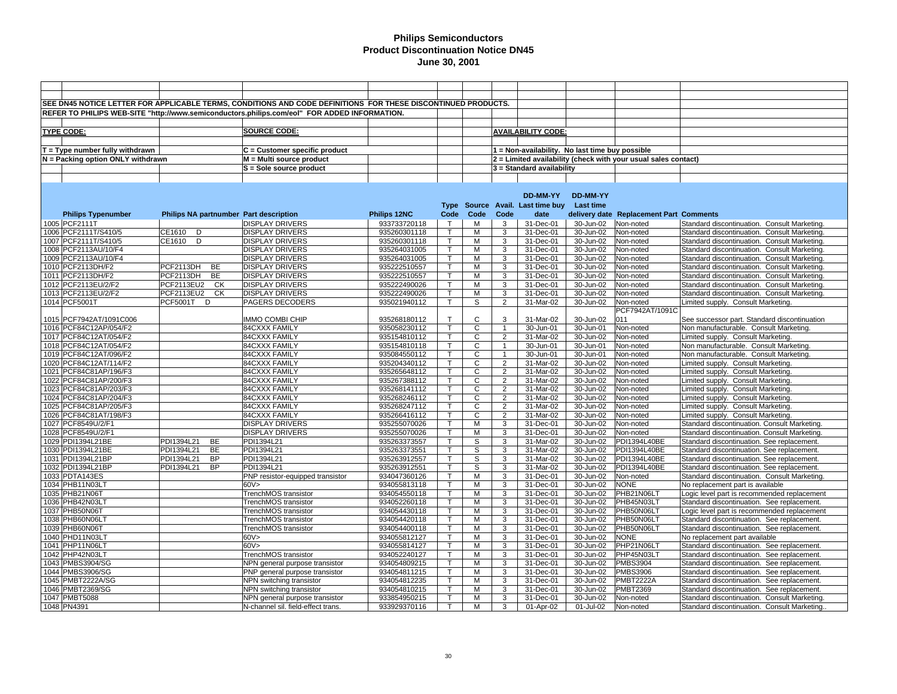|                                     |            |           | SEE DN45 NOTICE LETTER FOR APPLICABLE TERMS, CONDITIONS AND CODE DEFINITIONS FOR THESE DISCONTINUED PRODUCTS. |              |              |                |                |                                                 |           |                                                                |                                              |
|-------------------------------------|------------|-----------|---------------------------------------------------------------------------------------------------------------|--------------|--------------|----------------|----------------|-------------------------------------------------|-----------|----------------------------------------------------------------|----------------------------------------------|
|                                     |            |           |                                                                                                               |              |              |                |                |                                                 |           |                                                                |                                              |
|                                     |            |           | REFER TO PHILIPS WEB-SITE "http://www.semiconductors.philips.com/eol" FOR ADDED INFORMATION.                  |              |              |                |                |                                                 |           |                                                                |                                              |
|                                     |            |           |                                                                                                               |              |              |                |                |                                                 |           |                                                                |                                              |
| <b>TYPE CODE:</b>                   |            |           | SOURCE CODE:                                                                                                  |              |              |                |                | <b>AVAILABILITY CODE:</b>                       |           |                                                                |                                              |
|                                     |            |           |                                                                                                               |              |              |                |                |                                                 |           |                                                                |                                              |
| $T = Type$ number fully withdrawn   |            |           | C = Customer specific product                                                                                 |              |              |                |                | 1 = Non-availability. No last time buy possible |           |                                                                |                                              |
|                                     |            |           | M = Multi source product                                                                                      |              |              |                |                |                                                 |           | 2 = Limited availability (check with your usual sales contact) |                                              |
| $N =$ Packing option ONLY withdrawn |            |           |                                                                                                               |              |              |                |                |                                                 |           |                                                                |                                              |
|                                     |            |           | S = Sole source product                                                                                       |              |              |                |                | 3 = Standard availability                       |           |                                                                |                                              |
|                                     |            |           |                                                                                                               |              |              |                |                |                                                 |           |                                                                |                                              |
|                                     |            |           |                                                                                                               |              |              |                |                |                                                 |           |                                                                |                                              |
|                                     |            |           |                                                                                                               |              |              |                |                | DD-MM-YY                                        | DD-MM-YY  |                                                                |                                              |
|                                     |            |           |                                                                                                               |              |              |                |                | Type Source Avail. Last time buy Last time      |           |                                                                |                                              |
| <b>Philips Typenumber</b>           |            |           | Philips NA partnumber Part description                                                                        | Philips 12NC | Code         | Code           | Code           | date                                            |           | delivery date Replacement Part Comments                        |                                              |
|                                     |            |           |                                                                                                               |              |              |                |                |                                                 |           |                                                                |                                              |
| 1005 PCF2111T                       |            |           | <b>DISPLAY DRIVERS</b>                                                                                        | 933733720118 | $\top$       | м              | 3              | 31-Dec-01                                       | 30-Jun-02 | Non-noted                                                      | Standard discontinuation. Consult Marketing. |
| 1006 PCF2111T/S410/5                | CE1610 D   |           | <b>DISPLAY DRIVERS</b>                                                                                        | 935260301118 | $\mathsf{T}$ | M              | 3              | 31-Dec-01                                       | 30-Jun-02 | Non-noted                                                      | Standard discontinuation. Consult Marketing. |
| 1007 PCF2111T/S410/5                | CE1610 D   |           | <b>DISPLAY DRIVERS</b>                                                                                        | 935260301118 |              | М              | 3              | 31-Dec-01                                       | 30-Jun-02 | Non-noted                                                      | Standard discontinuation. Consult Marketing. |
| 1008 PCF2113AU/10/F4                |            |           | <b>DISPLAY DRIVERS</b>                                                                                        | 935264031005 | $\mathsf{T}$ | М              | 3              | 31-Dec-01                                       | 30-Jun-02 | Non-noted                                                      | Standard discontinuation. Consult Marketing. |
| 1009 PCF2113AU/10/F4                |            |           | <b>DISPLAY DRIVERS</b>                                                                                        | 935264031005 |              | М              | 3              | $31 - Dec-01$                                   | 30-Jun-02 | Non-noted                                                      | Standard discontinuation. Consult Marketing. |
| 1010 PCF2113DH/F2                   | PCF2113DH  | <b>BE</b> | <b>DISPLAY DRIVERS</b>                                                                                        | 935222510557 |              | M              | 3              | 31-Dec-01                                       | 30-Jun-02 | Non-noted                                                      | Standard discontinuation. Consult Marketing. |
| 1011 PCF2113DH/F2                   | PCF2113DH  | <b>BE</b> | <b>DISPLAY DRIVERS</b>                                                                                        | 935222510557 |              | м              | 3              | 31-Dec-01                                       | 30-Jun-02 | Non-noted                                                      | Standard discontinuation. Consult Marketing. |
| 1012 PCF2113EU/2/F2                 | PCF2113EU2 | СK        | <b>DISPLAY DRIVERS</b>                                                                                        | 935222490026 | $\mathsf{T}$ | м              | 3              | 31-Dec-01                                       | 30-Jun-02 | Non-noted                                                      | Standard discontinuation. Consult Marketing. |
| 1013 PCF2113EU/2/F2                 | PCF2113EU2 | <b>CK</b> | <b>DISPLAY DRIVERS</b>                                                                                        | 935222490026 | т            | M              | 3              | 31-Dec-01                                       | 30-Jun-02 | Non-noted                                                      | Standard discontinuation. Consult Marketing. |
|                                     |            |           |                                                                                                               |              |              |                |                |                                                 |           |                                                                |                                              |
| 1014 PCF5001T                       | PCF5001T D |           | PAGERS DECODERS                                                                                               | 935021940112 | т            | S              | $\overline{2}$ | 31-Mar-02                                       | 30-Jun-02 | Non-noted                                                      | Limited supply. Consult Marketing.           |
|                                     |            |           |                                                                                                               |              |              |                |                |                                                 |           | PCF7942AT/1091C                                                |                                              |
| 1015 PCF7942AT/1091C006             |            |           | <b>IMMO COMBI CHIP</b>                                                                                        | 935268180112 | $\mathsf{T}$ | $\mathsf{C}$   | 3              | 31-Mar-02                                       | 30-Jun-02 | 011                                                            | See successor part. Standard discontinuation |
| 1016 PCF84C12AP/054/F2              |            |           | 84CXXX FAMILY                                                                                                 | 935058230112 | $\mathsf{T}$ | $\mathsf{C}$   | $\overline{1}$ | 30-Jun-01                                       | 30-Jun-01 | Non-noted                                                      | Non manufacturable. Consult Marketing.       |
| 1017 PCF84C12AT/054/F2              |            |           | 84CXXX FAMILY                                                                                                 | 935154810112 | т            | C              | $\overline{2}$ | 31-Mar-02                                       | 30-Jun-02 | Non-noted                                                      | Limited supply. Consult Marketing.           |
| 1018 PCF84C12AT/054/F2              |            |           | 84CXXX FAMILY                                                                                                 | 935154810118 | $\mathsf{T}$ | C              | $\mathbf{1}$   | 30-Jun-01                                       | 30-Jun-01 | Non-noted                                                      | Non manufacturable. Consult Marketing.       |
| 1019 PCF84C12AT/096/F2              |            |           | 84CXXX FAMILY                                                                                                 | 935084550112 |              | C              |                | 30-Jun-01                                       | 30-Jun-01 | Non-noted                                                      | Non manufacturable. Consult Marketing.       |
| 1020 PCF84C12AT/114/F2              |            |           | 84CXXX FAMILY                                                                                                 | 935204340112 |              | C              | $\overline{2}$ | 31-Mar-02                                       | 30-Jun-02 | Non-noted                                                      | Limited supply. Consult Marketing.           |
| 1021 PCF84C81AP/196/F3              |            |           | 84CXXX FAMILY                                                                                                 | 935265648112 | $\mathsf{T}$ | C              | $\overline{2}$ | 31-Mar-02                                       | 30-Jun-02 | Non-noted                                                      | Limited supply. Consult Marketing.           |
| 1022 PCF84C81AP/200/F3              |            |           | 84CXXX FAMILY                                                                                                 | 935267388112 | т            | C              | 2              | 31-Mar-02                                       | 30-Jun-02 | Non-noted                                                      | Limited supply. Consult Marketing.           |
|                                     |            |           |                                                                                                               |              |              | $\mathsf{C}$   | $\overline{2}$ | 31-Mar-02                                       |           |                                                                |                                              |
| 1023 PCF84C81AP/203/F3              |            |           | 84CXXX FAMILY                                                                                                 | 935268141112 |              |                |                |                                                 | 30-Jun-02 | Non-noted                                                      | Limited supply. Consult Marketing.           |
| 1024 PCF84C81AP/204/F3              |            |           | 84CXXX FAMILY                                                                                                 | 935268246112 |              | $\overline{c}$ | $\overline{2}$ | 31-Mar-02                                       | 30-Jun-02 | Non-noted                                                      | Limited supply. Consult Marketing.           |
| 1025 PCF84C81AP/205/F3              |            |           | 84CXXX FAMILY                                                                                                 | 935268247112 | $\mathsf{T}$ | $\mathsf{C}$   | $\overline{2}$ | 31-Mar-02                                       | 30-Jun-02 | Non-noted                                                      | Limited supply. Consult Marketing.           |
| 1026 PCF84C81AT/198/F3              |            |           | 84CXXX FAMILY                                                                                                 | 935266416112 | $\mathsf{T}$ | C              | $\overline{2}$ | 31-Mar-02                                       | 30-Jun-02 | Non-noted                                                      | Limited supply. Consult Marketing.           |
| 1027 PCF8549U/2/F1                  |            |           | <b>DISPLAY DRIVERS</b>                                                                                        | 935255070026 | $\mathsf{T}$ | М              | 3              | 31-Dec-01                                       | 30-Jun-02 | Non-noted                                                      | Standard discontinuation. Consult Marketing  |
| 1028 PCF8549U/2/F1                  |            |           | <b>DISPLAY DRIVERS</b>                                                                                        | 935255070026 | $\mathsf{T}$ | М              | 3              | 31-Dec-01                                       | 30-Jun-02 | Non-noted                                                      | Standard discontinuation. Consult Marketing. |
| 1029 PDI1394L21BE                   | PDI1394L21 | BE        | PDI1394L21                                                                                                    | 935263373557 | $\mathsf{T}$ | S              | 3              | 31-Mar-02                                       | 30-Jun-02 | PDI1394L40BE                                                   | Standard discontinuation. See replacement.   |
| 1030 PDI1394L21BE                   | PDI1394L21 | <b>BE</b> | PDI1394L21                                                                                                    | 935263373551 | $\mathsf{T}$ | S              | 3              | 31-Mar-02                                       | 30-Jun-02 | PDI1394L40BE                                                   | Standard discontinuation. See replacement.   |
| 1031 PDI1394L21BP                   | PDI1394L21 | <b>BP</b> | PDI1394L21                                                                                                    | 935263912557 | $\mathsf{T}$ | S              | 3              | 31-Mar-02                                       | 30-Jun-02 | PDI1394L40BE                                                   | Standard discontinuation. See replacement.   |
| 1032 PDI1394L21BP                   | PDI1394L21 | <b>BP</b> | PDI1394L21                                                                                                    | 935263912551 | $\mathsf{T}$ | S              | 3              | 31-Mar-02                                       | 30-Jun-02 | PDI1394L40BE                                                   | Standard discontinuation. See replacement.   |
| 1033 PDTA143ES                      |            |           | PNP resistor-equipped transistor                                                                              | 934047360126 |              | м              | 3              | 31-Dec-01                                       | 30-Jun-02 | Non-noted                                                      | Standard discontinuation. Consult Marketing  |
| 1034 PHB11N03LT                     |            |           | 60V                                                                                                           |              | $\mathsf{T}$ | м              | 3              | 31-Dec-01                                       | 30-Jun-02 | <b>NONE</b>                                                    | No replacement part is available             |
|                                     |            |           |                                                                                                               | 934055813118 |              |                |                |                                                 |           |                                                                |                                              |
| 1035 PHB21N06T                      |            |           | TrenchMOS transistor                                                                                          | 934054550118 |              | M              | 3              | 31-Dec-01                                       | 30-Jun-02 | PHB21N06LT                                                     | Logic level part is recommended replacement  |
| 1036 PHB42N03LT                     |            |           | TrenchMOS transistor                                                                                          | 934052260118 | $\mathsf{T}$ | м              | 3              | 31-Dec-01                                       | 30-Jun-02 | PHB45N03LT                                                     | Standard discontinuation. See replacement.   |
| 1037 PHB50N06T                      |            |           | TrenchMOS transistor                                                                                          | 934054430118 |              | M              | 3              | 31-Dec-01                                       | 30-Jun-02 | PHB50N06LT                                                     | Logic level part is recommended replacement  |
| 1038 PHB60N06LT                     |            |           | TrenchMOS transistor                                                                                          | 934054420118 |              | М              | 3              | 31-Dec-01                                       | 30-Jun-02 | PHB50N06LT                                                     | Standard discontinuation. See replacement.   |
| 1039 PHB60N06T                      |            |           | TrenchMOS transistor                                                                                          | 934054400118 |              | М              | 3              | 31-Dec-01                                       | 30-Jun-02 | PHB50N06LT                                                     | Standard discontinuation. See replacement.   |
| 1040 PHD11N03LT                     |            |           | 60V                                                                                                           | 934055812127 | $\mathsf{T}$ | М              | 3              | 31-Dec-01                                       | 30-Jun-02 | <b>NONE</b>                                                    | No replacement part available                |
| 1041 PHP11N06LT                     |            |           | 60V                                                                                                           | 934055814127 | $\mathsf{T}$ | M              | 3              | 31-Dec-01                                       | 30-Jun-02 | PHP21N06LT                                                     | Standard discontinuation. See replacement.   |
| 1042 PHP42N03LT                     |            |           | TrenchMOS transistor                                                                                          | 934052240127 | т            | м              | 3              | 31-Dec-01                                       | 30-Jun-02 | PHP45N03LT                                                     | Standard discontinuation. See replacement.   |
| 1043 PMBS3904/SG                    |            |           | NPN general purpose transistor                                                                                | 934054809215 | $\mathsf{T}$ | M              | 3              | 31-Dec-01                                       | 30-Jun-02 | <b>PMBS3904</b>                                                | Standard discontinuation. See replacement.   |
| 1044 PMBS3906/SG                    |            |           | PNP general purpose transistor                                                                                | 934054811215 | $\mathsf{T}$ | M              | 3              | 31-Dec-01                                       | 30-Jun-02 | <b>PMBS3906</b>                                                | Standard discontinuation. See replacement.   |
|                                     |            |           |                                                                                                               |              |              |                |                |                                                 |           |                                                                |                                              |
| 1045 PMBT2222A/SG                   |            |           | NPN switching transistor                                                                                      | 934054812235 |              | М              | 3              | 31-Dec-01                                       | 30-Jun-02 | <b>PMBT2222A</b>                                               | Standard discontinuation. See replacement.   |
| 1046 PMBT2369/SG                    |            |           | NPN switching transistor                                                                                      | 934054810215 |              | м              | 3              | 31-Dec-01                                       | 30-Jun-02 | PMBT2369                                                       | Standard discontinuation. See replacement.   |
| 1047 PMBT5088                       |            |           | NPN general purpose transistor                                                                                | 933854950215 |              | м              | 3              | 31-Dec-01                                       | 30-Jun-02 | Non-noted                                                      | Standard discontinuation. Consult Marketing  |
| 1048 PN4391                         |            |           | N-channel sil. field-effect trans.                                                                            | 933929370116 | $\mathsf{T}$ | М              | 3              | 01-Apr-02                                       | 01-Jul-02 | Non-noted                                                      | Standard discontinuation. Consult Marketing. |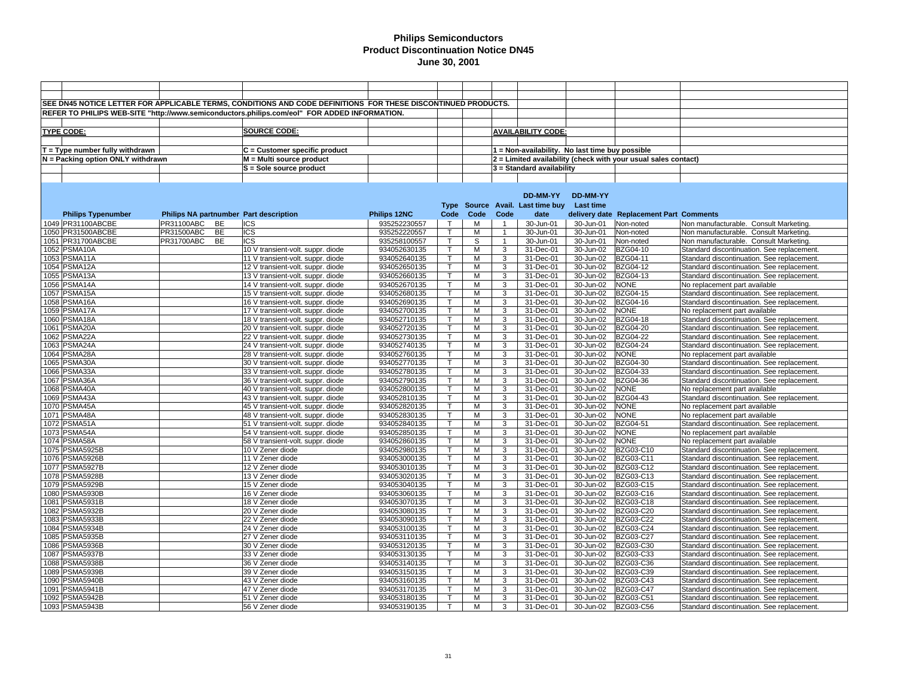|                                   |                                        | SEE DN45 NOTICE LETTER FOR APPLICABLE TERMS, CONDITIONS AND CODE DEFINITIONS FOR THESE DISCONTINUED PRODUCTS. |              |              |      |   |                                                                                                                                                                                                                                                                                                                                                                                                                                                                                                                                                                                                                                                                                                                                                                                                                                                                                                                                                                                                                                                                                                                                                                                                                                                                                                                                                                                                                                                                                                                                                                                                                                                                                                                                                                                                                                                                                                                                                                                                                                                                                                                                                                                                                                                                                                                                                                                                                                                                                                                                                                                                                                                                                                                                                                                                                                                                                                                                                                                                                                                                                                                                                                                                                                                                                                                                                                                                                                                                                                                                                                                                                                                                                                                                                                                                                                                                                                                                                                                                                                                                  |           |                  |                                            |  |
|-----------------------------------|----------------------------------------|---------------------------------------------------------------------------------------------------------------|--------------|--------------|------|---|------------------------------------------------------------------------------------------------------------------------------------------------------------------------------------------------------------------------------------------------------------------------------------------------------------------------------------------------------------------------------------------------------------------------------------------------------------------------------------------------------------------------------------------------------------------------------------------------------------------------------------------------------------------------------------------------------------------------------------------------------------------------------------------------------------------------------------------------------------------------------------------------------------------------------------------------------------------------------------------------------------------------------------------------------------------------------------------------------------------------------------------------------------------------------------------------------------------------------------------------------------------------------------------------------------------------------------------------------------------------------------------------------------------------------------------------------------------------------------------------------------------------------------------------------------------------------------------------------------------------------------------------------------------------------------------------------------------------------------------------------------------------------------------------------------------------------------------------------------------------------------------------------------------------------------------------------------------------------------------------------------------------------------------------------------------------------------------------------------------------------------------------------------------------------------------------------------------------------------------------------------------------------------------------------------------------------------------------------------------------------------------------------------------------------------------------------------------------------------------------------------------------------------------------------------------------------------------------------------------------------------------------------------------------------------------------------------------------------------------------------------------------------------------------------------------------------------------------------------------------------------------------------------------------------------------------------------------------------------------------------------------------------------------------------------------------------------------------------------------------------------------------------------------------------------------------------------------------------------------------------------------------------------------------------------------------------------------------------------------------------------------------------------------------------------------------------------------------------------------------------------------------------------------------------------------------------------------------------------------------------------------------------------------------------------------------------------------------------------------------------------------------------------------------------------------------------------------------------------------------------------------------------------------------------------------------------------------------------------------------------------------------------------------------------------------|-----------|------------------|--------------------------------------------|--|
|                                   |                                        |                                                                                                               |              |              |      |   |                                                                                                                                                                                                                                                                                                                                                                                                                                                                                                                                                                                                                                                                                                                                                                                                                                                                                                                                                                                                                                                                                                                                                                                                                                                                                                                                                                                                                                                                                                                                                                                                                                                                                                                                                                                                                                                                                                                                                                                                                                                                                                                                                                                                                                                                                                                                                                                                                                                                                                                                                                                                                                                                                                                                                                                                                                                                                                                                                                                                                                                                                                                                                                                                                                                                                                                                                                                                                                                                                                                                                                                                                                                                                                                                                                                                                                                                                                                                                                                                                                                                  |           |                  |                                            |  |
|                                   |                                        | REFER TO PHILIPS WEB-SITE "http://www.semiconductors.philips.com/eol" FOR ADDED INFORMATION.                  |              |              |      |   |                                                                                                                                                                                                                                                                                                                                                                                                                                                                                                                                                                                                                                                                                                                                                                                                                                                                                                                                                                                                                                                                                                                                                                                                                                                                                                                                                                                                                                                                                                                                                                                                                                                                                                                                                                                                                                                                                                                                                                                                                                                                                                                                                                                                                                                                                                                                                                                                                                                                                                                                                                                                                                                                                                                                                                                                                                                                                                                                                                                                                                                                                                                                                                                                                                                                                                                                                                                                                                                                                                                                                                                                                                                                                                                                                                                                                                                                                                                                                                                                                                                                  |           |                  |                                            |  |
|                                   |                                        |                                                                                                               |              |              |      |   |                                                                                                                                                                                                                                                                                                                                                                                                                                                                                                                                                                                                                                                                                                                                                                                                                                                                                                                                                                                                                                                                                                                                                                                                                                                                                                                                                                                                                                                                                                                                                                                                                                                                                                                                                                                                                                                                                                                                                                                                                                                                                                                                                                                                                                                                                                                                                                                                                                                                                                                                                                                                                                                                                                                                                                                                                                                                                                                                                                                                                                                                                                                                                                                                                                                                                                                                                                                                                                                                                                                                                                                                                                                                                                                                                                                                                                                                                                                                                                                                                                                                  |           |                  |                                            |  |
| <b>TYPE CODE:</b>                 |                                        | <b>SOURCE CODE:</b>                                                                                           |              |              |      |   |                                                                                                                                                                                                                                                                                                                                                                                                                                                                                                                                                                                                                                                                                                                                                                                                                                                                                                                                                                                                                                                                                                                                                                                                                                                                                                                                                                                                                                                                                                                                                                                                                                                                                                                                                                                                                                                                                                                                                                                                                                                                                                                                                                                                                                                                                                                                                                                                                                                                                                                                                                                                                                                                                                                                                                                                                                                                                                                                                                                                                                                                                                                                                                                                                                                                                                                                                                                                                                                                                                                                                                                                                                                                                                                                                                                                                                                                                                                                                                                                                                                                  |           |                  |                                            |  |
|                                   |                                        |                                                                                                               |              |              |      |   | <b>AVAILABILITY CODE:</b><br>1 = Non-availability. No last time buy possible<br>2 = Limited availability (check with your usual sales contact)<br>3 = Standard availability<br>DD-MM-YY<br>DD-MM-YY<br>Type Source Avail. Last time buy Last time<br>Code<br>date<br>delivery date Replacement Part Comments<br>30-Jun-01<br>30-Jun-01<br>Non-noted<br>Non manufacturable. Consult Marketing.<br>$\overline{1}$<br>30-Jun-01<br>30-Jun-01<br>Non-noted<br>Non manufacturable. Consult Marketing.<br>$\mathbf{1}$<br>30-Jun-01<br>Non-noted<br>$\mathbf{1}$<br>30-Jun-01<br>Non manufacturable. Consult Marketing.<br>3<br>BZG04-10<br>31-Dec-01<br>30-Jun-02<br>Standard discontinuation. See replacement.<br>3<br>31-Dec-01<br>30-Jun-02<br>BZG04-11<br>Standard discontinuation. See replacement.<br>3<br>31-Dec-01<br>30-Jun-02<br>BZG04-12<br>Standard discontinuation. See replacement.<br><b>BZG04-13</b><br>3<br>31-Dec-01<br>30-Jun-02<br>Standard discontinuation. See replacement.<br>3<br>31-Dec-01<br>30-Jun-02<br><b>NONE</b><br>No replacement part available<br><b>BZG04-15</b><br>3<br>31-Dec-01<br>30-Jun-02<br>Standard discontinuation. See replacement.<br><b>BZG04-16</b><br>3<br>31-Dec-01<br>30-Jun-02<br>Standard discontinuation. See replacement.<br>3<br>31-Dec-01<br>30-Jun-02<br><b>NONE</b><br>No replacement part available<br>3<br><b>BZG04-18</b><br>31-Dec-01<br>30-Jun-02<br>Standard discontinuation. See replacement.<br>3<br>31-Dec-01<br>30-Jun-02<br><b>BZG04-20</b><br>Standard discontinuation. See replacement.<br>3<br>31-Dec-01<br><b>BZG04-22</b><br>30-Jun-02<br>Standard discontinuation. See replacement.<br>3<br>31-Dec-01<br>30-Jun-02<br><b>BZG04-24</b><br>Standard discontinuation. See replacement.<br>3<br>31-Dec-01<br>30-Jun-02<br><b>NONE</b><br>No replacement part available<br>31-Dec-01<br>30-Jun-02<br>BZG04-30<br>3<br>Standard discontinuation. See replacement.<br>3<br>BZG04-33<br>31-Dec-01<br>30-Jun-02<br>Standard discontinuation. See replacement.<br><b>BZG04-36</b><br>3<br>31-Dec-01<br>30-Jun-02<br>Standard discontinuation. See replacement.<br>3<br>30-Jun-02<br><b>NONE</b><br>31-Dec-01<br>No replacement part available<br>3<br>31-Dec-01<br>30-Jun-02<br><b>BZG04-43</b><br>Standard discontinuation. See replacement.<br>3<br><b>NONE</b><br>31-Dec-01<br>30-Jun-02<br>No replacement part available<br>3<br>31-Dec-01<br>30-Jun-02<br><b>NONE</b><br>No replacement part available<br>3<br>30-Jun-02<br><b>BZG04-51</b><br>31-Dec-01<br>Standard discontinuation. See replacement.<br>3<br>31-Dec-01<br>30-Jun-02<br><b>NONE</b><br>No replacement part available<br>3<br><b>NONE</b><br>31-Dec-01<br>30-Jun-02<br>No replacement part available<br>3<br>BZG03-C10<br>31-Dec-01<br>30-Jun-02<br>Standard discontinuation. See replacement.<br>3<br>31-Dec-01<br>30-Jun-02<br>BZG03-C11<br>Standard discontinuation. See replacement.<br>BZG03-C12<br>3<br>31-Dec-01<br>30-Jun-02<br>Standard discontinuation. See replacement.<br>3<br>31-Dec-01<br>30-Jun-02<br>BZG03-C13<br>Standard discontinuation. See replacement.<br>3<br>BZG03-C15<br>31-Dec-01<br>30-Jun-02<br>Standard discontinuation. See replacement.<br>3<br>BZG03-C16<br>31-Dec-01<br>30-Jun-02<br>Standard discontinuation. See replacement.<br>3<br>31-Dec-01<br>30-Jun-02<br>BZG03-C18<br>Standard discontinuation. See replacement.<br>3<br>31-Dec-01<br>30-Jun-02<br><b>BZG03-C20</b><br>Standard discontinuation. See replacement.<br>3<br>31-Dec-01<br>30-Jun-02<br><b>BZG03-C22</b><br>Standard discontinuation. See replacement.<br>3<br>BZG03-C24<br>31-Dec-01<br>30-Jun-02<br>Standard discontinuation. See replacement.<br>3<br>31-Dec-01<br>30-Jun-02<br>BZG03-C27<br>Standard discontinuation. See replacement.<br>3<br>BZG03-C30<br>31-Dec-01<br>30-Jun-02<br>Standard discontinuation. See replacement.<br>3<br>BZG03-C33<br>31-Dec-01<br>30-Jun-02<br>Standard discontinuation. See replacement.<br>3<br>BZG03-C36<br>31-Dec-01<br>30-Jun-02<br>Standard discontinuation. See replacement. |           |                  |                                            |  |
| $T = Type$ number fully withdrawn |                                        | $C =$ Customer specific product                                                                               |              |              |      |   |                                                                                                                                                                                                                                                                                                                                                                                                                                                                                                                                                                                                                                                                                                                                                                                                                                                                                                                                                                                                                                                                                                                                                                                                                                                                                                                                                                                                                                                                                                                                                                                                                                                                                                                                                                                                                                                                                                                                                                                                                                                                                                                                                                                                                                                                                                                                                                                                                                                                                                                                                                                                                                                                                                                                                                                                                                                                                                                                                                                                                                                                                                                                                                                                                                                                                                                                                                                                                                                                                                                                                                                                                                                                                                                                                                                                                                                                                                                                                                                                                                                                  |           |                  |                                            |  |
| N = Packing option ONLY withdrawn |                                        | M = Multi source product                                                                                      |              |              |      |   |                                                                                                                                                                                                                                                                                                                                                                                                                                                                                                                                                                                                                                                                                                                                                                                                                                                                                                                                                                                                                                                                                                                                                                                                                                                                                                                                                                                                                                                                                                                                                                                                                                                                                                                                                                                                                                                                                                                                                                                                                                                                                                                                                                                                                                                                                                                                                                                                                                                                                                                                                                                                                                                                                                                                                                                                                                                                                                                                                                                                                                                                                                                                                                                                                                                                                                                                                                                                                                                                                                                                                                                                                                                                                                                                                                                                                                                                                                                                                                                                                                                                  |           |                  |                                            |  |
|                                   |                                        | S = Sole source product                                                                                       |              |              |      |   |                                                                                                                                                                                                                                                                                                                                                                                                                                                                                                                                                                                                                                                                                                                                                                                                                                                                                                                                                                                                                                                                                                                                                                                                                                                                                                                                                                                                                                                                                                                                                                                                                                                                                                                                                                                                                                                                                                                                                                                                                                                                                                                                                                                                                                                                                                                                                                                                                                                                                                                                                                                                                                                                                                                                                                                                                                                                                                                                                                                                                                                                                                                                                                                                                                                                                                                                                                                                                                                                                                                                                                                                                                                                                                                                                                                                                                                                                                                                                                                                                                                                  |           |                  |                                            |  |
|                                   |                                        |                                                                                                               |              |              |      |   |                                                                                                                                                                                                                                                                                                                                                                                                                                                                                                                                                                                                                                                                                                                                                                                                                                                                                                                                                                                                                                                                                                                                                                                                                                                                                                                                                                                                                                                                                                                                                                                                                                                                                                                                                                                                                                                                                                                                                                                                                                                                                                                                                                                                                                                                                                                                                                                                                                                                                                                                                                                                                                                                                                                                                                                                                                                                                                                                                                                                                                                                                                                                                                                                                                                                                                                                                                                                                                                                                                                                                                                                                                                                                                                                                                                                                                                                                                                                                                                                                                                                  |           |                  |                                            |  |
|                                   |                                        |                                                                                                               |              |              |      |   |                                                                                                                                                                                                                                                                                                                                                                                                                                                                                                                                                                                                                                                                                                                                                                                                                                                                                                                                                                                                                                                                                                                                                                                                                                                                                                                                                                                                                                                                                                                                                                                                                                                                                                                                                                                                                                                                                                                                                                                                                                                                                                                                                                                                                                                                                                                                                                                                                                                                                                                                                                                                                                                                                                                                                                                                                                                                                                                                                                                                                                                                                                                                                                                                                                                                                                                                                                                                                                                                                                                                                                                                                                                                                                                                                                                                                                                                                                                                                                                                                                                                  |           |                  |                                            |  |
|                                   |                                        |                                                                                                               |              |              |      |   |                                                                                                                                                                                                                                                                                                                                                                                                                                                                                                                                                                                                                                                                                                                                                                                                                                                                                                                                                                                                                                                                                                                                                                                                                                                                                                                                                                                                                                                                                                                                                                                                                                                                                                                                                                                                                                                                                                                                                                                                                                                                                                                                                                                                                                                                                                                                                                                                                                                                                                                                                                                                                                                                                                                                                                                                                                                                                                                                                                                                                                                                                                                                                                                                                                                                                                                                                                                                                                                                                                                                                                                                                                                                                                                                                                                                                                                                                                                                                                                                                                                                  |           |                  |                                            |  |
|                                   |                                        |                                                                                                               |              |              |      |   |                                                                                                                                                                                                                                                                                                                                                                                                                                                                                                                                                                                                                                                                                                                                                                                                                                                                                                                                                                                                                                                                                                                                                                                                                                                                                                                                                                                                                                                                                                                                                                                                                                                                                                                                                                                                                                                                                                                                                                                                                                                                                                                                                                                                                                                                                                                                                                                                                                                                                                                                                                                                                                                                                                                                                                                                                                                                                                                                                                                                                                                                                                                                                                                                                                                                                                                                                                                                                                                                                                                                                                                                                                                                                                                                                                                                                                                                                                                                                                                                                                                                  |           |                  |                                            |  |
|                                   |                                        |                                                                                                               |              |              |      |   |                                                                                                                                                                                                                                                                                                                                                                                                                                                                                                                                                                                                                                                                                                                                                                                                                                                                                                                                                                                                                                                                                                                                                                                                                                                                                                                                                                                                                                                                                                                                                                                                                                                                                                                                                                                                                                                                                                                                                                                                                                                                                                                                                                                                                                                                                                                                                                                                                                                                                                                                                                                                                                                                                                                                                                                                                                                                                                                                                                                                                                                                                                                                                                                                                                                                                                                                                                                                                                                                                                                                                                                                                                                                                                                                                                                                                                                                                                                                                                                                                                                                  |           |                  |                                            |  |
| <b>Philips Typenumber</b>         | Philips NA partnumber Part description |                                                                                                               | Philips 12NC | Code         | Code |   |                                                                                                                                                                                                                                                                                                                                                                                                                                                                                                                                                                                                                                                                                                                                                                                                                                                                                                                                                                                                                                                                                                                                                                                                                                                                                                                                                                                                                                                                                                                                                                                                                                                                                                                                                                                                                                                                                                                                                                                                                                                                                                                                                                                                                                                                                                                                                                                                                                                                                                                                                                                                                                                                                                                                                                                                                                                                                                                                                                                                                                                                                                                                                                                                                                                                                                                                                                                                                                                                                                                                                                                                                                                                                                                                                                                                                                                                                                                                                                                                                                                                  |           |                  |                                            |  |
| 1049 PR31100ABCBE                 | PR31100ABC<br>BE                       | ICS                                                                                                           | 935252230557 | $\top$       | м    |   |                                                                                                                                                                                                                                                                                                                                                                                                                                                                                                                                                                                                                                                                                                                                                                                                                                                                                                                                                                                                                                                                                                                                                                                                                                                                                                                                                                                                                                                                                                                                                                                                                                                                                                                                                                                                                                                                                                                                                                                                                                                                                                                                                                                                                                                                                                                                                                                                                                                                                                                                                                                                                                                                                                                                                                                                                                                                                                                                                                                                                                                                                                                                                                                                                                                                                                                                                                                                                                                                                                                                                                                                                                                                                                                                                                                                                                                                                                                                                                                                                                                                  |           |                  |                                            |  |
| 1050 PR31500ABCBE                 | <b>BE</b><br>PR31500ABC                | <b>ICS</b>                                                                                                    | 935252220557 | $\mathsf{T}$ | М    |   |                                                                                                                                                                                                                                                                                                                                                                                                                                                                                                                                                                                                                                                                                                                                                                                                                                                                                                                                                                                                                                                                                                                                                                                                                                                                                                                                                                                                                                                                                                                                                                                                                                                                                                                                                                                                                                                                                                                                                                                                                                                                                                                                                                                                                                                                                                                                                                                                                                                                                                                                                                                                                                                                                                                                                                                                                                                                                                                                                                                                                                                                                                                                                                                                                                                                                                                                                                                                                                                                                                                                                                                                                                                                                                                                                                                                                                                                                                                                                                                                                                                                  |           |                  |                                            |  |
| 1051 PR31700ABCBE                 | <b>PR31700ABC</b><br><b>BE</b>         | <b>ICS</b>                                                                                                    | 935258100557 | $\mathsf{T}$ | S    |   |                                                                                                                                                                                                                                                                                                                                                                                                                                                                                                                                                                                                                                                                                                                                                                                                                                                                                                                                                                                                                                                                                                                                                                                                                                                                                                                                                                                                                                                                                                                                                                                                                                                                                                                                                                                                                                                                                                                                                                                                                                                                                                                                                                                                                                                                                                                                                                                                                                                                                                                                                                                                                                                                                                                                                                                                                                                                                                                                                                                                                                                                                                                                                                                                                                                                                                                                                                                                                                                                                                                                                                                                                                                                                                                                                                                                                                                                                                                                                                                                                                                                  |           |                  |                                            |  |
| 1052 PSMA10A                      |                                        | 10 V transient-volt. suppr. diode                                                                             | 934052630135 | $\mathsf{T}$ | м    |   |                                                                                                                                                                                                                                                                                                                                                                                                                                                                                                                                                                                                                                                                                                                                                                                                                                                                                                                                                                                                                                                                                                                                                                                                                                                                                                                                                                                                                                                                                                                                                                                                                                                                                                                                                                                                                                                                                                                                                                                                                                                                                                                                                                                                                                                                                                                                                                                                                                                                                                                                                                                                                                                                                                                                                                                                                                                                                                                                                                                                                                                                                                                                                                                                                                                                                                                                                                                                                                                                                                                                                                                                                                                                                                                                                                                                                                                                                                                                                                                                                                                                  |           |                  |                                            |  |
| 1053 PSMA11A                      |                                        | 11 V transient-volt. suppr. diode                                                                             | 934052640135 | T            | М    |   |                                                                                                                                                                                                                                                                                                                                                                                                                                                                                                                                                                                                                                                                                                                                                                                                                                                                                                                                                                                                                                                                                                                                                                                                                                                                                                                                                                                                                                                                                                                                                                                                                                                                                                                                                                                                                                                                                                                                                                                                                                                                                                                                                                                                                                                                                                                                                                                                                                                                                                                                                                                                                                                                                                                                                                                                                                                                                                                                                                                                                                                                                                                                                                                                                                                                                                                                                                                                                                                                                                                                                                                                                                                                                                                                                                                                                                                                                                                                                                                                                                                                  |           |                  |                                            |  |
| 1054 PSMA12A                      |                                        | 12 V transient-volt. suppr. diode                                                                             | 934052650135 | $\mathsf{T}$ | M    |   |                                                                                                                                                                                                                                                                                                                                                                                                                                                                                                                                                                                                                                                                                                                                                                                                                                                                                                                                                                                                                                                                                                                                                                                                                                                                                                                                                                                                                                                                                                                                                                                                                                                                                                                                                                                                                                                                                                                                                                                                                                                                                                                                                                                                                                                                                                                                                                                                                                                                                                                                                                                                                                                                                                                                                                                                                                                                                                                                                                                                                                                                                                                                                                                                                                                                                                                                                                                                                                                                                                                                                                                                                                                                                                                                                                                                                                                                                                                                                                                                                                                                  |           |                  |                                            |  |
| 1055 PSMA13A                      |                                        | 13 V transient-volt. suppr. diode                                                                             | 934052660135 | T            | M    |   |                                                                                                                                                                                                                                                                                                                                                                                                                                                                                                                                                                                                                                                                                                                                                                                                                                                                                                                                                                                                                                                                                                                                                                                                                                                                                                                                                                                                                                                                                                                                                                                                                                                                                                                                                                                                                                                                                                                                                                                                                                                                                                                                                                                                                                                                                                                                                                                                                                                                                                                                                                                                                                                                                                                                                                                                                                                                                                                                                                                                                                                                                                                                                                                                                                                                                                                                                                                                                                                                                                                                                                                                                                                                                                                                                                                                                                                                                                                                                                                                                                                                  |           |                  |                                            |  |
| 1056 PSMA14A                      |                                        | 14 V transient-volt. suppr. diode                                                                             | 934052670135 | $\mathsf{T}$ | M    |   |                                                                                                                                                                                                                                                                                                                                                                                                                                                                                                                                                                                                                                                                                                                                                                                                                                                                                                                                                                                                                                                                                                                                                                                                                                                                                                                                                                                                                                                                                                                                                                                                                                                                                                                                                                                                                                                                                                                                                                                                                                                                                                                                                                                                                                                                                                                                                                                                                                                                                                                                                                                                                                                                                                                                                                                                                                                                                                                                                                                                                                                                                                                                                                                                                                                                                                                                                                                                                                                                                                                                                                                                                                                                                                                                                                                                                                                                                                                                                                                                                                                                  |           |                  |                                            |  |
| 1057 PSMA15A                      |                                        | 15 V transient-volt. suppr. diode                                                                             | 934052680135 | $\mathsf{T}$ | М    |   |                                                                                                                                                                                                                                                                                                                                                                                                                                                                                                                                                                                                                                                                                                                                                                                                                                                                                                                                                                                                                                                                                                                                                                                                                                                                                                                                                                                                                                                                                                                                                                                                                                                                                                                                                                                                                                                                                                                                                                                                                                                                                                                                                                                                                                                                                                                                                                                                                                                                                                                                                                                                                                                                                                                                                                                                                                                                                                                                                                                                                                                                                                                                                                                                                                                                                                                                                                                                                                                                                                                                                                                                                                                                                                                                                                                                                                                                                                                                                                                                                                                                  |           |                  |                                            |  |
| 1058 PSMA16A                      |                                        | 16 V transient-volt. suppr. diode                                                                             | 934052690135 | T            | М    |   |                                                                                                                                                                                                                                                                                                                                                                                                                                                                                                                                                                                                                                                                                                                                                                                                                                                                                                                                                                                                                                                                                                                                                                                                                                                                                                                                                                                                                                                                                                                                                                                                                                                                                                                                                                                                                                                                                                                                                                                                                                                                                                                                                                                                                                                                                                                                                                                                                                                                                                                                                                                                                                                                                                                                                                                                                                                                                                                                                                                                                                                                                                                                                                                                                                                                                                                                                                                                                                                                                                                                                                                                                                                                                                                                                                                                                                                                                                                                                                                                                                                                  |           |                  |                                            |  |
| 1059 PSMA17A                      |                                        | 17 V transient-volt. suppr. diode                                                                             | 934052700135 | $\mathsf{T}$ | M    |   |                                                                                                                                                                                                                                                                                                                                                                                                                                                                                                                                                                                                                                                                                                                                                                                                                                                                                                                                                                                                                                                                                                                                                                                                                                                                                                                                                                                                                                                                                                                                                                                                                                                                                                                                                                                                                                                                                                                                                                                                                                                                                                                                                                                                                                                                                                                                                                                                                                                                                                                                                                                                                                                                                                                                                                                                                                                                                                                                                                                                                                                                                                                                                                                                                                                                                                                                                                                                                                                                                                                                                                                                                                                                                                                                                                                                                                                                                                                                                                                                                                                                  |           |                  |                                            |  |
| 1060 PSMA18A                      |                                        | 18 V transient-volt. suppr. diode                                                                             | 934052710135 | $\mathsf{T}$ | м    |   |                                                                                                                                                                                                                                                                                                                                                                                                                                                                                                                                                                                                                                                                                                                                                                                                                                                                                                                                                                                                                                                                                                                                                                                                                                                                                                                                                                                                                                                                                                                                                                                                                                                                                                                                                                                                                                                                                                                                                                                                                                                                                                                                                                                                                                                                                                                                                                                                                                                                                                                                                                                                                                                                                                                                                                                                                                                                                                                                                                                                                                                                                                                                                                                                                                                                                                                                                                                                                                                                                                                                                                                                                                                                                                                                                                                                                                                                                                                                                                                                                                                                  |           |                  |                                            |  |
| 1061 PSMA20A                      |                                        | 20 V transient-volt. suppr. diode                                                                             | 934052720135 | $\mathsf{T}$ | м    |   |                                                                                                                                                                                                                                                                                                                                                                                                                                                                                                                                                                                                                                                                                                                                                                                                                                                                                                                                                                                                                                                                                                                                                                                                                                                                                                                                                                                                                                                                                                                                                                                                                                                                                                                                                                                                                                                                                                                                                                                                                                                                                                                                                                                                                                                                                                                                                                                                                                                                                                                                                                                                                                                                                                                                                                                                                                                                                                                                                                                                                                                                                                                                                                                                                                                                                                                                                                                                                                                                                                                                                                                                                                                                                                                                                                                                                                                                                                                                                                                                                                                                  |           |                  |                                            |  |
| 1062 PSMA22A                      |                                        | 22 V transient-volt. suppr. diode                                                                             | 934052730135 | T            | м    |   |                                                                                                                                                                                                                                                                                                                                                                                                                                                                                                                                                                                                                                                                                                                                                                                                                                                                                                                                                                                                                                                                                                                                                                                                                                                                                                                                                                                                                                                                                                                                                                                                                                                                                                                                                                                                                                                                                                                                                                                                                                                                                                                                                                                                                                                                                                                                                                                                                                                                                                                                                                                                                                                                                                                                                                                                                                                                                                                                                                                                                                                                                                                                                                                                                                                                                                                                                                                                                                                                                                                                                                                                                                                                                                                                                                                                                                                                                                                                                                                                                                                                  |           |                  |                                            |  |
| 1063 PSMA24A                      |                                        | 24 V transient-volt. suppr. diode                                                                             | 934052740135 | $\mathsf{T}$ | м    |   |                                                                                                                                                                                                                                                                                                                                                                                                                                                                                                                                                                                                                                                                                                                                                                                                                                                                                                                                                                                                                                                                                                                                                                                                                                                                                                                                                                                                                                                                                                                                                                                                                                                                                                                                                                                                                                                                                                                                                                                                                                                                                                                                                                                                                                                                                                                                                                                                                                                                                                                                                                                                                                                                                                                                                                                                                                                                                                                                                                                                                                                                                                                                                                                                                                                                                                                                                                                                                                                                                                                                                                                                                                                                                                                                                                                                                                                                                                                                                                                                                                                                  |           |                  |                                            |  |
| 1064 PSMA28A                      |                                        | 28 V transient-volt. suppr. diode                                                                             | 934052760135 | T            | M    |   |                                                                                                                                                                                                                                                                                                                                                                                                                                                                                                                                                                                                                                                                                                                                                                                                                                                                                                                                                                                                                                                                                                                                                                                                                                                                                                                                                                                                                                                                                                                                                                                                                                                                                                                                                                                                                                                                                                                                                                                                                                                                                                                                                                                                                                                                                                                                                                                                                                                                                                                                                                                                                                                                                                                                                                                                                                                                                                                                                                                                                                                                                                                                                                                                                                                                                                                                                                                                                                                                                                                                                                                                                                                                                                                                                                                                                                                                                                                                                                                                                                                                  |           |                  |                                            |  |
| 1065 PSMA30A                      |                                        | 30 V transient-volt. suppr. diode                                                                             | 934052770135 | $\mathsf{T}$ | М    |   |                                                                                                                                                                                                                                                                                                                                                                                                                                                                                                                                                                                                                                                                                                                                                                                                                                                                                                                                                                                                                                                                                                                                                                                                                                                                                                                                                                                                                                                                                                                                                                                                                                                                                                                                                                                                                                                                                                                                                                                                                                                                                                                                                                                                                                                                                                                                                                                                                                                                                                                                                                                                                                                                                                                                                                                                                                                                                                                                                                                                                                                                                                                                                                                                                                                                                                                                                                                                                                                                                                                                                                                                                                                                                                                                                                                                                                                                                                                                                                                                                                                                  |           |                  |                                            |  |
| 1066 PSMA33A                      |                                        | 33 V transient-volt. suppr. diode                                                                             | 934052780135 | $\mathsf{T}$ | M    |   |                                                                                                                                                                                                                                                                                                                                                                                                                                                                                                                                                                                                                                                                                                                                                                                                                                                                                                                                                                                                                                                                                                                                                                                                                                                                                                                                                                                                                                                                                                                                                                                                                                                                                                                                                                                                                                                                                                                                                                                                                                                                                                                                                                                                                                                                                                                                                                                                                                                                                                                                                                                                                                                                                                                                                                                                                                                                                                                                                                                                                                                                                                                                                                                                                                                                                                                                                                                                                                                                                                                                                                                                                                                                                                                                                                                                                                                                                                                                                                                                                                                                  |           |                  |                                            |  |
| 1067 PSMA36A                      |                                        | 36 V transient-volt. suppr. diode                                                                             | 934052790135 | $\mathsf{T}$ | М    |   |                                                                                                                                                                                                                                                                                                                                                                                                                                                                                                                                                                                                                                                                                                                                                                                                                                                                                                                                                                                                                                                                                                                                                                                                                                                                                                                                                                                                                                                                                                                                                                                                                                                                                                                                                                                                                                                                                                                                                                                                                                                                                                                                                                                                                                                                                                                                                                                                                                                                                                                                                                                                                                                                                                                                                                                                                                                                                                                                                                                                                                                                                                                                                                                                                                                                                                                                                                                                                                                                                                                                                                                                                                                                                                                                                                                                                                                                                                                                                                                                                                                                  |           |                  |                                            |  |
| 1068 PSMA40A                      |                                        | 40 V transient-volt. suppr. diode                                                                             | 934052800135 | $\mathsf{T}$ | M    |   |                                                                                                                                                                                                                                                                                                                                                                                                                                                                                                                                                                                                                                                                                                                                                                                                                                                                                                                                                                                                                                                                                                                                                                                                                                                                                                                                                                                                                                                                                                                                                                                                                                                                                                                                                                                                                                                                                                                                                                                                                                                                                                                                                                                                                                                                                                                                                                                                                                                                                                                                                                                                                                                                                                                                                                                                                                                                                                                                                                                                                                                                                                                                                                                                                                                                                                                                                                                                                                                                                                                                                                                                                                                                                                                                                                                                                                                                                                                                                                                                                                                                  |           |                  |                                            |  |
| 1069 PSMA43A                      |                                        |                                                                                                               | 934052810135 | $\mathsf{T}$ | м    |   |                                                                                                                                                                                                                                                                                                                                                                                                                                                                                                                                                                                                                                                                                                                                                                                                                                                                                                                                                                                                                                                                                                                                                                                                                                                                                                                                                                                                                                                                                                                                                                                                                                                                                                                                                                                                                                                                                                                                                                                                                                                                                                                                                                                                                                                                                                                                                                                                                                                                                                                                                                                                                                                                                                                                                                                                                                                                                                                                                                                                                                                                                                                                                                                                                                                                                                                                                                                                                                                                                                                                                                                                                                                                                                                                                                                                                                                                                                                                                                                                                                                                  |           |                  |                                            |  |
| 1070 PSMA45A                      |                                        | 43 V transient-volt. suppr. diode                                                                             |              | $\mathsf T$  | M    |   |                                                                                                                                                                                                                                                                                                                                                                                                                                                                                                                                                                                                                                                                                                                                                                                                                                                                                                                                                                                                                                                                                                                                                                                                                                                                                                                                                                                                                                                                                                                                                                                                                                                                                                                                                                                                                                                                                                                                                                                                                                                                                                                                                                                                                                                                                                                                                                                                                                                                                                                                                                                                                                                                                                                                                                                                                                                                                                                                                                                                                                                                                                                                                                                                                                                                                                                                                                                                                                                                                                                                                                                                                                                                                                                                                                                                                                                                                                                                                                                                                                                                  |           |                  |                                            |  |
|                                   |                                        | 45 V transient-volt. suppr. diode                                                                             | 934052820135 | $\mathsf{T}$ | м    |   |                                                                                                                                                                                                                                                                                                                                                                                                                                                                                                                                                                                                                                                                                                                                                                                                                                                                                                                                                                                                                                                                                                                                                                                                                                                                                                                                                                                                                                                                                                                                                                                                                                                                                                                                                                                                                                                                                                                                                                                                                                                                                                                                                                                                                                                                                                                                                                                                                                                                                                                                                                                                                                                                                                                                                                                                                                                                                                                                                                                                                                                                                                                                                                                                                                                                                                                                                                                                                                                                                                                                                                                                                                                                                                                                                                                                                                                                                                                                                                                                                                                                  |           |                  |                                            |  |
| 1071 PSMA48A                      |                                        | 48 V transient-volt. suppr. diode                                                                             | 934052830135 |              |      |   |                                                                                                                                                                                                                                                                                                                                                                                                                                                                                                                                                                                                                                                                                                                                                                                                                                                                                                                                                                                                                                                                                                                                                                                                                                                                                                                                                                                                                                                                                                                                                                                                                                                                                                                                                                                                                                                                                                                                                                                                                                                                                                                                                                                                                                                                                                                                                                                                                                                                                                                                                                                                                                                                                                                                                                                                                                                                                                                                                                                                                                                                                                                                                                                                                                                                                                                                                                                                                                                                                                                                                                                                                                                                                                                                                                                                                                                                                                                                                                                                                                                                  |           |                  |                                            |  |
| 1072 PSMA51A                      |                                        | 51 V transient-volt. suppr. diode                                                                             | 934052840135 | $\mathsf{T}$ | M    |   |                                                                                                                                                                                                                                                                                                                                                                                                                                                                                                                                                                                                                                                                                                                                                                                                                                                                                                                                                                                                                                                                                                                                                                                                                                                                                                                                                                                                                                                                                                                                                                                                                                                                                                                                                                                                                                                                                                                                                                                                                                                                                                                                                                                                                                                                                                                                                                                                                                                                                                                                                                                                                                                                                                                                                                                                                                                                                                                                                                                                                                                                                                                                                                                                                                                                                                                                                                                                                                                                                                                                                                                                                                                                                                                                                                                                                                                                                                                                                                                                                                                                  |           |                  |                                            |  |
| 1073 PSMA54A                      |                                        | 54 V transient-volt. suppr. diode                                                                             | 934052850135 | $\mathsf{T}$ | M    |   |                                                                                                                                                                                                                                                                                                                                                                                                                                                                                                                                                                                                                                                                                                                                                                                                                                                                                                                                                                                                                                                                                                                                                                                                                                                                                                                                                                                                                                                                                                                                                                                                                                                                                                                                                                                                                                                                                                                                                                                                                                                                                                                                                                                                                                                                                                                                                                                                                                                                                                                                                                                                                                                                                                                                                                                                                                                                                                                                                                                                                                                                                                                                                                                                                                                                                                                                                                                                                                                                                                                                                                                                                                                                                                                                                                                                                                                                                                                                                                                                                                                                  |           |                  |                                            |  |
| 1074 PSMA58A                      |                                        | 58 V transient-volt. suppr. diode                                                                             | 934052860135 | T            | М    |   |                                                                                                                                                                                                                                                                                                                                                                                                                                                                                                                                                                                                                                                                                                                                                                                                                                                                                                                                                                                                                                                                                                                                                                                                                                                                                                                                                                                                                                                                                                                                                                                                                                                                                                                                                                                                                                                                                                                                                                                                                                                                                                                                                                                                                                                                                                                                                                                                                                                                                                                                                                                                                                                                                                                                                                                                                                                                                                                                                                                                                                                                                                                                                                                                                                                                                                                                                                                                                                                                                                                                                                                                                                                                                                                                                                                                                                                                                                                                                                                                                                                                  |           |                  |                                            |  |
| 1075 PSMA5925B                    |                                        | 10 V Zener diode                                                                                              | 934052980135 | $\mathsf{T}$ | M    |   |                                                                                                                                                                                                                                                                                                                                                                                                                                                                                                                                                                                                                                                                                                                                                                                                                                                                                                                                                                                                                                                                                                                                                                                                                                                                                                                                                                                                                                                                                                                                                                                                                                                                                                                                                                                                                                                                                                                                                                                                                                                                                                                                                                                                                                                                                                                                                                                                                                                                                                                                                                                                                                                                                                                                                                                                                                                                                                                                                                                                                                                                                                                                                                                                                                                                                                                                                                                                                                                                                                                                                                                                                                                                                                                                                                                                                                                                                                                                                                                                                                                                  |           |                  |                                            |  |
| 1076 PSMA5926B                    |                                        | 11 V Zener diode                                                                                              | 934053000135 | $\mathsf{T}$ | М    |   |                                                                                                                                                                                                                                                                                                                                                                                                                                                                                                                                                                                                                                                                                                                                                                                                                                                                                                                                                                                                                                                                                                                                                                                                                                                                                                                                                                                                                                                                                                                                                                                                                                                                                                                                                                                                                                                                                                                                                                                                                                                                                                                                                                                                                                                                                                                                                                                                                                                                                                                                                                                                                                                                                                                                                                                                                                                                                                                                                                                                                                                                                                                                                                                                                                                                                                                                                                                                                                                                                                                                                                                                                                                                                                                                                                                                                                                                                                                                                                                                                                                                  |           |                  |                                            |  |
| 1077 PSMA5927B                    |                                        | 12 V Zener diode                                                                                              | 934053010135 | $\mathsf{T}$ | M    |   |                                                                                                                                                                                                                                                                                                                                                                                                                                                                                                                                                                                                                                                                                                                                                                                                                                                                                                                                                                                                                                                                                                                                                                                                                                                                                                                                                                                                                                                                                                                                                                                                                                                                                                                                                                                                                                                                                                                                                                                                                                                                                                                                                                                                                                                                                                                                                                                                                                                                                                                                                                                                                                                                                                                                                                                                                                                                                                                                                                                                                                                                                                                                                                                                                                                                                                                                                                                                                                                                                                                                                                                                                                                                                                                                                                                                                                                                                                                                                                                                                                                                  |           |                  |                                            |  |
| 1078 PSMA5928B                    |                                        | 13 V Zener diode                                                                                              | 934053020135 | T.           | м    |   |                                                                                                                                                                                                                                                                                                                                                                                                                                                                                                                                                                                                                                                                                                                                                                                                                                                                                                                                                                                                                                                                                                                                                                                                                                                                                                                                                                                                                                                                                                                                                                                                                                                                                                                                                                                                                                                                                                                                                                                                                                                                                                                                                                                                                                                                                                                                                                                                                                                                                                                                                                                                                                                                                                                                                                                                                                                                                                                                                                                                                                                                                                                                                                                                                                                                                                                                                                                                                                                                                                                                                                                                                                                                                                                                                                                                                                                                                                                                                                                                                                                                  |           |                  |                                            |  |
| 1079 PSMA5929B                    |                                        | 15 V Zener diode                                                                                              | 934053040135 | $\mathsf{T}$ | м    |   |                                                                                                                                                                                                                                                                                                                                                                                                                                                                                                                                                                                                                                                                                                                                                                                                                                                                                                                                                                                                                                                                                                                                                                                                                                                                                                                                                                                                                                                                                                                                                                                                                                                                                                                                                                                                                                                                                                                                                                                                                                                                                                                                                                                                                                                                                                                                                                                                                                                                                                                                                                                                                                                                                                                                                                                                                                                                                                                                                                                                                                                                                                                                                                                                                                                                                                                                                                                                                                                                                                                                                                                                                                                                                                                                                                                                                                                                                                                                                                                                                                                                  |           |                  |                                            |  |
| 1080 PSMA5930B                    |                                        | 16 V Zener diode                                                                                              | 934053060135 | $\mathsf{T}$ | M    |   |                                                                                                                                                                                                                                                                                                                                                                                                                                                                                                                                                                                                                                                                                                                                                                                                                                                                                                                                                                                                                                                                                                                                                                                                                                                                                                                                                                                                                                                                                                                                                                                                                                                                                                                                                                                                                                                                                                                                                                                                                                                                                                                                                                                                                                                                                                                                                                                                                                                                                                                                                                                                                                                                                                                                                                                                                                                                                                                                                                                                                                                                                                                                                                                                                                                                                                                                                                                                                                                                                                                                                                                                                                                                                                                                                                                                                                                                                                                                                                                                                                                                  |           |                  |                                            |  |
| 1081 PSMA5931B                    |                                        | 18 V Zener diode                                                                                              | 934053070135 | $\mathsf{T}$ | M    |   |                                                                                                                                                                                                                                                                                                                                                                                                                                                                                                                                                                                                                                                                                                                                                                                                                                                                                                                                                                                                                                                                                                                                                                                                                                                                                                                                                                                                                                                                                                                                                                                                                                                                                                                                                                                                                                                                                                                                                                                                                                                                                                                                                                                                                                                                                                                                                                                                                                                                                                                                                                                                                                                                                                                                                                                                                                                                                                                                                                                                                                                                                                                                                                                                                                                                                                                                                                                                                                                                                                                                                                                                                                                                                                                                                                                                                                                                                                                                                                                                                                                                  |           |                  |                                            |  |
| 1082 PSMA5932B                    |                                        | 20 V Zener diode                                                                                              | 934053080135 | $\mathsf{T}$ | м    |   |                                                                                                                                                                                                                                                                                                                                                                                                                                                                                                                                                                                                                                                                                                                                                                                                                                                                                                                                                                                                                                                                                                                                                                                                                                                                                                                                                                                                                                                                                                                                                                                                                                                                                                                                                                                                                                                                                                                                                                                                                                                                                                                                                                                                                                                                                                                                                                                                                                                                                                                                                                                                                                                                                                                                                                                                                                                                                                                                                                                                                                                                                                                                                                                                                                                                                                                                                                                                                                                                                                                                                                                                                                                                                                                                                                                                                                                                                                                                                                                                                                                                  |           |                  |                                            |  |
| 1083 PSMA5933B                    |                                        | 22 V Zener diode                                                                                              | 934053090135 | $\mathsf{T}$ | м    |   |                                                                                                                                                                                                                                                                                                                                                                                                                                                                                                                                                                                                                                                                                                                                                                                                                                                                                                                                                                                                                                                                                                                                                                                                                                                                                                                                                                                                                                                                                                                                                                                                                                                                                                                                                                                                                                                                                                                                                                                                                                                                                                                                                                                                                                                                                                                                                                                                                                                                                                                                                                                                                                                                                                                                                                                                                                                                                                                                                                                                                                                                                                                                                                                                                                                                                                                                                                                                                                                                                                                                                                                                                                                                                                                                                                                                                                                                                                                                                                                                                                                                  |           |                  |                                            |  |
| 1084 PSMA5934B                    |                                        | 24 V Zener diode                                                                                              | 934053100135 | $\mathsf{T}$ | M    |   |                                                                                                                                                                                                                                                                                                                                                                                                                                                                                                                                                                                                                                                                                                                                                                                                                                                                                                                                                                                                                                                                                                                                                                                                                                                                                                                                                                                                                                                                                                                                                                                                                                                                                                                                                                                                                                                                                                                                                                                                                                                                                                                                                                                                                                                                                                                                                                                                                                                                                                                                                                                                                                                                                                                                                                                                                                                                                                                                                                                                                                                                                                                                                                                                                                                                                                                                                                                                                                                                                                                                                                                                                                                                                                                                                                                                                                                                                                                                                                                                                                                                  |           |                  |                                            |  |
| 1085 PSMA5935B                    |                                        | 27 V Zener diode                                                                                              | 934053110135 | T.           | M    |   |                                                                                                                                                                                                                                                                                                                                                                                                                                                                                                                                                                                                                                                                                                                                                                                                                                                                                                                                                                                                                                                                                                                                                                                                                                                                                                                                                                                                                                                                                                                                                                                                                                                                                                                                                                                                                                                                                                                                                                                                                                                                                                                                                                                                                                                                                                                                                                                                                                                                                                                                                                                                                                                                                                                                                                                                                                                                                                                                                                                                                                                                                                                                                                                                                                                                                                                                                                                                                                                                                                                                                                                                                                                                                                                                                                                                                                                                                                                                                                                                                                                                  |           |                  |                                            |  |
| 1086 PSMA5936B                    |                                        | 30 V Zener diode                                                                                              | 934053120135 | $\mathsf{T}$ | M    |   |                                                                                                                                                                                                                                                                                                                                                                                                                                                                                                                                                                                                                                                                                                                                                                                                                                                                                                                                                                                                                                                                                                                                                                                                                                                                                                                                                                                                                                                                                                                                                                                                                                                                                                                                                                                                                                                                                                                                                                                                                                                                                                                                                                                                                                                                                                                                                                                                                                                                                                                                                                                                                                                                                                                                                                                                                                                                                                                                                                                                                                                                                                                                                                                                                                                                                                                                                                                                                                                                                                                                                                                                                                                                                                                                                                                                                                                                                                                                                                                                                                                                  |           |                  |                                            |  |
| 1087 PSMA5937B                    |                                        | 33 V Zener diode                                                                                              | 934053130135 | $\mathsf{T}$ | М    |   |                                                                                                                                                                                                                                                                                                                                                                                                                                                                                                                                                                                                                                                                                                                                                                                                                                                                                                                                                                                                                                                                                                                                                                                                                                                                                                                                                                                                                                                                                                                                                                                                                                                                                                                                                                                                                                                                                                                                                                                                                                                                                                                                                                                                                                                                                                                                                                                                                                                                                                                                                                                                                                                                                                                                                                                                                                                                                                                                                                                                                                                                                                                                                                                                                                                                                                                                                                                                                                                                                                                                                                                                                                                                                                                                                                                                                                                                                                                                                                                                                                                                  |           |                  |                                            |  |
| 1088 PSMA5938B                    |                                        | 36 V Zener diode                                                                                              | 934053140135 | $\mathsf T$  | м    |   |                                                                                                                                                                                                                                                                                                                                                                                                                                                                                                                                                                                                                                                                                                                                                                                                                                                                                                                                                                                                                                                                                                                                                                                                                                                                                                                                                                                                                                                                                                                                                                                                                                                                                                                                                                                                                                                                                                                                                                                                                                                                                                                                                                                                                                                                                                                                                                                                                                                                                                                                                                                                                                                                                                                                                                                                                                                                                                                                                                                                                                                                                                                                                                                                                                                                                                                                                                                                                                                                                                                                                                                                                                                                                                                                                                                                                                                                                                                                                                                                                                                                  |           |                  |                                            |  |
| 1089 PSMA5939B                    |                                        | 39 V Zener diode                                                                                              | 934053150135 | $\mathsf{T}$ | М    | 3 | 31-Dec-01                                                                                                                                                                                                                                                                                                                                                                                                                                                                                                                                                                                                                                                                                                                                                                                                                                                                                                                                                                                                                                                                                                                                                                                                                                                                                                                                                                                                                                                                                                                                                                                                                                                                                                                                                                                                                                                                                                                                                                                                                                                                                                                                                                                                                                                                                                                                                                                                                                                                                                                                                                                                                                                                                                                                                                                                                                                                                                                                                                                                                                                                                                                                                                                                                                                                                                                                                                                                                                                                                                                                                                                                                                                                                                                                                                                                                                                                                                                                                                                                                                                        | 30-Jun-02 | BZG03-C39        | Standard discontinuation. See replacement. |  |
| 1090 PSMA5940B                    |                                        | 43 V Zener diode                                                                                              | 934053160135 | $\mathsf{T}$ | M    | 3 | 31-Dec-01                                                                                                                                                                                                                                                                                                                                                                                                                                                                                                                                                                                                                                                                                                                                                                                                                                                                                                                                                                                                                                                                                                                                                                                                                                                                                                                                                                                                                                                                                                                                                                                                                                                                                                                                                                                                                                                                                                                                                                                                                                                                                                                                                                                                                                                                                                                                                                                                                                                                                                                                                                                                                                                                                                                                                                                                                                                                                                                                                                                                                                                                                                                                                                                                                                                                                                                                                                                                                                                                                                                                                                                                                                                                                                                                                                                                                                                                                                                                                                                                                                                        | 30-Jun-02 | BZG03-C43        | Standard discontinuation. See replacement. |  |
| 1091 PSMA5941B                    |                                        | 47 V Zener diode                                                                                              | 934053170135 | $\mathsf{T}$ | м    | 3 | 31-Dec-01                                                                                                                                                                                                                                                                                                                                                                                                                                                                                                                                                                                                                                                                                                                                                                                                                                                                                                                                                                                                                                                                                                                                                                                                                                                                                                                                                                                                                                                                                                                                                                                                                                                                                                                                                                                                                                                                                                                                                                                                                                                                                                                                                                                                                                                                                                                                                                                                                                                                                                                                                                                                                                                                                                                                                                                                                                                                                                                                                                                                                                                                                                                                                                                                                                                                                                                                                                                                                                                                                                                                                                                                                                                                                                                                                                                                                                                                                                                                                                                                                                                        | 30-Jun-02 | <b>BZG03-C47</b> | Standard discontinuation. See replacement. |  |
| 1092 PSMA5942B                    |                                        | 51 V Zener diode                                                                                              | 934053180135 | $\mathsf{T}$ | M    | 3 | 31-Dec-01                                                                                                                                                                                                                                                                                                                                                                                                                                                                                                                                                                                                                                                                                                                                                                                                                                                                                                                                                                                                                                                                                                                                                                                                                                                                                                                                                                                                                                                                                                                                                                                                                                                                                                                                                                                                                                                                                                                                                                                                                                                                                                                                                                                                                                                                                                                                                                                                                                                                                                                                                                                                                                                                                                                                                                                                                                                                                                                                                                                                                                                                                                                                                                                                                                                                                                                                                                                                                                                                                                                                                                                                                                                                                                                                                                                                                                                                                                                                                                                                                                                        | 30-Jun-02 | BZG03-C51        | Standard discontinuation. See replacement. |  |
| 1093 PSMA5943B                    |                                        | 56 V Zener diode                                                                                              | 934053190135 | $\mathsf{T}$ | M    | 3 | 31-Dec-01                                                                                                                                                                                                                                                                                                                                                                                                                                                                                                                                                                                                                                                                                                                                                                                                                                                                                                                                                                                                                                                                                                                                                                                                                                                                                                                                                                                                                                                                                                                                                                                                                                                                                                                                                                                                                                                                                                                                                                                                                                                                                                                                                                                                                                                                                                                                                                                                                                                                                                                                                                                                                                                                                                                                                                                                                                                                                                                                                                                                                                                                                                                                                                                                                                                                                                                                                                                                                                                                                                                                                                                                                                                                                                                                                                                                                                                                                                                                                                                                                                                        | 30-Jun-02 | <b>BZG03-C56</b> | Standard discontinuation. See replacement. |  |
|                                   |                                        |                                                                                                               |              |              |      |   |                                                                                                                                                                                                                                                                                                                                                                                                                                                                                                                                                                                                                                                                                                                                                                                                                                                                                                                                                                                                                                                                                                                                                                                                                                                                                                                                                                                                                                                                                                                                                                                                                                                                                                                                                                                                                                                                                                                                                                                                                                                                                                                                                                                                                                                                                                                                                                                                                                                                                                                                                                                                                                                                                                                                                                                                                                                                                                                                                                                                                                                                                                                                                                                                                                                                                                                                                                                                                                                                                                                                                                                                                                                                                                                                                                                                                                                                                                                                                                                                                                                                  |           |                  |                                            |  |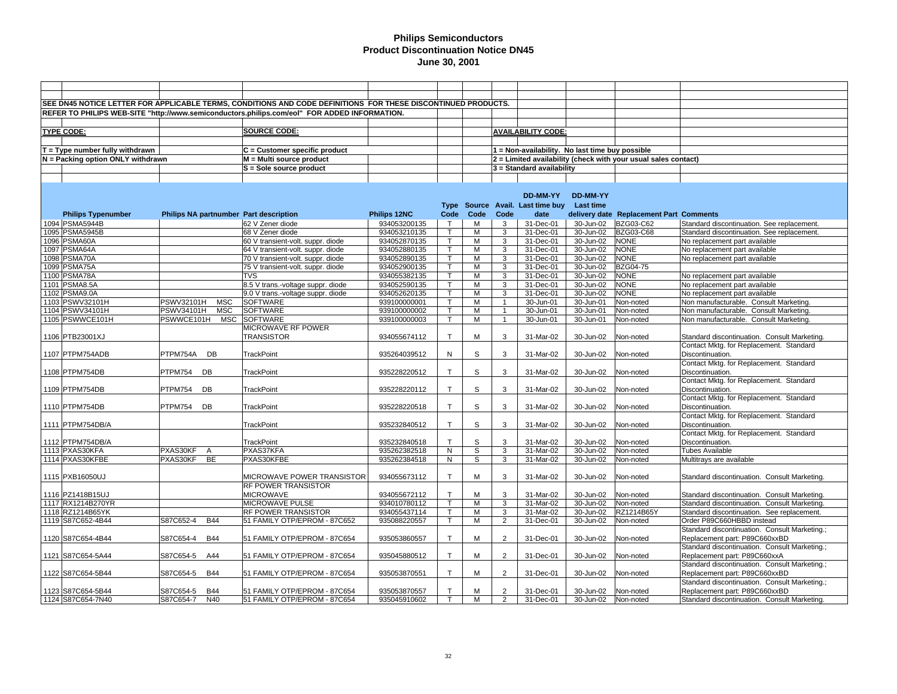|                                   |                            |            | SEE DN45 NOTICE LETTER FOR APPLICABLE TERMS, CONDITIONS AND CODE DEFINITIONS FOR THESE DISCONTINUED PRODUCTS. |              |              |      |                |                                                 |                     |                                                                |                                               |
|-----------------------------------|----------------------------|------------|---------------------------------------------------------------------------------------------------------------|--------------|--------------|------|----------------|-------------------------------------------------|---------------------|----------------------------------------------------------------|-----------------------------------------------|
|                                   |                            |            | REFER TO PHILIPS WEB-SITE "http://www.semiconductors.philips.com/eol" FOR ADDED INFORMATION.                  |              |              |      |                |                                                 |                     |                                                                |                                               |
|                                   |                            |            |                                                                                                               |              |              |      |                |                                                 |                     |                                                                |                                               |
|                                   |                            |            |                                                                                                               |              |              |      |                |                                                 |                     |                                                                |                                               |
| <b>TYPE CODE:</b>                 |                            |            | <b>SOURCE CODE:</b>                                                                                           |              |              |      |                | <b>AVAILABILITY CODE:</b>                       |                     |                                                                |                                               |
|                                   |                            |            |                                                                                                               |              |              |      |                |                                                 |                     |                                                                |                                               |
| $T = Type$ number fully withdrawn |                            |            | C = Customer specific product                                                                                 |              |              |      |                | 1 = Non-availability. No last time buy possible |                     |                                                                |                                               |
| N = Packing option ONLY withdrawn |                            |            | M = Multi source product                                                                                      |              |              |      |                |                                                 |                     | 2 = Limited availability (check with your usual sales contact) |                                               |
|                                   |                            |            | S = Sole source product                                                                                       |              |              |      |                | 3 = Standard availability                       |                     |                                                                |                                               |
|                                   |                            |            |                                                                                                               |              |              |      |                |                                                 |                     |                                                                |                                               |
|                                   |                            |            |                                                                                                               |              |              |      |                |                                                 |                     |                                                                |                                               |
|                                   |                            |            |                                                                                                               |              |              |      |                | <b>DD-MM-YY</b>                                 | DD-MM-YY            |                                                                |                                               |
|                                   |                            |            |                                                                                                               |              |              |      |                | Type Source Avail. Last time buy                | Last time           |                                                                |                                               |
| <b>Philips Typenumber</b>         |                            |            | Philips NA partnumber Part description                                                                        | Philips 12NC | Code         | Code | Code           | date                                            |                     | delivery date Replacement Part Comments                        |                                               |
| 1094 PSMA5944B                    |                            |            | 62 V Zener diode                                                                                              | 934053200135 | $\top$       | M    | 3              | 31-Dec-01                                       | 30-Jun-02           | BZG03-C62                                                      | Standard discontinuation. See replacement.    |
| 1095 PSMA5945B                    |                            |            | 68 V Zener diode                                                                                              | 934053210135 | T            | M    | 3              | 31-Dec-01                                       | 30-Jun-02           | <b>BZG03-C68</b>                                               | Standard discontinuation. See replacement.    |
| 1096 PSMA60A                      |                            |            | 60 V transient-volt. suppr. diode                                                                             | 934052870135 | $\mathsf{T}$ | M    | 3              | 31-Dec-01                                       | 30-Jun-02           | <b>NONE</b>                                                    | No replacement part available                 |
| 1097 PSMA64A                      |                            |            | 64 V transient-volt. suppr. diode                                                                             | 934052880135 | T            | M    | 3              | 31-Dec-01                                       | 30-Jun-02           | <b>NONE</b>                                                    |                                               |
|                                   |                            |            |                                                                                                               |              |              |      |                |                                                 |                     |                                                                | No replacement part available                 |
| 1098 PSMA70A                      |                            |            | 70 V transient-volt. suppr. diode                                                                             | 934052890135 | т            | M    | 3              | 31-Dec-01                                       | $30 - Jun-02$       | <b>NONE</b>                                                    | No replacement part available                 |
| 1099 PSMA75A                      |                            |            | 75 V transient-volt. suppr. diode                                                                             | 934052900135 |              | M    | 3              | 31-Dec-01                                       | 30-Jun-02           | <b>BZG04-75</b>                                                |                                               |
| 1100 PSMA78A                      |                            |            | <b>TVS</b>                                                                                                    | 934055382135 |              | M    | $\overline{3}$ | 31-Dec-01                                       | 30-Jun-02           | <b>NONE</b>                                                    | No replacement part available                 |
| 1101 PSMA8.5A                     |                            |            | 8.5 V trans.-voltage suppr. diode                                                                             | 934052590135 | т            | М    | 3              | 31-Dec-01                                       | 30-Jun-02           | <b>NONE</b>                                                    | No replacement part available                 |
| 1102 PSMA9.0A                     |                            |            | 9.0 V trans.-voltage suppr. diode                                                                             | 934052620135 |              | M    | 3              | 31-Dec-01                                       | 30-Jun-02           | <b>NONE</b>                                                    | No replacement part available                 |
| 1103 PSWV32101H                   | PSWV32101H                 | <b>MSC</b> | SOFTWARE                                                                                                      | 939100000001 |              | M    | $\mathbf{1}$   | 30-Jun-01                                       | 30-Jun-01           | Non-noted                                                      | Non manufacturable. Consult Marketing.        |
| 1104 PSWV34101H                   | PSWV34101H                 | <b>MSC</b> | <b>SOFTWARE</b>                                                                                               | 939100000002 | T            | M    | $\overline{1}$ | 30-Jun-01                                       | 30-Jun-01           | Non-noted                                                      | Non manufacturable. Consult Marketing.        |
| 1105 PSWWCE101H                   | PSWWCE101H                 | <b>MSC</b> | <b>SOFTWARE</b>                                                                                               | 939100000003 |              | М    | $\overline{1}$ | 30-Jun-01                                       | 30-Jun-01           | Non-noted                                                      | Non manufacturable. Consult Marketing.        |
|                                   |                            |            | MICROWAVE RF POWER                                                                                            |              |              |      |                |                                                 |                     |                                                                |                                               |
| 1106 PTB23001XJ                   |                            |            | <b>TRANSISTOR</b>                                                                                             | 934055674112 | $\mathsf{T}$ | M    | 3              | 31-Mar-02                                       | 30-Jun-02           | Non-noted                                                      | Standard discontinuation. Consult Marketing.  |
|                                   |                            |            |                                                                                                               |              |              |      |                |                                                 |                     |                                                                | Contact Mktg. for Replacement. Standard       |
| 1107 PTPM754ADB                   | PTPM754A DB                |            | <b>TrackPoint</b>                                                                                             | 935264039512 | N            | S    | 3              | 31-Mar-02                                       | 30-Jun-02           | Non-noted                                                      | Discontinuation.                              |
|                                   |                            |            |                                                                                                               |              |              |      |                |                                                 |                     |                                                                | Contact Mktg. for Replacement. Standard       |
| 1108 PTPM754DB                    | PTPM754<br>DB              |            | <b>TrackPoint</b>                                                                                             | 935228220512 | T.           | S    | 3              | 31-Mar-02                                       | 30-Jun-02           | Non-noted                                                      | Discontinuation.                              |
|                                   |                            |            |                                                                                                               |              |              |      |                |                                                 |                     |                                                                | Contact Mktg. for Replacement. Standard       |
| 1109 PTPM754DB                    | DB<br>PTPM754              |            | <b>TrackPoint</b>                                                                                             | 935228220112 | $\mathsf{T}$ | S    | 3              | 31-Mar-02                                       | 30-Jun-02           | Non-noted                                                      | Discontinuation.                              |
|                                   |                            |            |                                                                                                               |              |              |      |                |                                                 |                     |                                                                | Contact Mktg. for Replacement. Standard       |
| 1110 PTPM754DB                    | PTPM754<br>DB              |            | <b>TrackPoint</b>                                                                                             | 935228220518 | T.           | S    | 3              | 31-Mar-02                                       | 30-Jun-02           | Non-noted                                                      | Discontinuation.                              |
|                                   |                            |            |                                                                                                               |              |              |      |                |                                                 |                     |                                                                | Contact Mktg. for Replacement. Standard       |
| 1111 PTPM754DB/A                  |                            |            | <b>TrackPoint</b>                                                                                             | 935232840512 | $\mathsf{T}$ | S    | 3              | 31-Mar-02                                       | 30-Jun-02           | Non-noted                                                      | Discontinuation.                              |
|                                   |                            |            |                                                                                                               |              |              |      |                |                                                 |                     |                                                                | Contact Mktg. for Replacement. Standard       |
| 1112 PTPM754DB/A                  |                            |            | <b>TrackPoint</b>                                                                                             | 935232840518 | $\mathsf{T}$ | S    | 3              | 31-Mar-02                                       | 30-Jun-02           | Non-noted                                                      | Discontinuation.                              |
| 1113 PXAS30KFA                    | PXAS30KF<br>$\overline{A}$ |            | PXAS37KFA                                                                                                     | 935262382518 | N            | S    | 3              | 31-Mar-02                                       | 30-Jun-02           | Non-noted                                                      | <b>Tubes Available</b>                        |
| 1114 PXAS30KFBE                   | PXAS30KF<br><b>BE</b>      |            | PXAS30KFBE                                                                                                    | 935262384518 | N            | S    | 3              | 31-Mar-02                                       | 30-Jun-02           | Non-noted                                                      | Multitrays are available                      |
|                                   |                            |            |                                                                                                               |              |              |      |                |                                                 |                     |                                                                |                                               |
| 1115 PXB16050UJ                   |                            |            | MICROWAVE POWER TRANSISTOR                                                                                    | 934055673112 | $\mathsf{T}$ | M    | 3              | 31-Mar-02                                       | 30-Jun-02           | Non-noted                                                      | Standard discontinuation. Consult Marketing.  |
|                                   |                            |            | RF POWER TRANSISTOR                                                                                           |              |              |      |                |                                                 |                     |                                                                |                                               |
| 1116 PZ1418B15UJ                  |                            |            | <b>MICROWAVE</b>                                                                                              | 934055672112 | $\mathsf{T}$ | M    | 3              | 31-Mar-02                                       | 30-Jun-02           | Non-noted                                                      | Standard discontinuation. Consult Marketing.  |
| 1117 RX1214B270YR                 |                            |            | MICROWAVE PULSE                                                                                               | 934010780112 | T            | M    | 3              | 31-Mar-02                                       | 30-Jun-02           | Non-noted                                                      | Standard discontinuation. Consult Marketing.  |
| 1118 RZ1214B65YK                  |                            |            | RF POWER TRANSISTOR                                                                                           | 934055437114 |              | м    | 3              | 31-Mar-02                                       | 30-Jun-02           | RZ1214B65Y                                                     | Standard discontinuation. See replacement.    |
| 1119 S87C652-4B44                 | S87C652-4                  | <b>B44</b> | 51 FAMILY OTP/EPROM - 87C652                                                                                  | 935088220557 | $\mathsf{T}$ | М    | $\overline{2}$ | 31-Dec-01                                       | 30-Jun-02           | Non-noted                                                      | Order P89C660HBBD instead                     |
|                                   |                            |            |                                                                                                               |              |              |      |                |                                                 |                     |                                                                | Standard discontinuation. Consult Marketing.; |
| 1120 S87C654-4B44                 | S87C654-4                  | <b>B44</b> | 51 FAMILY OTP/EPROM - 87C654                                                                                  | 935053860557 | T            | M    | $\overline{2}$ | 31-Dec-01                                       | 30-Jun-02           | Non-noted                                                      | Replacement part: P89C660xxBD                 |
|                                   |                            |            |                                                                                                               |              |              |      |                |                                                 |                     |                                                                | Standard discontinuation. Consult Marketing.; |
|                                   |                            | A44        |                                                                                                               | 935045880512 | $\mathsf{T}$ | М    | $\overline{2}$ | 31-Dec-01                                       |                     | Non-noted                                                      |                                               |
| 1121 S87C654-5A44                 | S87C654-5                  |            | 51 FAMILY OTP/EPROM - 87C654                                                                                  |              |              |      |                |                                                 | 30-Jun-02           |                                                                | Replacement part: P89C660xxA                  |
|                                   |                            |            |                                                                                                               |              |              |      |                |                                                 |                     |                                                                | Standard discontinuation. Consult Marketing.; |
| 1122 S87C654-5B44                 | S87C654-5                  | <b>B44</b> | 51 FAMILY OTP/EPROM - 87C654                                                                                  | 935053870551 | T            | M    | 2              | 31-Dec-01                                       | 30-Jun-02           | Non-noted                                                      | Replacement part: P89C660xxBD                 |
|                                   |                            |            |                                                                                                               |              |              |      |                |                                                 |                     |                                                                | Standard discontinuation. Consult Marketing.; |
| 1123 S87C654-5B44                 | S87C654-5                  | <b>B44</b> | 51 FAMILY OTP/EPROM - 87C654                                                                                  | 935053870557 | T.           | М    | $\overline{2}$ | 31-Dec-01                                       | 30-Jun-02           | Non-noted                                                      | Replacement part: P89C660xxBD                 |
| 1124 S87C654-7N40                 | S87C654-7                  | N40        | 51 FAMILY OTP/EPROM - 87C654                                                                                  | 935045910602 |              | М    | $\overline{2}$ | 31-Dec-01                                       | 30-Jun-02 Non-noted |                                                                | Standard discontinuation. Consult Marketing.  |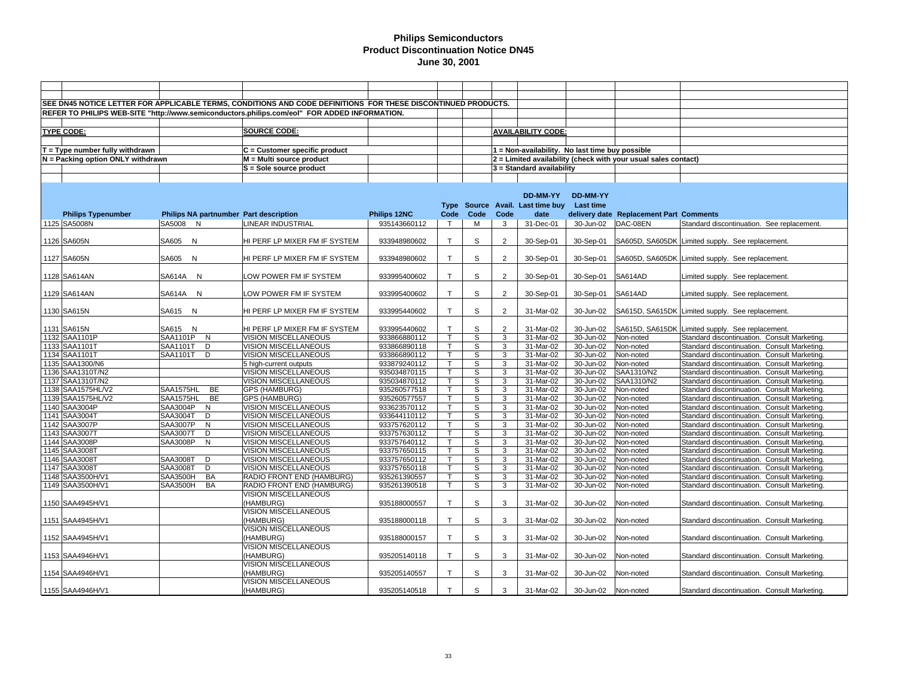|                                   |                                        | SEE DN45 NOTICE LETTER FOR APPLICABLE TERMS, CONDITIONS AND CODE DEFINITIONS FOR THESE DISCONTINUED PRODUCTS. |              |                         |             |                |                                                 |               |                                                                |                                                  |
|-----------------------------------|----------------------------------------|---------------------------------------------------------------------------------------------------------------|--------------|-------------------------|-------------|----------------|-------------------------------------------------|---------------|----------------------------------------------------------------|--------------------------------------------------|
|                                   |                                        |                                                                                                               |              |                         |             |                |                                                 |               |                                                                |                                                  |
|                                   |                                        | REFER TO PHILIPS WEB-SITE "http://www.semiconductors.philips.com/eol" FOR ADDED INFORMATION.                  |              |                         |             |                |                                                 |               |                                                                |                                                  |
|                                   |                                        |                                                                                                               |              |                         |             |                |                                                 |               |                                                                |                                                  |
| <b>TYPE CODE:</b>                 |                                        | <b>SOURCE CODE:</b>                                                                                           |              |                         |             |                | <b>AVAILABILITY CODE:</b>                       |               |                                                                |                                                  |
|                                   |                                        |                                                                                                               |              |                         |             |                |                                                 |               |                                                                |                                                  |
| $T = Type$ number fully withdrawn |                                        | $C =$ Customer specific product                                                                               |              |                         |             |                | 1 = Non-availability. No last time buy possible |               |                                                                |                                                  |
| N = Packing option ONLY withdrawn |                                        | M = Multi source product                                                                                      |              |                         |             |                |                                                 |               | 2 = Limited availability (check with your usual sales contact) |                                                  |
|                                   |                                        | S = Sole source product                                                                                       |              |                         |             |                | 3 = Standard availability                       |               |                                                                |                                                  |
|                                   |                                        |                                                                                                               |              |                         |             |                |                                                 |               |                                                                |                                                  |
|                                   |                                        |                                                                                                               |              |                         |             |                |                                                 |               |                                                                |                                                  |
|                                   |                                        |                                                                                                               |              |                         |             |                | <b>DD-MM-YY</b>                                 | DD-MM-YY      |                                                                |                                                  |
|                                   |                                        |                                                                                                               |              | <b>Type</b>             |             |                | Source Avail. Last time buy                     | Last time     |                                                                |                                                  |
|                                   |                                        |                                                                                                               |              | Code                    | Code        | Code           | date                                            |               |                                                                |                                                  |
| <b>Philips Typenumber</b>         | Philips NA partnumber Part description |                                                                                                               | Philips 12NC |                         |             |                |                                                 |               | delivery date Replacement Part Comments                        |                                                  |
| 1125 SA5008N                      | SA5008 N                               | LINEAR INDUSTRIAL                                                                                             | 935143660112 | $\top$                  | М           | 3              | 31-Dec-01                                       | 30-Jun-02     | DAC-08EN                                                       | Standard discontinuation. See replacement.       |
|                                   |                                        |                                                                                                               |              |                         |             |                |                                                 |               |                                                                |                                                  |
| 1126 SA605N                       | SA605 N                                | HI PERF LP MIXER FM IF SYSTEM                                                                                 | 933948980602 | $\mathsf{T}$            | S           | 2              | 30-Sep-01                                       | 30-Sep-01     |                                                                | SA605D, SA605DK Limited supply. See replacement. |
|                                   |                                        |                                                                                                               |              |                         |             |                |                                                 |               |                                                                |                                                  |
| 1127 SA605N                       | SA605 N                                | HI PERF LP MIXER FM IF SYSTEM                                                                                 | 933948980602 | $\mathsf{T}$            | S           | 2              | 30-Sep-01                                       | 30-Sep-01     |                                                                | SA605D, SA605DK Limited supply. See replacement. |
|                                   |                                        |                                                                                                               |              |                         |             |                |                                                 |               |                                                                |                                                  |
| 1128 SA614AN                      | <b>SA614A</b><br>N                     | LOW POWER FM IF SYSTEM                                                                                        | 933995400602 | $\mathsf{T}$            | S           | $\overline{2}$ | 30-Sep-01                                       | 30-Sep-01     | SA614AD                                                        | Limited supply. See replacement.                 |
|                                   |                                        |                                                                                                               |              |                         |             |                |                                                 |               |                                                                |                                                  |
| 1129 SA614AN                      | SA614A N                               | LOW POWER FM IF SYSTEM                                                                                        | 933995400602 | $\mathsf{T}$            | S           | $\overline{2}$ | 30-Sep-01                                       | 30-Sep-01     | SA614AD                                                        | Limited supply. See replacement.                 |
|                                   |                                        |                                                                                                               |              |                         |             |                |                                                 |               |                                                                |                                                  |
| 1130 SA615N                       | SA615 N                                | HI PERF LP MIXER FM IF SYSTEM                                                                                 | 933995440602 | $\mathsf{T}$            | S           | $\overline{2}$ | 31-Mar-02                                       | 30-Jun-02     |                                                                | SA615D, SA615DK Limited supply. See replacement. |
|                                   |                                        |                                                                                                               |              |                         |             |                |                                                 |               |                                                                |                                                  |
| 1131 SA615N                       | SA615 N                                | HI PERF LP MIXER FM IF SYSTEM                                                                                 | 933995440602 | $\mathsf{T}$            | S           | $\overline{2}$ | 31-Mar-02                                       | 30-Jun-02     |                                                                | SA615D, SA615DK Limited supply. See replacement. |
| 1132 SAA1101P                     | SAA1101P<br>N                          | VISION MISCELLANEOUS                                                                                          | 933866880112 | T.                      | S           | 3              | 31-Mar-02                                       | 30-Jun-02     | Non-noted                                                      | Standard discontinuation. Consult Marketing.     |
| 1133 SAA1101T                     | SAA1101T<br>D                          | VISION MISCELLANEOUS                                                                                          | 933866890118 | T.                      | S           | 3              | 31-Mar-02                                       | 30-Jun-02     | Non-noted                                                      | Standard discontinuation. Consult Marketing.     |
| 1134 SAA1101T                     | SAA1101T<br>D                          | VISION MISCELLANEOUS                                                                                          | 933866890112 | T.                      | S           | 3              | 31-Mar-02                                       | 30-Jun-02     | Non-noted                                                      | Standard discontinuation. Consult Marketing.     |
| 1135 SAA1300/N6                   |                                        | 5 high-current outputs                                                                                        | 933879240112 | T.                      | S           | 3              | 31-Mar-02                                       | 30-Jun-02     | Non-noted                                                      | Standard discontinuation. Consult Marketing      |
| 1136 SAA1310T/N2                  |                                        | VISION MISCELLANEOUS                                                                                          | 935034870115 | T.                      | S           | 3              | 31-Mar-02                                       | 30-Jun-02     | SAA1310/N2                                                     | Standard discontinuation. Consult Marketing.     |
| 1137 SAA1310T/N2                  |                                        | VISION MISCELLANEOUS                                                                                          | 935034870112 | $\mathsf{T}$            | S           | 3              | 31-Mar-02                                       | 30-Jun-02     | SAA1310/N2                                                     | Standard discontinuation. Consult Marketing      |
| 1138 SAA1575HL/V2                 | SAA1575HL<br><b>BE</b>                 | <b>GPS (HAMBURG)</b>                                                                                          | 935260577518 | T.                      | S           | 3              | 31-Mar-02                                       | 30-Jun-02     | Non-noted                                                      | Standard discontinuation. Consult Marketing.     |
| 1139 SAA1575HL/V2                 | <b>BE</b><br>SAA1575HL                 | <b>GPS (HAMBURG)</b>                                                                                          | 935260577557 | T.                      | S           | 3              | 31-Mar-02                                       | 30-Jun-02     | Non-noted                                                      | Standard discontinuation. Consult Marketing      |
| 1140 SAA3004P                     | SAA3004P<br>$\overline{N}$             | <b>VISION MISCELLANEOUS</b>                                                                                   | 933623570112 | $\overline{\mathsf{T}}$ | s           | $\overline{3}$ | 31-Mar-02                                       | $30 - Jun-02$ | Non-noted                                                      | Standard discontinuation. Consult Marketing      |
| 1141 SAA3004T                     | SAA3004T<br>D                          | VISION MISCELLANEOUS                                                                                          | 933644110112 | T.                      | S           | 3              | 31-Mar-02                                       | 30-Jun-02     | Non-noted                                                      | Standard discontinuation. Consult Marketing      |
| 1142 SAA3007P                     | <b>SAA3007P</b><br>N                   | VISION MISCELLANEOUS                                                                                          | 933757620112 | T.                      | s           | 3              | 31-Mar-02                                       | 30-Jun-02     | Non-noted                                                      | Standard discontinuation. Consult Marketing.     |
| 1143 SAA3007T                     | D<br>SAA3007T                          | VISION MISCELLANEOUS                                                                                          | 933757630112 | T.                      | S           | 3              | 31-Mar-02                                       | 30-Jun-02     | Non-noted                                                      | Standard discontinuation. Consult Marketing      |
| 1144 SAA3008P                     | SAA3008P<br>N                          | VISION MISCELLANEOUS                                                                                          | 933757640112 | T.                      | s           | 3              | 31-Mar-02                                       | $30 - Jun-02$ | Non-noted                                                      | Standard discontinuation. Consult Marketing.     |
| 1145 SAA3008T                     |                                        | VISION MISCELLANEOUS                                                                                          | 933757650115 | T.                      | S           | 3              | 31-Mar-02                                       | 30-Jun-02     | Non-noted                                                      | Standard discontinuation. Consult Marketing      |
| 1146 SAA3008T                     | SAA3008T<br>D                          | <b>VISION MISCELLANEOUS</b>                                                                                   | 933757650112 | Τ                       | S           | 3              | $31-Mar-02$                                     | 30-Jun-02     | Non-noted                                                      | Standard discontinuation. Consult Marketing.     |
| 1147 SAA3008T                     | SAA3008T<br>D                          | VISION MISCELLANEOUS                                                                                          | 933757650118 | T.                      | S           | 3              | 31-Mar-02                                       | 30-Jun-02     | Non-noted                                                      | Standard discontinuation. Consult Marketing      |
| 1148 SAA3500H/V1                  | <b>SAA3500H</b><br>BA                  | RADIO FRONT END (HAMBURG)                                                                                     | 935261390557 | T.                      | S           | 3              | 31-Mar-02                                       | 30-Jun-02     | Non-noted                                                      | Standard discontinuation. Consult Marketing.     |
| 1149 SAA3500H/V1                  | SAA3500H<br>BA                         | RADIO FRONT END (HAMBURG)                                                                                     | 935261390518 | T.                      | S           | 3              | 31-Mar-02                                       | 30-Jun-02     | Non-noted                                                      | Standard discontinuation. Consult Marketing      |
|                                   |                                        | VISION MISCELLANEOUS                                                                                          |              |                         |             |                |                                                 |               |                                                                |                                                  |
| 1150 SAA4945H/V1                  |                                        | (HAMBURG)                                                                                                     | 935188000557 | $\mathsf{T}$            | S           | 3              | 31-Mar-02                                       | 30-Jun-02     | Non-noted                                                      | Standard discontinuation. Consult Marketing.     |
|                                   |                                        | <b>VISION MISCELLANEOUS</b>                                                                                   |              |                         |             |                |                                                 |               |                                                                |                                                  |
| 1151 SAA4945H/V1                  |                                        | (HAMBURG)                                                                                                     | 935188000118 | T.                      | S           | 3              | 31-Mar-02                                       | 30-Jun-02     | Non-noted                                                      | Standard discontinuation. Consult Marketing.     |
|                                   |                                        | <b>VISION MISCELLANEOUS</b>                                                                                   |              |                         |             |                |                                                 |               |                                                                |                                                  |
| 1152 SAA4945H/V1                  |                                        |                                                                                                               | 935188000157 | $\mathsf{T}$            | S           | 3              |                                                 |               |                                                                |                                                  |
|                                   |                                        | (HAMBURG)                                                                                                     |              |                         |             |                | 31-Mar-02                                       | 30-Jun-02     | Non-noted                                                      | Standard discontinuation. Consult Marketing.     |
|                                   |                                        | VISION MISCELLANEOUS                                                                                          |              |                         |             |                |                                                 |               |                                                                |                                                  |
| 1153 SAA4946H/V1                  |                                        | (HAMBURG)                                                                                                     | 935205140118 | $\mathsf{T}$            | S           | 3              | 31-Mar-02                                       | 30-Jun-02     | Non-noted                                                      | Standard discontinuation. Consult Marketing.     |
|                                   |                                        | <b>VISION MISCELLANEOUS</b>                                                                                   |              |                         |             |                |                                                 |               |                                                                |                                                  |
| 1154 SAA4946H/V1                  |                                        | (HAMBURG)                                                                                                     | 935205140557 | $\mathsf{T}$            | $\mathbb S$ | 3              | 31-Mar-02                                       | 30-Jun-02     | Non-noted                                                      | Standard discontinuation. Consult Marketing.     |
|                                   |                                        | VISION MISCELLANEOUS                                                                                          |              |                         |             |                |                                                 |               |                                                                |                                                  |
| 1155 SAA4946H/V1                  |                                        | (HAMBURG)                                                                                                     | 935205140518 | $\mathsf{T}$            | S           | 3              | 31-Mar-02                                       | 30-Jun-02     | Non-noted                                                      | Standard discontinuation. Consult Marketing.     |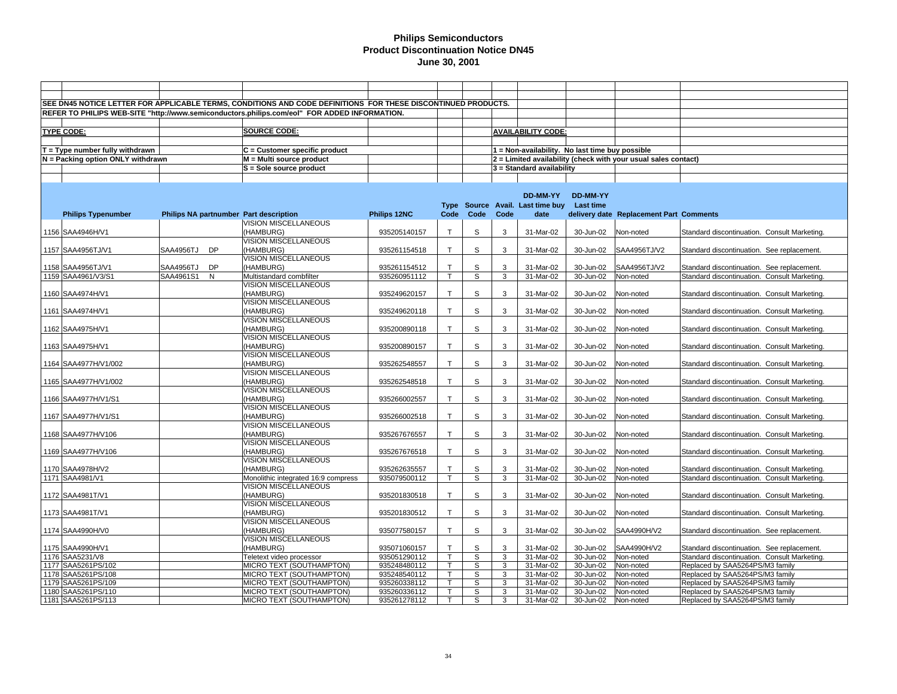|                                   |              |    | SEE DN45 NOTICE LETTER FOR APPLICABLE TERMS, CONDITIONS AND CODE DEFINITIONS FOR THESE DISCONTINUED PRODUCTS. |              |              |                |                |                                                 |           |                                                                |                                              |
|-----------------------------------|--------------|----|---------------------------------------------------------------------------------------------------------------|--------------|--------------|----------------|----------------|-------------------------------------------------|-----------|----------------------------------------------------------------|----------------------------------------------|
|                                   |              |    | REFER TO PHILIPS WEB-SITE "http://www.semiconductors.philips.com/eol" FOR ADDED INFORMATION.                  |              |              |                |                |                                                 |           |                                                                |                                              |
|                                   |              |    |                                                                                                               |              |              |                |                |                                                 |           |                                                                |                                              |
| <b>TYPE CODE:</b>                 |              |    | <b>SOURCE CODE:</b>                                                                                           |              |              |                |                | <b>AVAILABILITY CODE:</b>                       |           |                                                                |                                              |
|                                   |              |    |                                                                                                               |              |              |                |                |                                                 |           |                                                                |                                              |
| $T = Type$ number fully withdrawn |              |    | C = Customer specific product                                                                                 |              |              |                |                | 1 = Non-availability. No last time buy possible |           |                                                                |                                              |
| N = Packing option ONLY withdrawn |              |    | $M = Multi source product$                                                                                    |              |              |                |                |                                                 |           | 2 = Limited availability (check with your usual sales contact) |                                              |
|                                   |              |    | S = Sole source product                                                                                       |              |              |                |                | 3 = Standard availability                       |           |                                                                |                                              |
|                                   |              |    |                                                                                                               |              |              |                |                |                                                 |           |                                                                |                                              |
|                                   |              |    |                                                                                                               |              |              |                |                |                                                 |           |                                                                |                                              |
|                                   |              |    |                                                                                                               |              |              |                |                | DD-MM-YY                                        | DD-MM-YY  |                                                                |                                              |
|                                   |              |    |                                                                                                               |              |              |                |                | Type Source Avail. Last time buy Last time      |           |                                                                |                                              |
| <b>Philips Typenumber</b>         |              |    | Philips NA partnumber Part description                                                                        | Philips 12NC | Code         | Code           | Code           | date                                            |           | delivery date Replacement Part Comments                        |                                              |
|                                   |              |    | VISION MISCELLANEOUS                                                                                          |              |              |                |                |                                                 |           |                                                                |                                              |
| 1156 SAA4946H/V1                  |              |    | (HAMBURG)                                                                                                     | 935205140157 | $\mathsf{T}$ | S              | 3              | 31-Mar-02                                       | 30-Jun-02 | Non-noted                                                      | Standard discontinuation. Consult Marketing. |
|                                   |              |    | VISION MISCELLANEOUS                                                                                          |              |              |                |                |                                                 |           |                                                                |                                              |
| 1157 SAA4956TJ/V1                 | SAA4956TJ DP |    | (HAMBURG)                                                                                                     | 935261154518 | $\mathsf{T}$ | S              | 3              | 31-Mar-02                                       | 30-Jun-02 | SAA4956TJ/V2                                                   | Standard discontinuation. See replacement.   |
|                                   |              |    | VISION MISCELLANEOUS                                                                                          |              |              |                |                |                                                 |           |                                                                |                                              |
| 1158 SAA4956TJ/V1                 | SAA4956TJ    | DP | (HAMBURG)                                                                                                     | 935261154512 | $\mathsf{T}$ | S              | 3              | 31-Mar-02                                       | 30-Jun-02 | SAA4956TJ/V2                                                   | Standard discontinuation. See replacement.   |
| 1159 SAA4961/V3/S1                | SAA4961S1    | N  | Multistandard combfilter                                                                                      | 935260951112 | $\mathsf{T}$ | s              | 3              | 31-Mar-02                                       | 30-Jun-02 | Non-noted                                                      | Standard discontinuation. Consult Marketing. |
|                                   |              |    | VISION MISCELLANEOUS                                                                                          |              |              |                |                |                                                 |           |                                                                |                                              |
| 1160 SAA4974H/V1                  |              |    | (HAMBURG)                                                                                                     | 935249620157 | $\mathsf{T}$ | S              | 3              | 31-Mar-02                                       | 30-Jun-02 | Non-noted                                                      | Standard discontinuation. Consult Marketing. |
|                                   |              |    | <b>VISION MISCELLANEOUS</b>                                                                                   |              |              |                |                |                                                 |           |                                                                |                                              |
| 1161 SAA4974H/V1                  |              |    | (HAMBURG)                                                                                                     | 935249620118 | $\mathsf{T}$ | S              | 3              | 31-Mar-02                                       | 30-Jun-02 | Non-noted                                                      | Standard discontinuation. Consult Marketing. |
|                                   |              |    | <b>VISION MISCELLANEOUS</b>                                                                                   |              |              |                |                |                                                 |           |                                                                |                                              |
| 1162 SAA4975H/V1                  |              |    | (HAMBURG)                                                                                                     | 935200890118 | $\mathsf{T}$ | S              | 3              | 31-Mar-02                                       | 30-Jun-02 | Non-noted                                                      | Standard discontinuation. Consult Marketing. |
|                                   |              |    | <b>VISION MISCELLANEOUS</b>                                                                                   |              |              |                |                |                                                 |           |                                                                |                                              |
| 1163 SAA4975H/V1                  |              |    | (HAMBURG)                                                                                                     | 935200890157 | $\mathsf{T}$ | S              | 3              | 31-Mar-02                                       | 30-Jun-02 | Non-noted                                                      | Standard discontinuation. Consult Marketing. |
|                                   |              |    | VISION MISCELLANEOUS                                                                                          |              |              |                |                |                                                 |           |                                                                |                                              |
| 1164 SAA4977H/V1/002              |              |    | (HAMBURG)                                                                                                     | 935262548557 | $\mathsf{T}$ | S              | 3              | 31-Mar-02                                       | 30-Jun-02 | Non-noted                                                      | Standard discontinuation. Consult Marketing. |
|                                   |              |    | VISION MISCELLANEOUS                                                                                          |              |              |                |                |                                                 |           |                                                                |                                              |
| 1165   SAA4977H/V1/002            |              |    | HAMBURG)<br><b>VISION MISCELLANEOUS</b>                                                                       | 935262548518 | $\mathsf{T}$ | S              | 3              | 31-Mar-02                                       | 30-Jun-02 | Non-noted                                                      | Standard discontinuation. Consult Marketing. |
| 1166 SAA4977H/V1/S1               |              |    | (HAMBURG)                                                                                                     |              | $\mathsf{T}$ | S              | 3              | 31-Mar-02                                       |           |                                                                |                                              |
|                                   |              |    | <b>VISION MISCELLANEOUS</b>                                                                                   | 935266002557 |              |                |                |                                                 | 30-Jun-02 | Non-noted                                                      | Standard discontinuation. Consult Marketing. |
| 1167 SAA4977H/V1/S1               |              |    | <b>HAMBURG)</b>                                                                                               | 935266002518 | $\mathsf{T}$ | S              | 3              | 31-Mar-02                                       | 30-Jun-02 | Non-noted                                                      | Standard discontinuation. Consult Marketing. |
|                                   |              |    | VISION MISCELLANEOUS                                                                                          |              |              |                |                |                                                 |           |                                                                |                                              |
| 1168 SAA4977H/V106                |              |    | (HAMBURG)                                                                                                     | 935267676557 | $\mathsf{T}$ | $\mathbb S$    | 3              | 31-Mar-02                                       | 30-Jun-02 | Non-noted                                                      | Standard discontinuation. Consult Marketing. |
|                                   |              |    | <b>VISION MISCELLANEOUS</b>                                                                                   |              |              |                |                |                                                 |           |                                                                |                                              |
| 1169 SAA4977H/V106                |              |    | (HAMBURG)                                                                                                     | 935267676518 | $\mathsf{T}$ | S              | 3              | 31-Mar-02                                       | 30-Jun-02 | Non-noted                                                      | Standard discontinuation. Consult Marketing. |
|                                   |              |    | <b>VISION MISCELLANEOUS</b>                                                                                   |              |              |                |                |                                                 |           |                                                                |                                              |
| 1170 SAA4978H/V2                  |              |    | (HAMBURG)                                                                                                     | 935262635557 | $\mathsf{T}$ | S              | 3              | 31-Mar-02                                       | 30-Jun-02 | Non-noted                                                      | Standard discontinuation. Consult Marketing. |
| 1171 SAA4981/V1                   |              |    | Monolithic integrated 16:9 compress                                                                           | 935079500112 | $\mathsf{T}$ | $\overline{s}$ | $\overline{3}$ | 31-Mar-02                                       | 30-Jun-02 | Non-noted                                                      | Standard discontinuation. Consult Marketing. |
|                                   |              |    | <b>VISION MISCELLANEOUS</b>                                                                                   |              |              |                |                |                                                 |           |                                                                |                                              |
| 1172 SAA4981T/V1                  |              |    | (HAMBURG)                                                                                                     | 935201830518 | $\mathsf{T}$ | S              | 3              | 31-Mar-02                                       | 30-Jun-02 | Non-noted                                                      | Standard discontinuation. Consult Marketing. |
|                                   |              |    | <b>VISION MISCELLANEOUS</b>                                                                                   |              |              |                |                |                                                 |           |                                                                |                                              |
| 1173 SAA4981T/V1                  |              |    | (HAMBURG)                                                                                                     | 935201830512 | $\mathsf{T}$ | S              | 3              | 31-Mar-02                                       | 30-Jun-02 | Non-noted                                                      | Standard discontinuation. Consult Marketing. |
|                                   |              |    | VISION MISCELLANEOUS                                                                                          |              |              |                |                |                                                 |           |                                                                |                                              |
| 1174 SAA4990H/V0                  |              |    | (HAMBURG)                                                                                                     | 935077580157 | $\mathsf{T}$ | S              | 3              | 31-Mar-02                                       | 30-Jun-02 | SAA4990H/V2                                                    | Standard discontinuation. See replacement.   |
|                                   |              |    | VISION MISCELLANEOUS                                                                                          |              |              |                |                |                                                 |           |                                                                |                                              |
| 1175 SAA4990H/V1                  |              |    | (HAMBURG)                                                                                                     | 935071060157 | $\mathsf{T}$ | S              | 3              | 31-Mar-02                                       | 30-Jun-02 | SAA4990H/V2                                                    | Standard discontinuation. See replacement.   |
| 1176 SAA5231/V8                   |              |    | Teletext video processor                                                                                      | 935051290112 | $\mathsf{T}$ | s              | $\overline{3}$ | 31-Mar-02                                       | 30-Jun-02 | Non-noted                                                      | Standard discontinuation. Consult Marketing. |
| 1177 SAA5261PS/102                |              |    | MICRO TEXT (SOUTHAMPTON)                                                                                      | 935248480112 | $\mathsf{T}$ | S              | 3              | 31-Mar-02                                       | 30-Jun-02 | Non-noted                                                      | Replaced by SAA5264PS/M3 family              |
| 1178 SAA5261PS/108                |              |    | MICRO TEXT (SOUTHAMPTON)                                                                                      | 935248540112 | $\mathsf{T}$ | S              | 3              | 31-Mar-02                                       | 30-Jun-02 | Non-noted                                                      | Replaced by SAA5264PS/M3 family              |
| 1179 SAA5261PS/109                |              |    | MICRO TEXT (SOUTHAMPTON)                                                                                      | 935260338112 |              | S              | 3              | 31-Mar-02                                       | 30-Jun-02 | Non-noted                                                      | Replaced by SAA5264PS/M3 family              |
| 1180 SAA5261PS/110                |              |    | MICRO TEXT (SOUTHAMPTON)                                                                                      | 935260336112 |              | s              | 3              | 31-Mar-02                                       | 30-Jun-02 | Non-noted                                                      | Replaced by SAA5264PS/M3 family              |
| 1181 SAA5261PS/113                |              |    | MICRO TEXT (SOUTHAMPTON)                                                                                      | 935261278112 | T            | S              | 3              | 31-Mar-02                                       | 30-Jun-02 | Non-noted                                                      | Replaced by SAA5264PS/M3 family              |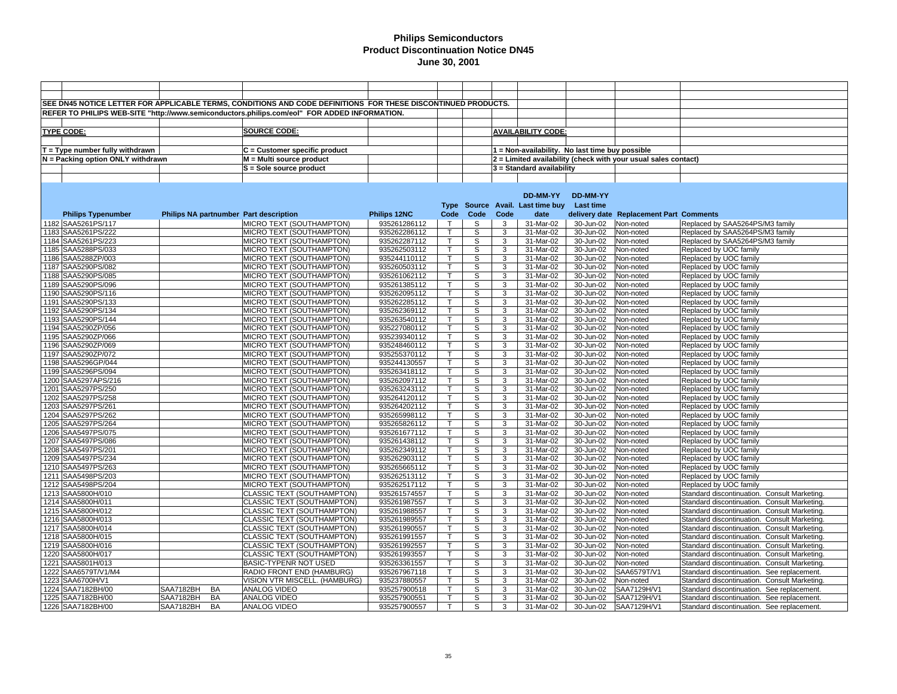|                                        |                                        | SEE DN45 NOTICE LETTER FOR APPLICABLE TERMS, CONDITIONS AND CODE DEFINITIONS FOR THESE DISCONTINUED PRODUCTS. |                              |                              |                         |        |                                                 |                         |                                                                |                                                                                          |
|----------------------------------------|----------------------------------------|---------------------------------------------------------------------------------------------------------------|------------------------------|------------------------------|-------------------------|--------|-------------------------------------------------|-------------------------|----------------------------------------------------------------|------------------------------------------------------------------------------------------|
|                                        |                                        | REFER TO PHILIPS WEB-SITE "http://www.semiconductors.philips.com/eol" FOR ADDED INFORMATION.                  |                              |                              |                         |        |                                                 |                         |                                                                |                                                                                          |
|                                        |                                        |                                                                                                               |                              |                              |                         |        |                                                 |                         |                                                                |                                                                                          |
|                                        |                                        | <b>SOURCE CODE:</b>                                                                                           |                              |                              |                         |        |                                                 |                         |                                                                |                                                                                          |
| <b>TYPE CODE:</b>                      |                                        |                                                                                                               |                              |                              |                         |        | <b>AVAILABILITY CODE:</b>                       |                         |                                                                |                                                                                          |
|                                        |                                        |                                                                                                               |                              |                              |                         |        |                                                 |                         |                                                                |                                                                                          |
| $T = Type$ number fully withdrawn      |                                        | $C =$ Customer specific product                                                                               |                              |                              |                         |        | 1 = Non-availability. No last time buy possible |                         |                                                                |                                                                                          |
| N = Packing option ONLY withdrawn      |                                        | $M = Multi source product$                                                                                    |                              |                              |                         |        |                                                 |                         | 2 = Limited availability (check with your usual sales contact) |                                                                                          |
|                                        |                                        | S = Sole source product                                                                                       |                              |                              |                         |        | $3 =$ Standard availability                     |                         |                                                                |                                                                                          |
|                                        |                                        |                                                                                                               |                              |                              |                         |        |                                                 |                         |                                                                |                                                                                          |
|                                        |                                        |                                                                                                               |                              |                              |                         |        |                                                 |                         |                                                                |                                                                                          |
|                                        |                                        |                                                                                                               |                              |                              |                         |        | DD-MM-YY                                        | DD-MM-YY                |                                                                |                                                                                          |
|                                        |                                        |                                                                                                               |                              |                              |                         |        | Type Source Avail. Last time buy                | Last time               |                                                                |                                                                                          |
| <b>Philips Typenumber</b>              | Philips NA partnumber Part description |                                                                                                               | Philips 12NC                 | Code                         | Code                    | Code   | date                                            |                         | delivery date Replacement Part Comments                        |                                                                                          |
| 1182 SAA5261PS/117                     |                                        | MICRO TEXT (SOUTHAMPTON)                                                                                      | 935261286112                 | $\top$                       | S.                      | 3      | 31-Mar-02                                       | 30-Jun-02               | Non-noted                                                      | Replaced by SAA5264PS/M3 family                                                          |
| 1183 SAA5261PS/222                     |                                        | MICRO TEXT (SOUTHAMPTON)                                                                                      | 935262286112                 | $\mathsf{T}$                 | S                       | 3      | 31-Mar-02                                       | 30-Jun-02               | Non-noted                                                      | Replaced by SAA5264PS/M3 family                                                          |
| 1184 SAA5261PS/223                     |                                        | MICRO TEXT (SOUTHAMPTON)                                                                                      | 935262287112                 | T                            | S                       | 3      | 31-Mar-02                                       | 30-Jun-02               | Non-noted                                                      | Replaced by SAA5264PS/M3 family                                                          |
| 1185 SAA5288PS/033                     |                                        | MICRO TEXT (SOUTHAMPTON)                                                                                      | 935262503112                 | $\mathsf{T}$                 | S                       | 3      | 31-Mar-02                                       | 30-Jun-02               | Non-noted                                                      | Replaced by UOC family                                                                   |
| 1186 SAA5288ZP/003                     |                                        | MICRO TEXT (SOUTHAMPTON)                                                                                      | 935244110112                 | т                            | S                       | 3      | 31-Mar-02                                       | 30-Jun-02               | Non-noted                                                      | Replaced by UOC family                                                                   |
| 1187 SAA5290PS/082                     |                                        | MICRO TEXT (SOUTHAMPTON)                                                                                      | 935260503112                 | T                            | S                       | 3      | 31-Mar-02                                       | 30-Jun-02               | Non-noted                                                      | Replaced by UOC family                                                                   |
| 1188 SAA5290PS/085                     |                                        | MICRO TEXT (SOUTHAMPTON)                                                                                      | 935261062112                 | $\mathsf{T}$                 | S                       | 3      | 31-Mar-02                                       | 30-Jun-02               | Non-noted                                                      | Replaced by UOC family                                                                   |
| 1189 SAA5290PS/096                     |                                        | MICRO TEXT (SOUTHAMPTON)                                                                                      | 935261385112                 | $\mathsf T$                  | S                       | 3      | 31-Mar-02                                       | 30-Jun-02               | Non-noted                                                      | Replaced by UOC family                                                                   |
| 1190 SAA5290PS/116                     |                                        | MICRO TEXT (SOUTHAMPTON)                                                                                      | 935262095112                 | $\mathsf{T}$                 | S                       | 3      | 31-Mar-02                                       | 30-Jun-02               | Non-noted                                                      | Replaced by UOC family                                                                   |
| 1191 SAA5290PS/133                     |                                        | MICRO TEXT (SOUTHAMPTON)                                                                                      | 935262285112                 | $\mathsf{T}$                 | S                       | 3      | 31-Mar-02                                       | 30-Jun-02               | Non-noted                                                      | Replaced by UOC family                                                                   |
| 1192 SAA5290PS/134                     |                                        | MICRO TEXT (SOUTHAMPTON)                                                                                      | 935262369112                 | $\mathsf{T}$                 | S                       | 3      | 31-Mar-02                                       | 30-Jun-02               | Non-noted                                                      | Replaced by UOC family                                                                   |
| 1193 SAA5290PS/144                     |                                        | MICRO TEXT (SOUTHAMPTON)                                                                                      | 935263540112                 | $\mathsf{T}$                 | S                       | 3      | 31-Mar-02                                       | 30-Jun-02               | Non-noted                                                      | Replaced by UOC family                                                                   |
| 1194 SAA5290ZP/056                     |                                        | MICRO TEXT (SOUTHAMPTON)                                                                                      | 935227080112                 | $\mathsf{T}$                 | $\mathbb S$             | 3      | 31-Mar-02                                       | 30-Jun-02               | Non-noted                                                      | Replaced by UOC family                                                                   |
| 1195 SAA5290ZP/066                     |                                        | MICRO TEXT (SOUTHAMPTON)                                                                                      | 935239340112                 | $\mathsf{T}$                 | s                       | 3      | 31-Mar-02                                       | 30-Jun-02               | Non-noted                                                      | Replaced by UOC family                                                                   |
| 1196 SAA5290ZP/069                     |                                        | MICRO TEXT (SOUTHAMPTON)                                                                                      | 935248460112                 | T                            | S                       | 3      | 31-Mar-02                                       | 30-Jun-02               | Non-noted                                                      | Replaced by UOC family                                                                   |
| 1197 SAA5290ZP/072                     |                                        | MICRO TEXT (SOUTHAMPTON)                                                                                      | 935255370112                 | т                            | S                       | 3      | 31-Mar-02                                       | 30-Jun-02               | Non-noted                                                      | Replaced by UOC family                                                                   |
| 1198 SAA5296GP/044                     |                                        | MICRO TEXT (SOUTHAMPTON)                                                                                      | 935244130557                 | $\mathsf T$                  | S                       | 3      | 31-Mar-02                                       | 30-Jun-02               | Non-noted                                                      | Replaced by UOC family                                                                   |
| 1199 SAA5296PS/094                     |                                        | MICRO TEXT (SOUTHAMPTON)                                                                                      | 935263418112                 | $\mathsf{T}$                 | S                       | 3      | 31-Mar-02                                       | 30-Jun-02               | Non-noted                                                      | Replaced by UOC family                                                                   |
| 1200 SAA5297APS/216                    |                                        | MICRO TEXT (SOUTHAMPTON)                                                                                      | 935262097112                 | $\mathsf{T}$                 | S                       | 3      | 31-Mar-02                                       | 30-Jun-02               | Non-noted                                                      | Replaced by UOC family                                                                   |
| 1201 SAA5297PS/250                     |                                        | MICRO TEXT (SOUTHAMPTON)                                                                                      | 935263243112                 | т                            | S                       | 3      | 31-Mar-02                                       | 30-Jun-02               | Non-noted                                                      | Replaced by UOC family                                                                   |
| 1202 SAA5297PS/258                     |                                        | MICRO TEXT (SOUTHAMPTON)                                                                                      | 935264120112                 | $\mathsf{T}$                 | S                       | 3      | 31-Mar-02                                       | 30-Jun-02               | Non-noted                                                      | Replaced by UOC family                                                                   |
| 1203 SAA5297PS/261                     |                                        | MICRO TEXT (SOUTHAMPTON)                                                                                      | 935264202112                 | $\mathsf{T}$                 | S                       | 3      | 31-Mar-02                                       | 30-Jun-02               | Non-noted                                                      | Replaced by UOC family                                                                   |
| 1204 SAA5297PS/262                     |                                        | MICRO TEXT (SOUTHAMPTON)                                                                                      | 935265998112                 | $\mathsf T$                  | $\overline{s}$          | 3      | 31-Mar-02                                       | 30-Jun-02               | Non-noted                                                      | Replaced by UOC family                                                                   |
| 1205 SAA5297PS/264                     |                                        | MICRO TEXT (SOUTHAMPTON)                                                                                      | 935265826112                 | $\mathsf{T}$                 | s                       | 3      | 31-Mar-02                                       | 30-Jun-02               | Non-noted                                                      | Replaced by UOC family                                                                   |
| 1206 SAA5497PS/075                     |                                        | MICRO TEXT (SOUTHAMPTON)                                                                                      | 935261677112                 | T                            | S                       | 3      | 31-Mar-02                                       | 30-Jun-02               | Non-noted                                                      | Replaced by UOC family                                                                   |
| 1207 SAA5497PS/086                     |                                        | MICRO TEXT (SOUTHAMPTON)                                                                                      | 935261438112                 | $\mathsf{T}$                 | S                       | 3      | 31-Mar-02                                       | 30-Jun-02               | Non-noted                                                      | Replaced by UOC family                                                                   |
| 1208 SAA5497PS/201                     |                                        | MICRO TEXT (SOUTHAMPTON)                                                                                      | 935262349112                 | T.                           | S                       | 3      | 31-Mar-02                                       | 30-Jun-02               | Non-noted                                                      | Replaced by UOC family                                                                   |
| 1209 SAA5497PS/234                     |                                        | MICRO TEXT (SOUTHAMPTON)                                                                                      | 935262903112                 | т                            | S                       | 3      | 31-Mar-02                                       | 30-Jun-02               | Non-noted                                                      | Replaced by UOC family                                                                   |
| 1210 SAA5497PS/263                     |                                        | MICRO TEXT (SOUTHAMPTON)                                                                                      | 935265665112                 | т                            | S                       | 3      | 31-Mar-02                                       | 30-Jun-02               | Non-noted                                                      | Replaced by UOC family                                                                   |
| 1211 SAA5498PS/203                     |                                        | MICRO TEXT (SOUTHAMPTON)                                                                                      | 935262513112                 | т                            | S                       | 3      | 31-Mar-02                                       | 30-Jun-02               | Non-noted                                                      | Replaced by UOC family                                                                   |
| 1212 SAA5498PS/204                     |                                        | MICRO TEXT (SOUTHAMPTON)                                                                                      | 935262517112                 | $\mathsf{T}$                 | $\mathbb S$             | 3      | 31-Mar-02                                       | 30-Jun-02               | Non-noted                                                      | Replaced by UOC family                                                                   |
| 1213 SAA5800H/010                      |                                        | CLASSIC TEXT (SOUTHAMPTON)                                                                                    | 935261574557                 | Τ                            | $\overline{\mathsf{s}}$ | 3      | 31-Mar-02                                       | 30-Jun-02               | Non-noted                                                      | Standard discontinuation. Consult Marketing.                                             |
| 1214 SAA5800H/011                      |                                        | CLASSIC TEXT (SOUTHAMPTON)                                                                                    | 935261987557                 | $\mathsf{T}$                 | S                       | 3      | 31-Mar-02                                       | $\overline{30}$ -Jun-02 | Non-noted                                                      | Standard discontinuation. Consult Marketing.                                             |
| 1215 SAA5800H/012                      |                                        | CLASSIC TEXT (SOUTHAMPTON)                                                                                    | 935261988557                 | T                            | S                       | 3      | 31-Mar-02                                       | 30-Jun-02               | Non-noted                                                      | Standard discontinuation. Consult Marketing.                                             |
| 1216 SAA5800H/013                      |                                        | CLASSIC TEXT (SOUTHAMPTON)                                                                                    | 935261989557                 | T                            | S                       | 3      | 31-Mar-02                                       | 30-Jun-02               | Non-noted                                                      | Standard discontinuation. Consult Marketing.                                             |
| 1217 SAA5800H/014                      |                                        | CLASSIC TEXT (SOUTHAMPTON)                                                                                    | 935261990557                 | $\mathsf{T}$                 | S                       | 3      | 31-Mar-02                                       | 30-Jun-02               | Non-noted                                                      | Standard discontinuation. Consult Marketing.                                             |
| 1218 SAA5800H/015                      |                                        | CLASSIC TEXT (SOUTHAMPTON)                                                                                    | 935261991557                 | T.<br>$\mathsf{T}$           | S                       | 3      | 31-Mar-02                                       | 30-Jun-02               | Non-noted                                                      | Standard discontinuation. Consult Marketing.                                             |
| 1219 SAA5800H/016                      |                                        | <b>CLASSIC TEXT (SOUTHAMPTON)</b>                                                                             | 935261992557                 |                              | S                       | 3      | 31-Mar-02                                       | 30-Jun-02               | Non-noted                                                      | Standard discontinuation. Consult Marketing.                                             |
| 1220 SAA5800H/017                      |                                        | <b>CLASSIC TEXT (SOUTHAMPTON)</b>                                                                             | 935261993557                 | $\mathsf{T}$                 | S                       | 3      | 31-Mar-02                                       | 30-Jun-02               | Non-noted                                                      | Standard discontinuation. Consult Marketing.                                             |
| 1221 SAA5801H/013                      |                                        | BASIC-TYPENR NOT USED                                                                                         | 935263361557                 |                              | S                       | 3      | 31-Mar-02                                       | 30-Jun-02               | Non-noted                                                      | Standard discontinuation. Consult Marketing.                                             |
| 1222 SAA6579T/V1/M4                    |                                        | RADIO FRONT END (HAMBURG)                                                                                     | 935267967118                 | T.                           | S                       | 3      | 31-Mar-02                                       | 30-Jun-02               | SAA6579T/V1                                                    | Standard discontinuation. See replacement.                                               |
| 1223 SAA6700H/V1                       |                                        | VISION VTR MISCELL. (HAMBURG)                                                                                 | 935237880557                 | $\mathsf{T}$                 | S                       | 3      | 31-Mar-02                                       | 30-Jun-02               | Non-noted                                                      | Standard discontinuation. Consult Marketing.                                             |
| 1224 SAA7182BH/00                      | <b>SAA7182BH</b><br>BA<br><b>BA</b>    | <b>ANALOG VIDEO</b><br><b>ANALOG VIDEO</b>                                                                    | 935257900518                 | $\mathsf{T}$<br>$\mathsf{T}$ | S<br>S                  | 3<br>3 | 31-Mar-02                                       | 30-Jun-02               | SAA7129H/V1<br>SAA7129H/V1                                     | Standard discontinuation. See replacement.                                               |
| 1225 SAA7182BH/00<br>1226 SAA7182BH/00 | SAA7182BH<br>SAA7182BH<br><b>BA</b>    | <b>ANALOG VIDEO</b>                                                                                           | 935257900551<br>935257900557 | $\top$                       | S                       | 3      | 31-Mar-02<br>31-Mar-02                          | 30-Jun-02<br>30-Jun-02  | SAA7129H/V1                                                    | Standard discontinuation. See replacement.<br>Standard discontinuation. See replacement. |
|                                        |                                        |                                                                                                               |                              |                              |                         |        |                                                 |                         |                                                                |                                                                                          |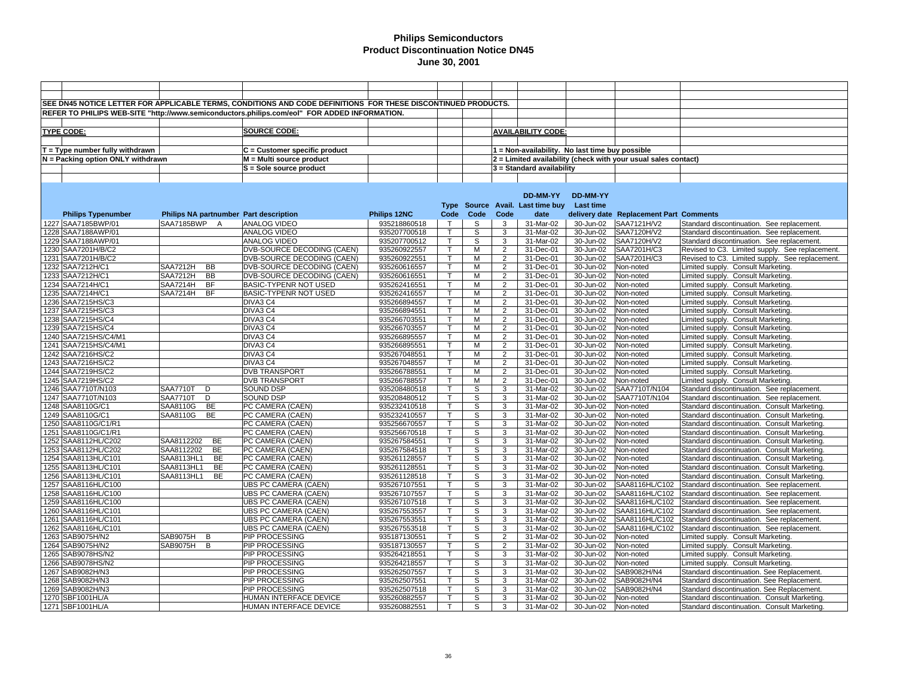|                                   |                                        | SEE DN45 NOTICE LETTER FOR APPLICABLE TERMS, CONDITIONS AND CODE DEFINITIONS FOR THESE DISCONTINUED PRODUCTS. |                     |                    |             |                                  |                                                 |           |                                                                |                                                 |
|-----------------------------------|----------------------------------------|---------------------------------------------------------------------------------------------------------------|---------------------|--------------------|-------------|----------------------------------|-------------------------------------------------|-----------|----------------------------------------------------------------|-------------------------------------------------|
|                                   |                                        | REFER TO PHILIPS WEB-SITE "http://www.semiconductors.philips.com/eol" FOR ADDED INFORMATION.                  |                     |                    |             |                                  |                                                 |           |                                                                |                                                 |
|                                   |                                        |                                                                                                               |                     |                    |             |                                  |                                                 |           |                                                                |                                                 |
|                                   |                                        |                                                                                                               |                     |                    |             |                                  |                                                 |           |                                                                |                                                 |
| <b>TYPE CODE:</b>                 |                                        | <b>SOURCE CODE:</b>                                                                                           |                     |                    |             |                                  | <b>AVAILABILITY CODE:</b>                       |           |                                                                |                                                 |
|                                   |                                        |                                                                                                               |                     |                    |             |                                  |                                                 |           |                                                                |                                                 |
| $T = Type$ number fully withdrawn |                                        | $C =$ Customer specific product                                                                               |                     |                    |             |                                  | 1 = Non-availability. No last time buy possible |           |                                                                |                                                 |
| N = Packing option ONLY withdrawn |                                        | M = Multi source product                                                                                      |                     |                    |             |                                  |                                                 |           | 2 = Limited availability (check with your usual sales contact) |                                                 |
|                                   |                                        | S = Sole source product                                                                                       |                     |                    |             |                                  | 3 = Standard availability                       |           |                                                                |                                                 |
|                                   |                                        |                                                                                                               |                     |                    |             |                                  |                                                 |           |                                                                |                                                 |
|                                   |                                        |                                                                                                               |                     |                    |             |                                  |                                                 |           |                                                                |                                                 |
|                                   |                                        |                                                                                                               |                     |                    |             |                                  | DD-MM-YY                                        | DD-MM-YY  |                                                                |                                                 |
|                                   |                                        |                                                                                                               |                     |                    |             |                                  | Type Source Avail. Last time buy Last time      |           |                                                                |                                                 |
| <b>Philips Typenumber</b>         | Philips NA partnumber Part description |                                                                                                               | <b>Philips 12NC</b> | Code               | Code        | Code                             | date                                            |           | delivery date Replacement Part Comments                        |                                                 |
| 1227 SAA7185BWP/01                | SAA7185BWP<br>A                        | <b>ANALOG VIDEO</b>                                                                                           | 935218860518        | $\top$             | S           | 3                                | 31-Mar-02                                       | 30-Jun-02 | SAA7121H/V2                                                    | Standard discontinuation. See replacement.      |
| 1228 SAA7188AWP/01                |                                        | <b>ANALOG VIDEO</b>                                                                                           | 935207700518        | $\mathsf{T}$       | S           | 3                                | 31-Mar-02                                       | 30-Jun-02 | SAA7120H/V2                                                    | Standard discontinuation. See replacement.      |
| 1229 SAA7188AWP/01                |                                        | ANALOG VIDEO                                                                                                  | 935207700512        | T.                 | S           | 3                                | 31-Mar-02                                       | 30-Jun-02 | SAA7120H/V2                                                    | Standard discontinuation. See replacement.      |
| 1230 SAA7201H/B/C2                |                                        | DVB-SOURCE DECODING (CAEN)                                                                                    | 935260922557        | $\overline{T}$     | M           | $\overline{2}$                   | 31-Dec-01                                       | 30-Jun-02 | SAA7201H/C3                                                    | Revised to C3. Limited supply. See replacement. |
| 1231 SAA7201H/B/C2                |                                        | DVB-SOURCE DECODING (CAEN)                                                                                    | 935260922551        | T                  | М           | $\overline{2}$                   | 31-Dec-01                                       | 30-Jun-02 | SAA7201H/C3                                                    | Revised to C3. Limited supply. See replacement. |
| 1232 SAA7212H/C1                  | <b>SAA7212H</b><br>BB                  | DVB-SOURCE DECODING (CAEN)                                                                                    | 935260616557        | $\mathsf T$        | M           | $\overline{2}$                   | 31-Dec-01                                       | 30-Jun-02 | Non-noted                                                      | Limited supply. Consult Marketing.              |
| 1233 SAA7212H/C1                  | <b>SAA7212H</b><br><b>BB</b>           | DVB-SOURCE DECODING (CAEN)                                                                                    | 935260616551        | T                  | М           | $\overline{2}$                   | 31-Dec-01                                       | 30-Jun-02 | Non-noted                                                      | Limited supply. Consult Marketing.              |
| 1234 SAA7214H/C1                  | <b>SAA7214H</b><br><b>BF</b>           | BASIC-TYPENR NOT USED                                                                                         | 935262416551        | T                  | М           | $\overline{2}$                   | 31-Dec-01                                       | 30-Jun-02 | Non-noted                                                      | Limited supply. Consult Marketing.              |
|                                   | <b>BF</b>                              | BASIC-TYPENR NOT USED                                                                                         | 935262416557        | $\mathsf{T}$       | м           | $\overline{c}$                   | $31 - Dec-01$                                   | 30-Jun-02 |                                                                |                                                 |
| 1235 SAA7214H/C1                  | SAA7214H                               |                                                                                                               |                     | T.                 | M           | $\overline{2}$                   |                                                 |           | Non-noted                                                      | Limited supply. Consult Marketing.              |
| 1236 SAA7215HS/C3                 |                                        | DIVA3 C4                                                                                                      | 935266894557        |                    |             |                                  | 31-Dec-01                                       | 30-Jun-02 | Non-noted                                                      | Limited supply. Consult Marketing.              |
| 1237 SAA7215HS/C3                 |                                        | DIVA3 C4                                                                                                      | 935266894551        | T                  | м           | $\overline{2}$<br>$\overline{2}$ | 31-Dec-01                                       | 30-Jun-02 | Non-noted                                                      | Limited supply. Consult Marketing.              |
| 1238 SAA7215HS/C4                 |                                        | DIVA3 C4                                                                                                      | 935266703551        | T.<br>$\mathsf{T}$ | м           |                                  | 31-Dec-01                                       | 30-Jun-02 | Non-noted                                                      | Limited supply. Consult Marketing.              |
| 1239 SAA7215HS/C4                 |                                        | DIVA3 C4                                                                                                      | 935266703557        |                    | M           | $\overline{2}$                   | 31-Dec-01                                       | 30-Jun-02 | Non-noted                                                      | Limited supply. Consult Marketing.              |
| 1240 SAA7215HS/C4/M1              |                                        | DIVA3 C4                                                                                                      | 935266895557        | T                  | M           | $\overline{2}$                   | 31-Dec-01                                       | 30-Jun-02 | Non-noted                                                      | Limited supply. Consult Marketing.              |
| 1241 SAA7215HS/C4/M1              |                                        | DIVA3 C4                                                                                                      | 935266895551        | $\mathsf{T}$       | M           | $\overline{2}$                   | 31-Dec-01                                       | 30-Jun-02 | Non-noted                                                      | Limited supply. Consult Marketing.              |
| 1242 SAA7216HS/C2                 |                                        | DIVA3 C4                                                                                                      | 935267048551        | T.                 | М           | $\overline{2}$                   | 31-Dec-01                                       | 30-Jun-02 | Non-noted                                                      | Limited supply. Consult Marketing.              |
| 1243 SAA7216HS/C2                 |                                        | DIVA3 C4                                                                                                      | 935267048557        | T                  | М           | $\overline{2}$                   | 31-Dec-01                                       | 30-Jun-02 | Non-noted                                                      | Limited supply. Consult Marketing.              |
| 1244 SAA7219HS/C2                 |                                        | <b>DVB TRANSPORT</b>                                                                                          | 935266788551        | T.                 | M           | $\overline{2}$                   | 31-Dec-01                                       | 30-Jun-02 | Non-noted                                                      | Limited supply. Consult Marketing.              |
| 1245 SAA7219HS/C2                 |                                        | <b>DVB TRANSPORT</b>                                                                                          | 935266788557        | T.                 | М           | $\overline{2}$                   | 31-Dec-01                                       | 30-Jun-02 | Non-noted                                                      | Limited supply. Consult Marketing.              |
| 1246 SAA7710T/N103                | <b>SAA7710T</b><br>D                   | <b>SOUND DSP</b>                                                                                              | 935208480518        | $\mathsf{T}$       | S           | 3                                | 31-Mar-02                                       | 30-Jun-02 | SAA7710T/N104                                                  | Standard discontinuation. See replacement.      |
| 1247 SAA7710T/N103                | <b>SAA7710T</b><br>D                   | SOUND DSP                                                                                                     | 935208480512        | T.                 | S           | 3                                | 31-Mar-02                                       | 30-Jun-02 | SAA7710T/N104                                                  | Standard discontinuation. See replacement.      |
| 1248 SAA8110G/C1                  | SAA8110G<br>BE                         | PC CAMERA (CAEN)                                                                                              | 935232410518        | $\mathsf{T}$       | $\mathbb S$ | 3                                | 31-Mar-02                                       | 30-Jun-02 | Non-noted                                                      | Standard discontinuation. Consult Marketing.    |
| 1249 SAA8110G/C1                  | SAA8110G<br>BE                         | PC CAMERA (CAEN)                                                                                              | 935232410557        | $\mathsf{T}$       | S           | 3                                | 31-Mar-02                                       | 30-Jun-02 | Non-noted                                                      | Standard discontinuation. Consult Marketing     |
| 1250 SAA8110G/C1/R1               |                                        | PC CAMERA (CAEN)                                                                                              | 935256670557        | $\mathsf{T}$       | S           | 3                                | 31-Mar-02                                       | 30-Jun-02 | Non-noted                                                      | Standard discontinuation. Consult Marketing.    |
| 1251   SAA8110G/C1/R1             |                                        | PC CAMERA (CAEN)                                                                                              | 935256670518        | $\mathsf{T}$       | S           | 3                                | 31-Mar-02                                       | 30-Jun-02 | Non-noted                                                      | Standard discontinuation. Consult Marketing.    |
| 1252 SAA8112HL/C202               | SAA8112202<br><b>BE</b>                | PC CAMERA (CAEN)                                                                                              | 935267584551        | T.                 | S           | 3                                | 31-Mar-02                                       | 30-Jun-02 | Non-noted                                                      | Standard discontinuation. Consult Marketing.    |
| 1253 SAA8112HL/C202               | SAA8112202<br><b>BE</b>                | PC CAMERA (CAEN)                                                                                              | 935267584518        | T.                 | S           | 3                                | 31-Mar-02                                       | 30-Jun-02 | Non-noted                                                      | Standard discontinuation. Consult Marketing.    |
| 1254 SAA8113HL/C101               | SAA8113HL1<br>BE                       | PC CAMERA (CAEN)                                                                                              | 935261128557        | T                  | S           | 3                                | 31-Mar-02                                       | 30-Jun-02 | Non-noted                                                      | Standard discontinuation. Consult Marketing.    |
| 1255 SAA8113HL/C101               | BE<br>SAA8113HL1                       | PC CAMERA (CAEN)                                                                                              | 935261128551        | T                  | S           | 3                                | 31-Mar-02                                       | 30-Jun-02 | Non-noted                                                      | Standard discontinuation. Consult Marketing.    |
| 1256 SAA8113HL/C101               | SAA8113HL1<br><b>BE</b>                | PC CAMERA (CAEN)                                                                                              | 935261128518        | $\mathsf{T}$       | S           | 3                                | 31-Mar-02                                       | 30-Jun-02 | Non-noted                                                      | Standard discontinuation. Consult Marketing     |
| 1257 SAA8116HL/C100               |                                        | UBS PC CAMERA (CAEN)                                                                                          | 935267107551        | $\mathsf{T}$       | $\mathbb S$ | 3                                | 31-Mar-02                                       | 30-Jun-02 | SAA8116HL/C102                                                 | Standard discontinuation. See replacement.      |
| 1258 SAA8116HL/C100               |                                        | UBS PC CAMERA (CAEN)                                                                                          | 935267107557        | T.                 | S           | 3                                | 31-Mar-02                                       | 30-Jun-02 | SAA8116HL/C102                                                 | Standard discontinuation. See replacement.      |
| 1259 SAA8116HL/C100               |                                        | UBS PC CAMERA (CAEN)                                                                                          | 935267107518        | $\mathsf{T}$       | S           | 3                                | 31-Mar-02                                       | 30-Jun-02 | SAA8116HL/C102                                                 | Standard discontinuation. See replacement.      |
| 1260 SAA8116HL/C101               |                                        | UBS PC CAMERA (CAEN)                                                                                          | 935267553557        | T                  | S           | 3                                | 31-Mar-02                                       | 30-Jun-02 | SAA8116HL/C102                                                 | Standard discontinuation. See replacement.      |
| 1261 SAA8116HL/C101               |                                        | UBS PC CAMERA (CAEN)                                                                                          | 935267553551        | $\mathsf{T}$       | S           | 3                                | 31-Mar-02                                       | 30-Jun-02 | SAA8116HL/C102                                                 | Standard discontinuation. See replacement       |
| 1262 SAA8116HL/C101               |                                        | <b>UBS PC CAMERA (CAEN)</b>                                                                                   | 935267553518        | T.                 | S           | 3                                | 31-Mar-02                                       | 30-Jun-02 | SAA8116HL/C102                                                 | Standard discontinuation. See replacement.      |
| 1263 SAB9075H/N2                  | <b>SAB9075H</b><br>B                   | PIP PROCESSING                                                                                                | 935187130551        | T.                 | S           | $\overline{2}$                   | 31-Mar-02                                       | 30-Jun-02 | Non-noted                                                      | Limited supply. Consult Marketing.              |
| 1264 SAB9075H/N2                  | SAB9075H<br>B                          | PIP PROCESSING                                                                                                | 935187130557        | $\mathsf{T}$       | S           | $\overline{2}$                   | 31-Mar-02                                       | 30-Jun-02 | Non-noted                                                      | Limited supply. Consult Marketing.              |
| 1265 SAB9078HS/N2                 |                                        | PIP PROCESSING                                                                                                | 935264218551        | $\mathsf{T}$       | S           | 3                                | 31-Mar-02                                       | 30-Jun-02 | Non-noted                                                      | Limited supply. Consult Marketing.              |
| 1266 SAB9078HS/N2                 |                                        | PIP PROCESSING                                                                                                | 935264218557        | $\mathsf{T}$       | $\mathbb S$ | 3                                | 31-Mar-02                                       | 30-Jun-02 | Non-noted                                                      | Limited supply. Consult Marketing.              |
| 1267 SAB9082H/N3                  |                                        | PIP PROCESSING                                                                                                | 935262507557        | T.                 | S           | 3                                | 31-Mar-02                                       | 30-Jun-02 | SAB9082H/N4                                                    | Standard discontinuation. See Replacement.      |
| 1268 SAB9082H/N3                  |                                        | PIP PROCESSING                                                                                                | 935262507551        | T.                 | S           | 3                                | 31-Mar-02                                       | 30-Jun-02 | SAB9082H/N4                                                    | Standard discontinuation. See Replacement.      |
| 1269 SAB9082H/N3                  |                                        | PIP PROCESSING                                                                                                | 935262507518        | $\mathsf{T}$       | S           | 3                                | 31-Mar-02                                       | 30-Jun-02 | SAB9082H/N4                                                    | Standard discontinuation. See Replacement.      |
| 1270 SBF1001HL/A                  |                                        | HUMAN INTERFACE DEVICE                                                                                        | 935260882557        | $\mathsf{T}$       | S           | 3                                | 31-Mar-02                                       | 30-Jun-02 | Non-noted                                                      | Standard discontinuation. Consult Marketing.    |
| 1271 SBF1001HL/A                  |                                        | HUMAN INTERFACE DEVICE                                                                                        | 935260882551        | T                  | S           | 3                                | 31-Mar-02                                       | 30-Jun-02 | Non-noted                                                      | Standard discontinuation. Consult Marketing     |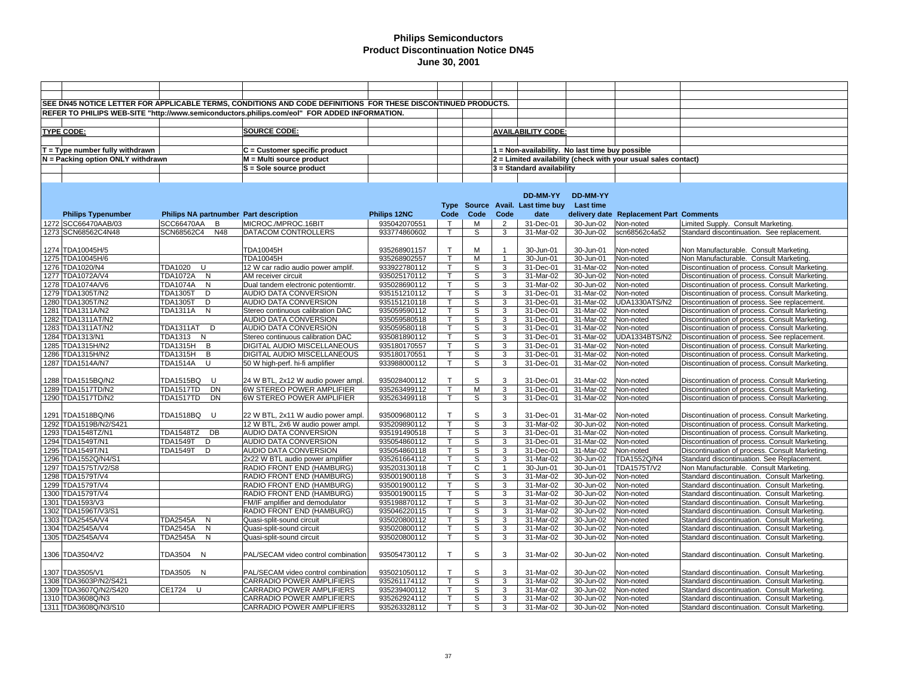|                                                |                                        | SEE DN45 NOTICE LETTER FOR APPLICABLE TERMS, CONDITIONS AND CODE DEFINITIONS FOR THESE DISCONTINUED PRODUCTS. |                              |                   |        |                |                                                 |                         |                                                                |                                                                                              |
|------------------------------------------------|----------------------------------------|---------------------------------------------------------------------------------------------------------------|------------------------------|-------------------|--------|----------------|-------------------------------------------------|-------------------------|----------------------------------------------------------------|----------------------------------------------------------------------------------------------|
|                                                |                                        | REFER TO PHILIPS WEB-SITE "http://www.semiconductors.philips.com/eol" FOR ADDED INFORMATION.                  |                              |                   |        |                |                                                 |                         |                                                                |                                                                                              |
|                                                |                                        |                                                                                                               |                              |                   |        |                |                                                 |                         |                                                                |                                                                                              |
| <b>TYPE CODE:</b>                              |                                        | <b>SOURCE CODE:</b>                                                                                           |                              |                   |        |                | <b>AVAILABILITY CODE:</b>                       |                         |                                                                |                                                                                              |
|                                                |                                        |                                                                                                               |                              |                   |        |                |                                                 |                         |                                                                |                                                                                              |
| $T = Type$ number fully withdrawn              |                                        | C = Customer specific product                                                                                 |                              |                   |        |                | 1 = Non-availability. No last time buy possible |                         |                                                                |                                                                                              |
| N = Packing option ONLY withdrawn              |                                        | M = Multi source product                                                                                      |                              |                   |        |                |                                                 |                         | 2 = Limited availability (check with your usual sales contact) |                                                                                              |
|                                                |                                        | S = Sole source product                                                                                       |                              |                   |        |                | $3$ = Standard availability                     |                         |                                                                |                                                                                              |
|                                                |                                        |                                                                                                               |                              |                   |        |                |                                                 |                         |                                                                |                                                                                              |
|                                                |                                        |                                                                                                               |                              |                   |        |                |                                                 |                         |                                                                |                                                                                              |
|                                                |                                        |                                                                                                               |                              |                   |        |                | DD-MM-YY                                        | <b>DD-MM-YY</b>         |                                                                |                                                                                              |
|                                                |                                        |                                                                                                               |                              |                   |        |                | Type Source Avail. Last time buy                | Last time               |                                                                |                                                                                              |
| <b>Philips Typenumber</b>                      | Philips NA partnumber Part description |                                                                                                               | Philips 12NC                 | Code              | Code   | Code           | date                                            |                         | delivery date Replacement Part Comments                        |                                                                                              |
| 1272 SCC66470AAB/03                            | SCC66470AA B                           | MICROC./MPROC.16BIT                                                                                           | 935042070551                 | $\mathsf{T}$      | М      | $\overline{2}$ | 31-Dec-01                                       | 30-Jun-02               | Non-noted                                                      | Limited Supply. Consult Marketing.                                                           |
| 1273 SCN68562C4N48                             | SCN68562C4<br>N48                      | DATACOM CONTROLLERS                                                                                           | 933774860602                 | T.                | S      | 3              | 31-Mar-02                                       | 30-Jun-02               | scn68562c4a52                                                  | Standard discontinuation. See replacement.                                                   |
|                                                |                                        |                                                                                                               |                              |                   |        |                |                                                 |                         |                                                                |                                                                                              |
| 1274 TDA10045H/5                               |                                        | TDA10045H                                                                                                     | 935268901157                 | T.                | М      | -1             | 30-Jun-01                                       | 30-Jun-01               | Non-noted                                                      | Non Manufacturable. Consult Marketing.                                                       |
| 1275 TDA10045H/6                               |                                        | TDA10045H                                                                                                     | 935268902557                 |                   | М      | $\overline{1}$ | 30-Jun-01                                       | 30-Jun-01               | Non-noted                                                      | Non Manufacturable. Consult Marketing.                                                       |
| 1276 TDA1020/N4                                | <b>TDA1020</b><br>U                    | 12 W car radio audio power amplif.                                                                            | 933922780112                 | T                 | S      | 3              | 31-Dec-01                                       | 31-Mar-02               | Non-noted                                                      | Discontinuation of process. Consult Marketing.                                               |
| 1277 TDA1072A/V4                               | <b>TDA1072A</b><br>N                   | AM receiver circuit                                                                                           | 935025170112                 | т                 | S      | 3              | 31-Mar-02                                       | 30-Jun-02               | Non-noted                                                      | Discontinuation of process. Consult Marketing.                                               |
| 1278 TDA1074A/V6                               | <b>TDA1074A</b><br>N                   | Dual tandem electronic potentiomtr.                                                                           | 935028690112                 | т                 | S      | 3              | 31-Mar-02                                       | 30-Jun-02               | Non-noted                                                      | Discontinuation of process. Consult Marketing.                                               |
| 1279 TDA1305T/N2                               | <b>TDA1305T</b><br>D                   | <b>AUDIO DATA CONVERSION</b>                                                                                  | 935151210112                 | $\mathsf{T}$      | S      | 3              | 31-Dec-01                                       | 31-Mar-02               | Non-noted                                                      | Discontinuation of process. Consult Marketing.                                               |
| 1280 TDA1305T/N2                               | <b>TDA1305T</b><br>D                   | AUDIO DATA CONVERSION                                                                                         | 935151210118                 | т                 | S      | 3              | 31-Dec-01                                       | 31-Mar-02               | UDA1330ATS/N2                                                  | Discontinuation of process. See replacement.                                                 |
| 1281 TDA1311A/N2                               | TDA1311A N                             | Stereo continuous calibration DAC                                                                             | 935059590112                 | T                 | S      | 3              | 31-Dec-01                                       | 31-Mar-02               | Non-noted                                                      | Discontinuation of process. Consult Marketing.                                               |
| 1282 TDA1311AT/N2                              |                                        | AUDIO DATA CONVERSION                                                                                         | 935059580518                 |                   | S      | 3              | 31-Dec-01                                       | 31-Mar-02               | Non-noted                                                      | Discontinuation of process. Consult Marketing.                                               |
| 1283 TDA1311AT/N2                              | TDA1311AT D                            | AUDIO DATA CONVERSION                                                                                         | 935059580118                 | T                 | S      | 3              | 31-Dec-01                                       | 31-Mar-02               | Non-noted                                                      | Discontinuation of process. Consult Marketing.                                               |
| 1284 TDA1313/N1                                | TDA1313 N                              | Stereo continuous calibration DAC                                                                             | 935081890112                 |                   | S      | $\overline{3}$ | 31-Dec-01                                       | 31-Mar-02               | <b>UDA1334BTS/N2</b>                                           | Discontinuation of process. See replacement.                                                 |
| 1285 TDA1315H/N2                               | TDA1315H B                             | DIGITAL AUDIO MISCELLANEOUS                                                                                   | 935180170557                 | T                 | S      | $\overline{3}$ | 31-Dec-01                                       | 31-Mar-02               | Non-noted                                                      | Discontinuation of process. Consult Marketing.                                               |
| 1286 TDA1315H/N2                               | <b>TDA1315H</b><br>B                   | DIGITAL AUDIO MISCELLANEOUS                                                                                   | 935180170551                 |                   | s      | 3              | 31-Dec-01                                       | $\overline{31}$ -Mar-02 | Non-noted                                                      | Discontinuation of process. Consult Marketing.                                               |
| 1287 TDA1514A/N7                               | TDA1514A<br>U                          | 50 W high-perf. hi-fi amplifier                                                                               | 933988000112                 |                   | S      | 3              | 31-Dec-01                                       | 31-Mar-02               | Non-noted                                                      | Discontinuation of process. Consult Marketing.                                               |
|                                                |                                        |                                                                                                               |                              |                   |        |                |                                                 |                         |                                                                |                                                                                              |
| 1288 TDA1515BQ/N2                              | TDA1515BQ<br>U                         | 24 W BTL, 2x12 W audio power ampl.                                                                            | 935028400112                 | $\mathsf{T}$      | S      | 3              | 31-Dec-01                                       | 31-Mar-02               | Non-noted                                                      | Discontinuation of process. Consult Marketing.                                               |
| 1289 TDA1517TD/N2                              | <b>DN</b><br>TDA1517TD                 | 6W STEREO POWER AMPLIFIER                                                                                     | 935263499112                 | $\mathsf{T}$      | M      | 3              | 31-Dec-01                                       | 31-Mar-02               | Non-noted                                                      | Discontinuation of process. Consult Marketing.                                               |
| 1290 TDA1517TD/N2                              | TDA1517TD<br>DN                        | 6W STEREO POWER AMPLIFIER                                                                                     | 935263499118                 |                   | S      | 3              | 31-Dec-01                                       | 31-Mar-02               | Non-noted                                                      | Discontinuation of process. Consult Marketing.                                               |
|                                                |                                        |                                                                                                               |                              |                   |        |                |                                                 |                         |                                                                |                                                                                              |
| 1291 TDA1518BQ/N6                              | <b>TDA1518BQ</b><br><b>U</b>           | 22 W BTL, 2x11 W audio power ampl.                                                                            | 935009680112                 | $\mathsf{T}$      | S      | 3              | 31-Dec-01                                       | 31-Mar-02               | Non-noted                                                      | Discontinuation of process. Consult Marketing.                                               |
| 1292 TDA1519B/N2/S421                          |                                        | 12 W BTL, 2x6 W audio power ampl.                                                                             | 935209890112                 | Т                 | S      | 3              | 31-Mar-02                                       | 30-Jun-02               | Non-noted                                                      | Discontinuation of process. Consult Marketing.                                               |
| 1293 TDA1548TZ/N1                              | TDA1548TZ DB                           | AUDIO DATA CONVERSION                                                                                         | 935191490518                 |                   | S      | 3              | 31-Dec-01                                       | $\overline{31}$ -Mar-02 | Non-noted                                                      | Discontinuation of process. Consult Marketing.                                               |
| 1294 TDA1549T/N1                               | <b>TDA1549T</b><br>D                   | AUDIO DATA CONVERSION                                                                                         | 935054860112                 |                   | S      | 3              | 31-Dec-01                                       | 31-Mar-02               | Non-noted                                                      | Discontinuation of process. Consult Marketing.                                               |
| 1295 TDA1549T/N1                               | <b>TDA1549T</b><br>D                   | AUDIO DATA CONVERSION                                                                                         | 935054860118                 |                   | S      | 3              | 31-Dec-01                                       | 31-Mar-02               | Non-noted                                                      | Discontinuation of process. Consult Marketing.                                               |
| 1296 TDA1552Q/N4/S1                            |                                        | 2x22 W BTL audio power amplifier                                                                              | 935261664112                 |                   | S      | 3              | 31-Mar-02                                       | 30-Jun-02               | TDA1552Q/N4                                                    | Standard discontinuation. See Replacement.                                                   |
| 1297 TDA1575T/V2/S8                            |                                        | RADIO FRONT END (HAMBURG)                                                                                     | 935203130118                 | $\mathsf{T}$      | C      | $\mathbf{1}$   | 30-Jun-01                                       | 30-Jun-01               | TDA1575T/V2                                                    | Non Manufacturable. Consult Marketing.                                                       |
| 1298 TDA1579T/V4                               |                                        | RADIO FRONT END (HAMBURG)                                                                                     | 935001900118                 |                   | S      | 3              | 31-Mar-02                                       | $30 - Jun-02$           | Non-noted                                                      | Standard discontinuation. Consult Marketing.                                                 |
| 1299 TDA1579T/V4                               |                                        | RADIO FRONT END (HAMBURG)                                                                                     | 935001900112                 |                   | S      | 3              | 31-Mar-02                                       | 30-Jun-02               | Non-noted                                                      | Standard discontinuation. Consult Marketing.                                                 |
| 1300 TDA1579T/V4                               |                                        | RADIO FRONT END (HAMBURG)                                                                                     | 935001900115                 |                   | S      | 3              | 31-Mar-02                                       | 30-Jun-02               | Non-noted                                                      | Standard discontinuation. Consult Marketing.                                                 |
| 1301 TDA1593/V3                                |                                        | FM/IF amplifier and demodulator                                                                               | 935198870112                 | T<br>$\mathsf{T}$ | S      | 3              | 31-Mar-02                                       | 30-Jun-02               | Non-noted                                                      | Standard discontinuation. Consult Marketing.                                                 |
| 1302 TDA1596T/V3/S1                            |                                        | RADIO FRONT END (HAMBURG)                                                                                     | 935046220115                 |                   | S      | 3              | 31-Mar-02                                       | 30-Jun-02               | Non-noted                                                      | Standard discontinuation. Consult Marketing.                                                 |
| 1303 TDA2545A/V4                               | <b>TDA2545A N</b>                      | Quasi-split-sound circuit                                                                                     | 935020800112                 | т<br>T            | S      | 3              | 31-Mar-02                                       | 30-Jun-02               | Non-noted                                                      | Standard discontinuation. Consult Marketing.                                                 |
| 1304 TDA2545A/V4                               | <b>TDA2545A</b><br>N                   | Quasi-split-sound circuit                                                                                     | 935020800112                 |                   | S      | 3              | 31-Mar-02                                       | 30-Jun-02               | Non-noted                                                      | Standard discontinuation. Consult Marketing.                                                 |
| 1305 TDA2545A/V4                               | <b>TDA2545A</b><br>N                   | Quasi-split-sound circuit                                                                                     | 935020800112                 | т                 | S      | 3              | 31-Mar-02                                       | 30-Jun-02               | Non-noted                                                      | Standard discontinuation. Consult Marketing.                                                 |
|                                                |                                        |                                                                                                               |                              | T                 |        |                |                                                 |                         |                                                                |                                                                                              |
| 1306 TDA3504/V2                                | TDA3504 N                              | PAL/SECAM video control combination                                                                           | 935054730112                 |                   | S      | 3              | 31-Mar-02                                       | 30-Jun-02               | Non-noted                                                      | Standard discontinuation. Consult Marketing.                                                 |
|                                                |                                        |                                                                                                               |                              |                   | S      | 3              | 31-Mar-02                                       |                         |                                                                |                                                                                              |
| 1307 TDA3505/V1                                | TDA3505 N                              | PAL/SECAM video control combination                                                                           | 935021050112                 | T                 |        |                |                                                 | 30-Jun-02               | Non-noted                                                      | Standard discontinuation. Consult Marketing.                                                 |
| 1308 TDA3603P/N2/S421<br>1309 TDA3607Q/N2/S420 | CE1724 U                               | CARRADIO POWER AMPLIFIERS<br>CARRADIO POWER AMPLIFIERS                                                        | 935261174112                 |                   | S<br>S | 3<br>3         | 31-Mar-02<br>31-Mar-02                          | 30-Jun-02<br>30-Jun-02  | Non-noted<br>Non-noted                                         | Standard discontinuation. Consult Marketing.<br>Standard discontinuation. Consult Marketing. |
| 1310 TDA3608Q/N3                               |                                        | <b>CARRADIO POWER AMPLIFIERS</b>                                                                              | 935239400112<br>935262924112 |                   | S      | 3              | 31-Mar-02                                       | 30-Jun-02               | Non-noted                                                      | Standard discontinuation. Consult Marketing.                                                 |
| 1311 TDA3608Q/N3/S10                           |                                        | CARRADIO POWER AMPLIFIERS                                                                                     | 935263328112                 | T                 | S      | 3              | 31-Mar-02                                       | 30-Jun-02               | Non-noted                                                      | Standard discontinuation. Consult Marketing.                                                 |
|                                                |                                        |                                                                                                               |                              |                   |        |                |                                                 |                         |                                                                |                                                                                              |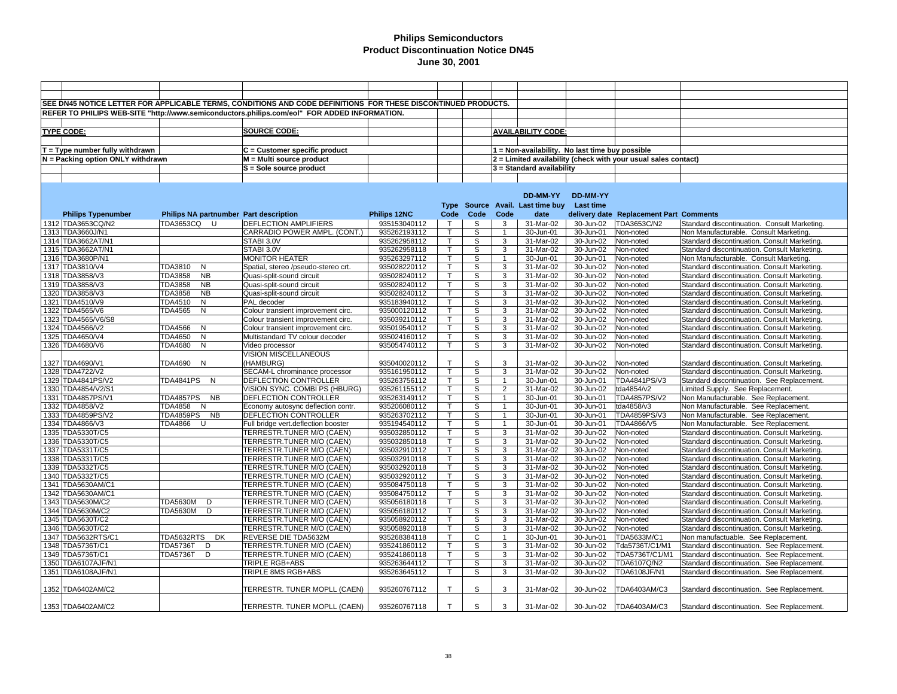|                                   |                                        | SEE DN45 NOTICE LETTER FOR APPLICABLE TERMS, CONDITIONS AND CODE DEFINITIONS FOR THESE DISCONTINUED PRODUCTS. |              |              |              |                |                                                                |           |                                         |                                              |  |
|-----------------------------------|----------------------------------------|---------------------------------------------------------------------------------------------------------------|--------------|--------------|--------------|----------------|----------------------------------------------------------------|-----------|-----------------------------------------|----------------------------------------------|--|
|                                   |                                        |                                                                                                               |              |              |              |                |                                                                |           |                                         |                                              |  |
|                                   |                                        | REFER TO PHILIPS WEB-SITE "http://www.semiconductors.philips.com/eol" FOR ADDED INFORMATION.                  |              |              |              |                |                                                                |           |                                         |                                              |  |
|                                   |                                        |                                                                                                               |              |              |              |                |                                                                |           |                                         |                                              |  |
| <b>TYPE CODE:</b>                 |                                        | <b>SOURCE CODE:</b>                                                                                           |              |              |              |                | <b>AVAILABILITY CODE:</b>                                      |           |                                         |                                              |  |
|                                   |                                        |                                                                                                               |              |              |              |                |                                                                |           |                                         |                                              |  |
| $T = Type$ number fully withdrawn |                                        | C = Customer specific product                                                                                 |              |              |              |                | 1 = Non-availability. No last time buy possible                |           |                                         |                                              |  |
| N = Packing option ONLY withdrawn |                                        | M = Multi source product                                                                                      |              |              |              |                | 2 = Limited availability (check with your usual sales contact) |           |                                         |                                              |  |
|                                   |                                        | S = Sole source product                                                                                       |              |              |              |                | 3 = Standard availability                                      |           |                                         |                                              |  |
|                                   |                                        |                                                                                                               |              |              |              |                |                                                                |           |                                         |                                              |  |
|                                   |                                        |                                                                                                               |              |              |              |                |                                                                |           |                                         |                                              |  |
|                                   |                                        |                                                                                                               |              |              |              |                | DD-MM-YY                                                       | DD-MM-YY  |                                         |                                              |  |
|                                   |                                        |                                                                                                               |              |              |              |                | Type Source Avail. Last time buy                               | Last time |                                         |                                              |  |
| <b>Philips Typenumber</b>         | Philips NA partnumber Part description |                                                                                                               | Philips 12NC | Code         | Code         | Code           | date                                                           |           | delivery date Replacement Part Comments |                                              |  |
| 1312 TDA3653CQ/N2                 | TDA3653CQ U                            | <b>DEFLECTION AMPLIFIERS</b>                                                                                  | 935153040112 | $\top$       | S            | 3              | 31-Mar-02                                                      | 30-Jun-02 | TDA3653C/N2                             | Standard discontinuation. Consult Marketing. |  |
| 1313 TDA3660J/N1                  |                                        | CARRADIO POWER AMPL. (CONT.)                                                                                  | 935262193112 | $\mathsf{T}$ | S            | $\overline{1}$ | 30-Jun-01                                                      | 30-Jun-01 | Non-noted                               | Non Manufacturable. Consult Marketing.       |  |
| 1314 TDA3662AT/N1                 |                                        | STABI 3.0V                                                                                                    | 935262958112 |              | S            | 3              | 31-Mar-02                                                      | 30-Jun-02 | Non-noted                               | Standard discontinuation. Consult Marketing. |  |
| 1315 TDA3662AT/N1                 |                                        | STABI 3.0V                                                                                                    | 935262958118 | $\mathsf{T}$ | S            | 3              | 31-Mar-02                                                      | 30-Jun-02 | Non-noted                               | Standard discontinuation. Consult Marketing. |  |
| 1316 TDA3680P/N1                  |                                        | <b>MONITOR HEATER</b>                                                                                         | 935263297112 |              | S            |                | 30-Jun-01                                                      | 30-Jun-01 | Non-noted                               | Non Manufacturable. Consult Marketing.       |  |
| 1317 TDA3810/V4                   | TDA3810<br>N                           | Spatial, stereo /pseudo-stereo crt.                                                                           | 935028220112 | т            | S            | 3              | 31-Mar-02                                                      | 30-Jun-02 | Non-noted                               | Standard discontinuation. Consult Marketing. |  |
| 1318 TDA3858/V3                   | <b>TDA3858</b><br><b>NB</b>            | Quasi-split-sound circuit                                                                                     | 935028240112 |              | s            | 3              | 31-Mar-02                                                      | 30-Jun-02 | Non-noted                               | Standard discontinuation. Consult Marketing. |  |
| 1319 TDA3858/V3                   | <b>TDA3858</b><br><b>NB</b>            | Quasi-split-sound circuit                                                                                     | 935028240112 |              | S            | 3              | 31-Mar-02                                                      | 30-Jun-02 | Non-noted                               | Standard discontinuation. Consult Marketing. |  |
| 1320 TDA3858/V3                   | <b>TDA3858</b><br><b>NB</b>            | Quasi-split-sound circuit                                                                                     | 935028240112 |              | s            | $\overline{3}$ | 31-Mar-02                                                      | 30-Jun-02 | Non-noted                               | Standard discontinuation. Consult Marketing. |  |
| 1321 TDA4510/V9                   | N<br>TDA4510                           | PAL decoder                                                                                                   | 935183940112 | $\mathsf{T}$ | S            | 3              | 31-Mar-02                                                      | 30-Jun-02 | Non-noted                               | Standard discontinuation. Consult Marketing  |  |
| 1322 TDA4565/V6                   | <b>TDA4565</b><br>N                    | Colour transient improvement circ.                                                                            | 935000120112 |              | S            | 3              | 31-Mar-02                                                      | 30-Jun-02 | Non-noted                               | Standard discontinuation. Consult Marketing  |  |
| 1323 TDA4565/V6/S8                |                                        | Colour transient improvement circ.                                                                            | 935039210112 |              | S            | 3              | 31-Mar-02                                                      | 30-Jun-02 | Non-noted                               | Standard discontinuation. Consult Marketing. |  |
| 1324 TDA4566/V2                   | <b>TDA4566</b><br>N                    | Colour transient improvement circ.                                                                            | 935019540112 | $\mathsf{T}$ | S            | 3              | 31-Mar-02                                                      | 30-Jun-02 | Non-noted                               | Standard discontinuation. Consult Marketing. |  |
| 1325 TDA4650/V4                   | TDA4650<br>N                           | Multistandard TV colour decoder                                                                               | 935024160112 |              | S            | 3              | 31-Mar-02                                                      | 30-Jun-02 | Non-noted                               | Standard discontinuation. Consult Marketing. |  |
| 1326 TDA4680/V6                   | TDA4680<br>$\mathsf{N}$                | Video processor                                                                                               | 935054740112 | T.           | S            | 3              | 31-Mar-02                                                      | 30-Jun-02 | Non-noted                               | Standard discontinuation. Consult Marketing. |  |
|                                   |                                        | VISION MISCELLANEOUS                                                                                          |              |              |              |                |                                                                |           |                                         |                                              |  |
| 1327 TDA4690/V1                   | TDA4690 N                              | (HAMBURG)                                                                                                     | 935040020112 | T            | S            | 3              | 31-Mar-02                                                      | 30-Jun-02 | Non-noted                               | Standard discontinuation. Consult Marketing. |  |
| 1328 TDA4722/V2                   |                                        | SECAM-L chrominance processor                                                                                 | 935161950112 |              | S            | 3              | 31-Mar-02                                                      | 30-Jun-02 | Non-noted                               | Standard discontinuation. Consult Marketing. |  |
| 1329 TDA4841PS/V2                 | TDA4841PS N                            | <b>DEFLECTION CONTROLLER</b>                                                                                  | 935263756112 |              | S            | $\overline{1}$ | 30-Jun-01                                                      | 30-Jun-01 | <b>TDA4841PS/V3</b>                     | Standard discontinuation. See Replacement.   |  |
| 1330 TDA4854/V2/S1                |                                        | VISION SYNC, COMBI PS (HBURG)                                                                                 | 935261155112 |              | S            | $\overline{2}$ | 31-Mar-02                                                      | 30-Jun-02 | tda4854/v2                              | Limited Supply. See Replacement.             |  |
| 1331 TDA4857PS/V1                 | TDA4857PS NB                           | DEFLECTION CONTROLLER                                                                                         | 935263149112 |              | S            | $\mathbf{1}$   | 30-Jun-01                                                      | 30-Jun-01 | TDA4857PS/V2                            | Non Manufacturable. See Replacement.         |  |
| 1332 TDA4858/V2                   | <b>TDA4858</b><br>N                    | Economy autosync deflection contr.                                                                            | 935206080112 | $\mathsf{T}$ | S            | $\overline{1}$ | 30-Jun-01                                                      | 30-Jun-01 | tda4858/v3                              | Non Manufacturable. See Replacement.         |  |
| 1333 TDA4859PS/V2                 | TDA4859PS NB                           | DEFLECTION CONTROLLER                                                                                         | 935263702112 |              | S            | $\mathbf 1$    | 30-Jun-01                                                      | 30-Jun-01 | TDA4859PS/V3                            | Non Manufacturable. See Replacement.         |  |
| 1334 TDA4866/V3                   | TDA4866 U                              | Full bridge vert.deflection booster                                                                           | 935194540112 | T            | S            | $\overline{1}$ | 30-Jun-01                                                      | 30-Jun-01 | TDA4866/V5                              | Non Manufacturable. See Replacement.         |  |
| 1335 TDA5330T/C5                  |                                        | TERRESTR.TUNER M/O (CAEN)                                                                                     | 935032850112 |              | S            | 3              | 31-Mar-02                                                      | 30-Jun-02 | Non-noted                               | Standard discontinuation. Consult Marketing. |  |
| 1336 TDA5330T/C5                  |                                        | TERRESTR.TUNER M/O (CAEN)                                                                                     | 935032850118 | т            | S            | 3              | 31-Mar-02                                                      | 30-Jun-02 | Non-noted                               | Standard discontinuation. Consult Marketing. |  |
| 1337 TDA5331T/C5                  |                                        | TERRESTR.TUNER M/O (CAEN)                                                                                     | 935032910112 | $\mathsf{T}$ | S            | 3              | 31-Mar-02                                                      | 30-Jun-02 | Non-noted                               | Standard discontinuation. Consult Marketing. |  |
| 1338 TDA5331T/C5                  |                                        | TERRESTR.TUNER M/O (CAEN)                                                                                     | 935032910118 | $\mathsf{T}$ | S            | 3              | 31-Mar-02                                                      | 30-Jun-02 | Non-noted                               | Standard discontinuation. Consult Marketing  |  |
| 1339 TDA5332T/C5                  |                                        | TERRESTR.TUNER M/O (CAEN)                                                                                     | 935032920118 |              | S            | 3              | 31-Mar-02                                                      | 30-Jun-02 | Non-noted                               | Standard discontinuation. Consult Marketing  |  |
| 1340 TDA5332T/C5                  |                                        | TERRESTR.TUNER M/O (CAEN)                                                                                     | 935032920112 |              | S            | 3              | 31-Mar-02                                                      | 30-Jun-02 | Non-noted                               | Standard discontinuation. Consult Marketing. |  |
| 1341 TDA5630AM/C1                 |                                        | TERRESTR.TUNER M/O (CAEN)                                                                                     | 935084750118 | $\mathsf{T}$ | S            | 3              | 31-Mar-02                                                      | 30-Jun-02 | Non-noted                               | Standard discontinuation. Consult Marketing. |  |
| 1342 TDA5630AM/C1                 |                                        | TERRESTR.TUNER M/O (CAEN)                                                                                     | 935084750112 |              | S            | 3              | 31-Mar-02                                                      | 30-Jun-02 | Non-noted                               | Standard discontinuation. Consult Marketing. |  |
| 1343 TDA5630M/C2                  | TDA5630M D                             | TERRESTR.TUNER M/O (CAEN)                                                                                     | 935056180118 | T            | S            | 3              | 31-Mar-02                                                      | 30-Jun-02 | Non-noted                               | Standard discontinuation. Consult Marketing. |  |
| 1344 TDA5630M/C2                  | TDA5630M D                             | TERRESTR.TUNER M/O (CAEN)                                                                                     | 935056180112 |              | S            | 3              | 31-Mar-02                                                      | 30-Jun-02 | Non-noted                               | Standard discontinuation. Consult Marketing. |  |
| 1345 TDA5630T/C2                  |                                        | TERRESTR.TUNER M/O (CAEN)                                                                                     | 935058920112 | T            | S            | 3              | 31-Mar-02                                                      | 30-Jun-02 | Non-noted                               | Standard discontinuation. Consult Marketing. |  |
| 1346 TDA5630T/C2                  |                                        | TERRESTR.TUNER M/O (CAEN)                                                                                     | 935058920118 | Т            | S            | 3              | 31-Mar-02                                                      | 30-Jun-02 | Non-noted                               | Standard discontinuation. Consult Marketing. |  |
| 1347 TDA5632RTS/C1                | TDA5632RTS<br>DK                       | REVERSE DIE TDA5632M                                                                                          | 935268384118 |              | $\mathsf{C}$ | $\overline{1}$ | 30-Jun-01                                                      | 30-Jun-01 | TDA5633M/C1                             | Non manufactuable. See Replacement.          |  |
| 1348 TDA5736T/C1                  | TDA5736T<br>D                          | TERRESTR.TUNER M/O (CAEN)                                                                                     | 935241860112 |              | S            | 3              | 31-Mar-02                                                      | 30-Jun-02 | Tda5736T/C1/M1                          | Standard discontinuation. See Replacement.   |  |
| 1349 TDA5736T/C1                  | <b>TDA5736T</b><br>D                   | TERRESTR.TUNER M/O (CAEN)                                                                                     | 935241860118 |              | S            | 3              | 31-Mar-02                                                      | 30-Jun-02 | TDA5736T/C1/M1                          | Standard discontinuation. See Replacement.   |  |
| 1350 TDA6107AJF/N1                |                                        | TRIPLE RGB+ABS                                                                                                | 935263644112 | $\mathsf{T}$ | S            | 3              | 31-Mar-02                                                      | 30-Jun-02 | TDA6107Q/N2                             | Standard discontinuation. See Replacement.   |  |
| 1351 TDA6108AJF/N1                |                                        | TRIPLE 8MS RGB+ABS                                                                                            | 935263645112 |              | S            | 3              | 31-Mar-02                                                      | 30-Jun-02 | TDA6108JF/N1                            | Standard discontinuation. See Replacement.   |  |
| 1352 TDA6402AM/C2                 |                                        | TERRESTR. TUNER MOPLL (CAEN)                                                                                  | 935260767112 | T            | S            | 3              | 31-Mar-02                                                      | 30-Jun-02 | TDA6403AM/C3                            | Standard discontinuation. See Replacement.   |  |
| 1353 TDA6402AM/C2                 |                                        | TERRESTR. TUNER MOPLL (CAEN)                                                                                  | 935260767118 | T            | S            | 3              | 31-Mar-02                                                      | 30-Jun-02 | TDA6403AM/C3                            | Standard discontinuation. See Replacement.   |  |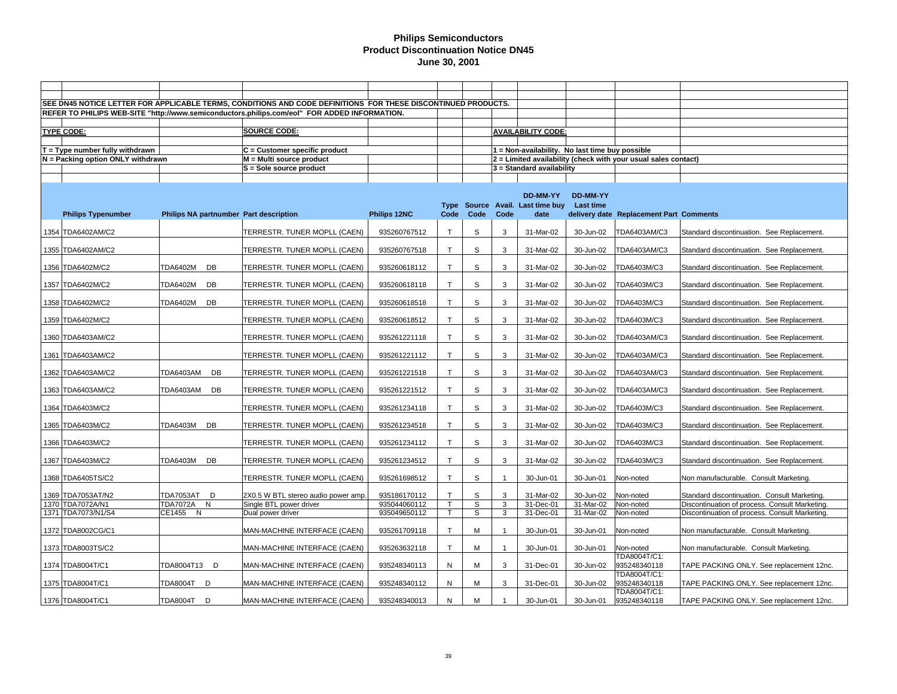|                                       |                           |    | SEE DN45 NOTICE LETTER FOR APPLICABLE TERMS, CONDITIONS AND CODE DEFINITIONS FOR THESE DISCONTINUED PRODUCTS. |                              |                         |        |                |                                                 |                                     |                                                                |                                                                                                |
|---------------------------------------|---------------------------|----|---------------------------------------------------------------------------------------------------------------|------------------------------|-------------------------|--------|----------------|-------------------------------------------------|-------------------------------------|----------------------------------------------------------------|------------------------------------------------------------------------------------------------|
|                                       |                           |    | REFER TO PHILIPS WEB-SITE "http://www.semiconductors.philips.com/eol" FOR ADDED INFORMATION.                  |                              |                         |        |                |                                                 |                                     |                                                                |                                                                                                |
| <b>TYPE CODE:</b>                     |                           |    | <b>SOURCE CODE:</b>                                                                                           |                              |                         |        |                | <b>AVAILABILITY CODE:</b>                       |                                     |                                                                |                                                                                                |
|                                       |                           |    |                                                                                                               |                              |                         |        |                |                                                 |                                     |                                                                |                                                                                                |
| T = Type number fully withdrawn       |                           |    | $C =$ Customer specific product                                                                               |                              |                         |        |                | 1 = Non-availability. No last time buy possible |                                     |                                                                |                                                                                                |
| N = Packing option ONLY withdrawn     |                           |    | M = Multi source product                                                                                      |                              |                         |        |                |                                                 |                                     | 2 = Limited availability (check with your usual sales contact) |                                                                                                |
|                                       |                           |    | S = Sole source product                                                                                       |                              |                         |        |                | 3 = Standard availability                       |                                     |                                                                |                                                                                                |
|                                       |                           |    |                                                                                                               |                              |                         |        |                |                                                 |                                     |                                                                |                                                                                                |
|                                       |                           |    |                                                                                                               |                              |                         |        |                |                                                 |                                     |                                                                |                                                                                                |
|                                       |                           |    |                                                                                                               |                              |                         |        |                | DD-MM-YY                                        | <b>DD-MM-YY</b><br><b>Last time</b> |                                                                |                                                                                                |
| <b>Philips Typenumber</b>             |                           |    | Philips NA partnumber Part description                                                                        | Philips 12NC                 | Code                    | Code   | Code           | Type Source Avail. Last time buy<br>date        |                                     | delivery date Replacement Part Comments                        |                                                                                                |
|                                       |                           |    |                                                                                                               |                              |                         |        |                |                                                 |                                     |                                                                |                                                                                                |
| 1354 TDA6402AM/C2                     |                           |    | TERRESTR. TUNER MOPLL (CAEN)                                                                                  | 935260767512                 | $\mathsf{T}$            | S      | 3              | 31-Mar-02                                       | 30-Jun-02                           | TDA6403AM/C3                                                   | Standard discontinuation. See Replacement.                                                     |
|                                       |                           |    |                                                                                                               |                              |                         |        |                |                                                 |                                     |                                                                |                                                                                                |
| 1355 TDA6402AM/C2                     |                           |    | TERRESTR. TUNER MOPLL (CAEN)                                                                                  | 935260767518                 | T                       | S      | 3              | 31-Mar-02                                       | 30-Jun-02                           | TDA6403AM/C3                                                   | Standard discontinuation. See Replacement.                                                     |
| 1356 TDA6402M/C2                      | TDA6402M DB               |    | TERRESTR. TUNER MOPLL (CAEN)                                                                                  | 935260618112                 | T                       | S      | 3              | 31-Mar-02                                       | 30-Jun-02                           | TDA6403M/C3                                                    | Standard discontinuation. See Replacement.                                                     |
|                                       |                           |    |                                                                                                               |                              |                         |        |                |                                                 |                                     |                                                                |                                                                                                |
| 1357 TDA6402M/C2                      | TDA6402M DB               |    | TERRESTR. TUNER MOPLL (CAEN)                                                                                  | 935260618118                 | T                       | S      | 3              | 31-Mar-02                                       | 30-Jun-02                           | TDA6403M/C3                                                    | Standard discontinuation. See Replacement.                                                     |
|                                       |                           |    |                                                                                                               |                              |                         |        |                |                                                 |                                     |                                                                |                                                                                                |
| 1358 TDA6402M/C2                      | TDA6402M DB               |    | TERRESTR. TUNER MOPLL (CAEN)                                                                                  | 935260618518                 | T.                      | S      | 3              | 31-Mar-02                                       | 30-Jun-02                           | TDA6403M/C3                                                    | Standard discontinuation. See Replacement.                                                     |
| 1359 TDA6402M/C2                      |                           |    | TERRESTR. TUNER MOPLL (CAEN)                                                                                  | 935260618512                 | T                       | S      | 3              | 31-Mar-02                                       | 30-Jun-02                           | TDA6403M/C3                                                    | Standard discontinuation. See Replacement.                                                     |
|                                       |                           |    |                                                                                                               |                              |                         |        |                |                                                 |                                     |                                                                |                                                                                                |
| 1360 TDA6403AM/C2                     |                           |    | TERRESTR. TUNER MOPLL (CAEN)                                                                                  | 935261221118                 | T.                      | S      | 3              | 31-Mar-02                                       | 30-Jun-02                           | TDA6403AM/C3                                                   | Standard discontinuation. See Replacement.                                                     |
| 1361 TDA6403AM/C2                     |                           |    |                                                                                                               |                              | T                       | S      | 3              | 31-Mar-02                                       |                                     | TDA6403AM/C3                                                   |                                                                                                |
|                                       |                           |    | TERRESTR. TUNER MOPLL (CAEN)                                                                                  | 935261221112                 |                         |        |                |                                                 | 30-Jun-02                           |                                                                | Standard discontinuation. See Replacement.                                                     |
| 1362 TDA6403AM/C2                     | <b>TDA6403AM</b>          | DB | TERRESTR. TUNER MOPLL (CAEN)                                                                                  | 935261221518                 | $\mathsf{T}$            | S      | 3              | 31-Mar-02                                       | 30-Jun-02                           | TDA6403AM/C3                                                   | Standard discontinuation. See Replacement.                                                     |
|                                       |                           |    |                                                                                                               |                              |                         |        |                |                                                 |                                     |                                                                |                                                                                                |
| 1363 TDA6403AM/C2                     | TDA6403AM                 | DB | TERRESTR. TUNER MOPLL (CAEN)                                                                                  | 935261221512                 | T                       | S      | 3              | 31-Mar-02                                       | 30-Jun-02                           | TDA6403AM/C3                                                   | Standard discontinuation. See Replacement.                                                     |
| 1364 TDA6403M/C2                      |                           |    | TERRESTR. TUNER MOPLL (CAEN)                                                                                  | 935261234118                 | $\mathsf{T}$            | S      | 3              | 31-Mar-02                                       | 30-Jun-02                           | TDA6403M/C3                                                    | Standard discontinuation. See Replacement.                                                     |
|                                       |                           |    |                                                                                                               |                              |                         |        |                |                                                 |                                     |                                                                |                                                                                                |
| 1365 TDA6403M/C2                      | TDA6403M DB               |    | TERRESTR. TUNER MOPLL (CAEN)                                                                                  | 935261234518                 | $\mathsf{T}$            | S      | 3              | 31-Mar-02                                       | 30-Jun-02                           | TDA6403M/C3                                                    | Standard discontinuation. See Replacement.                                                     |
|                                       |                           |    |                                                                                                               |                              |                         |        |                |                                                 |                                     |                                                                |                                                                                                |
| 1366 TDA6403M/C2                      |                           |    | TERRESTR. TUNER MOPLL (CAEN)                                                                                  | 935261234112                 | T                       | S      | 3              | 31-Mar-02                                       | 30-Jun-02                           | TDA6403M/C3                                                    | Standard discontinuation. See Replacement.                                                     |
| 1367 TDA6403M/C2                      | TDA6403M DB               |    | TERRESTR. TUNER MOPLL (CAEN)                                                                                  | 935261234512                 | $\mathsf{T}$            | S      | 3              | 31-Mar-02                                       | 30-Jun-02                           | TDA6403M/C3                                                    | Standard discontinuation. See Replacement.                                                     |
|                                       |                           |    |                                                                                                               |                              |                         |        |                |                                                 |                                     |                                                                |                                                                                                |
| 1368 TDA6405TS/C2                     |                           |    | TERRESTR. TUNER MOPLL (CAEN)                                                                                  | 935261698512                 | $\mathsf{T}$            | S      |                | 30-Jun-01                                       | 30-Jun-01                           | Non-noted                                                      | Non manufacturable. Consult Marketing.                                                         |
|                                       |                           |    |                                                                                                               |                              |                         |        |                |                                                 |                                     |                                                                |                                                                                                |
| 1369 TDA7053AT/N2<br>1370 TDA7072A/N1 | TDA7053AT D<br>TDA7072A N |    | 2X0.5 W BTL stereo audio power amp.<br>Single BTL power driver                                                | 935186170112<br>935044060112 | T<br>T                  | S<br>S | 3<br>3         | 31-Mar-02<br>31-Dec-01                          | 30-Jun-02<br>31-Mar-02              | Non-noted<br>Non-noted                                         | Standard discontinuation. Consult Marketing.<br>Discontinuation of process. Consult Marketing. |
| 1371 TDA7073/N1/S4                    | CE1455 N                  |    | Dual power driver                                                                                             | 935049650112                 | $\overline{\mathsf{T}}$ | s      | 3              | 31-Dec-01                                       | 31-Mar-02                           | Non-noted                                                      | Discontinuation of process. Consult Marketing.                                                 |
|                                       |                           |    |                                                                                                               |                              |                         |        |                |                                                 |                                     |                                                                |                                                                                                |
| 1372 TDA8002CG/C1                     |                           |    | MAN-MACHINE INTERFACE (CAEN)                                                                                  | 935261709118                 | T                       | M      |                | 30-Jun-01                                       | 30-Jun-01                           | Non-noted                                                      | Non manufacturable. Consult Marketing.                                                         |
|                                       |                           |    |                                                                                                               |                              | T                       | M      |                |                                                 |                                     |                                                                |                                                                                                |
| 1373 TDA8003TS/C2                     |                           |    | MAN-MACHINE INTERFACE (CAEN)                                                                                  | 935263632118                 |                         |        | $\overline{1}$ | 30-Jun-01                                       | 30-Jun-01                           | Non-noted<br>TDA8004T/C1:                                      | Non manufacturable. Consult Marketing.                                                         |
| 1374 TDA8004T/C1                      | TDA8004T13 D              |    | MAN-MACHINE INTERFACE (CAEN)                                                                                  | 935248340113                 | N                       | M      | 3              | 31-Dec-01                                       | 30-Jun-02                           | 935248340118                                                   | TAPE PACKING ONLY. See replacement 12nc.                                                       |
|                                       |                           |    |                                                                                                               |                              |                         |        |                |                                                 |                                     | <b>TDA8004T/C1:</b>                                            |                                                                                                |
| 1375 TDA8004T/C1                      | TDA8004T D                |    | MAN-MACHINE INTERFACE (CAEN)                                                                                  | 935248340112                 | N                       | М      | 3              | 31-Dec-01                                       | 30-Jun-02                           | 935248340118                                                   | TAPE PACKING ONLY. See replacement 12nc.                                                       |
|                                       |                           |    |                                                                                                               |                              |                         |        |                |                                                 |                                     | TDA8004T/C1:                                                   |                                                                                                |
| 1376 TDA8004T/C1                      | <b>TDA8004T</b>           | D  | MAN-MACHINE INTERFACE (CAEN)                                                                                  | 935248340013                 | N                       | M      |                | 30-Jun-01                                       | 30-Jun-01                           | 935248340118                                                   | TAPE PACKING ONLY. See replacement 12nc.                                                       |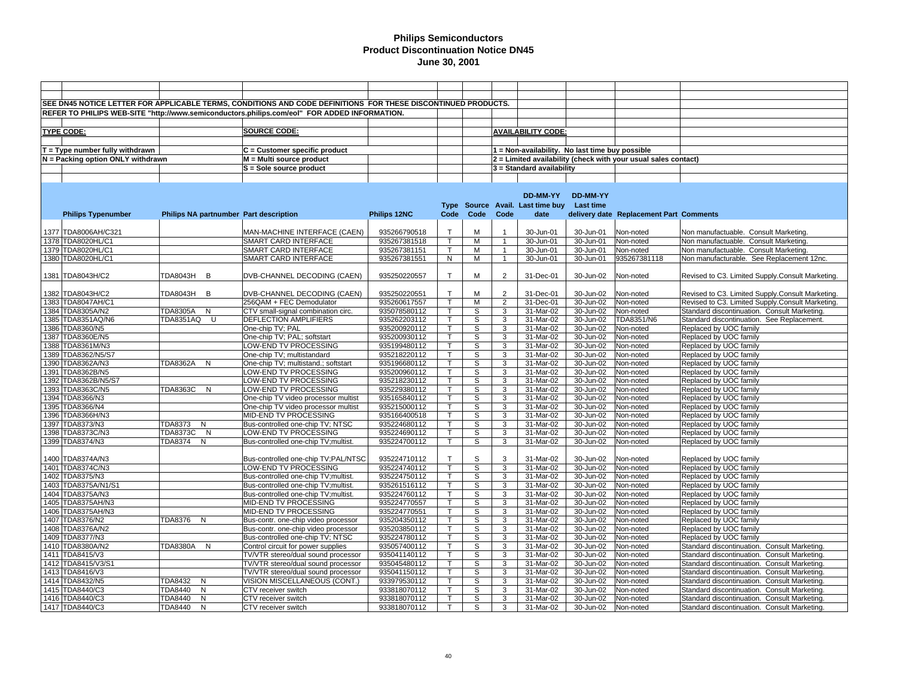|                                     |                                        | SEE DN45 NOTICE LETTER FOR APPLICABLE TERMS, CONDITIONS AND CODE DEFINITIONS FOR THESE DISCONTINUED PRODUCTS. |              |              |      |                |                                                 |           |                                                                |                                                  |
|-------------------------------------|----------------------------------------|---------------------------------------------------------------------------------------------------------------|--------------|--------------|------|----------------|-------------------------------------------------|-----------|----------------------------------------------------------------|--------------------------------------------------|
|                                     |                                        |                                                                                                               |              |              |      |                |                                                 |           |                                                                |                                                  |
|                                     |                                        | REFER TO PHILIPS WEB-SITE "http://www.semiconductors.philips.com/eol" FOR ADDED INFORMATION.                  |              |              |      |                |                                                 |           |                                                                |                                                  |
|                                     |                                        |                                                                                                               |              |              |      |                |                                                 |           |                                                                |                                                  |
| <b>TYPE CODE:</b>                   |                                        | SOURCE CODE:                                                                                                  |              |              |      |                | <b>AVAILABILITY CODE:</b>                       |           |                                                                |                                                  |
|                                     |                                        |                                                                                                               |              |              |      |                |                                                 |           |                                                                |                                                  |
| $T = Type$ number fully withdrawn   |                                        | $C =$ Customer specific product                                                                               |              |              |      |                | 1 = Non-availability. No last time buy possible |           |                                                                |                                                  |
| $N =$ Packing option ONLY withdrawn |                                        | M = Multi source product                                                                                      |              |              |      |                |                                                 |           | 2 = Limited availability (check with your usual sales contact) |                                                  |
|                                     |                                        |                                                                                                               |              |              |      |                |                                                 |           |                                                                |                                                  |
|                                     |                                        | S = Sole source product                                                                                       |              |              |      |                | 3 = Standard availability                       |           |                                                                |                                                  |
|                                     |                                        |                                                                                                               |              |              |      |                |                                                 |           |                                                                |                                                  |
|                                     |                                        |                                                                                                               |              |              |      |                |                                                 |           |                                                                |                                                  |
|                                     |                                        |                                                                                                               |              |              |      |                | DD-MM-YY                                        | DD-MM-YY  |                                                                |                                                  |
|                                     |                                        |                                                                                                               |              |              |      |                | Type Source Avail. Last time buy Last time      |           |                                                                |                                                  |
| <b>Philips Typenumber</b>           | Philips NA partnumber Part description |                                                                                                               | Philips 12NC | Code         | Code | Code           | date                                            |           | delivery date Replacement Part Comments                        |                                                  |
|                                     |                                        |                                                                                                               |              |              |      |                |                                                 |           |                                                                |                                                  |
|                                     |                                        |                                                                                                               |              | $\mathsf{T}$ |      |                |                                                 |           |                                                                |                                                  |
| 1377 TDA8006AH/C321                 |                                        | MAN-MACHINE INTERFACE (CAEN)                                                                                  | 935266790518 |              | M    |                | 30-Jun-01                                       | 30-Jun-01 | Non-noted                                                      | Non manufactuable. Consult Marketing.            |
| 1378 TDA8020HL/C1                   |                                        | SMART CARD INTERFACE                                                                                          | 935267381518 | $\mathsf T$  | М    | $\mathbf{1}$   | 30-Jun-01                                       | 30-Jun-01 | Non-noted                                                      | Non manufactuable. Consult Marketing             |
| 1379 TDA8020HL/C1                   |                                        | SMART CARD INTERFACE                                                                                          | 935267381151 | $\mathsf T$  | М    | $\mathbf{1}$   | 30-Jun-01                                       | 30-Jun-01 | Non-noted                                                      | Non manufactuable. Consult Marketing.            |
| 1380 TDA8020HL/C1                   |                                        | SMART CARD INTERFACE                                                                                          | 935267381551 | N            | М    | $\overline{1}$ | 30-Jun-01                                       | 30-Jun-01 | 935267381118                                                   | Non manufacturable. See Replacement 12nc.        |
|                                     |                                        |                                                                                                               |              |              |      |                |                                                 |           |                                                                |                                                  |
| 1381 TDA8043H/C2                    | TDA8043H B                             | DVB-CHANNEL DECODING (CAEN)                                                                                   | 935250220557 | $\mathsf{T}$ | М    | $\overline{2}$ | 31-Dec-01                                       | 30-Jun-02 | Non-noted                                                      | Revised to C3. Limited Supply.Consult Marketing. |
|                                     |                                        |                                                                                                               |              |              |      |                |                                                 |           |                                                                |                                                  |
| 1382 TDA8043H/C2                    | TDA8043H<br>B                          | DVB-CHANNEL DECODING (CAEN)                                                                                   | 935250220551 | $\mathsf{T}$ | M    | 2              | 31-Dec-01                                       | 30-Jun-02 | Non-noted                                                      | Revised to C3. Limited Supply.Consult Marketing. |
| 1383 TDA8047AH/C1                   |                                        | 256QAM + FEC Demodulator                                                                                      | 935260617557 | $\mathsf{T}$ | M    | $\overline{2}$ | 31-Dec-01                                       | 30-Jun-02 | Non-noted                                                      | Revised to C3. Limited Supply.Consult Marketing. |
|                                     |                                        |                                                                                                               |              | $\mathsf{T}$ | S    |                |                                                 |           |                                                                |                                                  |
| 1384 TDA8305A/N2                    | <b>TDA8305A</b><br>N                   | CTV small-signal combination circ.                                                                            | 935078580112 |              |      | 3              | 31-Mar-02                                       | 30-Jun-02 | Non-noted                                                      | Standard discontinuation. Consult Marketing.     |
| 1385 TDA8351AQ/N6                   | TDA8351AQ U                            | DEFLECTION AMPLIFIERS                                                                                         | 935262203112 | $\mathsf{T}$ | S    | 3              | 31-Mar-02                                       | 30-Jun-02 | TDA8351/N6                                                     | Standard discontinuation. See Replacement.       |
| 1386 TDA8360/N5                     |                                        | One-chip TV; PAL                                                                                              | 935200920112 | $\mathsf{T}$ | S    | 3              | 31-Mar-02                                       | 30-Jun-02 | Non-noted                                                      | Replaced by UOC family                           |
| 1387 TDA8360E/N5                    |                                        | One-chip TV; PAL; softstart                                                                                   | 935200930112 | т            | S    | 3              | 31-Mar-02                                       | 30-Jun-02 | Non-noted                                                      | Replaced by UOC family                           |
| 1388 TDA8361M/N3                    |                                        | LOW-END TV PROCESSING                                                                                         | 935199480112 | $\mathsf{T}$ | S    | 3              | 31-Mar-02                                       | 30-Jun-02 | Non-noted                                                      | Replaced by UOC family                           |
| 1389 TDA8362/N5/S7                  |                                        | One-chip TV; multistandard                                                                                    | 935218220112 | $\mathsf{T}$ | S    | 3              | 31-Mar-02                                       | 30-Jun-02 | Non-noted                                                      | Replaced by UOC family                           |
| 1390 TDA8362A/N3                    | TDA8362A<br>N                          | One-chip TV; multistand.; softstart                                                                           | 935196680112 |              | S    | 3              | 31-Mar-02                                       | 30-Jun-02 | Non-noted                                                      | Replaced by UOC family                           |
| 1391 TDA8362B/N5                    |                                        | LOW-END TV PROCESSING                                                                                         | 935200960112 |              | S    | 3              | 31-Mar-02                                       | 30-Jun-02 | Non-noted                                                      | Replaced by UOC family                           |
| 1392 TDA8362B/N5/S7                 |                                        | LOW-END TV PROCESSING                                                                                         | 935218230112 | $\mathsf{T}$ | S    | 3              | 31-Mar-02                                       | 30-Jun-02 | Non-noted                                                      | Replaced by UOC family                           |
| 1393 TDA8363C/N5                    | TDA8363C N                             | <b>LOW-END TV PROCESSING</b>                                                                                  | 935229380112 | $\mathsf{T}$ | S    | 3              | $31-Mar-02$                                     | 30-Jun-02 | Non-noted                                                      | Replaced by UOC family                           |
| 1394 TDA8366/N3                     |                                        | One-chip TV video processor multist                                                                           | 935165840112 | $\mathsf{T}$ | S    | 3              | 31-Mar-02                                       | 30-Jun-02 | Non-noted                                                      | Replaced by UOC family                           |
| 1395 TDA8366/N4                     |                                        | One-chip TV video processor multist                                                                           | 935215000112 | $\mathsf{T}$ | S    | 3              | 31-Mar-02                                       |           |                                                                | Replaced by UOC family                           |
|                                     |                                        |                                                                                                               |              |              |      |                |                                                 | 30-Jun-02 | Non-noted                                                      |                                                  |
| 1396 TDA8366H/N3                    |                                        | MID-END TV PROCESSING                                                                                         | 935166400518 | $\mathsf{T}$ | S    | 3              | 31-Mar-02                                       | 30-Jun-02 | Non-noted                                                      | Replaced by UOC family                           |
| 1397 TDA8373/N3                     | TDA8373 N                              | Bus-controlled one-chip TV; NTSC                                                                              | 935224680112 | $\mathsf{T}$ | S    | 3              | 31-Mar-02                                       | 30-Jun-02 | Non-noted                                                      | Replaced by UOC family                           |
| 1398 TDA8373C/N3                    | TDA8373C<br>$\mathsf{N}$               | LOW-END TV PROCESSING                                                                                         | 935224690112 |              | S    | 3              | 31-Mar-02                                       | 30-Jun-02 | Non-noted                                                      | Replaced by UOC family                           |
| 1399 TDA8374/N3                     | TDA8374<br>N                           | Bus-controlled one-chip TV;multist.                                                                           | 935224700112 | $\mathsf{T}$ | S    | 3              | 31-Mar-02                                       | 30-Jun-02 | Non-noted                                                      | Replaced by UOC family                           |
|                                     |                                        |                                                                                                               |              |              |      |                |                                                 |           |                                                                |                                                  |
| 1400 TDA8374A/N3                    |                                        | Bus-controlled one-chip TV;PAL/NTSC                                                                           | 935224710112 | $\mathsf{T}$ | S    | 3              | 31-Mar-02                                       | 30-Jun-02 | Non-noted                                                      | Replaced by UOC family                           |
| 1401 TDA8374C/N3                    |                                        | LOW-END TV PROCESSING                                                                                         | 935224740112 | $\mathsf{T}$ | S    | 3              | 31-Mar-02                                       | 30-Jun-02 | Non-noted                                                      | Replaced by UOC family                           |
| 1402 TDA8375/N3                     |                                        | Bus-controlled one-chip TV;multist.                                                                           | 935224750112 | $\mathsf{T}$ | S    | 3              | 31-Mar-02                                       | 30-Jun-02 | Non-noted                                                      | Replaced by UOC family                           |
| 1403 TDA8375A/N1/S1                 |                                        | Bus-controlled one-chip TV;multist.                                                                           | 935261516112 | $\mathsf{T}$ | S    | 3              | 31-Mar-02                                       | 30-Jun-02 | Non-noted                                                      | Replaced by UOC family                           |
| 1404 TDA8375A/N3                    |                                        | Bus-controlled one-chip TV;multist.                                                                           | 935224760112 | т            | S    | 3              | 31-Mar-02                                       | 30-Jun-02 | Non-noted                                                      | Replaced by UOC family                           |
| 1405 TDA8375AH/N3                   |                                        | MID-END TV PROCESSING                                                                                         | 935224770557 | $\mathsf{T}$ | S    | 3              | 31-Mar-02                                       | 30-Jun-02 | Non-noted                                                      | Replaced by UOC family                           |
| 1406 TDA8375AH/N3                   |                                        |                                                                                                               | 935224770551 | т            | S    | 3              | 31-Mar-02                                       | 30-Jun-02 |                                                                | Replaced by UOC family                           |
|                                     |                                        | MID-END TV PROCESSING                                                                                         |              |              |      |                |                                                 |           | Non-noted                                                      |                                                  |
| 1407 TDA8376/N2                     | TDA8376 N                              | Bus-contr. one-chip video processor                                                                           | 935204350112 | $\mathsf{T}$ | S    | 3              | 31-Mar-02                                       | 30-Jun-02 | Non-noted                                                      | Replaced by UOC family                           |
| 1408 TDA8376A/N2                    |                                        | Bus-contr. one-chip video processor                                                                           | 935203850112 | $\mathsf{T}$ | S    | 3              | 31-Mar-02                                       | 30-Jun-02 | Non-noted                                                      | Replaced by UOC family                           |
| 1409 TDA8377/N3                     |                                        | Bus-controlled one-chip TV; NTSC                                                                              | 935224780112 | $\mathsf{T}$ | S    | 3              | 31-Mar-02                                       | 30-Jun-02 | Non-noted                                                      | Replaced by UOC family                           |
| 1410 TDA8380A/N2                    | TDA8380A N                             | Control circuit for power supplies                                                                            | 935057400112 |              | S    | 3              | 31-Mar-02                                       | 30-Jun-02 | Non-noted                                                      | Standard discontinuation. Consult Marketing.     |
| 1411 TDA8415/V3                     |                                        | TV/VTR stereo/dual sound processor                                                                            | 935041140112 | $\mathsf{T}$ | S    | 3              | 31-Mar-02                                       | 30-Jun-02 | Non-noted                                                      | Standard discontinuation. Consult Marketing.     |
| 1412 TDA8415/V3/S1                  |                                        | TV/VTR stereo/dual sound processor                                                                            | 935045480112 | $\mathsf{T}$ | S    | 3              | 31-Mar-02                                       | 30-Jun-02 | Non-noted                                                      | Standard discontinuation. Consult Marketing.     |
| 1413 TDA8416/V3                     |                                        | TV/VTR stereo/dual sound processor                                                                            | 935041150112 | $\mathsf{T}$ | S    | 3              | 31-Mar-02                                       | 30-Jun-02 | Non-noted                                                      | Standard discontinuation. Consult Marketing.     |
| 1414 TDA8432/N5                     | TDA8432<br>N                           | VISION MISCELLANEOUS (CONT.)                                                                                  | 933979530112 | $\mathsf{T}$ | S    | 3              | 31-Mar-02                                       | 30-Jun-02 | Non-noted                                                      | Standard discontinuation. Consult Marketing.     |
| 1415 TDA8440/C3                     | TDA8440<br>N                           | CTV receiver switch                                                                                           | 933818070112 | т            | S    | 3              | 31-Mar-02                                       | 30-Jun-02 | Non-noted                                                      | Standard discontinuation. Consult Marketing.     |
| 1416 TDA8440/C3                     | TDA8440<br>N                           | CTV receiver switch                                                                                           | 933818070112 | т            | S    | 3              | 31-Mar-02                                       | 30-Jun-02 | Non-noted                                                      | Standard discontinuation. Consult Marketing.     |
|                                     |                                        |                                                                                                               |              |              |      |                |                                                 |           |                                                                |                                                  |
| 1417 TDA8440/C3                     | <b>TDA8440</b><br>N                    | CTV receiver switch                                                                                           | 933818070112 | $\mathsf{T}$ | S    | 3              | 31-Mar-02                                       | 30-Jun-02 | Non-noted                                                      | Standard discontinuation. Consult Marketing.     |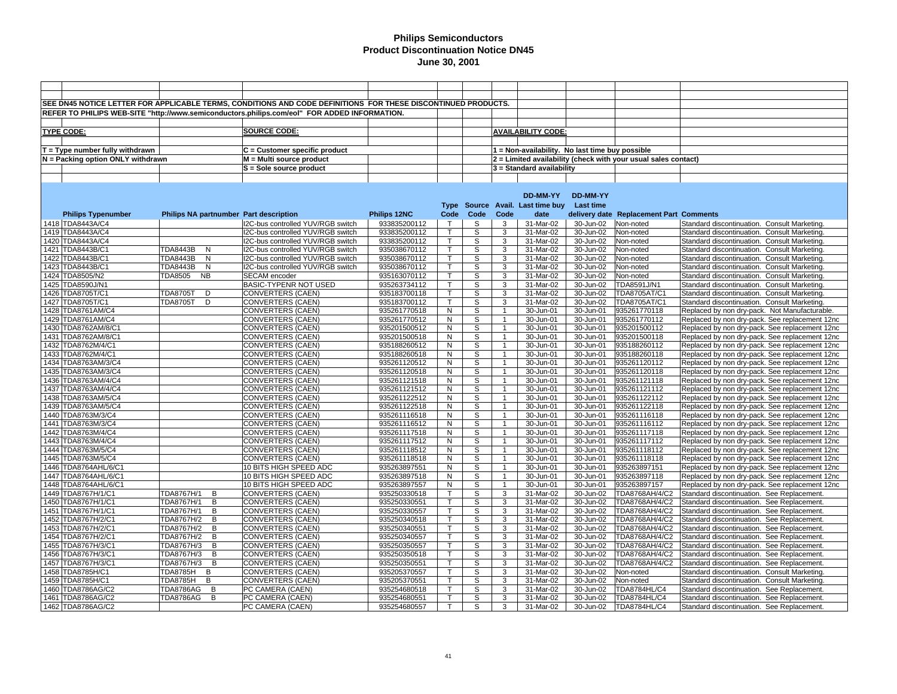|                                   |                 |                | SEE DN45 NOTICE LETTER FOR APPLICABLE TERMS, CONDITIONS AND CODE DEFINITIONS FOR THESE DISCONTINUED PRODUCTS. |                     |              |                |                |                                                 |           |                                                                |                                                |
|-----------------------------------|-----------------|----------------|---------------------------------------------------------------------------------------------------------------|---------------------|--------------|----------------|----------------|-------------------------------------------------|-----------|----------------------------------------------------------------|------------------------------------------------|
|                                   |                 |                |                                                                                                               |                     |              |                |                |                                                 |           |                                                                |                                                |
|                                   |                 |                | REFER TO PHILIPS WEB-SITE "http://www.semiconductors.philips.com/eol" FOR ADDED INFORMATION.                  |                     |              |                |                |                                                 |           |                                                                |                                                |
|                                   |                 |                |                                                                                                               |                     |              |                |                |                                                 |           |                                                                |                                                |
| <b>TYPE CODE:</b>                 |                 |                | SOURCE CODE:                                                                                                  |                     |              |                |                | <b>AVAILABILITY CODE:</b>                       |           |                                                                |                                                |
|                                   |                 |                |                                                                                                               |                     |              |                |                |                                                 |           |                                                                |                                                |
| $T = Type$ number fully withdrawn |                 |                | C = Customer specific product                                                                                 |                     |              |                |                | 1 = Non-availability. No last time buy possible |           |                                                                |                                                |
| N = Packing option ONLY withdrawn |                 |                | M = Multi source product                                                                                      |                     |              |                |                |                                                 |           | 2 = Limited availability (check with your usual sales contact) |                                                |
|                                   |                 |                |                                                                                                               |                     |              |                |                |                                                 |           |                                                                |                                                |
|                                   |                 |                | S = Sole source product                                                                                       |                     |              |                |                | 3 = Standard availability                       |           |                                                                |                                                |
|                                   |                 |                |                                                                                                               |                     |              |                |                |                                                 |           |                                                                |                                                |
|                                   |                 |                |                                                                                                               |                     |              |                |                |                                                 |           |                                                                |                                                |
|                                   |                 |                |                                                                                                               |                     |              |                |                | DD-MM-YY                                        | DD-MM-YY  |                                                                |                                                |
|                                   |                 |                |                                                                                                               |                     |              |                |                | Type Source Avail. Last time buy Last time      |           |                                                                |                                                |
| <b>Philips Typenumber</b>         |                 |                | Philips NA partnumber Part description                                                                        | <b>Philips 12NC</b> | Code         | Code           | Code           | date                                            |           | delivery date Replacement Part Comments                        |                                                |
| 1418 TDA8443A/C4                  |                 |                | I2C-bus controlled YUV/RGB switch                                                                             | 933835200112        | $\top$       | S              | 3              | 31-Mar-02                                       | 30-Jun-02 | Non-noted                                                      | Standard discontinuation. Consult Marketing.   |
| 1419 TDA8443A/C4                  |                 |                | I2C-bus controlled YUV/RGB switch                                                                             | 933835200112        | $\mathsf{T}$ | S              | 3              | 31-Mar-02                                       | 30-Jun-02 | Non-noted                                                      | Standard discontinuation. Consult Marketing.   |
| 1420 TDA8443A/C4                  |                 |                | I2C-bus controlled YUV/RGB switch                                                                             |                     |              |                | $\overline{3}$ | 31-Mar-02                                       | 30-Jun-02 |                                                                |                                                |
|                                   |                 |                |                                                                                                               | 933835200112        |              | S              |                |                                                 |           | Non-noted                                                      | Standard discontinuation. Consult Marketing.   |
| 1421 TDA8443B/C1                  | <b>TDA8443B</b> | N              | I2C-bus controlled YUV/RGB switch                                                                             | 935038670112        | $\mathsf{T}$ | S              | 3              | 31-Mar-02                                       | 30-Jun-02 | Non-noted                                                      | Standard discontinuation. Consult Marketing.   |
| 1422 TDA8443B/C1                  | TDA8443B        | N              | I2C-bus controlled YUV/RGB switch                                                                             | 935038670112        | т            | S              | 3              | 31-Mar-02                                       | 30-Jun-02 | Non-noted                                                      | Standard discontinuation. Consult Marketing.   |
| 1423 TDA8443B/C1                  | <b>TDA8443B</b> | N              | I2C-bus controlled YUV/RGB switch                                                                             | 935038670112        | $\mathsf{T}$ | S              | 3              | 31-Mar-02                                       | 30-Jun-02 | Non-noted                                                      | Standard discontinuation. Consult Marketing.   |
| 1424 TDA8505/N2                   | TDA8505         | <b>NB</b>      | SECAM encoder                                                                                                 | 935163070112        |              | S              | 3              | 31-Mar-02                                       | 30-Jun-02 | Non-noted                                                      | Standard discontinuation. Consult Marketing.   |
| 1425 TDA8590J/N1                  |                 |                | BASIC-TYPENR NOT USED                                                                                         | 935263734112        |              | S              | 3              | 31-Mar-02                                       | 30-Jun-02 | TDA8591J/N1                                                    | Standard discontinuation. Consult Marketing.   |
| 1426 TDA8705T/C1                  | <b>TDA8705T</b> | D              | <b>CONVERTERS (CAEN)</b>                                                                                      | 935183700118        |              | S              | 3              | 31-Mar-02                                       | 30-Jun-02 | TDA8705AT/C1                                                   | Standard discontinuation. Consult Marketing.   |
| 1427 TDA8705T/C1                  | <b>TDA8705T</b> | D              | <b>CONVERTERS (CAEN)</b>                                                                                      | 935183700112        | $\mathsf{T}$ | S              | 3              | 31-Mar-02                                       | 30-Jun-02 | TDA8705AT/C1                                                   | Standard discontinuation. Consult Marketing.   |
| 1428 TDA8761AM/C4                 |                 |                | CONVERTERS (CAEN)                                                                                             | 935261770518        | N            | $\overline{s}$ | $\overline{1}$ | 30-Jun-01                                       | 30-Jun-01 | 935261770118                                                   | Replaced by non dry-pack. Not Manufacturable.  |
| 1429 TDA8761AM/C4                 |                 |                | <b>CONVERTERS (CAEN)</b>                                                                                      | 935261770512        | ${\sf N}$    | S              | $\mathbf{1}$   | 30-Jun-01                                       | 30-Jun-01 | 935261770112                                                   | Replaced by non dry-pack. See replacement 12nc |
| 1430 TDA8762AM/8/C1               |                 |                | <b>CONVERTERS (CAEN)</b>                                                                                      | 935201500512        | $\mathsf N$  | S              |                | 30-Jun-01                                       | 30-Jun-01 | 935201500112                                                   | Replaced by non dry-pack. See replacement 12nc |
| 1431 TDA8762AM/8/C1               |                 |                | <b>CONVERTERS (CAEN)</b>                                                                                      | 935201500518        | ${\sf N}$    | S              | $\overline{1}$ | 30-Jun-01                                       | 30-Jun-01 | 935201500118                                                   | Replaced by non dry-pack. See replacement 12nc |
| 1432 TDA8762M/4/C1                |                 |                | CONVERTERS (CAEN)                                                                                             | 935188260512        | N            | S              | $\overline{1}$ | 30-Jun-01                                       | 30-Jun-01 | 935188260112                                                   | Replaced by non dry-pack. See replacement 12nc |
|                                   |                 |                |                                                                                                               |                     |              |                |                |                                                 |           |                                                                |                                                |
| 1433 TDA8762M/4/C1                |                 |                | CONVERTERS (CAEN)                                                                                             | 935188260518        | N            | S              |                | 30-Jun-01                                       | 30-Jun-01 | 935188260118                                                   | Replaced by non dry-pack. See replacement 12nc |
| 1434 TDA8763AM/3/C4               |                 |                | CONVERTERS (CAEN)                                                                                             | 935261120512        | N            | S              | $\overline{1}$ | 30-Jun-01                                       | 30-Jun-01 | 935261120112                                                   | Replaced by non dry-pack. See replacement 12nc |
| 1435 TDA8763AM/3/C4               |                 |                | <b>CONVERTERS (CAEN)</b>                                                                                      | 935261120518        | N            | S              | $\mathbf{1}$   | 30-Jun-01                                       | 30-Jun-01 | 935261120118                                                   | Replaced by non dry-pack. See replacement 12nc |
| 1436 TDA8763AM/4/C4               |                 |                | CONVERTERS (CAEN)                                                                                             | 935261121518        | N            | S              | $\mathbf{1}$   | 30-Jun-01                                       | 30-Jun-01 | 935261121118                                                   | Replaced by non dry-pack. See replacement 12nc |
| 1437 TDA8763AM/4/C4               |                 |                | CONVERTERS (CAEN)                                                                                             | 935261121512        | N            | S              | $\mathbf{1}$   | 30-Jun-01                                       | 30-Jun-01 | 935261121112                                                   | Replaced by non dry-pack. See replacement 12nc |
| 1438 TDA8763AM/5/C4               |                 |                | CONVERTERS (CAEN)                                                                                             | 935261122512        | N            | S              | $\mathbf{1}$   | 30-Jun-01                                       | 30-Jun-01 | 935261122112                                                   | Replaced by non dry-pack. See replacement 12nc |
| 1439 TDA8763AM/5/C4               |                 |                | <b>CONVERTERS (CAEN)</b>                                                                                      | 935261122518        | N            | S              | $\overline{1}$ | 30-Jun-01                                       | 30-Jun-01 | 935261122118                                                   | Replaced by non dry-pack. See replacement 12nc |
| 1440 TDA8763M/3/C4                |                 |                | CONVERTERS (CAEN)                                                                                             | 935261116518        | ${\sf N}$    | S              | $\overline{1}$ | 30-Jun-01                                       | 30-Jun-01 | 935261116118                                                   | Replaced by non dry-pack. See replacement 12nc |
| 1441 TDA8763M/3/C4                |                 |                | CONVERTERS (CAEN)                                                                                             | 935261116512        | N            | S              | $\overline{1}$ | 30-Jun-01                                       | 30-Jun-01 | 935261116112                                                   | Replaced by non dry-pack. See replacement 12nc |
| 1442 TDA8763M/4/C4                |                 |                | CONVERTERS (CAEN)                                                                                             | 935261117518        | N            | S              | $\mathbf{1}$   | 30-Jun-01                                       | 30-Jun-01 | 935261117118                                                   | Replaced by non dry-pack. See replacement 12nc |
| 1443 TDA8763M/4/C4                |                 |                | CONVERTERS (CAEN)                                                                                             | 935261117512        | N            | S              |                | 30-Jun-01                                       | 30-Jun-01 | 935261117112                                                   | Replaced by non dry-pack. See replacement 12nc |
| 1444 TDA8763M/5/C4                |                 |                | <b>CONVERTERS (CAEN)</b>                                                                                      | 935261118512        | N            | S              |                | 30-Jun-01                                       | 30-Jun-01 | 935261118112                                                   | Replaced by non dry-pack. See replacement 12nc |
| 1445 TDA8763M/5/C4                |                 |                | CONVERTERS (CAEN)                                                                                             | 935261118518        | N            | S              |                | 30-Jun-01                                       | 30-Jun-01 | 935261118118                                                   | Replaced by non dry-pack. See replacement 12nc |
| 1446 TDA8764AHL/6/C1              |                 |                | 10 BITS HIGH SPEED ADC                                                                                        | 935263897551        | N            | S              |                | 30-Jun-01                                       | 30-Jun-01 | 935263897151                                                   | Replaced by non dry-pack. See replacement 12nc |
| 1447 TDA8764AHL/6/C1              |                 |                | 10 BITS HIGH SPEED ADC                                                                                        | 935263897518        | N            | S              | $\mathbf{1}$   | 30-Jun-01                                       | 30-Jun-01 | 935263897118                                                   | Replaced by non dry-pack. See replacement 12nc |
| 1448 TDA8764AHL/6/C1              |                 |                | 10 BITS HIGH SPEED ADC                                                                                        | 935263897557        | N            | S              |                | 30-Jun-01                                       | 30-Jun-01 | 935263897157                                                   | Replaced by non dry-pack. See replacement 12nc |
|                                   | TDA8767H/1      | B              |                                                                                                               | 935250330518        | т            | S              | 3              | 31-Mar-02                                       | 30-Jun-02 | TDA8768AH/4/C2                                                 |                                                |
| 1449 TDA8767H/1/C1                |                 |                | CONVERTERS (CAEN)                                                                                             |                     |              |                |                |                                                 |           |                                                                | Standard discontinuation. See Replacement      |
| 1450 TDA8767H/1/C1                | TDA8767H/1      | B              | CONVERTERS (CAEN)                                                                                             | 935250330551        | $\mathsf{T}$ | S              | 3              | 31-Mar-02                                       | 30-Jun-02 | TDA8768AH/4/C2                                                 | Standard discontinuation. See Replacement.     |
| 1451 TDA8767H/1/C1                | TDA8767H/1      | B              | CONVERTERS (CAEN)                                                                                             | 935250330557        | $\mathsf{T}$ | S              | 3              | 31-Mar-02                                       | 30-Jun-02 | TDA8768AH/4/C2                                                 | Standard discontinuation. See Replacement.     |
| 1452 TDA8767H/2/C1                | TDA8767H/2      | B              | <b>CONVERTERS (CAEN)</b>                                                                                      | 935250340518        | $\mathsf{T}$ | S              | 3              | 31-Mar-02                                       | 30-Jun-02 | TDA8768AH/4/C2                                                 | Standard discontinuation. See Replacement.     |
| 1453 TDA8767H/2/C1                | TDA8767H/2      | B              | <b>CONVERTERS (CAEN)</b>                                                                                      | 935250340551        |              | S              | 3              | 31-Mar-02                                       | 30-Jun-02 | TDA8768AH/4/C2                                                 | Standard discontinuation. See Replacement.     |
| 1454 TDA8767H/2/C1                | TDA8767H/2      | B              | <b>CONVERTERS (CAEN)</b>                                                                                      | 935250340557        | $\mathsf{T}$ | S              | 3              | 31-Mar-02                                       | 30-Jun-02 | TDA8768AH/4/C2                                                 | Standard discontinuation. See Replacement.     |
| 1455 TDA8767H/3/C1                | TDA8767H/3      | B              | <b>CONVERTERS (CAEN)</b>                                                                                      | 935250350557        |              | S              | 3              | 31-Mar-02                                       | 30-Jun-02 | TDA8768AH/4/C2                                                 | Standard discontinuation. See Replacement.     |
| 1456 TDA8767H/3/C1                | TDA8767H/3      | B              | <b>CONVERTERS (CAEN)</b>                                                                                      | 935250350518        | т            | S              | 3              | 31-Mar-02                                       | 30-Jun-02 | TDA8768AH/4/C2                                                 | Standard discontinuation. See Replacement.     |
| 1457 TDA8767H/3/C1                | TDA8767H/3      | B              | <b>CONVERTERS (CAEN)</b>                                                                                      | 935250350551        | $\mathsf{T}$ | S              | 3              | 31-Mar-02                                       | 30-Jun-02 | TDA8768AH/4/C2                                                 | Standard discontinuation. See Replacement.     |
| 1458 TDA8785H/C1                  | <b>TDA8785H</b> | B              | <b>CONVERTERS (CAEN)</b>                                                                                      | 935205370557        | $\mathsf{T}$ | S              | 3              | 31-Mar-02                                       | 30-Jun-02 | Non-noted                                                      | Standard discontinuation. Consult Marketing.   |
| 1459 TDA8785H/C1                  | TDA8785H        | B              | CONVERTERS (CAEN)                                                                                             | 935205370551        | $\mathsf{T}$ | S              | 3              | 31-Mar-02                                       | 30-Jun-02 | Non-noted                                                      | Standard discontinuation. Consult Marketing.   |
| 1460 TDA8786AG/C2                 | TDA8786AG B     |                | PC CAMERA (CAEN)                                                                                              | 935254680518        | т            | S              | 3              | 31-Mar-02                                       | 30-Jun-02 | TDA8784HL/C4                                                   | Standard discontinuation. See Replacement.     |
| 1461 TDA8786AG/C2                 | TDA8786AG       | $\overline{B}$ | PC CAMERA (CAEN)                                                                                              | 935254680551        | $\mathsf{T}$ | S              | 3              | 31-Mar-02                                       | 30-Jun-02 | <b>TDA8784HL/C4</b>                                            | Standard discontinuation. See Replacement.     |
|                                   |                 |                |                                                                                                               |                     |              |                |                |                                                 |           |                                                                |                                                |
| 1462 TDA8786AG/C2                 |                 |                | PC CAMERA (CAEN)                                                                                              | 935254680557        | $\mathsf{T}$ | S              | 3              | 31-Mar-02                                       | 30-Jun-02 | <b>TDA8784HL/C4</b>                                            | Standard discontinuation. See Replacement      |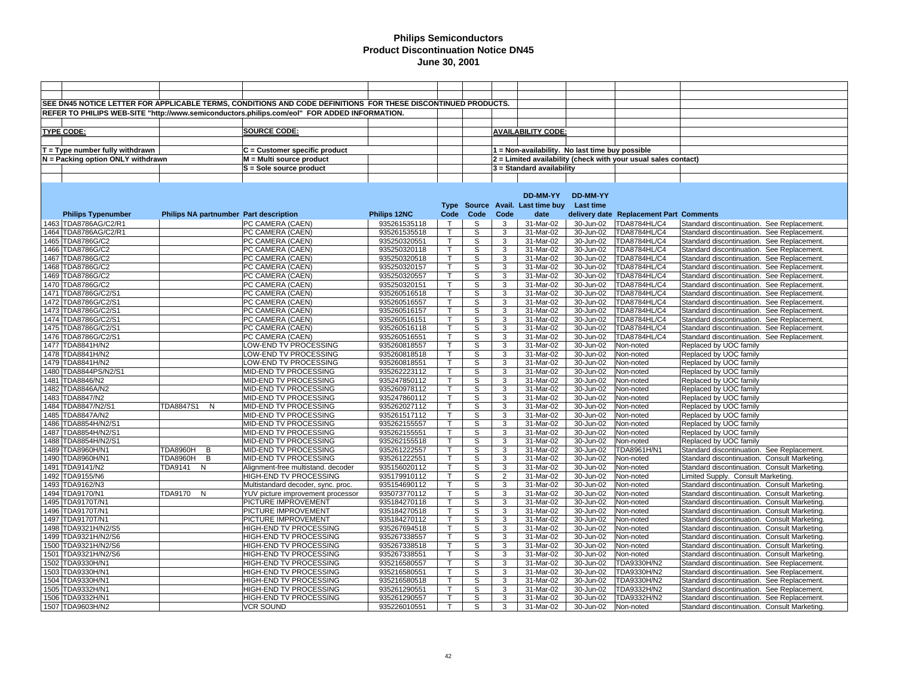|                                   |                                        | SEE DN45 NOTICE LETTER FOR APPLICABLE TERMS, CONDITIONS AND CODE DEFINITIONS FOR THESE DISCONTINUED PRODUCTS. |                              |                |                |                |                                                 |                        |                                                                |                                                  |
|-----------------------------------|----------------------------------------|---------------------------------------------------------------------------------------------------------------|------------------------------|----------------|----------------|----------------|-------------------------------------------------|------------------------|----------------------------------------------------------------|--------------------------------------------------|
|                                   |                                        | REFER TO PHILIPS WEB-SITE "http://www.semiconductors.philips.com/eol" FOR ADDED INFORMATION.                  |                              |                |                |                |                                                 |                        |                                                                |                                                  |
|                                   |                                        |                                                                                                               |                              |                |                |                |                                                 |                        |                                                                |                                                  |
|                                   |                                        | SOURCE CODE:                                                                                                  |                              |                |                |                |                                                 |                        |                                                                |                                                  |
| <b>TYPE CODE:</b>                 |                                        |                                                                                                               |                              |                |                |                | <b>AVAILABILITY CODE:</b>                       |                        |                                                                |                                                  |
|                                   |                                        |                                                                                                               |                              |                |                |                |                                                 |                        |                                                                |                                                  |
| $T = Type$ number fully withdrawn |                                        | C = Customer specific product                                                                                 |                              |                |                |                | 1 = Non-availability. No last time buy possible |                        |                                                                |                                                  |
| N = Packing option ONLY withdrawn |                                        | M = Multi source product                                                                                      |                              |                |                |                |                                                 |                        | 2 = Limited availability (check with your usual sales contact) |                                                  |
|                                   |                                        | S = Sole source product                                                                                       |                              |                |                |                | 3 = Standard availability                       |                        |                                                                |                                                  |
|                                   |                                        |                                                                                                               |                              |                |                |                |                                                 |                        |                                                                |                                                  |
|                                   |                                        |                                                                                                               |                              |                |                |                |                                                 |                        |                                                                |                                                  |
|                                   |                                        |                                                                                                               |                              |                |                |                | DD-MM-YY                                        | DD-MM-YY               |                                                                |                                                  |
|                                   |                                        |                                                                                                               |                              |                |                |                | Type Source Avail. Last time buy Last time      |                        |                                                                |                                                  |
| <b>Philips Typenumber</b>         | Philips NA partnumber Part description |                                                                                                               | Philips 12NC                 | Code           | Code           | Code           | date                                            |                        | delivery date Replacement Part Comments                        |                                                  |
| 1463 TDA8786AG/C2/R1              |                                        | PC CAMERA (CAEN)                                                                                              | 935261535118                 | $\top$         | S              | 3              | 31-Mar-02                                       | 30-Jun-02              | <b>TDA8784HL/C4</b>                                            | Standard discontinuation. See Replacement.       |
| 1464 TDA8786AG/C2/R1              |                                        | PC CAMERA (CAEN)                                                                                              | 935261535518                 | $\mathsf{T}$   | S              | 3              | 31-Mar-02                                       | 30-Jun-02              | TDA8784HL/C4                                                   | Standard discontinuation. See Replacement.       |
| 1465 TDA8786G/C2                  |                                        | PC CAMERA (CAEN)                                                                                              | 935250320551                 | T              | S              | $\overline{3}$ | 31-Mar-02                                       | 30-Jun-02              | TDA8784HL/C4                                                   | Standard discontinuation. See Replacement.       |
| 1466 TDA8786G/C2                  |                                        | PC CAMERA (CAEN)                                                                                              | 935250320118                 | $\mathsf{T}$   | S              | 3              | 31-Mar-02                                       | 30-Jun-02              | <b>TDA8784HL/C4</b>                                            | Standard discontinuation. See Replacement.       |
| 1467 TDA8786G/C2                  |                                        | PC CAMERA (CAEN)                                                                                              | 935250320518                 | Τ              | S              | 3              | 31-Mar-02                                       | 30-Jun-02              | TDA8784HL/C4                                                   | Standard discontinuation. See Replacement        |
| 1468 TDA8786G/C2                  |                                        | PC CAMERA (CAEN)                                                                                              | 935250320157                 | $\mathsf T$    | S              | 3              | 31-Mar-02                                       | 30-Jun-02              | TDA8784HL/C4                                                   | Standard discontinuation. See Replacement        |
| 1469 TDA8786G/C2                  |                                        | PC CAMERA (CAEN)                                                                                              | 935250320557                 | $\mathsf{T}$   | S              | 3              | 31-Mar-02                                       | 30-Jun-02              | TDA8784HL/C4                                                   | Standard discontinuation. See Replacement.       |
| 1470 TDA8786G/C2                  |                                        | PC CAMERA (CAEN)                                                                                              | 935250320151                 | $\mathsf{T}$   | S              | 3              | 31-Mar-02                                       | 30-Jun-02              | <b>TDA8784HL/C4</b>                                            | Standard discontinuation. See Replacement        |
| 1471 TDA8786G/C2/S1               |                                        | PC CAMERA (CAEN)                                                                                              | 935260516518                 | $\mathsf{T}$   | s              | 3              | 31-Mar-02                                       | 30-Jun-02              | TDA8784HL/C4                                                   | Standard discontinuation. See Replacement.       |
| 1472 TDA8786G/C2/S1               |                                        | PC CAMERA (CAEN)                                                                                              | 935260516557                 | $\mathsf{T}$   | S              | 3              | 31-Mar-02                                       | 30-Jun-02              | TDA8784HL/C4                                                   | Standard discontinuation. See Replacement        |
| 1473 TDA8786G/C2/S1               |                                        | PC CAMERA (CAEN)                                                                                              | 935260516157                 | $\overline{T}$ | $\overline{s}$ | $\overline{3}$ | 31-Mar-02                                       | 30-Jun-02              | TDA8784HL/C4                                                   | Standard discontinuation. See Replacement        |
| 1474 TDA8786G/C2/S1               |                                        | PC CAMERA (CAEN)                                                                                              | 935260516151                 | $\mathsf{T}$   | S              | 3              | 31-Mar-02                                       | 30-Jun-02              | TDA8784HL/C4                                                   | Standard discontinuation. See Replacement        |
| 1475 TDA8786G/C2/S1               |                                        | PC CAMERA (CAEN)                                                                                              | 935260516118                 | $\mathsf{T}$   | S              | 3              | 31-Mar-02                                       | 30-Jun-02              | TDA8784HL/C4                                                   | Standard discontinuation. See Replacement        |
| 1476 TDA8786G/C2/S1               |                                        | PC CAMERA (CAEN)                                                                                              | 935260516551                 | $\mathsf{T}$   | S              | 3              | 31-Mar-02                                       | 30-Jun-02              | TDA8784HL/C4                                                   | Standard discontinuation. See Replacement        |
| 1477 TDA8841H/N2                  |                                        | LOW-END TV PROCESSING                                                                                         | 935260818557                 | $\mathsf T$    | S              | 3              | 31-Mar-02                                       | 30-Jun-02              | Non-noted                                                      | Replaced by UOC family                           |
| 1478 TDA8841H/N2                  |                                        | LOW-END TV PROCESSING                                                                                         | 935260818518                 | $\mathsf{T}$   | S              | 3              | 31-Mar-02                                       | 30-Jun-02              | Non-noted                                                      | Replaced by UOC family                           |
| 1479 TDA8841H/N2                  |                                        | LOW-END TV PROCESSING                                                                                         | 935260818551                 | T.             | S              | 3              | 31-Mar-02                                       | 30-Jun-02              | Non-noted                                                      | Replaced by UOC family                           |
| 1480 TDA8844PS/N2/S1              |                                        | MID-END TV PROCESSING                                                                                         | 935262223112                 | T.             | S              | 3              | 31-Mar-02                                       | 30-Jun-02              | Non-noted                                                      | Replaced by UOC family                           |
| 1481 TDA8846/N2                   |                                        | MID-END TV PROCESSING                                                                                         | 935247850112                 | T.             | S              | 3              | 31-Mar-02                                       | 30-Jun-02              | Non-noted                                                      |                                                  |
| 1482 TDA8846A/N2                  |                                        |                                                                                                               |                              | $\overline{T}$ | S              | 3              | 31-Mar-02                                       |                        |                                                                | Replaced by UOC family                           |
| 1483 TDA8847/N2                   |                                        | MID-END TV PROCESSING<br>MID-END TV PROCESSING                                                                | 935260978112<br>935247860112 | T.             | S              | 3              | 31-Mar-02                                       | 30-Jun-02<br>30-Jun-02 | Non-noted                                                      | Replaced by UOC family                           |
| 1484 TDA8847/N2/S1                | <b>TDA8847S1</b><br>N                  |                                                                                                               | 935262027112                 | $\overline{T}$ | S              | 3              | 31-Mar-02                                       |                        | Non-noted                                                      | Replaced by UOC family<br>Replaced by UOC family |
|                                   |                                        | MID-END TV PROCESSING                                                                                         |                              |                | S              | 3              |                                                 | 30-Jun-02              | Non-noted                                                      |                                                  |
| 1485 TDA8847A/N2                  |                                        | MID-END TV PROCESSING                                                                                         | 935261517112                 | T              |                |                | 31-Mar-02                                       | 30-Jun-02              | Non-noted                                                      | Replaced by UOC family                           |
| 1486 TDA8854H/N2/S1               |                                        | MID-END TV PROCESSING                                                                                         | 935262155557                 | $\mathsf{T}$   | S              | 3              | 31-Mar-02                                       | 30-Jun-02              | Non-noted                                                      | Replaced by UOC family                           |
| 1487 TDA8854H/N2/S1               |                                        | MID-END TV PROCESSING                                                                                         | 935262155551                 | T              | S              | 3              | 31-Mar-02                                       | 30-Jun-02              | Non-noted                                                      | Replaced by UOC family                           |
| 1488 TDA8854H/N2/S1               |                                        | MID-END TV PROCESSING                                                                                         | 935262155518                 | $\mathsf{T}$   | S              | 3              | 31-Mar-02                                       | 30-Jun-02              | Non-noted                                                      | Replaced by UOC family                           |
| 1489 TDA8960H/N1                  | TDA8960H<br>B                          | MID-END TV PROCESSING                                                                                         | 935261222557                 | $\mathsf{T}$   | S              | 3              | 31-Mar-02                                       | 30-Jun-02              | TDA8961H/N1                                                    | Standard discontinuation. See Replacement.       |
| 1490 TDA8960H/N1                  | TDA8960H<br>B                          | MID-END TV PROCESSING                                                                                         | 935261222551                 | T              | S              | 3              | 31-Mar-02                                       | 30-Jun-02              | Non-noted                                                      | Standard discontinuation. Consult Marketing.     |
| 1491 TDA9141/N2                   | TDA9141<br>N                           | Alignment-free multistand. decoder                                                                            | 935156020112                 | $\mathsf{T}$   | S              | 3              | 31-Mar-02                                       | 30-Jun-02              | Non-noted                                                      | Standard discontinuation. Consult Marketing.     |
| 1492 TDA9155/N6                   |                                        | HIGH-END TV PROCESSING                                                                                        | 935179910112                 | T.             | s              | $\overline{2}$ | 31-Mar-02                                       | 30-Jun-02              | Non-noted                                                      | Limited Supply. Consult Marketing.               |
| 1493 TDA9162/N3                   |                                        | Multistandard decoder, sync. proc.                                                                            | 935154690112                 | $\mathsf{T}$   | S              | 3              | 31-Mar-02                                       | 30-Jun-02              | Non-noted                                                      | Standard discontinuation. Consult Marketing.     |
| 1494 TDA9170/N1                   | TDA9170<br>N                           | YUV picture improvement processor                                                                             | 935073770112                 | T              | S              | $\overline{3}$ | 31-Mar-02                                       | 30-Jun-02              | Non-noted                                                      | Standard discontinuation. Consult Marketing.     |
| 1495 TDA9170T/N1                  |                                        | PICTURE IMPROVEMENT                                                                                           | 935184270118                 | $\mathsf{T}$   | S              | 3              | 31-Mar-02                                       | 30-Jun-02              | Non-noted                                                      | Standard discontinuation. Consult Marketing.     |
| 1496 TDA9170T/N1                  |                                        | PICTURE IMPROVEMENT                                                                                           | 935184270518                 | $\mathsf{T}$   | S              | 3              | 31-Mar-02                                       | 30-Jun-02              | Non-noted                                                      | Standard discontinuation. Consult Marketing.     |
| 1497 TDA9170T/N1                  |                                        | PICTURE IMPROVEMENT                                                                                           | 935184270112                 | T.             | S              | 3              | 31-Mar-02                                       | 30-Jun-02              | Non-noted                                                      | Standard discontinuation. Consult Marketing.     |
| 1498 TDA9321H/N2/S5               |                                        | HIGH-END TV PROCESSING                                                                                        | 935267694518                 | T              | S              | 3              | 31-Mar-02                                       | 30-Jun-02              | Non-noted                                                      | Standard discontinuation. Consult Marketing.     |
| 1499 TDA9321H/N2/S6               |                                        | HIGH-END TV PROCESSING                                                                                        | 935267338557                 | $\mathsf{T}$   | S              | 3              | 31-Mar-02                                       | 30-Jun-02              | Non-noted                                                      | Standard discontinuation. Consult Marketing.     |
| 1500 TDA9321H/N2/S6               |                                        | HIGH-END TV PROCESSING                                                                                        | 935267338518                 | $\mathsf{T}$   | S              | 3              | 31-Mar-02                                       | 30-Jun-02              | Non-noted                                                      | Standard discontinuation. Consult Marketing.     |
| 1501 TDA9321H/N2/S6               |                                        | HIGH-END TV PROCESSING                                                                                        | 935267338551                 | $\mathsf{T}$   | S              | 3              | 31-Mar-02                                       | 30-Jun-02              | Non-noted                                                      | Standard discontinuation. Consult Marketing.     |
| 1502 TDA9330H/N1                  |                                        | HIGH-END TV PROCESSING                                                                                        | 935216580557                 | $\mathsf{T}$   | S              | 3              | 31-Mar-02                                       | 30-Jun-02              | TDA9330H/N2                                                    | Standard discontinuation. See Replacement.       |
| 1503 TDA9330H/N1                  |                                        | HIGH-END TV PROCESSING                                                                                        | 935216580551                 | T.             | S              | 3              | 31-Mar-02                                       | 30-Jun-02              | TDA9330H/N2                                                    | Standard discontinuation. See Replacement        |
| 1504 TDA9330H/N1                  |                                        | HIGH-END TV PROCESSING                                                                                        | 935216580518                 | $\mathsf{T}$   | S              | 3              | 31-Mar-02                                       | 30-Jun-02              | TDA9330H/N2                                                    | Standard discontinuation. See Replacement        |
| 1505 TDA9332H/N1                  |                                        | HIGH-END TV PROCESSING                                                                                        | 935261290551                 | $\mathsf{T}$   | S              | 3              | 31-Mar-02                                       | 30-Jun-02              | TDA9332H/N2                                                    | Standard discontinuation. See Replacement        |
| 1506 TDA9332H/N1                  |                                        | HIGH-END TV PROCESSING                                                                                        | 935261290557                 | T.             | S              | 3              | 31-Mar-02                                       | 30-Jun-02              | TDA9332H/N2                                                    | Standard discontinuation. See Replacement        |
| 1507 TDA9603H/N2                  |                                        | <b>VCR SOUND</b>                                                                                              | 935226010551                 | T.             | S              | 3              | 31-Mar-02                                       | 30-Jun-02              | Non-noted                                                      | Standard discontinuation. Consult Marketing      |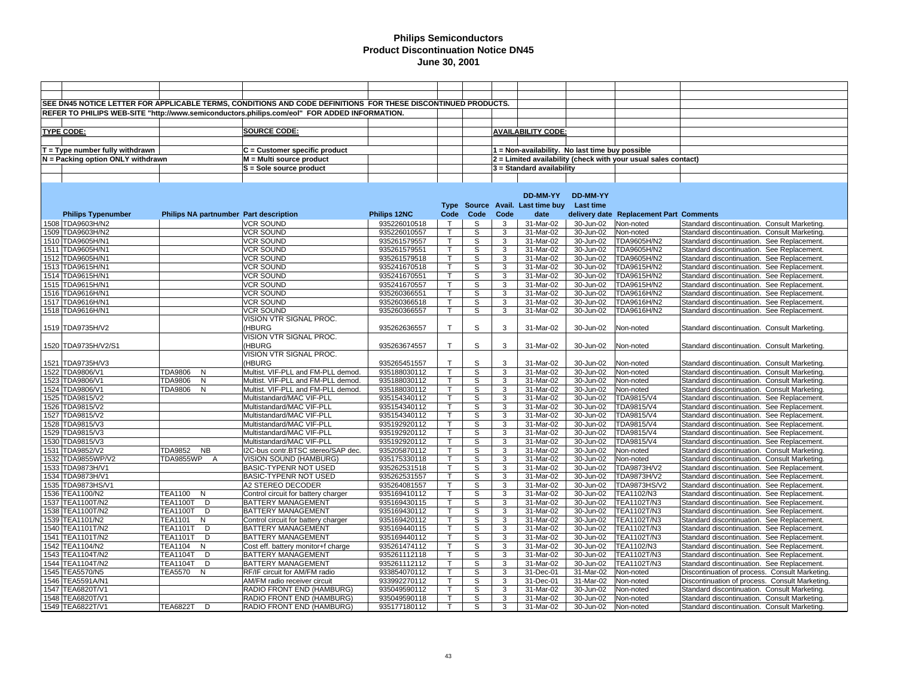|                                       |                                        | SEE DN45 NOTICE LETTER FOR APPLICABLE TERMS, CONDITIONS AND CODE DEFINITIONS FOR THESE DISCONTINUED PRODUCTS. |                              |              |                |        |                                                 |                        |                                                                |                                                                                            |
|---------------------------------------|----------------------------------------|---------------------------------------------------------------------------------------------------------------|------------------------------|--------------|----------------|--------|-------------------------------------------------|------------------------|----------------------------------------------------------------|--------------------------------------------------------------------------------------------|
|                                       |                                        | REFER TO PHILIPS WEB-SITE "http://www.semiconductors.philips.com/eol" FOR ADDED INFORMATION.                  |                              |              |                |        |                                                 |                        |                                                                |                                                                                            |
|                                       |                                        |                                                                                                               |                              |              |                |        |                                                 |                        |                                                                |                                                                                            |
|                                       |                                        | SOURCE CODE:                                                                                                  |                              |              |                |        | <b>AVAILABILITY CODE:</b>                       |                        |                                                                |                                                                                            |
| <b>TYPE CODE:</b>                     |                                        |                                                                                                               |                              |              |                |        |                                                 |                        |                                                                |                                                                                            |
|                                       |                                        |                                                                                                               |                              |              |                |        |                                                 |                        |                                                                |                                                                                            |
| $T = Type$ number fully withdrawn     |                                        | C = Customer specific product                                                                                 |                              |              |                |        | 1 = Non-availability. No last time buy possible |                        |                                                                |                                                                                            |
| $N =$ Packing option ONLY withdrawn   |                                        | M = Multi source product                                                                                      |                              |              |                |        |                                                 |                        | 2 = Limited availability (check with your usual sales contact) |                                                                                            |
|                                       |                                        | S = Sole source product                                                                                       |                              |              |                |        | 3 = Standard availability                       |                        |                                                                |                                                                                            |
|                                       |                                        |                                                                                                               |                              |              |                |        |                                                 |                        |                                                                |                                                                                            |
|                                       |                                        |                                                                                                               |                              |              |                |        |                                                 |                        |                                                                |                                                                                            |
|                                       |                                        |                                                                                                               |                              |              |                |        | DD-MM-YY                                        | DD-MM-YY               |                                                                |                                                                                            |
|                                       |                                        |                                                                                                               |                              | Type         |                |        | Source Avail. Last time buy                     | <b>Last time</b>       |                                                                |                                                                                            |
| <b>Philips Typenumber</b>             | Philips NA partnumber Part description |                                                                                                               | Philips 12NC                 | Code         | Code           | Code   | date                                            |                        | delivery date Replacement Part Comments                        |                                                                                            |
| 1508 TDA9603H/N2                      |                                        | <b>VCR SOUND</b>                                                                                              | 935226010518                 | $\top$       | S              | 3      | 31-Mar-02                                       | 30-Jun-02              | Non-noted                                                      | Standard discontinuation. Consult Marketing.                                               |
| 1509 TDA9603H/N2                      |                                        | <b>VCR SOUND</b>                                                                                              | 935226010557                 |              | S              | 3      | 31-Mar-02                                       | 30-Jun-02              | Non-noted                                                      | Standard discontinuation. Consult Marketing.                                               |
| 1510 TDA9605H/N1                      |                                        | <b>VCR SOUND</b>                                                                                              | 935261579557                 |              | S              | 3      | 31-Mar-02                                       | 30-Jun-02              | TDA9605H/N2                                                    | Standard discontinuation. See Replacement.                                                 |
| 1511 TDA9605H/N1                      |                                        | <b>VCR SOUND</b>                                                                                              | 935261579551                 | $\mathsf{T}$ | S              | 3      | 31-Mar-02                                       | 30-Jun-02              | TDA9605H/N2                                                    | Standard discontinuation. See Replacement.                                                 |
| 1512 TDA9605H/N1                      |                                        | <b>VCR SOUND</b>                                                                                              | 935261579518                 |              | S              | 3      | 31-Mar-02                                       | 30-Jun-02              | TDA9605H/N2                                                    | Standard discontinuation. See Replacement.                                                 |
| 1513 TDA9615H/N1                      |                                        | <b>VCR SOUND</b>                                                                                              | 935241670518                 | T            | S              | 3      | 31-Mar-02                                       | 30-Jun-02              | TDA9615H/N2                                                    | Standard discontinuation. See Replacement.                                                 |
| 1514 TDA9615H/N1                      |                                        | VCR SOUND                                                                                                     | 935241670551                 |              | S              | 3      | $31$ -Mar-02                                    | 30-Jun-02              | TDA9615H/N2                                                    | Standard discontinuation. See Replacement.                                                 |
| 1515 TDA9615H/N1                      |                                        | <b>VCR SOUND</b>                                                                                              | 935241670557                 |              | S              | 3      | 31-Mar-02                                       | 30-Jun-02              | TDA9615H/N2                                                    | Standard discontinuation. See Replacement.                                                 |
| 1516 TDA9616H/N1                      |                                        | <b>VCR SOUND</b>                                                                                              | 935260366551                 | т            | S              | 3      | 31-Mar-02                                       | 30-Jun-02              | TDA9616H/N2                                                    | Standard discontinuation. See Replacement.                                                 |
| 1517 TDA9616H/N1                      |                                        | VCR SOUND                                                                                                     | 935260366518                 | т            | S              | 3      | 31-Mar-02                                       | 30-Jun-02              | TDA9616H/N2                                                    | Standard discontinuation. See Replacement.                                                 |
| 1518 TDA9616H/N1                      |                                        | <b>VCR SOUND</b>                                                                                              | 935260366557                 | $\mathsf{T}$ | S              | 3      | 31-Mar-02                                       | 30-Jun-02              | TDA9616H/N2                                                    | Standard discontinuation. See Replacement.                                                 |
|                                       |                                        | VISION VTR SIGNAL PROC.                                                                                       |                              |              |                |        |                                                 |                        |                                                                |                                                                                            |
| 1519 TDA9735H/V2                      |                                        | (HBURG                                                                                                        | 935262636557                 | T.           | S              | 3      | 31-Mar-02                                       | 30-Jun-02              | Non-noted                                                      | Standard discontinuation. Consult Marketing.                                               |
|                                       |                                        | VISION VTR SIGNAL PROC.                                                                                       |                              |              |                |        |                                                 |                        |                                                                |                                                                                            |
| 1520 TDA9735H/V2/S1                   |                                        | (HBURG                                                                                                        | 935263674557                 | T.           | S              | 3      | 31-Mar-02                                       | 30-Jun-02              | Non-noted                                                      | Standard discontinuation. Consult Marketing.                                               |
|                                       |                                        | VISION VTR SIGNAL PROC.                                                                                       |                              |              |                |        |                                                 |                        |                                                                |                                                                                            |
| 1521 TDA9735H/V3                      |                                        | (HBURG                                                                                                        | 935265451557                 | T            | S              | 3      | 31-Mar-02                                       | 30-Jun-02              | Non-noted                                                      | Standard discontinuation. Consult Marketing.                                               |
| 1522 TDA9806/V1                       | TDA9806<br>N                           | Multist. VIF-PLL and FM-PLL demod.                                                                            | 935188030112                 |              | S              | 3      | 31-Mar-02                                       | 30-Jun-02              | Non-noted                                                      | Standard discontinuation. Consult Marketing.                                               |
| 1523 TDA9806/V1                       | TDA9806<br>N                           | Multist. VIF-PLL and FM-PLL demod.                                                                            | 935188030112                 | T            | S              | 3      | 31-Mar-02                                       | 30-Jun-02              | Non-noted                                                      | Standard discontinuation. Consult Marketing.                                               |
| 1524 TDA9806/V1                       | TDA9806 N                              | Multist. VIF-PLL and FM-PLL demod.                                                                            | 935188030112                 |              | S              | 3      | 31-Mar-02                                       | 30-Jun-02              | Non-noted                                                      | Standard discontinuation. Consult Marketing.                                               |
| 1525 TDA9815/V2                       |                                        | Multistandard/MAC VIF-PLL                                                                                     | 935154340112                 |              | S              | 3      | 31-Mar-02                                       | 30-Jun-02              | TDA9815/V4                                                     | Standard discontinuation. See Replacement.                                                 |
| 1526 TDA9815/V2                       |                                        | Multistandard/MAC VIF-PLL                                                                                     | 935154340112                 |              | $\overline{s}$ | 3      | $31$ -Mar-02                                    | 30-Jun-02              | TDA9815/V4                                                     | Standard discontinuation. See Replacement.                                                 |
| 1527 TDA9815/V2                       |                                        | Multistandard/MAC VIF-PLL                                                                                     | 935154340112                 |              | S              | 3      | 31-Mar-02                                       | 30-Jun-02              | TDA9815/V4                                                     | Standard discontinuation. See Replacement.                                                 |
| 1528 TDA9815/V3                       |                                        | Multistandard/MAC VIF-PLL                                                                                     | 935192920112                 |              | S              | 3      | 31-Mar-02                                       | 30-Jun-02              | TDA9815/V4                                                     | Standard discontinuation. See Replacement.                                                 |
| 1529 TDA9815/V3                       |                                        | Multistandard/MAC VIF-PLL                                                                                     | 935192920112                 |              | S<br>S         | 3<br>3 | 31-Mar-02                                       | 30-Jun-02              | TDA9815/V4                                                     | Standard discontinuation. See Replacement.                                                 |
| 1530 TDA9815/V3                       |                                        | Multistandard/MAC VIF-PLL                                                                                     | 935192920112                 |              |                |        | 31-Mar-02                                       | 30-Jun-02              | TDA9815/V4                                                     | Standard discontinuation. See Replacement.                                                 |
| 1531 TDA9852/V2                       | TDA9852 NB                             | I2C-bus contr.BTSC stereo/SAP dec.                                                                            | 935205870112                 |              | S              | 3<br>3 | 31-Mar-02                                       | 30-Jun-02              | Non-noted                                                      | Standard discontinuation. Consult Marketing.                                               |
| 1532 TDA9855WP/V2<br>1533 TDA9873H/V1 | TDA9855WP A                            | VISION SOUND (HAMBURG)<br>BASIC-TYPENR NOT USED                                                               | 935175330118<br>935262531518 |              | S<br>S         | 3      | 31-Mar-02<br>31-Mar-02                          | 30-Jun-02<br>30-Jun-02 | Non-noted<br>TDA9873H/V2                                       | Standard discontinuation. Consult Marketing.<br>Standard discontinuation. See Replacement. |
| 1534 TDA9873H/V1                      |                                        | BASIC-TYPENR NOT USED                                                                                         | 935262531557                 |              | S              | 3      | 31-Mar-02                                       | 30-Jun-02              | <b>TDA9873H/V2</b>                                             | Standard discontinuation. See Replacement.                                                 |
| 1535 TDA9873HS/V1                     |                                        | A2 STEREO DECODER                                                                                             | 935264081557                 |              | S              | 3      | 31-Mar-02                                       | 30-Jun-02              | <b>TDA9873HS/V2</b>                                            | Standard discontinuation. See Replacement.                                                 |
| 1536 TEA1100/N2                       | TEA1100<br>N                           | Control circuit for battery charger                                                                           | 935169410112                 | т            | S              | 3      | 31-Mar-02                                       | 30-Jun-02              | TEA1102/N3                                                     | Standard discontinuation. See Replacement.                                                 |
| 1537 TEA1100T/N2                      | <b>TEA1100T</b><br>D                   | BATTERY MANAGEMENT                                                                                            | 935169430115                 | $\mathsf{T}$ | S              | 3      | 31-Mar-02                                       | 30-Jun-02              | TEA1102T/N3                                                    | Standard discontinuation. See Replacement.                                                 |
| 1538 TEA1100T/N2                      | <b>TEA1100T</b><br>D                   | <b>BATTERY MANAGEMENT</b>                                                                                     | 935169430112                 |              | S              | 3      | 31-Mar-02                                       | 30-Jun-02              | TEA1102T/N3                                                    | Standard discontinuation. See Replacement.                                                 |
| 1539 TEA1101/N2                       | <b>TEA1101</b><br>N                    | Control circuit for battery charger                                                                           | 935169420112                 | $\mathsf{T}$ | S              | 3      | 31-Mar-02                                       | 30-Jun-02              | TEA1102T/N3                                                    | Standard discontinuation. See Replacement.                                                 |
| 1540 TEA1101T/N2                      | <b>TEA1101T</b><br>D                   | BATTERY MANAGEMENT                                                                                            | 935169440115                 |              | S              | 3      | 31-Mar-02                                       | 30-Jun-02              | TEA1102T/N3                                                    | Standard discontinuation. See Replacement.                                                 |
| 1541 TEA1101T/N2                      | <b>TEA1101T</b><br>D                   | BATTERY MANAGEMENT                                                                                            | 935169440112                 | T            | S              | 3      | 31-Mar-02                                       | 30-Jun-02              | TEA1102T/N3                                                    | Standard discontinuation. See Replacement.                                                 |
| 1542 TEA1104/N2                       | <b>TEA1104</b><br>N                    | Cost eff. battery monitor+f charge                                                                            | 935261474112                 |              | S              | 3      | $31$ -Mar-02                                    | 30-Jun-02              | TEA1102/N3                                                     | Standard discontinuation. See Replacement.                                                 |
| 1543 TEA1104T/N2                      | <b>TEA1104T</b><br>D                   | <b>BATTERY MANAGEMENT</b>                                                                                     | 935261112118                 | $\mathsf{T}$ | S              | 3      | 31-Mar-02                                       | 30-Jun-02              | TEA1102T/N3                                                    | Standard discontinuation. See Replacement.                                                 |
| 1544 TEA1104T/N2                      | <b>TEA1104T</b><br>D                   | <b>BATTERY MANAGEMENT</b>                                                                                     | 935261112112                 |              | S              | 3      | 31-Mar-02                                       | 30-Jun-02              | TEA1102T/N3                                                    | Standard discontinuation. See Replacement.                                                 |
| 1545 TEA5570/N5                       | <b>TEA5570</b><br>N                    | RF/IF circuit for AM/FM radio                                                                                 | 933854070112                 |              | S              | 3      | 31-Dec-01                                       | 31-Mar-02              | Non-noted                                                      | Discontinuation of process. Consult Marketing                                              |
| 1546  TEA5591A/N1                     |                                        | AM/FM radio receiver circuit                                                                                  | 933992270112                 | $\mathsf{T}$ | S              | 3      | 31-Dec-01                                       | 31-Mar-02              | Non-noted                                                      | Discontinuation of process. Consult Marketing                                              |
| 1547 TEA6820T/V1                      |                                        | RADIO FRONT END (HAMBURG)                                                                                     | 935049590112                 |              | S              | 3      | 31-Mar-02                                       | 30-Jun-02              | Non-noted                                                      | Standard discontinuation. Consult Marketing.                                               |
| 1548 TEA6820T/V1                      |                                        | RADIO FRONT END (HAMBURG)                                                                                     | 935049590118                 |              | S              | 3      | 31-Mar-02                                       | 30-Jun-02              | Non-noted                                                      | Standard discontinuation. Consult Marketing.                                               |
| 1549 TEA6822T/V1                      | <b>TEA6822T</b><br>D                   | RADIO FRONT END (HAMBURG)                                                                                     | 935177180112                 | T.           | S              | 3      | 31-Mar-02                                       | 30-Jun-02              | Non-noted                                                      | Standard discontinuation. Consult Marketing.                                               |
|                                       |                                        |                                                                                                               |                              |              |                |        |                                                 |                        |                                                                |                                                                                            |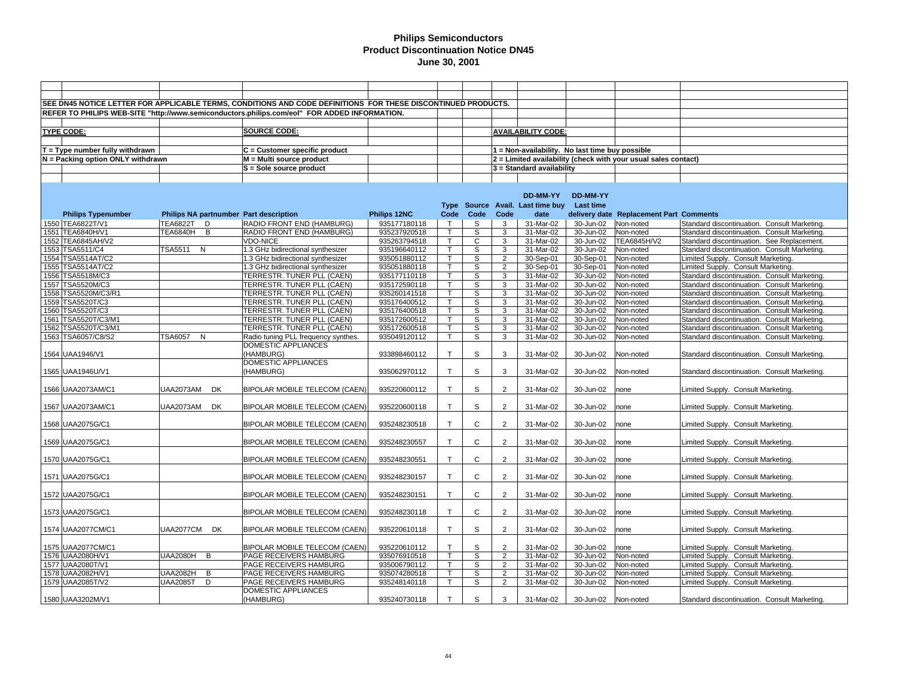|                                      |                           |           | SEE DN45 NOTICE LETTER FOR APPLICABLE TERMS, CONDITIONS AND CODE DEFINITIONS FOR THESE DISCONTINUED PRODUCTS. |                              |                              |              |                |                                                 |                        |                                                                |                                                                                              |
|--------------------------------------|---------------------------|-----------|---------------------------------------------------------------------------------------------------------------|------------------------------|------------------------------|--------------|----------------|-------------------------------------------------|------------------------|----------------------------------------------------------------|----------------------------------------------------------------------------------------------|
|                                      |                           |           | REFER TO PHILIPS WEB-SITE "http://www.semiconductors.philips.com/eol" FOR ADDED INFORMATION.                  |                              |                              |              |                |                                                 |                        |                                                                |                                                                                              |
|                                      |                           |           |                                                                                                               |                              |                              |              |                |                                                 |                        |                                                                |                                                                                              |
| <b>TYPE CODE:</b>                    |                           |           | <b>SOURCE CODE:</b>                                                                                           |                              |                              |              |                | <b>AVAILABILITY CODE:</b>                       |                        |                                                                |                                                                                              |
|                                      |                           |           |                                                                                                               |                              |                              |              |                |                                                 |                        |                                                                |                                                                                              |
| $T = Type$ number fully withdrawn    |                           |           | $C =$ Customer specific product                                                                               |                              |                              |              |                | 1 = Non-availability. No last time buy possible |                        |                                                                |                                                                                              |
| $N =$ Packing option ONLY withdrawn  |                           |           | M = Multi source product                                                                                      |                              |                              |              |                |                                                 |                        | 2 = Limited availability (check with your usual sales contact) |                                                                                              |
|                                      |                           |           | S = Sole source product                                                                                       |                              |                              |              |                | $3$ = Standard availability                     |                        |                                                                |                                                                                              |
|                                      |                           |           |                                                                                                               |                              |                              |              |                |                                                 |                        |                                                                |                                                                                              |
|                                      |                           |           |                                                                                                               |                              |                              |              |                |                                                 |                        |                                                                |                                                                                              |
|                                      |                           |           |                                                                                                               |                              |                              |              |                | DD-MM-YY                                        | <b>DD-MM-YY</b>        |                                                                |                                                                                              |
|                                      |                           |           |                                                                                                               |                              |                              |              |                | Type Source Avail. Last time buy                | Last time              |                                                                |                                                                                              |
| <b>Philips Typenumber</b>            |                           |           | Philips NA partnumber Part description                                                                        | Philips 12NC                 | Code                         | Code         | Code           | date                                            |                        | delivery date Replacement Part Comments                        |                                                                                              |
| 1550 TEA6822T/V1                     | <b>TEA6822T</b><br>$\Box$ |           | RADIO FRONT END (HAMBURG)                                                                                     | 935177180118                 | $\mathsf{T}$                 | S            | 3              | 31-Mar-02                                       | 30-Jun-02              | Non-noted                                                      | Standard discontinuation. Consult Marketing.                                                 |
| 1551 TEA6840H/V1                     | <b>TEA6840H B</b>         |           | RADIO FRONT END (HAMBURG)                                                                                     | 935237920518                 | $\mathsf{T}$                 | S            | 3              | 31-Mar-02                                       | 30-Jun-02              | Non-noted                                                      | Standard discontinuation. Consult Marketing.                                                 |
| 1552 TEA6845AH/V2                    |                           |           | <b>VDO-NICE</b>                                                                                               | 935263794518                 | $\mathsf{T}$                 | $\mathbf{C}$ | 3              | 31-Mar-02                                       | 30-Jun-02              | <b>TEA6845H/V2</b>                                             | Standard discontinuation. See Replacement.                                                   |
| 1553 TSA5511/C4                      | TSA5511 N                 |           | 1.3 GHz bidirectional synthesizer                                                                             | 935196640112                 | $\mathsf{T}$                 | S            | 3              | 31-Mar-02                                       | 30-Jun-02              | Non-noted                                                      | Standard discontinuation. Consult Marketing.                                                 |
| 1554 TSA5514AT/C2                    |                           |           | 1.3 GHz bidirectional synthesizer                                                                             | 935051880112                 | $\mathsf{T}$                 | s            | $\overline{2}$ | 30-Sep-01                                       | 30-Sep-01              | Non-noted                                                      | Limited Supply. Consult Marketing.                                                           |
| 1555 TSA5514AT/C2                    |                           |           | 1.3 GHz bidirectional synthesizer                                                                             | 935051880118                 | T                            | S            | $\overline{2}$ | 30-Sep-01                                       | 30-Sep-01              | Non-noted                                                      | Limited Supply. Consult Marketing.                                                           |
| 1556 TSA5518M/C3                     |                           |           | TERRESTR. TUNER PLL (CAEN)                                                                                    | 935177110118                 | $\overline{\mathsf{T}}$      | s            | $\overline{3}$ | 31-Mar-02                                       | 30-Jun-02              | Non-noted                                                      | Standard discontinuation. Consult Marketing.                                                 |
| 1557 TSA5520M/C3                     |                           |           | TERRESTR. TUNER PLL (CAEN)                                                                                    | 935172590118                 | $\mathsf{T}$<br>$\mathsf{T}$ | S            | 3              | 31-Mar-02                                       | 30-Jun-02              | Non-noted                                                      | Standard discontinuation. Consult Marketing.                                                 |
| 1558 TSA5520M/C3/R1                  |                           |           | TERRESTR. TUNER PLL (CAEN)                                                                                    | 935260141518                 |                              | S            | 3              | 31-Mar-02                                       | 30-Jun-02              | Non-noted                                                      | Standard discontinuation. Consult Marketing.                                                 |
| 1559 TSA5520T/C3<br>1560 TSA5520T/C3 |                           |           | TERRESTR. TUNER PLL (CAEN)<br>TERRESTR. TUNER PLL (CAEN)                                                      | 935176400512<br>935176400518 | $\mathsf{T}$<br>$\mathsf{T}$ | S<br>S       | 3<br>3         | 31-Mar-02<br>31-Mar-02                          | 30-Jun-02<br>30-Jun-02 | Non-noted                                                      | Standard discontinuation. Consult Marketing.                                                 |
| 1561 TSA5520T/C3/M1                  |                           |           | TERRESTR. TUNER PLL (CAEN)                                                                                    | 935172600512                 | T                            | S            | 3              | 31-Mar-02                                       | 30-Jun-02              | Non-noted<br>Non-noted                                         | Standard discontinuation. Consult Marketing.<br>Standard discontinuation. Consult Marketing. |
| 1562 TSA5520T/C3/M1                  |                           |           | TERRESTR. TUNER PLL (CAEN)                                                                                    | 935172600518                 | $\mathsf{T}$                 | S            | 3              | 31-Mar-02                                       | 30-Jun-02              | Non-noted                                                      | Standard discontinuation. Consult Marketing.                                                 |
| 1563 TSA6057/C8/S2                   | TSA6057<br>N              |           | Radio tuning PLL frequency synthes.                                                                           | 935049120112                 | T.                           | S            | 3              | 31-Mar-02                                       | 30-Jun-02              | Non-noted                                                      | Standard discontinuation. Consult Marketing.                                                 |
|                                      |                           |           | DOMESTIC APPLIANCES                                                                                           |                              |                              |              |                |                                                 |                        |                                                                |                                                                                              |
| 1564 UAA1946/V1                      |                           |           | (HAMBURG)                                                                                                     | 933898460112                 | $\mathsf{T}$                 | S            | 3              | 31-Mar-02                                       | 30-Jun-02              | Non-noted                                                      | Standard discontinuation. Consult Marketing.                                                 |
|                                      |                           |           | DOMESTIC APPLIANCES                                                                                           |                              |                              |              |                |                                                 |                        |                                                                |                                                                                              |
| 1565 UAA1946U/V1                     |                           |           | (HAMBURG)                                                                                                     | 935062970112                 | $\mathsf{T}$                 | S            | 3              | 31-Mar-02                                       | 30-Jun-02              | Non-noted                                                      | Standard discontinuation. Consult Marketing.                                                 |
|                                      |                           |           |                                                                                                               |                              |                              |              |                |                                                 |                        |                                                                |                                                                                              |
| 1566 UAA2073AM/C1                    | <b>UAA2073AM</b>          | <b>DK</b> | BIPOLAR MOBILE TELECOM (CAEN)                                                                                 | 935220600112                 | $\mathsf{T}$                 | S            | $\overline{2}$ | 31-Mar-02                                       | 30-Jun-02              | none                                                           | Limited Supply. Consult Marketing.                                                           |
|                                      |                           |           |                                                                                                               |                              |                              |              |                |                                                 |                        |                                                                |                                                                                              |
| 1567 UAA2073AM/C1                    | <b>UAA2073AM</b>          | <b>DK</b> | BIPOLAR MOBILE TELECOM (CAEN)                                                                                 | 935220600118                 | $\mathsf{T}$                 | S            | $\overline{2}$ | 31-Mar-02                                       | 30-Jun-02              | none                                                           | Limited Supply. Consult Marketing.                                                           |
|                                      |                           |           |                                                                                                               |                              |                              |              |                |                                                 |                        |                                                                |                                                                                              |
| 1568 UAA2075G/C1                     |                           |           | BIPOLAR MOBILE TELECOM (CAEN)                                                                                 | 935248230518                 | $\mathsf{T}$                 | C            | $\overline{2}$ | 31-Mar-02                                       | 30-Jun-02              | none                                                           | Limited Supply. Consult Marketing.                                                           |
|                                      |                           |           |                                                                                                               |                              |                              |              |                |                                                 |                        |                                                                |                                                                                              |
| 1569 UAA2075G/C1                     |                           |           | BIPOLAR MOBILE TELECOM (CAEN)                                                                                 | 935248230557                 | $\mathsf{T}$                 | C            | $\overline{2}$ | 31-Mar-02                                       | 30-Jun-02              | none                                                           | Limited Supply. Consult Marketing.                                                           |
|                                      |                           |           |                                                                                                               |                              |                              |              |                |                                                 |                        |                                                                |                                                                                              |
| 1570 UAA2075G/C1                     |                           |           | BIPOLAR MOBILE TELECOM (CAEN)                                                                                 | 935248230551                 | $\mathsf{T}$                 | C            | $\overline{2}$ | 31-Mar-02                                       | 30-Jun-02              | one                                                            | Limited Supply. Consult Marketing.                                                           |
|                                      |                           |           |                                                                                                               |                              |                              |              |                |                                                 |                        |                                                                |                                                                                              |
| 1571 UAA2075G/C1                     |                           |           | BIPOLAR MOBILE TELECOM (CAEN)                                                                                 | 935248230157                 | $\mathsf{T}$                 | $\mathsf{C}$ | $\overline{2}$ | 31-Mar-02                                       | 30-Jun-02              | none                                                           | Limited Supply. Consult Marketing.                                                           |
|                                      |                           |           |                                                                                                               |                              |                              |              |                |                                                 |                        |                                                                |                                                                                              |
| 1572 UAA2075G/C1                     |                           |           | BIPOLAR MOBILE TELECOM (CAEN)                                                                                 | 935248230151                 | $\mathsf{T}$                 | C            | $\overline{2}$ | 31-Mar-02                                       | 30-Jun-02              | none                                                           | Limited Supply. Consult Marketing.                                                           |
|                                      |                           |           |                                                                                                               |                              |                              |              |                |                                                 |                        |                                                                |                                                                                              |
| 1573 UAA2075G/C1                     |                           |           | BIPOLAR MOBILE TELECOM (CAEN)                                                                                 | 935248230118                 | $\mathsf{T}$                 | C            | $\overline{2}$ | 31-Mar-02                                       | 30-Jun-02              | none                                                           | Limited Supply. Consult Marketing.                                                           |
|                                      |                           |           |                                                                                                               |                              | T                            |              |                |                                                 |                        |                                                                |                                                                                              |
| 1574 UAA2077CM/C1                    | UAA2077CM DK              |           | BIPOLAR MOBILE TELECOM (CAEN)                                                                                 | 935220610118                 |                              | S            | $\overline{2}$ | 31-Mar-02                                       | 30-Jun-02              | none                                                           | Limited Supply. Consult Marketing.                                                           |
| 1575 UAA2077CM/C1                    |                           |           | BIPOLAR MOBILE TELECOM (CAEN)                                                                                 | 935220610112                 | T                            | S            | $\overline{2}$ | 31-Mar-02                                       | 30-Jun-02              | none                                                           | Limited Supply. Consult Marketing.                                                           |
| 1576 UAA2080H/V1                     | <b>UAA2080H</b><br>B      |           | PAGE RECEIVERS HAMBURG                                                                                        | 935076910518                 | $\mathsf{T}$                 | S            | $\overline{2}$ | 31-Mar-02                                       | 30-Jun-02              |                                                                | Limited Supply. Consult Marketing.                                                           |
| 1577 UAA2080T/V1                     |                           |           | PAGE RECEIVERS HAMBURG                                                                                        | 935006790112                 | $\mathsf{T}$                 | $\mathbb S$  | $\overline{2}$ | 31-Mar-02                                       | 30-Jun-02              | Non-noted<br>Non-noted                                         | Limited Supply. Consult Marketing.                                                           |
| 1578 UAA2082H/V1                     | <b>UAA2082H</b><br>B      |           | PAGE RECEIVERS HAMBURG                                                                                        | 935074280518                 | $\mathsf{T}$                 | S            | $\overline{2}$ | 31-Mar-02                                       | 30-Jun-02              | Non-noted                                                      | Limited Supply. Consult Marketing.                                                           |
| 1579 UAA2085T/V2                     | <b>UAA2085T</b><br>D      |           | PAGE RECEIVERS HAMBURG                                                                                        | 935248140118                 | T                            | S            | $\overline{2}$ | 31-Mar-02                                       | 30-Jun-02              | Non-noted                                                      | Limited Supply. Consult Marketing.                                                           |
|                                      |                           |           | DOMESTIC APPLIANCES                                                                                           |                              |                              |              |                |                                                 |                        |                                                                |                                                                                              |
| 1580 UAA3202M/V1                     |                           |           | (HAMBURG)                                                                                                     | 935240730118                 | T                            | S            | 3              | 31-Mar-02                                       | 30-Jun-02              | Non-noted                                                      | Standard discontinuation. Consult Marketing.                                                 |
|                                      |                           |           |                                                                                                               |                              |                              |              |                |                                                 |                        |                                                                |                                                                                              |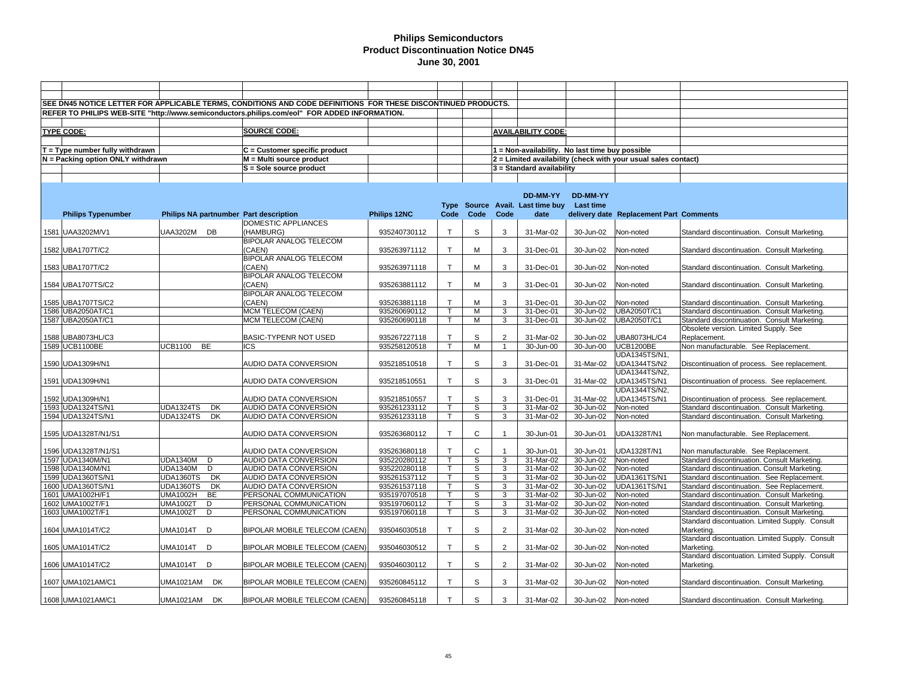|                                   |                                        | SEE DN45 NOTICE LETTER FOR APPLICABLE TERMS, CONDITIONS AND CODE DEFINITIONS FOR THESE DISCONTINUED PRODUCTS. |              |              |              |                |                                                 |           |                                                                |                                                 |
|-----------------------------------|----------------------------------------|---------------------------------------------------------------------------------------------------------------|--------------|--------------|--------------|----------------|-------------------------------------------------|-----------|----------------------------------------------------------------|-------------------------------------------------|
|                                   |                                        | REFER TO PHILIPS WEB-SITE "http://www.semiconductors.philips.com/eol" FOR ADDED INFORMATION.                  |              |              |              |                |                                                 |           |                                                                |                                                 |
|                                   |                                        |                                                                                                               |              |              |              |                |                                                 |           |                                                                |                                                 |
| <b>TYPE CODE:</b>                 |                                        | <b>SOURCE CODE:</b>                                                                                           |              |              |              |                | <b>AVAILABILITY CODE:</b>                       |           |                                                                |                                                 |
|                                   |                                        |                                                                                                               |              |              |              |                |                                                 |           |                                                                |                                                 |
| $T = Type$ number fully withdrawn |                                        | $C =$ Customer specific product                                                                               |              |              |              |                | 1 = Non-availability. No last time buy possible |           |                                                                |                                                 |
| N = Packing option ONLY withdrawn |                                        | M = Multi source product                                                                                      |              |              |              |                |                                                 |           | 2 = Limited availability (check with your usual sales contact) |                                                 |
|                                   |                                        | S = Sole source product                                                                                       |              |              |              |                | 3 = Standard availability                       |           |                                                                |                                                 |
|                                   |                                        |                                                                                                               |              |              |              |                |                                                 |           |                                                                |                                                 |
|                                   |                                        |                                                                                                               |              |              |              |                |                                                 |           |                                                                |                                                 |
|                                   |                                        |                                                                                                               |              |              |              |                | DD-MM-YY                                        | DD-MM-YY  |                                                                |                                                 |
|                                   |                                        |                                                                                                               |              |              |              |                | Type Source Avail. Last time buy                | Last time |                                                                |                                                 |
| <b>Philips Typenumber</b>         | Philips NA partnumber Part description |                                                                                                               | Philips 12NC | Code         | Code         | Code           | date                                            |           | delivery date Replacement Part Comments                        |                                                 |
|                                   |                                        | DOMESTIC APPLIANCES                                                                                           |              |              |              |                |                                                 |           |                                                                |                                                 |
| 1581 UAA3202M/V1                  | UAA3202M DB                            | (HAMBURG)                                                                                                     | 935240730112 | $\mathsf{T}$ | S            | 3              | 31-Mar-02                                       | 30-Jun-02 | Non-noted                                                      | Standard discontinuation. Consult Marketing.    |
|                                   |                                        | BIPOLAR ANALOG TELECOM                                                                                        |              |              |              |                |                                                 |           |                                                                |                                                 |
| 1582 UBA1707T/C2                  |                                        | (CAEN)                                                                                                        | 935263971112 | $\mathsf{T}$ | M            | 3              | 31-Dec-01                                       | 30-Jun-02 | Non-noted                                                      | Standard discontinuation. Consult Marketing.    |
|                                   |                                        | BIPOLAR ANALOG TELECOM                                                                                        |              |              |              |                |                                                 |           |                                                                |                                                 |
| 1583 UBA1707T/C2                  |                                        | (CAEN)                                                                                                        | 935263971118 | $\mathsf{T}$ | м            | 3              | 31-Dec-01                                       | 30-Jun-02 | Non-noted                                                      | Standard discontinuation. Consult Marketing.    |
|                                   |                                        | BIPOLAR ANALOG TELECOM                                                                                        |              |              |              |                |                                                 |           |                                                                |                                                 |
| 1584 UBA1707TS/C2                 |                                        | (CAEN)                                                                                                        | 935263881112 | $\mathsf{T}$ | м            | 3              | 31-Dec-01                                       | 30-Jun-02 | Non-noted                                                      | Standard discontinuation. Consult Marketing.    |
|                                   |                                        | <b>BIPOLAR ANALOG TELECOM</b>                                                                                 |              |              |              |                |                                                 |           |                                                                |                                                 |
| 1585 UBA1707TS/C2                 |                                        | (CAEN)                                                                                                        | 935263881118 | $\mathsf{T}$ | M            | 3              | 31-Dec-01                                       | 30-Jun-02 | Non-noted                                                      | Standard discontinuation. Consult Marketing.    |
| 1586 UBA2050AT/C1                 |                                        | MCM TELECOM (CAEN)                                                                                            | 935260690112 |              | M            | 3              | 31-Dec-01                                       | 30-Jun-02 | UBA2050T/C1                                                    | Standard discontinuation. Consult Marketing.    |
| 1587 UBA2050AT/C1                 |                                        | MCM TELECOM (CAEN)                                                                                            | 935260690118 | T            | м            | 3              | 31-Dec-01                                       | 30-Jun-02 | UBA2050T/C1                                                    | Standard discontinuation. Consult Marketing.    |
|                                   |                                        |                                                                                                               |              |              |              |                |                                                 |           |                                                                | Obsolete version. Limited Supply. See           |
| 1588 UBA8073HL/C3                 |                                        | BASIC-TYPENR NOT USED                                                                                         | 935267227118 | $\mathsf{T}$ | S            | $\overline{2}$ | 31-Mar-02                                       | 30-Jun-02 | UBA8073HL/C4                                                   | Replacement.                                    |
| 1589 UCB1100BE                    | <b>UCB1100</b><br><b>BE</b>            | <b>ICS</b>                                                                                                    | 935258120518 | $\mathsf{T}$ | м            | $\overline{1}$ | 30-Jun-00                                       | 30-Jun-00 | <b>UCB1200BE</b>                                               | Non manufacturable. See Replacement.            |
|                                   |                                        |                                                                                                               |              |              |              |                |                                                 |           | UDA1345TS/N1,                                                  |                                                 |
| 1590 UDA1309H/N1                  |                                        | AUDIO DATA CONVERSION                                                                                         | 935218510518 | $\mathsf{T}$ | S            | 3              | 31-Dec-01                                       | 31-Mar-02 | <b>UDA1344TS/N2</b>                                            | Discontinuation of process. See replacement.    |
|                                   |                                        | <b>AUDIO DATA CONVERSION</b>                                                                                  |              | $\top$       | S            |                |                                                 | 31-Mar-02 | UDA1344TS/N2,<br><b>UDA1345TS/N1</b>                           |                                                 |
| 1591 UDA1309H/N1                  |                                        |                                                                                                               | 935218510551 |              |              | 3              | 31-Dec-01                                       |           | UDA1344TS/N2.                                                  | Discontinuation of process. See replacement.    |
| 1592 UDA1309H/N1                  |                                        | AUDIO DATA CONVERSION                                                                                         | 935218510557 | $\mathsf{T}$ | S            | 3              | 31-Dec-01                                       | 31-Mar-02 | <b>UDA1345TS/N1</b>                                            | Discontinuation of process. See replacement.    |
| 1593 UDA1324TS/N1                 | <b>UDA1324TS</b><br>DK                 | AUDIO DATA CONVERSION                                                                                         | 935261233112 | $\mathsf{T}$ | S            | 3              | 31-Mar-02                                       | 30-Jun-02 | Non-noted                                                      | Standard discontinuation. Consult Marketing.    |
| 1594 UDA1324TS/N1                 | <b>DK</b><br><b>UDA1324TS</b>          | <b>AUDIO DATA CONVERSION</b>                                                                                  | 935261233118 | $\mathsf{T}$ | S            | 3              | 31-Mar-02                                       | 30-Jun-02 | Non-noted                                                      | Standard discontinuation. Consult Marketing.    |
|                                   |                                        |                                                                                                               |              |              |              |                |                                                 |           |                                                                |                                                 |
| 1595 UDA1328T/N1/S1               |                                        | AUDIO DATA CONVERSION                                                                                         | 935263680112 | $\mathsf{T}$ | $\mathsf C$  |                | 30-Jun-01                                       | 30-Jun-01 | UDA1328T/N1                                                    | Non manufacturable. See Replacement.            |
|                                   |                                        |                                                                                                               |              |              |              |                |                                                 |           |                                                                |                                                 |
| 1596 UDA1328T/N1/S1               |                                        | AUDIO DATA CONVERSION                                                                                         | 935263680118 | $\mathsf{T}$ | $\mathsf{C}$ | $\mathbf 1$    | 30-Jun-01                                       | 30-Jun-01 | UDA1328T/N1                                                    | Non manufacturable. See Replacement.            |
| 1597 UDA1340M/N1                  | <b>UDA1340M</b><br>D                   | AUDIO DATA CONVERSION                                                                                         | 935220280112 | $\mathsf{T}$ | S            | 3              | 31-Mar-02                                       | 30-Jun-02 | Non-noted                                                      | Standard discontinuation. Consult Marketing.    |
| 1598 UDA1340M/N1                  | <b>UDA1340M</b><br>D                   | AUDIO DATA CONVERSION                                                                                         | 935220280118 | т            | S            | 3              | 31-Mar-02                                       | 30-Jun-02 | Non-noted                                                      | Standard discontinuation. Consult Marketing.    |
| 1599 UDA1360TS/N1                 | <b>UDA1360TS</b><br>DK                 | AUDIO DATA CONVERSION                                                                                         | 935261537112 | $\mathsf{T}$ | S            | 3              | 31-Mar-02                                       | 30-Jun-02 | UDA1361TS/N1                                                   | Standard discontinuation. See Replacement.      |
| 1600 UDA1360TS/N1                 | <b>DK</b><br><b>UDA1360TS</b>          | AUDIO DATA CONVERSION                                                                                         | 935261537118 |              | S            | 3              | 31-Mar-02                                       | 30-Jun-02 | <b>UDA1361TS/N1</b>                                            | Standard discontinuation. See Replacement.      |
| 1601 UMA1002H/F1                  | <b>UMA1002H</b><br>BE                  | PERSONAL COMMUNICATION                                                                                        | 935197070518 | $\mathsf{T}$ | S            | 3              | 31-Mar-02                                       | 30-Jun-02 | Non-noted                                                      | Standard discontinuation. Consult Marketing.    |
| 1602 UMA1002T/F1                  | <b>UMA1002T</b><br>D                   | PERSONAL COMMUNICATION                                                                                        | 935197060112 |              | S            | 3              | 31-Mar-02                                       | 30-Jun-02 | Non-noted                                                      | Standard discontinuation. Consult Marketing.    |
| 1603 UMA1002T/F1                  | <b>UMA1002T</b><br>D                   | PERSONAL COMMUNICATION                                                                                        | 935197060118 | T            | S            | 3              | 31-Mar-02                                       | 30-Jun-02 | Non-noted                                                      | Standard discontinuation. Consult Marketing.    |
|                                   |                                        |                                                                                                               |              |              |              |                |                                                 |           |                                                                | Standard discontuation. Limited Supply. Consult |
| 1604 UMA1014T/C2                  | <b>UMA1014T D</b>                      | BIPOLAR MOBILE TELECOM (CAEN)                                                                                 | 935046030518 | $\top$       | S            | $\overline{2}$ | 31-Mar-02                                       | 30-Jun-02 | Non-noted                                                      | Marketing.                                      |
|                                   |                                        |                                                                                                               |              |              |              |                |                                                 |           |                                                                | Standard discontuation. Limited Supply. Consult |
| 1605 UMA1014T/C2                  | UMA1014T D                             | BIPOLAR MOBILE TELECOM (CAEN)                                                                                 | 935046030512 | $\mathsf{T}$ | S            | $\overline{2}$ | 31-Mar-02                                       | 30-Jun-02 | Non-noted                                                      | Marketing.                                      |
|                                   |                                        |                                                                                                               |              |              |              |                |                                                 |           |                                                                | Standard discontuation. Limited Supply. Consult |
| 1606 UMA1014T/C2                  | UMA1014T D                             | BIPOLAR MOBILE TELECOM (CAEN)                                                                                 | 935046030112 | $\top$       | S            | $\overline{2}$ | 31-Mar-02                                       | 30-Jun-02 | Non-noted                                                      | Marketing.                                      |
|                                   |                                        |                                                                                                               |              |              |              |                |                                                 |           |                                                                |                                                 |
| 1607 UMA1021AM/C1                 | UMA1021AM DK                           | BIPOLAR MOBILE TELECOM (CAEN)                                                                                 | 935260845112 | $\mathsf{T}$ | S            | 3              | 31-Mar-02                                       | 30-Jun-02 | Non-noted                                                      | Standard discontinuation. Consult Marketing.    |
| 1608 UMA1021AM/C1                 | UMA1021AM DK                           | BIPOLAR MOBILE TELECOM (CAEN)                                                                                 | 935260845118 | $\mathsf{T}$ | S            | 3              | 31-Mar-02                                       | 30-Jun-02 | Non-noted                                                      | Standard discontinuation. Consult Marketing.    |
|                                   |                                        |                                                                                                               |              |              |              |                |                                                 |           |                                                                |                                                 |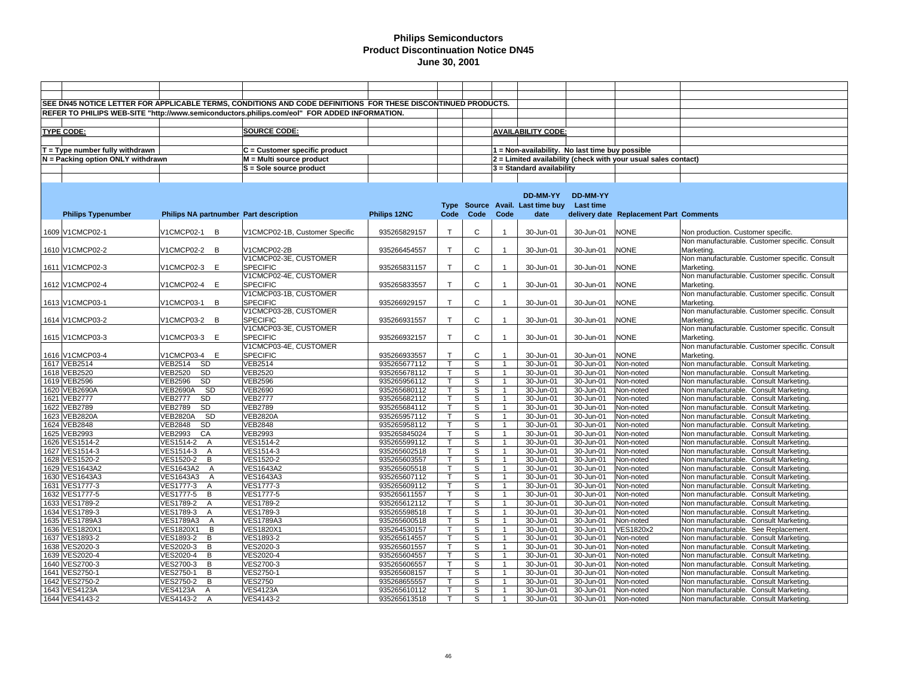|                                   |                                        | SEE DN45 NOTICE LETTER FOR APPLICABLE TERMS, CONDITIONS AND CODE DEFINITIONS FOR THESE DISCONTINUED PRODUCTS. |              |                         |                |                      |                                                 |           |                                                                |                                                |
|-----------------------------------|----------------------------------------|---------------------------------------------------------------------------------------------------------------|--------------|-------------------------|----------------|----------------------|-------------------------------------------------|-----------|----------------------------------------------------------------|------------------------------------------------|
|                                   |                                        | REFER TO PHILIPS WEB-SITE "http://www.semiconductors.philips.com/eol" FOR ADDED INFORMATION.                  |              |                         |                |                      |                                                 |           |                                                                |                                                |
|                                   |                                        |                                                                                                               |              |                         |                |                      |                                                 |           |                                                                |                                                |
|                                   |                                        | <b>SOURCE CODE:</b>                                                                                           |              |                         |                |                      |                                                 |           |                                                                |                                                |
| <b>TYPE CODE:</b>                 |                                        |                                                                                                               |              |                         |                |                      | <b>AVAILABILITY CODE:</b>                       |           |                                                                |                                                |
|                                   |                                        |                                                                                                               |              |                         |                |                      |                                                 |           |                                                                |                                                |
| $T = Type$ number fully withdrawn |                                        | C = Customer specific product                                                                                 |              |                         |                |                      | 1 = Non-availability. No last time buy possible |           |                                                                |                                                |
| N = Packing option ONLY withdrawn |                                        | M = Multi source product                                                                                      |              |                         |                |                      |                                                 |           | 2 = Limited availability (check with your usual sales contact) |                                                |
|                                   |                                        | S = Sole source product                                                                                       |              |                         |                |                      | 3 = Standard availability                       |           |                                                                |                                                |
|                                   |                                        |                                                                                                               |              |                         |                |                      |                                                 |           |                                                                |                                                |
|                                   |                                        |                                                                                                               |              |                         |                |                      |                                                 |           |                                                                |                                                |
|                                   |                                        |                                                                                                               |              |                         |                |                      | DD-MM-YY                                        | DD-MM-YY  |                                                                |                                                |
|                                   |                                        |                                                                                                               |              |                         |                |                      | Type Source Avail. Last time buy Last time      |           |                                                                |                                                |
| <b>Philips Typenumber</b>         | Philips NA partnumber Part description |                                                                                                               | Philips 12NC | Code                    | Code           | Code                 | date                                            |           | delivery date Replacement Part Comments                        |                                                |
|                                   |                                        |                                                                                                               |              |                         |                |                      |                                                 |           |                                                                |                                                |
| 1609 V1CMCP02-1                   | V1CMCP02-1 B                           | V1CMCP02-1B, Customer Specific                                                                                | 935265829157 | $\mathsf{T}$            | C              | $\mathbf{1}$         | 30-Jun-01                                       | 30-Jun-01 | <b>NONE</b>                                                    | Non production. Customer specific.             |
|                                   |                                        |                                                                                                               |              |                         |                |                      |                                                 |           |                                                                | Non manufacturable. Customer specific. Consult |
| 1610 V1CMCP02-2                   | V1CMCP02-2 B                           | V1CMCP02-2B                                                                                                   | 935266454557 | $\mathsf{T}$            | C              |                      | 30-Jun-01                                       | 30-Jun-01 | <b>NONE</b>                                                    | Marketing.                                     |
|                                   |                                        | V1CMCP02-3E, CUSTOMER                                                                                         |              |                         |                |                      |                                                 |           |                                                                | Non manufacturable. Customer specific. Consult |
| 1611 V1CMCP02-3                   | V1CMCP02-3 E                           | <b>SPECIFIC</b>                                                                                               | 935265831157 | $\mathsf{T}$            | C              | $\mathbf{1}$         | 30-Jun-01                                       | 30-Jun-01 | <b>NONE</b>                                                    | Marketing.                                     |
|                                   |                                        | V1CMCP02-4E, CUSTOMER                                                                                         |              |                         |                |                      |                                                 |           |                                                                | Non manufacturable. Customer specific. Consult |
| 1612 V1CMCP02-4                   | V1CMCP02-4 E                           | <b>SPECIFIC</b>                                                                                               | 935265833557 | T                       | C              |                      | 30-Jun-01                                       | 30-Jun-01 | <b>NONE</b>                                                    | Marketing.                                     |
|                                   |                                        | V1CMCP03-1B, CUSTOMER                                                                                         |              |                         |                |                      |                                                 |           |                                                                | Non manufacturable. Customer specific. Consult |
| 1613 V1CMCP03-1                   | V1CMCP03-1 B                           | <b>SPECIFIC</b>                                                                                               | 935266929157 | $\mathsf{T}$            | C              |                      | 30-Jun-01                                       |           | <b>NONE</b>                                                    | Marketing.                                     |
|                                   |                                        |                                                                                                               |              |                         |                |                      |                                                 | 30-Jun-01 |                                                                |                                                |
|                                   |                                        | V1CMCP03-2B, CUSTOMER                                                                                         |              |                         |                |                      |                                                 |           |                                                                | Non manufacturable. Customer specific. Consult |
| 1614 V1CMCP03-2                   | V1CMCP03-2 B                           | <b>SPECIFIC</b>                                                                                               | 935266931557 | $\mathsf{T}$            | C              |                      | 30-Jun-01                                       | 30-Jun-01 | <b>NONE</b>                                                    | Marketing.                                     |
|                                   |                                        | V1CMCP03-3E, CUSTOMER                                                                                         |              |                         |                |                      |                                                 |           |                                                                | Non manufacturable. Customer specific. Consult |
| 1615 V1CMCP03-3                   | V1CMCP03-3 E                           | <b>SPECIFIC</b>                                                                                               | 935266932157 | $\mathsf{T}$            | $\mathsf{C}$   | 1                    | 30-Jun-01                                       | 30-Jun-01 | <b>NONE</b>                                                    | Marketing.                                     |
|                                   |                                        | V1CMCP03-4E, CUSTOMER                                                                                         |              |                         |                |                      |                                                 |           |                                                                | Non manufacturable. Customer specific. Consult |
| 1616 V1CMCP03-4                   | V1CMCP03-4 E                           | <b>SPECIFIC</b>                                                                                               | 935266933557 | T                       | C              |                      | 30-Jun-01                                       | 30-Jun-01 | <b>NONE</b>                                                    | Marketing.                                     |
| 1617 VEB2514                      | <b>VEB2514</b><br><b>SD</b>            | <b>VEB2514</b>                                                                                                | 935265677112 | $\mathsf{T}$            | S              | $\mathbf{1}$         | 30-Jun-01                                       | 30-Jun-01 | Non-noted                                                      | Non manufacturable. Consult Marketing.         |
| 1618 VEB2520                      | <b>VEB2520</b><br>SD                   | <b>VEB2520</b>                                                                                                | 935265678112 | T.                      | S              | $\mathbf{1}$         | 30-Jun-01                                       | 30-Jun-01 | Non-noted                                                      | Non manufacturable. Consult Marketing.         |
| 1619 VEB2596                      | SD<br><b>VEB2596</b>                   | <b>VEB2596</b>                                                                                                | 935265956112 | T.                      | S              | $\mathbf{1}$         | 30-Jun-01                                       | 30-Jun-01 | Non-noted                                                      | Non manufacturable. Consult Marketing.         |
| 1620 VEB2690A                     | VEB2690A SD                            | <b>VEB2690</b>                                                                                                | 935265680112 | $\mathsf T$             | S              | $\mathbf{1}$         | 30-Jun-01                                       | 30-Jun-01 | Non-noted                                                      | Non manufacturable. Consult Marketing.         |
| 1621 VEB2777                      | <b>VEB2777</b><br><b>SD</b>            | <b>VEB2777</b>                                                                                                | 935265682112 | $\mathsf{T}$            | S              | $\mathbf{1}$         | 30-Jun-01                                       | 30-Jun-01 | Non-noted                                                      | Non manufacturable. Consult Marketing.         |
| 1622 VEB2789                      | SD<br><b>VEB2789</b>                   | <b>VEB2789</b>                                                                                                | 935265684112 | $\mathsf{T}$            | S              | $\overline{1}$       | 30-Jun-01                                       | 30-Jun-01 | Non-noted                                                      | Non manufacturable. Consult Marketing.         |
| 1623 VEB2820A                     | <b>SD</b><br><b>VEB2820A</b>           | <b>VEB2820A</b>                                                                                               | 935265957112 | T.                      | $\mathbb S$    | $\blacktriangleleft$ | 30-Jun-01                                       | 30-Jun-01 | Non-noted                                                      | Non manufacturable. Consult Marketing.         |
| 1624 VEB2848                      | <b>SD</b><br><b>VEB2848</b>            | <b>VEB2848</b>                                                                                                | 935265958112 | T                       | S              | $\mathbf{1}$         | 30-Jun-01                                       | 30-Jun-01 | Non-noted                                                      | Non manufacturable. Consult Marketing.         |
| 1625 VEB2993                      | <b>VEB2993</b><br>CA                   | <b>VEB2993</b>                                                                                                | 935265845024 | $\mathsf{T}$            | $\overline{s}$ | $\mathbf{1}$         | 30-Jun-01                                       | 30-Jun-01 | Non-noted                                                      | Non manufacturable. Consult Marketing          |
| 1626 VES1514-2                    | VES1514-2 A                            | VES1514-2                                                                                                     | 935265599112 | T                       | S              | $\mathbf{1}$         | 30-Jun-01                                       | 30-Jun-01 | Non-noted                                                      | Non manufacturable. Consult Marketing.         |
| 1627 VES1514-3                    | VES1514-3<br>A                         | VES1514-3                                                                                                     | 935265602518 | $\mathsf{T}$            | $\overline{s}$ | $\mathbf{1}$         | 30-Jun-01                                       | 30-Jun-01 | Non-noted                                                      | Non manufacturable. Consult Marketing.         |
| 1628 VES1520-2                    | VES1520-2 B                            | VES1520-2                                                                                                     | 935265603557 | T.                      | S              | $\overline{1}$       | 30-Jun-01                                       | 30-Jun-01 | Non-noted                                                      | Non manufacturable. Consult Marketing.         |
| 1629 VES1643A2                    | VES1643A2 A                            | <b>VES1643A2</b>                                                                                              | 935265605518 | $\overline{\mathsf{T}}$ | S              | $\mathbf{1}$         | 30-Jun-01                                       | 30-Jun-01 | Non-noted                                                      | Non manufacturable. Consult Marketing.         |
| 1630 VES1643A3                    | VES1643A3<br>A                         | <b>VES1643A3</b>                                                                                              | 935265607112 | $\mathsf{T}$            | S              | $\mathbf{1}$         | 30-Jun-01                                       | 30-Jun-01 | Non-noted                                                      | Non manufacturable. Consult Marketing.         |
| 1631 VES1777-3                    | VES1777-3<br>A                         | VES1777-3                                                                                                     | 935265609112 | T                       | S              | $\mathbf{1}$         | 30-Jun-01                                       | 30-Jun-01 | Non-noted                                                      | Non manufacturable. Consult Marketing.         |
| 1632 VES1777-5                    | VES1777-5<br>$\overline{B}$            | VES1777-5                                                                                                     | 935265611557 | T.                      | $\overline{s}$ | $\mathbf{1}$         | 30-Jun-01                                       | 30-Jun-01 | Non-noted                                                      | Non manufacturable. Consult Marketing.         |
| 1633 VES1789-2                    | VES1789-2 A                            | <b>VES1789-2</b>                                                                                              | 935265612112 | $\overline{\mathsf{T}}$ | s              | $\mathbf{1}$         | 30-Jun-01                                       | 30-Jun-01 | Non-noted                                                      | Non manufacturable. Consult Marketing.         |
| 1634 VES1789-3                    | VES1789-3<br>$\overline{A}$            | VES1789-3                                                                                                     | 935265598518 | T.                      | S              | $\mathbf{1}$         | 30-Jun-01                                       | 30-Jun-01 | Non-noted                                                      | Non manufacturable. Consult Marketing.         |
| 1635 VES1789A3                    | <b>VES1789A3</b><br>A                  | <b>VES1789A3</b>                                                                                              | 935265600518 | $\overline{\mathsf{T}}$ | S              | $\overline{1}$       | 30-Jun-01                                       | 30-Jun-01 | Non-noted                                                      | Non manufacturable. Consult Marketing.         |
| 1636 VES1820X1                    | $\overline{B}$<br><b>VES1820X1</b>     | <b>VES1820X1</b>                                                                                              | 935264530157 | $\mathsf{T}$            | $\mathbb S$    | $\mathbf{1}$         | 30-Jun-01                                       | 30-Jun-01 | VES1820x2                                                      | Non manufacturable. See Replacement.           |
| 1637 VES1893-2                    | VES1893-2<br>$\overline{B}$            | VES1893-2                                                                                                     | 935265614557 | $\mathsf{T}$            | S              | $\mathbf{1}$         | 30-Jun-01                                       | 30-Jun-01 | Non-noted                                                      | Non manufacturable. Consult Marketing.         |
| 1638 VES2020-3                    | $\, {\sf B}$<br>VES2020-3              | VES2020-3                                                                                                     | 935265601557 | T.                      | S              | $\mathbf{1}$         | 30-Jun-01                                       | 30-Jun-01 | Non-noted                                                      | Non manufacturable. Consult Marketing.         |
| 1639 VES2020-4                    | VES2020-4<br>B                         | VES2020-4                                                                                                     | 935265604557 | $\mathsf{T}$            | S              | 1                    | 30-Jun-01                                       | 30-Jun-01 | Non-noted                                                      | Non manufacturable. Consult Marketing.         |
| 1640 VES2700-3                    | $\bar{B}$<br>VES2700-3                 | VES2700-3                                                                                                     | 935265606557 | T.                      | S              | $\mathbf{1}$         | 30-Jun-01                                       | 30-Jun-01 | Non-noted                                                      | Non manufacturable. Consult Marketing.         |
| 1641 VES2750-1                    | VES2750-1<br>B                         | VES2750-1                                                                                                     | 935265608157 | $\mathsf{T}$            | S              |                      | 30-Jun-01                                       | 30-Jun-01 | Non-noted                                                      | Non manufacturable. Consult Marketing.         |
| 1642 VES2750-2                    | B<br>VES2750-2                         | <b>VES2750</b>                                                                                                | 935268655557 | $\mathsf{T}$            | S              | $\overline{1}$       | 30-Jun-01                                       | 30-Jun-01 | Non-noted                                                      | Non manufacturable. Consult Marketing.         |
| 1643 VES4123A                     | <b>VES4123A</b><br>$\overline{A}$      | <b>VES4123A</b>                                                                                               | 935265610112 | $\mathsf T$             | S              |                      | 30-Jun-01                                       | 30-Jun-01 | Non-noted                                                      | Non manufacturable. Consult Marketing.         |
| 1644 VES4143-2                    | VES4143-2<br>$\overline{A}$            | VES4143-2                                                                                                     | 935265613518 | T                       | S              | $\overline{1}$       | 30-Jun-01                                       | 30-Jun-01 | Non-noted                                                      | Non manufacturable. Consult Marketing.         |
|                                   |                                        |                                                                                                               |              |                         |                |                      |                                                 |           |                                                                |                                                |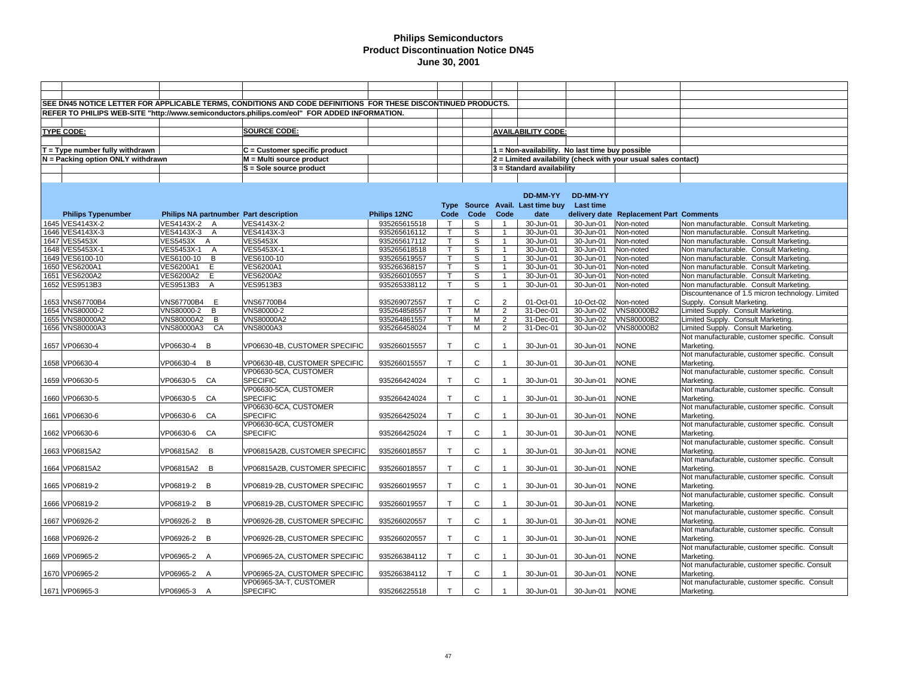|                                   |                        | SEE DN45 NOTICE LETTER FOR APPLICABLE TERMS, CONDITIONS AND CODE DEFINITIONS FOR THESE DISCONTINUED PRODUCTS. |              |              |              |                |                                                 |                 |                                                                |                                                  |
|-----------------------------------|------------------------|---------------------------------------------------------------------------------------------------------------|--------------|--------------|--------------|----------------|-------------------------------------------------|-----------------|----------------------------------------------------------------|--------------------------------------------------|
|                                   |                        | REFER TO PHILIPS WEB-SITE "http://www.semiconductors.philips.com/eol" FOR ADDED INFORMATION.                  |              |              |              |                |                                                 |                 |                                                                |                                                  |
|                                   |                        |                                                                                                               |              |              |              |                |                                                 |                 |                                                                |                                                  |
|                                   |                        |                                                                                                               |              |              |              |                |                                                 |                 |                                                                |                                                  |
| <b>TYPE CODE:</b>                 |                        | <b>SOURCE CODE:</b>                                                                                           |              |              |              |                | <b>AVAILABILITY CODE:</b>                       |                 |                                                                |                                                  |
|                                   |                        |                                                                                                               |              |              |              |                |                                                 |                 |                                                                |                                                  |
| $T = Type$ number fully withdrawn |                        | C = Customer specific product                                                                                 |              |              |              |                | 1 = Non-availability. No last time buy possible |                 |                                                                |                                                  |
| N = Packing option ONLY withdrawn |                        | M = Multi source product                                                                                      |              |              |              |                |                                                 |                 | 2 = Limited availability (check with your usual sales contact) |                                                  |
|                                   |                        | S = Sole source product                                                                                       |              |              |              |                | 3 = Standard availability                       |                 |                                                                |                                                  |
|                                   |                        |                                                                                                               |              |              |              |                |                                                 |                 |                                                                |                                                  |
|                                   |                        |                                                                                                               |              |              |              |                |                                                 |                 |                                                                |                                                  |
|                                   |                        |                                                                                                               |              |              |              |                | DD-MM-YY                                        | <b>DD-MM-YY</b> |                                                                |                                                  |
|                                   |                        |                                                                                                               |              |              |              |                | Type Source Avail. Last time buy Last time      |                 |                                                                |                                                  |
| <b>Philips Typenumber</b>         |                        | Philips NA partnumber Part description                                                                        | Philips 12NC | Code         | Code         | Code           | date                                            |                 | delivery date Replacement Part Comments                        |                                                  |
| 1645 VES4143X-2                   | VES4143X-2 A           | VES4143X-2                                                                                                    | 935265615518 | $\top$       | S            | $\overline{1}$ | 30-Jun-01                                       | 30-Jun-01       | Non-noted                                                      | Non manufacturable. Consult Marketing.           |
|                                   |                        | VES4143X-3                                                                                                    |              |              |              | $\overline{1}$ |                                                 |                 |                                                                |                                                  |
| 1646 VES4143X-3                   | VES4143X-3 A           |                                                                                                               | 935265616112 |              | S            |                | 30-Jun-01                                       | 30-Jun-01       | Non-noted                                                      | Non manufacturable. Consult Marketing.           |
| 1647 VES5453X                     | <b>VES5453X A</b>      | <b>VES5453X</b>                                                                                               | 935265617112 |              | S            |                | 30-Jun-01                                       | 30-Jun-01       | Non-noted                                                      | Non manufacturable. Consult Marketing.           |
| 1648 VES5453X-1                   | VES5453X-1 A           | VES5453X-1                                                                                                    | 935265618518 |              | S            | $\mathbf{1}$   | 30-Jun-01                                       | 30-Jun-01       | Non-noted                                                      | Non manufacturable. Consult Marketing.           |
| 1649 VES6100-10                   | VES6100-10<br>B        | VES6100-10                                                                                                    | 935265619557 |              | S            |                | 30-Jun-01                                       | 30-Jun-01       | Non-noted                                                      | Non manufacturable. Consult Marketing.           |
| 1650 VES6200A1                    | <b>VES6200A1</b><br>E  | <b>VES6200A1</b>                                                                                              | 935266368157 |              | S            |                | 30-Jun-01                                       | 30-Jun-01       | Non-noted                                                      | Non manufacturable. Consult Marketing.           |
| 1651 VES6200A2                    | <b>VES6200A2</b><br>Е  | <b>VES6200A2</b>                                                                                              | 935266010557 | $\mathsf{T}$ | S            |                | 30-Jun-01                                       | 30-Jun-01       | Non-noted                                                      | Non manufacturable. Consult Marketing.           |
| 1652 VES9513B3                    | VES9513B3<br>A         | VES9513B3                                                                                                     | 935265338112 | $\mathsf{T}$ | S            | $\overline{1}$ | 30-Jun-01                                       | 30-Jun-01       | Non-noted                                                      | Non manufacturable. Consult Marketing.           |
|                                   |                        |                                                                                                               |              |              |              |                |                                                 |                 |                                                                | Discountenance of 1.5 micron technology. Limited |
| 1653 VNS67700B4                   | <b>VNS67700B4</b><br>E | VNS67700B4                                                                                                    | 935269072557 | $\mathsf{T}$ | C            | $\overline{2}$ | 01-Oct-01                                       | 10-Oct-02       | Non-noted                                                      | Supply. Consult Marketing.                       |
| 1654 VNS80000-2                   | B<br>VNS80000-2        | VNS80000-2                                                                                                    | 935264858557 | $\mathsf{T}$ | M            | $\overline{2}$ | 31-Dec-01                                       | 30-Jun-02       | VNS80000B2                                                     | Limited Supply. Consult Marketing.               |
| 1655 VNS80000A2                   | VNS80000A2<br>B        | <b>VNS80000A2</b>                                                                                             | 935264861557 | $\mathsf{T}$ | M            | $\overline{2}$ | 31-Dec-01                                       | 30-Jun-02       | VNS80000B2                                                     | Limited Supply. Consult Marketing.               |
| 1656 VNS80000A3                   | VNS80000A3<br>CA       | <b>VNS8000A3</b>                                                                                              | 935266458024 | $\mathsf{T}$ | M            | $\overline{2}$ | 31-Dec-01                                       | 30-Jun-02       | VNS80000B2                                                     | Limited Supply. Consult Marketing.               |
|                                   |                        |                                                                                                               |              |              |              |                |                                                 |                 |                                                                | Not manufacturable, customer specific. Consult   |
| 1657 VP06630-4                    | VP06630-4 B            | VP06630-4B, CUSTOMER SPECIFIC                                                                                 | 935266015557 | $\mathsf{T}$ | $\mathsf C$  |                | 30-Jun-01                                       | 30-Jun-01       | <b>NONE</b>                                                    | Marketing.                                       |
|                                   |                        |                                                                                                               |              |              |              |                |                                                 |                 |                                                                | Not manufacturable, customer specific. Consult   |
| 1658 VP06630-4                    | VP06630-4 B            | VP06630-4B, CUSTOMER SPECIFIC                                                                                 | 935266015557 | $\mathsf{T}$ | C            |                | 30-Jun-01                                       | 30-Jun-01       | <b>NONE</b>                                                    | Marketing.                                       |
|                                   |                        | VP06630-5CA, CUSTOMER                                                                                         |              |              |              |                |                                                 |                 |                                                                | Not manufacturable, customer specific. Consult   |
| 1659 VP06630-5                    | VP06630-5 CA           | <b>SPECIFIC</b>                                                                                               | 935266424024 | $\mathsf{T}$ | C            |                | 30-Jun-01                                       | 30-Jun-01       | <b>NONE</b>                                                    | Marketing.                                       |
|                                   |                        | VP06630-5CA, CUSTOMER                                                                                         |              |              |              |                |                                                 |                 |                                                                | Not manufacturable, customer specific. Consult   |
| 1660 VP06630-5                    | VP06630-5 CA           | <b>SPECIFIC</b>                                                                                               | 935266424024 | $\mathsf{T}$ | $\mathsf{C}$ |                | 30-Jun-01                                       | 30-Jun-01       | <b>NONE</b>                                                    | Marketing.                                       |
|                                   |                        | VP06630-6CA, CUSTOMER                                                                                         |              |              |              |                |                                                 |                 |                                                                | Not manufacturable, customer specific. Consult   |
| 1661 VP06630-6                    | VP06630-6<br>CA        | <b>SPECIFIC</b>                                                                                               | 935266425024 | $\mathsf{T}$ | C            |                | 30-Jun-01                                       | 30-Jun-01       | <b>NONE</b>                                                    | Marketing.                                       |
|                                   |                        | VP06630-6CA, CUSTOMER                                                                                         |              |              |              |                |                                                 |                 |                                                                | Not manufacturable, customer specific. Consult   |
| 1662 VP06630-6                    | VP06630-6 CA           | <b>SPECIFIC</b>                                                                                               | 935266425024 | $\mathsf{T}$ | C            |                | 30-Jun-01                                       | 30-Jun-01       | <b>NONE</b>                                                    | Marketing.                                       |
|                                   |                        |                                                                                                               |              |              |              |                |                                                 |                 |                                                                | Not manufacturable, customer specific. Consult   |
| 1663 VP06815A2                    | VP06815A2 B            | VP06815A2B, CUSTOMER SPECIFIC                                                                                 | 935266018557 | $\mathsf{T}$ | $\mathsf{C}$ | $\overline{1}$ | 30-Jun-01                                       | 30-Jun-01       | <b>NONE</b>                                                    | Marketing.                                       |
|                                   |                        |                                                                                                               |              |              |              |                |                                                 |                 |                                                                | Not manufacturable, customer specific. Consult   |
| 1664 VP06815A2                    | VP06815A2 B            | VP06815A2B, CUSTOMER SPECIFIC                                                                                 | 935266018557 | $\mathsf{T}$ | C            |                | 30-Jun-01                                       | 30-Jun-01       | <b>NONE</b>                                                    | Marketing.                                       |
|                                   |                        |                                                                                                               |              |              |              |                |                                                 |                 |                                                                | Not manufacturable, customer specific. Consult   |
| 1665 VP06819-2                    | VP06819-2 B            | VP06819-2B, CUSTOMER SPECIFIC                                                                                 | 935266019557 | $\mathsf{T}$ | C            |                | 30-Jun-01                                       | 30-Jun-01       | <b>NONE</b>                                                    | Marketing.                                       |
|                                   |                        |                                                                                                               |              |              |              |                |                                                 |                 |                                                                | Not manufacturable, customer specific. Consult   |
| 1666 VP06819-2                    | VP06819-2<br>B         | VP06819-2B, CUSTOMER SPECIFIC                                                                                 | 935266019557 | $\mathsf{T}$ | C            |                | 30-Jun-01                                       | 30-Jun-01       | <b>NONE</b>                                                    | Marketing.                                       |
|                                   |                        |                                                                                                               |              |              |              |                |                                                 |                 |                                                                | Not manufacturable, customer specific. Consult   |
|                                   |                        |                                                                                                               |              |              |              |                |                                                 |                 |                                                                |                                                  |
| 1667 VP06926-2                    | VP06926-2 B            | VP06926-2B, CUSTOMER SPECIFIC                                                                                 | 935266020557 | $\mathsf{T}$ | C            |                | 30-Jun-01                                       | 30-Jun-01       | <b>NONE</b>                                                    | Marketing.                                       |
|                                   |                        |                                                                                                               |              |              |              |                |                                                 |                 |                                                                | Not manufacturable, customer specific. Consult   |
| 1668 VP06926-2                    | VP06926-2 B            | VP06926-2B, CUSTOMER SPECIFIC                                                                                 | 935266020557 | $\mathsf{T}$ | $\mathsf{C}$ |                | 30-Jun-01                                       | 30-Jun-01       | <b>NONE</b>                                                    | Marketing.                                       |
|                                   |                        |                                                                                                               |              |              |              |                |                                                 |                 |                                                                | Not manufacturable, customer specific. Consult   |
| 1669 VP06965-2                    | VP06965-2 A            | VP06965-2A, CUSTOMER SPECIFIC                                                                                 | 935266384112 | $\mathsf{T}$ | C            |                | 30-Jun-01                                       | 30-Jun-01       | <b>NONE</b>                                                    | Marketing.                                       |
|                                   |                        |                                                                                                               |              |              |              |                |                                                 |                 |                                                                | Not manufacturable, customer specific. Consult   |
| 1670 VP06965-2                    | VP06965-2 A            | VP06965-2A, CUSTOMER SPECIFIC                                                                                 | 935266384112 | $\mathsf{T}$ | C            |                | 30-Jun-01                                       | 30-Jun-01       | <b>NONE</b>                                                    | Marketing.                                       |
|                                   |                        | VP06965-3A-T, CUSTOMER                                                                                        |              |              |              |                |                                                 |                 |                                                                | Not manufacturable, customer specific. Consult   |
| 1671 VP06965-3                    | VP06965-3 A            | <b>SPECIFIC</b>                                                                                               | 935266225518 | $\mathsf{T}$ | $\mathsf{C}$ |                | 30-Jun-01                                       | 30-Jun-01       | <b>NONE</b>                                                    | Marketing.                                       |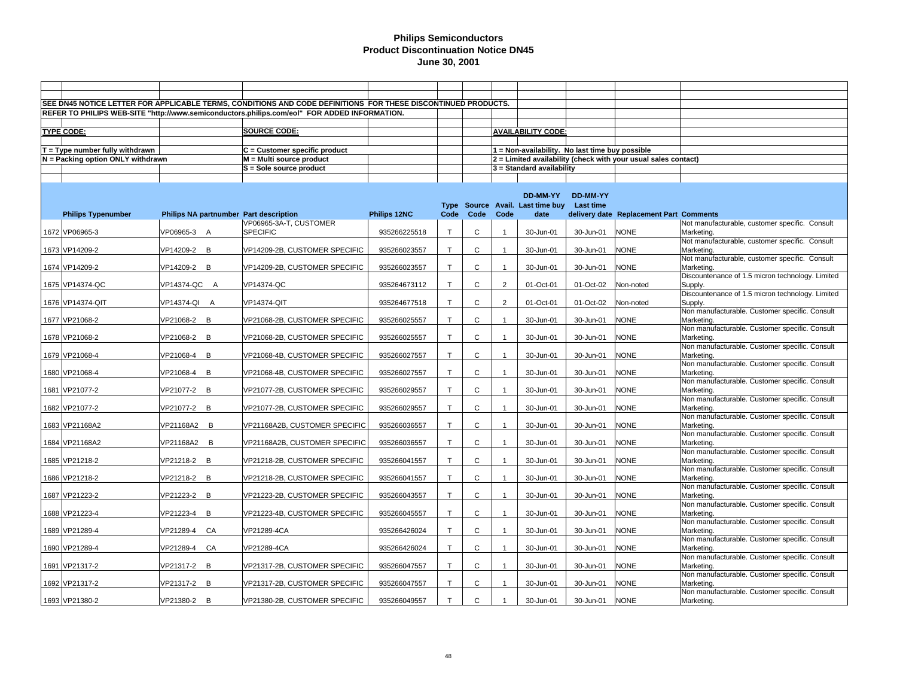|                                   |                                        | SEE DN45 NOTICE LETTER FOR APPLICABLE TERMS, CONDITIONS AND CODE DEFINITIONS FOR THESE DISCONTINUED PRODUCTS. |              |              |              |                |                                                 |                 |                                                                |                                                              |
|-----------------------------------|----------------------------------------|---------------------------------------------------------------------------------------------------------------|--------------|--------------|--------------|----------------|-------------------------------------------------|-----------------|----------------------------------------------------------------|--------------------------------------------------------------|
|                                   |                                        | REFER TO PHILIPS WEB-SITE "http://www.semiconductors.philips.com/eol" FOR ADDED INFORMATION.                  |              |              |              |                |                                                 |                 |                                                                |                                                              |
|                                   |                                        |                                                                                                               |              |              |              |                |                                                 |                 |                                                                |                                                              |
| <b>TYPE CODE:</b>                 |                                        | <b>SOURCE CODE:</b>                                                                                           |              |              |              |                | <b>AVAILABILITY CODE:</b>                       |                 |                                                                |                                                              |
|                                   |                                        |                                                                                                               |              |              |              |                |                                                 |                 |                                                                |                                                              |
| $T = Type$ number fully withdrawn |                                        | $C =$ Customer specific product                                                                               |              |              |              |                | 1 = Non-availability. No last time buy possible |                 |                                                                |                                                              |
| N = Packing option ONLY withdrawn |                                        | M = Multi source product                                                                                      |              |              |              |                |                                                 |                 | 2 = Limited availability (check with your usual sales contact) |                                                              |
|                                   |                                        | S = Sole source product                                                                                       |              |              |              |                | 3 = Standard availability                       |                 |                                                                |                                                              |
|                                   |                                        |                                                                                                               |              |              |              |                |                                                 |                 |                                                                |                                                              |
|                                   |                                        |                                                                                                               |              |              |              |                |                                                 |                 |                                                                |                                                              |
|                                   |                                        |                                                                                                               |              |              |              |                | DD-MM-YY                                        | <b>DD-MM-YY</b> |                                                                |                                                              |
|                                   |                                        |                                                                                                               |              |              |              |                | Type Source Avail. Last time buy                | Last time       |                                                                |                                                              |
| <b>Philips Typenumber</b>         | Philips NA partnumber Part description |                                                                                                               | Philips 12NC | Code         | Code         | Code           | date                                            |                 | delivery date Replacement Part Comments                        |                                                              |
|                                   |                                        | VP06965-3A-T, CUSTOMER                                                                                        |              |              |              |                |                                                 |                 |                                                                | Not manufacturable, customer specific. Consult               |
| 1672 VP06965-3                    | VP06965-3 A                            | <b>SPECIFIC</b>                                                                                               | 935266225518 | $\mathsf{T}$ | C            | $\overline{1}$ | 30-Jun-01                                       | 30-Jun-01       | <b>NONE</b>                                                    | Marketing.                                                   |
|                                   |                                        |                                                                                                               |              | $\mathsf{T}$ | $\mathsf{C}$ |                |                                                 |                 |                                                                | Not manufacturable, customer specific. Consult               |
| 1673 VP14209-2                    | VP14209-2 B                            | VP14209-2B, CUSTOMER SPECIFIC                                                                                 | 935266023557 |              |              |                | 30-Jun-01                                       | 30-Jun-01       | <b>NONE</b>                                                    | Marketing<br>Not manufacturable, customer specific. Consult  |
| 1674 VP14209-2                    | VP14209-2<br>B                         | VP14209-2B, CUSTOMER SPECIFIC                                                                                 | 935266023557 | $\mathsf{T}$ | C            | -1             | 30-Jun-01                                       | 30-Jun-01       | <b>NONE</b>                                                    | Marketing.                                                   |
|                                   |                                        |                                                                                                               |              |              |              |                |                                                 |                 |                                                                | Discountenance of 1.5 micron technology. Limited             |
| 1675 VP14374-QC                   | VP14374-QC A                           | VP14374-QC                                                                                                    | 935264673112 | $\mathsf{T}$ | C            | $\overline{2}$ | 01-Oct-01                                       | 01-Oct-02       | Non-noted                                                      | Supply.                                                      |
|                                   |                                        |                                                                                                               |              |              |              |                |                                                 |                 |                                                                | Discountenance of 1.5 micron technology. Limited             |
| 1676 VP14374-QIT                  | VP14374-QI A                           | VP14374-QIT                                                                                                   | 935264677518 | T            | C            | $\overline{2}$ | 01-Oct-01                                       | 01-Oct-02       | Non-noted                                                      | Supply.                                                      |
|                                   |                                        |                                                                                                               |              |              |              |                |                                                 |                 |                                                                | Non manufacturable. Customer specific. Consult               |
| 1677 VP21068-2                    | B<br>VP21068-2                         | VP21068-2B, CUSTOMER SPECIFIC                                                                                 | 935266025557 | т            | C            |                | 30-Jun-01                                       | 30-Jun-01       | <b>NONE</b>                                                    | Marketing.                                                   |
|                                   |                                        |                                                                                                               |              |              |              |                |                                                 |                 |                                                                | Non manufacturable. Customer specific. Consult               |
| 1678 VP21068-2                    | VP21068-2<br>B                         | VP21068-2B, CUSTOMER SPECIFIC                                                                                 | 935266025557 | T            | C            | $\overline{1}$ | 30-Jun-01                                       | 30-Jun-01       | <b>NONE</b>                                                    | Marketing.                                                   |
|                                   |                                        |                                                                                                               |              |              |              |                |                                                 |                 |                                                                | Non manufacturable. Customer specific. Consult               |
| 1679 VP21068-4                    | VP21068-4<br>B                         | VP21068-4B, CUSTOMER SPECIFIC                                                                                 | 935266027557 | т            | C            |                | 30-Jun-01                                       | 30-Jun-01       | <b>NONE</b>                                                    | Marketing.                                                   |
|                                   |                                        |                                                                                                               |              |              |              |                |                                                 |                 |                                                                | Non manufacturable. Customer specific. Consult               |
| 1680 VP21068-4                    | VP21068-4<br>B                         | VP21068-4B, CUSTOMER SPECIFIC                                                                                 | 935266027557 | T            | C            |                | 30-Jun-01                                       | 30-Jun-01       | <b>NONE</b>                                                    | Marketing                                                    |
| 1681 VP21077-2                    | VP21077-2<br>B                         | VP21077-2B, CUSTOMER SPECIFIC                                                                                 | 935266029557 | т            | C            |                | 30-Jun-01                                       | 30-Jun-01       | <b>NONE</b>                                                    | Non manufacturable. Customer specific. Consult<br>Marketing. |
|                                   |                                        |                                                                                                               |              |              |              |                |                                                 |                 |                                                                | Non manufacturable. Customer specific. Consult               |
| 1682 VP21077-2                    | VP21077-2<br>B                         | VP21077-2B, CUSTOMER SPECIFIC                                                                                 | 935266029557 | т            | C            |                | 30-Jun-01                                       | 30-Jun-01       | <b>NONE</b>                                                    | Marketing.                                                   |
|                                   |                                        |                                                                                                               |              |              |              |                |                                                 |                 |                                                                | Non manufacturable. Customer specific. Consult               |
| 1683 VP21168A2                    | VP21168A2 B                            | VP21168A2B, CUSTOMER SPECIFIC                                                                                 | 935266036557 |              | $\mathsf{C}$ |                | 30-Jun-01                                       | 30-Jun-01       | <b>NONE</b>                                                    | Marketing.                                                   |
|                                   |                                        |                                                                                                               |              |              |              |                |                                                 |                 |                                                                | Non manufacturable. Customer specific. Consult               |
| 1684 VP21168A2                    | VP21168A2 B                            | VP21168A2B, CUSTOMER SPECIFIC                                                                                 | 935266036557 | $\mathsf{T}$ | $\mathsf{C}$ |                | 30-Jun-01                                       | 30-Jun-01       | <b>NONE</b>                                                    | Marketing.                                                   |
|                                   |                                        |                                                                                                               |              |              |              |                |                                                 |                 |                                                                | Non manufacturable. Customer specific. Consult               |
| 1685 VP21218-2                    | VP21218-2<br>B                         | VP21218-2B, CUSTOMER SPECIFIC                                                                                 | 935266041557 |              | $\mathsf{C}$ |                | 30-Jun-01                                       | 30-Jun-01       | <b>NONE</b>                                                    | Marketing.                                                   |
|                                   |                                        |                                                                                                               |              |              |              |                |                                                 |                 |                                                                | Non manufacturable. Customer specific. Consult               |
| 1686 VP21218-2                    | VP21218-2<br>B                         | VP21218-2B, CUSTOMER SPECIFIC                                                                                 | 935266041557 | т            | $\mathsf{C}$ |                | 30-Jun-01                                       | 30-Jun-01       | <b>NONE</b>                                                    | Marketing.                                                   |
| 1687 VP21223-2                    | VP21223-2<br>B                         | VP21223-2B, CUSTOMER SPECIFIC                                                                                 | 935266043557 | $\mathsf{T}$ | $\mathsf{C}$ | $\overline{1}$ | 30-Jun-01                                       | 30-Jun-01       | <b>NONE</b>                                                    | Non manufacturable. Customer specific. Consult<br>Marketing. |
|                                   |                                        |                                                                                                               |              |              |              |                |                                                 |                 |                                                                | Non manufacturable. Customer specific. Consult               |
| 1688 VP21223-4                    | VP21223-4<br>B                         | VP21223-4B, CUSTOMER SPECIFIC                                                                                 | 935266045557 | T            | $\mathsf{C}$ |                | 30-Jun-01                                       | 30-Jun-01       | <b>NONE</b>                                                    | Marketing.                                                   |
|                                   |                                        |                                                                                                               |              |              |              |                |                                                 |                 |                                                                | Non manufacturable. Customer specific. Consult               |
| 1689 VP21289-4                    | VP21289-4<br>CA                        | VP21289-4CA                                                                                                   | 935266426024 | $\mathsf{T}$ | $\mathsf{C}$ |                | 30-Jun-01                                       | 30-Jun-01       | <b>NONE</b>                                                    | Marketing.                                                   |
|                                   |                                        |                                                                                                               |              |              |              |                |                                                 |                 |                                                                | Non manufacturable. Customer specific. Consult               |
| 1690 VP21289-4                    | VP21289-4<br>CA                        | VP21289-4CA                                                                                                   | 935266426024 | T            | $\mathsf{C}$ | $\overline{1}$ | 30-Jun-01                                       | 30-Jun-01       | <b>NONE</b>                                                    | Marketing.                                                   |
|                                   |                                        |                                                                                                               |              |              |              |                |                                                 |                 |                                                                | Non manufacturable. Customer specific. Consult               |
| 1691 VP21317-2                    | VP21317-2<br>B                         | VP21317-2B, CUSTOMER SPECIFIC                                                                                 | 935266047557 | T            | $\mathsf{C}$ |                | 30-Jun-01                                       | 30-Jun-01       | <b>NONE</b>                                                    | Marketing.                                                   |
|                                   |                                        |                                                                                                               |              |              |              |                |                                                 |                 |                                                                | Non manufacturable. Customer specific. Consult               |
| 1692 VP21317-2                    | VP21317-2<br>B                         | VP21317-2B, CUSTOMER SPECIFIC                                                                                 | 935266047557 | T            | $\mathsf{C}$ |                | 30-Jun-01                                       | 30-Jun-01       | <b>NONE</b>                                                    | Marketing.                                                   |
|                                   |                                        |                                                                                                               |              |              |              |                |                                                 |                 |                                                                | Non manufacturable. Customer specific. Consult               |
| 1693 VP21380-2                    | VP21380-2<br>B                         | VP21380-2B, CUSTOMER SPECIFIC                                                                                 | 935266049557 | T            | $\mathsf{C}$ |                | 30-Jun-01                                       | 30-Jun-01       | <b>NONE</b>                                                    | Marketing.                                                   |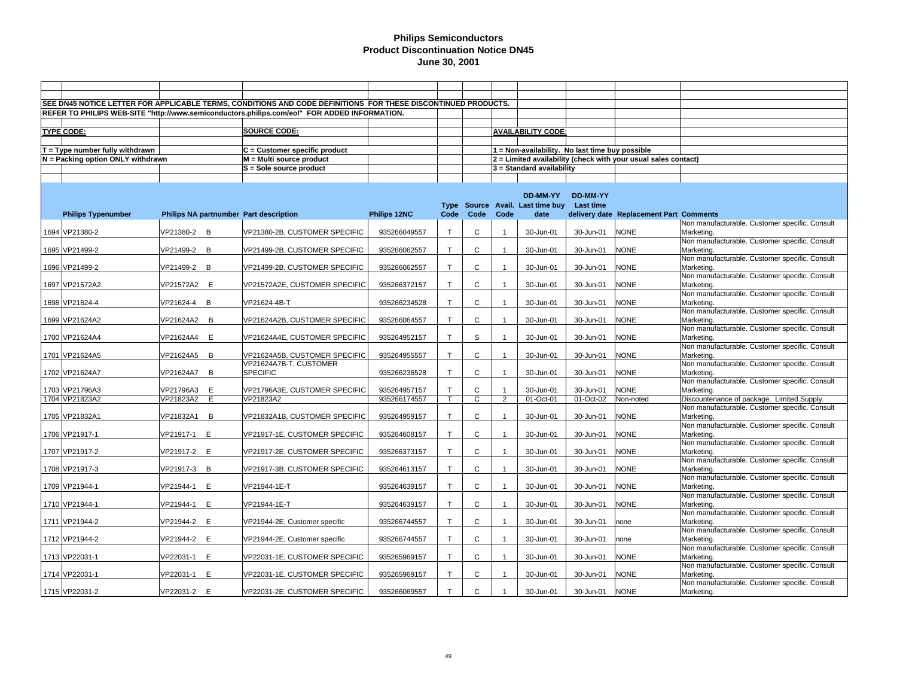|                                   |             |   | SEE DN45 NOTICE LETTER FOR APPLICABLE TERMS, CONDITIONS AND CODE DEFINITIONS FOR THESE DISCONTINUED PRODUCTS. |                     |              |              |                |                                                 |                  |                                                                |                                                              |
|-----------------------------------|-------------|---|---------------------------------------------------------------------------------------------------------------|---------------------|--------------|--------------|----------------|-------------------------------------------------|------------------|----------------------------------------------------------------|--------------------------------------------------------------|
|                                   |             |   | REFER TO PHILIPS WEB-SITE "http://www.semiconductors.philips.com/eol" FOR ADDED INFORMATION.                  |                     |              |              |                |                                                 |                  |                                                                |                                                              |
|                                   |             |   |                                                                                                               |                     |              |              |                |                                                 |                  |                                                                |                                                              |
| <b>TYPE CODE:</b>                 |             |   | <b>SOURCE CODE:</b>                                                                                           |                     |              |              |                | <b>AVAILABILITY CODE:</b>                       |                  |                                                                |                                                              |
|                                   |             |   |                                                                                                               |                     |              |              |                |                                                 |                  |                                                                |                                                              |
| $T = Type$ number fully withdrawn |             |   | C = Customer specific product                                                                                 |                     |              |              |                | 1 = Non-availability. No last time buy possible |                  |                                                                |                                                              |
|                                   |             |   |                                                                                                               |                     |              |              |                |                                                 |                  |                                                                |                                                              |
| N = Packing option ONLY withdrawn |             |   | M = Multi source product                                                                                      |                     |              |              |                |                                                 |                  | 2 = Limited availability (check with your usual sales contact) |                                                              |
|                                   |             |   | $S =$ Sole source product                                                                                     |                     |              |              |                | 3 = Standard availability                       |                  |                                                                |                                                              |
|                                   |             |   |                                                                                                               |                     |              |              |                |                                                 |                  |                                                                |                                                              |
|                                   |             |   |                                                                                                               |                     |              |              |                |                                                 |                  |                                                                |                                                              |
|                                   |             |   |                                                                                                               |                     |              |              |                | DD-MM-YY                                        | DD-MM-YY         |                                                                |                                                              |
|                                   |             |   |                                                                                                               |                     |              |              |                | Type Source Avail. Last time buy                | <b>Last time</b> |                                                                |                                                              |
| <b>Philips Typenumber</b>         |             |   | Philips NA partnumber Part description                                                                        | <b>Philips 12NC</b> | Code         | Code         | Code           | date                                            |                  | delivery date Replacement Part Comments                        |                                                              |
|                                   |             |   |                                                                                                               |                     |              |              |                |                                                 |                  |                                                                | Non manufacturable. Customer specific. Consult               |
| 1694 VP21380-2                    | VP21380-2 B |   | VP21380-2B, CUSTOMER SPECIFIC                                                                                 | 935266049557        | $\mathsf{T}$ | $\mathsf{C}$ |                | 30-Jun-01                                       | 30-Jun-01        | <b>NONE</b>                                                    | Marketing.                                                   |
|                                   |             |   |                                                                                                               |                     |              |              |                |                                                 |                  |                                                                | Non manufacturable. Customer specific. Consult               |
| 1695 VP21499-2                    | VP21499-2   | B | VP21499-2B, CUSTOMER SPECIFIC                                                                                 | 935266062557        | $\mathsf{T}$ | C            |                | 30-Jun-01                                       | 30-Jun-01        | <b>NONE</b>                                                    | Marketing.                                                   |
|                                   |             |   |                                                                                                               |                     |              |              |                |                                                 |                  |                                                                | Non manufacturable. Customer specific. Consult               |
| 1696 VP21499-2                    | VP21499-2 B |   | VP21499-2B, CUSTOMER SPECIFIC                                                                                 | 935266062557        | $\mathsf{T}$ | $\mathsf{C}$ |                | 30-Jun-01                                       | 30-Jun-01        | <b>NONE</b>                                                    | Marketing.                                                   |
|                                   |             |   |                                                                                                               |                     | T            | $\mathsf{C}$ | $\overline{1}$ |                                                 |                  | <b>NONE</b>                                                    | Non manufacturable. Customer specific. Consult               |
| 1697 VP21572A2                    | VP21572A2 E |   | VP21572A2E, CUSTOMER SPECIFIC                                                                                 | 935266372157        |              |              |                | 30-Jun-01                                       | 30-Jun-01        |                                                                | Marketing.                                                   |
| 1698 VP21624-4                    |             | B |                                                                                                               |                     | т            | C            |                | 30-Jun-01                                       |                  | <b>NONE</b>                                                    | Non manufacturable. Customer specific. Consult               |
|                                   | VP21624-4   |   | VP21624-4B-T                                                                                                  | 935266234528        |              |              |                |                                                 | 30-Jun-01        |                                                                | Marketing.<br>Non manufacturable. Customer specific. Consult |
| 1699 VP21624A2                    | VP21624A2 B |   |                                                                                                               | 935266064557        | T.           | $\mathbf{C}$ |                |                                                 |                  | <b>NONE</b>                                                    | Marketing.                                                   |
|                                   |             |   | VP21624A2B, CUSTOMER SPECIFIC                                                                                 |                     |              |              | $\overline{1}$ | 30-Jun-01                                       | 30-Jun-01        |                                                                | Non manufacturable. Customer specific. Consult               |
| 1700 VP21624A4                    | VP21624A4 E |   |                                                                                                               | 935264952157        | T            | S            |                | 30-Jun-01                                       | 30-Jun-01        | <b>NONE</b>                                                    | Marketing.                                                   |
|                                   |             |   | VP21624A4E, CUSTOMER SPECIFIC                                                                                 |                     |              |              |                |                                                 |                  |                                                                | Non manufacturable. Customer specific. Consult               |
| 1701 VP21624A5                    | VP21624A5 B |   | VP21624A5B, CUSTOMER SPECIFIC                                                                                 | 935264955557        | T            | $\mathsf{C}$ |                | 30-Jun-01                                       | 30-Jun-01        | <b>NONE</b>                                                    | Marketing.                                                   |
|                                   |             |   | VP21624A7B-T, CUSTOMER                                                                                        |                     |              |              |                |                                                 |                  |                                                                | Non manufacturable. Customer specific. Consult               |
| 1702 VP21624A7                    | VP21624A7 B |   | <b>SPECIFIC</b>                                                                                               | 935266236528        | T            | $\mathsf{C}$ |                | 30-Jun-01                                       | 30-Jun-01        | <b>NONE</b>                                                    | Marketing.                                                   |
|                                   |             |   |                                                                                                               |                     |              |              |                |                                                 |                  |                                                                | Non manufacturable. Customer specific. Consult               |
| 1703 VP21796A3                    | VP21796A3 E |   | VP21796A3E, CUSTOMER SPECIFIC                                                                                 | 935264957157        | T.           | C            |                | 30-Jun-01                                       | 30-Jun-01        | <b>NONE</b>                                                    | Marketing.                                                   |
| 1704 VP21823A2                    | VP21823A2   | E | VP21823A2                                                                                                     | 935266174557        |              | $\mathbf{C}$ | $\overline{2}$ | 01-Oct-01                                       | 01-Oct-02        | Non-noted                                                      | Discountenance of package. Limited Supply.                   |
|                                   |             |   |                                                                                                               |                     |              |              |                |                                                 |                  |                                                                | Non manufacturable. Customer specific. Consult               |
| 1705 VP21832A1                    | VP21832A1 B |   | VP21832A1B, CUSTOMER SPECIFIC                                                                                 | 935264959157        | $\mathsf{T}$ | C            |                | 30-Jun-01                                       | 30-Jun-01        | <b>NONE</b>                                                    | Marketing.                                                   |
|                                   |             |   |                                                                                                               |                     |              |              |                |                                                 |                  |                                                                | Non manufacturable. Customer specific. Consult               |
| 1706 VP21917-1                    | VP21917-1 E |   | VP21917-1E, CUSTOMER SPECIFIC                                                                                 | 935264608157        | $\mathsf{T}$ | $\mathsf{C}$ |                | 30-Jun-01                                       | 30-Jun-01        | <b>NONE</b>                                                    | Marketing.                                                   |
|                                   |             |   |                                                                                                               |                     |              |              |                |                                                 |                  |                                                                | Non manufacturable. Customer specific. Consult               |
| 1707 VP21917-2                    | VP21917-2 E |   | VP21917-2E, CUSTOMER SPECIFIC                                                                                 | 935266373157        | T            | $\mathsf{C}$ | $\overline{1}$ | 30-Jun-01                                       | 30-Jun-01        | <b>NONE</b>                                                    | Marketing.                                                   |
|                                   |             |   |                                                                                                               |                     |              |              |                |                                                 |                  |                                                                | Non manufacturable. Customer specific. Consult               |
| 1708 VP21917-3                    | VP21917-3   | B | VP21917-3B, CUSTOMER SPECIFIC                                                                                 | 935264613157        | T            | $\mathsf{C}$ |                | 30-Jun-01                                       | 30-Jun-01        | <b>NONE</b>                                                    | Marketing.                                                   |
|                                   |             |   |                                                                                                               |                     |              |              |                |                                                 |                  |                                                                | Non manufacturable. Customer specific. Consult               |
| 1709 VP21944-1                    | VP21944-1   | E | VP21944-1E-T                                                                                                  | 935264639157        | T.           | $\mathbf{C}$ | $\overline{1}$ | 30-Jun-01                                       | 30-Jun-01        | <b>NONE</b>                                                    | Marketing.                                                   |
|                                   |             |   |                                                                                                               |                     |              |              |                |                                                 |                  |                                                                | Non manufacturable. Customer specific. Consult               |
| 1710 VP21944-1                    | VP21944-1   | E | VP21944-1E-T                                                                                                  | 935264639157        | T            | $\mathsf{C}$ |                | 30-Jun-01                                       | 30-Jun-01        | <b>NONE</b>                                                    | Marketing.                                                   |
|                                   |             |   |                                                                                                               |                     |              |              |                |                                                 |                  |                                                                | Non manufacturable. Customer specific. Consult               |
| 1711 VP21944-2                    | VP21944-2 E |   | VP21944-2E, Customer specific                                                                                 | 935266744557        | $\mathsf{T}$ | $\mathsf{C}$ | $\overline{1}$ | 30-Jun-01                                       | 30-Jun-01        | none                                                           | Marketing.                                                   |
|                                   |             |   |                                                                                                               |                     |              |              |                |                                                 |                  |                                                                | Non manufacturable. Customer specific. Consult               |
| 1712 VP21944-2                    | VP21944-2   | E | VP21944-2E, Customer specific                                                                                 | 935266744557        | T.           | $\mathsf{C}$ |                | 30-Jun-01                                       | 30-Jun-01        | none                                                           | Marketing.                                                   |
|                                   |             |   |                                                                                                               |                     |              |              |                |                                                 |                  |                                                                | Non manufacturable. Customer specific. Consult               |
| 1713 VP22031-1                    | VP22031-1 E |   | VP22031-1E, CUSTOMER SPECIFIC                                                                                 | 935265969157        | $\top$       | C            |                | 30-Jun-01                                       | 30-Jun-01        | <b>NONE</b>                                                    | Marketing.                                                   |
|                                   |             |   |                                                                                                               |                     |              |              |                |                                                 |                  |                                                                | Non manufacturable. Customer specific. Consult               |
| 1714 VP22031-1                    | VP22031-1 E |   | VP22031-1E, CUSTOMER SPECIFIC                                                                                 | 935265969157        | T            | C            |                | 30-Jun-01                                       | 30-Jun-01        | <b>NONE</b>                                                    | Marketing                                                    |
|                                   |             |   |                                                                                                               |                     |              |              |                |                                                 |                  |                                                                | Non manufacturable. Customer specific. Consult               |
| 1715 VP22031-2                    | VP22031-2 E |   | VP22031-2E, CUSTOMER SPECIFIC                                                                                 | 935266069557        | T            | $\mathsf{C}$ |                | 30-Jun-01                                       | 30-Jun-01        | <b>NONE</b>                                                    | Marketing.                                                   |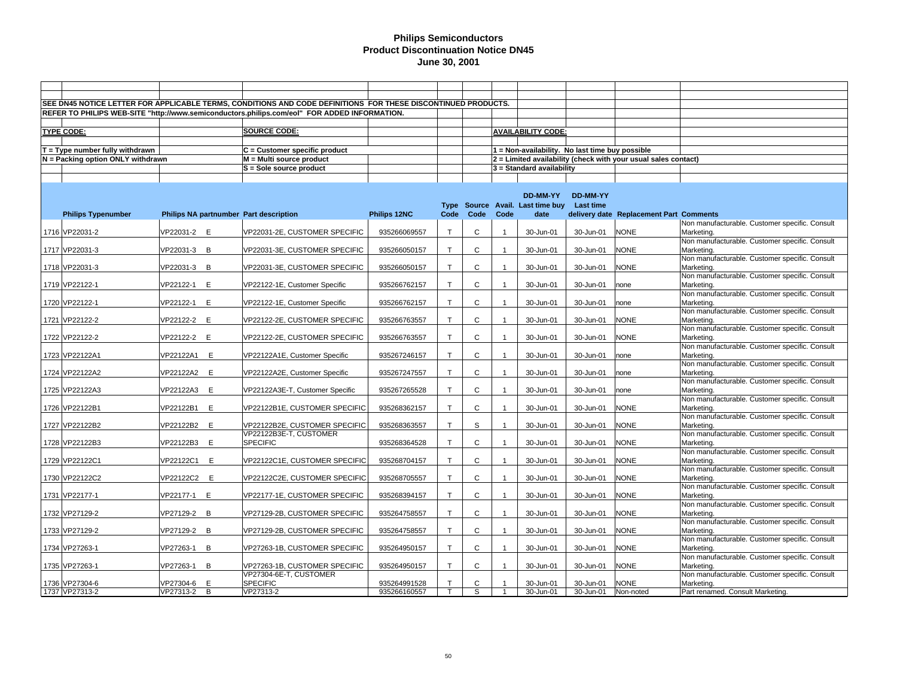| SEE DN45 NOTICE LETTER FOR APPLICABLE TERMS, CONDITIONS AND CODE DEFINITIONS FOR THESE DISCONTINUED PRODUCTS.<br>REFER TO PHILIPS WEB-SITE "http://www.semiconductors.philips.com/eol" FOR ADDED INFORMATION.<br><b>SOURCE CODE:</b><br><b>TYPE CODE:</b><br><b>AVAILABILITY CODE:</b><br>$T = Type$ number fully withdrawn<br>$C =$ Customer specific product<br>1 = Non-availability. No last time buy possible<br>N = Packing option ONLY withdrawn<br>M = Multi source product<br>2 = Limited availability (check with your usual sales contact)<br>S = Sole source product<br>$3$ = Standard availability<br>DD-MM-YY<br><b>DD-MM-YY</b><br>Type Source Avail. Last time buy<br>Last time<br>Philips 12NC<br>Code<br>Code<br>Code<br><b>Philips Typenumber</b><br>Philips NA partnumber Part description<br>date<br>delivery date Replacement Part Comments<br>VP22031-2E, CUSTOMER SPECIFIC<br>C<br><b>NONE</b><br>1716 VP22031-2<br>VP22031-2 E<br>935266069557<br>т<br>30-Jun-01<br>30-Jun-01<br>Marketing.<br>C<br>1717 VP22031-3<br>VP22031-3 B<br>VP22031-3E, CUSTOMER SPECIFIC<br>935266050157<br>$\mathsf{T}$<br>30-Jun-01<br>30-Jun-01<br><b>NONE</b><br>Marketing.<br>1718 VP22031-3<br>VP22031-3 B<br>C<br>30-Jun-01<br>30-Jun-01<br><b>NONE</b><br>VP22031-3E, CUSTOMER SPECIFIC<br>935266050157<br>$\mathsf{T}$<br>Marketing.<br>1719 VP22122-1<br>VP22122-1<br>E<br>VP22122-1E, Customer Specific<br>935266762157<br>$\mathsf{T}$<br>C<br>30-Jun-01<br>Marketing.<br>30-Jun-01<br>$\overline{1}$<br>none<br>$\mathsf{C}$<br>1720 VP22122-1<br>VP22122-1<br>E<br>VP22122-1E, Customer Specific<br>935266762157<br>$\mathsf{T}$<br>30-Jun-01<br>30-Jun-01<br>Marketing.<br>none<br>$\mathbf{C}$<br><b>NONE</b><br>1721 VP22122-2<br>VP22122-2<br>E<br>VP22122-2E, CUSTOMER SPECIFIC<br>T.<br>30-Jun-01<br>Marketing.<br>935266763557<br>$\overline{1}$<br>30-Jun-01<br>Non manufacturable. Customer specific. Consult<br>1722 VP22122-2<br>VP22122-2<br>E<br>$\mathbf{C}$<br>30-Jun-01<br>30-Jun-01<br><b>NONE</b><br>VP22122-2E, CUSTOMER SPECIFIC<br>935266763557<br>T<br>Marketing.<br>Non manufacturable. Customer specific. Consult<br>$\mathbf{C}$<br>1723 VP22122A1<br>VP22122A1<br>E<br>VP22122A1E, Customer Specific<br>935267246157<br>T<br>30-Jun-01<br>30-Jun-01<br>Marketing.<br>none<br>Non manufacturable. Customer specific. Consult<br>$\mathsf{C}$<br>1724 VP22122A2<br>VP22122A2 E<br>VP22122A2E, Customer Specific<br>935267247557<br>T<br>30-Jun-01<br>30-Jun-01<br>Marketing.<br>none<br>Non manufacturable. Customer specific. Consult<br>$\mathsf{C}$<br>1725 VP22122A3<br>VP22122A3 E<br>VP22122A3E-T, Customer Specific<br>935267265528<br>$\mathsf{T}$<br>30-Jun-01<br>30-Jun-01<br>Marketing.<br>$\overline{1}$<br>none<br>Non manufacturable. Customer specific. Consult<br>1726 VP22122B1<br>VP22122B1<br>E<br>935268362157<br>$\mathsf{T}$<br>C<br>30-Jun-01<br>30-Jun-01<br><b>NONE</b><br>VP22122B1E, CUSTOMER SPECIFIC<br>Marketing.<br>VP22122B2 E<br>T<br>S<br><b>NONE</b><br>1727 VP22122B2<br>VP22122B2E, CUSTOMER SPECIFIC<br>935268363557<br>30-Jun-01<br>30-Jun-01<br>Marketing.<br>$\mathbf{1}$<br>VP22122B3E-T, CUSTOMER<br>$\mathsf{C}$<br><b>NONE</b><br>1728 VP22122B3<br>VP22122B3 E<br><b>SPECIFIC</b><br>935268364528<br>T<br>30-Jun-01<br>Marketing.<br>30-Jun-01<br>$\mathsf{C}$<br>E<br><b>NONE</b><br>1729 VP22122C1<br>VP22122C1<br>VP22122C1E, CUSTOMER SPECIFIC<br>935268704157<br>т<br>30-Jun-01<br>30-Jun-01<br>Marketing.<br>$\mathsf C$<br>VP22122C2 E<br><b>NONE</b><br>1730 VP22122C2<br>VP22122C2E, CUSTOMER SPECIFIC<br>935268705557<br>$\mathsf{T}$<br>30-Jun-01<br>30-Jun-01<br>Marketing.<br>Non manufacturable. Customer specific. Consult<br>$\mathsf{C}$<br>1731 VP22177-1<br>VP22177-1<br>E<br>VP22177-1E, CUSTOMER SPECIFIC<br>935268394157<br>30-Jun-01<br>30-Jun-01<br><b>NONE</b><br>Marketing.<br>т<br>Non manufacturable. Customer specific. Consult<br>1732 VP27129-2<br>VP27129-2<br>B<br>T<br>C<br>30-Jun-01<br>30-Jun-01<br><b>NONE</b><br>Marketing.<br>VP27129-2B, CUSTOMER SPECIFIC<br>935264758557<br>Non manufacturable. Customer specific. Consult |  |             |                               |              |   |   |           |           |             |                                                |
|------------------------------------------------------------------------------------------------------------------------------------------------------------------------------------------------------------------------------------------------------------------------------------------------------------------------------------------------------------------------------------------------------------------------------------------------------------------------------------------------------------------------------------------------------------------------------------------------------------------------------------------------------------------------------------------------------------------------------------------------------------------------------------------------------------------------------------------------------------------------------------------------------------------------------------------------------------------------------------------------------------------------------------------------------------------------------------------------------------------------------------------------------------------------------------------------------------------------------------------------------------------------------------------------------------------------------------------------------------------------------------------------------------------------------------------------------------------------------------------------------------------------------------------------------------------------------------------------------------------------------------------------------------------------------------------------------------------------------------------------------------------------------------------------------------------------------------------------------------------------------------------------------------------------------------------------------------------------------------------------------------------------------------------------------------------------------------------------------------------------------------------------------------------------------------------------------------------------------------------------------------------------------------------------------------------------------------------------------------------------------------------------------------------------------------------------------------------------------------------------------------------------------------------------------------------------------------------------------------------------------------------------------------------------------------------------------------------------------------------------------------------------------------------------------------------------------------------------------------------------------------------------------------------------------------------------------------------------------------------------------------------------------------------------------------------------------------------------------------------------------------------------------------------------------------------------------------------------------------------------------------------------------------------------------------------------------------------------------------------------------------------------------------------------------------------------------------------------------------------------------------------------------------------------------------------------------------------------------------------------------------------------------------------------------------------------------------------------------------------------------------------------------------------------------------------------------------------------------------------------------------------------------------------------------------------------------------------------------------------------------------------------------------------------------------------------------------------------------------------------------------------------------------|--|-------------|-------------------------------|--------------|---|---|-----------|-----------|-------------|------------------------------------------------|
|                                                                                                                                                                                                                                                                                                                                                                                                                                                                                                                                                                                                                                                                                                                                                                                                                                                                                                                                                                                                                                                                                                                                                                                                                                                                                                                                                                                                                                                                                                                                                                                                                                                                                                                                                                                                                                                                                                                                                                                                                                                                                                                                                                                                                                                                                                                                                                                                                                                                                                                                                                                                                                                                                                                                                                                                                                                                                                                                                                                                                                                                                                                                                                                                                                                                                                                                                                                                                                                                                                                                                                                                                                                                                                                                                                                                                                                                                                                                                                                                                                                                                                                                                            |  |             |                               |              |   |   |           |           |             |                                                |
|                                                                                                                                                                                                                                                                                                                                                                                                                                                                                                                                                                                                                                                                                                                                                                                                                                                                                                                                                                                                                                                                                                                                                                                                                                                                                                                                                                                                                                                                                                                                                                                                                                                                                                                                                                                                                                                                                                                                                                                                                                                                                                                                                                                                                                                                                                                                                                                                                                                                                                                                                                                                                                                                                                                                                                                                                                                                                                                                                                                                                                                                                                                                                                                                                                                                                                                                                                                                                                                                                                                                                                                                                                                                                                                                                                                                                                                                                                                                                                                                                                                                                                                                                            |  |             |                               |              |   |   |           |           |             |                                                |
|                                                                                                                                                                                                                                                                                                                                                                                                                                                                                                                                                                                                                                                                                                                                                                                                                                                                                                                                                                                                                                                                                                                                                                                                                                                                                                                                                                                                                                                                                                                                                                                                                                                                                                                                                                                                                                                                                                                                                                                                                                                                                                                                                                                                                                                                                                                                                                                                                                                                                                                                                                                                                                                                                                                                                                                                                                                                                                                                                                                                                                                                                                                                                                                                                                                                                                                                                                                                                                                                                                                                                                                                                                                                                                                                                                                                                                                                                                                                                                                                                                                                                                                                                            |  |             |                               |              |   |   |           |           |             |                                                |
|                                                                                                                                                                                                                                                                                                                                                                                                                                                                                                                                                                                                                                                                                                                                                                                                                                                                                                                                                                                                                                                                                                                                                                                                                                                                                                                                                                                                                                                                                                                                                                                                                                                                                                                                                                                                                                                                                                                                                                                                                                                                                                                                                                                                                                                                                                                                                                                                                                                                                                                                                                                                                                                                                                                                                                                                                                                                                                                                                                                                                                                                                                                                                                                                                                                                                                                                                                                                                                                                                                                                                                                                                                                                                                                                                                                                                                                                                                                                                                                                                                                                                                                                                            |  |             |                               |              |   |   |           |           |             |                                                |
|                                                                                                                                                                                                                                                                                                                                                                                                                                                                                                                                                                                                                                                                                                                                                                                                                                                                                                                                                                                                                                                                                                                                                                                                                                                                                                                                                                                                                                                                                                                                                                                                                                                                                                                                                                                                                                                                                                                                                                                                                                                                                                                                                                                                                                                                                                                                                                                                                                                                                                                                                                                                                                                                                                                                                                                                                                                                                                                                                                                                                                                                                                                                                                                                                                                                                                                                                                                                                                                                                                                                                                                                                                                                                                                                                                                                                                                                                                                                                                                                                                                                                                                                                            |  |             |                               |              |   |   |           |           |             |                                                |
|                                                                                                                                                                                                                                                                                                                                                                                                                                                                                                                                                                                                                                                                                                                                                                                                                                                                                                                                                                                                                                                                                                                                                                                                                                                                                                                                                                                                                                                                                                                                                                                                                                                                                                                                                                                                                                                                                                                                                                                                                                                                                                                                                                                                                                                                                                                                                                                                                                                                                                                                                                                                                                                                                                                                                                                                                                                                                                                                                                                                                                                                                                                                                                                                                                                                                                                                                                                                                                                                                                                                                                                                                                                                                                                                                                                                                                                                                                                                                                                                                                                                                                                                                            |  |             |                               |              |   |   |           |           |             |                                                |
|                                                                                                                                                                                                                                                                                                                                                                                                                                                                                                                                                                                                                                                                                                                                                                                                                                                                                                                                                                                                                                                                                                                                                                                                                                                                                                                                                                                                                                                                                                                                                                                                                                                                                                                                                                                                                                                                                                                                                                                                                                                                                                                                                                                                                                                                                                                                                                                                                                                                                                                                                                                                                                                                                                                                                                                                                                                                                                                                                                                                                                                                                                                                                                                                                                                                                                                                                                                                                                                                                                                                                                                                                                                                                                                                                                                                                                                                                                                                                                                                                                                                                                                                                            |  |             |                               |              |   |   |           |           |             |                                                |
|                                                                                                                                                                                                                                                                                                                                                                                                                                                                                                                                                                                                                                                                                                                                                                                                                                                                                                                                                                                                                                                                                                                                                                                                                                                                                                                                                                                                                                                                                                                                                                                                                                                                                                                                                                                                                                                                                                                                                                                                                                                                                                                                                                                                                                                                                                                                                                                                                                                                                                                                                                                                                                                                                                                                                                                                                                                                                                                                                                                                                                                                                                                                                                                                                                                                                                                                                                                                                                                                                                                                                                                                                                                                                                                                                                                                                                                                                                                                                                                                                                                                                                                                                            |  |             |                               |              |   |   |           |           |             |                                                |
|                                                                                                                                                                                                                                                                                                                                                                                                                                                                                                                                                                                                                                                                                                                                                                                                                                                                                                                                                                                                                                                                                                                                                                                                                                                                                                                                                                                                                                                                                                                                                                                                                                                                                                                                                                                                                                                                                                                                                                                                                                                                                                                                                                                                                                                                                                                                                                                                                                                                                                                                                                                                                                                                                                                                                                                                                                                                                                                                                                                                                                                                                                                                                                                                                                                                                                                                                                                                                                                                                                                                                                                                                                                                                                                                                                                                                                                                                                                                                                                                                                                                                                                                                            |  |             |                               |              |   |   |           |           |             |                                                |
|                                                                                                                                                                                                                                                                                                                                                                                                                                                                                                                                                                                                                                                                                                                                                                                                                                                                                                                                                                                                                                                                                                                                                                                                                                                                                                                                                                                                                                                                                                                                                                                                                                                                                                                                                                                                                                                                                                                                                                                                                                                                                                                                                                                                                                                                                                                                                                                                                                                                                                                                                                                                                                                                                                                                                                                                                                                                                                                                                                                                                                                                                                                                                                                                                                                                                                                                                                                                                                                                                                                                                                                                                                                                                                                                                                                                                                                                                                                                                                                                                                                                                                                                                            |  |             |                               |              |   |   |           |           |             |                                                |
|                                                                                                                                                                                                                                                                                                                                                                                                                                                                                                                                                                                                                                                                                                                                                                                                                                                                                                                                                                                                                                                                                                                                                                                                                                                                                                                                                                                                                                                                                                                                                                                                                                                                                                                                                                                                                                                                                                                                                                                                                                                                                                                                                                                                                                                                                                                                                                                                                                                                                                                                                                                                                                                                                                                                                                                                                                                                                                                                                                                                                                                                                                                                                                                                                                                                                                                                                                                                                                                                                                                                                                                                                                                                                                                                                                                                                                                                                                                                                                                                                                                                                                                                                            |  |             |                               |              |   |   |           |           |             |                                                |
|                                                                                                                                                                                                                                                                                                                                                                                                                                                                                                                                                                                                                                                                                                                                                                                                                                                                                                                                                                                                                                                                                                                                                                                                                                                                                                                                                                                                                                                                                                                                                                                                                                                                                                                                                                                                                                                                                                                                                                                                                                                                                                                                                                                                                                                                                                                                                                                                                                                                                                                                                                                                                                                                                                                                                                                                                                                                                                                                                                                                                                                                                                                                                                                                                                                                                                                                                                                                                                                                                                                                                                                                                                                                                                                                                                                                                                                                                                                                                                                                                                                                                                                                                            |  |             |                               |              |   |   |           |           |             |                                                |
|                                                                                                                                                                                                                                                                                                                                                                                                                                                                                                                                                                                                                                                                                                                                                                                                                                                                                                                                                                                                                                                                                                                                                                                                                                                                                                                                                                                                                                                                                                                                                                                                                                                                                                                                                                                                                                                                                                                                                                                                                                                                                                                                                                                                                                                                                                                                                                                                                                                                                                                                                                                                                                                                                                                                                                                                                                                                                                                                                                                                                                                                                                                                                                                                                                                                                                                                                                                                                                                                                                                                                                                                                                                                                                                                                                                                                                                                                                                                                                                                                                                                                                                                                            |  |             |                               |              |   |   |           |           |             |                                                |
|                                                                                                                                                                                                                                                                                                                                                                                                                                                                                                                                                                                                                                                                                                                                                                                                                                                                                                                                                                                                                                                                                                                                                                                                                                                                                                                                                                                                                                                                                                                                                                                                                                                                                                                                                                                                                                                                                                                                                                                                                                                                                                                                                                                                                                                                                                                                                                                                                                                                                                                                                                                                                                                                                                                                                                                                                                                                                                                                                                                                                                                                                                                                                                                                                                                                                                                                                                                                                                                                                                                                                                                                                                                                                                                                                                                                                                                                                                                                                                                                                                                                                                                                                            |  |             |                               |              |   |   |           |           |             |                                                |
|                                                                                                                                                                                                                                                                                                                                                                                                                                                                                                                                                                                                                                                                                                                                                                                                                                                                                                                                                                                                                                                                                                                                                                                                                                                                                                                                                                                                                                                                                                                                                                                                                                                                                                                                                                                                                                                                                                                                                                                                                                                                                                                                                                                                                                                                                                                                                                                                                                                                                                                                                                                                                                                                                                                                                                                                                                                                                                                                                                                                                                                                                                                                                                                                                                                                                                                                                                                                                                                                                                                                                                                                                                                                                                                                                                                                                                                                                                                                                                                                                                                                                                                                                            |  |             |                               |              |   |   |           |           |             | Non manufacturable. Customer specific. Consult |
|                                                                                                                                                                                                                                                                                                                                                                                                                                                                                                                                                                                                                                                                                                                                                                                                                                                                                                                                                                                                                                                                                                                                                                                                                                                                                                                                                                                                                                                                                                                                                                                                                                                                                                                                                                                                                                                                                                                                                                                                                                                                                                                                                                                                                                                                                                                                                                                                                                                                                                                                                                                                                                                                                                                                                                                                                                                                                                                                                                                                                                                                                                                                                                                                                                                                                                                                                                                                                                                                                                                                                                                                                                                                                                                                                                                                                                                                                                                                                                                                                                                                                                                                                            |  |             |                               |              |   |   |           |           |             |                                                |
|                                                                                                                                                                                                                                                                                                                                                                                                                                                                                                                                                                                                                                                                                                                                                                                                                                                                                                                                                                                                                                                                                                                                                                                                                                                                                                                                                                                                                                                                                                                                                                                                                                                                                                                                                                                                                                                                                                                                                                                                                                                                                                                                                                                                                                                                                                                                                                                                                                                                                                                                                                                                                                                                                                                                                                                                                                                                                                                                                                                                                                                                                                                                                                                                                                                                                                                                                                                                                                                                                                                                                                                                                                                                                                                                                                                                                                                                                                                                                                                                                                                                                                                                                            |  |             |                               |              |   |   |           |           |             | Non manufacturable. Customer specific. Consult |
|                                                                                                                                                                                                                                                                                                                                                                                                                                                                                                                                                                                                                                                                                                                                                                                                                                                                                                                                                                                                                                                                                                                                                                                                                                                                                                                                                                                                                                                                                                                                                                                                                                                                                                                                                                                                                                                                                                                                                                                                                                                                                                                                                                                                                                                                                                                                                                                                                                                                                                                                                                                                                                                                                                                                                                                                                                                                                                                                                                                                                                                                                                                                                                                                                                                                                                                                                                                                                                                                                                                                                                                                                                                                                                                                                                                                                                                                                                                                                                                                                                                                                                                                                            |  |             |                               |              |   |   |           |           |             |                                                |
|                                                                                                                                                                                                                                                                                                                                                                                                                                                                                                                                                                                                                                                                                                                                                                                                                                                                                                                                                                                                                                                                                                                                                                                                                                                                                                                                                                                                                                                                                                                                                                                                                                                                                                                                                                                                                                                                                                                                                                                                                                                                                                                                                                                                                                                                                                                                                                                                                                                                                                                                                                                                                                                                                                                                                                                                                                                                                                                                                                                                                                                                                                                                                                                                                                                                                                                                                                                                                                                                                                                                                                                                                                                                                                                                                                                                                                                                                                                                                                                                                                                                                                                                                            |  |             |                               |              |   |   |           |           |             | Non manufacturable. Customer specific. Consult |
|                                                                                                                                                                                                                                                                                                                                                                                                                                                                                                                                                                                                                                                                                                                                                                                                                                                                                                                                                                                                                                                                                                                                                                                                                                                                                                                                                                                                                                                                                                                                                                                                                                                                                                                                                                                                                                                                                                                                                                                                                                                                                                                                                                                                                                                                                                                                                                                                                                                                                                                                                                                                                                                                                                                                                                                                                                                                                                                                                                                                                                                                                                                                                                                                                                                                                                                                                                                                                                                                                                                                                                                                                                                                                                                                                                                                                                                                                                                                                                                                                                                                                                                                                            |  |             |                               |              |   |   |           |           |             |                                                |
|                                                                                                                                                                                                                                                                                                                                                                                                                                                                                                                                                                                                                                                                                                                                                                                                                                                                                                                                                                                                                                                                                                                                                                                                                                                                                                                                                                                                                                                                                                                                                                                                                                                                                                                                                                                                                                                                                                                                                                                                                                                                                                                                                                                                                                                                                                                                                                                                                                                                                                                                                                                                                                                                                                                                                                                                                                                                                                                                                                                                                                                                                                                                                                                                                                                                                                                                                                                                                                                                                                                                                                                                                                                                                                                                                                                                                                                                                                                                                                                                                                                                                                                                                            |  |             |                               |              |   |   |           |           |             | Non manufacturable. Customer specific. Consult |
|                                                                                                                                                                                                                                                                                                                                                                                                                                                                                                                                                                                                                                                                                                                                                                                                                                                                                                                                                                                                                                                                                                                                                                                                                                                                                                                                                                                                                                                                                                                                                                                                                                                                                                                                                                                                                                                                                                                                                                                                                                                                                                                                                                                                                                                                                                                                                                                                                                                                                                                                                                                                                                                                                                                                                                                                                                                                                                                                                                                                                                                                                                                                                                                                                                                                                                                                                                                                                                                                                                                                                                                                                                                                                                                                                                                                                                                                                                                                                                                                                                                                                                                                                            |  |             |                               |              |   |   |           |           |             |                                                |
|                                                                                                                                                                                                                                                                                                                                                                                                                                                                                                                                                                                                                                                                                                                                                                                                                                                                                                                                                                                                                                                                                                                                                                                                                                                                                                                                                                                                                                                                                                                                                                                                                                                                                                                                                                                                                                                                                                                                                                                                                                                                                                                                                                                                                                                                                                                                                                                                                                                                                                                                                                                                                                                                                                                                                                                                                                                                                                                                                                                                                                                                                                                                                                                                                                                                                                                                                                                                                                                                                                                                                                                                                                                                                                                                                                                                                                                                                                                                                                                                                                                                                                                                                            |  |             |                               |              |   |   |           |           |             | Non manufacturable. Customer specific. Consult |
|                                                                                                                                                                                                                                                                                                                                                                                                                                                                                                                                                                                                                                                                                                                                                                                                                                                                                                                                                                                                                                                                                                                                                                                                                                                                                                                                                                                                                                                                                                                                                                                                                                                                                                                                                                                                                                                                                                                                                                                                                                                                                                                                                                                                                                                                                                                                                                                                                                                                                                                                                                                                                                                                                                                                                                                                                                                                                                                                                                                                                                                                                                                                                                                                                                                                                                                                                                                                                                                                                                                                                                                                                                                                                                                                                                                                                                                                                                                                                                                                                                                                                                                                                            |  |             |                               |              |   |   |           |           |             |                                                |
|                                                                                                                                                                                                                                                                                                                                                                                                                                                                                                                                                                                                                                                                                                                                                                                                                                                                                                                                                                                                                                                                                                                                                                                                                                                                                                                                                                                                                                                                                                                                                                                                                                                                                                                                                                                                                                                                                                                                                                                                                                                                                                                                                                                                                                                                                                                                                                                                                                                                                                                                                                                                                                                                                                                                                                                                                                                                                                                                                                                                                                                                                                                                                                                                                                                                                                                                                                                                                                                                                                                                                                                                                                                                                                                                                                                                                                                                                                                                                                                                                                                                                                                                                            |  |             |                               |              |   |   |           |           |             | Non manufacturable. Customer specific. Consult |
|                                                                                                                                                                                                                                                                                                                                                                                                                                                                                                                                                                                                                                                                                                                                                                                                                                                                                                                                                                                                                                                                                                                                                                                                                                                                                                                                                                                                                                                                                                                                                                                                                                                                                                                                                                                                                                                                                                                                                                                                                                                                                                                                                                                                                                                                                                                                                                                                                                                                                                                                                                                                                                                                                                                                                                                                                                                                                                                                                                                                                                                                                                                                                                                                                                                                                                                                                                                                                                                                                                                                                                                                                                                                                                                                                                                                                                                                                                                                                                                                                                                                                                                                                            |  |             |                               |              |   |   |           |           |             |                                                |
|                                                                                                                                                                                                                                                                                                                                                                                                                                                                                                                                                                                                                                                                                                                                                                                                                                                                                                                                                                                                                                                                                                                                                                                                                                                                                                                                                                                                                                                                                                                                                                                                                                                                                                                                                                                                                                                                                                                                                                                                                                                                                                                                                                                                                                                                                                                                                                                                                                                                                                                                                                                                                                                                                                                                                                                                                                                                                                                                                                                                                                                                                                                                                                                                                                                                                                                                                                                                                                                                                                                                                                                                                                                                                                                                                                                                                                                                                                                                                                                                                                                                                                                                                            |  |             |                               |              |   |   |           |           |             |                                                |
|                                                                                                                                                                                                                                                                                                                                                                                                                                                                                                                                                                                                                                                                                                                                                                                                                                                                                                                                                                                                                                                                                                                                                                                                                                                                                                                                                                                                                                                                                                                                                                                                                                                                                                                                                                                                                                                                                                                                                                                                                                                                                                                                                                                                                                                                                                                                                                                                                                                                                                                                                                                                                                                                                                                                                                                                                                                                                                                                                                                                                                                                                                                                                                                                                                                                                                                                                                                                                                                                                                                                                                                                                                                                                                                                                                                                                                                                                                                                                                                                                                                                                                                                                            |  |             |                               |              |   |   |           |           |             |                                                |
|                                                                                                                                                                                                                                                                                                                                                                                                                                                                                                                                                                                                                                                                                                                                                                                                                                                                                                                                                                                                                                                                                                                                                                                                                                                                                                                                                                                                                                                                                                                                                                                                                                                                                                                                                                                                                                                                                                                                                                                                                                                                                                                                                                                                                                                                                                                                                                                                                                                                                                                                                                                                                                                                                                                                                                                                                                                                                                                                                                                                                                                                                                                                                                                                                                                                                                                                                                                                                                                                                                                                                                                                                                                                                                                                                                                                                                                                                                                                                                                                                                                                                                                                                            |  |             |                               |              |   |   |           |           |             |                                                |
|                                                                                                                                                                                                                                                                                                                                                                                                                                                                                                                                                                                                                                                                                                                                                                                                                                                                                                                                                                                                                                                                                                                                                                                                                                                                                                                                                                                                                                                                                                                                                                                                                                                                                                                                                                                                                                                                                                                                                                                                                                                                                                                                                                                                                                                                                                                                                                                                                                                                                                                                                                                                                                                                                                                                                                                                                                                                                                                                                                                                                                                                                                                                                                                                                                                                                                                                                                                                                                                                                                                                                                                                                                                                                                                                                                                                                                                                                                                                                                                                                                                                                                                                                            |  |             |                               |              |   |   |           |           |             |                                                |
|                                                                                                                                                                                                                                                                                                                                                                                                                                                                                                                                                                                                                                                                                                                                                                                                                                                                                                                                                                                                                                                                                                                                                                                                                                                                                                                                                                                                                                                                                                                                                                                                                                                                                                                                                                                                                                                                                                                                                                                                                                                                                                                                                                                                                                                                                                                                                                                                                                                                                                                                                                                                                                                                                                                                                                                                                                                                                                                                                                                                                                                                                                                                                                                                                                                                                                                                                                                                                                                                                                                                                                                                                                                                                                                                                                                                                                                                                                                                                                                                                                                                                                                                                            |  |             |                               |              |   |   |           |           |             |                                                |
|                                                                                                                                                                                                                                                                                                                                                                                                                                                                                                                                                                                                                                                                                                                                                                                                                                                                                                                                                                                                                                                                                                                                                                                                                                                                                                                                                                                                                                                                                                                                                                                                                                                                                                                                                                                                                                                                                                                                                                                                                                                                                                                                                                                                                                                                                                                                                                                                                                                                                                                                                                                                                                                                                                                                                                                                                                                                                                                                                                                                                                                                                                                                                                                                                                                                                                                                                                                                                                                                                                                                                                                                                                                                                                                                                                                                                                                                                                                                                                                                                                                                                                                                                            |  |             |                               |              |   |   |           |           |             |                                                |
|                                                                                                                                                                                                                                                                                                                                                                                                                                                                                                                                                                                                                                                                                                                                                                                                                                                                                                                                                                                                                                                                                                                                                                                                                                                                                                                                                                                                                                                                                                                                                                                                                                                                                                                                                                                                                                                                                                                                                                                                                                                                                                                                                                                                                                                                                                                                                                                                                                                                                                                                                                                                                                                                                                                                                                                                                                                                                                                                                                                                                                                                                                                                                                                                                                                                                                                                                                                                                                                                                                                                                                                                                                                                                                                                                                                                                                                                                                                                                                                                                                                                                                                                                            |  |             |                               |              |   |   |           |           |             |                                                |
|                                                                                                                                                                                                                                                                                                                                                                                                                                                                                                                                                                                                                                                                                                                                                                                                                                                                                                                                                                                                                                                                                                                                                                                                                                                                                                                                                                                                                                                                                                                                                                                                                                                                                                                                                                                                                                                                                                                                                                                                                                                                                                                                                                                                                                                                                                                                                                                                                                                                                                                                                                                                                                                                                                                                                                                                                                                                                                                                                                                                                                                                                                                                                                                                                                                                                                                                                                                                                                                                                                                                                                                                                                                                                                                                                                                                                                                                                                                                                                                                                                                                                                                                                            |  |             |                               |              |   |   |           |           |             |                                                |
|                                                                                                                                                                                                                                                                                                                                                                                                                                                                                                                                                                                                                                                                                                                                                                                                                                                                                                                                                                                                                                                                                                                                                                                                                                                                                                                                                                                                                                                                                                                                                                                                                                                                                                                                                                                                                                                                                                                                                                                                                                                                                                                                                                                                                                                                                                                                                                                                                                                                                                                                                                                                                                                                                                                                                                                                                                                                                                                                                                                                                                                                                                                                                                                                                                                                                                                                                                                                                                                                                                                                                                                                                                                                                                                                                                                                                                                                                                                                                                                                                                                                                                                                                            |  |             |                               |              |   |   |           |           |             |                                                |
|                                                                                                                                                                                                                                                                                                                                                                                                                                                                                                                                                                                                                                                                                                                                                                                                                                                                                                                                                                                                                                                                                                                                                                                                                                                                                                                                                                                                                                                                                                                                                                                                                                                                                                                                                                                                                                                                                                                                                                                                                                                                                                                                                                                                                                                                                                                                                                                                                                                                                                                                                                                                                                                                                                                                                                                                                                                                                                                                                                                                                                                                                                                                                                                                                                                                                                                                                                                                                                                                                                                                                                                                                                                                                                                                                                                                                                                                                                                                                                                                                                                                                                                                                            |  |             |                               |              |   |   |           |           |             | Non manufacturable. Customer specific. Consult |
|                                                                                                                                                                                                                                                                                                                                                                                                                                                                                                                                                                                                                                                                                                                                                                                                                                                                                                                                                                                                                                                                                                                                                                                                                                                                                                                                                                                                                                                                                                                                                                                                                                                                                                                                                                                                                                                                                                                                                                                                                                                                                                                                                                                                                                                                                                                                                                                                                                                                                                                                                                                                                                                                                                                                                                                                                                                                                                                                                                                                                                                                                                                                                                                                                                                                                                                                                                                                                                                                                                                                                                                                                                                                                                                                                                                                                                                                                                                                                                                                                                                                                                                                                            |  |             |                               |              |   |   |           |           |             |                                                |
|                                                                                                                                                                                                                                                                                                                                                                                                                                                                                                                                                                                                                                                                                                                                                                                                                                                                                                                                                                                                                                                                                                                                                                                                                                                                                                                                                                                                                                                                                                                                                                                                                                                                                                                                                                                                                                                                                                                                                                                                                                                                                                                                                                                                                                                                                                                                                                                                                                                                                                                                                                                                                                                                                                                                                                                                                                                                                                                                                                                                                                                                                                                                                                                                                                                                                                                                                                                                                                                                                                                                                                                                                                                                                                                                                                                                                                                                                                                                                                                                                                                                                                                                                            |  |             |                               |              |   |   |           |           |             | Non manufacturable. Customer specific. Consult |
|                                                                                                                                                                                                                                                                                                                                                                                                                                                                                                                                                                                                                                                                                                                                                                                                                                                                                                                                                                                                                                                                                                                                                                                                                                                                                                                                                                                                                                                                                                                                                                                                                                                                                                                                                                                                                                                                                                                                                                                                                                                                                                                                                                                                                                                                                                                                                                                                                                                                                                                                                                                                                                                                                                                                                                                                                                                                                                                                                                                                                                                                                                                                                                                                                                                                                                                                                                                                                                                                                                                                                                                                                                                                                                                                                                                                                                                                                                                                                                                                                                                                                                                                                            |  |             |                               |              |   |   |           |           |             |                                                |
|                                                                                                                                                                                                                                                                                                                                                                                                                                                                                                                                                                                                                                                                                                                                                                                                                                                                                                                                                                                                                                                                                                                                                                                                                                                                                                                                                                                                                                                                                                                                                                                                                                                                                                                                                                                                                                                                                                                                                                                                                                                                                                                                                                                                                                                                                                                                                                                                                                                                                                                                                                                                                                                                                                                                                                                                                                                                                                                                                                                                                                                                                                                                                                                                                                                                                                                                                                                                                                                                                                                                                                                                                                                                                                                                                                                                                                                                                                                                                                                                                                                                                                                                                            |  |             |                               |              |   |   |           |           |             | Non manufacturable. Customer specific. Consult |
|                                                                                                                                                                                                                                                                                                                                                                                                                                                                                                                                                                                                                                                                                                                                                                                                                                                                                                                                                                                                                                                                                                                                                                                                                                                                                                                                                                                                                                                                                                                                                                                                                                                                                                                                                                                                                                                                                                                                                                                                                                                                                                                                                                                                                                                                                                                                                                                                                                                                                                                                                                                                                                                                                                                                                                                                                                                                                                                                                                                                                                                                                                                                                                                                                                                                                                                                                                                                                                                                                                                                                                                                                                                                                                                                                                                                                                                                                                                                                                                                                                                                                                                                                            |  |             |                               |              |   |   |           |           |             |                                                |
|                                                                                                                                                                                                                                                                                                                                                                                                                                                                                                                                                                                                                                                                                                                                                                                                                                                                                                                                                                                                                                                                                                                                                                                                                                                                                                                                                                                                                                                                                                                                                                                                                                                                                                                                                                                                                                                                                                                                                                                                                                                                                                                                                                                                                                                                                                                                                                                                                                                                                                                                                                                                                                                                                                                                                                                                                                                                                                                                                                                                                                                                                                                                                                                                                                                                                                                                                                                                                                                                                                                                                                                                                                                                                                                                                                                                                                                                                                                                                                                                                                                                                                                                                            |  |             |                               |              |   |   |           |           |             | Non manufacturable. Customer specific. Consult |
|                                                                                                                                                                                                                                                                                                                                                                                                                                                                                                                                                                                                                                                                                                                                                                                                                                                                                                                                                                                                                                                                                                                                                                                                                                                                                                                                                                                                                                                                                                                                                                                                                                                                                                                                                                                                                                                                                                                                                                                                                                                                                                                                                                                                                                                                                                                                                                                                                                                                                                                                                                                                                                                                                                                                                                                                                                                                                                                                                                                                                                                                                                                                                                                                                                                                                                                                                                                                                                                                                                                                                                                                                                                                                                                                                                                                                                                                                                                                                                                                                                                                                                                                                            |  |             |                               |              |   |   |           |           |             |                                                |
|                                                                                                                                                                                                                                                                                                                                                                                                                                                                                                                                                                                                                                                                                                                                                                                                                                                                                                                                                                                                                                                                                                                                                                                                                                                                                                                                                                                                                                                                                                                                                                                                                                                                                                                                                                                                                                                                                                                                                                                                                                                                                                                                                                                                                                                                                                                                                                                                                                                                                                                                                                                                                                                                                                                                                                                                                                                                                                                                                                                                                                                                                                                                                                                                                                                                                                                                                                                                                                                                                                                                                                                                                                                                                                                                                                                                                                                                                                                                                                                                                                                                                                                                                            |  |             |                               |              |   |   |           |           |             |                                                |
|                                                                                                                                                                                                                                                                                                                                                                                                                                                                                                                                                                                                                                                                                                                                                                                                                                                                                                                                                                                                                                                                                                                                                                                                                                                                                                                                                                                                                                                                                                                                                                                                                                                                                                                                                                                                                                                                                                                                                                                                                                                                                                                                                                                                                                                                                                                                                                                                                                                                                                                                                                                                                                                                                                                                                                                                                                                                                                                                                                                                                                                                                                                                                                                                                                                                                                                                                                                                                                                                                                                                                                                                                                                                                                                                                                                                                                                                                                                                                                                                                                                                                                                                                            |  |             |                               |              |   |   |           |           |             |                                                |
|                                                                                                                                                                                                                                                                                                                                                                                                                                                                                                                                                                                                                                                                                                                                                                                                                                                                                                                                                                                                                                                                                                                                                                                                                                                                                                                                                                                                                                                                                                                                                                                                                                                                                                                                                                                                                                                                                                                                                                                                                                                                                                                                                                                                                                                                                                                                                                                                                                                                                                                                                                                                                                                                                                                                                                                                                                                                                                                                                                                                                                                                                                                                                                                                                                                                                                                                                                                                                                                                                                                                                                                                                                                                                                                                                                                                                                                                                                                                                                                                                                                                                                                                                            |  |             |                               |              |   |   |           |           |             |                                                |
|                                                                                                                                                                                                                                                                                                                                                                                                                                                                                                                                                                                                                                                                                                                                                                                                                                                                                                                                                                                                                                                                                                                                                                                                                                                                                                                                                                                                                                                                                                                                                                                                                                                                                                                                                                                                                                                                                                                                                                                                                                                                                                                                                                                                                                                                                                                                                                                                                                                                                                                                                                                                                                                                                                                                                                                                                                                                                                                                                                                                                                                                                                                                                                                                                                                                                                                                                                                                                                                                                                                                                                                                                                                                                                                                                                                                                                                                                                                                                                                                                                                                                                                                                            |  |             |                               |              |   |   |           |           |             |                                                |
|                                                                                                                                                                                                                                                                                                                                                                                                                                                                                                                                                                                                                                                                                                                                                                                                                                                                                                                                                                                                                                                                                                                                                                                                                                                                                                                                                                                                                                                                                                                                                                                                                                                                                                                                                                                                                                                                                                                                                                                                                                                                                                                                                                                                                                                                                                                                                                                                                                                                                                                                                                                                                                                                                                                                                                                                                                                                                                                                                                                                                                                                                                                                                                                                                                                                                                                                                                                                                                                                                                                                                                                                                                                                                                                                                                                                                                                                                                                                                                                                                                                                                                                                                            |  | VP27129-2 B | VP27129-2B, CUSTOMER SPECIFIC | 935264758557 | T | C | 30-Jun-01 | 30-Jun-01 | <b>NONE</b> | Marketing.                                     |
| 1733 VP27129-2                                                                                                                                                                                                                                                                                                                                                                                                                                                                                                                                                                                                                                                                                                                                                                                                                                                                                                                                                                                                                                                                                                                                                                                                                                                                                                                                                                                                                                                                                                                                                                                                                                                                                                                                                                                                                                                                                                                                                                                                                                                                                                                                                                                                                                                                                                                                                                                                                                                                                                                                                                                                                                                                                                                                                                                                                                                                                                                                                                                                                                                                                                                                                                                                                                                                                                                                                                                                                                                                                                                                                                                                                                                                                                                                                                                                                                                                                                                                                                                                                                                                                                                                             |  |             |                               |              |   |   |           |           |             | Non manufacturable. Customer specific. Consult |
| C<br><b>NONE</b><br>1734 VP27263-1<br>VP27263-1<br>B<br>VP27263-1B, CUSTOMER SPECIFIC<br>935264950157<br>$\mathsf{T}$<br>30-Jun-01<br>30-Jun-01<br>Marketing.<br>$\overline{1}$                                                                                                                                                                                                                                                                                                                                                                                                                                                                                                                                                                                                                                                                                                                                                                                                                                                                                                                                                                                                                                                                                                                                                                                                                                                                                                                                                                                                                                                                                                                                                                                                                                                                                                                                                                                                                                                                                                                                                                                                                                                                                                                                                                                                                                                                                                                                                                                                                                                                                                                                                                                                                                                                                                                                                                                                                                                                                                                                                                                                                                                                                                                                                                                                                                                                                                                                                                                                                                                                                                                                                                                                                                                                                                                                                                                                                                                                                                                                                                            |  |             |                               |              |   |   |           |           |             |                                                |
|                                                                                                                                                                                                                                                                                                                                                                                                                                                                                                                                                                                                                                                                                                                                                                                                                                                                                                                                                                                                                                                                                                                                                                                                                                                                                                                                                                                                                                                                                                                                                                                                                                                                                                                                                                                                                                                                                                                                                                                                                                                                                                                                                                                                                                                                                                                                                                                                                                                                                                                                                                                                                                                                                                                                                                                                                                                                                                                                                                                                                                                                                                                                                                                                                                                                                                                                                                                                                                                                                                                                                                                                                                                                                                                                                                                                                                                                                                                                                                                                                                                                                                                                                            |  |             |                               |              |   |   |           |           |             | Non manufacturable. Customer specific. Consult |
| $\mathsf{C}$<br>1735 VP27263-1<br><b>NONE</b><br>Marketing.<br>VP27263-1<br>B<br>VP27263-1B, CUSTOMER SPECIFIC<br>935264950157<br>T<br>30-Jun-01<br>30-Jun-01                                                                                                                                                                                                                                                                                                                                                                                                                                                                                                                                                                                                                                                                                                                                                                                                                                                                                                                                                                                                                                                                                                                                                                                                                                                                                                                                                                                                                                                                                                                                                                                                                                                                                                                                                                                                                                                                                                                                                                                                                                                                                                                                                                                                                                                                                                                                                                                                                                                                                                                                                                                                                                                                                                                                                                                                                                                                                                                                                                                                                                                                                                                                                                                                                                                                                                                                                                                                                                                                                                                                                                                                                                                                                                                                                                                                                                                                                                                                                                                              |  |             |                               |              |   |   |           |           |             |                                                |
| VP27304-6E-T, CUSTOMER                                                                                                                                                                                                                                                                                                                                                                                                                                                                                                                                                                                                                                                                                                                                                                                                                                                                                                                                                                                                                                                                                                                                                                                                                                                                                                                                                                                                                                                                                                                                                                                                                                                                                                                                                                                                                                                                                                                                                                                                                                                                                                                                                                                                                                                                                                                                                                                                                                                                                                                                                                                                                                                                                                                                                                                                                                                                                                                                                                                                                                                                                                                                                                                                                                                                                                                                                                                                                                                                                                                                                                                                                                                                                                                                                                                                                                                                                                                                                                                                                                                                                                                                     |  |             |                               |              |   |   |           |           |             | Non manufacturable. Customer specific. Consult |
| <b>SPECIFIC</b><br>$\mathsf{C}$<br>1736 VP27304-6<br>VP27304-6<br>E<br><b>NONE</b><br>Marketing.<br>935264991528<br>T<br>30-Jun-01<br>30-Jun-01<br>$\overline{1}$                                                                                                                                                                                                                                                                                                                                                                                                                                                                                                                                                                                                                                                                                                                                                                                                                                                                                                                                                                                                                                                                                                                                                                                                                                                                                                                                                                                                                                                                                                                                                                                                                                                                                                                                                                                                                                                                                                                                                                                                                                                                                                                                                                                                                                                                                                                                                                                                                                                                                                                                                                                                                                                                                                                                                                                                                                                                                                                                                                                                                                                                                                                                                                                                                                                                                                                                                                                                                                                                                                                                                                                                                                                                                                                                                                                                                                                                                                                                                                                          |  |             |                               |              |   |   |           |           |             |                                                |
| 1737 VP27313-2<br>VP27313-2<br>VP27313-2<br>S<br>30-Jun-01<br>30-Jun-01<br>B<br>935266160557<br>$\overline{1}$<br>Non-noted<br>Part renamed. Consult Marketing.                                                                                                                                                                                                                                                                                                                                                                                                                                                                                                                                                                                                                                                                                                                                                                                                                                                                                                                                                                                                                                                                                                                                                                                                                                                                                                                                                                                                                                                                                                                                                                                                                                                                                                                                                                                                                                                                                                                                                                                                                                                                                                                                                                                                                                                                                                                                                                                                                                                                                                                                                                                                                                                                                                                                                                                                                                                                                                                                                                                                                                                                                                                                                                                                                                                                                                                                                                                                                                                                                                                                                                                                                                                                                                                                                                                                                                                                                                                                                                                            |  |             |                               |              |   |   |           |           |             |                                                |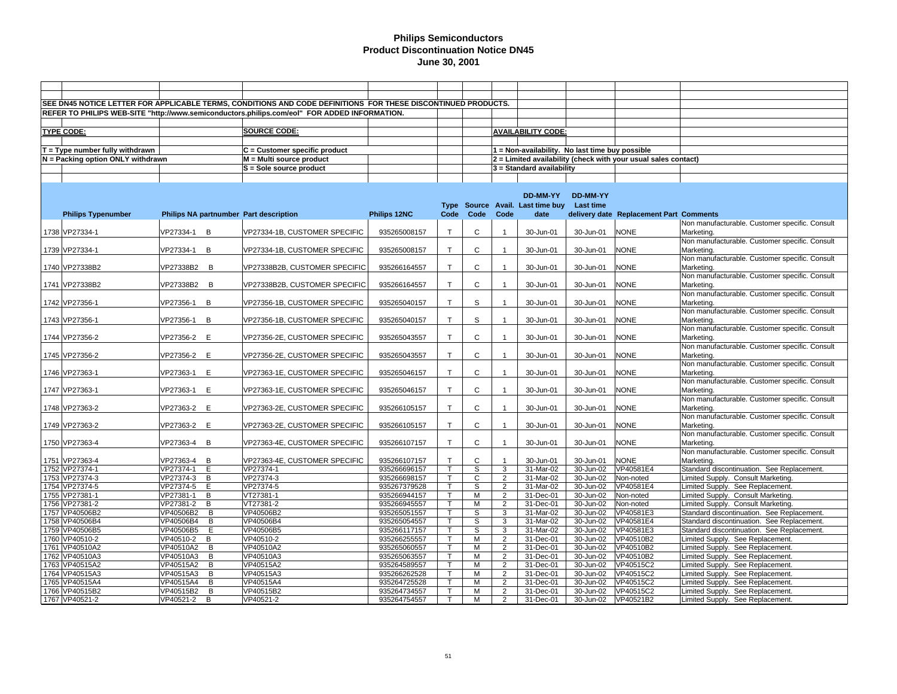|                                   |                                        | SEE DN45 NOTICE LETTER FOR APPLICABLE TERMS, CONDITIONS AND CODE DEFINITIONS FOR THESE DISCONTINUED PRODUCTS. |              |              |              |                         |                                                 |                 |                                                                |                                                              |
|-----------------------------------|----------------------------------------|---------------------------------------------------------------------------------------------------------------|--------------|--------------|--------------|-------------------------|-------------------------------------------------|-----------------|----------------------------------------------------------------|--------------------------------------------------------------|
|                                   |                                        | REFER TO PHILIPS WEB-SITE "http://www.semiconductors.philips.com/eol" FOR ADDED INFORMATION.                  |              |              |              |                         |                                                 |                 |                                                                |                                                              |
|                                   |                                        |                                                                                                               |              |              |              |                         |                                                 |                 |                                                                |                                                              |
| <b>TYPE CODE:</b>                 |                                        | <b>SOURCE CODE:</b>                                                                                           |              |              |              |                         | <b>AVAILABILITY CODE:</b>                       |                 |                                                                |                                                              |
|                                   |                                        |                                                                                                               |              |              |              |                         |                                                 |                 |                                                                |                                                              |
|                                   |                                        |                                                                                                               |              |              |              |                         |                                                 |                 |                                                                |                                                              |
| $T = Type$ number fully withdrawn |                                        | C = Customer specific product                                                                                 |              |              |              |                         | 1 = Non-availability. No last time buy possible |                 |                                                                |                                                              |
| N = Packing option ONLY withdrawn |                                        | M = Multi source product                                                                                      |              |              |              |                         |                                                 |                 | 2 = Limited availability (check with your usual sales contact) |                                                              |
|                                   |                                        | S = Sole source product                                                                                       |              |              |              |                         | 3 = Standard availability                       |                 |                                                                |                                                              |
|                                   |                                        |                                                                                                               |              |              |              |                         |                                                 |                 |                                                                |                                                              |
|                                   |                                        |                                                                                                               |              |              |              |                         |                                                 |                 |                                                                |                                                              |
|                                   |                                        |                                                                                                               |              |              |              |                         | DD-MM-YY                                        | <b>DD-MM-YY</b> |                                                                |                                                              |
|                                   |                                        |                                                                                                               |              |              |              |                         | Type Source Avail. Last time buy                | Last time       |                                                                |                                                              |
| <b>Philips Typenumber</b>         | Philips NA partnumber Part description |                                                                                                               | Philips 12NC | Code         | Code         | Code                    | date                                            |                 | delivery date Replacement Part Comments                        |                                                              |
|                                   |                                        |                                                                                                               |              |              |              |                         |                                                 |                 |                                                                | Non manufacturable. Customer specific. Consult               |
| 1738 VP27334-1                    | VP27334-1 B                            | VP27334-1B, CUSTOMER SPECIFIC                                                                                 | 935265008157 | $\mathsf{T}$ | $\mathsf{C}$ | $\overline{1}$          | 30-Jun-01                                       | 30-Jun-01       | <b>NONE</b>                                                    | Marketing.                                                   |
|                                   |                                        |                                                                                                               |              |              |              |                         |                                                 |                 |                                                                | Non manufacturable. Customer specific. Consult               |
| 1739 VP27334-1                    | VP27334-1 B                            | VP27334-1B, CUSTOMER SPECIFIC                                                                                 | 935265008157 | $\mathsf{T}$ | $\mathsf{C}$ |                         | 30-Jun-01                                       | 30-Jun-01       | <b>NONE</b>                                                    | Marketing.                                                   |
|                                   |                                        |                                                                                                               |              |              |              |                         |                                                 |                 |                                                                | Non manufacturable. Customer specific. Consult               |
| 1740 VP27338B2                    | VP27338B2 B                            | VP27338B2B, CUSTOMER SPECIFIC                                                                                 | 935266164557 | $\mathsf{T}$ | C            | $\overline{1}$          | 30-Jun-01                                       | 30-Jun-01       | <b>NONE</b>                                                    | Marketing.                                                   |
|                                   |                                        |                                                                                                               |              |              |              |                         |                                                 |                 |                                                                | Non manufacturable. Customer specific. Consult               |
| 1741 VP27338B2                    | VP27338B2 B                            | VP27338B2B, CUSTOMER SPECIFIC                                                                                 | 935266164557 | $\mathsf{T}$ | C            |                         | 30-Jun-01                                       | 30-Jun-01       | <b>NONE</b>                                                    | Marketing.                                                   |
|                                   |                                        |                                                                                                               |              |              |              |                         |                                                 |                 |                                                                | Non manufacturable. Customer specific. Consult               |
| 1742 VP27356-1                    | B<br>VP27356-1                         | VP27356-1B, CUSTOMER SPECIFIC                                                                                 | 935265040157 | $\mathsf{T}$ | S            | $\overline{1}$          | 30-Jun-01                                       | 30-Jun-01       | <b>NONE</b>                                                    | Marketing.                                                   |
|                                   |                                        |                                                                                                               |              |              |              |                         |                                                 |                 |                                                                | Non manufacturable. Customer specific. Consult               |
| 1743 VP27356-1                    | VP27356-1<br>B                         | VP27356-1B, CUSTOMER SPECIFIC                                                                                 | 935265040157 | $\mathsf{T}$ | S            |                         | 30-Jun-01                                       | 30-Jun-01       | <b>NONE</b>                                                    | Marketing.                                                   |
|                                   |                                        |                                                                                                               |              |              |              |                         |                                                 |                 |                                                                | Non manufacturable. Customer specific. Consult               |
| 1744 VP27356-2                    | E<br>VP27356-2                         | VP27356-2E, CUSTOMER SPECIFIC                                                                                 | 935265043557 | $\mathsf{T}$ | C            | $\overline{1}$          | 30-Jun-01                                       | 30-Jun-01       | <b>NONE</b>                                                    | Marketing.                                                   |
|                                   |                                        |                                                                                                               |              |              |              |                         |                                                 |                 |                                                                | Non manufacturable. Customer specific. Consult               |
| 1745 VP27356-2                    | VP27356-2 E                            | VP27356-2E, CUSTOMER SPECIFIC                                                                                 | 935265043557 | $\mathsf{T}$ | C            |                         | 30-Jun-01                                       | 30-Jun-01       | <b>NONE</b>                                                    | Marketing.                                                   |
|                                   |                                        |                                                                                                               |              |              |              |                         |                                                 |                 |                                                                | Non manufacturable. Customer specific. Consult               |
| 1746 VP27363-1                    | VP27363-1<br>E                         | VP27363-1E, CUSTOMER SPECIFIC                                                                                 | 935265046157 | $\mathsf{T}$ | C            | $\overline{1}$          | 30-Jun-01                                       | 30-Jun-01       | <b>NONE</b>                                                    | Marketing.                                                   |
|                                   |                                        |                                                                                                               |              | $\mathsf{T}$ | C            |                         |                                                 |                 |                                                                | Non manufacturable. Customer specific. Consult               |
| 1747 VP27363-1                    | VP27363-1<br>E                         | VP27363-1E, CUSTOMER SPECIFIC                                                                                 | 935265046157 |              |              |                         | 30-Jun-01                                       | 30-Jun-01       | <b>NONE</b>                                                    | Marketing.                                                   |
|                                   | VP27363-2 E                            |                                                                                                               |              | $\mathsf{T}$ | C            | $\overline{1}$          | 30-Jun-01                                       |                 | <b>NONE</b>                                                    | Non manufacturable. Customer specific. Consult<br>Marketing. |
| 1748 VP27363-2                    |                                        | VP27363-2E, CUSTOMER SPECIFIC                                                                                 | 935266105157 |              |              |                         |                                                 | 30-Jun-01       |                                                                | Non manufacturable. Customer specific. Consult               |
| 1749 VP27363-2                    | VP27363-2 E                            | VP27363-2E, CUSTOMER SPECIFIC                                                                                 | 935266105157 | $\mathsf{T}$ | C            |                         | 30-Jun-01                                       | 30-Jun-01       | <b>NONE</b>                                                    | Marketing.                                                   |
|                                   |                                        |                                                                                                               |              |              |              |                         |                                                 |                 |                                                                | Non manufacturable. Customer specific. Consult               |
| 1750 VP27363-4                    | VP27363-4<br>B                         | VP27363-4E, CUSTOMER SPECIFIC                                                                                 | 935266107157 | T.           | C            | $\overline{\mathbf{1}}$ | 30-Jun-01                                       | 30-Jun-01       | <b>NONE</b>                                                    | Marketing.                                                   |
|                                   |                                        |                                                                                                               |              |              |              |                         |                                                 |                 |                                                                | Non manufacturable. Customer specific. Consult               |
| 1751 VP27363-4                    | VP27363-4<br>B                         | VP27363-4E, CUSTOMER SPECIFIC                                                                                 | 935266107157 | $\mathsf{T}$ | C            | $\overline{1}$          | 30-Jun-01                                       | 30-Jun-01       | <b>NONE</b>                                                    | Marketing.                                                   |
| 1752 VP27374-1                    | VP27374-1<br>E                         | VP27374-1                                                                                                     | 935266696157 | T.           | S            | 3                       | 31-Mar-02                                       | 30-Jun-02       | VP40581E4                                                      | Standard discontinuation. See Replacement.                   |
| 1753 VP27374-3                    | VP27374-3<br>B                         | VP27374-3                                                                                                     | 935266698157 | $\mathsf{T}$ | $\mathsf{C}$ | $\overline{2}$          | 31-Mar-02                                       | 30-Jun-02       | Non-noted                                                      | Limited Supply. Consult Marketing.                           |
| 1754 VP27374-5                    | VP27374-5<br>E                         | VP27374-5                                                                                                     | 935267379528 | T.           | S            | 2                       | 31-Mar-02                                       | 30-Jun-02       | VP40581E4                                                      | Limited Supply. See Replacement.                             |
| 1755 VP27381-1                    | VP27381-1<br>B                         | VT27381-1                                                                                                     | 935266944157 | $\mathsf{T}$ | M            | 2                       | 31-Dec-01                                       | 30-Jun-02       | Non-noted                                                      | Limited Supply. Consult Marketing.                           |
| 1756 VP27381-2                    | VP27381-2 B                            | VT27381-2                                                                                                     | 935266945557 | T.           | М            | $\overline{2}$          | $31 - Dec-01$                                   | 30-Jun-02       | Non-noted                                                      | Limited Supply. Consult Marketing.                           |
| 1757 VP40506B2                    | $\overline{B}$<br>VP40506B2            | VP40506B2                                                                                                     | 935265051557 | T.           | S            | 3                       | 31-Mar-02                                       | 30-Jun-02       | VP40581E3                                                      | Standard discontinuation. See Replacement.                   |
| 1758 VP40506B4                    | VP40506B4<br>B                         | VP40506B4                                                                                                     | 935265054557 | T.           | S            | 3                       | $31$ -Mar-02                                    | 30-Jun-02       | VP40581E4                                                      | Standard discontinuation. See Replacement.                   |
| 1759 VP40506B5                    | VP40506B5<br>E                         | VP40506B5                                                                                                     | 935266117157 | $\mathsf{T}$ | S            | 3                       | 31-Mar-02                                       | 30-Jun-02       | VP40581E3                                                      | Standard discontinuation. See Replacement.                   |
| 1760 VP40510-2                    | VP40510-2<br>B                         | VP40510-2                                                                                                     | 935266255557 | T.           | M            | 2                       | 31-Dec-01                                       | 30-Jun-02       | VP40510B2                                                      | Limited Supply. See Replacement.                             |
| 1761 VP40510A2                    | VP40510A2<br>$\mathsf{B}$              | VP40510A2                                                                                                     | 935265060557 | T.           | M            | $\overline{2}$          | 31-Dec-01                                       | 30-Jun-02       | VP40510B2                                                      | Limited Supply. See Replacement.                             |
| 1762 VP40510A3                    | VP40510A3<br>B                         | VP40510A3                                                                                                     | 935265063557 | T.           | M            | 2                       | 31-Dec-01                                       | 30-Jun-02       | VP40510B2                                                      | Limited Supply. See Replacement.                             |
| 1763 VP40515A2                    | VP40515A2<br>B                         | VP40515A2                                                                                                     | 935264589557 | $\mathsf{T}$ | M            | 2                       | 31-Dec-01                                       | 30-Jun-02       | VP40515C2                                                      | Limited Supply. See Replacement.                             |
| 1764 VP40515A3                    | VP40515A3<br>B                         | VP40515A3                                                                                                     | 935266262528 | T.           | M            | 2                       | 31-Dec-01                                       | 30-Jun-02       | VP40515C2                                                      | Limited Supply. See Replacement.                             |
| 1765 VP40515A4                    | VP40515A4<br>B                         | VP40515A4                                                                                                     | 935264725528 | T            | M            | 2                       | 31-Dec-01                                       | 30-Jun-02       | VP40515C2                                                      | Limited Supply. See Replacement.                             |
| 1766 VP40515B2                    | VP40515B2<br>B                         | VP40515B2                                                                                                     | 935264734557 | T.           | M            | $\overline{2}$          | 31-Dec-01                                       | 30-Jun-02       | VP40515C2                                                      | Limited Supply. See Replacement.                             |
| 1767 VP40521-2                    | VP40521-2<br>B                         | VP40521-2                                                                                                     | 935264754557 | $\mathsf{T}$ | M            | 2                       | 31-Dec-01                                       | 30-Jun-02       | VP40521B2                                                      | Limited Supply. See Replacement.                             |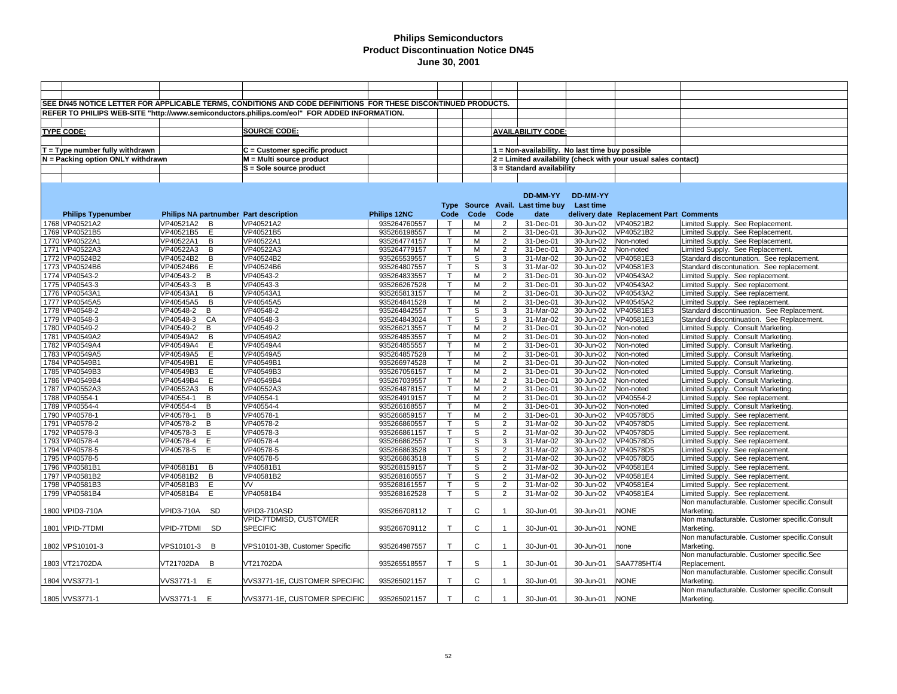|                                     |               |                | SEE DN45 NOTICE LETTER FOR APPLICABLE TERMS, CONDITIONS AND CODE DEFINITIONS FOR THESE DISCONTINUED PRODUCTS. |              |              |              |                |                                                 |                  |                                                                |                                               |
|-------------------------------------|---------------|----------------|---------------------------------------------------------------------------------------------------------------|--------------|--------------|--------------|----------------|-------------------------------------------------|------------------|----------------------------------------------------------------|-----------------------------------------------|
|                                     |               |                | REFER TO PHILIPS WEB-SITE "http://www.semiconductors.philips.com/eol" FOR ADDED INFORMATION.                  |              |              |              |                |                                                 |                  |                                                                |                                               |
|                                     |               |                |                                                                                                               |              |              |              |                |                                                 |                  |                                                                |                                               |
| <b>TYPE CODE:</b>                   |               |                | SOURCE CODE:                                                                                                  |              |              |              |                | <b>AVAILABILITY CODE:</b>                       |                  |                                                                |                                               |
|                                     |               |                |                                                                                                               |              |              |              |                |                                                 |                  |                                                                |                                               |
| $T = Type$ number fully withdrawn   |               |                | $C =$ Customer specific product                                                                               |              |              |              |                | 1 = Non-availability. No last time buy possible |                  |                                                                |                                               |
| $N =$ Packing option ONLY withdrawn |               |                | M = Multi source product                                                                                      |              |              |              |                |                                                 |                  | 2 = Limited availability (check with your usual sales contact) |                                               |
|                                     |               |                |                                                                                                               |              |              |              |                |                                                 |                  |                                                                |                                               |
|                                     |               |                | S = Sole source product                                                                                       |              |              |              |                | $3$ = Standard availability                     |                  |                                                                |                                               |
|                                     |               |                |                                                                                                               |              |              |              |                |                                                 |                  |                                                                |                                               |
|                                     |               |                |                                                                                                               |              |              |              |                |                                                 |                  |                                                                |                                               |
|                                     |               |                |                                                                                                               |              |              |              |                | DD-MM-YY                                        | DD-MM-YY         |                                                                |                                               |
|                                     |               |                |                                                                                                               |              |              |              |                | Type Source Avail. Last time buy                | <b>Last time</b> |                                                                |                                               |
| <b>Philips Typenumber</b>           |               |                | Philips NA partnumber Part description                                                                        | Philips 12NC | Code         | Code         | Code           | date                                            |                  | delivery date Replacement Part Comments                        |                                               |
| 1768 VP40521A2                      | VP40521A2     | $\overline{B}$ | VP40521A2                                                                                                     | 935264760557 | $\mathsf{T}$ | м            | $\overline{2}$ | 31-Dec-01                                       | 30-Jun-02        | VP40521B2                                                      | Limited Supply. See Replacement.              |
| 1769 VP40521B5                      | VP40521B5 E   |                | VP40521B5                                                                                                     | 935266198557 | $\mathsf{T}$ | M            | $\overline{2}$ | 31-Dec-01                                       | 30-Jun-02        | VP40521B2                                                      | Limited Supply. See Replacement.              |
| 1770 VP40522A1                      | VP40522A1     | B              | VP40522A1                                                                                                     | 935264774157 | $\mathsf{T}$ | М            | $\overline{2}$ | 31-Dec-01                                       | 30-Jun-02        | Non-noted                                                      | Limited Supply. See Replacement.              |
| 1771 VP40522A3                      | VP40522A3     | B              | VP40522A3                                                                                                     | 935264779157 | $\mathsf{T}$ | M            | $\overline{2}$ | 31-Dec-01                                       | 30-Jun-02        | Non-noted                                                      | Limited Supply. See Replacement.              |
| 1772 VP40524B2                      | VP40524B2     | B              | VP40524B2                                                                                                     | 935265539557 | $\mathsf{T}$ | S            | 3              | 31-Mar-02                                       | 30-Jun-02        | VP40581E3                                                      | Standard discontunation. See replacement.     |
| 1773 VP40524B6                      | VP40524B6     | E              | VP40524B6                                                                                                     | 935264807557 | т            | S            | 3              | 31-Mar-02                                       | 30-Jun-02        | VP40581E3                                                      | Standard discontunation. See replacement.     |
| 1774 VP40543-2                      | VP40543-2     | B              | VP40543-2                                                                                                     | 935264833557 | $\mathsf{T}$ | м            | $\overline{2}$ | 31-Dec-01                                       | 30-Jun-02        | VP40543A2                                                      | Limited Supply. See replacement.              |
| 1775 VP40543-3                      | VP40543-3     | B              | VP40543-3                                                                                                     | 935266267528 | $\mathsf{T}$ | м            | $\overline{2}$ | 31-Dec-01                                       | 30-Jun-02        | VP40543A2                                                      | Limited Supply. See replacement.              |
| 1776 VP40543A1                      | VP40543A1     | B              | VP40543A1                                                                                                     | 935265813157 | $\mathsf{T}$ | М            | $\overline{2}$ | 31-Dec-01                                       | 30-Jun-02        | VP40543A2                                                      | Limited Supply. See replacement.              |
| 1777 VP40545A5                      | VP40545A5     | B              | VP40545A5                                                                                                     | 935264841528 |              | м            | $\overline{2}$ | 31-Dec-01                                       | 30-Jun-02        | VP40545A2                                                      | Limited Supply. See replacement.              |
| 1778 VP40548-2                      | VP40548-2     | B              | VP40548-2                                                                                                     | 935264842557 | т            | S            | 3              | 31-Mar-02                                       | 30-Jun-02        | VP40581E3                                                      | Standard discontinuation. See Replacement.    |
| 1779 VP40548-3                      | VP40548-3     | CA             | VP40548-3                                                                                                     | 935264843024 | $\mathsf{T}$ | $\mathbb S$  | 3              | 31-Mar-02                                       | 30-Jun-02        | VP40581E3                                                      | Standard discontinuation. See Replacement.    |
| 1780 VP40549-2                      | VP40549-2     | B              | VP40549-2                                                                                                     | 935266213557 | $\mathsf{T}$ | м            | $\overline{2}$ | 31-Dec-01                                       | 30-Jun-02        | Non-noted                                                      | Limited Supply. Consult Marketing.            |
| 1781 VP40549A2                      | VP40549A2     | $\overline{B}$ | VP40549A2                                                                                                     | 935264853557 | т            | M            | $\overline{2}$ | 31-Dec-01                                       | 30-Jun-02        | Non-noted                                                      | Limited Supply. Consult Marketing.            |
| 1782 VP40549A4                      | VP40549A4     | E              | VP40549A4                                                                                                     | 935264855557 | $\mathsf{T}$ | м            | $\overline{2}$ | 31-Dec-01                                       | 30-Jun-02        | Non-noted                                                      | Limited Supply. Consult Marketing.            |
| 1783 VP40549A5                      | VP40549A5     | E              | VP40549A5                                                                                                     | 935264857528 | $\mathsf{T}$ | M            | $\overline{2}$ | 31-Dec-01                                       | 30-Jun-02        | Non-noted                                                      | Limited Supply. Consult Marketing.            |
| 1784 VP40549B1                      | VP40549B1     | E              | VP40549B1                                                                                                     | 935266974528 | $\top$       | M            | $\overline{2}$ | 31-Dec-01                                       | 30-Jun-02        | Non-noted                                                      | Limited Supply. Consult Marketing.            |
| 1785 VP40549B3                      | VP40549B3     | E              | VP40549B3                                                                                                     | 935267056157 | $\mathsf{T}$ | M            | $\overline{2}$ | 31-Dec-01                                       | 30-Jun-02        | Non-noted                                                      | Limited Supply. Consult Marketing.            |
| 1786 VP40549B4                      | VP40549B4     | E              | VP40549B4                                                                                                     | 935267039557 | т            | М            | $\overline{2}$ | 31-Dec-01                                       | 30-Jun-02        | Non-noted                                                      | Limited Supply. Consult Marketing.            |
| 1787 VP40552A3                      | VP40552A3     | B              | VP40552A3                                                                                                     | 935264878157 | $\mathsf{T}$ | M            | $\overline{2}$ | 31-Dec-01                                       | 30-Jun-02        | Non-noted                                                      | Limited Supply. Consult Marketing.            |
| 1788 VP40554-1                      | VP40554-1     | B              | VP40554-1                                                                                                     | 935264919157 | т            | м            | $\overline{2}$ | 31-Dec-01                                       | 30-Jun-02        | VP40554-2                                                      | Limited Supply. See replacement.              |
| 1789 VP40554-4                      | VP40554-4     | B              | VP40554-4                                                                                                     | 935266168557 | $\mathsf{T}$ | M            | $\overline{2}$ | 31-Dec-01                                       | 30-Jun-02        | Non-noted                                                      | Limited Supply. Consult Marketing             |
| 1790 VP40578-1                      | VP40578-1     | B              | VP40578-1                                                                                                     | 935266859157 | $\mathsf{T}$ | M            | $\overline{2}$ | 31-Dec-01                                       | 30-Jun-02        | VP40578D5                                                      | Limited Supply. See replacement.              |
| 1791 VP40578-2                      | VP40578-2     | B              | VP40578-2                                                                                                     | 935266860557 | $\mathsf{T}$ | S            | $\overline{2}$ | 31-Mar-02                                       | 30-Jun-02        | VP40578D5                                                      | Limited Supply. See replacement.              |
| 1792 VP40578-3                      | VP40578-3     | E              | VP40578-3                                                                                                     | 935266861157 | $\mathsf{T}$ | S            | $\overline{2}$ | 31-Mar-02                                       | 30-Jun-02        | VP40578D5                                                      | Limited Supply. See replacement.              |
| 1793 VP40578-4                      | VP40578-4     | Ε              | VP40578-4                                                                                                     | 935266862557 | т            | S            | 3              | 31-Mar-02                                       | 30-Jun-02        | VP40578D5                                                      | Limited Supply. See replacement.              |
| 1794 VP40578-5                      | VP40578-5     | E              | VP40578-5                                                                                                     | 935266863528 |              | S            | $\overline{2}$ | 31-Mar-02                                       | 30-Jun-02        | VP40578D5                                                      | Limited Supply. See replacement.              |
| 1795 VP40578-5                      |               |                | VP40578-5                                                                                                     | 935266863518 | $\mathsf{T}$ | S            | $\overline{2}$ | 31-Mar-02                                       | 30-Jun-02        | VP40578D5                                                      | Limited Supply. See replacement.              |
| 1796 VP40581B1                      | VP40581B1     | В              | VP40581B1                                                                                                     | 935268159157 |              | S            | $\overline{2}$ | 31-Mar-02                                       | 30-Jun-02        | VP40581E4                                                      | Limited Supply. See replacement.              |
| 1797 VP40581B2                      | VP40581B2     | B              | VP40581B2                                                                                                     | 935268160557 | т            | S            | $\overline{2}$ | 31-Mar-02                                       | 30-Jun-02        | VP40581E4                                                      | Limited Supply. See replacement.              |
| 1798 VP40581B3                      | VP40581B3     | E              | VV                                                                                                            | 935268161557 | $\mathsf{T}$ | s            | $\overline{2}$ | 31-Mar-02                                       | 30-Jun-02        | VP40581E4                                                      | Limited Supply. See replacement.              |
| 1799 VP40581B4                      | VP40581B4     | Е              | VP40581B4                                                                                                     | 935268162528 | T.           | S            | $\overline{2}$ | 31-Mar-02                                       | 30-Jun-02        | VP40581E4                                                      | Limited Supply. See replacement.              |
|                                     |               |                |                                                                                                               |              |              |              |                |                                                 |                  |                                                                | Non manufacturable. Customer specific.Consult |
| 1800 VPID3-710A                     | VPID3-710A SD |                | VPID3-710ASD                                                                                                  | 935266708112 | $\mathsf{T}$ | C            | $\mathbf 1$    | 30-Jun-01                                       | 30-Jun-01        | <b>NONE</b>                                                    | Marketing.                                    |
|                                     |               |                | VPID-7TDMISD, CUSTOMER                                                                                        |              |              |              |                |                                                 |                  |                                                                | Non manufacturable. Customer specific.Consult |
| 1801 VPID-7TDMI                     | VPID-7TDMI SD |                | <b>SPECIFIC</b>                                                                                               | 935266709112 | $\mathsf{T}$ | $\mathbf{C}$ | $\overline{1}$ | 30-Jun-01                                       | 30-Jun-01        | <b>NONE</b>                                                    | Marketing.                                    |
|                                     |               |                |                                                                                                               |              |              |              |                |                                                 |                  |                                                                | Non manufacturable. Customer specific.Consult |
| 1802 VPS10101-3                     | VPS10101-3 B  |                | VPS10101-3B, Customer Specific                                                                                | 935264987557 | $\mathsf{T}$ | C            | $\mathbf{1}$   | 30-Jun-01                                       | 30-Jun-01        | one                                                            | Marketing.                                    |
|                                     |               |                |                                                                                                               |              |              |              |                |                                                 |                  |                                                                | Non manufacturable. Customer specific.See     |
| 1803 VT21702DA                      | VT21702DA B   |                | VT21702DA                                                                                                     | 935265518557 | $\mathsf{T}$ | S            | $\mathbf{1}$   | 30-Jun-01                                       | 30-Jun-01        | SAA7785HT/4                                                    | Replacement.                                  |
|                                     |               |                |                                                                                                               |              |              |              |                |                                                 |                  |                                                                | Non manufacturable. Customer specific.Consult |
| 1804 VVS3771-1                      | VVS3771-1 E   |                | VVS3771-1E, CUSTOMER SPECIFIC                                                                                 | 935265021157 | $\mathsf{T}$ | C            | $\mathbf 1$    | 30-Jun-01                                       | 30-Jun-01        | <b>NONE</b>                                                    | Marketing.                                    |
|                                     |               |                |                                                                                                               |              |              |              |                |                                                 |                  |                                                                | Non manufacturable. Customer specific.Consult |
| 1805 VVS3771-1                      | VVS3771-1 E   |                | VVS3771-1E, CUSTOMER SPECIFIC                                                                                 | 935265021157 | $\top$       | C            | $\overline{1}$ | 30-Jun-01                                       | 30-Jun-01        | <b>NONE</b>                                                    | Marketing.                                    |
|                                     |               |                |                                                                                                               |              |              |              |                |                                                 |                  |                                                                |                                               |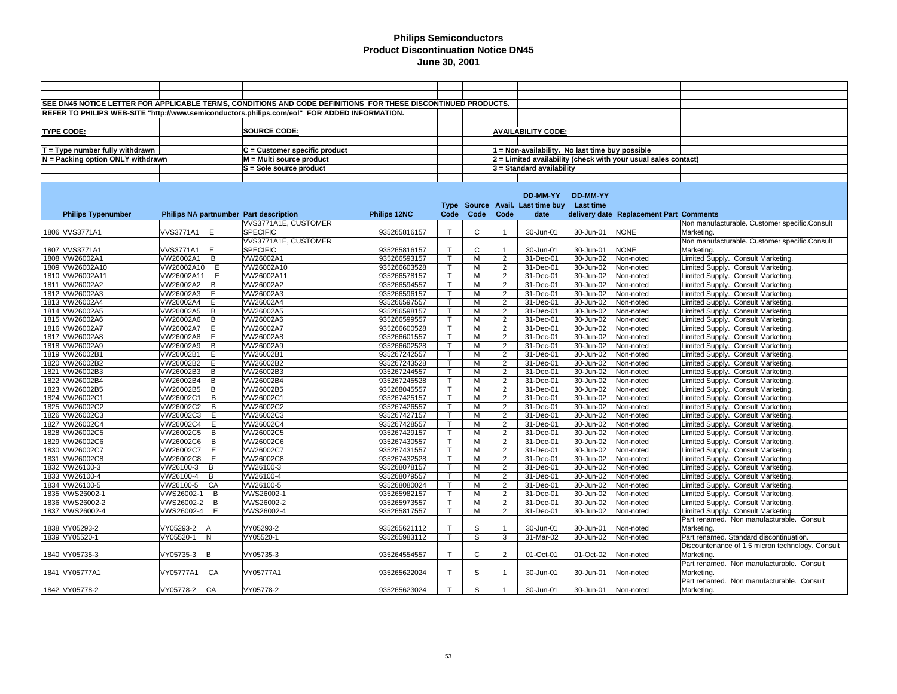|                                   |                                        | SEE DN45 NOTICE LETTER FOR APPLICABLE TERMS, CONDITIONS AND CODE DEFINITIONS FOR THESE DISCONTINUED PRODUCTS. |              |              |              |                |                                                 |                  |                                                                |                                                  |
|-----------------------------------|----------------------------------------|---------------------------------------------------------------------------------------------------------------|--------------|--------------|--------------|----------------|-------------------------------------------------|------------------|----------------------------------------------------------------|--------------------------------------------------|
|                                   |                                        | REFER TO PHILIPS WEB-SITE "http://www.semiconductors.philips.com/eol" FOR ADDED INFORMATION.                  |              |              |              |                |                                                 |                  |                                                                |                                                  |
|                                   |                                        |                                                                                                               |              |              |              |                |                                                 |                  |                                                                |                                                  |
|                                   |                                        |                                                                                                               |              |              |              |                |                                                 |                  |                                                                |                                                  |
| <b>TYPE CODE:</b>                 |                                        | <b>SOURCE CODE:</b>                                                                                           |              |              |              |                | <b>AVAILABILITY CODE:</b>                       |                  |                                                                |                                                  |
|                                   |                                        |                                                                                                               |              |              |              |                |                                                 |                  |                                                                |                                                  |
| $T = Type$ number fully withdrawn |                                        | C = Customer specific product                                                                                 |              |              |              |                | 1 = Non-availability. No last time buy possible |                  |                                                                |                                                  |
| N = Packing option ONLY withdrawn |                                        | M = Multi source product                                                                                      |              |              |              |                |                                                 |                  | 2 = Limited availability (check with your usual sales contact) |                                                  |
|                                   |                                        | S = Sole source product                                                                                       |              |              |              |                | 3 = Standard availability                       |                  |                                                                |                                                  |
|                                   |                                        |                                                                                                               |              |              |              |                |                                                 |                  |                                                                |                                                  |
|                                   |                                        |                                                                                                               |              |              |              |                |                                                 |                  |                                                                |                                                  |
|                                   |                                        |                                                                                                               |              |              |              |                | DD-MM-YY                                        | <b>DD-MM-YY</b>  |                                                                |                                                  |
|                                   |                                        |                                                                                                               |              | <b>Type</b>  |              |                | Source Avail. Last time buy                     | <b>Last time</b> |                                                                |                                                  |
|                                   |                                        |                                                                                                               |              |              |              |                |                                                 |                  |                                                                |                                                  |
| <b>Philips Typenumber</b>         | Philips NA partnumber Part description |                                                                                                               | Philips 12NC | Code         | Code         | Code           | date                                            |                  | delivery date Replacement Part Comments                        |                                                  |
|                                   |                                        | VVS3771A1E, CUSTOMER                                                                                          |              |              |              |                |                                                 |                  |                                                                | Non manufacturable. Customer specific.Consult    |
| 1806 VVS3771A1                    | VVS3771A1 E                            | <b>SPECIFIC</b>                                                                                               | 935265816157 | $\mathsf{T}$ | C            |                | 30-Jun-01                                       | 30-Jun-01        | <b>NONE</b>                                                    | Marketing.                                       |
|                                   |                                        | VVS3771A1E, CUSTOMER                                                                                          |              |              |              |                |                                                 |                  |                                                                | Non manufacturable. Customer specific.Consult    |
| 1807 VVS3771A1                    | VVS3771A1 E                            | <b>SPECIFIC</b>                                                                                               | 935265816157 | $\mathsf{T}$ | C            |                | 30-Jun-01                                       | 30-Jun-01        | <b>NONE</b>                                                    | Marketing.                                       |
| 1808 VW26002A1                    | VW26002A1<br>B                         | VW26002A1                                                                                                     | 935266593157 | T.           | M            | $\overline{2}$ | 31-Dec-01                                       | 30-Jun-02        | Non-noted                                                      | Limited Supply. Consult Marketing.               |
| 1809 VW26002A10                   | VW26002A10<br>E                        | VW26002A10                                                                                                    | 935266603528 | T.           | M            | 2              | 31-Dec-01                                       | 30-Jun-02        | Non-noted                                                      | Limited Supply. Consult Marketing.               |
| 1810 VW26002A11                   | VW26002A11<br>E                        | VW26002A11                                                                                                    | 935266578157 | T.           | M            | 2              | 31-Dec-01                                       | 30-Jun-02        | Non-noted                                                      | Limited Supply. Consult Marketing.               |
| 1811 VW26002A2                    | VW26002A2<br>B                         | VW26002A2                                                                                                     | 935266594557 | Т            | M            | $\overline{2}$ | 31-Dec-01                                       | 30-Jun-02        | Non-noted                                                      | Limited Supply. Consult Marketing.               |
| 1812 VW26002A3                    | VW26002A3<br>E                         | VW26002A3                                                                                                     | 935266596157 | T.           | M            | 2              | 31-Dec-01                                       | 30-Jun-02        | Non-noted                                                      | Limited Supply. Consult Marketing.               |
| 1813 VW26002A4                    | VW26002A4<br>E                         | VW26002A4                                                                                                     | 935266597557 | $\mathsf{T}$ | M            | $\overline{2}$ | 31-Dec-01                                       | 30-Jun-02        | Non-noted                                                      | Limited Supply. Consult Marketing.               |
| 1814 VW26002A5                    | B<br>VW26002A5                         | VW26002A5                                                                                                     | 935266598157 | $\mathsf{T}$ | M            | $\overline{2}$ | $31 - Dec-01$                                   | 30-Jun-02        | Non-noted                                                      | Limited Supply. Consult Marketing.               |
| 1815 VW26002A6                    | $\overline{B}$<br>VW26002A6            | VW26002A6                                                                                                     | 935266599557 | T            | м            | $\overline{2}$ | 31-Dec-01                                       | 30-Jun-02        | Non-noted                                                      | Limited Supply. Consult Marketing.               |
| 1816 VW26002A7                    | VW26002A7<br>E                         | VW26002A7                                                                                                     | 935266600528 | $\mathsf{T}$ | M            | 2              | 31-Dec-01                                       | 30-Jun-02        | Non-noted                                                      | Limited Supply. Consult Marketing.               |
| 1817 VW26002A8                    | VW26002A8<br>E                         | VW26002A8                                                                                                     | 935266601557 | T            | м            | 2              | 31-Dec-01                                       | 30-Jun-02        | Non-noted                                                      | Limited Supply. Consult Marketing.               |
| 1818 VW26002A9                    | VW26002A9<br>B                         | VW26002A9                                                                                                     | 935266602528 | T.           | M            | 2              | 31-Dec-01                                       | 30-Jun-02        | Non-noted                                                      | Limited Supply. Consult Marketing.               |
| 1819 VW26002B1                    | $\overline{E}$<br>VW26002B1            | VW26002B1                                                                                                     | 935267242557 | T            | M            | $\overline{2}$ | 31-Dec-01                                       | 30-Jun-02        | Non-noted                                                      | Limited Supply. Consult Marketing.               |
| 1820 VW26002B2                    | VW26002B2<br>E                         | VW26002B2                                                                                                     | 935267243528 | T.           | M            | 2              | 31-Dec-01                                       | 30-Jun-02        | Non-noted                                                      | Limited Supply. Consult Marketing.               |
| 1821 VW26002B3                    | VW26002B3<br>B                         | VW26002B3                                                                                                     | 935267244557 | T.           | M            | 2              | 31-Dec-01                                       | 30-Jun-02        | Non-noted                                                      | Limited Supply. Consult Marketing.               |
| 1822 VW26002B4                    | VW26002B4<br>B                         | VW26002B4                                                                                                     | 935267245528 | $\mathsf{T}$ | M            | 2              | 31-Dec-01                                       | 30-Jun-02        | Non-noted                                                      | Limited Supply. Consult Marketing.               |
| 1823 VW26002B5                    | VW26002B5<br>B                         | VW26002B5                                                                                                     | 935268045557 | T.           | M            | $\overline{2}$ | 31-Dec-01                                       | 30-Jun-02        | Non-noted                                                      | Limited Supply. Consult Marketing.               |
|                                   | B                                      |                                                                                                               |              |              |              |                |                                                 |                  |                                                                |                                                  |
| 1824 VW26002C1                    | VW26002C1<br>B                         | VW26002C1                                                                                                     | 935267425157 | T<br>T.      | M<br>M       | 2<br>2         | 31-Dec-01                                       | 30-Jun-02        | Non-noted                                                      | Limited Supply. Consult Marketing.               |
| 1825 VW26002C2                    | VW26002C2                              | VW26002C2                                                                                                     | 935267426557 |              |              |                | 31-Dec-01                                       | 30-Jun-02        | Non-noted                                                      | Limited Supply. Consult Marketing.               |
| 1826 VW26002C3                    | E<br>VW26002C3                         | VW26002C3                                                                                                     | 935267427157 | T.           | M            | 2              | 31-Dec-01                                       | 30-Jun-02        | Non-noted                                                      | Limited Supply. Consult Marketing.               |
| 1827 W26002C4                     | VW26002C4<br>E                         | VW26002C4                                                                                                     | 935267428557 | T.           | M            | 2              | 31-Dec-01                                       | 30-Jun-02        | Non-noted                                                      | Limited Supply. Consult Marketing.               |
| 1828 VW26002C5                    | VW26002C5<br>B                         | VW26002C5                                                                                                     | 935267429157 | T.           | M            | $\overline{2}$ | 31-Dec-01                                       | 30-Jun-02        | Non-noted                                                      | Limited Supply. Consult Marketing                |
| 1829 VW26002C6                    | VW26002C6<br>B                         | VW26002C6                                                                                                     | 935267430557 | $\mathsf{T}$ | M            | 2              | 31-Dec-01                                       | 30-Jun-02        | Non-noted                                                      | Limited Supply. Consult Marketing.               |
| 1830 VW26002C7                    | E<br>VW26002C7                         | VW26002C7                                                                                                     | 935267431557 | T.           | M            | $\overline{2}$ | 31-Dec-01                                       | 30-Jun-02        | Non-noted                                                      | Limited Supply. Consult Marketing.               |
| 1831 VW26002C8                    | E<br>VW26002C8                         | VW26002C8                                                                                                     | 935267432528 | T.           | M            | 2              | 31-Dec-01                                       | 30-Jun-02        | Non-noted                                                      | Limited Supply. Consult Marketing.               |
| 1832 VW26100-3                    | VW26100-3<br>B                         | VW26100-3                                                                                                     | 935268078157 | T.           | M            | $\overline{2}$ | 31-Dec-01                                       | 30-Jun-02        | Non-noted                                                      | Limited Supply. Consult Marketing                |
| 1833 VW26100-4                    | VW26100-4 B                            | VW26100-4                                                                                                     | 935268079557 | T.           | M            | $\overline{2}$ | 31-Dec-01                                       | 30-Jun-02        | Non-noted                                                      | Limited Supply. Consult Marketing.               |
| 1834 VW26100-5                    | VW26100-5<br>CA                        | VW26100-5                                                                                                     | 935268080024 | T.           | M            | 2              | 31-Dec-01                                       | 30-Jun-02        | Non-noted                                                      | Limited Supply. Consult Marketing.               |
| 1835 VWS26002-1                   | B<br>VWS26002-1                        | VWS26002-1                                                                                                    | 935265982157 | $\mathsf{T}$ | M            | $\overline{2}$ | 31-Dec-01                                       | 30-Jun-02        | Non-noted                                                      | Limited Supply. Consult Marketing.               |
| 1836 VWS26002-2                   | VWS26002-2<br>B                        | VWS26002-2                                                                                                    | 935265973557 | T            | M            | 2              | 31-Dec-01                                       | 30-Jun-02        | Non-noted                                                      | Limited Supply. Consult Marketing.               |
| 1837 VWS26002-4                   | VWS26002-4<br>E                        | VWS26002-4                                                                                                    | 935265817557 | T.           | M            | $\overline{2}$ | 31-Dec-01                                       | 30-Jun-02        | Non-noted                                                      | Limited Supply. Consult Marketing.               |
|                                   |                                        |                                                                                                               |              |              |              |                |                                                 |                  |                                                                | Part renamed. Non manufacturable. Consult        |
| 1838 VY05293-2                    | VY05293-2 A                            | VY05293-2                                                                                                     | 935265621112 | T            | S            |                | 30-Jun-01                                       | 30-Jun-01        | Non-noted                                                      | Marketing.                                       |
| 1839 VY05520-1                    | VY05520-1<br>$\mathsf{N}$              | VY05520-1                                                                                                     | 935265983112 | T.           | S            | 3              | 31-Mar-02                                       | 30-Jun-02        | Non-noted                                                      | Part renamed. Standard discontinuation.          |
|                                   |                                        |                                                                                                               |              |              |              |                |                                                 |                  |                                                                | Discountenance of 1.5 micron technology. Consult |
| 1840 VY05735-3                    | VY05735-3 B                            | VY05735-3                                                                                                     | 935264554557 | $\mathsf{T}$ | $\mathsf{C}$ | $\overline{2}$ | 01-Oct-01                                       | 01-Oct-02        | Non-noted                                                      | Marketing.                                       |
|                                   |                                        |                                                                                                               |              |              |              |                |                                                 |                  |                                                                | Part renamed. Non manufacturable. Consult        |
| 1841 VY05777A1                    | VY05777A1 CA                           | VY05777A1                                                                                                     | 935265622024 | $\mathsf{T}$ | S            |                | 30-Jun-01                                       | 30-Jun-01        | Non-noted                                                      | Marketing                                        |
|                                   |                                        |                                                                                                               |              |              |              |                |                                                 |                  |                                                                | Part renamed. Non manufacturable. Consult        |
| 1842 VY05778-2                    | VY05778-2<br>CA                        | VY05778-2                                                                                                     | 935265623024 | T.           | S            |                | 30-Jun-01                                       | 30-Jun-01        | Non-noted                                                      | Marketing.                                       |
|                                   |                                        |                                                                                                               |              |              |              |                |                                                 |                  |                                                                |                                                  |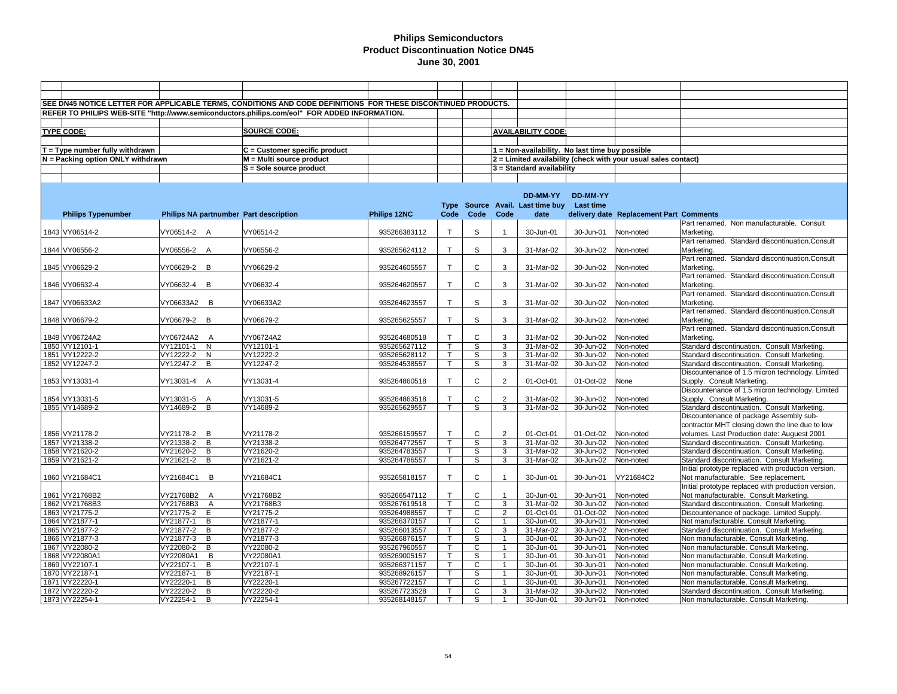|                                   |                                        | SEE DN45 NOTICE LETTER FOR APPLICABLE TERMS, CONDITIONS AND CODE DEFINITIONS FOR THESE DISCONTINUED PRODUCTS. |              |              |                |                |                                                 |                         |                                                                |                                                              |
|-----------------------------------|----------------------------------------|---------------------------------------------------------------------------------------------------------------|--------------|--------------|----------------|----------------|-------------------------------------------------|-------------------------|----------------------------------------------------------------|--------------------------------------------------------------|
|                                   |                                        | REFER TO PHILIPS WEB-SITE "http://www.semiconductors.philips.com/eol" FOR ADDED INFORMATION.                  |              |              |                |                |                                                 |                         |                                                                |                                                              |
|                                   |                                        |                                                                                                               |              |              |                |                |                                                 |                         |                                                                |                                                              |
|                                   |                                        |                                                                                                               |              |              |                |                |                                                 |                         |                                                                |                                                              |
| <b>TYPE CODE:</b>                 |                                        | <b>SOURCE CODE:</b>                                                                                           |              |              |                |                | <b>AVAILABILITY CODE:</b>                       |                         |                                                                |                                                              |
|                                   |                                        |                                                                                                               |              |              |                |                |                                                 |                         |                                                                |                                                              |
| T = Type number fully withdrawn   |                                        | C = Customer specific product                                                                                 |              |              |                |                | 1 = Non-availability. No last time buy possible |                         |                                                                |                                                              |
| N = Packing option ONLY withdrawn |                                        | M = Multi source product                                                                                      |              |              |                |                |                                                 |                         | 2 = Limited availability (check with your usual sales contact) |                                                              |
|                                   |                                        | S = Sole source product                                                                                       |              |              |                |                | 3 = Standard availability                       |                         |                                                                |                                                              |
|                                   |                                        |                                                                                                               |              |              |                |                |                                                 |                         |                                                                |                                                              |
|                                   |                                        |                                                                                                               |              |              |                |                |                                                 |                         |                                                                |                                                              |
|                                   |                                        |                                                                                                               |              |              |                |                | DD-MM-YY                                        | DD-MM-YY                |                                                                |                                                              |
|                                   |                                        |                                                                                                               |              |              |                |                | Type Source Avail. Last time buy Last time      |                         |                                                                |                                                              |
| <b>Philips Typenumber</b>         | Philips NA partnumber Part description |                                                                                                               | Philips 12NC | Code         | Code           | Code           | date                                            |                         | delivery date Replacement Part Comments                        |                                                              |
|                                   |                                        |                                                                                                               |              |              |                |                |                                                 |                         |                                                                | Part renamed. Non manufacturable. Consult                    |
| 1843 VY06514-2                    | VY06514-2 A                            | VY06514-2                                                                                                     | 935266383112 | $\mathsf{T}$ | S              | $\overline{1}$ | 30-Jun-01                                       | 30-Jun-01               | Non-noted                                                      | Marketing.                                                   |
|                                   |                                        |                                                                                                               |              |              |                |                |                                                 |                         |                                                                | Part renamed. Standard discontinuation.Consult               |
| 1844 VY06556-2                    | VY06556-2 A                            | VY06556-2                                                                                                     | 935265624112 | $\mathsf{T}$ | S              | 3              | 31-Mar-02                                       | 30-Jun-02               | Non-noted                                                      | Marketing.                                                   |
|                                   |                                        |                                                                                                               |              |              |                |                |                                                 |                         |                                                                | Part renamed. Standard discontinuation.Consult               |
| 1845 VY06629-2                    | VY06629-2 B                            | VY06629-2                                                                                                     | 935264605557 | $\top$       | C              | 3              | 31-Mar-02                                       |                         | Non-noted                                                      | Marketing.                                                   |
|                                   |                                        |                                                                                                               |              |              |                |                |                                                 | 30-Jun-02               |                                                                | Part renamed. Standard discontinuation.Consult               |
|                                   |                                        |                                                                                                               |              | $\mathsf{T}$ | C              |                |                                                 |                         |                                                                |                                                              |
| 1846 VY06632-4                    | VY06632-4 B                            | VY06632-4                                                                                                     | 935264620557 |              |                | 3              | 31-Mar-02                                       | 30-Jun-02               | Non-noted                                                      | Marketing.<br>Part renamed. Standard discontinuation.Consult |
|                                   |                                        |                                                                                                               |              |              |                |                |                                                 |                         |                                                                |                                                              |
| 1847 VY06633A2                    | VY06633A2 B                            | VY06633A2                                                                                                     | 935264623557 | $\mathsf{T}$ | S              | 3              | 31-Mar-02                                       | 30-Jun-02               | Non-noted                                                      | Marketing.                                                   |
|                                   |                                        |                                                                                                               |              |              |                |                |                                                 |                         |                                                                | Part renamed. Standard discontinuation.Consult               |
| 1848 VY06679-2                    | VY06679-2 B                            | VY06679-2                                                                                                     | 935265625557 | $\mathsf{T}$ | S              | 3              | 31-Mar-02                                       | 30-Jun-02               | Non-noted                                                      | Marketing.                                                   |
|                                   |                                        |                                                                                                               |              |              |                |                |                                                 |                         |                                                                | Part renamed. Standard discontinuation.Consult               |
| 1849 VY06724A2                    | VY06724A2 A                            | VY06724A2                                                                                                     | 935264680518 | $\mathsf{T}$ | $\mathsf{C}$   | 3              | 31-Mar-02                                       | 30-Jun-02               | Non-noted                                                      | Marketing.                                                   |
| 1850 VY12101-1                    | VY12101-1<br>N                         | VY12101-1                                                                                                     | 935265627112 |              | s              | 3              | 31-Mar-02                                       | 30-Jun-02               | Non-noted                                                      | Standard discontinuation. Consult Marketing.                 |
| 1851 VY12222-2                    | VY12222-2<br>$\overline{\mathsf{N}}$   | VY12222-2                                                                                                     | 935265628112 | $\mathsf{T}$ | S              | 3              | 31-Mar-02                                       | 30-Jun-02               | Non-noted                                                      | Standard discontinuation. Consult Marketing.                 |
| 1852 VY12247-2                    | VY12247-2 B                            | VY12247-2                                                                                                     | 935264538557 | $\mathsf{T}$ | S              | $\overline{3}$ | 31-Mar-02                                       | 30-Jun-02               | Non-noted                                                      | Standard discontinuation. Consult Marketing.                 |
|                                   |                                        |                                                                                                               |              |              |                |                |                                                 |                         |                                                                | Discountenance of 1.5 micron technology. Limited             |
| 1853 VY13031-4                    | VY13031-4 A                            | VY13031-4                                                                                                     | 935264860518 | $\mathsf{T}$ | $\mathsf C$    | 2              | 01-Oct-01                                       | 01-Oct-02               | None                                                           | Supply. Consult Marketing.                                   |
|                                   |                                        |                                                                                                               |              |              |                |                |                                                 |                         |                                                                | Discountenance of 1.5 micron technology. Limited             |
| 1854 VY13031-5                    | VY13031-5 A                            | VY13031-5                                                                                                     | 935264863518 |              | $\mathsf C$    | $\overline{2}$ | 31-Mar-02                                       | 30-Jun-02               | Non-noted                                                      | Supply. Consult Marketing.                                   |
| 1855 VY14689-2                    | VY14689-2 B                            | VY14689-2                                                                                                     | 935265629557 | $\mathsf{T}$ | $\overline{s}$ | $\overline{3}$ | 31-Mar-02                                       | 30-Jun-02               | Non-noted                                                      | Standard discontinuation. Consult Marketing.                 |
|                                   |                                        |                                                                                                               |              |              |                |                |                                                 |                         |                                                                | Discountenance of package Assembly sub-                      |
|                                   |                                        |                                                                                                               |              |              |                |                |                                                 |                         |                                                                | contractor MHT closing down the line due to low              |
| 1856 VY21178-2                    | VY21178-2 B                            | VY21178-2                                                                                                     | 935266159557 | $\mathsf{T}$ | $\mathsf{C}$   | $\overline{2}$ | 01-Oct-01                                       | 01-Oct-02               | Non-noted                                                      | volumes. Last Production date: Auguest 2001                  |
| 1857 VY21338-2                    | $\overline{B}$<br>VY21338-2            | VY21338-2                                                                                                     | 935264772557 | $\mathsf{T}$ | S              | 3              | 31-Mar-02                                       | 30-Jun-02               | Non-noted                                                      | Standard discontinuation. Consult Marketing.                 |
| 1858 VY21620-2                    | VY21620-2<br>B                         | VY21620-2                                                                                                     | 935264783557 | $\mathsf{T}$ | S              | 3              | 31-Mar-02                                       | 30-Jun-02               | Non-noted                                                      | Standard discontinuation. Consult Marketing.                 |
| 1859 VY21621-2                    | VY21621-2 B                            | VY21621-2                                                                                                     | 935264786557 | $\mathsf{T}$ | S              | 3              | 31-Mar-02                                       | 30-Jun-02               | Non-noted                                                      | Standard discontinuation. Consult Marketing.                 |
|                                   |                                        |                                                                                                               |              |              |                |                |                                                 |                         |                                                                | Initial prototype replaced with production version.          |
| 1860 VY21684C1                    | VY21684C1 B                            | VY21684C1                                                                                                     | 935265818157 | $\mathsf{T}$ | $\mathsf C$    | $\overline{1}$ | 30-Jun-01                                       | 30-Jun-01               | VY21684C2                                                      | Not manufacturable. See replacement.                         |
|                                   |                                        |                                                                                                               |              |              |                |                |                                                 |                         |                                                                | Initial prototype replaced with production version.          |
| 1861 VY21768B2                    | VY21768B2 A                            | VY21768B2                                                                                                     | 935266547112 | $\mathsf{T}$ | C              | $\overline{1}$ | 30-Jun-01                                       | 30-Jun-01               | Non-noted                                                      | Not manufacturable. Consult Marketing.                       |
| 1862 VY21768B3                    | VY21768B3<br>$\overline{A}$            | VY21768B3                                                                                                     | 935267619518 | $\mathsf{T}$ | $\mathsf{C}$   | 3              | 31-Mar-02                                       | $\overline{30}$ -Jun-02 | Non-noted                                                      | Standard discontinuation. Consult Marketing.                 |
| 1863 VY21775-2                    | VY21775-2 E                            | VY21775-2                                                                                                     | 935264988557 |              | C              | $\overline{2}$ | 01-Oct-01                                       | 01-Oct-02               | Non-noted                                                      | Discountenance of package. Limited Supply.                   |
| 1864 VY21877-1                    | VY21877-1<br>B                         | VY21877-1                                                                                                     | 935266370157 | $\mathsf{T}$ | $\mathsf{C}$   | $\overline{1}$ | 30-Jun-01                                       | 30-Jun-01               | Non-noted                                                      | Not manufacturable. Consult Marketing.                       |
| 1865 VY21877-2                    | VY21877-2 B                            | VY21877-2                                                                                                     | 935266013557 | т            | C              | 3              | 31-Mar-02                                       | 30-Jun-02               | Non-noted                                                      | Standard discontinuation. Consult Marketing.                 |
| 1866 VY21877-3                    | VY21877-3<br>B                         | VY21877-3                                                                                                     | 935266876157 | $\mathsf{T}$ | S              | $\overline{1}$ | 30-Jun-01                                       | 30-Jun-01               | Non-noted                                                      | Non manufacturable. Consult Marketing.                       |
| 1867 VY22080-2                    | VY22080-2<br>$\overline{B}$            | VY22080-2                                                                                                     | 935267960557 |              | $\overline{c}$ | $\mathbf{1}$   | 30-Jun-01                                       | 30-Jun-01               | Non-noted                                                      | Non manufacturable. Consult Marketing.                       |
| 1868 VY22080A1                    | VY22080A1<br>B                         | VY22080A1                                                                                                     | 935269005157 | $\mathsf{T}$ | S              |                | 30-Jun-01                                       | 30-Jun-01               | Non-noted                                                      | Non manufacturable. Consult Marketing.                       |
| 1869 VY22107-1                    | $\overline{B}$<br>VY22107-1            | VY22107-1                                                                                                     | 935266371157 |              | $\overline{c}$ | $\overline{1}$ | 30-Jun-01                                       | 30-Jun-01               | Non-noted                                                      | Non manufacturable. Consult Marketing.                       |
| 1870 VY22187-1                    | VY22187-1<br>B                         | VY22187-1                                                                                                     | 935268926157 |              | S              | $\overline{1}$ | 30-Jun-01                                       | 30-Jun-01               | Non-noted                                                      | Non manufacturable. Consult Marketing.                       |
| 1871 VY22220-1                    | B<br>VY22220-1                         | VY22220-1                                                                                                     | 935267722157 | $\mathsf{T}$ | C              | $\mathbf{1}$   | 30-Jun-01                                       | 30-Jun-01               | Non-noted                                                      | Non manufacturable. Consult Marketing.                       |
| 1872 VY22220-2                    | VY22220-2<br>B                         | VY22220-2                                                                                                     | 935267723528 | $\mathsf{T}$ | $\mathsf{C}$   | 3              | 31-Mar-02                                       | 30-Jun-02               | Non-noted                                                      | Standard discontinuation. Consult Marketing.                 |
| 1873 VY22254-1                    | VY22254-1<br>B                         | VY22254-1                                                                                                     | 935268148157 | T            | S              | $\overline{1}$ | 30-Jun-01                                       | 30-Jun-01               | Non-noted                                                      | Non manufacturable. Consult Marketing.                       |